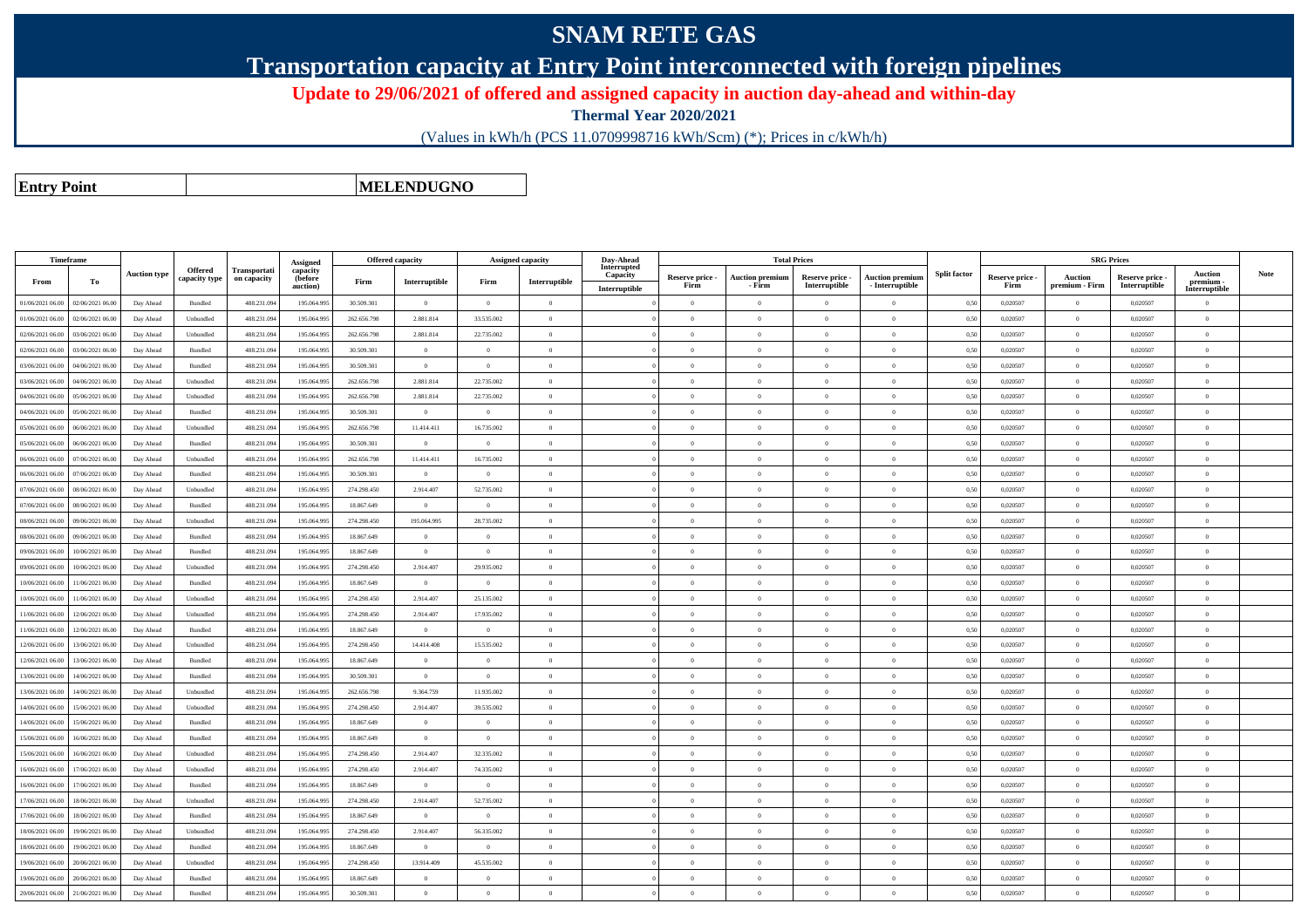## **SNAM RETE GAS**

**Transportation capacity at Entry Point interconnected with foreign pipelines**

**Update to 29/06/2021 of offered and assigned capacity in auction day-ahead and within-day**

**Thermal Year 2020/2021**

(Values in kWh/h (PCS 11.0709998716 kWh/Scm) (\*); Prices in c/kWh/h)

**Entry Point**

**MELENDUGNO**

|                  | <b>Timeframe</b> |                     |                |                     |                      | <b>Offered capacity</b> |                | <b>Assigned capacity</b> |                | Day-Ahead               |                 |                        | <b>Total Prices</b> |                        |                     |                 | <b>SRG Prices</b> |                 |                            |             |
|------------------|------------------|---------------------|----------------|---------------------|----------------------|-------------------------|----------------|--------------------------|----------------|-------------------------|-----------------|------------------------|---------------------|------------------------|---------------------|-----------------|-------------------|-----------------|----------------------------|-------------|
|                  |                  | <b>Auction type</b> | <b>Offered</b> | <b>Transportati</b> | Assigned<br>capacity |                         |                |                          |                | Interrupted<br>Capacity | Reserve price - | <b>Auction premium</b> | Reserve price -     | <b>Auction premium</b> | <b>Split factor</b> | Reserve price - | Auction           | Reserve price - | <b>Auction</b>             | <b>Note</b> |
| From             | To               |                     | capacity type  | on capacity         | (before<br>auction)  | Firm                    | Interruptible  | Firm                     | Interruptible  | Interruptible           | Firm            | - Firm                 | Interruptible       | - Interruptible        |                     | Firm            | premium - Firm    | Interruptible   | premium -<br>Interruptible |             |
| 01/06/2021 06:00 | 02/06/2021 06.00 | Day Ahead           | Bundled        | 488.231.09          | 195.064.99           | 30.509.301              | $\theta$       | $\overline{0}$           | $\overline{0}$ |                         | $\Omega$        | $\theta$               | $\Omega$            | $\theta$               | 0,50                | 0,020507        |                   | 0,020507        | $\overline{0}$             |             |
| 01/06/2021 06:00 | 02/06/2021 06.00 | Day Ahead           | Unbundled      | 488.231.094         | 195.064.995          | 262.656.798             | 2.881.814      | 33.535.002               | $\overline{0}$ |                         | $\overline{0}$  | $\theta$               | $\overline{0}$      | $\overline{0}$         | 0,50                | 0,020507        | $\overline{0}$    | 0,020507        | $\overline{0}$             |             |
| 02/06/2021 06:00 | 03/06/2021 06:00 | Day Ahead           | Unbundled      | 488.231.094         | 195,064,995          | 262.656.798             | 2.881.814      | 22.735.002               | $\overline{0}$ |                         | $\theta$        | $\theta$               | $\theta$            | $\overline{0}$         | 0.50                | 0.020507        | $\overline{0}$    | 0.020507        | $\theta$                   |             |
| 02/06/2021 06:00 | 03/06/2021 06:00 | Day Ahead           | Bundled        | 488.231.094         | 195.064.995          | 30.509.301              | $\overline{0}$ | $\overline{0}$           | $\overline{0}$ |                         | $\overline{0}$  | $\theta$               | $\overline{0}$      | $\bf{0}$               | 0,50                | 0,020507        | $\overline{0}$    | 0,020507        | $\theta$                   |             |
| 03/06/2021 06:00 | 04/06/2021 06:00 | Day Ahead           | Bundled        | 488.231.094         | 195,064,995          | 30,509,301              | $\overline{0}$ | $\Omega$                 | $\Omega$       |                         | $\Omega$        | $\Omega$               | $\Omega$            | $\theta$               | 0.50                | 0.020507        | $\Omega$          | 0.020507        | $\theta$                   |             |
| 03/06/2021 06:00 | 04/06/2021 06.00 | Day Ahead           | Unbundled      | 488.231.094         | 195.064.995          | 262.656.798             | 2.881.814      | 22.735.002               | $\overline{0}$ |                         | $\overline{0}$  | $\theta$               | $\overline{0}$      | $\overline{0}$         | 0,50                | 0,020507        | $\overline{0}$    | 0,020507        | $\overline{0}$             |             |
| 04/06/2021 06:00 | 05/06/2021 06:00 | Day Ahead           | Unbundled      | 488.231.09          | 195,064,995          | 262.656.798             | 2.881.814      | 22.735.002               | $\overline{0}$ |                         | $\overline{0}$  | $\overline{0}$         | $\overline{0}$      | $\overline{0}$         | 0.50                | 0.020507        | $\overline{0}$    | 0.020507        | $\overline{0}$             |             |
| 04/06/2021 06:00 | 05/06/2021 06.00 | Day Ahead           | <b>Bundled</b> | 488.231.094         | 195,064,995          | 30,509,301              | $\overline{0}$ | $\theta$                 | $\overline{0}$ |                         | $\theta$        | $\theta$               | $\Omega$            | $\overline{0}$         | 0.50                | 0.020507        | $\overline{0}$    | 0,020507        | $\overline{0}$             |             |
| 05/06/2021 06:00 | 06/06/2021 06:00 | Day Ahead           | Unbundled      | 488.231.094         | 195,064,995          | 262.656.798             | 11.414.411     | 16.735.002               | $\theta$       |                         | $\Omega$        | $\theta$               | $\Omega$            | $\overline{0}$         | 0.50                | 0.020507        | $\overline{0}$    | 0.020507        | $\overline{0}$             |             |
| 05/06/2021 06:00 | 06/06/2021 06:00 | Day Ahead           | Bundled        | 488.231.094         | 195,064,995          | 30.509.301              | $\overline{0}$ | $\Omega$                 | $\overline{0}$ |                         | $\theta$        | $\theta$               | $\theta$            | $\overline{0}$         | 0.50                | 0.020507        | $\overline{0}$    | 0.020507        | $\overline{0}$             |             |
| 06/06/2021 06:00 | 07/06/2021 06.00 | Day Ahead           | Unbundled      | 488.231.094         | 195.064.995          | 262.656.798             | 11.414.411     | 16.735.002               | $\overline{0}$ |                         | $\overline{0}$  | $\bf{0}$               | $\overline{0}$      | $\overline{0}$         | 0.50                | 0,020507        | $\overline{0}$    | 0,020507        | $\overline{0}$             |             |
| 06/06/2021 06:00 | 07/06/2021 06.00 | Day Ahead           | Bundled        | 488.231.09          | 195.064.995          | 30.509.301              | $\overline{0}$ | $\overline{0}$           | $\overline{0}$ |                         | $\Omega$        | $\Omega$               | $\Omega$            | $\overline{0}$         | 0.50                | 0,020507        | $\overline{0}$    | 0,020507        | $\theta$                   |             |
| 07/06/2021 06:00 | 08/06/2021 06:00 | Day Ahead           | Unbundled      | 488.231.094         | 195.064.995          | 274.298.450             | 2.914.407      | 52.735.002               | $\overline{0}$ |                         | $\overline{0}$  | $\theta$               | $\overline{0}$      | $\overline{0}$         | 0.50                | 0.020507        | $\overline{0}$    | 0.020507        | $\overline{0}$             |             |
| 07/06/2021 06:00 | 08/06/2021 06:0  | Day Ahead           | Bundled        | 488.231.094         | 195 064 99           | 18.867.649              | $\theta$       | $\Omega$                 | $\theta$       |                         | $\Omega$        | $\Omega$               | $\theta$            | $\overline{0}$         | 0.50                | 0,020507        | $\Omega$          | 0,020507        | $\theta$                   |             |
| 08/06/2021 06:00 | 09/06/2021 06.0  | Day Ahead           | Unbundled      | 488.231.09          | 195.064.995          | 274.298.450             | 195,064,995    | 28.735.002               | $\overline{0}$ |                         | $\overline{0}$  | $\theta$               | $\overline{0}$      | $\overline{0}$         | 0.50                | 0.020507        | $\overline{0}$    | 0,020507        | $\overline{0}$             |             |
| 08/06/2021 06:00 | 09/06/2021 06.0  | Day Ahead           | Bundled        | 488.231.09          | 195.064.99           | 18.867.649              | $\overline{0}$ | $\overline{0}$           | $\overline{0}$ |                         | $\overline{0}$  | $\theta$               | $\overline{0}$      | $\overline{0}$         | 0,50                | 0,020507        | $\overline{0}$    | 0,020507        | $\theta$                   |             |
| 09/06/2021 06:00 | 10/06/2021 06:00 | Day Ahead           | Bundled        | 488.231.09          | 195.064.995          | 18,867,649              | $\overline{0}$ | $\overline{0}$           | $\overline{0}$ |                         | $\overline{0}$  | $\theta$               | $\overline{0}$      | $\overline{0}$         | 0.50                | 0,020507        | $\overline{0}$    | 0,020507        | $\overline{0}$             |             |
| 09/06/2021 06:00 | 10/06/2021 06.0  | Day Ahead           | Unbundled      | 488.231.09          | 195.064.99           | 274.298.450             | 2.914.407      | 29.935.002               | $\overline{0}$ |                         | $\overline{0}$  | $\theta$               | $\overline{0}$      | $\overline{0}$         | 0,50                | 0,020507        | $\Omega$          | 0,020507        | $\overline{0}$             |             |
| 10/06/2021 06:00 | 11/06/2021 06.00 | Day Ahead           | Bundled        | 488.231.094         | 195.064.995          | 18.867.649              | $\overline{0}$ | $\overline{0}$           | $\overline{0}$ |                         | $\overline{0}$  | $\theta$               | $\overline{0}$      | $\bf{0}$               | 0,50                | 0,020507        | $\overline{0}$    | 0,020507        | $\bf{0}$                   |             |
| 10/06/2021 06.0  | 1/06/2021 06.0   | Day Ahead           | Unbundled      | 488.231.09          | 195.064.99           | 274.298.450             | 2.914.407      | 25.135.002               | $\overline{0}$ |                         | $\overline{0}$  | $\theta$               | $\overline{0}$      | $\overline{0}$         | 0,50                | 0,020507        | $\Omega$          | 0,020507        | $\theta$                   |             |
| 11/06/2021 06:00 | 12/06/2021 06:00 | Day Ahead           | Unbundled      | 488.231.094         | 195.064.995          | 274.298.450             | 2.914.407      | 17.935.002               | $\overline{0}$ |                         | $\overline{0}$  | $\theta$               | $\overline{0}$      | $\bf{0}$               | 0,50                | 0,020507        | $\overline{0}$    | 0,020507        | $\overline{0}$             |             |
| 11/06/2021 06:00 | 12/06/2021 06:00 | Day Ahead           | Bundled        | 488.231.09          | 195.064.995          | 18.867.649              | $\theta$       | $\theta$                 | $\theta$       |                         | $\Omega$        | $\Omega$               | $\Omega$            | $\theta$               | 0,50                | 0,020507        | $\Omega$          | 0,020507        | $\Omega$                   |             |
| 12/06/2021 06:00 | 13/06/2021 06:00 | Day Ahead           | Unbundled      | 488.231.09          | 195.064.995          | 274.298.450             | 14.414.408     | 15.535.002               | $\overline{0}$ |                         | $\overline{0}$  | $\theta$               | $\overline{0}$      | $\bf{0}$               | 0,50                | 0,020507        | $\overline{0}$    | 0,020507        | $\bf{0}$                   |             |
| 12/06/2021 06:00 | 13/06/2021 06.0  | Day Ahead           | Bundled        | 488.231.09          | 195.064.99           | 18.867.649              | $\Omega$       | $\theta$                 | $\theta$       |                         | $\Omega$        |                        | $\Omega$            | $\overline{0}$         | 0,50                | 0,020507        | $\Omega$          | 0,020507        | $\Omega$                   |             |
| 13/06/2021 06:00 | 14/06/2021 06:00 | Day Ahead           | Bundled        | 488.231.094         | 195.064.995          | 30.509.301              | $\overline{0}$ | $\overline{0}$           | $\overline{0}$ |                         | $\Omega$        | $\theta$               | $\overline{0}$      | $\overline{0}$         | 0,50                | 0,020507        | $\theta$          | 0,020507        | $\theta$                   |             |
| 13/06/2021 06:00 | 4/06/2021 06.00  | Day Ahead           | Unbundled      | 488.231.09          | 195.064.99           | 262.656.798             | 9.364.759      | 11.935.002               | $\Omega$       |                         | $\theta$        | $\theta$               | $\Omega$            | $\theta$               | 0,50                | 0,020507        | $\theta$          | 0,020507        | $\theta$                   |             |
| 14/06/2021 06:00 | 15/06/2021 06:00 | Day Ahead           | Unbundled      | 488.231.094         | 195.064.995          | 274.298.450             | 2.914.407      | 39.535.002               | $\overline{0}$ |                         | $\overline{0}$  | $\theta$               | $\overline{0}$      | $\bf{0}$               | 0,50                | 0,020507        | $\overline{0}$    | 0,020507        | $\overline{0}$             |             |
| 14/06/2021 06:00 | 15/06/2021 06:00 | Day Ahead           | Bundled        | 488.231.09          | 195,064,995          | 18.867.649              | $\overline{0}$ | $\Omega$                 | $\overline{0}$ |                         | $\theta$        | $\Omega$               | $\theta$            | $\overline{0}$         | 0.50                | 0.020507        | $\overline{0}$    | 0.020507        | $\theta$                   |             |
| 15/06/2021 06:00 | 16/06/2021 06:00 | Day Ahead           | Bundled        | 488.231.094         | 195.064.995          | 18.867.649              | $\overline{0}$ | $\overline{0}$           | $\overline{0}$ |                         | $\overline{0}$  | $\Omega$               | $\overline{0}$      | $\overline{0}$         | 0,50                | 0,020507        | $\overline{0}$    | 0,020507        | $\theta$                   |             |
| 15/06/2021 06:00 | 16/06/2021 06:00 | Day Ahead           | Unbundled      | 488.231.09          | 195,064,995          | 274.298.450             | 2.914.407      | 32.335.002               | $\overline{0}$ |                         | $\theta$        | $\Omega$               | $\overline{0}$      | $\overline{0}$         | 0.50                | 0.020507        | $\theta$          | 0.020507        | $\theta$                   |             |
| 16/06/2021 06:00 | 17/06/2021 06.00 | Day Ahead           | Unbundled      | 488.231.094         | 195,064,995          | 274.298.450             | 2.914.407      | 74.335.002               | $\overline{0}$ |                         | $\overline{0}$  | $\Omega$               | $\overline{0}$      | $\overline{0}$         | 0,50                | 0,020507        | $\overline{0}$    | 0,020507        | $\overline{0}$             |             |
| 16/06/2021 06:00 | 17/06/2021 06.00 | Day Ahead           | Bundled        | 488.231.09          | 195.064.995          | 18.867.649              | $\overline{0}$ | $\overline{0}$           | $\overline{0}$ |                         | $\overline{0}$  | $\theta$               | $\overline{0}$      | $\overline{0}$         | 0.50                | 0,020507        | $\overline{0}$    | 0,020507        | $\overline{0}$             |             |
| 17/06/2021 06:00 | 18/06/2021 06:00 | Day Ahead           | Unbundled      | 488.231.094         | 195 064 99           | 274.298.450             | 2.914.407      | 52.735.002               | $\overline{0}$ |                         | $\theta$        | $\Omega$               | $\Omega$            | $\overline{0}$         | 0.50                | 0.020507        | $\overline{0}$    | 0.020507        | $\overline{0}$             |             |
| 17/06/2021 06:00 | 18/06/2021 06:00 | Day Ahead           | <b>Bundled</b> | 488.231.094         | 195.064.995          | 18 867 649              | $\overline{0}$ | $\theta$                 | $\theta$       |                         | $\Omega$        | $\Omega$               | $\Omega$            | $\theta$               | 0.50                | 0.020507        | $\Omega$          | 0,020507        | $\theta$                   |             |
| 18/06/2021 06:00 | 19/06/2021 06:00 | Day Ahead           | Unbundled      | 488.231.094         | 195,064,995          | 274.298.450             | 2.914.407      | 56,335,002               | $\overline{0}$ |                         | $\theta$        | $\Omega$               | $\theta$            | $\overline{0}$         | 0.50                | 0.020507        | $\overline{0}$    | 0.020507        | $\overline{0}$             |             |
| 18/06/2021 06:00 | 19/06/2021 06:00 | Day Ahead           | Bundled        | 488.231.094         | 195.064.995          | 18 867 649              | $\overline{0}$ | $\overline{0}$           | $\overline{0}$ |                         | $\overline{0}$  | $\theta$               | $\overline{0}$      | $\overline{0}$         | 0.50                | 0,020507        | $\overline{0}$    | 0,020507        | $\overline{0}$             |             |
| 19/06/2021 06.00 | 20/06/2021 06:00 | Day Ahead           | Unbundled      | 488.231.09          | 195.064.99           | 274.298.450             | 13.914.409     | 45.535.002               | $\overline{0}$ |                         | $\Omega$        | $\Omega$               | $\Omega$            | $\overline{0}$         | 0.50                | 0,020507        | $\Omega$          | 0,020507        | $\theta$                   |             |
| 19/06/2021 06:00 | 20/06/2021 06:00 | Day Ahead           | <b>Bundled</b> | 488.231.094         | 195.064.995          | 18 867 649              | $\overline{0}$ | $\theta$                 | $\Omega$       |                         | $\theta$        | $\theta$               | $\theta$            | $\overline{0}$         | 0.50                | 0,020507        | $\overline{0}$    | 0,020507        | $\overline{0}$             |             |
| 20/06/2021 06:00 | 21/06/2021 06.00 | Day Ahead           | Bundled        | 488.231.094         | 195,064,995          | 30.509.301              | $\theta$       | $\theta$                 | $\overline{0}$ |                         | $\Omega$        |                        | $\Omega$            | $\theta$               | 0,50                | 0.020507        | $\Omega$          | 0.020507        | $\overline{0}$             |             |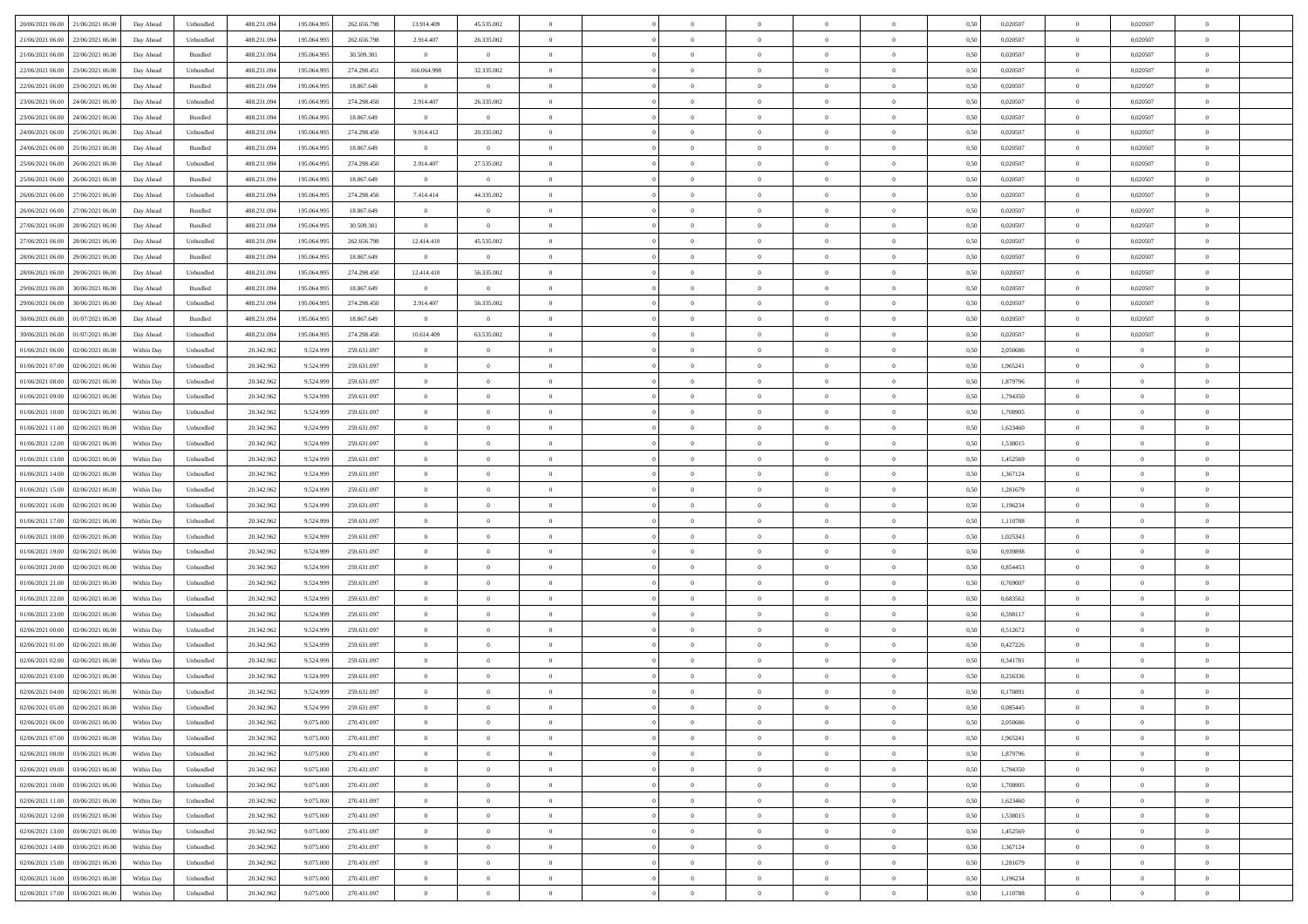| 20/06/2021 06:00 21/06/2021 06:00              | Day Ahead  | Unbundled | 488.231.094 | 195.064.995 | 262.656.798 | 13.914.409     | 45.535.002     |                | $\overline{0}$ | $\bf{0}$       | $\overline{0}$ | $\theta$       | 0,50 | 0,020507 | $\overline{0}$ | 0,020507       | $\bf{0}$       |  |
|------------------------------------------------|------------|-----------|-------------|-------------|-------------|----------------|----------------|----------------|----------------|----------------|----------------|----------------|------|----------|----------------|----------------|----------------|--|
|                                                |            |           |             |             |             |                |                |                |                |                |                |                |      |          |                |                |                |  |
| 21/06/2021 06:00<br>22/06/2021 06.00           | Day Ahead  | Unbundled | 488.231.09  | 195.064.99  | 262.656.798 | 2.914.407      | 26.335.002     | $\overline{0}$ | $\overline{0}$ | $\,$ 0         | $\overline{0}$ | $\bf{0}$       | 0,50 | 0,020507 | $\bf{0}$       | 0,020507       | $\,$ 0         |  |
| 21/06/2021 06:00<br>22/06/2021 06:00           | Day Ahead  | Bundled   | 488.231.094 | 195,064,995 | 30,509,301  | $\overline{0}$ | $\overline{0}$ | $\overline{0}$ | $\overline{0}$ | $\bf{0}$       | $\overline{0}$ | $\overline{0}$ | 0.50 | 0.020507 | $\overline{0}$ | 0.020507       | $\bf{0}$       |  |
| 22/06/2021 06:00<br>23/06/2021 06:00           | Day Ahead  | Unbundled | 488.231.09  | 195.064.995 | 274.298.451 | 166.064.998    | 32.335.002     | $\overline{0}$ | $\overline{0}$ | $\bf{0}$       | $\overline{0}$ | $\theta$       | 0,50 | 0,020507 | $\,$ 0 $\,$    | 0,020507       | $\overline{0}$ |  |
| 22/06/2021 06:00<br>23/06/2021 06.00           | Day Ahead  | Bundled   | 488.231.09  | 195.064.99  | 18.867.648  | $\overline{0}$ | $\overline{0}$ | $\overline{0}$ |                | $\bf{0}$       | $\overline{0}$ | $\bf{0}$       | 0,50 | 0,020507 | $\bf{0}$       | 0,020507       | $\bf{0}$       |  |
| 23/06/2021 06:00<br>24/06/2021 06:00           | Day Ahead  | Unbundled | 488.231.09  | 195,064.99  | 274.298.450 | 2.914.407      | 26.335.002     | $\overline{0}$ | $\overline{0}$ | $\bf{0}$       | $\overline{0}$ | $\overline{0}$ | 0.50 | 0.020507 | $\bf{0}$       | 0.020507       | $\bf{0}$       |  |
| 23/06/2021 06:00<br>24/06/2021 06:00           | Day Ahead  | Bundled   | 488.231.09  | 195.064.995 | 18.867.649  | $\overline{0}$ | $\overline{0}$ | $\overline{0}$ | $\overline{0}$ | $\,$ 0         | $\overline{0}$ | $\overline{0}$ | 0,50 | 0,020507 | $\,$ 0 $\,$    | 0,020507       | $\overline{0}$ |  |
| 24/06/2021 06:00<br>25/06/2021 06.00           | Day Ahead  | Unbundled | 488.231.09  | 195.064.99  | 274.298.450 | 9.914.412      | 20.335.002     | $\overline{0}$ |                | $\,$ 0         | $\overline{0}$ | $\bf{0}$       | 0,50 | 0,020507 | $\bf{0}$       | 0,020507       | $\bf{0}$       |  |
| 24/06/2021 06:00<br>25/06/2021 06:00           | Day Ahead  | Bundled   | 488.231.09  | 195,064.99  | 18,867,649  | $\mathbf{0}$   | $\mathbf{0}$   | $\overline{0}$ | $\overline{0}$ | $\bf{0}$       | $\overline{0}$ | $\overline{0}$ | 0.50 | 0.020507 | $\overline{0}$ | 0.020507       | $\bf{0}$       |  |
| 25/06/2021 06:00<br>26/06/2021 06:00           | Day Ahead  | Unbundled | 488.231.094 | 195.064.995 | 274.298.450 | 2.914.407      | 27.535.002     | $\overline{0}$ | $\overline{0}$ | $\bf{0}$       | $\overline{0}$ | $\overline{0}$ | 0,50 | 0,020507 | $\overline{0}$ | 0,020507       | $\overline{0}$ |  |
|                                                |            |           |             |             |             |                |                |                |                |                |                |                |      |          |                |                |                |  |
| 25/06/2021 06:00<br>26/06/2021 06.00           | Day Ahead  | Bundled   | 488.231.09  | 195.064.99  | 18.867.649  | $\overline{0}$ | $\bf{0}$       | $\overline{0}$ | $\overline{0}$ | $\,$ 0         | $\overline{0}$ | $\bf{0}$       | 0,50 | 0,020507 | $\bf{0}$       | 0,020507       | $\,$ 0         |  |
| 26/06/2021 06:00<br>27/06/2021 06:00           | Day Ahead  | Unbundled | 488.231.09  | 195,064,995 | 274.298.450 | 7.414.414      | 44.335.002     | $\overline{0}$ | $\overline{0}$ | $\,$ 0 $\,$    | $\overline{0}$ | $\overline{0}$ | 0.50 | 0.020507 | $\,$ 0 $\,$    | 0.020507       | $\bf{0}$       |  |
| 26/06/2021 06:00<br>27/06/2021 06:00           | Day Ahead  | Bundled   | 488.231.09  | 195.064.995 | 18.867.649  | $\overline{0}$ | $\overline{0}$ | $\overline{0}$ | $\overline{0}$ | $\bf{0}$       | $\overline{0}$ | $\theta$       | 0,50 | 0,020507 | $\,$ 0 $\,$    | 0,020507       | $\overline{0}$ |  |
| 27/06/2021 06:00<br>28/06/2021 06:00           | Day Ahead  | Bundled   | 488.231.09  | 195.064.99  | 30.509.301  | $\bf{0}$       | $\overline{0}$ | $\overline{0}$ |                | $\bf{0}$       | $\overline{0}$ | $\bf{0}$       | 0,50 | 0,020507 | $\bf{0}$       | 0,020507       | $\bf{0}$       |  |
| 27/06/2021 06:00<br>28/06/2021 06:00           | Day Ahead  | Unbundled | 488.231.09  | 195,064,995 | 262.656.798 | 12.414.410     | 45.535.002     | $\overline{0}$ | $\overline{0}$ | $\,$ 0         | $\overline{0}$ | $\overline{0}$ | 0.50 | 0.020507 | $\bf{0}$       | 0.020507       | $\bf{0}$       |  |
| 28/06/2021 06:00<br>29/06/2021 06:00           | Day Ahead  | Bundled   | 488.231.094 | 195.064.995 | 18.867.649  | $\overline{0}$ | $\overline{0}$ | $\overline{0}$ | $\overline{0}$ | $\bf{0}$       | $\overline{0}$ | $\overline{0}$ | 0,50 | 0,020507 | $\,$ 0 $\,$    | 0,020507       | $\overline{0}$ |  |
| 28/06/2021 06:00<br>29/06/2021 06.00           | Day Ahead  | Unbundled | 488.231.09  | 195.064.99  | 274.298.450 | 12.414.410     | 56.335.002     | $\overline{0}$ |                | $\,$ 0         | $\overline{0}$ | $\bf{0}$       | 0,50 | 0,020507 | $\bf{0}$       | 0,020507       | $\overline{0}$ |  |
| 29/06/2021 06:00<br>30/06/2021 06:00           | Day Ahead  | Bundled   | 488.231.09  | 195,064.99  | 18,867,649  | $\mathbf{0}$   | $\mathbf{0}$   | $\overline{0}$ | $\overline{0}$ | $\bf{0}$       | $\overline{0}$ | $\overline{0}$ | 0.50 | 0.020507 | $\overline{0}$ | 0.020507       | $\bf{0}$       |  |
| 29/06/2021 06:00<br>30/06/2021 06:00           | Day Ahead  | Unbundled | 488.231.094 | 195.064.995 | 274.298.450 | 2.914.407      | 56.335.002     | $\overline{0}$ | $\overline{0}$ | $\,$ 0         | $\overline{0}$ | $\overline{0}$ | 0,50 | 0,020507 | $\,$ 0 $\,$    | 0,020507       | $\overline{0}$ |  |
|                                                |            |           |             |             |             |                | $\bf{0}$       |                | $\overline{0}$ | $\,$ 0         |                |                |      |          | $\bf{0}$       |                | $\bf{0}$       |  |
| 30/06/2021 06:00<br>01/07/2021 06:00           | Day Ahead  | Bundled   | 488.231.09  | 195.064.99  | 18.867.649  | $\bf{0}$       |                | $\overline{0}$ |                |                | $\overline{0}$ | $\bf{0}$       | 0,50 | 0,020507 |                | 0,020507       |                |  |
| 30/06/2021 06:00<br>01/07/2021 06:00           | Day Ahead  | Unbundled | 488.231.09  | 195,064,995 | 274.298.450 | 10.614.409     | 63.535.002     | $\overline{0}$ | $\overline{0}$ | $\bf{0}$       | $\overline{0}$ | $\overline{0}$ | 0.50 | 0.020507 | $\overline{0}$ | 0.020507       | $\bf{0}$       |  |
| 01/06/2021 06:00<br>02/06/2021 06:00           | Within Day | Unbundled | 20.342.962  | 9.524.999   | 259.631.097 | $\overline{0}$ | $\overline{0}$ | $\overline{0}$ | $\overline{0}$ | $\bf{0}$       | $\overline{0}$ | $\overline{0}$ | 0,50 | 2,050686 | $\,$ 0 $\,$    | $\overline{0}$ | $\overline{0}$ |  |
| 01/06/2021 07:00<br>02/06/2021 06.00           | Within Day | Unbundled | 20.342.96   | 9.524.999   | 259.631.097 | $\bf{0}$       | $\theta$       | $\overline{0}$ | $\overline{0}$ | $\,$ 0         | $\overline{0}$ | $\bf{0}$       | 0,50 | 1,965241 | $\bf{0}$       | $\overline{0}$ | $\bf{0}$       |  |
| 01/06/2021 08:00<br>02/06/2021 06:00           | Within Day | Unbundled | 20.342.96   | 9.524.999   | 259.631.097 | $\overline{0}$ | $\overline{0}$ | $\overline{0}$ | $\overline{0}$ | $\bf{0}$       | $\overline{0}$ | $\overline{0}$ | 0.50 | 1.879796 | $\bf{0}$       | $\overline{0}$ | $\bf{0}$       |  |
| 01/06/2021 09:00<br>02/06/2021 06.00           | Within Day | Unbundled | 20.342.962  | 9.524.999   | 259.631.097 | $\overline{0}$ | $\overline{0}$ | $\overline{0}$ | $\overline{0}$ | $\bf{0}$       | $\overline{0}$ | $\overline{0}$ | 0,50 | 1,794350 | $\,0\,$        | $\overline{0}$ | $\overline{0}$ |  |
| 01/06/2021 10:00<br>02/06/2021 06.00           | Within Day | Unbundled | 20.342.96   | 9.524.999   | 259.631.097 | $\overline{0}$ | $\theta$       | $\overline{0}$ |                | $\,$ 0         | $\overline{0}$ | $\bf{0}$       | 0,50 | 1,708905 | $\bf{0}$       | $\overline{0}$ | $\,$ 0         |  |
| 01/06/2021 11:00<br>02/06/2021 06:00           | Within Day | Unbundled | 20.342.96   | 9.524.999   | 259.631.097 | $\overline{0}$ | $\overline{0}$ | $\overline{0}$ | $\overline{0}$ | $\bf{0}$       | $\overline{0}$ | $\overline{0}$ | 0.50 | 1.623460 | $\bf{0}$       | $\overline{0}$ | $\bf{0}$       |  |
| 01/06/2021 12:00<br>02/06/2021 06:00           | Within Day | Unbundled | 20.342.962  | 9.524.999   | 259.631.097 | $\overline{0}$ | $\overline{0}$ | $\overline{0}$ | $\overline{0}$ | $\bf{0}$       | $\overline{0}$ | $\overline{0}$ | 0,50 | 1,538015 | $\,0\,$        | $\overline{0}$ | $\overline{0}$ |  |
| 01/06/2021 13:00<br>02/06/2021 06.00           | Within Day | Unbundled | 20.342.96   | 9.524.999   | 259.631.097 | $\bf{0}$       | $\overline{0}$ | $\overline{0}$ | $\overline{0}$ | $\bf{0}$       | $\overline{0}$ | $\bf{0}$       | 0,50 | 1,452569 | $\bf{0}$       | $\overline{0}$ | $\bf{0}$       |  |
| 01/06/2021 14:00<br>02/06/2021 06:00           | Within Day | Unbundled | 20.342.962  | 9.524.999   | 259.631.097 | $\overline{0}$ | $\overline{0}$ | $\overline{0}$ | $\overline{0}$ | $\,$ 0 $\,$    | $\overline{0}$ | $\overline{0}$ | 0.50 | 1.367124 | $\,$ 0 $\,$    | $\overline{0}$ | $\bf{0}$       |  |
|                                                |            |           |             |             |             |                |                |                |                |                |                |                |      |          |                |                |                |  |
| 01/06/2021 15:00<br>02/06/2021 06:00           | Within Day | Unbundled | 20.342.962  | 9.524.999   | 259.631.097 | $\overline{0}$ | $\overline{0}$ | $\Omega$       | $\Omega$       | $\mathbf{0}$   | $\overline{0}$ | $\overline{0}$ | 0.50 | 1,281679 | $\mathbf{0}$   | $\overline{0}$ | $\overline{0}$ |  |
| 01/06/2021 16:00<br>02/06/2021 06.00           | Within Day | Unbundled | 20.342.96   | 9.524.999   | 259.631.097 | $\overline{0}$ | $\theta$       | $\overline{0}$ |                | $\,$ 0         | $\overline{0}$ | $\bf{0}$       | 0,50 | 1,196234 | $\bf{0}$       | $\overline{0}$ | $\,$ 0         |  |
| 01/06/2021 17:00<br>02/06/2021 06:00           | Within Day | Unbundled | 20.342.962  | 9.524.999   | 259.631.097 | $\overline{0}$ | $\overline{0}$ | $\overline{0}$ | $\overline{0}$ | $\,$ 0         | $\overline{0}$ | $\overline{0}$ | 0.50 | 1.110788 | $\bf{0}$       | $\overline{0}$ | $\bf{0}$       |  |
| 01/06/2021 18:00<br>02/06/2021 06:00           | Within Day | Unbundled | 20.342.962  | 9.524.999   | 259.631.097 | $\overline{0}$ | $\overline{0}$ | $\Omega$       | $\Omega$       | $\mathbf{0}$   | $\overline{0}$ | $\overline{0}$ | 0.50 | 1,025343 | $\mathbf{0}$   | $\overline{0}$ | $\overline{0}$ |  |
| 01/06/2021 19:00<br>02/06/2021 06.00           | Within Day | Unbundled | 20.342.96   | 9.524.999   | 259.631.097 | $\overline{0}$ | $\theta$       | $\overline{0}$ |                | $\,$ 0         | $\overline{0}$ | $\bf{0}$       | 0,50 | 0,939898 | $\bf{0}$       | $\overline{0}$ | $\bf{0}$       |  |
| 01/06/2021 20:00<br>02/06/2021 06:00           | Within Day | Unbundled | 20.342.96   | 9.524.999   | 259.631.097 | $\overline{0}$ | $\overline{0}$ | $\overline{0}$ | $\overline{0}$ | $\bf{0}$       | $\overline{0}$ | $\overline{0}$ | 0.50 | 0.854453 | $\bf{0}$       | $\overline{0}$ | $\bf{0}$       |  |
| 01/06/2021 21:00<br>02/06/2021 06:00           | Within Day | Unbundled | 20.342.962  | 9.524.999   | 259.631.097 | $\overline{0}$ | $\overline{0}$ | $\overline{0}$ | $\Omega$       | $\overline{0}$ | $\overline{0}$ | $\overline{0}$ | 0.50 | 0,769007 | $\mathbf{0}$   | $\overline{0}$ | $\overline{0}$ |  |
| 01/06/2021 22:00<br>02/06/2021 06.00           | Within Day | Unbundled | 20.342.96   | 9.524.999   | 259.631.097 | $\bf{0}$       | $\overline{0}$ | $\overline{0}$ | $\overline{0}$ | $\bf{0}$       | $\overline{0}$ | $\bf{0}$       | 0,50 | 0,683562 | $\bf{0}$       | $\overline{0}$ | $\bf{0}$       |  |
| 01/06/2021 23:00<br>02/06/2021 06:00           | Within Day | Unbundled | 20.342.962  | 9.524.999   | 259.631.097 | $\overline{0}$ | $\overline{0}$ | $\overline{0}$ | $\overline{0}$ | $\bf{0}$       | $\overline{0}$ | $\overline{0}$ | 0.50 | 0.598117 | $\overline{0}$ | $\overline{0}$ | $\bf{0}$       |  |
| 02/06/2021 00:00<br>02/06/2021 06:00           | Within Day | Unbundled | 20.342.962  | 9.524.999   | 259.631.097 | $\overline{0}$ | $\overline{0}$ | $\Omega$       | $\Omega$       | $\mathbf{0}$   | $\overline{0}$ | $\overline{0}$ | 0.50 | 0,512672 | $\mathbf{0}$   | $\overline{0}$ | $\overline{0}$ |  |
| 02/06/2021 06.00                               | Within Day | Unbundled | 20.342.96   | 9.524.999   | 259.631.097 | $\overline{0}$ | $\overline{0}$ | $\overline{0}$ | $\overline{0}$ | $\,$ 0         | $\overline{0}$ | $\bf{0}$       | 0,50 | 0,427226 | $\bf{0}$       | $\overline{0}$ | $\bf{0}$       |  |
| 02/06/2021 01:00                               |            |           |             |             |             |                |                |                |                |                |                |                |      |          |                |                |                |  |
| 02/06/2021 02:00<br>02/06/2021 06.00           | Within Day | Unbundled | 20.342.962  | 9.524.999   | 259.631.097 | $\overline{0}$ | $\theta$       | $\overline{0}$ | $\overline{0}$ | $\bf{0}$       | $\overline{0}$ | $\overline{0}$ | 0.50 | 0,341781 | $\bf{0}$       | $\overline{0}$ | $\bf{0}$       |  |
| 02/06/2021 03:00<br>02/06/2021 06:00           | Within Day | Unbundled | 20.342.962  | 9.524.999   | 259.631.097 | $\overline{0}$ | $\Omega$       | $\Omega$       | $\Omega$       | $\bf{0}$       | $\overline{0}$ | $\Omega$       | 0.50 | 0,256336 | $\mathbf{0}$   | $\overline{0}$ | $\overline{0}$ |  |
| 02/06/2021 04:00<br>02/06/2021 06:00           | Within Day | Unbundled | 20.342.96   | 9.524.999   | 259.631.097 | $\bf{0}$       | $\,$ 0 $\,$    | $\overline{0}$ | $\overline{0}$ | $\,$ 0         | $\overline{0}$ | $\bf{0}$       | 0,50 | 0,170891 | $\bf{0}$       | $\overline{0}$ | $\,$ 0         |  |
| $02/06/2021\; 05.00 \qquad 02/06/2021\; 06.00$ | Within Day | Unbundled | 20.342.962  | 9.524.999   | 259.631.097 | $\bf{0}$       | $\theta$       |                |                |                |                |                | 0,50 | 0.085445 | $\theta$       | $\Omega$       |                |  |
| 02/06/2021 06:00 03/06/2021 06:00              | Within Day | Unbundled | 20.342.962  | 9.075.000   | 270.431.097 | $\theta$       | $\overline{0}$ | $\Omega$       | $\Omega$       | $\mathbf{0}$   | $\overline{0}$ | $\mathbf{0}$   | 0,50 | 2,050686 | $\mathbf{0}$   | $\overline{0}$ | $\bf{0}$       |  |
| 02/06/2021 07:00<br>03/06/2021 06:00           | Within Day | Unbundled | 20.342.96   | 9.075.000   | 270.431.097 | $\bf{0}$       | $\overline{0}$ | $\overline{0}$ | $\bf{0}$       | $\overline{0}$ | $\overline{0}$ | $\mathbf{0}$   | 0,50 | 1,965241 | $\overline{0}$ | $\bf{0}$       | $\bf{0}$       |  |
| 02/06/2021 08:00 03/06/2021 06:00              | Within Day | Unbundled | 20.342.962  | 9.075.000   | 270.431.097 | $\overline{0}$ | $\overline{0}$ | $\overline{0}$ | $\overline{0}$ | $\,$ 0 $\,$    | $\overline{0}$ | $\mathbf{0}$   | 0.50 | 1,879796 | $\overline{0}$ | $\,$ 0 $\,$    | $\bf{0}$       |  |
| 02/06/2021 09:00 03/06/2021 06:00              | Within Day | Unbundled | 20.342.962  | 9.075.000   | 270.431.097 | $\overline{0}$ | $\overline{0}$ | $\overline{0}$ | $\overline{0}$ | $\mathbf{0}$   | $\overline{0}$ | $\overline{0}$ | 0,50 | 1,794350 | $\theta$       | $\overline{0}$ | $\bf{0}$       |  |
| 02/06/2021 10:00<br>03/06/2021 06:00           | Within Day | Unbundled | 20.342.962  | 9.075.000   | 270.431.097 | $\overline{0}$ | $\overline{0}$ | $\overline{0}$ | $\overline{0}$ | $\bf{0}$       | $\overline{0}$ | $\bf{0}$       | 0,50 | 1,708905 | $\,$ 0 $\,$    | $\overline{0}$ | $\bf{0}$       |  |
| 02/06/2021 11:00 03/06/2021 06:00              | Within Day | Unbundled | 20.342.962  | 9.075.000   | 270.431.097 | $\overline{0}$ | $\overline{0}$ | $\overline{0}$ | $\overline{0}$ | $\bf{0}$       | $\overline{0}$ | $\overline{0}$ | 0.50 | 1.623460 | $\overline{0}$ | $\overline{0}$ | $\bf{0}$       |  |
| 02/06/2021 12:00<br>03/06/2021 06:00           | Within Dav | Unbundled | 20.342.962  | 9.075.000   | 270.431.097 | $\overline{0}$ | $\overline{0}$ | $\overline{0}$ | $\overline{0}$ | $\overline{0}$ | $\overline{0}$ | $\overline{0}$ | 0,50 | 1,538015 | $\overline{0}$ | $\overline{0}$ | $\bf{0}$       |  |
|                                                |            |           |             |             |             |                |                |                |                |                |                |                |      |          |                |                |                |  |
| 02/06/2021 13:00<br>03/06/2021 06:00           | Within Day | Unbundled | 20.342.96   | 9.075.000   | 270.431.097 | $\overline{0}$ | $\,$ 0         | $\overline{0}$ | $\overline{0}$ | $\,$ 0 $\,$    | $\overline{0}$ | $\bf{0}$       | 0,50 | 1,452569 | $\overline{0}$ | $\,$ 0 $\,$    | $\bf{0}$       |  |
| 02/06/2021 14:00 03/06/2021 06:00              | Within Day | Unbundled | 20.342.962  | 9.075.000   | 270.431.097 | $\overline{0}$ | $\bf{0}$       | $\overline{0}$ | $\overline{0}$ | $\,$ 0 $\,$    | $\overline{0}$ | $\overline{0}$ | 0.50 | 1.367124 | $\overline{0}$ | $\overline{0}$ | $\bf{0}$       |  |
| 02/06/2021 15:00 03/06/2021 06:00              | Within Dav | Unbundled | 20.342.962  | 9.075.000   | 270.431.097 | $\overline{0}$ | $\overline{0}$ | $\overline{0}$ | $\overline{0}$ | $\overline{0}$ | $\overline{0}$ | $\overline{0}$ | 0,50 | 1,281679 | $\overline{0}$ | $\overline{0}$ | $\bf{0}$       |  |
| 02/06/2021 16:00<br>03/06/2021 06:00           | Within Day | Unbundled | 20.342.96   | 9.075.000   | 270.431.097 | $\overline{0}$ | $\overline{0}$ | $\overline{0}$ | $\overline{0}$ | $\bf{0}$       | $\overline{0}$ | $\bf{0}$       | 0,50 | 1,196234 | $\overline{0}$ | $\overline{0}$ | $\bf{0}$       |  |
| 02/06/2021 17:00 03/06/2021 06:00              | Within Day | Unbundled | 20.342.962  | 9.075.000   | 270.431.097 | $\overline{0}$ | $\bf{0}$       | $\overline{0}$ | $\overline{0}$ | $\,$ 0 $\,$    | $\overline{0}$ | $\overline{0}$ | 0,50 | 1,110788 | $\,$ 0 $\,$    | $\,$ 0 $\,$    | $\bf{0}$       |  |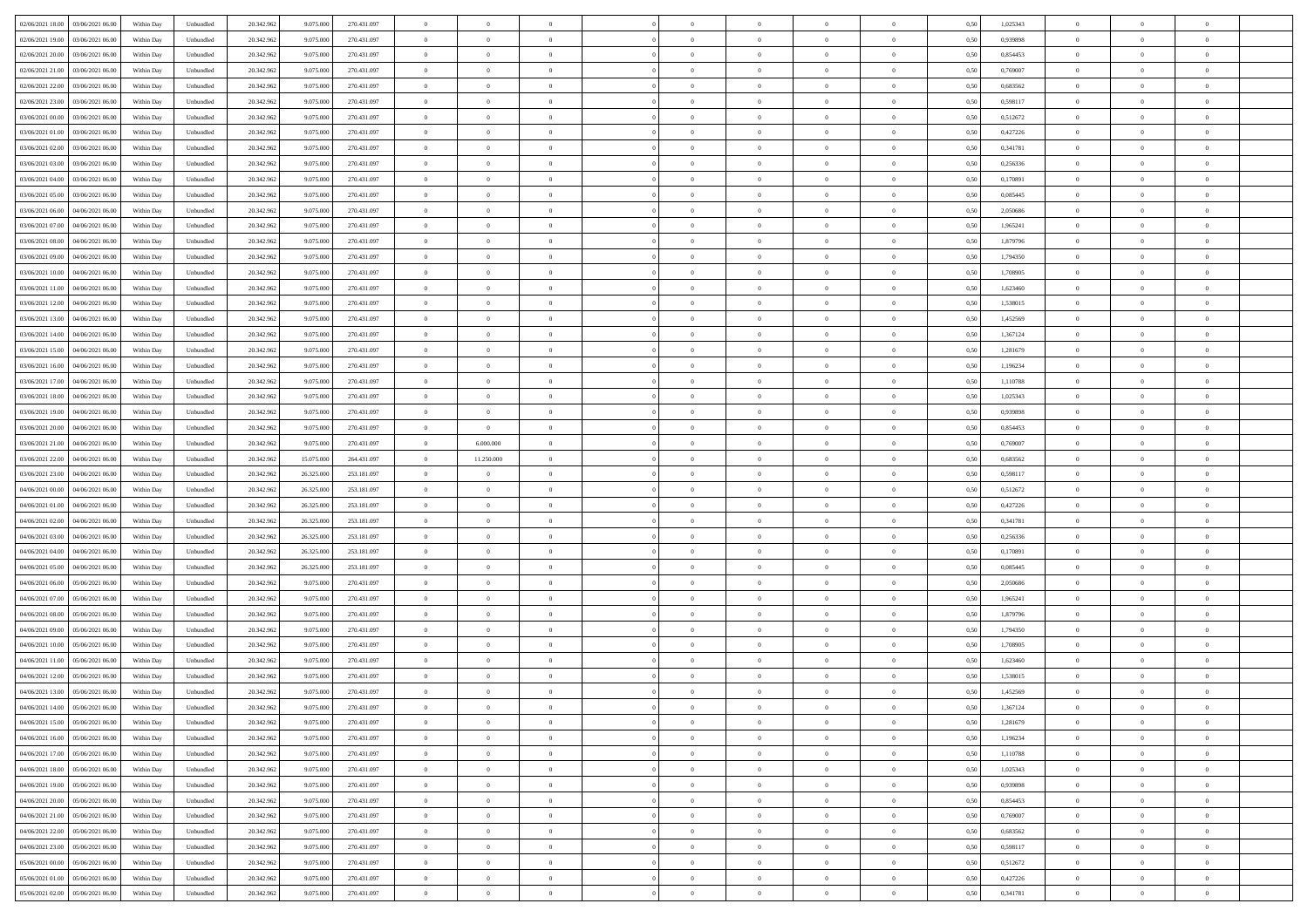| 02/06/2021 18:00<br>03/06/2021 06:00 | Within Day | Unbundled | 20.342.962 | 9.075.000  | 270.431.097 | $\overline{0}$ | $\overline{0}$ | $\overline{0}$ | $\theta$       | $\theta$       |                | $\overline{0}$ | 0,50 | 1,025343 | $\theta$       | $\theta$       | $\theta$       |  |
|--------------------------------------|------------|-----------|------------|------------|-------------|----------------|----------------|----------------|----------------|----------------|----------------|----------------|------|----------|----------------|----------------|----------------|--|
|                                      |            |           |            |            |             |                |                |                |                |                |                |                |      |          |                |                |                |  |
| 02/06/2021 19:00<br>03/06/2021 06.0  | Within Day | Unbundled | 20.342.96  | 9.075.000  | 270.431.097 | $\overline{0}$ | $\overline{0}$ | $\overline{0}$ | $\,$ 0 $\,$    | $\bf{0}$       | $\overline{0}$ | $\bf{0}$       | 0,50 | 0,939898 | $\,$ 0 $\,$    | $\theta$       | $\overline{0}$ |  |
| 02/06/2021 20.00<br>03/06/2021 06:00 | Within Day | Unbundled | 20.342.962 | 9.075.000  | 270.431.097 | $\overline{0}$ | $\overline{0}$ | $\overline{0}$ | $\bf{0}$       | $\bf{0}$       | $\overline{0}$ | $\mathbf{0}$   | 0.50 | 0.854453 | $\bf{0}$       | $\overline{0}$ | $\overline{0}$ |  |
| 02/06/2021 21.00<br>03/06/2021 06.00 | Within Day | Unbundled | 20.342.962 | 9.075.000  | 270.431.097 | $\overline{0}$ | $\overline{0}$ | $\overline{0}$ | $\overline{0}$ | $\overline{0}$ | $\overline{0}$ | $\bf{0}$       | 0,50 | 0,769007 | $\theta$       | $\theta$       | $\overline{0}$ |  |
| 02/06/2021 22.00<br>03/06/2021 06.0  | Within Day | Unbundled | 20.342.962 | 9.075.000  | 270.431.097 | $\overline{0}$ | $\overline{0}$ | $\bf{0}$       | $\bf{0}$       | $\overline{0}$ | $\overline{0}$ | $\bf{0}$       | 0,50 | 0,683562 | $\,$ 0 $\,$    | $\theta$       | $\overline{0}$ |  |
|                                      |            |           |            |            |             |                |                |                |                |                |                |                |      |          |                |                |                |  |
| 02/06/2021 23:00<br>03/06/2021 06:00 | Within Day | Unbundled | 20.342.962 | 9.075.000  | 270.431.097 | $\overline{0}$ | $\overline{0}$ | $\overline{0}$ | $\overline{0}$ | $\overline{0}$ | $\overline{0}$ | $\mathbf{0}$   | 0.50 | 0.598117 | $\bf{0}$       | $\theta$       | $\overline{0}$ |  |
| 03/06/2021 00:00<br>03/06/2021 06.00 | Within Day | Unbundled | 20.342.962 | 9.075.000  | 270.431.097 | $\overline{0}$ | $\overline{0}$ | $\overline{0}$ | $\overline{0}$ | $\overline{0}$ | $\overline{0}$ | $\bf{0}$       | 0,50 | 0,512672 | $\theta$       | $\theta$       | $\overline{0}$ |  |
| 03/06/2021 01.00<br>03/06/2021 06.00 | Within Day | Unbundled | 20.342.962 | 9.075.000  | 270.431.097 | $\overline{0}$ | $\overline{0}$ | $\overline{0}$ | $\bf{0}$       | $\overline{0}$ | $\overline{0}$ | $\bf{0}$       | 0,50 | 0,427226 | $\,$ 0 $\,$    | $\bf{0}$       | $\overline{0}$ |  |
| 03/06/2021 02.00<br>03/06/2021 06:00 | Within Day | Unbundled | 20.342.962 | 9.075.000  | 270.431.097 | $\overline{0}$ | $\overline{0}$ | $\overline{0}$ | $\overline{0}$ | $\overline{0}$ | $\overline{0}$ | $\mathbf{0}$   | 0.50 | 0.341781 | $\,$ 0 $\,$    | $\theta$       | $\overline{0}$ |  |
| 03/06/2021 03:00<br>03/06/2021 06:00 | Within Day | Unbundled | 20.342.962 | 9.075.000  | 270.431.097 | $\overline{0}$ | $\overline{0}$ | $\overline{0}$ | $\bf{0}$       | $\overline{0}$ | $\overline{0}$ | $\bf{0}$       | 0,50 | 0,256336 | $\,$ 0 $\,$    | $\theta$       | $\overline{0}$ |  |
|                                      |            |           |            |            |             |                | $\overline{0}$ | $\bf{0}$       |                |                | $\overline{0}$ | $\bf{0}$       |      |          | $\,$ 0 $\,$    | $\theta$       | $\overline{0}$ |  |
| 03/06/2021 04.00<br>03/06/2021 06.0  | Within Day | Unbundled | 20.342.962 | 9.075.000  | 270.431.097 | $\overline{0}$ |                |                | $\bf{0}$       | $\bf{0}$       |                |                | 0,50 | 0,170891 |                |                |                |  |
| 03/06/2021 05:00<br>03/06/2021 06:00 | Within Day | Unbundled | 20.342.962 | 9.075.000  | 270.431.097 | $\overline{0}$ | $\overline{0}$ | $\overline{0}$ | $\bf{0}$       | $\bf{0}$       | $\overline{0}$ | $\mathbf{0}$   | 0.50 | 0.085445 | $\bf{0}$       | $\overline{0}$ | $\bf{0}$       |  |
| 03/06/2021 06.00<br>04/06/2021 06:00 | Within Day | Unbundled | 20.342.962 | 9.075.000  | 270.431.097 | $\overline{0}$ | $\overline{0}$ | $\overline{0}$ | $\overline{0}$ | $\overline{0}$ | $\overline{0}$ | $\bf{0}$       | 0,50 | 2,050686 | $\theta$       | $\theta$       | $\overline{0}$ |  |
| 03/06/2021 07.00<br>04/06/2021 06.0  | Within Day | Unbundled | 20.342.962 | 9.075.000  | 270.431.097 | $\overline{0}$ | $\overline{0}$ | $\overline{0}$ | $\bf{0}$       | $\overline{0}$ | $\overline{0}$ | $\bf{0}$       | 0,50 | 1,965241 | $\,$ 0 $\,$    | $\bf{0}$       | $\overline{0}$ |  |
| 03/06/2021 08:00<br>04/06/2021 06:00 | Within Day | Unbundled | 20.342.962 | 9.075.000  | 270.431.097 | $\overline{0}$ | $\overline{0}$ | $\overline{0}$ | $\overline{0}$ | $\overline{0}$ | $\overline{0}$ | $\mathbf{0}$   | 0.50 | 1.879796 | $\,$ 0 $\,$    | $\theta$       | $\overline{0}$ |  |
| 03/06/2021 09:00<br>04/06/2021 06.00 | Within Day | Unbundled | 20.342.962 | 9.075.000  | 270.431.097 | $\overline{0}$ | $\overline{0}$ | $\overline{0}$ | $\overline{0}$ | $\overline{0}$ | $\overline{0}$ | $\bf{0}$       | 0,50 | 1,794350 | $\theta$       | $\theta$       | $\overline{0}$ |  |
|                                      |            |           |            |            |             |                |                |                |                |                |                |                |      |          |                |                |                |  |
| 03/06/2021 10.00<br>04/06/2021 06.0  | Within Day | Unbundled | 20.342.962 | 9.075.000  | 270.431.097 | $\overline{0}$ | $\overline{0}$ | $\overline{0}$ | $\bf{0}$       | $\overline{0}$ | $\overline{0}$ | $\bf{0}$       | 0,50 | 1,708905 | $\,$ 0 $\,$    | $\theta$       | $\overline{0}$ |  |
| 03/06/2021 11:00<br>04/06/2021 06:00 | Within Day | Unbundled | 20.342.962 | 9.075.000  | 270.431.097 | $\overline{0}$ | $\overline{0}$ | $\overline{0}$ | $\overline{0}$ | $\overline{0}$ | $\overline{0}$ | $\mathbf{0}$   | 0.50 | 1.623460 | $\,$ 0 $\,$    | $\overline{0}$ | $\overline{0}$ |  |
| 03/06/2021 12:00<br>04/06/2021 06.00 | Within Day | Unbundled | 20.342.962 | 9.075.000  | 270.431.097 | $\overline{0}$ | $\overline{0}$ | $\overline{0}$ | $\overline{0}$ | $\overline{0}$ | $\overline{0}$ | $\bf{0}$       | 0,50 | 1,538015 | $\,$ 0 $\,$    | $\theta$       | $\overline{0}$ |  |
| 03/06/2021 13.00<br>04/06/2021 06.0  | Within Day | Unbundled | 20.342.962 | 9.075.000  | 270.431.097 | $\overline{0}$ | $\overline{0}$ | $\overline{0}$ | $\bf{0}$       | $\bf{0}$       | $\overline{0}$ | $\bf{0}$       | 0,50 | 1,452569 | $\,$ 0 $\,$    | $\bf{0}$       | $\overline{0}$ |  |
| 03/06/2021 14:00<br>04/06/2021 06:00 | Within Day | Unbundled | 20.342.962 | 9.075.000  | 270.431.097 | $\overline{0}$ | $\overline{0}$ | $\overline{0}$ | $\bf{0}$       | $\bf{0}$       | $\overline{0}$ | $\mathbf{0}$   | 0.50 | 1.367124 | $\bf{0}$       | $\overline{0}$ | $\overline{0}$ |  |
| 03/06/2021 15:00<br>04/06/2021 06:00 | Within Day | Unbundled | 20.342.962 | 9.075.000  | 270.431.097 | $\overline{0}$ | $\overline{0}$ | $\overline{0}$ | $\overline{0}$ | $\overline{0}$ | $\overline{0}$ | $\,$ 0 $\,$    | 0,50 | 1,281679 | $\theta$       | $\theta$       | $\overline{0}$ |  |
|                                      |            |           |            |            |             |                |                |                |                |                |                |                |      |          |                |                |                |  |
| 03/06/2021 16.00<br>04/06/2021 06.0  | Within Day | Unbundled | 20.342.962 | 9.075.000  | 270.431.097 | $\overline{0}$ | $\overline{0}$ | $\bf{0}$       | $\bf{0}$       | $\overline{0}$ | $\overline{0}$ | $\bf{0}$       | 0,50 | 1,196234 | $\,$ 0 $\,$    | $\bf{0}$       | $\overline{0}$ |  |
| 03/06/2021 17.00<br>04/06/2021 06:00 | Within Day | Unbundled | 20.342.962 | 9.075.000  | 270.431.097 | $\overline{0}$ | $\overline{0}$ | $\overline{0}$ | $\overline{0}$ | $\overline{0}$ | $\overline{0}$ | $\mathbf{0}$   | 0.50 | 1.110788 | $\bf{0}$       | $\theta$       | $\overline{0}$ |  |
| 03/06/2021 18:00<br>04/06/2021 06.00 | Within Day | Unbundled | 20.342.962 | 9.075.000  | 270.431.097 | $\overline{0}$ | $\overline{0}$ | $\overline{0}$ | $\overline{0}$ | $\overline{0}$ | $\overline{0}$ | $\bf{0}$       | 0,50 | 1,025343 | $\theta$       | $\theta$       | $\overline{0}$ |  |
| 03/06/2021 19.00<br>04/06/2021 06.0  | Within Day | Unbundled | 20.342.962 | 9.075.000  | 270.431.097 | $\overline{0}$ | $\overline{0}$ | $\overline{0}$ | $\overline{0}$ | $\overline{0}$ | $\overline{0}$ | $\bf{0}$       | 0,50 | 0,939898 | $\,$ 0 $\,$    | $\theta$       | $\overline{0}$ |  |
| 03/06/2021 20:00<br>04/06/2021 06:00 | Within Day | Unbundled | 20.342.962 | 9.075.000  | 270.431.097 | $\overline{0}$ | $\overline{0}$ | $\overline{0}$ | $\overline{0}$ | $\bf{0}$       | $\overline{0}$ | $\mathbf{0}$   | 0.50 | 0.854453 | $\,$ 0 $\,$    | $\theta$       | $\overline{0}$ |  |
| 03/06/2021 21.00<br>04/06/2021 06:00 | Within Day | Unbundled | 20.342.962 | 9.075.000  | 270.431.097 | $\overline{0}$ | 6.000.000      | $\overline{0}$ | $\overline{0}$ | $\overline{0}$ | $\overline{0}$ | $\bf{0}$       | 0,50 | 0,769007 | $\theta$       | $\theta$       | $\overline{0}$ |  |
|                                      |            |           |            |            |             |                |                |                |                |                |                |                |      |          |                |                |                |  |
| 03/06/2021 22.00<br>04/06/2021 06.0  | Within Day | Unbundled | 20.342.96  | 15.075.000 | 264.431.097 | $\overline{0}$ | 11.250.000     | $\overline{0}$ | $\overline{0}$ | $\bf{0}$       | $\overline{0}$ | $\bf{0}$       | 0,50 | 0,683562 | $\,$ 0 $\,$    | $\bf{0}$       | $\overline{0}$ |  |
| 03/06/2021 23.00<br>04/06/2021 06:00 | Within Day | Unbundled | 20.342.962 | 26.325.000 | 253.181.097 | $\overline{0}$ | $\overline{0}$ | $\overline{0}$ | $\bf{0}$       | $\bf{0}$       | $\overline{0}$ | $\mathbf{0}$   | 0.50 | 0.598117 | $\bf{0}$       | $\overline{0}$ | $\overline{0}$ |  |
| 04/06/2021 00:00<br>04/06/2021 06:00 | Within Day | Unbundled | 20.342.962 | 26.325.000 | 253.181.097 | $\overline{0}$ | $\overline{0}$ | $\overline{0}$ | $\overline{0}$ | $\overline{0}$ | $\overline{0}$ | $\overline{0}$ | 0.50 | 0,512672 | $\theta$       | $\theta$       | $\overline{0}$ |  |
| 04/06/2021 01.00<br>04/06/2021 06.0  | Within Day | Unbundled | 20.342.96  | 26.325.000 | 253.181.097 | $\overline{0}$ | $\overline{0}$ | $\overline{0}$ | $\bf{0}$       | $\overline{0}$ | $\overline{0}$ | $\bf{0}$       | 0,50 | 0,427226 | $\,$ 0 $\,$    | $\bf{0}$       | $\overline{0}$ |  |
| 04/06/2021 02.00<br>04/06/2021 06:00 | Within Day | Unbundled | 20.342.962 | 26,325,000 | 253.181.097 | $\overline{0}$ | $\overline{0}$ | $\overline{0}$ | $\overline{0}$ | $\overline{0}$ | $\overline{0}$ | $\mathbf{0}$   | 0.50 | 0.341781 | $\,$ 0 $\,$    | $\theta$       | $\overline{0}$ |  |
| 04/06/2021 03:00<br>04/06/2021 06:00 | Within Day | Unbundled | 20.342.962 | 26.325.000 | 253.181.097 | $\overline{0}$ | $\overline{0}$ | $\overline{0}$ | $\overline{0}$ | $\overline{0}$ | $\Omega$       | $\overline{0}$ | 0.50 | 0,256336 | $\theta$       | $\theta$       | $\overline{0}$ |  |
|                                      |            |           |            |            |             |                |                |                |                |                |                |                |      |          |                |                |                |  |
| 04/06/2021 04:00<br>04/06/2021 06.0  | Within Day | Unbundled | 20.342.96  | 26.325.000 | 253.181.097 | $\overline{0}$ | $\overline{0}$ | $\overline{0}$ | $\bf{0}$       | $\overline{0}$ | $\overline{0}$ | $\bf{0}$       | 0,50 | 0,170891 | $\,$ 0 $\,$    | $\theta$       | $\overline{0}$ |  |
| 04/06/2021 05:00<br>04/06/2021 06:00 | Within Day | Unbundled | 20.342.962 | 26,325,000 | 253.181.097 | $\overline{0}$ | $\overline{0}$ | $\overline{0}$ | $\overline{0}$ | $\bf{0}$       | $\overline{0}$ | $\mathbf{0}$   | 0.50 | 0.085445 | $\,$ 0 $\,$    | $\theta$       | $\overline{0}$ |  |
| 04/06/2021 06:00<br>05/06/2021 06:00 | Within Day | Unbundled | 20.342.962 | 9.075.000  | 270.431.097 | $\overline{0}$ | $\overline{0}$ | $\overline{0}$ | $\overline{0}$ | $\overline{0}$ | $\overline{0}$ | $\overline{0}$ | 0.50 | 2.050686 | $\theta$       | $\theta$       | $\overline{0}$ |  |
| 04/06/2021 07.00<br>05/06/2021 06.0  | Within Day | Unbundled | 20.342.96  | 9.075.000  | 270.431.097 | $\overline{0}$ | $\overline{0}$ | $\overline{0}$ | $\,$ 0 $\,$    | $\bf{0}$       | $\overline{0}$ | $\bf{0}$       | 0,50 | 1,965241 | $\,$ 0 $\,$    | $\bf{0}$       | $\overline{0}$ |  |
| 04/06/2021 08.00<br>05/06/2021 06:00 | Within Day | Unbundled | 20.342.962 | 9.075.000  | 270.431.097 | $\overline{0}$ | $\overline{0}$ | $\overline{0}$ | $\bf{0}$       | $\bf{0}$       | $\overline{0}$ | $\mathbf{0}$   | 0.50 | 1.879796 | $\bf{0}$       | $\overline{0}$ | $\overline{0}$ |  |
| 04/06/2021 09:00<br>05/06/2021 06:00 | Within Day | Unbundled | 20.342.962 | 9.075.000  | 270.431.097 | $\overline{0}$ | $\overline{0}$ | $\overline{0}$ | $\overline{0}$ | $\overline{0}$ | $\overline{0}$ | $\overline{0}$ | 0.50 | 1,794350 | $\theta$       | $\theta$       | $\overline{0}$ |  |
|                                      |            |           |            |            |             |                |                |                |                |                |                |                |      |          |                |                |                |  |
| 04/06/2021 10.00<br>05/06/2021 06.0  | Within Day | Unbundled | 20.342.962 | 9.075.000  | 270.431.097 | $\overline{0}$ | $\overline{0}$ | $\overline{0}$ | $\bf{0}$       | $\bf{0}$       | $\overline{0}$ | $\bf{0}$       | 0,50 | 1,708905 | $\,$ 0 $\,$    | $\bf{0}$       | $\overline{0}$ |  |
| 04/06/2021 11:00<br>05/06/2021 06.00 | Within Day | Unbundled | 20.342.962 | 9.075.000  | 270.431.097 | $\overline{0}$ | $\overline{0}$ | $\overline{0}$ | $\overline{0}$ | $\overline{0}$ | $\Omega$       | $\overline{0}$ | 0.50 | 1.623460 | $\,$ 0 $\,$    | $\theta$       | $\overline{0}$ |  |
| 04/06/2021 12:00<br>05/06/2021 06:00 | Within Day | Unbundled | 20.342.962 | 9.075.000  | 270.431.097 | $\overline{0}$ | $\overline{0}$ | $\overline{0}$ | $\overline{0}$ | $\overline{0}$ | $\theta$       | $\overline{0}$ | 0.50 | 1,538015 | $\theta$       | $\theta$       | $\overline{0}$ |  |
| 04/06/2021 13:00<br>05/06/2021 06.00 | Within Day | Unbundled | 20.342.962 | 9.075.000  | 270.431.097 | $\overline{0}$ | $\overline{0}$ | $\bf{0}$       | $\overline{0}$ | $\bf{0}$       | $\overline{0}$ | $\bf{0}$       | 0,50 | 1,452569 | $\,$ 0 $\,$    | $\bf{0}$       | $\overline{0}$ |  |
| 04/06/2021 14:00  05/06/2021 06:00   | Within Day | Unbundled | 20.342.962 | 9.075.000  | 270.431.097 | $\bf{0}$       | $\,$ 0 $\,$    |                | $\bf{0}$       |                |                |                | 0,50 | 1,367124 | $\theta$       | $\overline{0}$ |                |  |
| 04/06/2021 15:00  05/06/2021 06:00   | Within Dav | Unbundled | 20.342.962 | 9.075.000  | 270.431.097 | $\overline{0}$ | $\overline{0}$ | $\overline{0}$ | $\overline{0}$ | $\overline{0}$ | $\overline{0}$ | $\overline{0}$ | 0,50 | 1,281679 | $\theta$       | $\theta$       | $\overline{0}$ |  |
|                                      |            |           |            |            |             |                |                |                |                |                |                |                |      |          |                |                |                |  |
| 04/06/2021 16:00<br>05/06/2021 06.0  | Within Day | Unbundled | 20.342.962 | 9.075.000  | 270.431.097 | $\overline{0}$ | $\overline{0}$ | $\overline{0}$ | $\bf{0}$       | $\overline{0}$ | $\overline{0}$ | $\mathbf{0}$   | 0,50 | 1,196234 | $\bf{0}$       | $\overline{0}$ | $\bf{0}$       |  |
| 04/06/2021 17:00<br>05/06/2021 06:00 | Within Day | Unbundled | 20.342.962 | 9.075.000  | 270.431.097 | $\overline{0}$ | $\overline{0}$ | $\overline{0}$ | $\bf{0}$       | $\bf{0}$       | $\overline{0}$ | $\mathbf{0}$   | 0.50 | 1.110788 | $\overline{0}$ | $\bf{0}$       | $\,$ 0 $\,$    |  |
| 04/06/2021 18:00<br>05/06/2021 06:00 | Within Dav | Unbundled | 20.342.962 | 9.075.000  | 270.431.097 | $\overline{0}$ | $\overline{0}$ | $\overline{0}$ | $\overline{0}$ | $\overline{0}$ | $\overline{0}$ | $\mathbf{0}$   | 0,50 | 1,025343 | $\overline{0}$ | $\theta$       | $\overline{0}$ |  |
| 04/06/2021 19:00<br>05/06/2021 06.00 | Within Day | Unbundled | 20.342.962 | 9.075.000  | 270.431.097 | $\overline{0}$ | $\overline{0}$ | $\overline{0}$ | $\overline{0}$ | $\bf{0}$       | $\overline{0}$ | $\mathbf{0}$   | 0,50 | 0,939898 | $\overline{0}$ | $\bf{0}$       | $\overline{0}$ |  |
| 04/06/2021 20.00<br>05/06/2021 06:00 | Within Day | Unbundled | 20.342.962 | 9.075.000  | 270.431.097 | $\overline{0}$ | $\overline{0}$ | $\overline{0}$ | $\bf{0}$       | $\overline{0}$ | $\overline{0}$ | $\mathbf{0}$   | 0.50 | 0.854453 | $\,$ 0 $\,$    | $\theta$       | $\,$ 0         |  |
| 04/06/2021 21:00<br>05/06/2021 06:00 | Within Dav | Unbundled | 20.342.962 | 9.075.000  | 270.431.097 | $\overline{0}$ | $\overline{0}$ | $\overline{0}$ | $\overline{0}$ | $\overline{0}$ | $\overline{0}$ | $\mathbf{0}$   | 0,50 | 0,769007 | $\overline{0}$ | $\theta$       | $\overline{0}$ |  |
| 04/06/2021 22.00<br>05/06/2021 06.00 | Within Day | Unbundled | 20.342.962 | 9.075.000  | 270.431.097 | $\overline{0}$ | $\overline{0}$ | $\overline{0}$ | $\bf{0}$       | $\bf{0}$       | $\overline{0}$ | $\,$ 0 $\,$    | 0,50 | 0,683562 | $\bf{0}$       | $\bf{0}$       | $\overline{0}$ |  |
|                                      |            |           |            |            |             |                |                |                |                |                |                |                |      |          |                |                |                |  |
| 04/06/2021 23:00<br>05/06/2021 06:00 | Within Day | Unbundled | 20.342.962 | 9.075.000  | 270.431.097 | $\overline{0}$ | $\overline{0}$ | $\overline{0}$ | $\bf{0}$       | $\bf{0}$       | $\overline{0}$ | $\,$ 0 $\,$    | 0.50 | 0.598117 | $\overline{0}$ | $\overline{0}$ | $\,$ 0         |  |
| 05/06/2021 00:00<br>05/06/2021 06:00 | Within Dav | Unbundled | 20.342.962 | 9.075.000  | 270.431.097 | $\overline{0}$ | $\overline{0}$ | $\overline{0}$ | $\overline{0}$ | $\overline{0}$ | $\overline{0}$ | $\mathbf{0}$   | 0,50 | 0,512672 | $\overline{0}$ | $\theta$       | $\overline{0}$ |  |
| 05/06/2021 01:00<br>05/06/2021 06.0  | Within Day | Unbundled | 20.342.962 | 9.075.000  | 270.431.097 | $\overline{0}$ | $\overline{0}$ | $\overline{0}$ | $\overline{0}$ | $\bf{0}$       | $\overline{0}$ | $\mathbf{0}$   | 0,50 | 0,427226 | $\bf{0}$       | $\bf{0}$       | $\overline{0}$ |  |
| 05/06/2021 02.00 05/06/2021 06:00    | Within Day | Unbundled | 20.342.962 | 9.075.000  | 270.431.097 | $\overline{0}$ | $\overline{0}$ | $\overline{0}$ | $\bf{0}$       | $\,$ 0         | $\overline{0}$ | $\,0\,$        | 0,50 | 0,341781 | $\overline{0}$ | $\,$ 0 $\,$    | $\,$ 0 $\,$    |  |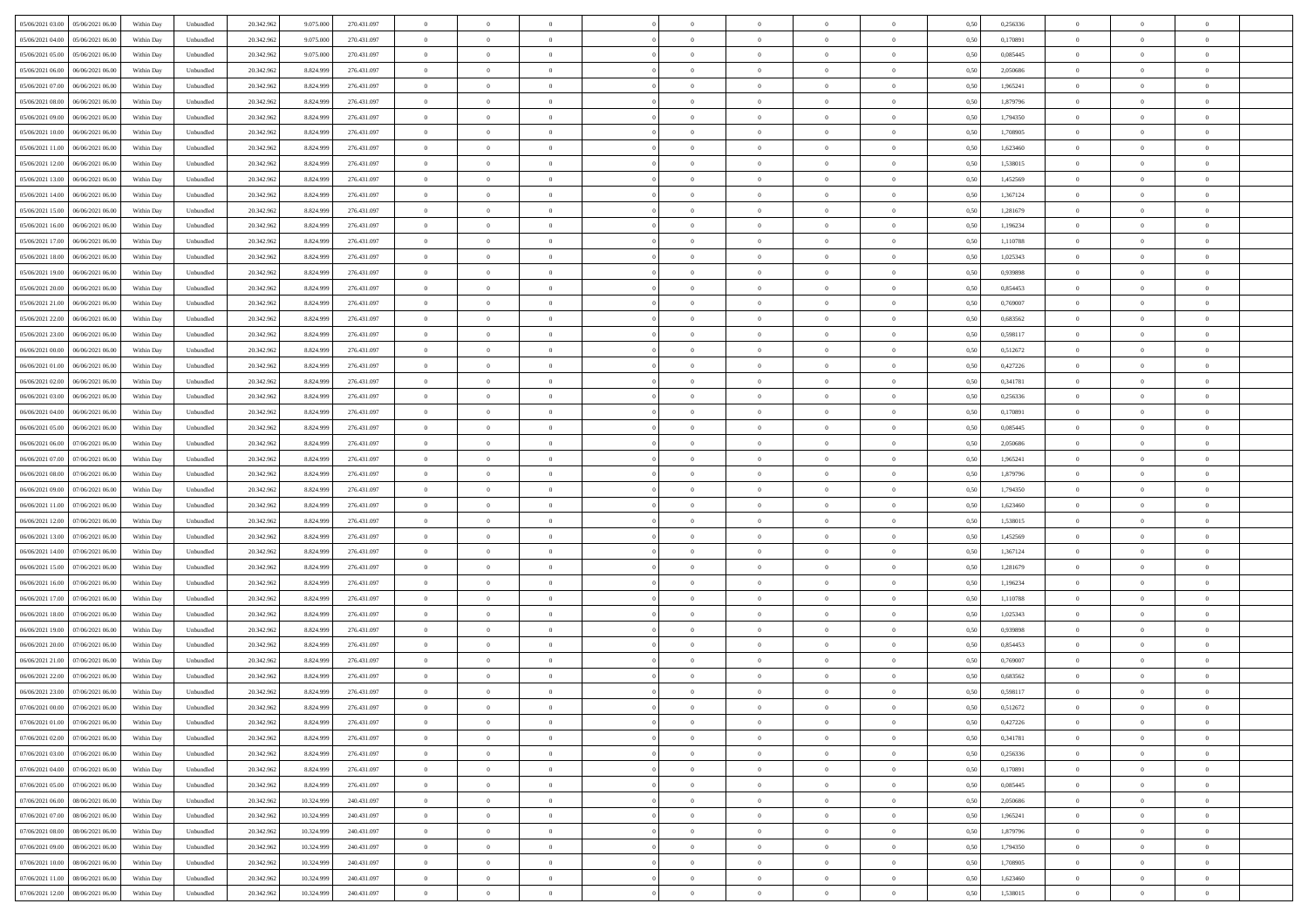| 05/06/2021 03:00<br>05/06/2021 06:00 | Within Day | Unbundled | 20.342.962 | 9.075.000  | 270.431.097 | $\overline{0}$ | $\overline{0}$ | $\overline{0}$ | $\theta$       | $\theta$       |                | $\overline{0}$ | 0,50 | 0,256336 | $\theta$       | $\theta$       | $\theta$       |  |
|--------------------------------------|------------|-----------|------------|------------|-------------|----------------|----------------|----------------|----------------|----------------|----------------|----------------|------|----------|----------------|----------------|----------------|--|
|                                      |            |           |            |            |             |                |                |                |                |                |                |                |      |          |                |                |                |  |
| 05/06/2021 04:00<br>05/06/2021 06.0  | Within Day | Unbundled | 20.342.96  | 9.075.000  | 270.431.097 | $\overline{0}$ | $\overline{0}$ | $\overline{0}$ | $\,$ 0 $\,$    | $\bf{0}$       | $\overline{0}$ | $\bf{0}$       | 0,50 | 0,170891 | $\,$ 0 $\,$    | $\theta$       | $\overline{0}$ |  |
| 05/06/2021 05:00<br>05/06/2021 06:00 | Within Day | Unbundled | 20.342.962 | 9.075.000  | 270.431.097 | $\overline{0}$ | $\overline{0}$ | $\overline{0}$ | $\bf{0}$       | $\bf{0}$       | $\overline{0}$ | $\mathbf{0}$   | 0.50 | 0.085445 | $\bf{0}$       | $\overline{0}$ | $\overline{0}$ |  |
| 05/06/2021 06:00<br>06/06/2021 06.00 | Within Day | Unbundled | 20.342.962 | 8.824.999  | 276.431.097 | $\overline{0}$ | $\overline{0}$ | $\overline{0}$ | $\overline{0}$ | $\overline{0}$ | $\overline{0}$ | $\bf{0}$       | 0,50 | 2,050686 | $\theta$       | $\theta$       | $\overline{0}$ |  |
| 05/06/2021 07:00<br>06/06/2021 06.0  | Within Day | Unbundled | 20.342.962 | 8.824.999  | 276.431.097 | $\overline{0}$ | $\overline{0}$ | $\bf{0}$       | $\bf{0}$       | $\overline{0}$ | $\overline{0}$ | $\bf{0}$       | 0,50 | 1,965241 | $\,$ 0 $\,$    | $\theta$       | $\overline{0}$ |  |
| 05/06/2021 08:00<br>06/06/2021 06:00 | Within Day | Unbundled | 20.342.962 | 8.824.999  | 276.431.097 | $\overline{0}$ | $\overline{0}$ | $\overline{0}$ | $\bf{0}$       | $\overline{0}$ | $\overline{0}$ | $\mathbf{0}$   | 0.50 | 1.879796 | $\,$ 0 $\,$    | $\theta$       | $\overline{0}$ |  |
| 05/06/2021 09:00<br>06/06/2021 06.00 | Within Day | Unbundled | 20.342.962 | 8.824.999  | 276.431.097 | $\overline{0}$ | $\overline{0}$ | $\overline{0}$ | $\overline{0}$ | $\overline{0}$ | $\overline{0}$ | $\bf{0}$       | 0,50 | 1,794350 | $\theta$       | $\theta$       | $\overline{0}$ |  |
| 05/06/2021 10:00<br>06/06/2021 06.0  | Within Day | Unbundled | 20.342.962 | 8.824.999  | 276.431.097 | $\overline{0}$ | $\overline{0}$ | $\overline{0}$ | $\bf{0}$       | $\bf{0}$       | $\overline{0}$ | $\bf{0}$       | 0,50 | 1,708905 | $\,$ 0 $\,$    | $\bf{0}$       | $\overline{0}$ |  |
|                                      |            |           |            |            |             |                |                |                |                |                |                |                |      |          |                |                |                |  |
| 05/06/2021 11:00<br>06/06/2021 06:00 | Within Day | Unbundled | 20.342.962 | 8.824.999  | 276.431.097 | $\overline{0}$ | $\overline{0}$ | $\overline{0}$ | $\bf{0}$       | $\overline{0}$ | $\overline{0}$ | $\mathbf{0}$   | 0.50 | 1.623460 | $\,$ 0 $\,$    | $\theta$       | $\overline{0}$ |  |
| 05/06/2021 12:00<br>06/06/2021 06:00 | Within Day | Unbundled | 20.342.962 | 8.824.999  | 276.431.097 | $\overline{0}$ | $\overline{0}$ | $\overline{0}$ | $\bf{0}$       | $\overline{0}$ | $\overline{0}$ | $\bf{0}$       | 0,50 | 1,538015 | $\,$ 0 $\,$    | $\theta$       | $\overline{0}$ |  |
| 05/06/2021 13:00<br>06/06/2021 06.0  | Within Day | Unbundled | 20.342.962 | 8.824.999  | 276.431.097 | $\overline{0}$ | $\overline{0}$ | $\bf{0}$       | $\bf{0}$       | $\overline{0}$ | $\overline{0}$ | $\bf{0}$       | 0,50 | 1,452569 | $\,$ 0 $\,$    | $\bf{0}$       | $\overline{0}$ |  |
| 05/06/2021 14:00<br>06/06/2021 06:00 | Within Day | Unbundled | 20.342.962 | 8.824.999  | 276.431.097 | $\overline{0}$ | $\overline{0}$ | $\overline{0}$ | $\bf{0}$       | $\bf{0}$       | $\overline{0}$ | $\mathbf{0}$   | 0.50 | 1.367124 | $\bf{0}$       | $\overline{0}$ | $\bf{0}$       |  |
| 05/06/2021 15:00<br>06/06/2021 06.00 | Within Day | Unbundled | 20.342.962 | 8.824.999  | 276.431.097 | $\overline{0}$ | $\overline{0}$ | $\overline{0}$ | $\overline{0}$ | $\overline{0}$ | $\overline{0}$ | $\bf{0}$       | 0,50 | 1,281679 | $\theta$       | $\theta$       | $\overline{0}$ |  |
| 05/06/2021 16:00<br>06/06/2021 06.0  | Within Day | Unbundled | 20.342.962 | 8.824.999  | 276.431.097 | $\overline{0}$ | $\overline{0}$ | $\overline{0}$ | $\bf{0}$       | $\overline{0}$ | $\overline{0}$ | $\bf{0}$       | 0,50 | 1,196234 | $\,$ 0 $\,$    | $\bf{0}$       | $\overline{0}$ |  |
| 05/06/2021 17.00<br>06/06/2021 06:00 | Within Day | Unbundled | 20.342.962 | 8.824.999  | 276.431.097 | $\overline{0}$ | $\overline{0}$ | $\overline{0}$ | $\overline{0}$ | $\overline{0}$ | $\overline{0}$ | $\mathbf{0}$   | 0.50 | 1.110788 | $\,$ 0 $\,$    | $\theta$       | $\overline{0}$ |  |
|                                      |            |           |            |            |             |                |                |                |                |                |                |                |      |          |                |                |                |  |
| 05/06/2021 18:00<br>06/06/2021 06.00 | Within Day | Unbundled | 20.342.962 | 8.824.999  | 276.431.097 | $\overline{0}$ | $\overline{0}$ | $\overline{0}$ | $\overline{0}$ | $\overline{0}$ | $\overline{0}$ | $\bf{0}$       | 0,50 | 1,025343 | $\theta$       | $\theta$       | $\overline{0}$ |  |
| 05/06/2021 19:00<br>06/06/2021 06.0  | Within Day | Unbundled | 20.342.962 | 8.824.999  | 276.431.097 | $\overline{0}$ | $\overline{0}$ | $\bf{0}$       | $\bf{0}$       | $\overline{0}$ | $\overline{0}$ | $\bf{0}$       | 0,50 | 0,939898 | $\,$ 0 $\,$    | $\theta$       | $\overline{0}$ |  |
| 05/06/2021 20:00<br>06/06/2021 06:00 | Within Day | Unbundled | 20.342.962 | 8.824.999  | 276.431.097 | $\overline{0}$ | $\overline{0}$ | $\overline{0}$ | $\bf{0}$       | $\overline{0}$ | $\overline{0}$ | $\mathbf{0}$   | 0.50 | 0.854453 | $\,$ 0 $\,$    | $\overline{0}$ | $\overline{0}$ |  |
| 05/06/2021 21:00<br>06/06/2021 06.00 | Within Day | Unbundled | 20.342.962 | 8.824.999  | 276.431.097 | $\overline{0}$ | $\overline{0}$ | $\overline{0}$ | $\overline{0}$ | $\overline{0}$ | $\overline{0}$ | $\bf{0}$       | 0,50 | 0,769007 | $\,$ 0 $\,$    | $\theta$       | $\overline{0}$ |  |
| 05/06/2021 22.00<br>06/06/2021 06.0  | Within Day | Unbundled | 20.342.962 | 8.824.999  | 276.431.097 | $\overline{0}$ | $\overline{0}$ | $\overline{0}$ | $\bf{0}$       | $\bf{0}$       | $\overline{0}$ | $\bf{0}$       | 0,50 | 0,683562 | $\,$ 0 $\,$    | $\bf{0}$       | $\overline{0}$ |  |
| 05/06/2021 23.00<br>06/06/2021 06:00 | Within Day | Unbundled | 20.342.962 | 8.824.999  | 276.431.097 | $\overline{0}$ | $\overline{0}$ | $\overline{0}$ | $\bf{0}$       | $\bf{0}$       | $\overline{0}$ | $\mathbf{0}$   | 0.50 | 0.598117 | $\bf{0}$       | $\overline{0}$ | $\overline{0}$ |  |
| 06/06/2021 00:00<br>06/06/2021 06:00 | Within Day | Unbundled | 20.342.962 | 8.824.999  | 276.431.097 | $\overline{0}$ | $\overline{0}$ | $\overline{0}$ | $\overline{0}$ | $\overline{0}$ | $\overline{0}$ | $\,$ 0 $\,$    | 0,50 | 0,512672 | $\theta$       | $\theta$       | $\overline{0}$ |  |
|                                      |            |           |            |            |             |                |                |                |                |                |                |                |      |          |                |                |                |  |
| 06/06/2021 01:00<br>06/06/2021 06.0  | Within Day | Unbundled | 20.342.962 | 8.824.999  | 276.431.097 | $\overline{0}$ | $\overline{0}$ | $\bf{0}$       | $\bf{0}$       | $\overline{0}$ | $\overline{0}$ | $\bf{0}$       | 0,50 | 0,427226 | $\,$ 0 $\,$    | $\bf{0}$       | $\overline{0}$ |  |
| 06/06/2021 02:00<br>06/06/2021 06:00 | Within Day | Unbundled | 20.342.962 | 8.824.999  | 276.431.097 | $\overline{0}$ | $\overline{0}$ | $\overline{0}$ | $\overline{0}$ | $\overline{0}$ | $\overline{0}$ | $\mathbf{0}$   | 0.50 | 0.341781 | $\,$ 0 $\,$    | $\theta$       | $\overline{0}$ |  |
| 06/06/2021 03:00<br>06/06/2021 06.00 | Within Day | Unbundled | 20.342.962 | 8.824.999  | 276.431.097 | $\overline{0}$ | $\overline{0}$ | $\overline{0}$ | $\overline{0}$ | $\overline{0}$ | $\overline{0}$ | $\bf{0}$       | 0,50 | 0,256336 | $\theta$       | $\theta$       | $\overline{0}$ |  |
| 06/06/2021 04:00<br>06/06/2021 06.00 | Within Day | Unbundled | 20.342.962 | 8.824.999  | 276.431.097 | $\overline{0}$ | $\overline{0}$ | $\overline{0}$ | $\bf{0}$       | $\overline{0}$ | $\overline{0}$ | $\bf{0}$       | 0,50 | 0,170891 | $\,$ 0 $\,$    | $\theta$       | $\overline{0}$ |  |
| 06/06/2021 05:00<br>06/06/2021 06:00 | Within Day | Unbundled | 20.342.962 | 8.824.999  | 276.431.097 | $\overline{0}$ | $\overline{0}$ | $\overline{0}$ | $\bf{0}$       | $\overline{0}$ | $\overline{0}$ | $\mathbf{0}$   | 0.50 | 0.085445 | $\,$ 0 $\,$    | $\theta$       | $\overline{0}$ |  |
| 06/06/2021 06:00<br>07/06/2021 06:00 | Within Day | Unbundled | 20.342.962 | 8.824.999  | 276.431.097 | $\overline{0}$ | $\overline{0}$ | $\overline{0}$ | $\overline{0}$ | $\overline{0}$ | $\overline{0}$ | $\bf{0}$       | 0,50 | 2,050686 | $\theta$       | $\theta$       | $\overline{0}$ |  |
|                                      |            |           |            |            |             |                | $\overline{0}$ |                | $\overline{0}$ | $\bf{0}$       | $\overline{0}$ | $\bf{0}$       |      |          | $\,$ 0 $\,$    | $\bf{0}$       | $\overline{0}$ |  |
| 06/06/2021 07:00<br>07/06/2021 06.0  | Within Day | Unbundled | 20.342.962 | 8.824.999  | 276.431.097 | $\overline{0}$ |                | $\overline{0}$ |                |                |                |                | 0,50 | 1,965241 |                |                |                |  |
| 06/06/2021 08:00<br>07/06/2021 06:00 | Within Day | Unbundled | 20.342.962 | 8.824.999  | 276.431.097 | $\overline{0}$ | $\overline{0}$ | $\overline{0}$ | $\bf{0}$       | $\bf{0}$       | $\overline{0}$ | $\mathbf{0}$   | 0.50 | 1.879796 | $\bf{0}$       | $\overline{0}$ | $\overline{0}$ |  |
| 06/06/2021 09:00<br>07/06/2021 06:00 | Within Day | Unbundled | 20.342.962 | 8.824.999  | 276.431.097 | $\overline{0}$ | $\overline{0}$ | $\overline{0}$ | $\overline{0}$ | $\overline{0}$ | $\overline{0}$ | $\overline{0}$ | 0.50 | 1,794350 | $\theta$       | $\theta$       | $\overline{0}$ |  |
| 06/06/2021 11:00<br>07/06/2021 06.00 | Within Day | Unbundled | 20.342.962 | 8.824.999  | 276.431.097 | $\overline{0}$ | $\overline{0}$ | $\overline{0}$ | $\bf{0}$       | $\overline{0}$ | $\overline{0}$ | $\bf{0}$       | 0,50 | 1,623460 | $\,$ 0 $\,$    | $\bf{0}$       | $\overline{0}$ |  |
| 06/06/2021 12:00<br>07/06/2021 06.00 | Within Day | Unbundled | 20.342.962 | 8.824.999  | 276.431.097 | $\overline{0}$ | $\overline{0}$ | $\overline{0}$ | $\overline{0}$ | $\overline{0}$ | $\overline{0}$ | $\mathbf{0}$   | 0.50 | 1.538015 | $\,$ 0 $\,$    | $\theta$       | $\overline{0}$ |  |
| 06/06/2021 13:00<br>07/06/2021 06:00 | Within Day | Unbundled | 20.342.962 | 8.824.999  | 276.431.097 | $\overline{0}$ | $\overline{0}$ | $\overline{0}$ | $\overline{0}$ | $\overline{0}$ | $\overline{0}$ | $\overline{0}$ | 0.50 | 1,452569 | $\theta$       | $\theta$       | $\overline{0}$ |  |
| 06/06/2021 14:00<br>07/06/2021 06.00 | Within Day | Unbundled | 20.342.962 | 8.824.999  | 276.431.097 | $\overline{0}$ | $\overline{0}$ | $\overline{0}$ | $\bf{0}$       | $\overline{0}$ | $\overline{0}$ | $\bf{0}$       | 0,50 | 1,367124 | $\,$ 0 $\,$    | $\bf{0}$       | $\overline{0}$ |  |
| 06/06/2021 15:00<br>07/06/2021 06:00 | Within Day | Unbundled | 20.342.962 | 8.824.999  | 276.431.097 | $\overline{0}$ | $\overline{0}$ | $\overline{0}$ | $\overline{0}$ | $\bf{0}$       | $\overline{0}$ | $\mathbf{0}$   | 0.50 | 1.281679 | $\,$ 0 $\,$    | $\theta$       | $\overline{0}$ |  |
| 06/06/2021 16:00<br>07/06/2021 06:00 | Within Day | Unbundled | 20.342.962 | 8.824.999  | 276.431.097 | $\overline{0}$ | $\overline{0}$ | $\overline{0}$ | $\overline{0}$ | $\overline{0}$ | $\overline{0}$ | $\overline{0}$ | 0.50 | 1,196234 | $\theta$       | $\theta$       | $\overline{0}$ |  |
|                                      |            |           |            |            |             |                |                |                |                |                |                |                |      |          |                |                |                |  |
| 06/06/2021 17:00<br>07/06/2021 06.0  | Within Day | Unbundled | 20.342.962 | 8.824.999  | 276.431.097 | $\overline{0}$ | $\overline{0}$ | $\overline{0}$ | $\,$ 0 $\,$    | $\bf{0}$       | $\overline{0}$ | $\bf{0}$       | 0,50 | 1,110788 | $\,$ 0 $\,$    | $\bf{0}$       | $\overline{0}$ |  |
| 06/06/2021 18:00<br>07/06/2021 06:00 | Within Day | Unbundled | 20.342.962 | 8.824.999  | 276.431.097 | $\overline{0}$ | $\overline{0}$ | $\overline{0}$ | $\bf{0}$       | $\bf{0}$       | $\overline{0}$ | $\mathbf{0}$   | 0.50 | 1.025343 | $\bf{0}$       | $\overline{0}$ | $\overline{0}$ |  |
| 06/06/2021 19:00<br>07/06/2021 06:00 | Within Day | Unbundled | 20.342.962 | 8.824.999  | 276.431.097 | $\overline{0}$ | $\overline{0}$ | $\overline{0}$ | $\overline{0}$ | $\overline{0}$ | $\overline{0}$ | $\overline{0}$ | 0.50 | 0,939898 | $\theta$       | $\theta$       | $\overline{0}$ |  |
| 06/06/2021 20:00<br>07/06/2021 06.00 | Within Day | Unbundled | 20.342.962 | 8.824.999  | 276.431.097 | $\overline{0}$ | $\overline{0}$ | $\overline{0}$ | $\bf{0}$       | $\bf{0}$       | $\overline{0}$ | $\bf{0}$       | 0,50 | 0,854453 | $\,$ 0 $\,$    | $\bf{0}$       | $\overline{0}$ |  |
| 06/06/2021 21.00<br>07/06/2021 06.00 | Within Day | Unbundled | 20.342.962 | 8.824.999  | 276.431.097 | $\overline{0}$ | $\overline{0}$ | $\overline{0}$ | $\overline{0}$ | $\overline{0}$ | $\Omega$       | $\overline{0}$ | 0.50 | 0.769007 | $\,$ 0 $\,$    | $\theta$       | $\overline{0}$ |  |
| 06/06/2021 22:00<br>07/06/2021 06:00 | Within Day | Unbundled | 20.342.962 | 8.824.999  | 276.431.097 | $\overline{0}$ | $\overline{0}$ | $\overline{0}$ | $\overline{0}$ | $\overline{0}$ | $\Omega$       | $\overline{0}$ | 0.5( | 0,683562 | $\theta$       | $\theta$       | $\overline{0}$ |  |
| 06/06/2021 23:00<br>07/06/2021 06.00 | Within Day | Unbundled | 20.342.962 | 8.824.999  | 276.431.097 | $\overline{0}$ | $\overline{0}$ | $\bf{0}$       | $\overline{0}$ | $\bf{0}$       | $\overline{0}$ | $\bf{0}$       | 0,50 | 0,598117 | $\,$ 0 $\,$    | $\bf{0}$       | $\overline{0}$ |  |
| 07/06/2021 00:00 07/06/2021 06:00    |            |           | 20.342.962 | 8.824.999  | 276.431.097 |                |                |                |                |                |                |                | 0,50 |          | $\theta$       | $\overline{0}$ |                |  |
|                                      | Within Day | Unbundled |            |            |             | $\bf{0}$       | $\,$ 0 $\,$    |                | $\bf{0}$       |                |                |                |      | 0,512672 |                |                |                |  |
| 07/06/2021 01:00<br>07/06/2021 06:00 | Within Dav | Unbundled | 20.342.962 | 8.824.999  | 276.431.097 | $\overline{0}$ | $\overline{0}$ | $\overline{0}$ | $\overline{0}$ | $\overline{0}$ | $\overline{0}$ | $\overline{0}$ | 0,50 | 0,427226 | $\theta$       | $\theta$       | $\overline{0}$ |  |
| 07/06/2021 02:00<br>07/06/2021 06.0  | Within Day | Unbundled | 20.342.962 | 8.824.999  | 276.431.097 | $\overline{0}$ | $\overline{0}$ | $\overline{0}$ | $\bf{0}$       | $\overline{0}$ | $\overline{0}$ | $\mathbf{0}$   | 0,50 | 0,341781 | $\bf{0}$       | $\overline{0}$ | $\bf{0}$       |  |
| 07/06/2021 03:00<br>07/06/2021 06:00 | Within Day | Unbundled | 20.342.962 | 8.824.999  | 276.431.097 | $\overline{0}$ | $\overline{0}$ | $\overline{0}$ | $\bf{0}$       | $\bf{0}$       | $\overline{0}$ | $\mathbf{0}$   | 0.50 | 0.256336 | $\,$ 0 $\,$    | $\bf{0}$       | $\,$ 0 $\,$    |  |
| 07/06/2021 04:00<br>07/06/2021 06:00 | Within Dav | Unbundled | 20.342.962 | 8.824.999  | 276.431.097 | $\overline{0}$ | $\overline{0}$ | $\overline{0}$ | $\overline{0}$ | $\overline{0}$ | $\overline{0}$ | $\mathbf{0}$   | 0,50 | 0,170891 | $\overline{0}$ | $\theta$       | $\overline{0}$ |  |
| 07/06/2021 05:00<br>07/06/2021 06.00 | Within Day | Unbundled | 20.342.962 | 8.824.999  | 276.431.097 | $\overline{0}$ | $\overline{0}$ | $\overline{0}$ | $\bf{0}$       | $\bf{0}$       | $\overline{0}$ | $\mathbf{0}$   | 0,50 | 0,085445 | $\overline{0}$ | $\bf{0}$       | $\overline{0}$ |  |
| 07/06/2021 06.00<br>08/06/2021 06:00 | Within Day | Unbundled | 20.342.962 | 10.324.999 | 240.431.097 | $\overline{0}$ | $\overline{0}$ | $\overline{0}$ | $\bf{0}$       | $\overline{0}$ | $\overline{0}$ | $\mathbf{0}$   | 0.50 | 2.050686 | $\,$ 0 $\,$    | $\theta$       | $\,$ 0         |  |
|                                      |            |           |            |            |             |                |                |                |                |                |                |                |      |          |                |                |                |  |
| 07/06/2021 07:00<br>08/06/2021 06:00 | Within Dav | Unbundled | 20.342.962 | 10.324.999 | 240.431.097 | $\overline{0}$ | $\overline{0}$ | $\overline{0}$ | $\overline{0}$ | $\overline{0}$ | $\overline{0}$ | $\mathbf{0}$   | 0,50 | 1,965241 | $\overline{0}$ | $\theta$       | $\overline{0}$ |  |
| 07/06/2021 08:00<br>08/06/2021 06.00 | Within Day | Unbundled | 20.342.962 | 10.324.999 | 240.431.097 | $\overline{0}$ | $\overline{0}$ | $\overline{0}$ | $\bf{0}$       | $\bf{0}$       | $\overline{0}$ | $\,$ 0 $\,$    | 0,50 | 1,879796 | $\bf{0}$       | $\bf{0}$       | $\overline{0}$ |  |
| 07/06/2021 09.00<br>08/06/2021 06:00 | Within Day | Unbundled | 20.342.962 | 10.324.999 | 240.431.097 | $\overline{0}$ | $\overline{0}$ | $\overline{0}$ | $\bf{0}$       | $\bf{0}$       | $\overline{0}$ | $\,$ 0 $\,$    | 0.50 | 1,794350 | $\overline{0}$ | $\overline{0}$ | $\,$ 0         |  |
| 07/06/2021 10:00<br>08/06/2021 06:00 | Within Dav | Unbundled | 20.342.962 | 10.324.999 | 240.431.097 | $\overline{0}$ | $\overline{0}$ | $\overline{0}$ | $\overline{0}$ | $\overline{0}$ | $\overline{0}$ | $\mathbf{0}$   | 0,50 | 1,708905 | $\overline{0}$ | $\theta$       | $\overline{0}$ |  |
| 07/06/2021 11:00<br>08/06/2021 06.00 | Within Day | Unbundled | 20.342.962 | 10.324.999 | 240.431.097 | $\overline{0}$ | $\overline{0}$ | $\overline{0}$ | $\overline{0}$ | $\bf{0}$       | $\overline{0}$ | $\mathbf{0}$   | 0,50 | 1,623460 | $\bf{0}$       | $\bf{0}$       | $\overline{0}$ |  |
| 07/06/2021 12:00 08/06/2021 06:00    | Within Day | Unbundled | 20.342.962 | 10.324.999 | 240.431.097 | $\overline{0}$ | $\overline{0}$ | $\overline{0}$ | $\bf{0}$       | $\,$ 0         | $\overline{0}$ | $\,0\,$        | 0,50 | 1,538015 | $\overline{0}$ | $\,$ 0 $\,$    | $\,$ 0 $\,$    |  |
|                                      |            |           |            |            |             |                |                |                |                |                |                |                |      |          |                |                |                |  |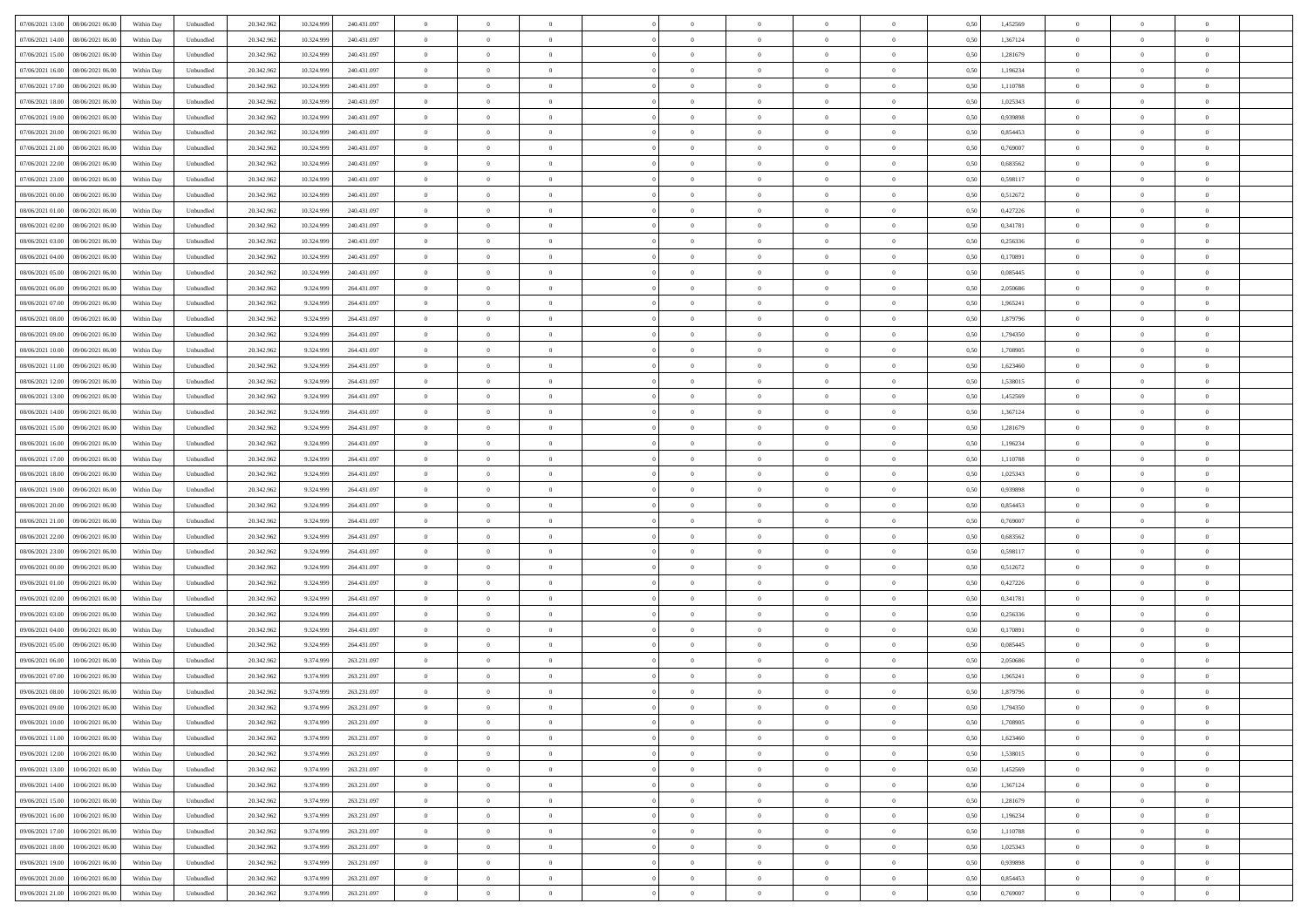| 07/06/2021 13:00<br>08/06/2021 06:00 | Within Day | Unbundled | 20.342.962 | 10.324.999 | 240.431.097 | $\overline{0}$ | $\overline{0}$ | $\overline{0}$ | $\theta$       | $\theta$       |                | $\overline{0}$ | 0,50 | 1,452569 | $\theta$       | $\theta$       | $\theta$       |  |
|--------------------------------------|------------|-----------|------------|------------|-------------|----------------|----------------|----------------|----------------|----------------|----------------|----------------|------|----------|----------------|----------------|----------------|--|
|                                      |            |           |            |            |             |                |                |                |                |                |                |                |      |          |                |                |                |  |
| 07/06/2021 14:00<br>08/06/2021 06.00 | Within Day | Unbundled | 20.342.96  | 10.324.999 | 240.431.097 | $\overline{0}$ | $\overline{0}$ | $\overline{0}$ | $\,$ 0 $\,$    | $\bf{0}$       | $\overline{0}$ | $\bf{0}$       | 0,50 | 1,367124 | $\,$ 0 $\,$    | $\theta$       | $\overline{0}$ |  |
| 07/06/2021 15:00<br>08/06/2021 06:00 | Within Day | Unbundled | 20.342.962 | 10.324.999 | 240.431.097 | $\overline{0}$ | $\overline{0}$ | $\overline{0}$ | $\bf{0}$       | $\bf{0}$       | $\overline{0}$ | $\mathbf{0}$   | 0.50 | 1,281679 | $\bf{0}$       | $\overline{0}$ | $\overline{0}$ |  |
| 07/06/2021 16.00<br>08/06/2021 06:00 | Within Day | Unbundled | 20.342.962 | 10.324.999 | 240.431.097 | $\overline{0}$ | $\overline{0}$ | $\overline{0}$ | $\overline{0}$ | $\overline{0}$ | $\overline{0}$ | $\bf{0}$       | 0,50 | 1,196234 | $\theta$       | $\theta$       | $\overline{0}$ |  |
| 07/06/2021 17.00<br>08/06/2021 06.00 | Within Day | Unbundled | 20.342.96  | 10.324.999 | 240.431.097 | $\overline{0}$ | $\overline{0}$ | $\bf{0}$       | $\bf{0}$       | $\overline{0}$ | $\overline{0}$ | $\bf{0}$       | 0,50 | 1,110788 | $\,$ 0 $\,$    | $\theta$       | $\overline{0}$ |  |
| 07/06/2021 18:00<br>08/06/2021 06:00 |            | Unbundled |            | 10.324.999 | 240.431.097 |                | $\overline{0}$ | $\overline{0}$ |                | $\overline{0}$ | $\overline{0}$ |                | 0.50 | 1.025343 |                | $\theta$       | $\overline{0}$ |  |
|                                      | Within Day |           | 20.342.962 |            |             | $\overline{0}$ |                |                | $\bf{0}$       |                |                | $\mathbf{0}$   |      |          | $\bf{0}$       |                |                |  |
| 07/06/2021 19:00<br>08/06/2021 06:00 | Within Day | Unbundled | 20.342.962 | 10.324.999 | 240.431.097 | $\overline{0}$ | $\overline{0}$ | $\overline{0}$ | $\overline{0}$ | $\overline{0}$ | $\overline{0}$ | $\bf{0}$       | 0,50 | 0,939898 | $\theta$       | $\theta$       | $\overline{0}$ |  |
| 07/06/2021 20.00<br>08/06/2021 06.00 | Within Day | Unbundled | 20.342.96  | 10.324.999 | 240.431.097 | $\overline{0}$ | $\overline{0}$ | $\overline{0}$ | $\bf{0}$       | $\bf{0}$       | $\overline{0}$ | $\bf{0}$       | 0,50 | 0,854453 | $\,$ 0 $\,$    | $\bf{0}$       | $\overline{0}$ |  |
| 07/06/2021 21.00<br>08/06/2021 06:00 | Within Day | Unbundled | 20.342.962 | 10.324.999 | 240.431.097 | $\overline{0}$ | $\overline{0}$ | $\overline{0}$ | $\bf{0}$       | $\overline{0}$ | $\overline{0}$ | $\mathbf{0}$   | 0.50 | 0.769007 | $\,$ 0 $\,$    | $\theta$       | $\overline{0}$ |  |
| 07/06/2021 22.00<br>08/06/2021 06:00 | Within Day | Unbundled | 20.342.962 | 10.324.999 | 240.431.097 | $\overline{0}$ | $\overline{0}$ | $\overline{0}$ | $\bf{0}$       | $\overline{0}$ | $\overline{0}$ | $\bf{0}$       | 0,50 | 0,683562 | $\,$ 0 $\,$    | $\theta$       | $\overline{0}$ |  |
| 07/06/2021 23.00<br>08/06/2021 06.00 | Within Day | Unbundled | 20.342.96  | 10.324.999 | 240.431.097 | $\overline{0}$ | $\overline{0}$ | $\bf{0}$       | $\bf{0}$       | $\bf{0}$       | $\overline{0}$ | $\bf{0}$       | 0,50 | 0,598117 | $\,$ 0 $\,$    | $\theta$       | $\overline{0}$ |  |
|                                      |            |           |            |            |             |                |                |                |                |                |                |                |      |          |                |                |                |  |
| 08/06/2021 00:00<br>08/06/2021 06:00 | Within Day | Unbundled | 20.342.962 | 10.324.999 | 240.431.097 | $\overline{0}$ | $\overline{0}$ | $\overline{0}$ | $\bf{0}$       | $\bf{0}$       | $\overline{0}$ | $\mathbf{0}$   | 0.50 | 0,512672 | $\bf{0}$       | $\overline{0}$ | $\bf{0}$       |  |
| 08/06/2021 01:00<br>08/06/2021 06:00 | Within Day | Unbundled | 20.342.962 | 10.324.999 | 240.431.097 | $\overline{0}$ | $\overline{0}$ | $\overline{0}$ | $\overline{0}$ | $\overline{0}$ | $\overline{0}$ | $\bf{0}$       | 0,50 | 0,427226 | $\theta$       | $\theta$       | $\overline{0}$ |  |
| 08/06/2021 02.00<br>08/06/2021 06.00 | Within Day | Unbundled | 20.342.96  | 10.324.999 | 240.431.097 | $\overline{0}$ | $\overline{0}$ | $\overline{0}$ | $\bf{0}$       | $\bf{0}$       | $\overline{0}$ | $\bf{0}$       | 0,50 | 0,341781 | $\,$ 0 $\,$    | $\bf{0}$       | $\overline{0}$ |  |
| 08/06/2021 03:00<br>08/06/2021 06:00 | Within Day | Unbundled | 20.342.962 | 10.324.999 | 240.431.097 | $\overline{0}$ | $\overline{0}$ | $\overline{0}$ | $\overline{0}$ | $\overline{0}$ | $\overline{0}$ | $\mathbf{0}$   | 0.50 | 0.256336 | $\,$ 0 $\,$    | $\theta$       | $\overline{0}$ |  |
| 08/06/2021 04:00<br>08/06/2021 06:00 | Within Day | Unbundled | 20.342.962 | 10.324.999 | 240.431.097 | $\overline{0}$ | $\overline{0}$ | $\overline{0}$ | $\overline{0}$ | $\overline{0}$ | $\overline{0}$ | $\bf{0}$       | 0,50 | 0,170891 | $\theta$       | $\theta$       | $\overline{0}$ |  |
| 08/06/2021 05:00<br>08/06/2021 06.00 | Within Day | Unbundled | 20.342.96  | 10.324.999 | 240.431.097 | $\overline{0}$ | $\overline{0}$ | $\overline{0}$ | $\bf{0}$       | $\overline{0}$ | $\overline{0}$ | $\bf{0}$       | 0,50 | 0,085445 | $\,$ 0 $\,$    | $\theta$       | $\overline{0}$ |  |
|                                      |            |           |            |            |             |                |                |                |                |                |                |                |      |          |                |                |                |  |
| 08/06/2021 06:00<br>09/06/2021 06:00 | Within Day | Unbundled | 20.342.962 | 9.324.999  | 264.431.097 | $\overline{0}$ | $\overline{0}$ | $\overline{0}$ | $\bf{0}$       | $\bf{0}$       | $\overline{0}$ | $\mathbf{0}$   | 0.50 | 2.050686 | $\,$ 0 $\,$    | $\overline{0}$ | $\overline{0}$ |  |
| 08/06/2021 07:00<br>09/06/2021 06.00 | Within Day | Unbundled | 20.342.962 | 9.324.999  | 264.431.097 | $\overline{0}$ | $\overline{0}$ | $\overline{0}$ | $\overline{0}$ | $\overline{0}$ | $\overline{0}$ | $\bf{0}$       | 0,50 | 1,965241 | $\,$ 0 $\,$    | $\theta$       | $\overline{0}$ |  |
| 08/06/2021 08:00<br>09/06/2021 06.0  | Within Day | Unbundled | 20.342.962 | 9.324.999  | 264.431.097 | $\overline{0}$ | $\overline{0}$ | $\overline{0}$ | $\bf{0}$       | $\bf{0}$       | $\overline{0}$ | $\bf{0}$       | 0,50 | 1,879796 | $\,$ 0 $\,$    | $\bf{0}$       | $\overline{0}$ |  |
| 08/06/2021 09:00<br>09/06/2021 06:00 | Within Day | Unbundled | 20.342.962 | 9.324.999  | 264.431.097 | $\overline{0}$ | $\overline{0}$ | $\overline{0}$ | $\bf{0}$       | $\bf{0}$       | $\overline{0}$ | $\mathbf{0}$   | 0.50 | 1,794350 | $\bf{0}$       | $\overline{0}$ | $\overline{0}$ |  |
| 08/06/2021 10:00<br>09/06/2021 06:00 | Within Day | Unbundled | 20.342.962 | 9.324.999  | 264.431.097 | $\overline{0}$ | $\overline{0}$ | $\overline{0}$ | $\overline{0}$ | $\overline{0}$ | $\overline{0}$ | $\,$ 0 $\,$    | 0,50 | 1,708905 | $\theta$       | $\theta$       | $\overline{0}$ |  |
| 08/06/2021 11:00<br>09/06/2021 06.0  | Within Day | Unbundled | 20.342.962 | 9.324.999  | 264.431.097 | $\overline{0}$ | $\overline{0}$ | $\bf{0}$       | $\bf{0}$       | $\overline{0}$ | $\overline{0}$ | $\bf{0}$       | 0,50 | 1,623460 | $\,$ 0 $\,$    | $\bf{0}$       | $\overline{0}$ |  |
|                                      |            |           |            |            |             |                |                |                |                |                |                |                |      |          |                |                |                |  |
| 08/06/2021 12:00<br>09/06/2021 06:00 | Within Day | Unbundled | 20.342.962 | 9.324.999  | 264.431.097 | $\overline{0}$ | $\overline{0}$ | $\overline{0}$ | $\overline{0}$ | $\overline{0}$ | $\overline{0}$ | $\mathbf{0}$   | 0.50 | 1.538015 | $\,$ 0 $\,$    | $\theta$       | $\overline{0}$ |  |
| 08/06/2021 13:00<br>09/06/2021 06.00 | Within Day | Unbundled | 20.342.962 | 9.324.999  | 264.431.097 | $\overline{0}$ | $\overline{0}$ | $\overline{0}$ | $\overline{0}$ | $\overline{0}$ | $\overline{0}$ | $\bf{0}$       | 0,50 | 1,452569 | $\theta$       | $\theta$       | $\overline{0}$ |  |
| 08/06/2021 14:00<br>09/06/2021 06.0  | Within Day | Unbundled | 20.342.962 | 9.324.999  | 264.431.097 | $\overline{0}$ | $\overline{0}$ | $\overline{0}$ | $\bf{0}$       | $\overline{0}$ | $\overline{0}$ | $\bf{0}$       | 0,50 | 1,367124 | $\,$ 0 $\,$    | $\theta$       | $\overline{0}$ |  |
| 08/06/2021 15:00<br>09/06/2021 06:00 | Within Day | Unbundled | 20.342.962 | 9.324.999  | 264.431.097 | $\overline{0}$ | $\overline{0}$ | $\overline{0}$ | $\bf{0}$       | $\overline{0}$ | $\overline{0}$ | $\mathbf{0}$   | 0.50 | 1.281679 | $\,$ 0 $\,$    | $\theta$       | $\overline{0}$ |  |
| 08/06/2021 16:00<br>09/06/2021 06:00 | Within Day | Unbundled | 20.342.962 | 9.324.999  | 264.431.097 | $\overline{0}$ | $\overline{0}$ | $\overline{0}$ | $\overline{0}$ | $\overline{0}$ | $\overline{0}$ | $\bf{0}$       | 0,50 | 1,196234 | $\theta$       | $\theta$       | $\overline{0}$ |  |
| 08/06/2021 17:00<br>09/06/2021 06.0  | Within Day | Unbundled | 20.342.962 | 9.324.999  | 264.431.097 | $\overline{0}$ | $\overline{0}$ | $\overline{0}$ | $\overline{0}$ | $\bf{0}$       | $\overline{0}$ | $\bf{0}$       | 0,50 | 1,110788 | $\,$ 0 $\,$    | $\bf{0}$       | $\overline{0}$ |  |
| 09/06/2021 06:00                     |            | Unbundled |            |            | 264.431.097 |                |                | $\overline{0}$ |                | $\bf{0}$       | $\overline{0}$ |                | 0.50 | 1.025343 | $\bf{0}$       | $\overline{0}$ | $\overline{0}$ |  |
| 08/06/2021 18:00                     | Within Day |           | 20.342.962 | 9.324.999  |             | $\overline{0}$ | $\overline{0}$ |                | $\bf{0}$       |                |                | $\mathbf{0}$   |      |          |                |                |                |  |
| 08/06/2021 19:00<br>09/06/2021 06:00 | Within Day | Unbundled | 20.342.962 | 9.324.999  | 264.431.097 | $\overline{0}$ | $\overline{0}$ | $\overline{0}$ | $\overline{0}$ | $\overline{0}$ | $\overline{0}$ | $\overline{0}$ | 0.50 | 0,939898 | $\theta$       | $\theta$       | $\overline{0}$ |  |
| 08/06/2021 20.00<br>09/06/2021 06.0  | Within Day | Unbundled | 20.342.962 | 9.324.999  | 264.431.097 | $\overline{0}$ | $\overline{0}$ | $\overline{0}$ | $\bf{0}$       | $\overline{0}$ | $\overline{0}$ | $\bf{0}$       | 0,50 | 0,854453 | $\,$ 0 $\,$    | $\bf{0}$       | $\overline{0}$ |  |
| 08/06/2021 21:00<br>09/06/2021 06.00 | Within Day | Unbundled | 20.342.962 | 9.324.999  | 264.431.097 | $\overline{0}$ | $\overline{0}$ | $\overline{0}$ | $\overline{0}$ | $\overline{0}$ | $\overline{0}$ | $\mathbf{0}$   | 0.50 | 0.769007 | $\,$ 0 $\,$    | $\theta$       | $\overline{0}$ |  |
| 08/06/2021 22:00<br>09/06/2021 06:00 | Within Day | Unbundled | 20.342.962 | 9.324.999  | 264.431.097 | $\overline{0}$ | $\overline{0}$ | $\overline{0}$ | $\overline{0}$ | $\overline{0}$ | $\overline{0}$ | $\overline{0}$ | 0.50 | 0,683562 | $\theta$       | $\theta$       | $\overline{0}$ |  |
| 08/06/2021 23:00<br>09/06/2021 06.0  | Within Day | Unbundled | 20.342.962 | 9.324.999  | 264.431.097 | $\overline{0}$ | $\overline{0}$ | $\overline{0}$ | $\bf{0}$       | $\overline{0}$ | $\overline{0}$ | $\bf{0}$       | 0,50 | 0,598117 | $\,$ 0 $\,$    | $\bf{0}$       | $\overline{0}$ |  |
| 09/06/2021 00:00<br>09/06/2021 06:00 | Within Day | Unbundled | 20.342.962 | 9.324.999  | 264.431.097 | $\overline{0}$ | $\overline{0}$ | $\overline{0}$ | $\overline{0}$ | $\bf{0}$       | $\overline{0}$ | $\mathbf{0}$   | 0.50 | 0.512672 | $\,$ 0 $\,$    | $\theta$       | $\overline{0}$ |  |
|                                      |            |           |            |            |             |                | $\overline{0}$ |                |                | $\overline{0}$ |                | $\overline{0}$ |      |          | $\theta$       | $\theta$       | $\overline{0}$ |  |
| 09/06/2021 01:00<br>09/06/2021 06:00 | Within Day | Unbundled | 20.342.962 | 9.324.999  | 264.431.097 | $\overline{0}$ |                | $\overline{0}$ | $\overline{0}$ |                | $\overline{0}$ |                | 0.50 | 0,427226 |                |                |                |  |
| 09/06/2021 02:00<br>09/06/2021 06.0  | Within Day | Unbundled | 20.342.962 | 9.324.999  | 264.431.097 | $\overline{0}$ | $\overline{0}$ | $\overline{0}$ | $\overline{0}$ | $\bf{0}$       | $\overline{0}$ | $\bf{0}$       | 0,50 | 0,341781 | $\,$ 0 $\,$    | $\bf{0}$       | $\overline{0}$ |  |
| 09/06/2021 03:00<br>09/06/2021 06:00 | Within Day | Unbundled | 20.342.962 | 9.324.999  | 264.431.097 | $\overline{0}$ | $\overline{0}$ | $\overline{0}$ | $\bf{0}$       | $\bf{0}$       | $\overline{0}$ | $\mathbf{0}$   | 0.50 | 0.256336 | $\bf{0}$       | $\overline{0}$ | $\overline{0}$ |  |
| 09/06/2021 04:00<br>09/06/2021 06:00 | Within Day | Unbundled | 20.342.962 | 9.324.999  | 264.431.097 | $\overline{0}$ | $\overline{0}$ | $\overline{0}$ | $\overline{0}$ | $\overline{0}$ | $\overline{0}$ | $\overline{0}$ | 0.50 | 0,170891 | $\theta$       | $\theta$       | $\overline{0}$ |  |
| 09/06/2021 05:00<br>09/06/2021 06.0  | Within Day | Unbundled | 20.342.962 | 9.324.999  | 264.431.097 | $\overline{0}$ | $\overline{0}$ | $\overline{0}$ | $\bf{0}$       | $\bf{0}$       | $\overline{0}$ | $\bf{0}$       | 0,50 | 0,085445 | $\,$ 0 $\,$    | $\bf{0}$       | $\overline{0}$ |  |
| 09/06/2021 06.00<br>10/06/2021 06:00 | Within Day | Unbundled | 20.342.962 | 9.374.999  | 263.231.097 | $\overline{0}$ | $\overline{0}$ | $\overline{0}$ | $\overline{0}$ | $\overline{0}$ | $\Omega$       | $\overline{0}$ | 0.50 | 2.050686 | $\,$ 0 $\,$    | $\theta$       | $\overline{0}$ |  |
| 09/06/2021 07:00<br>10/06/2021 06:00 | Within Day | Unbundled | 20.342.962 | 9.374.999  | 263.231.097 | $\overline{0}$ | $\overline{0}$ | $\overline{0}$ | $\overline{0}$ | $\overline{0}$ | $\Omega$       | $\overline{0}$ | 0.5( | 1,965241 | $\theta$       | $\theta$       | $\overline{0}$ |  |
|                                      |            |           |            |            |             |                | $\overline{0}$ | $\bf{0}$       | $\overline{0}$ | $\bf{0}$       | $\overline{0}$ | $\bf{0}$       |      |          | $\,$ 0 $\,$    | $\bf{0}$       | $\overline{0}$ |  |
| 09/06/2021 08:00<br>10/06/2021 06:00 | Within Day | Unbundled | 20.342.962 | 9.374.999  | 263.231.097 | $\overline{0}$ |                |                |                |                |                |                | 0,50 | 1,879796 |                |                |                |  |
| 09/06/2021 09:00 10/06/2021 06:00    | Within Day | Unbundled | 20.342.962 | 9.374.999  | 263.231.097 | $\bf{0}$       | $\,$ 0 $\,$    |                | $\bf{0}$       |                |                |                | 0,50 | 1,794350 | $\theta$       | $\overline{0}$ |                |  |
| 09/06/2021 10:00<br>10/06/2021 06:00 | Within Dav | Unbundled | 20.342.962 | 9.374.999  | 263.231.097 | $\overline{0}$ | $\overline{0}$ | $\overline{0}$ | $\overline{0}$ | $\overline{0}$ | $\overline{0}$ | $\overline{0}$ | 0,50 | 1,708905 | $\theta$       | $\theta$       | $\overline{0}$ |  |
| 09/06/2021 11:00<br>10/06/2021 06:00 | Within Day | Unbundled | 20.342.962 | 9.374.999  | 263.231.097 | $\overline{0}$ | $\overline{0}$ | $\overline{0}$ | $\bf{0}$       | $\overline{0}$ | $\overline{0}$ | $\mathbf{0}$   | 0,50 | 1,623460 | $\overline{0}$ | $\overline{0}$ | $\bf{0}$       |  |
| 09/06/2021 12:00<br>10/06/2021 06:00 | Within Day | Unbundled | 20.342.962 | 9.374.999  | 263.231.097 | $\overline{0}$ | $\overline{0}$ | $\overline{0}$ | $\overline{0}$ | $\bf{0}$       | $\overline{0}$ | $\mathbf{0}$   | 0.50 | 1.538015 | $\,$ 0 $\,$    | $\bf{0}$       | $\,$ 0 $\,$    |  |
| 09/06/2021 13:00<br>10/06/2021 06:00 | Within Dav | Unbundled | 20.342.962 | 9.374.999  | 263.231.097 | $\overline{0}$ | $\overline{0}$ | $\overline{0}$ | $\overline{0}$ | $\overline{0}$ | $\overline{0}$ | $\mathbf{0}$   | 0,50 | 1,452569 | $\overline{0}$ | $\theta$       | $\overline{0}$ |  |
| 09/06/2021 14:00<br>10/06/2021 06:00 | Within Day | Unbundled | 20.342.962 | 9.374.999  | 263.231.097 | $\overline{0}$ | $\overline{0}$ | $\overline{0}$ | $\bf{0}$       | $\bf{0}$       | $\overline{0}$ | $\mathbf{0}$   | 0,50 | 1,367124 | $\overline{0}$ | $\bf{0}$       | $\overline{0}$ |  |
|                                      |            |           |            |            |             |                |                |                |                |                |                |                |      |          |                |                |                |  |
| 09/06/2021 15.00<br>10/06/2021 06:00 | Within Day | Unbundled | 20.342.962 | 9.374.999  | 263.231.097 | $\overline{0}$ | $\overline{0}$ | $\overline{0}$ | $\bf{0}$       | $\overline{0}$ | $\overline{0}$ | $\mathbf{0}$   | 0.50 | 1.281679 | $\,$ 0 $\,$    | $\theta$       | $\,$ 0         |  |
| 09/06/2021 16:00<br>10/06/2021 06:00 | Within Day | Unbundled | 20.342.962 | 9.374.999  | 263.231.097 | $\overline{0}$ | $\overline{0}$ | $\overline{0}$ | $\overline{0}$ | $\overline{0}$ | $\overline{0}$ | $\mathbf{0}$   | 0,50 | 1,196234 | $\overline{0}$ | $\theta$       | $\overline{0}$ |  |
| 09/06/2021 17:00<br>10/06/2021 06:00 | Within Day | Unbundled | 20.342.962 | 9.374.999  | 263.231.097 | $\overline{0}$ | $\overline{0}$ | $\overline{0}$ | $\bf{0}$       | $\overline{0}$ | $\overline{0}$ | $\,$ 0 $\,$    | 0,50 | 1,110788 | $\bf{0}$       | $\bf{0}$       | $\overline{0}$ |  |
| 09/06/2021 18:00<br>10/06/2021 06:00 | Within Day | Unbundled | 20.342.962 | 9.374.999  | 263.231.097 | $\overline{0}$ | $\overline{0}$ | $\overline{0}$ | $\bf{0}$       | $\overline{0}$ | $\overline{0}$ | $\,$ 0 $\,$    | 0.50 | 1.025343 | $\overline{0}$ | $\bf{0}$       | $\,$ 0         |  |
| 09/06/2021 19:00<br>10/06/2021 06:00 | Within Dav | Unbundled | 20.342.962 | 9.374.999  | 263.231.097 | $\overline{0}$ | $\overline{0}$ | $\overline{0}$ | $\overline{0}$ | $\overline{0}$ | $\overline{0}$ | $\mathbf{0}$   | 0,50 | 0,939898 | $\overline{0}$ | $\theta$       | $\overline{0}$ |  |
| 09/06/2021 20.00<br>10/06/2021 06.0  | Within Day | Unbundled | 20.342.962 | 9.374.999  | 263.231.097 | $\overline{0}$ | $\overline{0}$ | $\overline{0}$ | $\overline{0}$ | $\bf{0}$       | $\overline{0}$ | $\mathbf{0}$   | 0,50 | 0,854453 | $\bf{0}$       | $\bf{0}$       | $\overline{0}$ |  |
|                                      |            |           |            |            |             |                |                |                |                |                |                |                |      |          |                |                |                |  |
| 09/06/2021 21:00 10/06/2021 06:00    | Within Day | Unbundled | 20.342.962 | 9.374.999  | 263.231.097 | $\overline{0}$ | $\overline{0}$ | $\overline{0}$ | $\bf{0}$       | $\,$ 0         | $\overline{0}$ | $\,0\,$        | 0,50 | 0,769007 | $\overline{0}$ | $\,$ 0 $\,$    | $\,$ 0 $\,$    |  |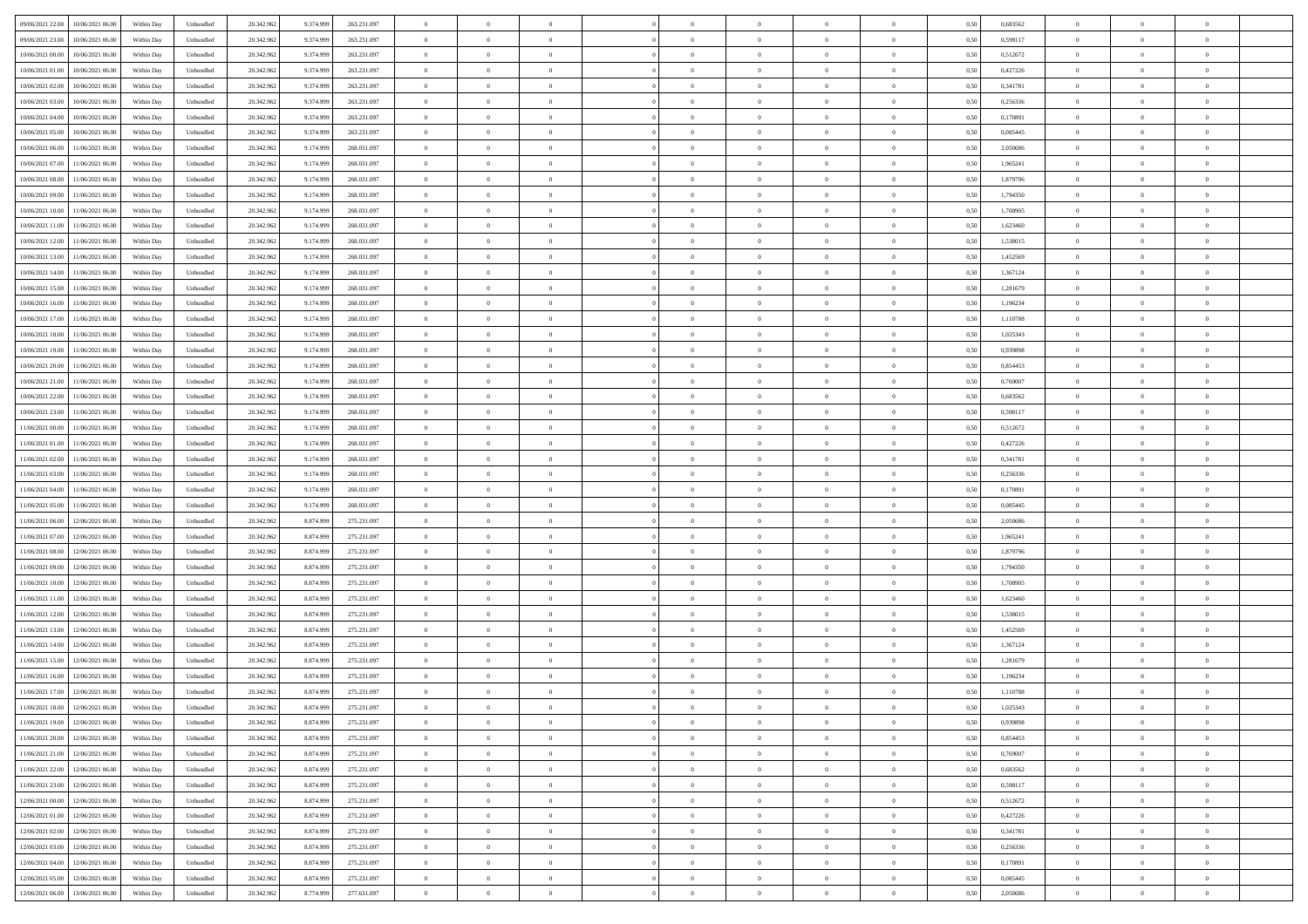| 09/06/2021 22.00<br>10/06/2021 06:00         | Within Day | Unbundled | 20.342.962 | 9.374.999 | 263.231.097 | $\overline{0}$ | $\overline{0}$ |                | $\overline{0}$ | $\theta$       |                | $\theta$       | 0,50 | 0,683562 | $\theta$       | $\theta$       | $\overline{0}$ |  |
|----------------------------------------------|------------|-----------|------------|-----------|-------------|----------------|----------------|----------------|----------------|----------------|----------------|----------------|------|----------|----------------|----------------|----------------|--|
| 09/06/2021 23:00<br>10/06/2021 06:00         | Within Day | Unbundled | 20.342.96  | 9.374.99  | 263.231.097 | $\bf{0}$       | $\overline{0}$ | $\bf{0}$       | $\overline{0}$ | $\bf{0}$       | $\overline{0}$ | $\bf{0}$       | 0,50 | 0,598117 | $\,$ 0 $\,$    | $\bf{0}$       | $\overline{0}$ |  |
| 10/06/2021 00:00<br>10/06/2021 06:00         | Within Day | Unbundled | 20.342.962 | 9.374.999 | 263.231.097 | $\overline{0}$ | $\bf{0}$       | $\overline{0}$ | $\bf{0}$       | $\bf{0}$       | $\overline{0}$ | $\bf{0}$       | 0.50 | 0,512672 | $\bf{0}$       | $\overline{0}$ | $\overline{0}$ |  |
| 10/06/2021 01:00                             |            |           | 20.342.962 |           |             | $\overline{0}$ | $\overline{0}$ | $\overline{0}$ | $\theta$       | $\theta$       | $\overline{0}$ | $\bf{0}$       |      | 0,427226 | $\theta$       | $\theta$       | $\overline{0}$ |  |
| 10/06/2021 06:00                             | Within Day | Unbundled |            | 9.374.999 | 263.231.097 |                |                |                |                |                |                |                | 0,50 |          |                |                |                |  |
| 10/06/2021 02:00<br>10/06/2021 06:00         | Within Day | Unbundled | 20.342.96  | 9.374.99  | 263.231.097 | $\overline{0}$ | $\overline{0}$ | $\overline{0}$ | $\overline{0}$ | $\theta$       | $\overline{0}$ | $\bf{0}$       | 0,50 | 0,341781 | $\,$ 0 $\,$    | $\bf{0}$       | $\overline{0}$ |  |
| 10/06/2021 03:00<br>10/06/2021 06:00         | Within Day | Unbundled | 20.342.962 | 9.374.999 | 263.231.097 | $\overline{0}$ | $\overline{0}$ | $\overline{0}$ | $\bf{0}$       | $\overline{0}$ | $\theta$       | $\bf{0}$       | 0.50 | 0.256336 | $\,$ 0 $\,$    | $\theta$       | $\overline{0}$ |  |
| 10/06/2021 04:00<br>10/06/2021 06:00         | Within Day | Unbundled | 20.342.962 | 9.374.999 | 263.231.097 | $\overline{0}$ | $\overline{0}$ | $\overline{0}$ | $\overline{0}$ | $\theta$       | $\overline{0}$ | $\bf{0}$       | 0,50 | 0,170891 | $\theta$       | $\theta$       | $\overline{0}$ |  |
|                                              |            |           |            |           |             |                |                |                |                |                |                |                |      |          |                |                |                |  |
| 10/06/2021 05:00<br>10/06/2021 06:00         | Within Day | Unbundled | 20.342.96  | 9.374.999 | 263.231.097 | $\bf{0}$       | $\overline{0}$ | $\overline{0}$ | $\overline{0}$ | $\theta$       | $\overline{0}$ | $\bf{0}$       | 0,50 | 0,085445 | $\,$ 0 $\,$    | $\bf{0}$       | $\overline{0}$ |  |
| 10/06/2021 06:00<br>11/06/2021 06:00         | Within Day | Unbundled | 20.342.96  | 9.174.999 | 268.031.097 | $\overline{0}$ | $\bf{0}$       | $\overline{0}$ | $\bf{0}$       | $\overline{0}$ | $\overline{0}$ | $\bf{0}$       | 0.50 | 2.050686 | $\bf{0}$       | $\overline{0}$ | $\overline{0}$ |  |
| 10/06/2021 07:00<br>11/06/2021 06:00         | Within Day | Unbundled | 20.342.962 | 9.174.999 | 268.031.097 | $\overline{0}$ | $\bf{0}$       | $\overline{0}$ | $\overline{0}$ | $\overline{0}$ | $\overline{0}$ | $\bf{0}$       | 0,50 | 1,965241 | $\,$ 0 $\,$    | $\theta$       | $\overline{0}$ |  |
| 10/06/2021 08:00<br>11/06/2021 06:00         | Within Day | Unbundled | 20.342.96  | 9.174.999 | 268.031.097 | $\bf{0}$       | $\overline{0}$ | $\bf{0}$       | $\bf{0}$       | $\bf{0}$       | $\overline{0}$ | $\bf{0}$       | 0,50 | 1,879796 | $\,$ 0 $\,$    | $\bf{0}$       | $\overline{0}$ |  |
|                                              |            |           |            |           |             |                |                |                |                |                |                |                |      |          |                |                |                |  |
| 10/06/2021 09:00<br>11/06/2021 06:00         | Within Day | Unbundled | 20.342.962 | 9.174.999 | 268.031.097 | $\overline{0}$ | $\bf{0}$       | $\overline{0}$ | $\bf{0}$       | $\bf{0}$       | $\overline{0}$ | $\bf{0}$       | 0.50 | 1,794350 | $\bf{0}$       | $\overline{0}$ | $\bf{0}$       |  |
| 10/06/2021 10:00<br>11/06/2021 06:00         | Within Day | Unbundled | 20.342.96  | 9.174.999 | 268.031.097 | $\overline{0}$ | $\overline{0}$ | $\overline{0}$ | $\overline{0}$ | $\theta$       | $\overline{0}$ | $\overline{0}$ | 0,50 | 1,708905 | $\,$ 0 $\,$    | $\theta$       | $\overline{0}$ |  |
| 10/06/2021 11:00<br>11/06/2021 06:00         | Within Day | Unbundled | 20.342.96  | 9.174.99  | 268.031.097 | $\bf{0}$       | $\overline{0}$ | $\bf{0}$       | $\overline{0}$ | $\theta$       | $\overline{0}$ | $\bf{0}$       | 0,50 | 1,623460 | $\,$ 0 $\,$    | $\bf{0}$       | $\overline{0}$ |  |
|                                              |            |           |            |           |             |                |                |                |                |                |                |                |      |          |                |                |                |  |
| 10/06/2021 12:00<br>11/06/2021 06:00         | Within Day | Unbundled | 20.342.962 | 9.174.999 | 268.031.097 | $\overline{0}$ | $\overline{0}$ | $\overline{0}$ | $\bf{0}$       | $\theta$       | $\Omega$       | $\bf{0}$       | 0.50 | 1.538015 | $\,$ 0 $\,$    | $\theta$       | $\overline{0}$ |  |
| 10/06/2021 13:00<br>11/06/2021 06:00         | Within Day | Unbundled | 20.342.962 | 9.174.999 | 268.031.097 | $\overline{0}$ | $\overline{0}$ | $\overline{0}$ | $\overline{0}$ | $\overline{0}$ | $\overline{0}$ | $\bf{0}$       | 0,50 | 1,452569 | $\theta$       | $\theta$       | $\overline{0}$ |  |
| 10/06/2021 14:00<br>11/06/2021 06:00         | Within Day | Unbundled | 20.342.96  | 9.174.999 | 268.031.097 | $\bf{0}$       | $\overline{0}$ | $\overline{0}$ | $\overline{0}$ | $\theta$       | $\overline{0}$ | $\bf{0}$       | 0,50 | 1,367124 | $\,$ 0 $\,$    | $\bf{0}$       | $\overline{0}$ |  |
| 10/06/2021 15:00<br>11/06/2021 06:00         | Within Day | Unbundled | 20.342.96  | 9.174.999 | 268.031.097 | $\overline{0}$ | $\bf{0}$       | $\overline{0}$ | $\bf{0}$       | $\overline{0}$ | $\overline{0}$ | $\bf{0}$       | 0.50 | 1.281679 | $\bf{0}$       | $\overline{0}$ | $\overline{0}$ |  |
|                                              |            |           |            |           |             | $\overline{0}$ | $\overline{0}$ | $\overline{0}$ | $\overline{0}$ | $\overline{0}$ | $\overline{0}$ |                |      |          | $\,$ 0 $\,$    | $\theta$       | $\overline{0}$ |  |
| 10/06/2021 16:00<br>11/06/2021 06:00         | Within Day | Unbundled | 20.342.962 | 9.174.999 | 268.031.097 |                |                |                |                |                |                | $\bf{0}$       | 0,50 | 1,196234 |                |                |                |  |
| 10/06/2021 17:00<br>11/06/2021 06:00         | Within Day | Unbundled | 20.342.96  | 9.174.999 | 268.031.097 | $\bf{0}$       | $\bf{0}$       | $\bf{0}$       | $\bf{0}$       | $\overline{0}$ | $\overline{0}$ | $\bf{0}$       | 0,50 | 1,110788 | $\,$ 0 $\,$    | $\bf{0}$       | $\overline{0}$ |  |
| 10/06/2021 18:00<br>11/06/2021 06:00         | Within Day | Unbundled | 20.342.962 | 9.174.999 | 268.031.097 | $\overline{0}$ | $\bf{0}$       | $\overline{0}$ | $\bf{0}$       | $\bf{0}$       | $\overline{0}$ | $\bf{0}$       | 0.50 | 1.025343 | $\bf{0}$       | $\overline{0}$ | $\bf{0}$       |  |
| 10/06/2021 19:00<br>11/06/2021 06:00         | Within Day | Unbundled | 20.342.962 | 9.174.999 | 268.031.097 | $\overline{0}$ | $\overline{0}$ | $\overline{0}$ | $\theta$       | $\theta$       | $\overline{0}$ | $\bf{0}$       | 0,50 | 0,939898 | $\theta$       | $\theta$       | $\overline{0}$ |  |
|                                              |            |           |            |           |             |                | $\overline{0}$ |                |                | $\bf{0}$       | $\overline{0}$ |                |      |          | $\,$ 0 $\,$    | $\bf{0}$       | $\overline{0}$ |  |
| 10/06/2021 20:00<br>11/06/2021 06:00         | Within Day | Unbundled | 20.342.96  | 9.174.999 | 268.031.097 | $\bf{0}$       |                | $\bf{0}$       | $\bf{0}$       |                |                | $\bf{0}$       | 0,50 | 0,854453 |                |                |                |  |
| 10/06/2021 21:00<br>11/06/2021 06:00         | Within Day | Unbundled | 20.342.962 | 9.174.999 | 268.031.097 | $\overline{0}$ | $\overline{0}$ | $\overline{0}$ | $\overline{0}$ | $\overline{0}$ | $\Omega$       | $\bf{0}$       | 0.50 | 0.769007 | $\bf{0}$       | $\theta$       | $\overline{0}$ |  |
| 10/06/2021 22:00<br>11/06/2021 06:00         | Within Day | Unbundled | 20.342.962 | 9.174.999 | 268.031.097 | $\overline{0}$ | $\overline{0}$ | $\overline{0}$ | $\overline{0}$ | $\theta$       | $\overline{0}$ | $\bf{0}$       | 0,50 | 0,683562 | $\theta$       | $\theta$       | $\overline{0}$ |  |
| 10/06/2021 23:00<br>11/06/2021 06:00         | Within Day | Unbundled | 20.342.96  | 9.174.999 | 268.031.097 | $\bf{0}$       | $\overline{0}$ | $\bf{0}$       | $\overline{0}$ | $\theta$       | $\overline{0}$ | $\bf{0}$       | 0,50 | 0,598117 | $\,$ 0 $\,$    | $\bf{0}$       | $\overline{0}$ |  |
| 11/06/2021 00:00<br>11/06/2021 06:00         | Within Day | Unbundled | 20.342.96  | 9.174.999 | 268.031.097 | $\overline{0}$ | $\bf{0}$       | $\overline{0}$ | $\bf{0}$       | $\overline{0}$ | $\overline{0}$ | $\bf{0}$       | 0.50 | 0,512672 | $\bf{0}$       | $\overline{0}$ | $\overline{0}$ |  |
|                                              |            |           |            |           |             |                |                |                |                |                |                |                |      |          |                |                |                |  |
| 11/06/2021 01:00<br>11/06/2021 06:00         | Within Day | Unbundled | 20.342.962 | 9.174.999 | 268.031.097 | $\overline{0}$ | $\overline{0}$ | $\overline{0}$ | $\overline{0}$ | $\overline{0}$ | $\overline{0}$ | $\bf{0}$       | 0,50 | 0,427226 | $\theta$       | $\theta$       | $\overline{0}$ |  |
| 11/06/2021 02:00<br>11/06/2021 06:00         | Within Day | Unbundled | 20.342.96  | 9.174.999 | 268.031.097 | $\bf{0}$       | $\bf{0}$       | $\bf{0}$       | $\bf{0}$       | $\overline{0}$ | $\overline{0}$ | $\bf{0}$       | 0,50 | 0,341781 | $\,$ 0 $\,$    | $\bf{0}$       | $\overline{0}$ |  |
| 11/06/2021 03:00<br>11/06/2021 06:00         | Within Day | Unbundled | 20.342.962 | 9.174.999 | 268.031.097 | $\overline{0}$ | $\bf{0}$       | $\overline{0}$ | $\bf{0}$       | $\bf{0}$       | $\overline{0}$ | $\bf{0}$       | 0.50 | 0,256336 | $\bf{0}$       | $\overline{0}$ | $\bf{0}$       |  |
| 11/06/2021 04:00<br>11/06/2021 06:00         | Within Day | Unbundled | 20.342.962 | 9.174.999 | 268,031,097 | $\overline{0}$ | $\overline{0}$ | $\overline{0}$ | $\overline{0}$ | $\overline{0}$ | $\overline{0}$ | $\bf{0}$       | 0.5( | 0,170891 | $\theta$       | $\theta$       | $\overline{0}$ |  |
|                                              |            |           |            |           |             |                |                |                |                |                |                |                |      |          |                |                |                |  |
| 11/06/2021 05:00<br>11/06/2021 06:00         | Within Day | Unbundled | 20.342.96  | 9.174.99  | 268.031.097 | $\bf{0}$       | $\overline{0}$ | $\bf{0}$       | $\bf{0}$       | $\overline{0}$ | $\overline{0}$ | $\bf{0}$       | 0,50 | 0,085445 | $\,$ 0 $\,$    | $\bf{0}$       | $\overline{0}$ |  |
| 11/06/2021 06:00<br>12/06/2021 06:00         | Within Day | Unbundled | 20.342.962 | 8.874.999 | 275.231.097 | $\overline{0}$ | $\overline{0}$ | $\overline{0}$ | $\bf{0}$       | $\overline{0}$ | $\Omega$       | $\bf{0}$       | 0.50 | 2.050686 | $\,$ 0 $\,$    | $\theta$       | $\overline{0}$ |  |
| 11/06/2021 07:00<br>12/06/2021 06:00         | Within Dav | Unbundled | 20.342.962 | 8.874.999 | 275.231.097 | $\overline{0}$ | $\overline{0}$ | $\overline{0}$ | $\overline{0}$ | $\overline{0}$ | $\overline{0}$ | $\overline{0}$ | 0.5( | 1,965241 | $\theta$       | $\theta$       | $\overline{0}$ |  |
| 11/06/2021 08:00<br>12/06/2021 06:00         | Within Day | Unbundled | 20.342.96  | 8.874.999 | 275.231.097 | $\bf{0}$       | $\overline{0}$ | $\bf{0}$       | $\overline{0}$ | $\bf{0}$       | $\overline{0}$ | $\bf{0}$       | 0,50 | 1,879796 | $\,$ 0 $\,$    | $\bf{0}$       | $\overline{0}$ |  |
| 12/06/2021 06:00                             |            | Unbundled | 20.342.96  | 8.874.999 | 275.231.097 |                | $\bf{0}$       | $\overline{0}$ |                | $\overline{0}$ | $\overline{0}$ |                | 0.50 | 1,794350 | $\bf{0}$       | $\overline{0}$ | $\overline{0}$ |  |
| 11/06/2021 09:00                             | Within Day |           |            |           |             | $\overline{0}$ |                |                | $\bf{0}$       |                |                | $\bf{0}$       |      |          |                |                |                |  |
| 11/06/2021 10:00<br>12/06/2021 06:00         | Within Dav | Unbundled | 20.342.962 | 8.874.999 | 275.231.097 | $\overline{0}$ | $\overline{0}$ | $\overline{0}$ | $\overline{0}$ | $\overline{0}$ | $\overline{0}$ | $\overline{0}$ | 0.50 | 1,708905 | $\theta$       | $\theta$       | $\overline{0}$ |  |
| 11/06/2021 11:00<br>12/06/2021 06:00         | Within Day | Unbundled | 20.342.96  | 8.874.99  | 275.231.097 | $\bf{0}$       | $\bf{0}$       | $\bf{0}$       | $\bf{0}$       | $\overline{0}$ | $\overline{0}$ | $\bf{0}$       | 0,50 | 1,623460 | $\,$ 0 $\,$    | $\bf{0}$       | $\overline{0}$ |  |
| 11/06/2021 12:00<br>12/06/2021 06:00         | Within Day | Unbundled | 20.342.962 | 8.874.999 | 275.231.097 | $\overline{0}$ | $\bf{0}$       | $\overline{0}$ | $\bf{0}$       | $\bf{0}$       | $\overline{0}$ | $\bf{0}$       | 0.50 | 1.538015 | $\bf{0}$       | $\overline{0}$ | $\overline{0}$ |  |
| 11/06/2021 13:00<br>12/06/2021 06:00         | Within Dav | Unbundled | 20.342.962 | 8.874.999 | 275.231.097 | $\overline{0}$ | $\overline{0}$ | $\overline{0}$ | $\overline{0}$ | $\theta$       | $\overline{0}$ | $\bf{0}$       | 0.5( | 1,452569 | $\theta$       | $\theta$       | $\overline{0}$ |  |
|                                              |            |           |            |           |             |                |                |                |                |                |                |                |      |          |                |                |                |  |
| 11/06/2021 14:00<br>12/06/2021 06:00         | Within Day | Unbundled | 20.342.96  | 8.874.99  | 275.231.097 | $\bf{0}$       | $\overline{0}$ | $\bf{0}$       | $\bf{0}$       | $\overline{0}$ | $\overline{0}$ | $\bf{0}$       | 0,50 | 1,367124 | $\,$ 0 $\,$    | $\bf{0}$       | $\overline{0}$ |  |
| 11/06/2021 15:00<br>12/06/2021 06:00         | Within Day | Unbundled | 20.342.962 | 8.874.999 | 275.231.097 | $\overline{0}$ | $\overline{0}$ | $\Omega$       | $\overline{0}$ | $\theta$       | $\theta$       | $\bf{0}$       | 0.50 | 1.281679 | $\bf{0}$       | $\theta$       | $\overline{0}$ |  |
| 11/06/2021 16:00<br>12/06/2021 06:00         | Within Dav | Unbundled | 20.342.962 | 8.874.999 | 275.231.097 | $\overline{0}$ | $\overline{0}$ | $\Omega$       | $\overline{0}$ | $\theta$       | $\Omega$       | $\overline{0}$ | 0.5( | 1,196234 | $\theta$       | $\theta$       | $\overline{0}$ |  |
| 11/06/2021 17:00<br>12/06/2021 06:00         | Within Day | Unbundled | 20.342.96  | 8.874.999 | 275.231.097 | $\bf{0}$       | $\bf{0}$       | $\overline{0}$ | $\bf{0}$       | $\bf{0}$       | $\overline{0}$ | $\bf{0}$       | 0,50 | 1,110788 | $\,$ 0 $\,$    | $\bf{0}$       | $\overline{0}$ |  |
|                                              |            |           |            |           |             |                |                |                |                |                |                |                |      |          |                |                |                |  |
| $11/06/2021\ 18.00 \qquad 12/06/2021\ 06.00$ | Within Day | Unbundled | 20.342.962 | 8.874.999 | 275.231.097 | $\overline{0}$ | $\Omega$       |                | $\Omega$       |                |                |                | 0,50 | 1,025343 | $\theta$       | $\overline{0}$ |                |  |
| 11/06/2021 19:00 12/06/2021 06:00            | Within Day | Unbundled | 20.342.962 | 8.874.999 | 275.231.097 | $\overline{0}$ | $\theta$       | $\Omega$       | $\theta$       | $\theta$       | $\overline{0}$ | $\bf{0}$       | 0,50 | 0,939898 | $\theta$       | $\theta$       | $\overline{0}$ |  |
| 11/06/2021 20:00<br>12/06/2021 06:00         | Within Day | Unbundled | 20.342.96  | 8.874.999 | 275.231.097 | $\overline{0}$ | $\bf{0}$       | $\overline{0}$ | $\overline{0}$ | $\bf{0}$       | $\overline{0}$ | $\bf{0}$       | 0,50 | 0,854453 | $\bf{0}$       | $\overline{0}$ | $\bf{0}$       |  |
| 11/06/2021 21:00 12/06/2021 06:00            | Within Day | Unbundled | 20.342.962 | 8.874.999 | 275.231.097 | $\overline{0}$ | $\bf{0}$       | $\overline{0}$ | $\overline{0}$ | $\overline{0}$ | $\overline{0}$ | $\,$ 0 $\,$    | 0.50 | 0.769007 | $\overline{0}$ | $\bf{0}$       | $\,$ 0 $\,$    |  |
|                                              |            |           |            |           |             |                |                |                |                |                |                |                |      |          |                |                |                |  |
| 11/06/2021 22:00 12/06/2021 06:00            | Within Day | Unbundled | 20.342.962 | 8.874.999 | 275.231.097 | $\overline{0}$ | $\overline{0}$ | $\overline{0}$ | $\overline{0}$ | $\overline{0}$ | $\overline{0}$ | $\bf{0}$       | 0,50 | 0,683562 | $\theta$       | $\theta$       | $\overline{0}$ |  |
| 11/06/2021 23:00<br>12/06/2021 06:00         | Within Day | Unbundled | 20.342.962 | 8.874.999 | 275.231.097 | $\overline{0}$ | $\bf{0}$       | $\overline{0}$ | $\bf{0}$       | $\overline{0}$ | $\overline{0}$ | $\bf{0}$       | 0,50 | 0,598117 | $\bf{0}$       | $\bf{0}$       | $\overline{0}$ |  |
| 12/06/2021 06:00<br>12/06/2021 00:00         | Within Day | Unbundled | 20.342.962 | 8.874.999 | 275.231.097 | $\overline{0}$ | $\bf{0}$       | $\overline{0}$ | $\overline{0}$ | $\overline{0}$ | $\overline{0}$ | $\bf{0}$       | 0.50 | 0,512672 | $\,$ 0 $\,$    | $\theta$       | $\overline{0}$ |  |
| 12/06/2021 01:00<br>12/06/2021 06:00         | Within Dav | Unbundled | 20.342.962 | 8.874.999 | 275.231.097 | $\overline{0}$ | $\overline{0}$ | $\overline{0}$ | $\overline{0}$ | $\overline{0}$ | $\overline{0}$ | $\bf{0}$       | 0,50 | 0,427226 | $\overline{0}$ | $\theta$       | $\overline{0}$ |  |
|                                              |            |           |            |           |             |                |                |                |                |                |                |                |      |          |                |                |                |  |
| 12/06/2021 02:00<br>12/06/2021 06:00         | Within Day | Unbundled | 20.342.96  | 8.874.999 | 275.231.097 | $\overline{0}$ | $\overline{0}$ | $\overline{0}$ | $\overline{0}$ | $\overline{0}$ | $\overline{0}$ | $\bf{0}$       | 0,50 | 0,341781 | $\bf{0}$       | $\,$ 0 $\,$    | $\overline{0}$ |  |
| 12/06/2021 03:00<br>12/06/2021 06:00         | Within Day | Unbundled | 20.342.962 | 8.874.999 | 275.231.097 | $\overline{0}$ | $\overline{0}$ | $\overline{0}$ | $\overline{0}$ | $\bf{0}$       | $\overline{0}$ | $\bf{0}$       | 0.50 | 0.256336 | $\overline{0}$ | $\,$ 0 $\,$    | $\,$ 0         |  |
| 12/06/2021 04:00 12/06/2021 06:00            | Within Dav | Unbundled | 20.342.962 | 8.874.999 | 275.231.097 | $\overline{0}$ | $\overline{0}$ | $\overline{0}$ | $\overline{0}$ | $\overline{0}$ | $\overline{0}$ | $\bf{0}$       | 0,50 | 0,170891 | $\overline{0}$ | $\theta$       | $\overline{0}$ |  |
| 12/06/2021 05:00<br>12/06/2021 06:00         | Within Day | Unbundled | 20.342.96  | 8.874.999 | 275.231.097 | $\overline{0}$ | $\bf{0}$       | $\overline{0}$ | $\bf{0}$       | $\overline{0}$ | $\overline{0}$ | $\bf{0}$       | 0,50 | 0,085445 | $\bf{0}$       | $\bf{0}$       | $\overline{0}$ |  |
|                                              |            |           |            |           |             |                |                |                |                |                |                |                |      |          |                |                |                |  |
| 12/06/2021 06:00 13/06/2021 06:00            | Within Day | Unbundled | 20.342.962 | 8.774.999 | 277.631.097 | $\overline{0}$ | $\bf{0}$       | $\overline{0}$ | $\overline{0}$ | $\,$ 0 $\,$    | $\overline{0}$ | $\bf{0}$       | 0,50 | 2,050686 | $\overline{0}$ | $\,$ 0 $\,$    | $\,$ 0 $\,$    |  |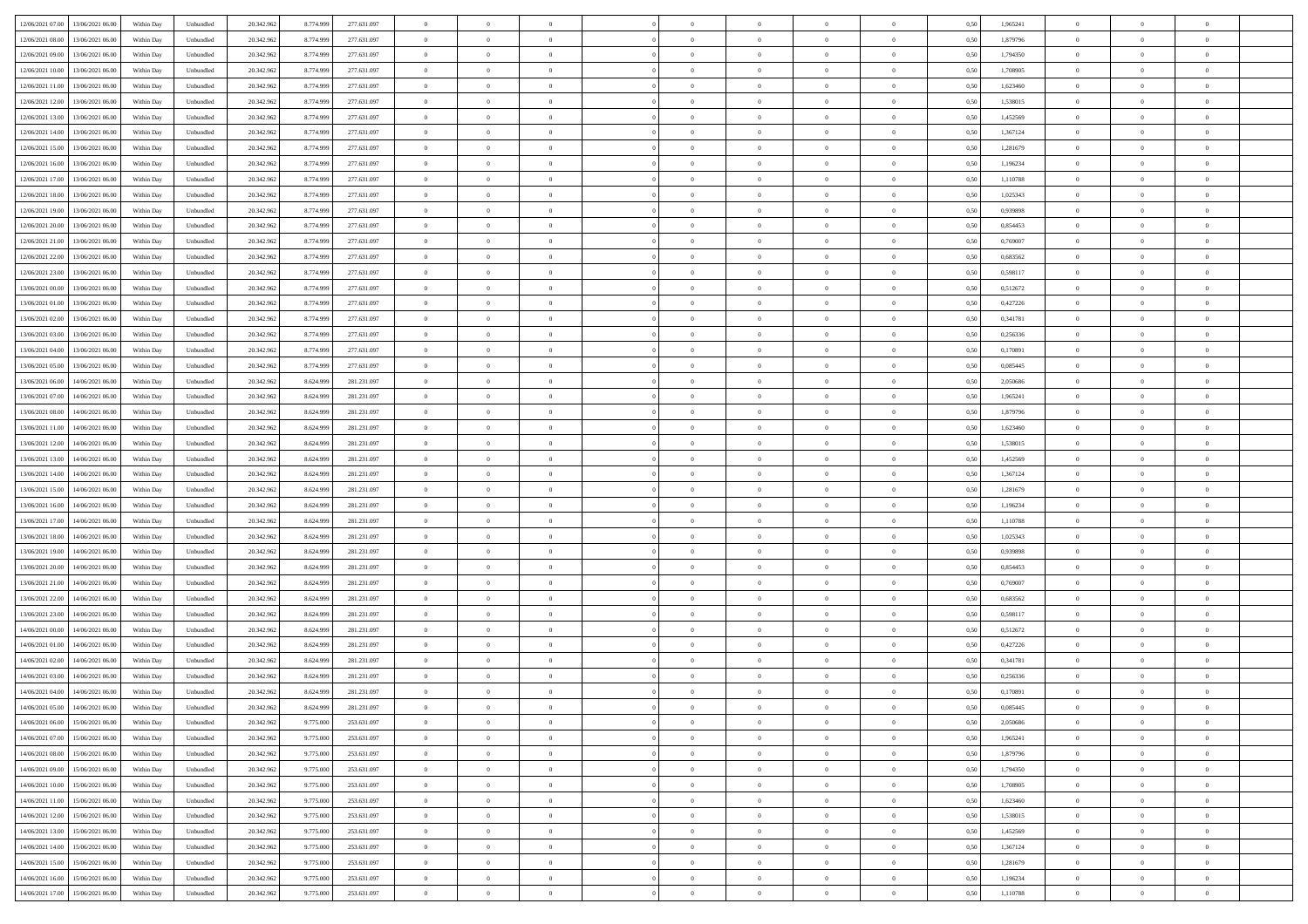| 12/06/2021 07:00 13/06/2021 06:00<br>20.342.962<br>Within Day<br>Unbundled<br>8.774.999<br>277.631.097<br>$\overline{0}$<br>$\overline{0}$<br>$\overline{0}$<br>$\theta$<br>$\theta$<br>12/06/2021 08:00<br>13/06/2021 06:00<br>Within Day<br>Unbundled<br>20.342.96<br>8.774.99<br>277.631.097<br>$\overline{0}$<br>$\bf{0}$<br>$\overline{0}$<br>$\bf{0}$<br>$\bf{0}$<br>$\bf{0}$<br>$\overline{0}$<br>12/06/2021 09:00<br>13/06/2021 06:00<br>Unbundled<br>20.342.962<br>8.774.999<br>277.631.097<br>$\overline{0}$<br>$\bf{0}$<br>$\bf{0}$<br>$\overline{0}$<br>$\bf{0}$<br>Within Day<br>$\overline{0}$<br>$\bf{0}$ |                  | $\theta$       | $\theta$       | $\overline{0}$ |  |
|--------------------------------------------------------------------------------------------------------------------------------------------------------------------------------------------------------------------------------------------------------------------------------------------------------------------------------------------------------------------------------------------------------------------------------------------------------------------------------------------------------------------------------------------------------------------------------------------------------------------------|------------------|----------------|----------------|----------------|--|
|                                                                                                                                                                                                                                                                                                                                                                                                                                                                                                                                                                                                                          | 1,965241<br>0,50 |                |                |                |  |
|                                                                                                                                                                                                                                                                                                                                                                                                                                                                                                                                                                                                                          | 0,50<br>1,879796 | $\,$ 0 $\,$    | $\bf{0}$       | $\overline{0}$ |  |
|                                                                                                                                                                                                                                                                                                                                                                                                                                                                                                                                                                                                                          | 1,794350<br>0.50 | $\bf{0}$       | $\overline{0}$ | $\overline{0}$ |  |
| 12/06/2021 10:00<br>20.342.962<br>$\overline{0}$<br>$\overline{0}$<br>$\overline{0}$<br>$\theta$<br>$\theta$<br>$\overline{0}$<br>$\bf{0}$                                                                                                                                                                                                                                                                                                                                                                                                                                                                               |                  | $\theta$       | $\theta$       | $\overline{0}$ |  |
| 13/06/2021 06:00<br>Within Day<br>Unbundled<br>8.774.999<br>277.631.097                                                                                                                                                                                                                                                                                                                                                                                                                                                                                                                                                  | 0,50<br>1,708905 |                |                |                |  |
| 12/06/2021 11:00<br>13/06/2021 06:00<br>Within Day<br>Unbundled<br>20.342.96<br>8.774.99<br>277.631.097<br>$\bf{0}$<br>$\bf{0}$<br>$\theta$<br>$\bf{0}$<br>$\overline{0}$<br>$\theta$<br>$\overline{0}$                                                                                                                                                                                                                                                                                                                                                                                                                  | 0,50<br>1,623460 | $\,$ 0 $\,$    | $\bf{0}$       | $\overline{0}$ |  |
| 12/06/2021 12:00<br>13/06/2021 06:00<br>Unbundled<br>20.342.962<br>8.774.999<br>277.631.097<br>$\overline{0}$<br>$\bf{0}$<br>Within Day<br>$\overline{0}$<br>$\overline{0}$<br>$\overline{0}$<br>$\bf{0}$<br>$\Omega$                                                                                                                                                                                                                                                                                                                                                                                                    | 0.50<br>1.538015 | $\,$ 0 $\,$    | $\theta$       | $\overline{0}$ |  |
| 12/06/2021 13:00<br>13/06/2021 06:00<br>Within Day<br>Unbundled<br>20.342.962<br>8.774.999<br>277.631.097<br>$\overline{0}$<br>$\overline{0}$<br>$\overline{0}$<br>$\overline{0}$<br>$\theta$<br>$\overline{0}$<br>$\bf{0}$                                                                                                                                                                                                                                                                                                                                                                                              | 0,50<br>1,452569 | $\theta$       | $\theta$       | $\overline{0}$ |  |
|                                                                                                                                                                                                                                                                                                                                                                                                                                                                                                                                                                                                                          |                  |                |                |                |  |
| 12/06/2021 14:00<br>13/06/2021 06:00<br>Within Day<br>Unbundled<br>20.342.96<br>8.774.99<br>277.631.097<br>$\overline{0}$<br>$\theta$<br>$\overline{0}$<br>$\bf{0}$<br>$\bf{0}$<br>$\overline{0}$<br>$\overline{0}$                                                                                                                                                                                                                                                                                                                                                                                                      | 0,50<br>1,367124 | $\,$ 0 $\,$    | $\bf{0}$       | $\overline{0}$ |  |
| 12/06/2021 15:00<br>13/06/2021 06:00<br>Unbundled<br>20.342.96<br>8.774.999<br>277.631.097<br>$\overline{0}$<br>$\bf{0}$<br>$\overline{0}$<br>$\overline{0}$<br>$\bf{0}$<br>Within Day<br>$\overline{0}$<br>$\bf{0}$                                                                                                                                                                                                                                                                                                                                                                                                     | 0.50<br>1.281679 | $\bf{0}$       | $\theta$       | $\overline{0}$ |  |
| 12/06/2021 16:00<br>13/06/2021 06:00<br>Within Day<br>Unbundled<br>20.342.962<br>8.774.999<br>277.631.097<br>$\overline{0}$<br>$\bf{0}$<br>$\overline{0}$<br>$\overline{0}$<br>$\overline{0}$<br>$\overline{0}$<br>$\bf{0}$                                                                                                                                                                                                                                                                                                                                                                                              | 0,50<br>1,196234 | $\,$ 0 $\,$    | $\theta$       | $\overline{0}$ |  |
|                                                                                                                                                                                                                                                                                                                                                                                                                                                                                                                                                                                                                          |                  |                |                |                |  |
| 12/06/2021 17:00<br>13/06/2021 06:00<br>Within Day<br>Unbundled<br>20.342.96<br>8.774.999<br>277.631.097<br>$\bf{0}$<br>$\overline{0}$<br>$\bf{0}$<br>$\bf{0}$<br>$\bf{0}$<br>$\overline{0}$<br>$\overline{0}$                                                                                                                                                                                                                                                                                                                                                                                                           | 0,50<br>1,110788 | $\,$ 0 $\,$    | $\bf{0}$       | $\overline{0}$ |  |
| 12/06/2021 18:00<br>13/06/2021 06:00<br>Unbundled<br>20.342.962<br>8.774.999<br>277.631.097<br>$\overline{0}$<br>$\bf{0}$<br>$\bf{0}$<br>$\overline{0}$<br>$\bf{0}$<br>Within Day<br>$\overline{0}$<br>$\bf{0}$                                                                                                                                                                                                                                                                                                                                                                                                          | 1.025343<br>0.50 | $\bf{0}$       | $\overline{0}$ | $\overline{0}$ |  |
| 12/06/2021 19:00<br>13/06/2021 06:00<br>20.342.96<br>$\overline{0}$<br>Within Day<br>Unbundled<br>8.774.999<br>277.631.097<br>$\overline{0}$<br>$\overline{0}$<br>$\overline{0}$<br>$\theta$<br>$\overline{0}$<br>$\overline{0}$                                                                                                                                                                                                                                                                                                                                                                                         | 0,50<br>0,939898 | $\,$ 0 $\,$    | $\theta$       | $\overline{0}$ |  |
| 12/06/2021 20:00<br>13/06/2021 06:00<br>Within Day<br>Unbundled<br>20.342.96<br>8.774.99<br>277.631.097<br>$\bf{0}$<br>$\bf{0}$<br>$\theta$<br>$\bf{0}$<br>$\overline{0}$<br>$\theta$<br>$\overline{0}$                                                                                                                                                                                                                                                                                                                                                                                                                  | 0,50<br>0,854453 | $\bf{0}$       | $\bf{0}$       | $\overline{0}$ |  |
|                                                                                                                                                                                                                                                                                                                                                                                                                                                                                                                                                                                                                          |                  |                |                |                |  |
| 12/06/2021 21:00<br>13/06/2021 06:00<br>Unbundled<br>20.342.962<br>8.774.999<br>277.631.097<br>$\theta$<br>$\bf{0}$<br>Within Day<br>$\overline{0}$<br>$\overline{0}$<br>$\overline{0}$<br>$\bf{0}$<br>$\Omega$                                                                                                                                                                                                                                                                                                                                                                                                          | 0.50<br>0.769007 | $\theta$       | $\theta$       | $\overline{0}$ |  |
| 12/06/2021 22:00<br>20.342.962<br>13/06/2021 06:00<br>Within Day<br>Unbundled<br>8.774.999<br>277.631.097<br>$\overline{0}$<br>$\overline{0}$<br>$\overline{0}$<br>$\overline{0}$<br>$\theta$<br>$\overline{0}$<br>$\bf{0}$                                                                                                                                                                                                                                                                                                                                                                                              | 0,50<br>0,683562 | $\theta$       | $\theta$       | $\overline{0}$ |  |
| 12/06/2021 23:00<br>13/06/2021 06:00<br>Within Day<br>Unbundled<br>20.342.96<br>8.774.999<br>277.631.097<br>$\bf{0}$<br>$\overline{0}$<br>$\theta$<br>$\overline{0}$<br>$\bf{0}$<br>$\overline{0}$<br>$\overline{0}$                                                                                                                                                                                                                                                                                                                                                                                                     | 0,50<br>0,598117 | $\,$ 0 $\,$    | $\bf{0}$       | $\overline{0}$ |  |
| 13/06/2021 00:00<br>13/06/2021 06:00<br>Unbundled<br>20.342.96<br>8.774.999<br>277.631.097<br>$\overline{0}$<br>$\bf{0}$<br>$\overline{0}$<br>$\overline{0}$<br>$\bf{0}$<br>Within Day<br>$\overline{0}$<br>$\bf{0}$                                                                                                                                                                                                                                                                                                                                                                                                     | 0.50<br>0,512672 | $\bf{0}$       | $\overline{0}$ | $\overline{0}$ |  |
|                                                                                                                                                                                                                                                                                                                                                                                                                                                                                                                                                                                                                          |                  |                |                |                |  |
| 13/06/2021 01:00<br>13/06/2021 06:00<br>Within Day<br>Unbundled<br>20.342.962<br>8.774.999<br>277.631.097<br>$\bf{0}$<br>$\overline{0}$<br>$\overline{0}$<br>$\overline{0}$<br>$\overline{0}$<br>$\overline{0}$<br>$\bf{0}$                                                                                                                                                                                                                                                                                                                                                                                              | 0,50<br>0,427226 | $\,$ 0 $\,$    | $\theta$       | $\overline{0}$ |  |
| 13/06/2021 02:00<br>13/06/2021 06:00<br>Within Day<br>Unbundled<br>20.342.96<br>8.774.99<br>277.631.097<br>$\bf{0}$<br>$\overline{0}$<br>$\bf{0}$<br>$\overline{0}$<br>$\overline{0}$<br>$\bf{0}$<br>$\bf{0}$                                                                                                                                                                                                                                                                                                                                                                                                            | 0,50<br>0,341781 | $\,$ 0 $\,$    | $\bf{0}$       | $\overline{0}$ |  |
| $13/06/2021\ 03.00$<br>13/06/2021 06:00<br>Unbundled<br>20.342.962<br>8.774.999<br>277.631.097<br>$\overline{0}$<br>$\bf{0}$<br>$\bf{0}$<br>$\overline{0}$<br>$\bf{0}$<br>Within Day<br>$\overline{0}$<br>$\bf{0}$                                                                                                                                                                                                                                                                                                                                                                                                       | 0,256336<br>0.50 | $\bf{0}$       | $\overline{0}$ | $\overline{0}$ |  |
| 13/06/2021 04:00<br>13/06/2021 06:00<br>20.342.962<br>$\overline{0}$<br>Within Day<br>Unbundled<br>8.774.999<br>277.631.097<br>$\overline{0}$<br>$\overline{0}$<br>$\theta$<br>$\theta$<br>$\overline{0}$<br>$\bf{0}$                                                                                                                                                                                                                                                                                                                                                                                                    | 0,170891<br>0,50 | $\theta$       | $\theta$       | $\overline{0}$ |  |
|                                                                                                                                                                                                                                                                                                                                                                                                                                                                                                                                                                                                                          |                  |                |                |                |  |
| 13/06/2021 05:00<br>13/06/2021 06:00<br>Within Day<br>Unbundled<br>20.342.96<br>8.774.99<br>277.631.097<br>$\overline{0}$<br>$\bf{0}$<br>$\bf{0}$<br>$\bf{0}$<br>$\bf{0}$<br>$\overline{0}$<br>$\overline{0}$                                                                                                                                                                                                                                                                                                                                                                                                            | 0,50<br>0,085445 | $\,$ 0 $\,$    | $\bf{0}$       | $\overline{0}$ |  |
| 13/06/2021 06:00<br>14/06/2021 06:00<br>20.342.962<br>281.231.097<br>$\overline{0}$<br>$\bf{0}$<br>Within Day<br>Unbundled<br>8.624.999<br>$\overline{0}$<br>$\overline{0}$<br>$\overline{0}$<br>$\overline{0}$<br>$\Omega$                                                                                                                                                                                                                                                                                                                                                                                              | 0.50<br>2.050686 | $\,$ 0 $\,$    | $\theta$       | $\overline{0}$ |  |
| 13/06/2021 07:00<br>14/06/2021 06.00<br>Within Day<br>Unbundled<br>20.342.962<br>8.624.999<br>281.231.097<br>$\overline{0}$<br>$\overline{0}$<br>$\overline{0}$<br>$\overline{0}$<br>$\theta$<br>$\overline{0}$<br>$\bf{0}$                                                                                                                                                                                                                                                                                                                                                                                              | 0,50<br>1,965241 | $\,$ 0 $\,$    | $\theta$       | $\overline{0}$ |  |
| 13/06/2021 08:00<br>14/06/2021 06.00<br>Within Day<br>Unbundled<br>20.342.96<br>8.624.99<br>281.231.097<br>$\bf{0}$<br>$\overline{0}$<br>$\bf{0}$<br>$\theta$<br>$\overline{0}$<br>$\bf{0}$<br>$\overline{0}$                                                                                                                                                                                                                                                                                                                                                                                                            | 0,50<br>1,879796 | $\,$ 0 $\,$    | $\bf{0}$       | $\overline{0}$ |  |
|                                                                                                                                                                                                                                                                                                                                                                                                                                                                                                                                                                                                                          |                  |                |                |                |  |
| 13/06/2021 11:00<br>14/06/2021 06:00<br>Unbundled<br>20.342.96<br>281.231.097<br>$\overline{0}$<br>$\bf{0}$<br>$\overline{0}$<br>$\overline{0}$<br>$\bf{0}$<br>Within Day<br>8.624.999<br>$\overline{0}$<br>$\bf{0}$                                                                                                                                                                                                                                                                                                                                                                                                     | 0.50<br>1.623460 | $\bf{0}$       | $\overline{0}$ | $\overline{0}$ |  |
| 13/06/2021 12:00<br>14/06/2021 06:00<br>20.342.962<br>Within Day<br>Unbundled<br>8.624.999<br>281.231.097<br>$\overline{0}$<br>$\overline{0}$<br>$\overline{0}$<br>$\overline{0}$<br>$\overline{0}$<br>$\overline{0}$<br>$\bf{0}$                                                                                                                                                                                                                                                                                                                                                                                        | 0,50<br>1,538015 | $\theta$       | $\theta$       | $\overline{0}$ |  |
| 13/06/2021 13:00<br>14/06/2021 06.00<br>Within Day<br>Unbundled<br>20.342.96<br>8.624.999<br>281.231.097<br>$\bf{0}$<br>$\bf{0}$<br>$\overline{0}$<br>$\overline{0}$<br>$\bf{0}$<br>$\bf{0}$<br>$\bf{0}$                                                                                                                                                                                                                                                                                                                                                                                                                 | 0,50<br>1,452569 | $\,$ 0 $\,$    | $\bf{0}$       | $\overline{0}$ |  |
| 13/06/2021 14:00<br>14/06/2021 06:00<br>Unbundled<br>20.342.962<br>281.231.097<br>$\overline{0}$<br>$\bf{0}$<br>$\bf{0}$<br>$\overline{0}$<br>$\bf{0}$<br>Within Day<br>8.624.999<br>$\overline{0}$<br>$\bf{0}$                                                                                                                                                                                                                                                                                                                                                                                                          | 1.367124<br>0.50 | $\bf{0}$       | $\overline{0}$ | $\overline{0}$ |  |
|                                                                                                                                                                                                                                                                                                                                                                                                                                                                                                                                                                                                                          |                  |                |                |                |  |
| 13/06/2021 15:00<br>14/06/2021 06:00<br>20.342.962<br>$\overline{0}$<br>$\overline{0}$<br>$\overline{0}$<br>$\bf{0}$<br>Within Day<br>Unbundled<br>8.624.999<br>281.231.097<br>$\overline{0}$<br>$\overline{0}$<br>$\overline{0}$                                                                                                                                                                                                                                                                                                                                                                                        | 1,281679<br>0.5( | $\theta$       | $\theta$       | $\overline{0}$ |  |
| 13/06/2021 16:00<br>14/06/2021 06.00<br>Within Day<br>Unbundled<br>20.342.96<br>8.624.99<br>281.231.097<br>$\bf{0}$<br>$\overline{0}$<br>$\overline{0}$<br>$\overline{0}$<br>$\bf{0}$<br>$\bf{0}$<br>$\overline{0}$                                                                                                                                                                                                                                                                                                                                                                                                      | 0,50<br>1,196234 | $\,$ 0 $\,$    | $\bf{0}$       | $\overline{0}$ |  |
| 13/06/2021 17:00<br>14/06/2021 06:00<br>Unbundled<br>20.342.962<br>281.231.097<br>$\bf{0}$<br>$\bf{0}$<br>Within Day<br>8.624.999<br>$\overline{0}$<br>$\overline{0}$<br>$\overline{0}$<br>$\bf{0}$<br>$\Omega$                                                                                                                                                                                                                                                                                                                                                                                                          | 1.110788<br>0.50 | $\,$ 0 $\,$    | $\theta$       | $\overline{0}$ |  |
| 13/06/2021 18:00<br>14/06/2021 06:00<br>Unbundled<br>20.342.962<br>8.624.999<br>281.231.097<br>$\overline{0}$<br>$\overline{0}$<br>Within Dav<br>$\overline{0}$<br>$\overline{0}$<br>$\theta$<br>$\overline{0}$<br>$\overline{0}$                                                                                                                                                                                                                                                                                                                                                                                        | 1,025343<br>0.5( | $\theta$       | $\theta$       | $\overline{0}$ |  |
|                                                                                                                                                                                                                                                                                                                                                                                                                                                                                                                                                                                                                          |                  |                |                |                |  |
| 13/06/2021 19:00<br>14/06/2021 06.00<br>Within Day<br>Unbundled<br>20.342.96<br>8.624.999<br>281.231.097<br>$\bf{0}$<br>$\overline{0}$<br>$\bf{0}$<br>$\bf{0}$<br>$\overline{0}$<br>$\bf{0}$<br>$\overline{0}$                                                                                                                                                                                                                                                                                                                                                                                                           | 0,50<br>0,939898 | $\,$ 0 $\,$    | $\bf{0}$       | $\overline{0}$ |  |
| 13/06/2021 20:00<br>14/06/2021 06:00<br>Unbundled<br>20.342.96<br>281.231.097<br>$\overline{0}$<br>$\bf{0}$<br>$\overline{0}$<br>$\overline{0}$<br>$\bf{0}$<br>Within Day<br>8.624.999<br>$\overline{0}$<br>$\bf{0}$                                                                                                                                                                                                                                                                                                                                                                                                     | 0.50<br>0.854453 | $\bf{0}$       | $\overline{0}$ | $\overline{0}$ |  |
| 13/06/2021 21:00<br>14/06/2021 06:00<br>20.342.962<br>$\overline{0}$<br>Within Dav<br>Unbundled<br>8.624.999<br>281.231.097<br>$\overline{0}$<br>$\overline{0}$<br>$\overline{0}$<br>$\overline{0}$<br>$\overline{0}$<br>$\overline{0}$                                                                                                                                                                                                                                                                                                                                                                                  | 0,769007<br>0.50 | $\theta$       | $\theta$       | $\overline{0}$ |  |
| 13/06/2021 22:00<br>14/06/2021 06.00<br>Within Day<br>Unbundled<br>20.342.96<br>8.624.99<br>281.231.097<br>$\bf{0}$<br>$\bf{0}$<br>$\bf{0}$<br>$\overline{0}$<br>$\overline{0}$<br>$\bf{0}$<br>$\bf{0}$                                                                                                                                                                                                                                                                                                                                                                                                                  | 0,50<br>0,683562 | $\,$ 0 $\,$    | $\bf{0}$       | $\overline{0}$ |  |
| 14/06/2021 06:00<br>Unbundled<br>$\bf{0}$<br>$\bf{0}$<br>$\overline{0}$<br>$\overline{0}$                                                                                                                                                                                                                                                                                                                                                                                                                                                                                                                                | 0.598117<br>0.50 | $\bf{0}$       | $\overline{0}$ | $\overline{0}$ |  |
| 13/06/2021 23:00<br>20.342.962<br>8.624.999<br>281.231.097<br>$\overline{0}$<br>$\bf{0}$<br>Within Day<br>$\bf{0}$                                                                                                                                                                                                                                                                                                                                                                                                                                                                                                       |                  |                |                |                |  |
|                                                                                                                                                                                                                                                                                                                                                                                                                                                                                                                                                                                                                          | 0,512672<br>0.5( | $\theta$       | $\theta$       | $\overline{0}$ |  |
| 14/06/2021 00:00<br>14/06/2021 06:00<br>20.342.962<br>8.624.999<br>$\overline{0}$<br>$\overline{0}$<br>$\theta$<br>$\bf{0}$<br>Within Dav<br>Unbundled<br>281.231.097<br>$\overline{0}$<br>$\overline{0}$<br>$\overline{0}$                                                                                                                                                                                                                                                                                                                                                                                              | 0,50<br>0,427226 | $\,$ 0 $\,$    | $\bf{0}$       | $\overline{0}$ |  |
| 14/06/2021 01:00<br>14/06/2021 06.00<br>Within Day<br>Unbundled<br>20.342.96<br>8.624.99<br>281.231.097<br>$\bf{0}$<br>$\overline{0}$<br>$\bf{0}$<br>$\overline{0}$<br>$\overline{0}$<br>$\bf{0}$<br>$\bf{0}$                                                                                                                                                                                                                                                                                                                                                                                                            |                  |                |                |                |  |
| 14/06/2021 02:00<br>14/06/2021 06.00<br>20.342.962<br>281.231.097<br>Within Day<br>Unbundled<br>8.624.999<br>$\overline{0}$<br>$\overline{0}$<br>$\Omega$<br>$\overline{0}$<br>$\theta$<br>$\theta$<br>$\bf{0}$                                                                                                                                                                                                                                                                                                                                                                                                          | 0.341781<br>0.50 | $\bf{0}$       | $\theta$       | $\overline{0}$ |  |
|                                                                                                                                                                                                                                                                                                                                                                                                                                                                                                                                                                                                                          |                  |                |                |                |  |
| 14/06/2021 03:00<br>14/06/2021 06:00<br>20.342.962<br>$\overline{0}$<br>Within Dav<br>Unbundled<br>8.624.999<br>281.231.097<br>$\overline{0}$<br>$\theta$<br>$\Omega$<br>$\overline{0}$<br>$\Omega$<br>$\overline{0}$                                                                                                                                                                                                                                                                                                                                                                                                    | 0,256336<br>0.5( | $\theta$       | $\theta$       | $\overline{0}$ |  |
| 14/06/2021 04:00<br>14/06/2021 06.00<br>Within Day<br>Unbundled<br>20.342.96<br>8.624.999<br>281.231.097<br>$\bf{0}$<br>$\bf{0}$<br>$\bf{0}$<br>$\bf{0}$<br>$\overline{0}$<br>$\bf{0}$<br>$\overline{0}$                                                                                                                                                                                                                                                                                                                                                                                                                 | 0,50<br>0,170891 | $\,$ 0 $\,$    | $\bf{0}$       | $\overline{0}$ |  |
| $14/06/2021\;05.00\qquad 14/06/2021\;06.00$<br>20.342.962<br>8.624.999<br>Within Day<br>Unbundled<br>281.231.097<br>$\overline{0}$<br>$\Omega$<br>$\Omega$                                                                                                                                                                                                                                                                                                                                                                                                                                                               | 0,50<br>0.085445 | $\theta$       | $\overline{0}$ |                |  |
| 14/06/2021 06:00 15/06/2021 06:00<br>Within Day<br>Unbundled<br>20.342.962<br>9.775.000<br>253.631.097<br>$\overline{0}$<br>$\theta$<br>$\theta$<br>$\overline{0}$<br>$\overline{0}$<br>$\bf{0}$<br>$\overline{0}$                                                                                                                                                                                                                                                                                                                                                                                                       | 0,50<br>2,050686 | $\theta$       | $\theta$       | $\overline{0}$ |  |
|                                                                                                                                                                                                                                                                                                                                                                                                                                                                                                                                                                                                                          |                  |                |                |                |  |
| 14/06/2021 07:00<br>15/06/2021 06:00<br>Within Day<br>Unbundled<br>20.342.96<br>9.775.000<br>253.631.097<br>$\overline{0}$<br>$\bf{0}$<br>$\overline{0}$<br>$\overline{0}$<br>$\bf{0}$<br>$\overline{0}$<br>$\bf{0}$                                                                                                                                                                                                                                                                                                                                                                                                     | 0,50<br>1,965241 | $\bf{0}$       | $\overline{0}$ | $\bf{0}$       |  |
| 14/06/2021 08:00 15/06/2021 06:00<br>253.631.097<br>$\overline{0}$<br>$\bf{0}$<br>$\overline{0}$<br>$\overline{0}$<br>Within Day<br>Unbundled<br>20.342.962<br>9.775.000<br>$\overline{0}$<br>$\overline{0}$<br>$\bf{0}$                                                                                                                                                                                                                                                                                                                                                                                                 | 0.50<br>1.879796 | $\overline{0}$ | $\bf{0}$       | $\,$ 0 $\,$    |  |
| 14/06/2021 09:00 15/06/2021 06:00<br>Within Day<br>Unbundled<br>20.342.962<br>9.775.000<br>253.631.097<br>$\overline{0}$<br>$\overline{0}$<br>$\overline{0}$<br>$\overline{0}$<br>$\overline{0}$<br>$\overline{0}$<br>$\bf{0}$                                                                                                                                                                                                                                                                                                                                                                                           | 0,50<br>1,794350 | $\theta$       | $\theta$       | $\overline{0}$ |  |
| 14/06/2021 10:00<br>15/06/2021 06:00<br>Within Day<br>Unbundled<br>20.342.962<br>9.775.000<br>253.631.097<br>$\overline{0}$<br>$\bf{0}$<br>$\overline{0}$<br>$\bf{0}$<br>$\overline{0}$<br>$\bf{0}$<br>$\bf{0}$                                                                                                                                                                                                                                                                                                                                                                                                          | 0,50<br>1,708905 | $\overline{0}$ | $\bf{0}$       | $\overline{0}$ |  |
|                                                                                                                                                                                                                                                                                                                                                                                                                                                                                                                                                                                                                          |                  |                |                |                |  |
| 15/06/2021 06:00<br>14/06/2021 11:00<br>Within Day<br>Unbundled<br>20.342.962<br>9.775.000<br>253.631.097<br>$\overline{0}$<br>$\bf{0}$<br>$\overline{0}$<br>$\overline{0}$<br>$\overline{0}$<br>$\bf{0}$<br>$\overline{0}$                                                                                                                                                                                                                                                                                                                                                                                              | 0.50<br>1.623460 | $\,$ 0 $\,$    | $\theta$       | $\overline{0}$ |  |
| 14/06/2021 12:00<br>15/06/2021 06:00<br>Unbundled<br>20.342.962<br>9.775.000<br>253.631.097<br>$\overline{0}$<br>$\overline{0}$<br>$\overline{0}$<br>$\overline{0}$<br>$\overline{0}$<br>$\bf{0}$<br>Within Dav<br>$\overline{0}$                                                                                                                                                                                                                                                                                                                                                                                        | 0,50<br>1,538015 | $\overline{0}$ | $\theta$       | $\overline{0}$ |  |
| $\overline{0}$<br>$\overline{0}$<br>14/06/2021 13:00<br>15/06/2021 06:00<br>Within Day<br>Unbundled<br>20.342.96<br>9.775.000<br>253.631.097<br>$\overline{0}$<br>$\overline{0}$<br>$\overline{0}$<br>$\overline{0}$<br>$\bf{0}$                                                                                                                                                                                                                                                                                                                                                                                         | 0,50<br>1,452569 | $\bf{0}$       | $\bf{0}$       | $\overline{0}$ |  |
| 15/06/2021 06:00<br>$\overline{0}$<br>$\overline{0}$<br>14/06/2021 14:00<br>Within Day<br>Unbundled<br>20.342.962<br>9.775.000<br>253.631.097<br>$\overline{0}$<br>$\overline{0}$<br>$\bf{0}$<br>$\overline{0}$<br>$\bf{0}$                                                                                                                                                                                                                                                                                                                                                                                              | 0.50<br>1.367124 | $\overline{0}$ | $\,$ 0 $\,$    | $\,$ 0         |  |
|                                                                                                                                                                                                                                                                                                                                                                                                                                                                                                                                                                                                                          |                  |                |                |                |  |
| 14/06/2021 15:00<br>15/06/2021 06:00<br>Unbundled<br>20.342.962<br>9.775.000<br>253.631.097<br>$\overline{0}$<br>$\overline{0}$<br>$\overline{0}$<br>$\overline{0}$<br>$\overline{0}$<br>$\bf{0}$<br>Within Dav<br>$\overline{0}$                                                                                                                                                                                                                                                                                                                                                                                        | 0,50<br>1,281679 | $\overline{0}$ | $\theta$       | $\overline{0}$ |  |
| 14/06/2021 16:00<br>15/06/2021 06:00<br>Within Day<br>Unbundled<br>20.342.96<br>9.775.000<br>253.631.097<br>$\overline{0}$<br>$\bf{0}$<br>$\overline{0}$<br>$\bf{0}$<br>$\overline{0}$<br>$\bf{0}$<br>$\bf{0}$                                                                                                                                                                                                                                                                                                                                                                                                           | 0,50<br>1,196234 | $\bf{0}$       | $\bf{0}$       | $\overline{0}$ |  |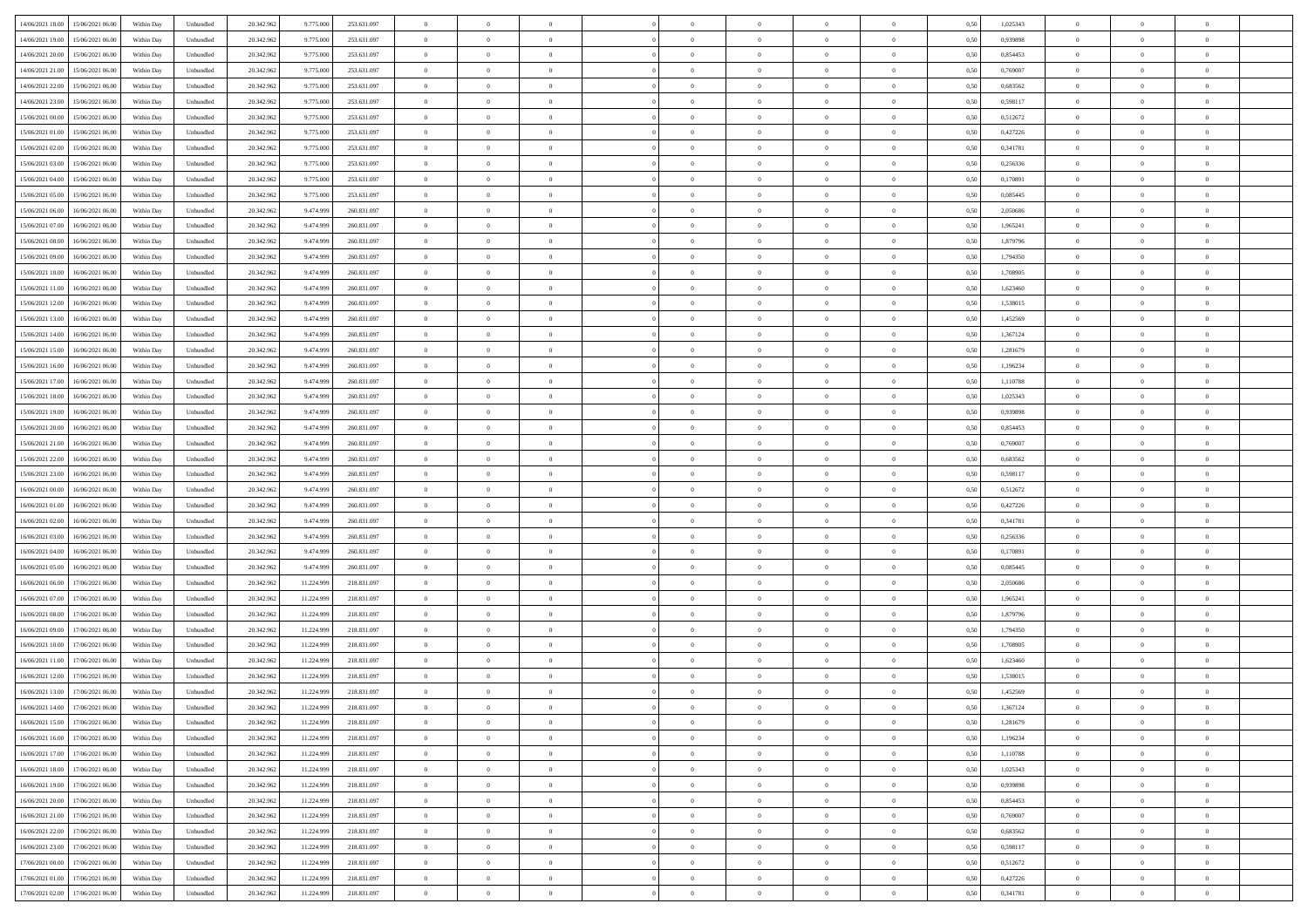| 14/06/2021 18:00 15/06/2021 06:00            |            |           | 20.342.962 |            |             | $\overline{0}$ | $\overline{0}$ |                | $\overline{0}$ | $\theta$       |                | $\theta$       |      | 1,025343 | $\theta$       | $\theta$       | $\overline{0}$ |  |
|----------------------------------------------|------------|-----------|------------|------------|-------------|----------------|----------------|----------------|----------------|----------------|----------------|----------------|------|----------|----------------|----------------|----------------|--|
|                                              | Within Day | Unbundled |            | 9.775.000  | 253.631.097 |                |                |                |                |                |                |                | 0,50 |          |                |                |                |  |
| 14/06/2021 19:00<br>15/06/2021 06:00         | Within Day | Unbundled | 20.342.96  | 9.775.00   | 253.631.097 | $\bf{0}$       | $\overline{0}$ | $\overline{0}$ | $\overline{0}$ | $\bf{0}$       | $\overline{0}$ | $\bf{0}$       | 0,50 | 0,939898 | $\,$ 0 $\,$    | $\bf{0}$       | $\overline{0}$ |  |
| 14/06/2021 20:00<br>15/06/2021 06:00         | Within Day | Unbundled | 20.342.962 | 9.775.000  | 253.631.097 | $\overline{0}$ | $\overline{0}$ | $\overline{0}$ | $\bf{0}$       | $\bf{0}$       | $\overline{0}$ | $\bf{0}$       | 0.50 | 0.854453 | $\bf{0}$       | $\overline{0}$ | $\overline{0}$ |  |
| 14/06/2021 21:00<br>15/06/2021 06:00         | Within Day | Unbundled | 20.342.962 | 9.775.000  | 253.631.097 | $\overline{0}$ | $\overline{0}$ | $\overline{0}$ | $\theta$       | $\theta$       | $\overline{0}$ | $\overline{0}$ | 0,50 | 0,769007 | $\theta$       | $\theta$       | $\overline{0}$ |  |
|                                              |            |           |            |            |             |                |                |                |                |                |                |                |      |          |                |                |                |  |
| 14/06/2021 22:00<br>15/06/2021 06:00         | Within Day | Unbundled | 20.342.96  | 9.775.00   | 253.631.097 | $\overline{0}$ | $\theta$       | $\overline{0}$ | $\overline{0}$ | $\theta$       | $\overline{0}$ | $\bf{0}$       | 0,50 | 0,683562 | $\bf{0}$       | $\bf{0}$       | $\overline{0}$ |  |
| 14/06/2021 23:00<br>15/06/2021 06:00         | Within Day | Unbundled | 20.342.962 | 9.775.00   | 253.631.097 | $\overline{0}$ | $\overline{0}$ | $\overline{0}$ | $\overline{0}$ | $\overline{0}$ | $\Omega$       | $\bf{0}$       | 0.50 | 0.598117 | $\bf{0}$       | $\theta$       | $\overline{0}$ |  |
| 15/06/2021 00:00<br>15/06/2021 06:00         | Within Day | Unbundled | 20.342.962 | 9.775.000  | 253.631.097 | $\overline{0}$ | $\overline{0}$ | $\overline{0}$ | $\overline{0}$ | $\theta$       | $\overline{0}$ | $\bf{0}$       | 0,50 | 0,512672 | $\theta$       | $\theta$       | $\overline{0}$ |  |
| 15/06/2021 01:00<br>15/06/2021 06:00         | Within Day | Unbundled | 20.342.96  | 9.775.00   | 253.631.097 | $\bf{0}$       | $\overline{0}$ | $\overline{0}$ | $\overline{0}$ | $\theta$       | $\overline{0}$ | $\bf{0}$       | 0,50 | 0,427226 | $\,$ 0 $\,$    | $\bf{0}$       | $\overline{0}$ |  |
| 15/06/2021 06:00                             |            | Unbundled | 20.342.96  |            | 253.631.097 | $\overline{0}$ | $\overline{0}$ |                |                |                | $\overline{0}$ |                |      | 0.341781 |                | $\theta$       | $\overline{0}$ |  |
| 15/06/2021 02:00                             | Within Day |           |            | 9.775.00   |             |                |                | $\overline{0}$ | $\bf{0}$       | $\overline{0}$ |                | $\bf{0}$       | 0.50 |          | $\bf{0}$       |                |                |  |
| 15/06/2021 03:00<br>15/06/2021 06:00         | Within Day | Unbundled | 20.342.962 | 9.775.000  | 253.631.097 | $\bf{0}$       | $\bf{0}$       | $\overline{0}$ | $\overline{0}$ | $\theta$       | $\overline{0}$ | $\bf{0}$       | 0,50 | 0,256336 | $\,$ 0 $\,$    | $\theta$       | $\overline{0}$ |  |
| 15/06/2021 04:00<br>15/06/2021 06:00         | Within Day | Unbundled | 20.342.96  | 9.775.000  | 253.631.097 | $\bf{0}$       | $\overline{0}$ | $\bf{0}$       | $\overline{0}$ | $\bf{0}$       | $\overline{0}$ | $\bf{0}$       | 0,50 | 0,170891 | $\,$ 0 $\,$    | $\bf{0}$       | $\overline{0}$ |  |
| 15/06/2021 05:00<br>15/06/2021 06:00         | Within Day | Unbundled | 20.342.962 | 9.775.000  | 253.631.097 | $\overline{0}$ | $\overline{0}$ | $\overline{0}$ | $\bf{0}$       | $\bf{0}$       | $\overline{0}$ | $\bf{0}$       | 0.50 | 0.085445 | $\bf{0}$       | $\overline{0}$ | $\overline{0}$ |  |
| 15/06/2021 06:00<br>16/06/2021 06:00         | Within Day | Unbundled | 20.342.96  | 9.474.999  | 260.831.097 | $\overline{0}$ | $\overline{0}$ | $\overline{0}$ | $\overline{0}$ | $\theta$       | $\overline{0}$ | $\overline{0}$ | 0,50 | 2,050686 | $\,$ 0 $\,$    | $\theta$       | $\overline{0}$ |  |
|                                              |            |           |            |            |             |                |                |                |                |                |                |                |      |          |                |                |                |  |
| 15/06/2021 07:00<br>16/06/2021 06:00         | Within Day | Unbundled | 20.342.96  | 9.474.99   | 260.831.097 | $\bf{0}$       | $\theta$       | $\bf{0}$       | $\overline{0}$ | $\theta$       | $\overline{0}$ | $\bf{0}$       | 0,50 | 1,965241 | $\,$ 0 $\,$    | $\bf{0}$       | $\overline{0}$ |  |
| 15/06/2021 08:00<br>16/06/2021 06:00         | Within Day | Unbundled | 20.342.962 | 9.474.999  | 260.831.097 | $\overline{0}$ | $\overline{0}$ | $\overline{0}$ | $\bf{0}$       | $\theta$       | $\theta$       | $\bf{0}$       | 0.50 | 1.879796 | $\theta$       | $\overline{0}$ | $\overline{0}$ |  |
| 15/06/2021 09:00<br>16/06/2021 06:00         | Within Day | Unbundled | 20.342.962 | 9.474.999  | 260.831.097 | $\overline{0}$ | $\overline{0}$ | $\overline{0}$ | $\overline{0}$ | $\overline{0}$ | $\overline{0}$ | $\bf{0}$       | 0,50 | 1,794350 | $\theta$       | $\theta$       | $\overline{0}$ |  |
| 15/06/2021 10:00<br>16/06/2021 06:00         | Within Day | Unbundled | 20.342.96  | 9.474.999  | 260.831.097 | $\bf{0}$       | $\overline{0}$ | $\overline{0}$ | $\overline{0}$ | $\theta$       | $\overline{0}$ | $\bf{0}$       | 0,50 | 1,708905 | $\,$ 0 $\,$    | $\bf{0}$       | $\overline{0}$ |  |
| 15/06/2021 11:00<br>16/06/2021 06:00         | Within Day | Unbundled | 20.342.96  | 9.474.999  | 260.831.097 | $\overline{0}$ | $\overline{0}$ | $\overline{0}$ | $\bf{0}$       | $\overline{0}$ | $\overline{0}$ | $\bf{0}$       | 0.50 | 1.623460 | $\bf{0}$       | $\overline{0}$ | $\overline{0}$ |  |
|                                              |            |           |            |            |             |                |                |                |                |                |                |                |      |          |                |                |                |  |
| 15/06/2021 12:00<br>16/06/2021 06:00         | Within Day | Unbundled | 20.342.962 | 9.474.999  | 260.831.097 | $\bf{0}$       | $\overline{0}$ | $\overline{0}$ | $\overline{0}$ | $\theta$       | $\overline{0}$ | $\bf{0}$       | 0,50 | 1,538015 | $\,$ 0 $\,$    | $\theta$       | $\overline{0}$ |  |
| 15/06/2021 13:00<br>16/06/2021 06:00         | Within Day | Unbundled | 20.342.96  | 9.474.99   | 260.831.097 | $\bf{0}$       | $\overline{0}$ | $\bf{0}$       | $\bf{0}$       | $\overline{0}$ | $\overline{0}$ | $\bf{0}$       | 0,50 | 1,452569 | $\,$ 0 $\,$    | $\bf{0}$       | $\overline{0}$ |  |
| 15/06/2021 14:00<br>16/06/2021 06:00         | Within Day | Unbundled | 20.342.962 | 9.474.999  | 260.831.097 | $\overline{0}$ | $\overline{0}$ | $\overline{0}$ | $\bf{0}$       | $\overline{0}$ | $\overline{0}$ | $\bf{0}$       | 0.50 | 1.367124 | $\bf{0}$       | $\overline{0}$ | $\overline{0}$ |  |
| 15/06/2021 15:00<br>16/06/2021 06:00         | Within Day | Unbundled | 20.342.962 | 9.474.999  | 260.831.097 | $\overline{0}$ | $\overline{0}$ | $\overline{0}$ | $\overline{0}$ | $\theta$       | $\overline{0}$ | $\bf{0}$       | 0,50 | 1,281679 | $\theta$       | $\theta$       | $\overline{0}$ |  |
| 16/06/2021 06:00                             | Within Day | Unbundled | 20.342.96  | 9.474.999  | 260.831.097 | $\bf{0}$       | $\overline{0}$ | $\bf{0}$       | $\bf{0}$       | $\theta$       | $\overline{0}$ | $\bf{0}$       | 0,50 | 1,196234 | $\,$ 0 $\,$    | $\bf{0}$       | $\overline{0}$ |  |
| 15/06/2021 16:00                             |            |           |            |            |             |                |                |                |                |                |                |                |      |          |                |                |                |  |
| 15/06/2021 17:00<br>16/06/2021 06:00         | Within Day | Unbundled | 20.342.962 | 9.474.999  | 260.831.097 | $\overline{0}$ | $\overline{0}$ | $\overline{0}$ | $\overline{0}$ | $\overline{0}$ | $\Omega$       | $\bf{0}$       | 0.50 | 1.110788 | $\bf{0}$       | $\theta$       | $\overline{0}$ |  |
| 15/06/2021 18:00<br>16/06/2021 06:00         | Within Day | Unbundled | 20.342.962 | 9.474.999  | 260.831.097 | $\overline{0}$ | $\overline{0}$ | $\overline{0}$ | $\overline{0}$ | $\theta$       | $\overline{0}$ | $\bf{0}$       | 0,50 | 1,025343 | $\theta$       | $\theta$       | $\overline{0}$ |  |
| 15/06/2021 19:00<br>16/06/2021 06:00         | Within Day | Unbundled | 20.342.96  | 9.474.999  | 260.831.097 | $\bf{0}$       | $\overline{0}$ | $\overline{0}$ | $\overline{0}$ | $\theta$       | $\overline{0}$ | $\bf{0}$       | 0,50 | 0,939898 | $\,$ 0 $\,$    | $\bf{0}$       | $\overline{0}$ |  |
| 15/06/2021 20:00<br>16/06/2021 06:00         | Within Day | Unbundled | 20.342.96  | 9.474.999  | 260.831.097 | $\overline{0}$ | $\overline{0}$ | $\overline{0}$ | $\bf{0}$       | $\overline{0}$ | $\overline{0}$ | $\bf{0}$       | 0.50 | 0.854453 | $\bf{0}$       | $\theta$       | $\overline{0}$ |  |
| 15/06/2021 21:00<br>16/06/2021 06:00         | Within Day | Unbundled | 20.342.962 | 9.474.999  | 260.831.097 | $\overline{0}$ | $\overline{0}$ | $\overline{0}$ | $\overline{0}$ | $\theta$       | $\overline{0}$ | $\bf{0}$       | 0,50 | 0,769007 | $\theta$       | $\theta$       | $\overline{0}$ |  |
|                                              |            |           |            |            |             |                |                |                |                |                |                |                |      |          |                |                |                |  |
| 15/06/2021 22:00<br>16/06/2021 06:00         | Within Day | Unbundled | 20.342.96  | 9.474.999  | 260.831.097 | $\bf{0}$       | $\bf{0}$       | $\bf{0}$       | $\bf{0}$       | $\overline{0}$ | $\overline{0}$ | $\bf{0}$       | 0,50 | 0,683562 | $\,$ 0 $\,$    | $\bf{0}$       | $\overline{0}$ |  |
| 15/06/2021 23:00<br>16/06/2021 06:00         | Within Day | Unbundled | 20.342.962 | 9.474.999  | 260.831.097 | $\overline{0}$ | $\bf{0}$       | $\overline{0}$ | $\bf{0}$       | $\bf{0}$       | $\overline{0}$ | $\bf{0}$       | 0.50 | 0.598117 | $\bf{0}$       | $\overline{0}$ | $\overline{0}$ |  |
| 16/06/2021 00:00<br>16/06/2021 06:00         | Within Day | Unbundled | 20.342.962 | 9.474.999  | 260,831,097 | $\overline{0}$ | $\overline{0}$ | $\overline{0}$ | $\overline{0}$ | $\theta$       | $\overline{0}$ | $\bf{0}$       | 0.5( | 0,512672 | $\theta$       | $\theta$       | $\overline{0}$ |  |
| 16/06/2021 01:00<br>16/06/2021 06:00         | Within Day | Unbundled | 20.342.96  | 9.474.99   | 260.831.097 | $\bf{0}$       | $\overline{0}$ | $\bf{0}$       | $\overline{0}$ | $\overline{0}$ | $\overline{0}$ | $\bf{0}$       | 0,50 | 0,427226 | $\,$ 0 $\,$    | $\bf{0}$       | $\overline{0}$ |  |
| 16/06/2021 02:00<br>16/06/2021 06:00         | Within Day | Unbundled | 20.342.962 | 9.474.999  | 260.831.097 | $\overline{0}$ | $\overline{0}$ | $\overline{0}$ | $\bf{0}$       | $\theta$       | $\Omega$       | $\bf{0}$       | 0.50 | 0.341781 | $\,$ 0 $\,$    | $\overline{0}$ | $\overline{0}$ |  |
|                                              |            |           |            |            |             |                |                |                |                |                |                |                |      |          |                |                |                |  |
| 16/06/2021 03:00<br>16/06/2021 06:00         | Within Dav | Unbundled | 20.342.962 | 9.474.999  | 260.831.097 | $\overline{0}$ | $\overline{0}$ | $\overline{0}$ | $\overline{0}$ | $\theta$       | $\overline{0}$ | $\overline{0}$ | 0.5( | 0,256336 | $\theta$       | $\theta$       | $\overline{0}$ |  |
| 16/06/2021 04:00<br>16/06/2021 06:00         | Within Day | Unbundled | 20.342.96  | 9.474.999  | 260.831.097 | $\bf{0}$       | $\overline{0}$ | $\bf{0}$       | $\overline{0}$ | $\bf{0}$       | $\overline{0}$ | $\bf{0}$       | 0,50 | 0,170891 | $\,$ 0 $\,$    | $\bf{0}$       | $\overline{0}$ |  |
| 16/06/2021 05:00<br>16/06/2021 06:00         | Within Day | Unbundled | 20.342.96  | 9.474.999  | 260.831.097 | $\overline{0}$ | $\overline{0}$ | $\overline{0}$ | $\bf{0}$       | $\overline{0}$ | $\overline{0}$ | $\bf{0}$       | 0.50 | 0.085445 | $\bf{0}$       | $\overline{0}$ | $\overline{0}$ |  |
| 16/06/2021 06:00<br>17/06/2021 06:00         | Within Dav | Unbundled | 20.342.96  | 11.224.999 | 218,831,097 | $\overline{0}$ | $\overline{0}$ | $\overline{0}$ | $\overline{0}$ | $\overline{0}$ | $\overline{0}$ | $\overline{0}$ | 0.50 | 2.050686 | $\theta$       | $\theta$       | $\overline{0}$ |  |
| 16/06/2021 07:00<br>17/06/2021 06:00         | Within Day | Unbundled | 20.342.96  | 11.224.99  | 218.831.097 | $\bf{0}$       | $\bf{0}$       | $\bf{0}$       | $\bf{0}$       | $\overline{0}$ | $\overline{0}$ | $\bf{0}$       | 0,50 | 1,965241 | $\,$ 0 $\,$    | $\bf{0}$       | $\overline{0}$ |  |
|                                              |            |           |            |            |             |                |                |                |                |                |                |                |      |          |                |                |                |  |
| 16/06/2021 08:00<br>17/06/2021 06:00         | Within Day | Unbundled | 20.342.962 | 11.224.999 | 218.831.097 | $\overline{0}$ | $\bf{0}$       | $\overline{0}$ | $\bf{0}$       | $\bf{0}$       | $\overline{0}$ | $\bf{0}$       | 0.50 | 1.879796 | $\bf{0}$       | $\overline{0}$ | $\overline{0}$ |  |
| 16/06/2021 09:00<br>17/06/2021 06:00         | Within Dav | Unbundled | 20.342.96  | 11.224.999 | 218.831.097 | $\overline{0}$ | $\overline{0}$ | $\Omega$       | $\overline{0}$ | $\theta$       | $\overline{0}$ | $\bf{0}$       | 0.5( | 1,794350 | $\theta$       | $\theta$       | $\overline{0}$ |  |
| 16/06/2021 10:00<br>17/06/2021 06:00         | Within Day | Unbundled | 20.342.96  | 11.224.99  | 218.831.097 | $\bf{0}$       | $\overline{0}$ | $\bf{0}$       | $\overline{0}$ | $\theta$       | $\overline{0}$ | $\bf{0}$       | 0,50 | 1,708905 | $\,$ 0 $\,$    | $\bf{0}$       | $\overline{0}$ |  |
| 16/06/2021 11:00<br>17/06/2021 06:00         | Within Day | Unbundled | 20.342.96  | 11.224.999 | 218.831.097 | $\overline{0}$ | $\overline{0}$ | $\Omega$       | $\overline{0}$ | $\theta$       | $\theta$       | $\bf{0}$       | 0.50 | 1.623460 | $\,$ 0 $\,$    | $\overline{0}$ | $\overline{0}$ |  |
| 16/06/2021 12:00<br>17/06/2021 06:00         | Within Dav | Unbundled | 20.342.96  | 11.224.999 | 218.831.097 | $\overline{0}$ | $\overline{0}$ | $\Omega$       | $\overline{0}$ | $\theta$       | $\Omega$       | $\overline{0}$ | 0.5( | 1,538015 | $\theta$       | $\theta$       | $\overline{0}$ |  |
|                                              |            |           |            |            |             | $\bf{0}$       | $\bf{0}$       | $\overline{0}$ | $\bf{0}$       | $\bf{0}$       | $\overline{0}$ |                |      |          | $\,$ 0 $\,$    | $\bf{0}$       | $\overline{0}$ |  |
| 16/06/2021 13:00<br>17/06/2021 06:00         | Within Day | Unbundled | 20.342.96  | 11.224.999 | 218.831.097 |                |                |                |                |                |                | $\bf{0}$       | 0,50 | 1,452569 |                |                |                |  |
| $16/06/2021\ 14.00 \qquad 17/06/2021\ 06.00$ | Within Day | Unbundled | 20.342.962 | 11.224.999 | 218.831.097 | $\overline{0}$ | $\Omega$       |                | $\Omega$       |                |                |                | 0,50 | 1,367124 | $\theta$       | $\overline{0}$ |                |  |
| 16/06/2021 15:00 17/06/2021 06:00            | Within Day | Unbundled | 20.342.962 | 11.224.999 | 218.831.097 | $\overline{0}$ | $\theta$       | $\overline{0}$ | $\overline{0}$ | $\overline{0}$ | $\overline{0}$ | $\bf{0}$       | 0,50 | 1,281679 | $\theta$       | $\theta$       | $\overline{0}$ |  |
| 16/06/2021 16:00<br>17/06/2021 06.00         | Within Day | Unbundled | 20.342.96  | 11.224.999 | 218.831.097 | $\overline{0}$ | $\bf{0}$       | $\overline{0}$ | $\overline{0}$ | $\bf{0}$       | $\overline{0}$ | $\bf{0}$       | 0,50 | 1,196234 | $\bf{0}$       | $\overline{0}$ | $\bf{0}$       |  |
| 16/06/2021 17:00 17/06/2021 06:00            | Within Day | Unbundled | 20.342.962 | 11.224.999 | 218.831.097 | $\overline{0}$ | $\bf{0}$       | $\overline{0}$ | $\overline{0}$ | $\overline{0}$ | $\overline{0}$ | $\bf{0}$       | 0.50 | 1.110788 | $\mathbf{0}$   | $\bf{0}$       | $\,$ 0 $\,$    |  |
|                                              |            |           |            |            |             |                | $\overline{0}$ |                |                | $\overline{0}$ |                |                |      |          | $\theta$       | $\theta$       | $\overline{0}$ |  |
| 16/06/2021 18:00 17/06/2021 06:00            | Within Day | Unbundled | 20.342.962 | 11.224.999 | 218.831.097 | $\overline{0}$ |                | $\overline{0}$ | $\overline{0}$ |                | $\overline{0}$ | $\bf{0}$       | 0,50 | 1,025343 |                |                |                |  |
| 16/06/2021 19:00<br>17/06/2021 06.00         | Within Day | Unbundled | 20.342.962 | 11.224.999 | 218.831.097 | $\overline{0}$ | $\bf{0}$       | $\overline{0}$ | $\bf{0}$       | $\overline{0}$ | $\overline{0}$ | $\bf{0}$       | 0,50 | 0,939898 | $\overline{0}$ | $\bf{0}$       | $\overline{0}$ |  |
| 17/06/2021 06:00<br>16/06/2021 20:00         | Within Day | Unbundled | 20.342.962 | 11.224.999 | 218.831.097 | $\overline{0}$ | $\bf{0}$       | $\overline{0}$ | $\overline{0}$ | $\overline{0}$ | $\overline{0}$ | $\bf{0}$       | 0.50 | 0.854453 | $\,$ 0 $\,$    | $\theta$       | $\overline{0}$ |  |
| 16/06/2021 21:00<br>17/06/2021 06:00         | Within Dav | Unbundled | 20.342.962 | 11.224.999 | 218.831.097 | $\overline{0}$ | $\overline{0}$ | $\overline{0}$ | $\overline{0}$ | $\overline{0}$ | $\overline{0}$ | $\bf{0}$       | 0.50 | 0,769007 | $\overline{0}$ | $\theta$       | $\overline{0}$ |  |
| 16/06/2021 22:00<br>17/06/2021 06.00         | Within Day | Unbundled | 20.342.96  | 11.224.999 | 218.831.097 | $\overline{0}$ | $\overline{0}$ | $\overline{0}$ | $\overline{0}$ | $\bf{0}$       | $\overline{0}$ | $\bf{0}$       | 0,50 | 0,683562 | $\bf{0}$       | $\bf{0}$       | $\overline{0}$ |  |
|                                              |            |           |            |            |             |                |                |                |                |                |                |                |      |          |                |                |                |  |
| 16/06/2021 23:00<br>17/06/2021 06:00         | Within Day | Unbundled | 20.342.96  | 11.224.999 | 218,831,097 | $\overline{0}$ | $\overline{0}$ | $\overline{0}$ | $\overline{0}$ | $\bf{0}$       | $\overline{0}$ | $\bf{0}$       | 0.50 | 0.598117 | $\overline{0}$ | $\,$ 0 $\,$    | $\,$ 0         |  |
| 17/06/2021 00:00<br>17/06/2021 06:00         | Within Dav | Unbundled | 20.342.962 | 11.224.999 | 218.831.097 | $\overline{0}$ | $\overline{0}$ | $\overline{0}$ | $\overline{0}$ | $\overline{0}$ | $\overline{0}$ | $\bf{0}$       | 0,50 | 0,512672 | $\overline{0}$ | $\theta$       | $\overline{0}$ |  |
| 17/06/2021 01:00<br>17/06/2021 06:00         | Within Day | Unbundled | 20.342.96  | 11.224.999 | 218.831.097 | $\overline{0}$ | $\bf{0}$       | $\overline{0}$ | $\bf{0}$       | $\overline{0}$ | $\overline{0}$ | $\bf{0}$       | 0,50 | 0,427226 | $\bf{0}$       | $\bf{0}$       | $\overline{0}$ |  |
| 17/06/2021 02:00 17/06/2021 06:00            | Within Day | Unbundled | 20.342.962 | 11.224.999 | 218.831.097 | $\overline{0}$ | $\bf{0}$       | $\overline{0}$ | $\overline{0}$ | $\,$ 0 $\,$    | $\overline{0}$ | $\bf{0}$       | 0,50 | 0,341781 | $\overline{0}$ | $\,$ 0 $\,$    | $\,$ 0 $\,$    |  |
|                                              |            |           |            |            |             |                |                |                |                |                |                |                |      |          |                |                |                |  |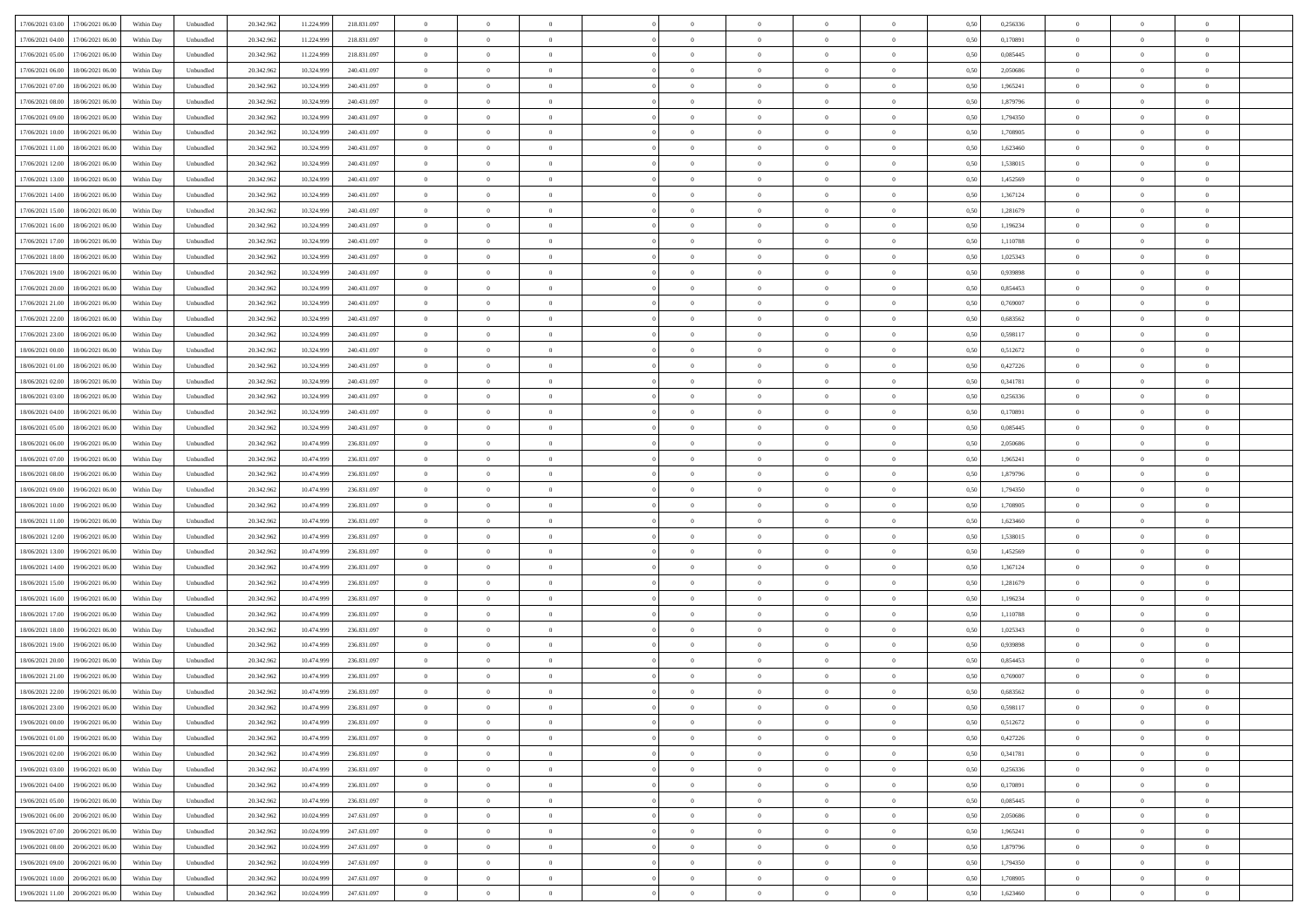| 17/06/2021 03:00 17/06/2021 06:00            | Within Day | Unbundled | 20.342.962 | 11.224.999 | 218.831.097 | $\overline{0}$ | $\overline{0}$ |                | $\overline{0}$ | $\theta$       |                | $\theta$       | 0,50 | 0,256336 | $\theta$       | $\theta$       | $\overline{0}$ |  |
|----------------------------------------------|------------|-----------|------------|------------|-------------|----------------|----------------|----------------|----------------|----------------|----------------|----------------|------|----------|----------------|----------------|----------------|--|
| 17/06/2021 04:00<br>17/06/2021 06:00         | Within Day | Unbundled | 20.342.96  | 11.224.99  | 218.831.097 | $\bf{0}$       | $\overline{0}$ | $\overline{0}$ | $\overline{0}$ | $\bf{0}$       | $\overline{0}$ | $\bf{0}$       | 0,50 | 0,170891 | $\,$ 0 $\,$    | $\bf{0}$       | $\overline{0}$ |  |
| 17/06/2021 05:00<br>17/06/2021 06:00         | Within Day | Unbundled | 20.342.962 | 11.224.999 | 218.831.097 | $\overline{0}$ | $\bf{0}$       | $\overline{0}$ | $\bf{0}$       | $\bf{0}$       | $\overline{0}$ | $\bf{0}$       | 0.50 | 0.085445 | $\bf{0}$       | $\overline{0}$ | $\overline{0}$ |  |
| 17/06/2021 06:00<br>18/06/2021 06:00         |            |           |            |            |             | $\overline{0}$ | $\overline{0}$ | $\overline{0}$ | $\theta$       | $\theta$       | $\overline{0}$ | $\bf{0}$       |      |          | $\theta$       | $\theta$       | $\overline{0}$ |  |
|                                              | Within Day | Unbundled | 20.342.96  | 10.324.999 | 240.431.097 |                |                |                |                |                |                |                | 0,50 | 2,050686 |                |                |                |  |
| 17/06/2021 07:00<br>18/06/2021 06:00         | Within Day | Unbundled | 20.342.96  | 10.324.99  | 240.431.097 | $\overline{0}$ | $\theta$       | $\overline{0}$ | $\overline{0}$ | $\theta$       | $\overline{0}$ | $\bf{0}$       | 0,50 | 1,965241 | $\,$ 0 $\,$    | $\bf{0}$       | $\overline{0}$ |  |
| 17/06/2021 08:00<br>18/06/2021 06:00         | Within Day | Unbundled | 20.342.962 | 10.324.999 | 240.431.097 | $\overline{0}$ | $\overline{0}$ | $\overline{0}$ | $\bf{0}$       | $\overline{0}$ | $\Omega$       | $\bf{0}$       | 0.50 | 1.879796 | $\,$ 0 $\,$    | $\theta$       | $\overline{0}$ |  |
| 17/06/2021 09:00<br>18/06/2021 06:00         | Within Day | Unbundled | 20.342.96  | 10.324.999 | 240.431.097 | $\overline{0}$ | $\overline{0}$ | $\overline{0}$ | $\overline{0}$ | $\theta$       | $\overline{0}$ | $\bf{0}$       | 0,50 | 1,794350 | $\,$ 0 $\,$    | $\theta$       | $\overline{0}$ |  |
|                                              |            |           |            |            |             |                |                |                |                |                |                |                |      |          |                |                |                |  |
| 17/06/2021 10:00<br>18/06/2021 06:00         | Within Day | Unbundled | 20.342.96  | 10.324.99  | 240.431.097 | $\bf{0}$       | $\overline{0}$ | $\overline{0}$ | $\overline{0}$ | $\theta$       | $\overline{0}$ | $\bf{0}$       | 0,50 | 1,708905 | $\,$ 0 $\,$    | $\bf{0}$       | $\overline{0}$ |  |
| 17/06/2021 11:00<br>18/06/2021 06:00         | Within Day | Unbundled | 20.342.96  | 10.324.999 | 240.431.097 | $\overline{0}$ | $\bf{0}$       | $\overline{0}$ | $\bf{0}$       | $\overline{0}$ | $\overline{0}$ | $\bf{0}$       | 0.50 | 1.623460 | $\bf{0}$       | $\theta$       | $\overline{0}$ |  |
| 17/06/2021 12:00<br>18/06/2021 06:00         | Within Day | Unbundled | 20.342.962 | 10.324.999 | 240.431.097 | $\bf{0}$       | $\bf{0}$       | $\overline{0}$ | $\overline{0}$ | $\theta$       | $\overline{0}$ | $\bf{0}$       | 0,50 | 1,538015 | $\,$ 0 $\,$    | $\theta$       | $\overline{0}$ |  |
| 17/06/2021 13:00<br>18/06/2021 06:00         | Within Day | Unbundled | 20.342.96  | 10.324.99  | 240.431.097 | $\bf{0}$       | $\overline{0}$ | $\bf{0}$       | $\bf{0}$       | $\bf{0}$       | $\overline{0}$ | $\bf{0}$       | 0,50 | 1,452569 | $\,$ 0 $\,$    | $\bf{0}$       | $\overline{0}$ |  |
|                                              |            |           |            |            |             |                |                |                |                |                |                |                |      |          |                |                |                |  |
| 17/06/2021 14:00<br>18/06/2021 06:00         | Within Day | Unbundled | 20.342.962 | 10.324.999 | 240.431.097 | $\overline{0}$ | $\bf{0}$       | $\overline{0}$ | $\bf{0}$       | $\bf{0}$       | $\overline{0}$ | $\bf{0}$       | 0.50 | 1.367124 | $\bf{0}$       | $\overline{0}$ | $\overline{0}$ |  |
| 17/06/2021 15:00<br>18/06/2021 06:00         | Within Day | Unbundled | 20.342.96  | 10.324.999 | 240.431.097 | $\overline{0}$ | $\overline{0}$ | $\overline{0}$ | $\overline{0}$ | $\theta$       | $\overline{0}$ | $\overline{0}$ | 0,50 | 1,281679 | $\,$ 0 $\,$    | $\theta$       | $\overline{0}$ |  |
| 17/06/2021 16:00<br>18/06/2021 06:00         | Within Day | Unbundled | 20.342.96  | 10.324.99  | 240.431.097 | $\bf{0}$       | $\theta$       | $\bf{0}$       | $\overline{0}$ | $\theta$       | $\overline{0}$ | $\bf{0}$       | 0,50 | 1,196234 | $\,$ 0 $\,$    | $\bf{0}$       | $\overline{0}$ |  |
|                                              |            |           |            |            |             |                |                |                |                |                |                |                |      |          |                |                |                |  |
| 17/06/2021 17:00<br>18/06/2021 06:00         | Within Day | Unbundled | 20.342.962 | 10.324.999 | 240.431.097 | $\overline{0}$ | $\overline{0}$ | $\overline{0}$ | $\bf{0}$       | $\theta$       | $\theta$       | $\bf{0}$       | 0.50 | 1.110788 | $\,$ 0 $\,$    | $\theta$       | $\overline{0}$ |  |
| 17/06/2021 18:00<br>18/06/2021 06:00         | Within Day | Unbundled | 20.342.962 | 10.324.999 | 240.431.097 | $\overline{0}$ | $\overline{0}$ | $\overline{0}$ | $\overline{0}$ | $\overline{0}$ | $\overline{0}$ | $\bf{0}$       | 0,50 | 1,025343 | $\theta$       | $\theta$       | $\overline{0}$ |  |
| 17/06/2021 19:00<br>18/06/2021 06:00         | Within Day | Unbundled | 20.342.96  | 10.324.99  | 240.431.097 | $\bf{0}$       | $\overline{0}$ | $\overline{0}$ | $\overline{0}$ | $\theta$       | $\overline{0}$ | $\bf{0}$       | 0,50 | 0,939898 | $\,$ 0 $\,$    | $\bf{0}$       | $\overline{0}$ |  |
| 17/06/2021 20:00<br>18/06/2021 06:00         | Within Day | Unbundled | 20,342.96  | 10.324.999 | 240.431.097 | $\overline{0}$ | $\bf{0}$       | $\overline{0}$ | $\bf{0}$       | $\overline{0}$ | $\overline{0}$ | $\bf{0}$       | 0.50 | 0.854453 | $\bf{0}$       | $\overline{0}$ | $\overline{0}$ |  |
|                                              |            |           |            |            |             |                | $\overline{0}$ | $\overline{0}$ | $\overline{0}$ | $\overline{0}$ | $\overline{0}$ |                |      |          | $\,$ 0 $\,$    |                | $\overline{0}$ |  |
| 17/06/2021 21:00<br>18/06/2021 06:00         | Within Day | Unbundled | 20.342.962 | 10.324.999 | 240.431.097 | $\bf{0}$       |                |                |                |                |                | $\bf{0}$       | 0,50 | 0,769007 |                | $\bf{0}$       |                |  |
| 17/06/2021 22:00<br>18/06/2021 06:00         | Within Day | Unbundled | 20.342.96  | 10.324.99  | 240.431.097 | $\bf{0}$       | $\overline{0}$ | $\bf{0}$       | $\bf{0}$       | $\overline{0}$ | $\overline{0}$ | $\bf{0}$       | 0,50 | 0,683562 | $\,$ 0 $\,$    | $\bf{0}$       | $\overline{0}$ |  |
| 17/06/2021 23:00<br>18/06/2021 06:00         | Within Day | Unbundled | 20.342.962 | 10.324.999 | 240.431.097 | $\overline{0}$ | $\bf{0}$       | $\overline{0}$ | $\bf{0}$       | $\bf{0}$       | $\overline{0}$ | $\bf{0}$       | 0.50 | 0.598117 | $\bf{0}$       | $\overline{0}$ | $\overline{0}$ |  |
| 18/06/2021 00:00<br>18/06/2021 06:00         | Within Day | Unbundled | 20.342.96  | 10.324.999 | 240.431.097 | $\overline{0}$ | $\overline{0}$ | $\overline{0}$ | $\theta$       | $\theta$       | $\overline{0}$ | $\bf{0}$       | 0,50 | 0,512672 | $\theta$       | $\theta$       | $\overline{0}$ |  |
|                                              |            |           |            |            |             |                | $\overline{0}$ |                |                | $\bf{0}$       | $\overline{0}$ |                |      |          | $\,$ 0 $\,$    | $\bf{0}$       | $\overline{0}$ |  |
| 18/06/2021 01:00<br>18/06/2021 06:00         | Within Day | Unbundled | 20.342.96  | 10.324.99  | 240.431.097 | $\bf{0}$       |                | $\bf{0}$       | $\bf{0}$       |                |                | $\bf{0}$       | 0,50 | 0,427226 |                |                |                |  |
| 18/06/2021 02:00<br>18/06/2021 06:00         | Within Day | Unbundled | 20.342.962 | 10.324.999 | 240.431.097 | $\overline{0}$ | $\overline{0}$ | $\overline{0}$ | $\overline{0}$ | $\overline{0}$ | $\Omega$       | $\bf{0}$       | 0.50 | 0.341781 | $\,$ 0 $\,$    | $\theta$       | $\overline{0}$ |  |
| 18/06/2021 03:00<br>18/06/2021 06:00         | Within Day | Unbundled | 20.342.962 | 10.324.999 | 240.431.097 | $\overline{0}$ | $\overline{0}$ | $\overline{0}$ | $\overline{0}$ | $\theta$       | $\overline{0}$ | $\bf{0}$       | 0,50 | 0,256336 | $\,$ 0 $\,$    | $\theta$       | $\overline{0}$ |  |
| 18/06/2021 04:00<br>18/06/2021 06:00         | Within Day | Unbundled | 20.342.96  | 10.324.99  | 240.431.097 | $\bf{0}$       | $\theta$       | $\bf{0}$       | $\overline{0}$ | $\theta$       | $\overline{0}$ | $\bf{0}$       | 0,50 | 0,170891 | $\,$ 0 $\,$    | $\bf{0}$       | $\overline{0}$ |  |
| 18/06/2021 05:00<br>18/06/2021 06:00         | Within Day | Unbundled | 20.342.96  | 10.324.999 | 240.431.097 | $\overline{0}$ | $\bf{0}$       | $\overline{0}$ | $\bf{0}$       | $\overline{0}$ | $\overline{0}$ | $\bf{0}$       | 0.50 | 0.085445 | $\bf{0}$       | $\theta$       | $\overline{0}$ |  |
|                                              |            |           |            |            |             |                |                |                |                |                |                |                |      |          |                |                |                |  |
| 18/06/2021 06:00<br>19/06/2021 06:00         | Within Day | Unbundled | 20.342.962 | 10.474.999 | 236.831.097 | $\overline{0}$ | $\overline{0}$ | $\overline{0}$ | $\overline{0}$ | $\overline{0}$ | $\overline{0}$ | $\bf{0}$       | 0,50 | 2,050686 | $\theta$       | $\theta$       | $\overline{0}$ |  |
| 18/06/2021 07:00<br>19/06/2021 06:00         | Within Day | Unbundled | 20.342.96  | 10.474.99  | 236.831.097 | $\bf{0}$       | $\bf{0}$       | $\bf{0}$       | $\bf{0}$       | $\overline{0}$ | $\overline{0}$ | $\bf{0}$       | 0,50 | 1,965241 | $\,$ 0 $\,$    | $\bf{0}$       | $\overline{0}$ |  |
| 18/06/2021 08:00<br>19/06/2021 06:00         | Within Day | Unbundled | 20.342.962 | 10.474.999 | 236,831,097 | $\overline{0}$ | $\bf{0}$       | $\overline{0}$ | $\bf{0}$       | $\bf{0}$       | $\overline{0}$ | $\bf{0}$       | 0.50 | 1.879796 | $\bf{0}$       | $\overline{0}$ | $\overline{0}$ |  |
| 18/06/2021 09:00<br>19/06/2021 06:00         | Within Day | Unbundled | 20.342.96  | 10.474.999 | 236.831.097 | $\overline{0}$ | $\overline{0}$ | $\overline{0}$ | $\overline{0}$ | $\theta$       | $\overline{0}$ | $\bf{0}$       | 0.5( | 1,794350 | $\theta$       | $\theta$       | $\overline{0}$ |  |
|                                              |            |           |            |            |             |                |                |                |                |                |                |                |      |          |                |                |                |  |
| 18/06/2021 10:00<br>19/06/2021 06:00         | Within Day | Unbundled | 20.342.96  | 10.474.99  | 236.831.097 | $\bf{0}$       | $\overline{0}$ | $\bf{0}$       | $\overline{0}$ | $\overline{0}$ | $\overline{0}$ | $\bf{0}$       | 0,50 | 1,708905 | $\,$ 0 $\,$    | $\bf{0}$       | $\overline{0}$ |  |
| 18/06/2021 11:00<br>19/06/2021 06:00         | Within Day | Unbundled | 20.342.962 | 10.474.999 | 236,831,097 | $\overline{0}$ | $\overline{0}$ | $\overline{0}$ | $\bf{0}$       | $\theta$       | $\Omega$       | $\bf{0}$       | 0.50 | 1.623460 | $\,$ 0 $\,$    | $\overline{0}$ | $\overline{0}$ |  |
| 18/06/2021 12:00<br>19/06/2021 06:00         | Within Dav | Unbundled | 20.342.96  | 10.474.999 | 236.831.097 | $\overline{0}$ | $\overline{0}$ | $\overline{0}$ | $\overline{0}$ | $\theta$       | $\overline{0}$ | $\overline{0}$ | 0.5( | 1,538015 | $\theta$       | $\theta$       | $\overline{0}$ |  |
| 18/06/2021 13:00<br>19/06/2021 06:00         | Within Day | Unbundled | 20.342.96  | 10.474.999 | 236.831.097 | $\bf{0}$       | $\overline{0}$ | $\bf{0}$       | $\overline{0}$ | $\bf{0}$       | $\overline{0}$ | $\bf{0}$       | 0,50 | 1,452569 | $\,$ 0 $\,$    | $\bf{0}$       | $\overline{0}$ |  |
| 18/06/2021 14:00<br>19/06/2021 06:00         | Within Day | Unbundled | 20,342.96  | 10.474.999 | 236,831,097 | $\overline{0}$ | $\bf{0}$       | $\overline{0}$ | $\bf{0}$       | $\overline{0}$ | $\overline{0}$ | $\bf{0}$       | 0.50 | 1.367124 | $\bf{0}$       | $\overline{0}$ | $\overline{0}$ |  |
|                                              |            |           |            |            |             |                |                |                |                |                |                |                |      |          |                |                |                |  |
| 18/06/2021 15:00<br>19/06/2021 06:00         | Within Dav | Unbundled | 20.342.96  | 10.474.999 | 236,831,097 | $\overline{0}$ | $\overline{0}$ | $\overline{0}$ | $\overline{0}$ | $\overline{0}$ | $\overline{0}$ | $\overline{0}$ | 0.50 | 1,281679 | $\theta$       | $\theta$       | $\overline{0}$ |  |
| 18/06/2021 16:00<br>19/06/2021 06:00         | Within Day | Unbundled | 20.342.96  | 10.474.99  | 236.831.097 | $\bf{0}$       | $\bf{0}$       | $\bf{0}$       | $\bf{0}$       | $\overline{0}$ | $\overline{0}$ | $\bf{0}$       | 0,50 | 1,196234 | $\,$ 0 $\,$    | $\bf{0}$       | $\overline{0}$ |  |
| 18/06/2021 17:00<br>19/06/2021 06:00         | Within Day | Unbundled | 20.342.962 | 10.474.999 | 236,831,097 | $\overline{0}$ | $\bf{0}$       | $\overline{0}$ | $\bf{0}$       | $\bf{0}$       | $\overline{0}$ | $\bf{0}$       | 0.50 | 1.110788 | $\bf{0}$       | $\overline{0}$ | $\overline{0}$ |  |
| 18/06/2021 18:00<br>19/06/2021 06:00         | Within Dav | Unbundled | 20.342.96  | 10.474.999 | 236.831.097 | $\overline{0}$ | $\overline{0}$ | $\overline{0}$ | $\overline{0}$ | $\theta$       | $\overline{0}$ | $\bf{0}$       | 0.5( | 1,025343 | $\theta$       | $\theta$       | $\overline{0}$ |  |
|                                              |            |           |            |            |             |                |                |                |                |                |                |                |      |          |                |                |                |  |
| 18/06/2021 19:00<br>19/06/2021 06:00         | Within Day | Unbundled | 20.342.96  | 10.474.99  | 236.831.097 | $\bf{0}$       | $\overline{0}$ | $\bf{0}$       | $\bf{0}$       | $\theta$       | $\overline{0}$ | $\bf{0}$       | 0,50 | 0,939898 | $\,$ 0 $\,$    | $\bf{0}$       | $\overline{0}$ |  |
| 18/06/2021 20:00<br>19/06/2021 06:00         | Within Day | Unbundled | 20.342.96  | 10.474.999 | 236,831,097 | $\overline{0}$ | $\overline{0}$ | $\Omega$       | $\overline{0}$ | $\theta$       | $\theta$       | $\bf{0}$       | 0.50 | 0.854453 | $\,$ 0 $\,$    | $\theta$       | $\overline{0}$ |  |
| 18/06/2021 21:00<br>19/06/2021 06:00         | Within Dav | Unbundled | 20.342.96  | 10.474.999 | 236,831,097 | $\overline{0}$ | $\overline{0}$ | $\Omega$       | $\overline{0}$ | $\theta$       | $\Omega$       | $\overline{0}$ | 0.5( | 0,769007 | $\theta$       | $\theta$       | $\overline{0}$ |  |
| 18/06/2021 22:00<br>19/06/2021 06:00         | Within Day | Unbundled | 20.342.96  | 10.474.999 | 236.831.097 | $\bf{0}$       | $\bf{0}$       | $\bf{0}$       | $\bf{0}$       | $\bf{0}$       | $\overline{0}$ | $\bf{0}$       | 0,50 | 0,683562 | $\,$ 0 $\,$    | $\bf{0}$       | $\overline{0}$ |  |
|                                              |            |           |            |            | 236 831 097 |                |                |                |                |                |                |                |      |          |                |                |                |  |
| $18/06/2021\ 23.00 \qquad 19/06/2021\ 06.00$ | Within Day | Unbundled | 20.342.962 | 10.474.999 |             | $\overline{0}$ | $\Omega$       |                | $\Omega$       |                |                |                | 0,50 | 0.598117 | $\theta$       | $\overline{0}$ |                |  |
| 19/06/2021 00:00 19/06/2021 06:00            | Within Day | Unbundled | 20.342.962 | 10.474.999 | 236.831.097 | $\overline{0}$ | $\theta$       | $\overline{0}$ | $\overline{0}$ | $\theta$       | $\overline{0}$ | $\bf{0}$       | 0,50 | 0,512672 | $\theta$       | $\theta$       | $\overline{0}$ |  |
| 19/06/2021 01:00<br>19/06/2021 06:00         | Within Day | Unbundled | 20.342.96  | 10.474.999 | 236.831.097 | $\overline{0}$ | $\bf{0}$       | $\overline{0}$ | $\overline{0}$ | $\bf{0}$       | $\overline{0}$ | $\bf{0}$       | 0,50 | 0,427226 | $\bf{0}$       | $\overline{0}$ | $\bf{0}$       |  |
| 19/06/2021 02:00 19/06/2021 06:00            | Within Day | Unbundled | 20.342.962 | 10.474.999 | 236.831.097 | $\overline{0}$ | $\bf{0}$       | $\overline{0}$ | $\overline{0}$ | $\overline{0}$ | $\overline{0}$ | $\bf{0}$       | 0.50 | 0,341781 | $\overline{0}$ | $\bf{0}$       | $\,$ 0 $\,$    |  |
|                                              |            |           |            |            |             |                | $\overline{0}$ |                |                | $\overline{0}$ |                |                |      |          | $\theta$       | $\theta$       | $\overline{0}$ |  |
| 19/06/2021 03:00 19/06/2021 06:00            | Within Day | Unbundled | 20.342.962 | 10.474.999 | 236.831.097 | $\overline{0}$ |                | $\overline{0}$ | $\overline{0}$ |                | $\overline{0}$ | $\bf{0}$       | 0,50 | 0,256336 |                |                |                |  |
| 19/06/2021 04:00<br>19/06/2021 06:00         | Within Day | Unbundled | 20.342.962 | 10.474.999 | 236.831.097 | $\overline{0}$ | $\bf{0}$       | $\overline{0}$ | $\bf{0}$       | $\overline{0}$ | $\bf{0}$       | $\bf{0}$       | 0,50 | 0,170891 | $\overline{0}$ | $\bf{0}$       | $\overline{0}$ |  |
| 19/06/2021 05:00<br>19/06/2021 06:00         | Within Day | Unbundled | 20.342.962 | 10.474.999 | 236,831,097 | $\overline{0}$ | $\bf{0}$       | $\overline{0}$ | $\overline{0}$ | $\overline{0}$ | $\overline{0}$ | $\bf{0}$       | 0.50 | 0.085445 | $\,$ 0 $\,$    | $\theta$       | $\overline{0}$ |  |
| 19/06/2021 06:00<br>20/06/2021 06:00         | Within Dav | Unbundled | 20.342.962 | 10.024.999 | 247.631.097 | $\overline{0}$ | $\overline{0}$ | $\overline{0}$ | $\overline{0}$ | $\overline{0}$ | $\overline{0}$ | $\bf{0}$       | 0.50 | 2,050686 | $\overline{0}$ | $\theta$       | $\overline{0}$ |  |
|                                              |            |           |            |            |             |                | $\overline{0}$ |                |                |                |                |                |      |          | $\bf{0}$       |                | $\overline{0}$ |  |
| 19/06/2021 07:00<br>20/06/2021 06:00         | Within Day | Unbundled | 20.342.96  | 10.024.999 | 247.631.097 | $\overline{0}$ |                | $\overline{0}$ | $\overline{0}$ | $\bf{0}$       | $\overline{0}$ | $\bf{0}$       | 0,50 | 1,965241 |                | $\bf{0}$       |                |  |
| 19/06/2021 08:00<br>20/06/2021 06:00         | Within Day | Unbundled | 20.342.962 | 10.024.999 | 247.631.097 | $\overline{0}$ | $\overline{0}$ | $\overline{0}$ | $\overline{0}$ | $\bf{0}$       | $\overline{0}$ | $\bf{0}$       | 0.50 | 1.879796 | $\overline{0}$ | $\,$ 0 $\,$    | $\,$ 0         |  |
| 19/06/2021 09:00 20/06/2021 06:00            | Within Dav | Unbundled | 20.342.962 | 10.024.999 | 247.631.097 | $\overline{0}$ | $\overline{0}$ | $\overline{0}$ | $\overline{0}$ | $\overline{0}$ | $\overline{0}$ | $\bf{0}$       | 0,50 | 1,794350 | $\overline{0}$ | $\theta$       | $\overline{0}$ |  |
| 19/06/2021 10:00<br>20/06/2021 06:00         | Within Day | Unbundled | 20.342.96  | 10.024.999 | 247.631.097 | $\overline{0}$ | $\bf{0}$       | $\overline{0}$ | $\bf{0}$       | $\overline{0}$ | $\bf{0}$       | $\bf{0}$       | 0,50 | 1,708905 | $\bf{0}$       | $\bf{0}$       | $\overline{0}$ |  |
|                                              |            |           |            |            |             |                |                |                |                |                |                |                |      |          |                |                |                |  |
| 19/06/2021 11:00 20/06/2021 06:00            | Within Day | Unbundled | 20.342.962 | 10.024.999 | 247.631.097 | $\overline{0}$ | $\bf{0}$       | $\overline{0}$ | $\overline{0}$ | $\,$ 0 $\,$    | $\overline{0}$ | $\bf{0}$       | 0,50 | 1,623460 | $\overline{0}$ | $\,$ 0 $\,$    | $\,$ 0 $\,$    |  |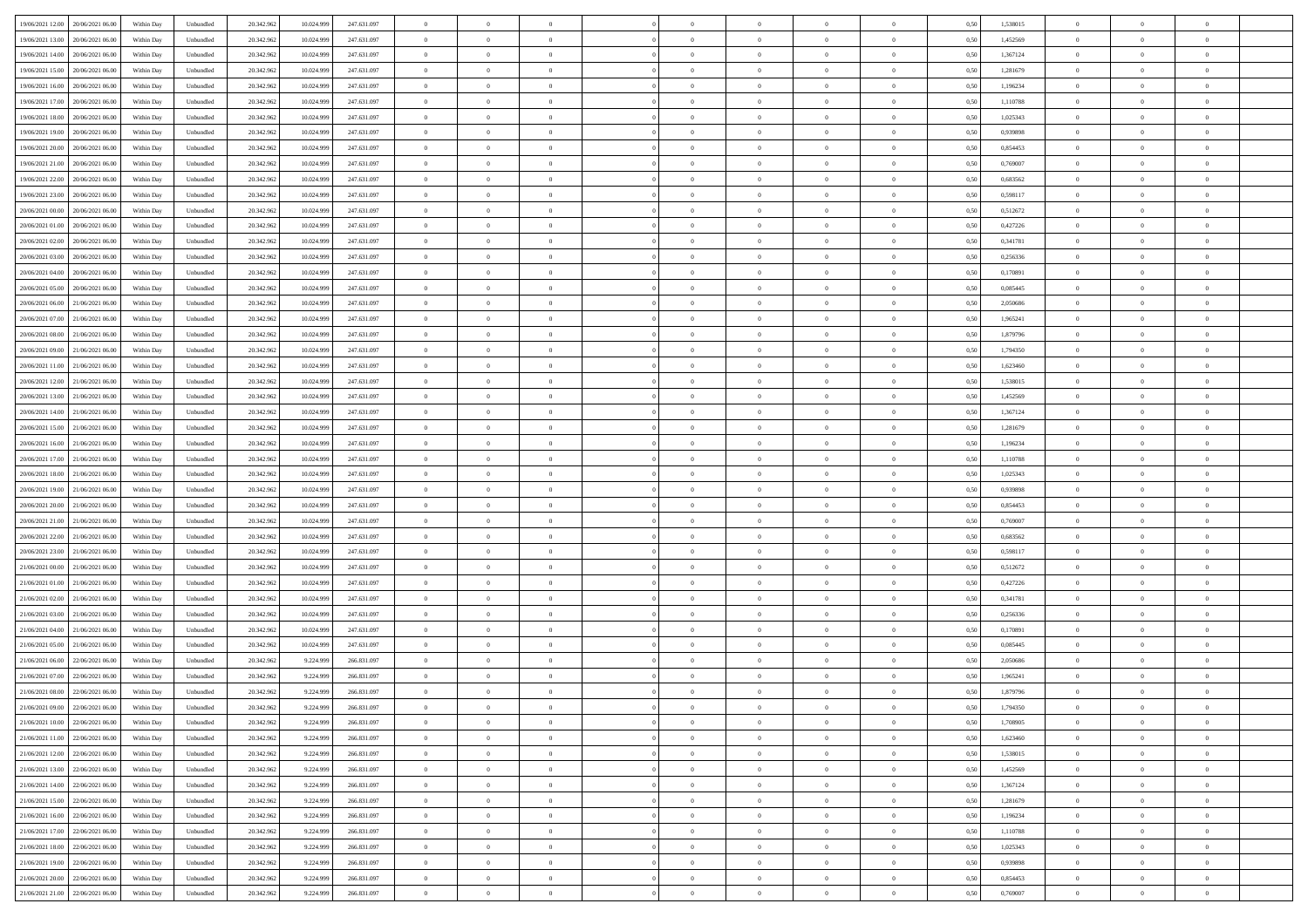| 19/06/2021 12:00<br>20/06/2021 06:00 | Within Day | Unbundled | 20.342.962 | 10.024.999 | 247.631.097 | $\overline{0}$ | $\overline{0}$ | $\overline{0}$ | $\theta$       | $\theta$       |                | $\overline{0}$ | 0,50 | 1,538015 | $\theta$       | $\theta$       | $\overline{0}$ |  |
|--------------------------------------|------------|-----------|------------|------------|-------------|----------------|----------------|----------------|----------------|----------------|----------------|----------------|------|----------|----------------|----------------|----------------|--|
|                                      |            |           |            |            |             |                |                |                |                |                |                |                |      |          |                |                |                |  |
| 19/06/2021 13:00<br>20/06/2021 06.0  | Within Day | Unbundled | 20.342.96  | 10.024.999 | 247.631.097 | $\overline{0}$ | $\overline{0}$ | $\overline{0}$ | $\,$ 0 $\,$    | $\bf{0}$       | $\overline{0}$ | $\bf{0}$       | 0,50 | 1,452569 | $\,$ 0 $\,$    | $\theta$       | $\overline{0}$ |  |
| 19/06/2021 14:00<br>20/06/2021 06:00 | Within Day | Unbundled | 20.342.962 | 10.024.999 | 247.631.097 | $\overline{0}$ | $\overline{0}$ | $\overline{0}$ | $\bf{0}$       | $\bf{0}$       | $\overline{0}$ | $\mathbf{0}$   | 0.50 | 1.367124 | $\bf{0}$       | $\overline{0}$ | $\overline{0}$ |  |
| 19/06/2021 15:00<br>20/06/2021 06:00 | Within Day | Unbundled | 20.342.962 | 10.024.999 | 247.631.097 | $\overline{0}$ | $\overline{0}$ | $\overline{0}$ | $\overline{0}$ | $\overline{0}$ | $\overline{0}$ | $\bf{0}$       | 0,50 | 1,281679 | $\theta$       | $\theta$       | $\overline{0}$ |  |
| 19/06/2021 16.00<br>20/06/2021 06.0  | Within Day | Unbundled | 20.342.96  | 10.024.999 | 247.631.097 | $\overline{0}$ | $\overline{0}$ | $\bf{0}$       | $\bf{0}$       | $\overline{0}$ | $\overline{0}$ | $\bf{0}$       | 0,50 | 1,196234 | $\,$ 0 $\,$    | $\theta$       | $\overline{0}$ |  |
|                                      |            |           |            |            |             |                |                |                |                |                |                |                |      |          |                |                |                |  |
| 19/06/2021 17.00<br>20/06/2021 06:00 | Within Day | Unbundled | 20.342.962 | 10.024.999 | 247.631.097 | $\overline{0}$ | $\overline{0}$ | $\overline{0}$ | $\overline{0}$ | $\overline{0}$ | $\overline{0}$ | $\mathbf{0}$   | 0.50 | 1.110788 | $\bf{0}$       | $\theta$       | $\overline{0}$ |  |
| 19/06/2021 18:00<br>20/06/2021 06:00 | Within Day | Unbundled | 20.342.962 | 10.024.999 | 247.631.097 | $\overline{0}$ | $\overline{0}$ | $\overline{0}$ | $\overline{0}$ | $\overline{0}$ | $\overline{0}$ | $\bf{0}$       | 0,50 | 1,025343 | $\theta$       | $\theta$       | $\overline{0}$ |  |
| 19/06/2021 19:00<br>20/06/2021 06.0  | Within Day | Unbundled | 20.342.96  | 10.024.999 | 247.631.097 | $\overline{0}$ | $\overline{0}$ | $\overline{0}$ | $\bf{0}$       | $\overline{0}$ | $\overline{0}$ | $\bf{0}$       | 0,50 | 0,939898 | $\,$ 0 $\,$    | $\bf{0}$       | $\overline{0}$ |  |
| 19/06/2021 20:00<br>20/06/2021 06:00 | Within Day | Unbundled | 20.342.962 | 10.024.999 | 247.631.097 | $\overline{0}$ | $\overline{0}$ | $\overline{0}$ | $\overline{0}$ | $\overline{0}$ | $\overline{0}$ | $\mathbf{0}$   | 0.50 | 0.854453 | $\,$ 0 $\,$    | $\theta$       | $\overline{0}$ |  |
| 19/06/2021 21.00<br>20/06/2021 06:00 | Within Day | Unbundled | 20.342.962 | 10.024.999 | 247.631.097 | $\overline{0}$ | $\overline{0}$ | $\overline{0}$ | $\overline{0}$ | $\overline{0}$ | $\overline{0}$ | $\bf{0}$       | 0,50 | 0,769007 | $\theta$       | $\theta$       | $\overline{0}$ |  |
|                                      |            |           |            |            |             |                | $\overline{0}$ |                |                |                | $\overline{0}$ | $\bf{0}$       |      |          | $\,$ 0 $\,$    | $\theta$       | $\overline{0}$ |  |
| 19/06/2021 22.00<br>20/06/2021 06.0  | Within Day | Unbundled | 20.342.96  | 10.024.999 | 247.631.097 | $\overline{0}$ |                | $\overline{0}$ | $\bf{0}$       | $\overline{0}$ |                |                | 0,50 | 0,683562 |                |                |                |  |
| 19/06/2021 23.00<br>20/06/2021 06:00 | Within Day | Unbundled | 20.342.962 | 10.024.999 | 247.631.097 | $\overline{0}$ | $\overline{0}$ | $\overline{0}$ | $\bf{0}$       | $\bf{0}$       | $\overline{0}$ | $\mathbf{0}$   | 0.50 | 0.598117 | $\bf{0}$       | $\overline{0}$ | $\bf{0}$       |  |
| 20/06/2021 00:00<br>20/06/2021 06.00 | Within Day | Unbundled | 20.342.962 | 10.024.999 | 247.631.097 | $\overline{0}$ | $\overline{0}$ | $\overline{0}$ | $\overline{0}$ | $\overline{0}$ | $\overline{0}$ | $\bf{0}$       | 0,50 | 0,512672 | $\theta$       | $\theta$       | $\overline{0}$ |  |
| 20/06/2021 01:00<br>20/06/2021 06.0  | Within Day | Unbundled | 20.342.962 | 10.024.999 | 247.631.097 | $\overline{0}$ | $\overline{0}$ | $\overline{0}$ | $\bf{0}$       | $\overline{0}$ | $\overline{0}$ | $\bf{0}$       | 0,50 | 0,427226 | $\,$ 0 $\,$    | $\bf{0}$       | $\overline{0}$ |  |
| 20/06/2021 02.00<br>20/06/2021 06:00 | Within Day | Unbundled | 20.342.962 | 10.024.999 | 247.631.097 | $\overline{0}$ | $\overline{0}$ | $\overline{0}$ | $\overline{0}$ | $\overline{0}$ | $\overline{0}$ | $\mathbf{0}$   | 0.50 | 0.341781 | $\,$ 0 $\,$    | $\theta$       | $\overline{0}$ |  |
| 20/06/2021 03:00<br>20/06/2021 06:00 | Within Day | Unbundled | 20.342.962 | 10.024.999 | 247.631.097 | $\overline{0}$ | $\overline{0}$ | $\overline{0}$ | $\overline{0}$ | $\overline{0}$ | $\overline{0}$ | $\bf{0}$       | 0,50 | 0,256336 | $\theta$       | $\theta$       | $\overline{0}$ |  |
|                                      |            |           |            |            |             |                |                |                |                |                |                |                |      |          |                |                |                |  |
| 20/06/2021 04:00<br>20/06/2021 06.0  | Within Day | Unbundled | 20.342.96  | 10.024.999 | 247.631.097 | $\overline{0}$ | $\overline{0}$ | $\overline{0}$ | $\bf{0}$       | $\overline{0}$ | $\overline{0}$ | $\bf{0}$       | 0,50 | 0,170891 | $\,$ 0 $\,$    | $\theta$       | $\overline{0}$ |  |
| 20/06/2021 05:00<br>20/06/2021 06:00 | Within Day | Unbundled | 20.342.962 | 10.024.999 | 247.631.097 | $\overline{0}$ | $\overline{0}$ | $\overline{0}$ | $\overline{0}$ | $\bf{0}$       | $\overline{0}$ | $\mathbf{0}$   | 0.50 | 0.085445 | $\,$ 0 $\,$    | $\overline{0}$ | $\overline{0}$ |  |
| 20/06/2021 06:00<br>21/06/2021 06:00 | Within Day | Unbundled | 20.342.962 | 10.024.999 | 247.631.097 | $\overline{0}$ | $\overline{0}$ | $\overline{0}$ | $\overline{0}$ | $\overline{0}$ | $\overline{0}$ | $\bf{0}$       | 0,50 | 2,050686 | $\,$ 0 $\,$    | $\theta$       | $\overline{0}$ |  |
| 20/06/2021 07:00<br>21/06/2021 06.00 | Within Day | Unbundled | 20.342.96  | 10.024.999 | 247.631.097 | $\overline{0}$ | $\overline{0}$ | $\overline{0}$ | $\bf{0}$       | $\bf{0}$       | $\overline{0}$ | $\bf{0}$       | 0,50 | 1,965241 | $\,$ 0 $\,$    | $\bf{0}$       | $\overline{0}$ |  |
| 20/06/2021 08:00<br>21/06/2021 06:00 | Within Day | Unbundled | 20.342.962 | 10.024.999 | 247.631.097 | $\overline{0}$ | $\overline{0}$ | $\overline{0}$ | $\bf{0}$       | $\bf{0}$       | $\overline{0}$ | $\mathbf{0}$   | 0.50 | 1.879796 | $\bf{0}$       | $\overline{0}$ | $\bf{0}$       |  |
| 20/06/2021 09:00<br>21/06/2021 06:00 | Within Day | Unbundled | 20.342.962 | 10.024.999 | 247.631.097 | $\overline{0}$ | $\overline{0}$ | $\overline{0}$ | $\overline{0}$ | $\overline{0}$ | $\overline{0}$ | $\,$ 0 $\,$    | 0,50 | 1,794350 | $\theta$       | $\theta$       | $\overline{0}$ |  |
|                                      |            |           |            |            |             |                |                |                |                |                |                |                |      |          |                |                |                |  |
| 20/06/2021 11:00<br>21/06/2021 06.00 | Within Day | Unbundled | 20.342.96  | 10.024.999 | 247.631.097 | $\overline{0}$ | $\overline{0}$ | $\bf{0}$       | $\bf{0}$       | $\overline{0}$ | $\overline{0}$ | $\bf{0}$       | 0,50 | 1,623460 | $\,$ 0 $\,$    | $\bf{0}$       | $\overline{0}$ |  |
| 20/06/2021 12:00<br>21/06/2021 06:00 | Within Day | Unbundled | 20.342.962 | 10.024.999 | 247.631.097 | $\overline{0}$ | $\overline{0}$ | $\overline{0}$ | $\overline{0}$ | $\overline{0}$ | $\overline{0}$ | $\mathbf{0}$   | 0.50 | 1.538015 | $\bf{0}$       | $\theta$       | $\overline{0}$ |  |
| 20/06/2021 13:00<br>21/06/2021 06.00 | Within Day | Unbundled | 20.342.962 | 10.024.999 | 247.631.097 | $\overline{0}$ | $\overline{0}$ | $\overline{0}$ | $\overline{0}$ | $\overline{0}$ | $\overline{0}$ | $\bf{0}$       | 0,50 | 1,452569 | $\theta$       | $\theta$       | $\overline{0}$ |  |
| 20/06/2021 14:00<br>21/06/2021 06.00 | Within Day | Unbundled | 20.342.96  | 10.024.999 | 247.631.097 | $\overline{0}$ | $\overline{0}$ | $\overline{0}$ | $\overline{0}$ | $\overline{0}$ | $\overline{0}$ | $\bf{0}$       | 0,50 | 1,367124 | $\,$ 0 $\,$    | $\theta$       | $\overline{0}$ |  |
| 20/06/2021 15:00<br>21/06/2021 06:00 | Within Day | Unbundled | 20.342.962 | 10.024.999 | 247.631.097 | $\overline{0}$ | $\overline{0}$ | $\overline{0}$ | $\overline{0}$ | $\overline{0}$ | $\overline{0}$ | $\mathbf{0}$   | 0.50 | 1.281679 | $\,$ 0 $\,$    | $\theta$       | $\overline{0}$ |  |
| 20/06/2021 16:00<br>21/06/2021 06:00 | Within Day | Unbundled | 20.342.962 | 10.024.999 | 247.631.097 | $\overline{0}$ | $\overline{0}$ | $\overline{0}$ | $\overline{0}$ | $\overline{0}$ | $\overline{0}$ | $\bf{0}$       | 0,50 | 1,196234 | $\theta$       | $\theta$       | $\overline{0}$ |  |
|                                      |            |           |            |            |             |                |                |                |                |                |                |                |      |          |                |                |                |  |
| 20/06/2021 17:00<br>21/06/2021 06.00 | Within Day | Unbundled | 20.342.96  | 10.024.999 | 247.631.097 | $\overline{0}$ | $\overline{0}$ | $\overline{0}$ | $\overline{0}$ | $\bf{0}$       | $\overline{0}$ | $\bf{0}$       | 0,50 | 1,110788 | $\,$ 0 $\,$    | $\bf{0}$       | $\overline{0}$ |  |
| 20/06/2021 18:00<br>21/06/2021 06:00 | Within Day | Unbundled | 20.342.962 | 10.024.999 | 247.631.097 | $\overline{0}$ | $\overline{0}$ | $\overline{0}$ | $\bf{0}$       | $\bf{0}$       | $\overline{0}$ | $\mathbf{0}$   | 0.50 | 1.025343 | $\bf{0}$       | $\overline{0}$ | $\bf{0}$       |  |
| 20/06/2021 19:00<br>21/06/2021 06:00 | Within Day | Unbundled | 20.342.962 | 10.024.999 | 247.631.097 | $\overline{0}$ | $\overline{0}$ | $\overline{0}$ | $\overline{0}$ | $\overline{0}$ | $\overline{0}$ | $\overline{0}$ | 0.50 | 0.939898 | $\theta$       | $\theta$       | $\overline{0}$ |  |
| 20/06/2021 20:00<br>21/06/2021 06.00 | Within Day | Unbundled | 20.342.962 | 10.024.999 | 247.631.097 | $\overline{0}$ | $\overline{0}$ | $\overline{0}$ | $\bf{0}$       | $\overline{0}$ | $\overline{0}$ | $\bf{0}$       | 0,50 | 0,854453 | $\,$ 0 $\,$    | $\bf{0}$       | $\overline{0}$ |  |
| 20/06/2021 21:00<br>21/06/2021 06:00 | Within Day | Unbundled | 20.342.962 | 10.024.999 | 247.631.097 | $\overline{0}$ | $\overline{0}$ | $\overline{0}$ | $\overline{0}$ | $\overline{0}$ | $\overline{0}$ | $\mathbf{0}$   | 0.50 | 0.769007 | $\bf{0}$       | $\theta$       | $\overline{0}$ |  |
| 20/06/2021 22:00<br>21/06/2021 06:00 | Within Day | Unbundled | 20.342.962 | 10.024.999 | 247.631.097 | $\overline{0}$ | $\overline{0}$ | $\overline{0}$ | $\overline{0}$ | $\overline{0}$ | $\Omega$       | $\overline{0}$ | 0.50 | 0,683562 | $\theta$       | $\theta$       | $\overline{0}$ |  |
|                                      |            |           |            |            |             |                |                |                |                |                |                |                |      |          |                |                |                |  |
| 20/06/2021 23:00<br>21/06/2021 06.00 | Within Day | Unbundled | 20.342.96  | 10.024.999 | 247.631.097 | $\overline{0}$ | $\overline{0}$ | $\overline{0}$ | $\bf{0}$       | $\overline{0}$ | $\overline{0}$ | $\bf{0}$       | 0,50 | 0,598117 | $\,$ 0 $\,$    | $\theta$       | $\overline{0}$ |  |
| 21/06/2021 00:00<br>21/06/2021 06:00 | Within Day | Unbundled | 20.342.962 | 10.024.999 | 247.631.097 | $\overline{0}$ | $\overline{0}$ | $\overline{0}$ | $\overline{0}$ | $\bf{0}$       | $\overline{0}$ | $\mathbf{0}$   | 0.50 | 0.512672 | $\,$ 0 $\,$    | $\theta$       | $\overline{0}$ |  |
| 21/06/2021 01:00<br>21/06/2021 06:00 | Within Day | Unbundled | 20.342.962 | 10.024.999 | 247.631.097 | $\overline{0}$ | $\overline{0}$ | $\overline{0}$ | $\overline{0}$ | $\overline{0}$ | $\overline{0}$ | $\overline{0}$ | 0.50 | 0,427226 | $\theta$       | $\theta$       | $\overline{0}$ |  |
| 21/06/2021 02:00<br>21/06/2021 06.00 | Within Day | Unbundled | 20.342.96  | 10.024.999 | 247.631.097 | $\overline{0}$ | $\overline{0}$ | $\overline{0}$ | $\,$ 0 $\,$    | $\bf{0}$       | $\overline{0}$ | $\bf{0}$       | 0,50 | 0,341781 | $\,$ 0 $\,$    | $\bf{0}$       | $\overline{0}$ |  |
| 21/06/2021 03.00<br>21/06/2021 06:00 | Within Day | Unbundled | 20.342.962 | 10.024.999 | 247.631.097 | $\overline{0}$ | $\overline{0}$ | $\overline{0}$ | $\bf{0}$       | $\bf{0}$       | $\overline{0}$ | $\mathbf{0}$   | 0.50 | 0.256336 | $\bf{0}$       | $\overline{0}$ | $\overline{0}$ |  |
| 21/06/2021 04:00<br>21/06/2021 06:00 | Within Day | Unbundled | 20.342.962 | 10.024.999 | 247.631.097 | $\overline{0}$ | $\overline{0}$ | $\overline{0}$ | $\overline{0}$ | $\overline{0}$ | $\overline{0}$ | $\overline{0}$ | 0.5( | 0,170891 | $\theta$       | $\theta$       | $\overline{0}$ |  |
|                                      |            |           |            |            |             |                |                |                |                |                |                |                |      |          |                |                |                |  |
| 21/06/2021 05:00<br>21/06/2021 06.00 | Within Day | Unbundled | 20.342.962 | 10.024.999 | 247.631.097 | $\overline{0}$ | $\overline{0}$ | $\overline{0}$ | $\bf{0}$       | $\bf{0}$       | $\overline{0}$ | $\bf{0}$       | 0,50 | 0,085445 | $\,$ 0 $\,$    | $\bf{0}$       | $\overline{0}$ |  |
| 21/06/2021 06.00<br>22/06/2021 06.00 | Within Day | Unbundled | 20.342.962 | 9.224.999  | 266.831.097 | $\overline{0}$ | $\overline{0}$ | $\overline{0}$ | $\overline{0}$ | $\overline{0}$ | $\Omega$       | $\overline{0}$ | 0.50 | 2.050686 | $\,$ 0 $\,$    | $\theta$       | $\overline{0}$ |  |
| 21/06/2021 07:00<br>22/06/2021 06:00 | Within Day | Unbundled | 20.342.962 | 9.224.999  | 266.831.097 | $\overline{0}$ | $\overline{0}$ | $\overline{0}$ | $\overline{0}$ | $\overline{0}$ | $\theta$       | $\overline{0}$ | 0.5( | 1,965241 | $\theta$       | $\theta$       | $\overline{0}$ |  |
| 21/06/2021 08:00<br>22/06/2021 06.00 | Within Day | Unbundled | 20.342.962 | 9.224.999  | 266.831.097 | $\overline{0}$ | $\overline{0}$ | $\bf{0}$       | $\overline{0}$ | $\bf{0}$       | $\overline{0}$ | $\bf{0}$       | 0,50 | 1,879796 | $\,$ 0 $\,$    | $\bf{0}$       | $\overline{0}$ |  |
| 21/06/2021 09:00 22/06/2021 06:00    | Within Day | Unbundled | 20.342.962 | 9.224.999  | 266 831 097 | $\bf{0}$       | $\,0\,$        |                | $\bf{0}$       |                |                | $\Omega$       | 0,50 | 1,794350 | $\theta$       | $\overline{0}$ |                |  |
| 21/06/2021 10:00 22/06/2021 06:00    | Within Dav | Unbundled | 20.342.962 | 9.224.999  | 266.831.097 | $\overline{0}$ | $\overline{0}$ | $\overline{0}$ | $\overline{0}$ | $\overline{0}$ | $\overline{0}$ | $\overline{0}$ | 0,50 | 1,708905 | $\theta$       | $\theta$       | $\overline{0}$ |  |
|                                      |            |           |            |            |             |                |                |                |                |                |                |                |      |          |                |                |                |  |
| 21/06/2021 11:00<br>22/06/2021 06.0  | Within Day | Unbundled | 20.342.962 | 9.224.999  | 266.831.097 | $\overline{0}$ | $\overline{0}$ | $\overline{0}$ | $\bf{0}$       | $\overline{0}$ | $\overline{0}$ | $\mathbf{0}$   | 0,50 | 1,623460 | $\bf{0}$       | $\overline{0}$ | $\bf{0}$       |  |
| 21/06/2021 12:00 22/06/2021 06:00    | Within Day | Unbundled | 20.342.962 | 9.224.999  | 266.831.097 | $\overline{0}$ | $\overline{0}$ | $\overline{0}$ | $\,$ 0 $\,$    | $\bf{0}$       | $\overline{0}$ | $\mathbf{0}$   | 0.50 | 1.538015 | $\overline{0}$ | $\bf{0}$       | $\,$ 0 $\,$    |  |
| 21/06/2021 13:00<br>22/06/2021 06:00 | Within Dav | Unbundled | 20.342.962 | 9.224.999  | 266.831.097 | $\overline{0}$ | $\overline{0}$ | $\overline{0}$ | $\overline{0}$ | $\overline{0}$ | $\overline{0}$ | $\mathbf{0}$   | 0,50 | 1,452569 | $\overline{0}$ | $\theta$       | $\overline{0}$ |  |
| 21/06/2021 14:00<br>22/06/2021 06:00 | Within Day | Unbundled | 20.342.962 | 9.224.999  | 266.831.097 | $\overline{0}$ | $\overline{0}$ | $\overline{0}$ | $\bf{0}$       | $\bf{0}$       | $\overline{0}$ | $\mathbf{0}$   | 0,50 | 1,367124 | $\overline{0}$ | $\bf{0}$       | $\overline{0}$ |  |
| 22/06/2021 06:00<br>21/06/2021 15.00 | Within Day | Unbundled | 20.342.962 | 9.224.999  | 266.831.097 | $\overline{0}$ | $\overline{0}$ | $\overline{0}$ | $\bf{0}$       | $\overline{0}$ | $\overline{0}$ | $\mathbf{0}$   | 0.50 | 1.281679 | $\,$ 0 $\,$    | $\theta$       | $\,$ 0         |  |
| 21/06/2021 16:00<br>22/06/2021 06:00 | Within Day | Unbundled | 20.342.962 | 9.224.999  | 266.831.097 | $\overline{0}$ | $\overline{0}$ | $\overline{0}$ | $\overline{0}$ | $\overline{0}$ | $\overline{0}$ | $\mathbf{0}$   | 0,50 | 1,196234 | $\overline{0}$ | $\theta$       | $\overline{0}$ |  |
| 21/06/2021 17:00<br>22/06/2021 06:00 | Within Day | Unbundled | 20.342.962 | 9.224.999  | 266.831.097 | $\overline{0}$ | $\overline{0}$ | $\overline{0}$ | $\bf{0}$       | $\overline{0}$ | $\overline{0}$ | $\,$ 0 $\,$    | 0,50 | 1,110788 | $\bf{0}$       | $\bf{0}$       | $\overline{0}$ |  |
|                                      |            |           |            |            |             |                |                |                |                |                |                |                |      |          |                |                |                |  |
| 22/06/2021 06:00<br>21/06/2021 18.00 | Within Day | Unbundled | 20.342.962 | 9.224.999  | 266.831.097 | $\overline{0}$ | $\overline{0}$ | $\overline{0}$ | $\bf{0}$       | $\overline{0}$ | $\overline{0}$ | $\,$ 0 $\,$    | 0.50 | 1.025343 | $\overline{0}$ | $\bf{0}$       | $\,$ 0         |  |
| 21/06/2021 19:00<br>22/06/2021 06:00 | Within Dav | Unbundled | 20.342.962 | 9.224.999  | 266.831.097 | $\overline{0}$ | $\overline{0}$ | $\overline{0}$ | $\overline{0}$ | $\overline{0}$ | $\overline{0}$ | $\mathbf{0}$   | 0,50 | 0,939898 | $\overline{0}$ | $\theta$       | $\overline{0}$ |  |
| 21/06/2021 20:00<br>22/06/2021 06.00 | Within Day | Unbundled | 20.342.962 | 9.224.999  | 266.831.097 | $\overline{0}$ | $\overline{0}$ | $\overline{0}$ | $\overline{0}$ | $\bf{0}$       | $\overline{0}$ | $\mathbf{0}$   | 0,50 | 0,854453 | $\bf{0}$       | $\bf{0}$       | $\overline{0}$ |  |
| 21/06/2021 21:00 22/06/2021 06:00    | Within Day | Unbundled | 20.342.962 | 9.224.999  | 266.831.097 | $\overline{0}$ | $\overline{0}$ | $\overline{0}$ | $\bf{0}$       | $\,$ 0         | $\overline{0}$ | $\,0\,$        | 0,50 | 0.769007 | $\overline{0}$ | $\,$ 0 $\,$    | $\,$ 0 $\,$    |  |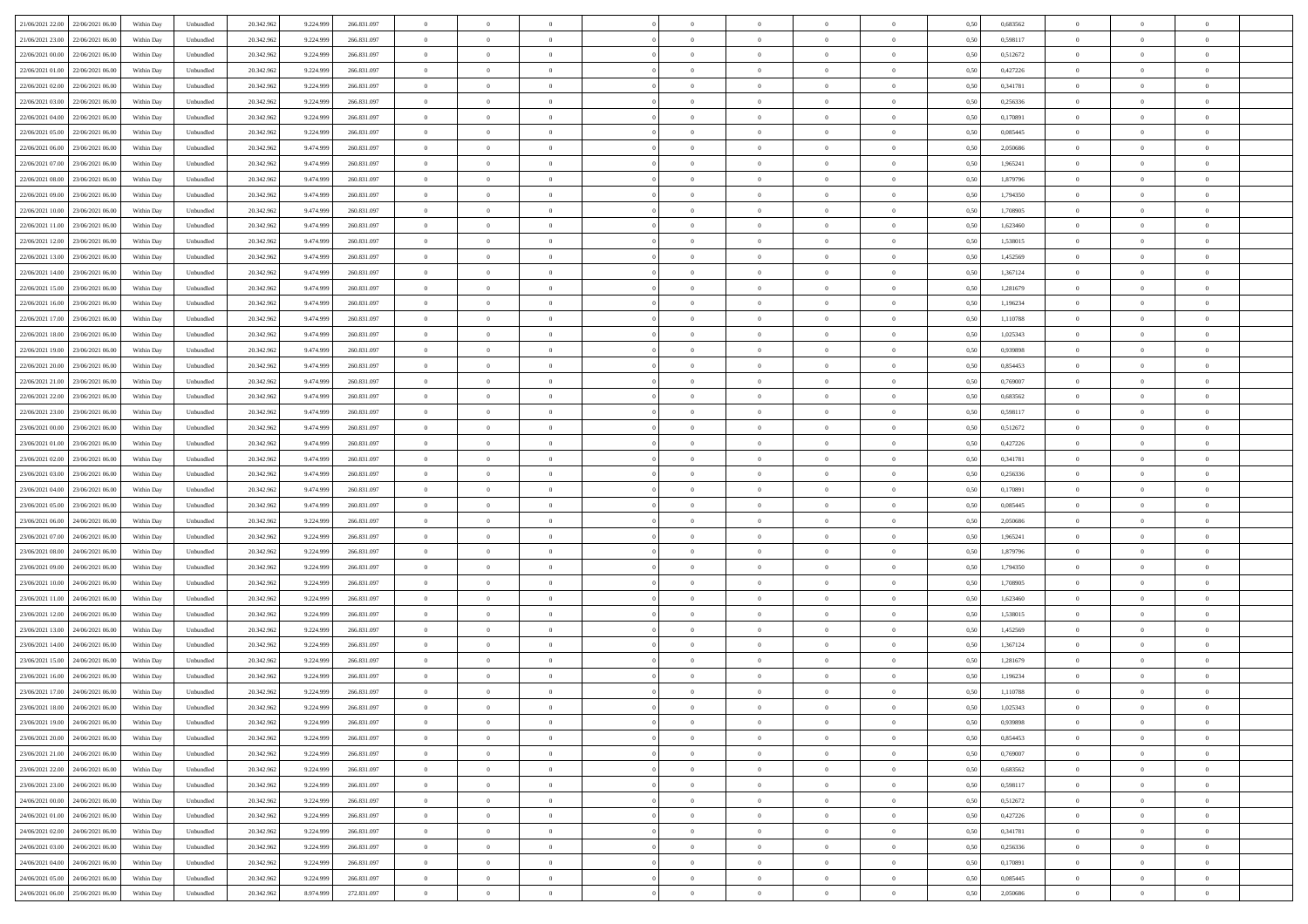| 21/06/2021 22:00<br>22/06/2021 06:00 | Within Day | Unbundled | 20.342.962 | 9.224.999 | 266.831.097 | $\overline{0}$ | $\overline{0}$ | $\overline{0}$ | $\theta$       | $\theta$       |                | $\overline{0}$ | 0,50 | 0,683562 | $\theta$       | $\theta$       | $\theta$       |  |
|--------------------------------------|------------|-----------|------------|-----------|-------------|----------------|----------------|----------------|----------------|----------------|----------------|----------------|------|----------|----------------|----------------|----------------|--|
|                                      |            |           |            |           |             |                |                |                |                |                |                |                |      |          |                |                |                |  |
| 21/06/2021 23.00<br>22/06/2021 06.0  | Within Day | Unbundled | 20.342.96  | 9.224.999 | 266.831.097 | $\overline{0}$ | $\overline{0}$ | $\overline{0}$ | $\,$ 0 $\,$    | $\bf{0}$       | $\overline{0}$ | $\bf{0}$       | 0,50 | 0,598117 | $\,$ 0 $\,$    | $\theta$       | $\overline{0}$ |  |
| 22/06/2021 00:00<br>22/06/2021 06:00 | Within Day | Unbundled | 20.342.962 | 9.224.999 | 266.831.097 | $\overline{0}$ | $\overline{0}$ | $\overline{0}$ | $\bf{0}$       | $\bf{0}$       | $\overline{0}$ | $\mathbf{0}$   | 0.50 | 0,512672 | $\bf{0}$       | $\overline{0}$ | $\overline{0}$ |  |
| 22/06/2021 01:00<br>22/06/2021 06.00 | Within Day | Unbundled | 20.342.962 | 9.224.999 | 266.831.097 | $\overline{0}$ | $\overline{0}$ | $\overline{0}$ | $\overline{0}$ | $\overline{0}$ | $\overline{0}$ | $\bf{0}$       | 0,50 | 0,427226 | $\theta$       | $\theta$       | $\overline{0}$ |  |
| 22/06/2021 02.00<br>22/06/2021 06.0  | Within Day | Unbundled | 20.342.962 | 9.224.999 | 266.831.097 | $\overline{0}$ | $\overline{0}$ | $\bf{0}$       | $\bf{0}$       | $\overline{0}$ | $\overline{0}$ | $\bf{0}$       | 0,50 | 0,341781 | $\,$ 0 $\,$    | $\theta$       | $\overline{0}$ |  |
|                                      |            |           |            |           |             |                |                |                |                |                |                |                |      |          |                |                |                |  |
| 22/06/2021 03:00<br>22/06/2021 06:00 | Within Day | Unbundled | 20.342.962 | 9.224.999 | 266.831.097 | $\overline{0}$ | $\overline{0}$ | $\overline{0}$ | $\overline{0}$ | $\overline{0}$ | $\overline{0}$ | $\mathbf{0}$   | 0.50 | 0.256336 | $\bf{0}$       | $\theta$       | $\overline{0}$ |  |
| 22/06/2021 04:00<br>22/06/2021 06.00 | Within Day | Unbundled | 20.342.962 | 9.224.999 | 266.831.097 | $\overline{0}$ | $\overline{0}$ | $\overline{0}$ | $\overline{0}$ | $\overline{0}$ | $\overline{0}$ | $\bf{0}$       | 0,50 | 0,170891 | $\theta$       | $\theta$       | $\overline{0}$ |  |
| 22/06/2021 05:00<br>22/06/2021 06.0  | Within Day | Unbundled | 20.342.962 | 9.224.999 | 266.831.097 | $\overline{0}$ | $\overline{0}$ | $\overline{0}$ | $\bf{0}$       | $\bf{0}$       | $\overline{0}$ | $\bf{0}$       | 0,50 | 0,085445 | $\,$ 0 $\,$    | $\bf{0}$       | $\overline{0}$ |  |
| 22/06/2021 06.00<br>23/06/2021 06:00 | Within Day | Unbundled | 20.342.962 | 9.474.999 | 260.831.097 | $\overline{0}$ | $\overline{0}$ | $\overline{0}$ | $\overline{0}$ | $\overline{0}$ | $\overline{0}$ | $\mathbf{0}$   | 0.50 | 2.050686 | $\,$ 0 $\,$    | $\theta$       | $\overline{0}$ |  |
| 22/06/2021 07:00<br>23/06/2021 06:00 | Within Day | Unbundled | 20.342.962 | 9.474.999 | 260.831.097 | $\overline{0}$ | $\overline{0}$ | $\overline{0}$ | $\bf{0}$       | $\overline{0}$ | $\overline{0}$ | $\bf{0}$       | 0,50 | 1,965241 | $\,$ 0 $\,$    | $\theta$       | $\overline{0}$ |  |
|                                      |            |           |            |           |             |                | $\overline{0}$ |                |                | $\overline{0}$ | $\overline{0}$ | $\bf{0}$       |      |          | $\,$ 0 $\,$    | $\theta$       | $\overline{0}$ |  |
| 22/06/2021 08:00<br>23/06/2021 06.0  | Within Day | Unbundled | 20.342.962 | 9.474.999 | 260.831.097 | $\overline{0}$ |                | $\overline{0}$ | $\bf{0}$       |                |                |                | 0,50 | 1,879796 |                |                |                |  |
| 22/06/2021 09:00<br>23/06/2021 06:00 | Within Day | Unbundled | 20.342.962 | 9.474.999 | 260.831.097 | $\overline{0}$ | $\overline{0}$ | $\overline{0}$ | $\bf{0}$       | $\bf{0}$       | $\overline{0}$ | $\,$ 0 $\,$    | 0.50 | 1,794350 | $\bf{0}$       | $\overline{0}$ | $\bf{0}$       |  |
| 22/06/2021 10:00<br>23/06/2021 06:00 | Within Day | Unbundled | 20.342.962 | 9.474.999 | 260.831.097 | $\overline{0}$ | $\overline{0}$ | $\overline{0}$ | $\overline{0}$ | $\overline{0}$ | $\overline{0}$ | $\bf{0}$       | 0,50 | 1,708905 | $\theta$       | $\theta$       | $\overline{0}$ |  |
| 22/06/2021 11:00<br>23/06/2021 06.0  | Within Day | Unbundled | 20.342.962 | 9.474.999 | 260.831.097 | $\overline{0}$ | $\overline{0}$ | $\overline{0}$ | $\bf{0}$       | $\overline{0}$ | $\overline{0}$ | $\bf{0}$       | 0,50 | 1,623460 | $\,$ 0 $\,$    | $\bf{0}$       | $\overline{0}$ |  |
| 22/06/2021 12:00<br>23/06/2021 06:00 | Within Day | Unbundled | 20.342.962 | 9.474.999 | 260.831.097 | $\overline{0}$ | $\overline{0}$ | $\overline{0}$ | $\overline{0}$ | $\overline{0}$ | $\overline{0}$ | $\mathbf{0}$   | 0.50 | 1.538015 | $\,$ 0 $\,$    | $\theta$       | $\overline{0}$ |  |
| 22/06/2021 13:00<br>23/06/2021 06:00 | Within Day | Unbundled | 20.342.962 | 9.474.999 | 260.831.097 | $\overline{0}$ | $\overline{0}$ | $\overline{0}$ | $\overline{0}$ | $\overline{0}$ | $\overline{0}$ | $\bf{0}$       | 0,50 | 1,452569 | $\theta$       | $\theta$       | $\overline{0}$ |  |
|                                      |            |           |            |           |             |                |                |                |                |                |                |                |      |          |                |                |                |  |
| 22/06/2021 14:00<br>23/06/2021 06.0  | Within Day | Unbundled | 20.342.962 | 9.474.999 | 260.831.097 | $\overline{0}$ | $\overline{0}$ | $\overline{0}$ | $\bf{0}$       | $\overline{0}$ | $\overline{0}$ | $\bf{0}$       | 0,50 | 1,367124 | $\,$ 0 $\,$    | $\theta$       | $\overline{0}$ |  |
| 22/06/2021 15:00<br>23/06/2021 06:00 | Within Day | Unbundled | 20.342.962 | 9.474.999 | 260.831.097 | $\overline{0}$ | $\overline{0}$ | $\overline{0}$ | $\overline{0}$ | $\bf{0}$       | $\overline{0}$ | $\mathbf{0}$   | 0.50 | 1.281679 | $\,$ 0 $\,$    | $\overline{0}$ | $\overline{0}$ |  |
| 22/06/2021 16:00<br>23/06/2021 06:00 | Within Day | Unbundled | 20.342.962 | 9.474.999 | 260.831.097 | $\overline{0}$ | $\overline{0}$ | $\overline{0}$ | $\overline{0}$ | $\overline{0}$ | $\overline{0}$ | $\bf{0}$       | 0,50 | 1,196234 | $\,$ 0 $\,$    | $\theta$       | $\overline{0}$ |  |
| 22/06/2021 17:00<br>23/06/2021 06.0  | Within Day | Unbundled | 20.342.962 | 9.474.999 | 260.831.097 | $\overline{0}$ | $\overline{0}$ | $\overline{0}$ | $\bf{0}$       | $\bf{0}$       | $\overline{0}$ | $\bf{0}$       | 0,50 | 1,110788 | $\,$ 0 $\,$    | $\bf{0}$       | $\overline{0}$ |  |
| 22/06/2021 18:00<br>23/06/2021 06:00 | Within Day | Unbundled | 20.342.962 | 9.474.999 | 260.831.097 | $\overline{0}$ | $\overline{0}$ | $\overline{0}$ | $\bf{0}$       | $\bf{0}$       | $\overline{0}$ | $\mathbf{0}$   | 0.50 | 1.025343 | $\bf{0}$       | $\overline{0}$ | $\,$ 0         |  |
| 22/06/2021 19:00<br>23/06/2021 06:00 | Within Day | Unbundled | 20.342.962 | 9.474.999 | 260.831.097 | $\overline{0}$ | $\overline{0}$ | $\overline{0}$ | $\overline{0}$ | $\overline{0}$ | $\overline{0}$ | $\,$ 0 $\,$    | 0,50 | 0,939898 | $\theta$       | $\theta$       | $\overline{0}$ |  |
|                                      |            |           |            |           |             |                |                |                |                |                |                |                |      |          |                |                |                |  |
| 22/06/2021 20.00<br>23/06/2021 06.0  | Within Day | Unbundled | 20.342.962 | 9.474.999 | 260.831.097 | $\overline{0}$ | $\overline{0}$ | $\bf{0}$       | $\bf{0}$       | $\overline{0}$ | $\overline{0}$ | $\bf{0}$       | 0,50 | 0,854453 | $\,$ 0 $\,$    | $\bf{0}$       | $\overline{0}$ |  |
| 22/06/2021 21:00<br>23/06/2021 06:00 | Within Day | Unbundled | 20.342.962 | 9.474.999 | 260.831.097 | $\overline{0}$ | $\overline{0}$ | $\overline{0}$ | $\overline{0}$ | $\overline{0}$ | $\overline{0}$ | $\mathbf{0}$   | 0.50 | 0.769007 | $\bf{0}$       | $\theta$       | $\overline{0}$ |  |
| 22/06/2021 22:00<br>23/06/2021 06:00 | Within Day | Unbundled | 20.342.962 | 9.474.999 | 260.831.097 | $\overline{0}$ | $\overline{0}$ | $\overline{0}$ | $\overline{0}$ | $\overline{0}$ | $\overline{0}$ | $\bf{0}$       | 0,50 | 0,683562 | $\theta$       | $\theta$       | $\overline{0}$ |  |
| 22/06/2021 23:00<br>23/06/2021 06.0  | Within Day | Unbundled | 20.342.962 | 9.474.999 | 260.831.097 | $\overline{0}$ | $\overline{0}$ | $\overline{0}$ | $\bf{0}$       | $\overline{0}$ | $\overline{0}$ | $\bf{0}$       | 0,50 | 0,598117 | $\,$ 0 $\,$    | $\theta$       | $\overline{0}$ |  |
| 23/06/2021 00:00<br>23/06/2021 06:00 | Within Day | Unbundled | 20.342.962 | 9.474.999 | 260.831.097 | $\overline{0}$ | $\overline{0}$ | $\overline{0}$ | $\overline{0}$ | $\overline{0}$ | $\overline{0}$ | $\mathbf{0}$   | 0.50 | 0.512672 | $\,$ 0 $\,$    | $\theta$       | $\overline{0}$ |  |
| 23/06/2021 01:00<br>23/06/2021 06:00 | Within Day | Unbundled | 20.342.962 | 9.474.999 | 260.831.097 | $\overline{0}$ | $\overline{0}$ | $\overline{0}$ | $\overline{0}$ | $\overline{0}$ | $\overline{0}$ | $\bf{0}$       | 0,50 | 0,427226 | $\theta$       | $\theta$       | $\overline{0}$ |  |
|                                      |            |           |            |           |             |                |                |                |                |                |                |                |      |          |                |                |                |  |
| 23/06/2021 02:00<br>23/06/2021 06.0  | Within Day | Unbundled | 20.342.962 | 9.474.999 | 260.831.097 | $\overline{0}$ | $\overline{0}$ | $\overline{0}$ | $\overline{0}$ | $\bf{0}$       | $\overline{0}$ | $\bf{0}$       | 0,50 | 0,341781 | $\,$ 0 $\,$    | $\bf{0}$       | $\overline{0}$ |  |
| 23/06/2021 03:00<br>23/06/2021 06:00 | Within Day | Unbundled | 20.342.962 | 9.474.999 | 260.831.097 | $\overline{0}$ | $\overline{0}$ | $\overline{0}$ | $\bf{0}$       | $\bf{0}$       | $\overline{0}$ | $\,$ 0 $\,$    | 0.50 | 0.256336 | $\bf{0}$       | $\overline{0}$ | $\bf{0}$       |  |
| 23/06/2021 04:00<br>23/06/2021 06:00 | Within Day | Unbundled | 20.342.962 | 9.474.999 | 260.831.097 | $\overline{0}$ | $\overline{0}$ | $\overline{0}$ | $\overline{0}$ | $\overline{0}$ | $\overline{0}$ | $\overline{0}$ | 0.50 | 0,170891 | $\theta$       | $\theta$       | $\overline{0}$ |  |
| 23/06/2021 05:00<br>23/06/2021 06.0  | Within Day | Unbundled | 20.342.962 | 9.474.999 | 260.831.097 | $\overline{0}$ | $\overline{0}$ | $\overline{0}$ | $\bf{0}$       | $\overline{0}$ | $\overline{0}$ | $\bf{0}$       | 0,50 | 0,085445 | $\,$ 0 $\,$    | $\bf{0}$       | $\overline{0}$ |  |
| 23/06/2021 06.00<br>24/06/2021 06.00 | Within Day | Unbundled | 20.342.962 | 9.224.999 | 266.831.097 | $\overline{0}$ | $\overline{0}$ | $\overline{0}$ | $\overline{0}$ | $\overline{0}$ | $\overline{0}$ | $\mathbf{0}$   | 0.50 | 2.050686 | $\,$ 0 $\,$    | $\theta$       | $\overline{0}$ |  |
| 23/06/2021 07:00<br>24/06/2021 06.00 | Within Day | Unbundled | 20.342.962 | 9.224.999 | 266.831.097 | $\overline{0}$ | $\overline{0}$ | $\overline{0}$ | $\overline{0}$ | $\overline{0}$ | $\overline{0}$ | $\overline{0}$ | 0.50 | 1,965241 | $\theta$       | $\theta$       | $\overline{0}$ |  |
|                                      |            |           |            |           |             |                | $\overline{0}$ |                |                |                | $\overline{0}$ |                |      |          |                |                |                |  |
| 23/06/2021 08:00<br>24/06/2021 06.0  | Within Day | Unbundled | 20.342.962 | 9.224.999 | 266.831.097 | $\overline{0}$ |                | $\overline{0}$ | $\bf{0}$       | $\overline{0}$ |                | $\bf{0}$       | 0,50 | 1,879796 | $\,$ 0 $\,$    | $\bf{0}$       | $\overline{0}$ |  |
| 23/06/2021 09:00<br>24/06/2021 06:00 | Within Day | Unbundled | 20.342.962 | 9.224.999 | 266.831.097 | $\overline{0}$ | $\overline{0}$ | $\overline{0}$ | $\overline{0}$ | $\bf{0}$       | $\overline{0}$ | $\mathbf{0}$   | 0.50 | 1,794350 | $\,$ 0 $\,$    | $\theta$       | $\overline{0}$ |  |
| 23/06/2021 10:00<br>24/06/2021 06.00 | Within Day | Unbundled | 20.342.962 | 9.224.999 | 266.831.097 | $\overline{0}$ | $\overline{0}$ | $\overline{0}$ | $\overline{0}$ | $\overline{0}$ | $\overline{0}$ | $\overline{0}$ | 0.50 | 1,708905 | $\theta$       | $\theta$       | $\overline{0}$ |  |
| 23/06/2021 11:00<br>24/06/2021 06.0  | Within Day | Unbundled | 20.342.962 | 9.224.999 | 266.831.097 | $\overline{0}$ | $\overline{0}$ | $\overline{0}$ | $\,$ 0 $\,$    | $\bf{0}$       | $\overline{0}$ | $\bf{0}$       | 0,50 | 1,623460 | $\,$ 0 $\,$    | $\bf{0}$       | $\overline{0}$ |  |
| 23/06/2021 12:00<br>24/06/2021 06.00 | Within Day | Unbundled | 20.342.962 | 9.224.999 | 266.831.097 | $\overline{0}$ | $\overline{0}$ | $\overline{0}$ | $\bf{0}$       | $\bf{0}$       | $\overline{0}$ | $\mathbf{0}$   | 0.50 | 1.538015 | $\bf{0}$       | $\overline{0}$ | $\,$ 0         |  |
| 23/06/2021 13:00<br>24/06/2021 06:00 | Within Day | Unbundled | 20.342.962 | 9.224.999 | 266.831.097 | $\overline{0}$ | $\overline{0}$ | $\overline{0}$ | $\overline{0}$ | $\overline{0}$ | $\overline{0}$ | $\overline{0}$ | 0.50 | 1,452569 | $\theta$       | $\theta$       | $\overline{0}$ |  |
|                                      |            |           |            |           |             |                | $\overline{0}$ |                | $\bf{0}$       | $\bf{0}$       | $\overline{0}$ | $\bf{0}$       |      |          | $\,$ 0 $\,$    | $\bf{0}$       | $\overline{0}$ |  |
| 23/06/2021 14:00<br>24/06/2021 06.0  | Within Day | Unbundled | 20.342.962 | 9.224.999 | 266.831.097 | $\overline{0}$ |                | $\overline{0}$ |                |                |                |                | 0,50 | 1,367124 |                |                |                |  |
| 23/06/2021 15:00<br>24/06/2021 06.00 | Within Day | Unbundled | 20.342.962 | 9.224.999 | 266.831.097 | $\overline{0}$ | $\overline{0}$ | $\overline{0}$ | $\overline{0}$ | $\overline{0}$ | $\overline{0}$ | $\mathbf{0}$   | 0.50 | 1.281679 | $\,$ 0 $\,$    | $\theta$       | $\overline{0}$ |  |
| 23/06/2021 16:00<br>24/06/2021 06.00 | Within Day | Unbundled | 20.342.962 | 9.224.999 | 266.831.097 | $\overline{0}$ | $\overline{0}$ | $\overline{0}$ | $\overline{0}$ | $\overline{0}$ | $\Omega$       | $\overline{0}$ | 0.5( | 1,196234 | $\theta$       | $\theta$       | $\overline{0}$ |  |
| 23/06/2021 17:00<br>24/06/2021 06.00 | Within Day | Unbundled | 20.342.962 | 9.224.999 | 266.831.097 | $\overline{0}$ | $\overline{0}$ | $\bf{0}$       | $\overline{0}$ | $\bf{0}$       | $\overline{0}$ | $\bf{0}$       | 0,50 | 1,110788 | $\,$ 0 $\,$    | $\bf{0}$       | $\overline{0}$ |  |
| 23/06/2021 18:00 24/06/2021 06:00    | Within Day | Unbundled | 20.342.962 | 9.224.999 | 266 831 097 | $\bf{0}$       | $\,$ 0 $\,$    |                | $\bf{0}$       |                |                |                | 0,50 | 1,025343 | $\theta$       | $\overline{0}$ |                |  |
| 23/06/2021 19:00 24/06/2021 06:00    | Within Dav | Unbundled | 20.342.962 | 9.224.999 | 266.831.097 | $\overline{0}$ | $\overline{0}$ | $\overline{0}$ | $\overline{0}$ | $\overline{0}$ | $\overline{0}$ | $\overline{0}$ | 0,50 | 0,939898 | $\theta$       | $\theta$       | $\overline{0}$ |  |
| 23/06/2021 20:00<br>24/06/2021 06.00 | Within Day | Unbundled | 20.342.962 | 9.224.999 | 266.831.097 | $\overline{0}$ | $\overline{0}$ | $\overline{0}$ | $\bf{0}$       | $\overline{0}$ | $\overline{0}$ | $\mathbf{0}$   | 0,50 | 0,854453 | $\bf{0}$       | $\overline{0}$ | $\bf{0}$       |  |
|                                      |            |           |            |           |             |                |                |                |                |                |                |                |      |          |                |                |                |  |
| 23/06/2021 21.00 24/06/2021 06.00    | Within Day | Unbundled | 20.342.962 | 9.224.999 | 266.831.097 | $\overline{0}$ | $\overline{0}$ | $\overline{0}$ | $\,$ 0 $\,$    | $\bf{0}$       | $\overline{0}$ | $\mathbf{0}$   | 0.50 | 0.769007 | $\overline{0}$ | $\bf{0}$       | $\,$ 0 $\,$    |  |
| 23/06/2021 22:00 24/06/2021 06:00    | Within Dav | Unbundled | 20.342.962 | 9.224.999 | 266.831.097 | $\overline{0}$ | $\overline{0}$ | $\overline{0}$ | $\overline{0}$ | $\overline{0}$ | $\overline{0}$ | $\mathbf{0}$   | 0,50 | 0,683562 | $\overline{0}$ | $\theta$       | $\overline{0}$ |  |
| 23/06/2021 23:00<br>24/06/2021 06:00 | Within Day | Unbundled | 20.342.962 | 9.224.999 | 266.831.097 | $\overline{0}$ | $\overline{0}$ | $\overline{0}$ | $\bf{0}$       | $\bf{0}$       | $\overline{0}$ | $\mathbf{0}$   | 0,50 | 0,598117 | $\overline{0}$ | $\bf{0}$       | $\overline{0}$ |  |
| 24/06/2021 00.00<br>24/06/2021 06:00 | Within Day | Unbundled | 20.342.962 | 9.224.999 | 266.831.097 | $\overline{0}$ | $\overline{0}$ | $\overline{0}$ | $\bf{0}$       | $\overline{0}$ | $\overline{0}$ | $\mathbf{0}$   | 0.50 | 0,512672 | $\,$ 0 $\,$    | $\theta$       | $\,$ 0         |  |
| 24/06/2021 01:00<br>24/06/2021 06:00 | Within Day | Unbundled | 20.342.962 | 9.224.999 | 266.831.097 | $\overline{0}$ | $\overline{0}$ | $\overline{0}$ | $\overline{0}$ | $\overline{0}$ | $\overline{0}$ | $\mathbf{0}$   | 0,50 | 0,427226 | $\overline{0}$ | $\theta$       | $\overline{0}$ |  |
| 24/06/2021 02.00<br>24/06/2021 06.00 | Within Day | Unbundled | 20.342.962 | 9.224.999 | 266.831.097 | $\overline{0}$ | $\overline{0}$ | $\overline{0}$ | $\bf{0}$       | $\overline{0}$ | $\overline{0}$ | $\,$ 0 $\,$    | 0,50 | 0,341781 | $\bf{0}$       | $\bf{0}$       | $\overline{0}$ |  |
|                                      |            |           |            |           |             |                |                |                |                |                |                |                |      |          |                |                |                |  |
| 24/06/2021 03:00<br>24/06/2021 06:00 | Within Day | Unbundled | 20.342.962 | 9.224.999 | 266.831.097 | $\overline{0}$ | $\overline{0}$ | $\overline{0}$ | $\bf{0}$       | $\overline{0}$ | $\overline{0}$ | $\,$ 0 $\,$    | 0.50 | 0.256336 | $\overline{0}$ | $\bf{0}$       | $\,$ 0         |  |
| 24/06/2021 04:00<br>24/06/2021 06:00 | Within Dav | Unbundled | 20.342.962 | 9.224.999 | 266.831.097 | $\overline{0}$ | $\overline{0}$ | $\overline{0}$ | $\overline{0}$ | $\overline{0}$ | $\overline{0}$ | $\mathbf{0}$   | 0,50 | 0,170891 | $\overline{0}$ | $\theta$       | $\overline{0}$ |  |
| 24/06/2021 05:00<br>24/06/2021 06.0  | Within Day | Unbundled | 20.342.962 | 9.224.999 | 266.831.097 | $\overline{0}$ | $\overline{0}$ | $\overline{0}$ | $\overline{0}$ | $\bf{0}$       | $\overline{0}$ | $\mathbf{0}$   | 0,50 | 0,085445 | $\bf{0}$       | $\bf{0}$       | $\overline{0}$ |  |
| 24/06/2021 06:00 25/06/2021 06:00    | Within Day | Unbundled | 20.342.962 | 8.974.999 | 272.831.097 | $\,$ 0 $\,$    | $\overline{0}$ | $\overline{0}$ | $\bf{0}$       | $\,$ 0         | $\overline{0}$ | $\,0\,$        | 0,50 | 2,050686 | $\overline{0}$ | $\,$ 0 $\,$    | $\,$ 0 $\,$    |  |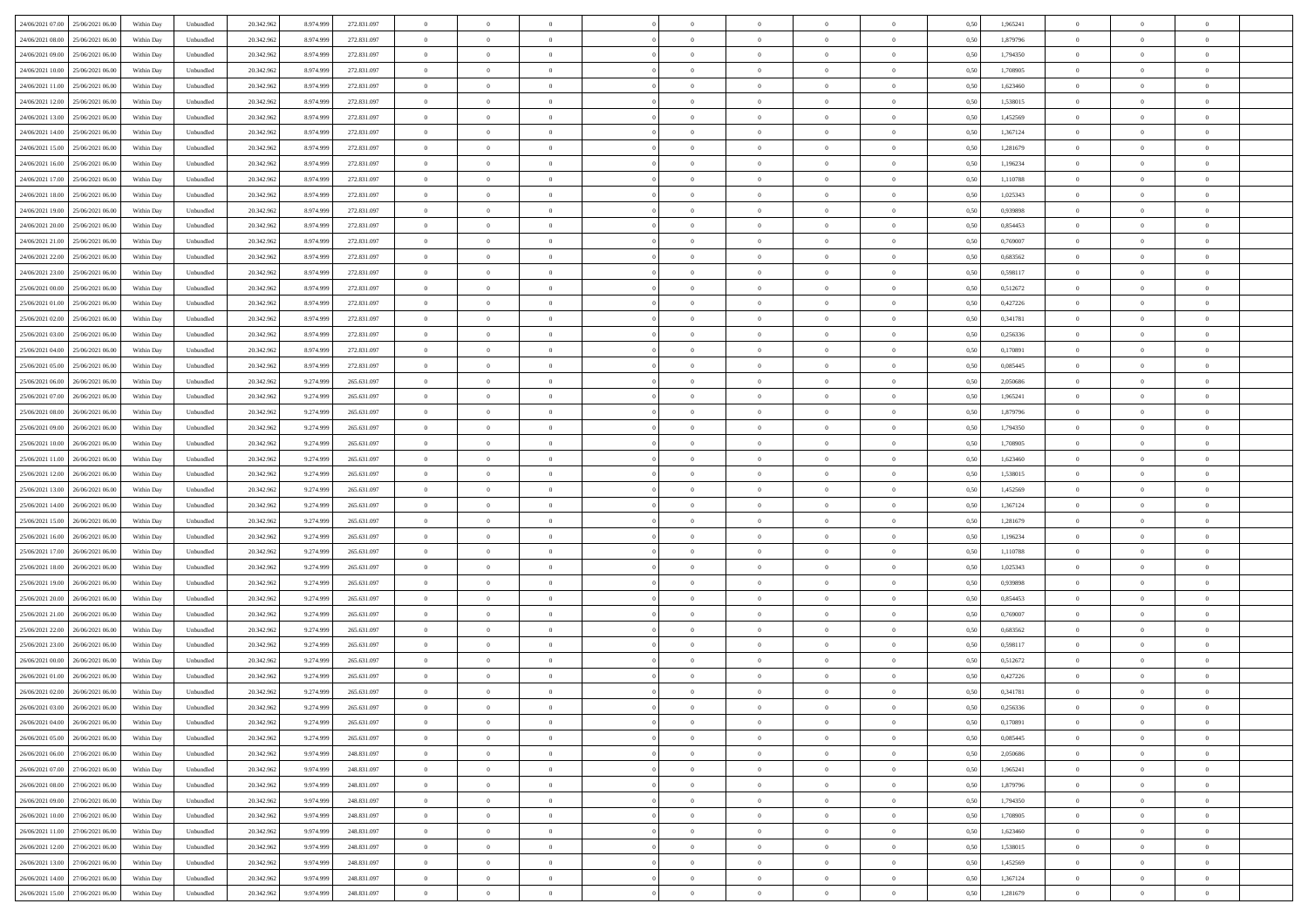| 24/06/2021 07:00<br>25/06/2021 06:00 | Within Day | Unbundled | 20.342.962 | 8.974.999 | 272.831.097 | $\overline{0}$ | $\overline{0}$ | $\overline{0}$ | $\theta$       | $\theta$       |                | $\overline{0}$ | 0,50 | 1,965241 | $\theta$       | $\theta$       | $\theta$       |  |
|--------------------------------------|------------|-----------|------------|-----------|-------------|----------------|----------------|----------------|----------------|----------------|----------------|----------------|------|----------|----------------|----------------|----------------|--|
|                                      |            |           |            |           |             |                |                |                |                |                |                |                |      |          |                |                |                |  |
| 24/06/2021 08:00<br>25/06/2021 06.0  | Within Day | Unbundled | 20.342.96  | 8.974.999 | 272.831.097 | $\overline{0}$ | $\overline{0}$ | $\overline{0}$ | $\,$ 0 $\,$    | $\bf{0}$       | $\overline{0}$ | $\bf{0}$       | 0,50 | 1,879796 | $\,$ 0 $\,$    | $\theta$       | $\overline{0}$ |  |
| 24/06/2021 09:00<br>25/06/2021 06:00 | Within Day | Unbundled | 20.342.962 | 8.974.999 | 272.831.097 | $\overline{0}$ | $\overline{0}$ | $\overline{0}$ | $\bf{0}$       | $\bf{0}$       | $\overline{0}$ | $\mathbf{0}$   | 0.50 | 1,794350 | $\bf{0}$       | $\overline{0}$ | $\overline{0}$ |  |
| 24/06/2021 10:00<br>25/06/2021 06:00 | Within Day | Unbundled | 20.342.962 | 8.974.999 | 272.831.097 | $\overline{0}$ | $\overline{0}$ | $\overline{0}$ | $\overline{0}$ | $\overline{0}$ | $\overline{0}$ | $\bf{0}$       | 0,50 | 1,708905 | $\theta$       | $\theta$       | $\overline{0}$ |  |
| 24/06/2021 11:00<br>25/06/2021 06.0  | Within Day | Unbundled | 20.342.962 | 8.974.999 | 272.831.097 | $\overline{0}$ | $\overline{0}$ | $\bf{0}$       | $\bf{0}$       | $\overline{0}$ | $\overline{0}$ | $\bf{0}$       | 0,50 | 1,623460 | $\,$ 0 $\,$    | $\theta$       | $\overline{0}$ |  |
|                                      |            |           |            |           |             |                |                |                |                |                |                |                |      |          |                |                |                |  |
| 24/06/2021 12.00<br>25/06/2021 06:00 | Within Day | Unbundled | 20.342.962 | 8.974.999 | 272.831.097 | $\overline{0}$ | $\overline{0}$ | $\overline{0}$ | $\overline{0}$ | $\overline{0}$ | $\overline{0}$ | $\mathbf{0}$   | 0.50 | 1.538015 | $\,$ 0 $\,$    | $\theta$       | $\overline{0}$ |  |
| 24/06/2021 13:00<br>25/06/2021 06.00 | Within Day | Unbundled | 20.342.962 | 8.974.999 | 272.831.097 | $\overline{0}$ | $\overline{0}$ | $\overline{0}$ | $\overline{0}$ | $\overline{0}$ | $\overline{0}$ | $\bf{0}$       | 0,50 | 1,452569 | $\theta$       | $\theta$       | $\overline{0}$ |  |
| 24/06/2021 14:00<br>25/06/2021 06.0  | Within Day | Unbundled | 20.342.962 | 8.974.999 | 272.831.097 | $\overline{0}$ | $\overline{0}$ | $\overline{0}$ | $\bf{0}$       | $\bf{0}$       | $\overline{0}$ | $\bf{0}$       | 0,50 | 1,367124 | $\,$ 0 $\,$    | $\bf{0}$       | $\overline{0}$ |  |
| 24/06/2021 15:00<br>25/06/2021 06:00 | Within Day | Unbundled | 20.342.962 | 8.974.999 | 272.831.097 | $\overline{0}$ | $\overline{0}$ | $\overline{0}$ | $\overline{0}$ | $\overline{0}$ | $\overline{0}$ | $\mathbf{0}$   | 0.50 | 1.281679 | $\,$ 0 $\,$    | $\theta$       | $\overline{0}$ |  |
| 24/06/2021 16:00<br>25/06/2021 06:00 | Within Day | Unbundled | 20.342.962 | 8.974.999 | 272.831.097 | $\overline{0}$ | $\overline{0}$ | $\overline{0}$ | $\bf{0}$       | $\overline{0}$ | $\overline{0}$ | $\bf{0}$       | 0,50 | 1,196234 | $\,$ 0 $\,$    | $\theta$       | $\overline{0}$ |  |
|                                      |            |           |            |           |             |                | $\overline{0}$ |                |                |                |                |                |      |          |                | $\theta$       |                |  |
| 24/06/2021 17:00<br>25/06/2021 06.0  | Within Day | Unbundled | 20.342.962 | 8.974.999 | 272.831.097 | $\overline{0}$ |                | $\bf{0}$       | $\bf{0}$       | $\overline{0}$ | $\overline{0}$ | $\bf{0}$       | 0,50 | 1,110788 | $\,$ 0 $\,$    |                | $\overline{0}$ |  |
| 24/06/2021 18:00<br>25/06/2021 06:00 | Within Day | Unbundled | 20.342.962 | 8.974.999 | 272.831.097 | $\overline{0}$ | $\overline{0}$ | $\overline{0}$ | $\bf{0}$       | $\bf{0}$       | $\overline{0}$ | $\mathbf{0}$   | 0.50 | 1.025343 | $\bf{0}$       | $\overline{0}$ | $\bf{0}$       |  |
| 24/06/2021 19:00<br>25/06/2021 06:00 | Within Day | Unbundled | 20.342.962 | 8.974.999 | 272.831.097 | $\overline{0}$ | $\overline{0}$ | $\overline{0}$ | $\overline{0}$ | $\overline{0}$ | $\overline{0}$ | $\bf{0}$       | 0,50 | 0,939898 | $\theta$       | $\theta$       | $\overline{0}$ |  |
| 24/06/2021 20.00<br>25/06/2021 06.0  | Within Day | Unbundled | 20.342.962 | 8.974.999 | 272.831.097 | $\overline{0}$ | $\overline{0}$ | $\overline{0}$ | $\bf{0}$       | $\overline{0}$ | $\overline{0}$ | $\bf{0}$       | 0,50 | 0,854453 | $\,$ 0 $\,$    | $\bf{0}$       | $\overline{0}$ |  |
| 24/06/2021 21.00<br>25/06/2021 06:00 | Within Day | Unbundled | 20.342.962 | 8.974.999 | 272.831.097 | $\overline{0}$ | $\overline{0}$ | $\overline{0}$ | $\overline{0}$ | $\overline{0}$ | $\overline{0}$ | $\mathbf{0}$   | 0.50 | 0.769007 | $\,$ 0 $\,$    | $\theta$       | $\overline{0}$ |  |
| 24/06/2021 22.00<br>25/06/2021 06:00 | Within Day | Unbundled | 20.342.962 | 8.974.999 | 272.831.097 | $\overline{0}$ | $\overline{0}$ | $\overline{0}$ | $\overline{0}$ | $\overline{0}$ | $\overline{0}$ | $\bf{0}$       | 0,50 | 0,683562 | $\theta$       | $\theta$       | $\overline{0}$ |  |
|                                      |            |           |            |           |             |                |                |                |                |                |                |                |      |          |                |                |                |  |
| 24/06/2021 23:00<br>25/06/2021 06.0  | Within Day | Unbundled | 20.342.962 | 8.974.999 | 272.831.097 | $\overline{0}$ | $\overline{0}$ | $\overline{0}$ | $\bf{0}$       | $\overline{0}$ | $\overline{0}$ | $\bf{0}$       | 0,50 | 0,598117 | $\,$ 0 $\,$    | $\theta$       | $\overline{0}$ |  |
| 25/06/2021 00:00<br>25/06/2021 06:00 | Within Day | Unbundled | 20.342.962 | 8.974.999 | 272.831.097 | $\overline{0}$ | $\overline{0}$ | $\overline{0}$ | $\overline{0}$ | $\bf{0}$       | $\overline{0}$ | $\mathbf{0}$   | 0.50 | 0.512672 | $\,$ 0 $\,$    | $\overline{0}$ | $\overline{0}$ |  |
| 25/06/2021 01:00<br>25/06/2021 06:00 | Within Day | Unbundled | 20.342.962 | 8.974.999 | 272.831.097 | $\overline{0}$ | $\overline{0}$ | $\overline{0}$ | $\overline{0}$ | $\overline{0}$ | $\overline{0}$ | $\bf{0}$       | 0,50 | 0,427226 | $\,$ 0 $\,$    | $\theta$       | $\overline{0}$ |  |
| 25/06/2021 02:00<br>25/06/2021 06.0  | Within Day | Unbundled | 20.342.962 | 8.974.999 | 272.831.097 | $\overline{0}$ | $\overline{0}$ | $\overline{0}$ | $\bf{0}$       | $\bf{0}$       | $\overline{0}$ | $\bf{0}$       | 0,50 | 0,341781 | $\,$ 0 $\,$    | $\bf{0}$       | $\overline{0}$ |  |
| 25/06/2021 03.00<br>25/06/2021 06:00 | Within Day | Unbundled | 20.342.962 | 8.974.999 | 272.831.097 | $\overline{0}$ | $\overline{0}$ | $\overline{0}$ | $\bf{0}$       | $\bf{0}$       | $\overline{0}$ | $\mathbf{0}$   | 0.50 | 0.256336 | $\bf{0}$       | $\overline{0}$ | $\bf{0}$       |  |
| 25/06/2021 04:00<br>25/06/2021 06:00 | Within Day | Unbundled | 20.342.962 | 8.974.999 | 272.831.097 | $\overline{0}$ | $\overline{0}$ | $\overline{0}$ | $\overline{0}$ | $\overline{0}$ | $\overline{0}$ | $\,$ 0 $\,$    | 0,50 | 0,170891 | $\theta$       | $\theta$       | $\overline{0}$ |  |
|                                      |            |           |            |           |             |                |                |                |                |                |                |                |      |          |                |                |                |  |
| 25/06/2021 05:00<br>25/06/2021 06.0  | Within Day | Unbundled | 20.342.962 | 8.974.999 | 272.831.097 | $\overline{0}$ | $\overline{0}$ | $\bf{0}$       | $\bf{0}$       | $\overline{0}$ | $\overline{0}$ | $\bf{0}$       | 0,50 | 0,085445 | $\,$ 0 $\,$    | $\bf{0}$       | $\overline{0}$ |  |
| 25/06/2021 06:00<br>26/06/2021 06:00 | Within Day | Unbundled | 20.342.962 | 9.274.999 | 265.631.097 | $\overline{0}$ | $\overline{0}$ | $\overline{0}$ | $\overline{0}$ | $\overline{0}$ | $\overline{0}$ | $\mathbf{0}$   | 0.50 | 2.050686 | $\bf{0}$       | $\theta$       | $\overline{0}$ |  |
| 25/06/2021 07:00<br>26/06/2021 06.00 | Within Day | Unbundled | 20.342.962 | 9.274.999 | 265.631.097 | $\overline{0}$ | $\overline{0}$ | $\overline{0}$ | $\overline{0}$ | $\overline{0}$ | $\overline{0}$ | $\bf{0}$       | 0,50 | 1,965241 | $\theta$       | $\theta$       | $\overline{0}$ |  |
| 25/06/2021 08:00<br>26/06/2021 06.0  | Within Day | Unbundled | 20.342.962 | 9.274.999 | 265.631.097 | $\overline{0}$ | $\overline{0}$ | $\overline{0}$ | $\bf{0}$       | $\overline{0}$ | $\overline{0}$ | $\bf{0}$       | 0,50 | 1,879796 | $\,$ 0 $\,$    | $\theta$       | $\overline{0}$ |  |
| 25/06/2021 09:00<br>26/06/2021 06:00 | Within Day | Unbundled | 20.342.962 | 9.274.999 | 265.631.097 | $\overline{0}$ | $\overline{0}$ | $\overline{0}$ | $\overline{0}$ | $\overline{0}$ | $\overline{0}$ | $\mathbf{0}$   | 0.50 | 1,794350 | $\,$ 0 $\,$    | $\theta$       | $\overline{0}$ |  |
| 25/06/2021 10:00<br>26/06/2021 06:00 | Within Day | Unbundled | 20.342.962 | 9.274.999 | 265.631.097 | $\overline{0}$ | $\overline{0}$ | $\overline{0}$ | $\overline{0}$ | $\overline{0}$ | $\overline{0}$ | $\bf{0}$       | 0,50 | 1,708905 | $\theta$       | $\theta$       | $\overline{0}$ |  |
|                                      |            |           |            |           |             |                |                |                |                |                |                |                |      |          |                |                |                |  |
| 25/06/2021 11:00<br>26/06/2021 06.0  | Within Day | Unbundled | 20.342.962 | 9.274.999 | 265.631.097 | $\overline{0}$ | $\overline{0}$ | $\overline{0}$ | $\overline{0}$ | $\bf{0}$       | $\overline{0}$ | $\bf{0}$       | 0,50 | 1,623460 | $\,$ 0 $\,$    | $\bf{0}$       | $\overline{0}$ |  |
| 25/06/2021 12:00<br>26/06/2021 06:00 | Within Day | Unbundled | 20.342.962 | 9.274.999 | 265.631.097 | $\overline{0}$ | $\overline{0}$ | $\overline{0}$ | $\bf{0}$       | $\bf{0}$       | $\overline{0}$ | $\mathbf{0}$   | 0.50 | 1.538015 | $\bf{0}$       | $\overline{0}$ | $\bf{0}$       |  |
| 25/06/2021 13:00<br>26/06/2021 06:00 | Within Day | Unbundled | 20.342.962 | 9.274.999 | 265.631.097 | $\overline{0}$ | $\overline{0}$ | $\overline{0}$ | $\overline{0}$ | $\overline{0}$ | $\overline{0}$ | $\overline{0}$ | 0.50 | 1,452569 | $\theta$       | $\theta$       | $\overline{0}$ |  |
| 25/06/2021 14:00<br>26/06/2021 06.0  | Within Day | Unbundled | 20.342.962 | 9.274.999 | 265.631.097 | $\overline{0}$ | $\overline{0}$ | $\overline{0}$ | $\bf{0}$       | $\overline{0}$ | $\overline{0}$ | $\bf{0}$       | 0,50 | 1,367124 | $\,$ 0 $\,$    | $\bf{0}$       | $\overline{0}$ |  |
| 25/06/2021 15:00<br>26/06/2021 06.00 | Within Day | Unbundled | 20.342.962 | 9.274.999 | 265.631.097 | $\overline{0}$ | $\overline{0}$ | $\overline{0}$ | $\overline{0}$ | $\overline{0}$ | $\overline{0}$ | $\mathbf{0}$   | 0.50 | 1.281679 | $\,$ 0 $\,$    | $\theta$       | $\overline{0}$ |  |
| 25/06/2021 16:00<br>26/06/2021 06:00 | Within Day | Unbundled | 20.342.962 | 9.274.999 | 265.631.097 | $\overline{0}$ | $\overline{0}$ | $\overline{0}$ | $\overline{0}$ | $\overline{0}$ | $\overline{0}$ | $\overline{0}$ | 0.50 | 1,196234 | $\theta$       | $\theta$       | $\overline{0}$ |  |
|                                      |            |           |            |           |             |                |                |                |                |                |                |                |      |          |                |                |                |  |
| 25/06/2021 17:00<br>26/06/2021 06.0  | Within Day | Unbundled | 20.342.962 | 9.274.999 | 265.631.097 | $\overline{0}$ | $\overline{0}$ | $\overline{0}$ | $\bf{0}$       | $\overline{0}$ | $\overline{0}$ | $\bf{0}$       | 0,50 | 1,110788 | $\,$ 0 $\,$    | $\bf{0}$       | $\overline{0}$ |  |
| 25/06/2021 18:00<br>26/06/2021 06:00 | Within Day | Unbundled | 20.342.962 | 9.274.999 | 265.631.097 | $\overline{0}$ | $\overline{0}$ | $\overline{0}$ | $\overline{0}$ | $\bf{0}$       | $\overline{0}$ | $\mathbf{0}$   | 0.50 | 1.025343 | $\,$ 0 $\,$    | $\theta$       | $\overline{0}$ |  |
| 25/06/2021 19:00<br>26/06/2021 06:00 | Within Day | Unbundled | 20.342.962 | 9.274.999 | 265.631.097 | $\overline{0}$ | $\overline{0}$ | $\overline{0}$ | $\overline{0}$ | $\overline{0}$ | $\overline{0}$ | $\overline{0}$ | 0.50 | 0,939898 | $\theta$       | $\theta$       | $\overline{0}$ |  |
| 25/06/2021 20:00<br>26/06/2021 06.0  | Within Day | Unbundled | 20.342.962 | 9.274.999 | 265.631.097 | $\overline{0}$ | $\overline{0}$ | $\overline{0}$ | $\,$ 0 $\,$    | $\bf{0}$       | $\overline{0}$ | $\bf{0}$       | 0,50 | 0,854453 | $\,$ 0 $\,$    | $\bf{0}$       | $\overline{0}$ |  |
| 25/06/2021 21.00<br>26/06/2021 06.00 | Within Day | Unbundled | 20.342.962 | 9.274.999 | 265.631.097 | $\overline{0}$ | $\overline{0}$ | $\overline{0}$ | $\bf{0}$       | $\bf{0}$       | $\overline{0}$ | $\mathbf{0}$   | 0.50 | 0.769007 | $\bf{0}$       | $\overline{0}$ | $\overline{0}$ |  |
| 25/06/2021 22:00<br>26/06/2021 06:00 | Within Day | Unbundled | 20.342.962 | 9.274.999 | 265.631.097 | $\overline{0}$ | $\overline{0}$ | $\overline{0}$ | $\overline{0}$ | $\overline{0}$ | $\overline{0}$ | $\overline{0}$ | 0.50 | 0,683562 | $\theta$       | $\theta$       | $\overline{0}$ |  |
|                                      |            |           |            |           |             |                |                |                |                |                |                |                |      |          |                |                |                |  |
| 25/06/2021 23.00<br>26/06/2021 06.0  | Within Day | Unbundled | 20.342.962 | 9.274.999 | 265.631.097 | $\overline{0}$ | $\overline{0}$ | $\overline{0}$ | $\bf{0}$       | $\bf{0}$       | $\overline{0}$ | $\bf{0}$       | 0,50 | 0,598117 | $\,$ 0 $\,$    | $\bf{0}$       | $\overline{0}$ |  |
| 26/06/2021 00:00<br>26/06/2021 06.00 | Within Day | Unbundled | 20.342.962 | 9.274.999 | 265.631.097 | $\overline{0}$ | $\overline{0}$ | $\overline{0}$ | $\overline{0}$ | $\overline{0}$ | $\overline{0}$ | $\mathbf{0}$   | 0.50 | 0,512672 | $\,$ 0 $\,$    | $\theta$       | $\overline{0}$ |  |
| 26/06/2021 01:00<br>26/06/2021 06.00 | Within Day | Unbundled | 20.342.962 | 9.274.999 | 265.631.097 | $\overline{0}$ | $\overline{0}$ | $\overline{0}$ | $\overline{0}$ | $\overline{0}$ | $\theta$       | $\overline{0}$ | 0.5( | 0,427226 | $\theta$       | $\theta$       | $\overline{0}$ |  |
| 26/06/2021 02:00<br>26/06/2021 06.00 | Within Day | Unbundled | 20.342.962 | 9.274.999 | 265.631.097 | $\overline{0}$ | $\overline{0}$ | $\bf{0}$       | $\overline{0}$ | $\bf{0}$       | $\overline{0}$ | $\bf{0}$       | 0,50 | 0,341781 | $\,$ 0 $\,$    | $\bf{0}$       | $\overline{0}$ |  |
| 26/06/2021 03:00 26/06/2021 06:00    | Within Day | Unbundled | 20.342.962 | 9.274.999 | 265 631 097 | $\bf{0}$       | $\,0\,$        |                | $\bf{0}$       |                |                |                | 0,50 | 0,256336 | $\theta$       | $\overline{0}$ |                |  |
| 26/06/2021 04:00 26/06/2021 06:00    | Within Dav | Unbundled | 20.342.962 | 9.274.999 | 265.631.097 | $\overline{0}$ | $\overline{0}$ | $\overline{0}$ | $\overline{0}$ | $\overline{0}$ | $\overline{0}$ | $\overline{0}$ | 0,50 | 0,170891 | $\theta$       | $\theta$       | $\overline{0}$ |  |
| 26/06/2021 05:00<br>26/06/2021 06.0  | Within Day | Unbundled | 20.342.962 | 9.274.999 | 265.631.097 | $\overline{0}$ | $\overline{0}$ | $\overline{0}$ | $\bf{0}$       | $\overline{0}$ | $\overline{0}$ | $\mathbf{0}$   | 0,50 | 0,085445 | $\bf{0}$       | $\overline{0}$ | $\bf{0}$       |  |
|                                      |            |           |            |           |             |                |                |                |                |                |                |                |      |          |                |                |                |  |
| 26/06/2021 06:00 27/06/2021 06:00    | Within Day | Unbundled | 20.342.962 | 9.974.999 | 248.831.097 | $\overline{0}$ | $\overline{0}$ | $\overline{0}$ | $\overline{0}$ | $\bf{0}$       | $\overline{0}$ | $\mathbf{0}$   | 0.50 | 2.050686 | $\overline{0}$ | $\bf{0}$       | $\,$ 0 $\,$    |  |
| 26/06/2021 07:00<br>27/06/2021 06:00 | Within Dav | Unbundled | 20.342.962 | 9.974.999 | 248.831.097 | $\overline{0}$ | $\overline{0}$ | $\overline{0}$ | $\overline{0}$ | $\overline{0}$ | $\overline{0}$ | $\mathbf{0}$   | 0,50 | 1,965241 | $\overline{0}$ | $\theta$       | $\overline{0}$ |  |
| 26/06/2021 08:00<br>27/06/2021 06.00 | Within Day | Unbundled | 20.342.962 | 9.974.999 | 248.831.097 | $\overline{0}$ | $\overline{0}$ | $\overline{0}$ | $\bf{0}$       | $\bf{0}$       | $\overline{0}$ | $\mathbf{0}$   | 0,50 | 1,879796 | $\overline{0}$ | $\bf{0}$       | $\overline{0}$ |  |
| 27/06/2021 06:00<br>26/06/2021 09:00 | Within Day | Unbundled | 20.342.962 | 9.974.999 | 248.831.097 | $\overline{0}$ | $\overline{0}$ | $\overline{0}$ | $\bf{0}$       | $\overline{0}$ | $\overline{0}$ | $\mathbf{0}$   | 0.50 | 1,794350 | $\,$ 0 $\,$    | $\theta$       | $\overline{0}$ |  |
| 26/06/2021 10:00<br>27/06/2021 06:00 | Within Day | Unbundled | 20.342.962 | 9.974.999 | 248.831.097 | $\overline{0}$ | $\overline{0}$ | $\overline{0}$ | $\overline{0}$ | $\overline{0}$ | $\overline{0}$ | $\mathbf{0}$   | 0,50 | 1,708905 | $\overline{0}$ | $\theta$       | $\overline{0}$ |  |
| 26/06/2021 11:00<br>27/06/2021 06:00 | Within Day | Unbundled | 20.342.962 | 9.974.999 | 248.831.097 | $\overline{0}$ | $\overline{0}$ | $\overline{0}$ | $\bf{0}$       | $\overline{0}$ | $\overline{0}$ | $\,$ 0 $\,$    | 0,50 | 1,623460 | $\bf{0}$       | $\bf{0}$       | $\overline{0}$ |  |
|                                      |            |           |            |           |             |                |                |                |                |                |                |                |      |          |                |                |                |  |
| 27/06/2021 06:00<br>26/06/2021 12.00 | Within Day | Unbundled | 20.342.962 | 9.974.999 | 248.831.097 | $\overline{0}$ | $\overline{0}$ | $\overline{0}$ | $\bf{0}$       | $\bf{0}$       | $\overline{0}$ | $\,$ 0 $\,$    | 0.50 | 1.538015 | $\overline{0}$ | $\bf{0}$       | $\,$ 0         |  |
| 26/06/2021 13:00<br>27/06/2021 06:00 | Within Dav | Unbundled | 20.342.962 | 9.974.999 | 248.831.097 | $\overline{0}$ | $\overline{0}$ | $\overline{0}$ | $\overline{0}$ | $\overline{0}$ | $\overline{0}$ | $\mathbf{0}$   | 0,50 | 1,452569 | $\overline{0}$ | $\theta$       | $\overline{0}$ |  |
| 26/06/2021 14:00<br>27/06/2021 06.0  | Within Day | Unbundled | 20.342.962 | 9.974.999 | 248.831.097 | $\overline{0}$ | $\overline{0}$ | $\overline{0}$ | $\overline{0}$ | $\bf{0}$       | $\overline{0}$ | $\mathbf{0}$   | 0,50 | 1,367124 | $\bf{0}$       | $\bf{0}$       | $\overline{0}$ |  |
| 26/06/2021 15:00 27/06/2021 06:00    | Within Day | Unbundled | 20.342.962 | 9.974.999 | 248.831.097 | $\overline{0}$ | $\overline{0}$ | $\overline{0}$ | $\bf{0}$       | $\,$ 0         | $\overline{0}$ | $\,0\,$        | 0,50 | 1,281679 | $\overline{0}$ | $\,$ 0 $\,$    | $\,$ 0 $\,$    |  |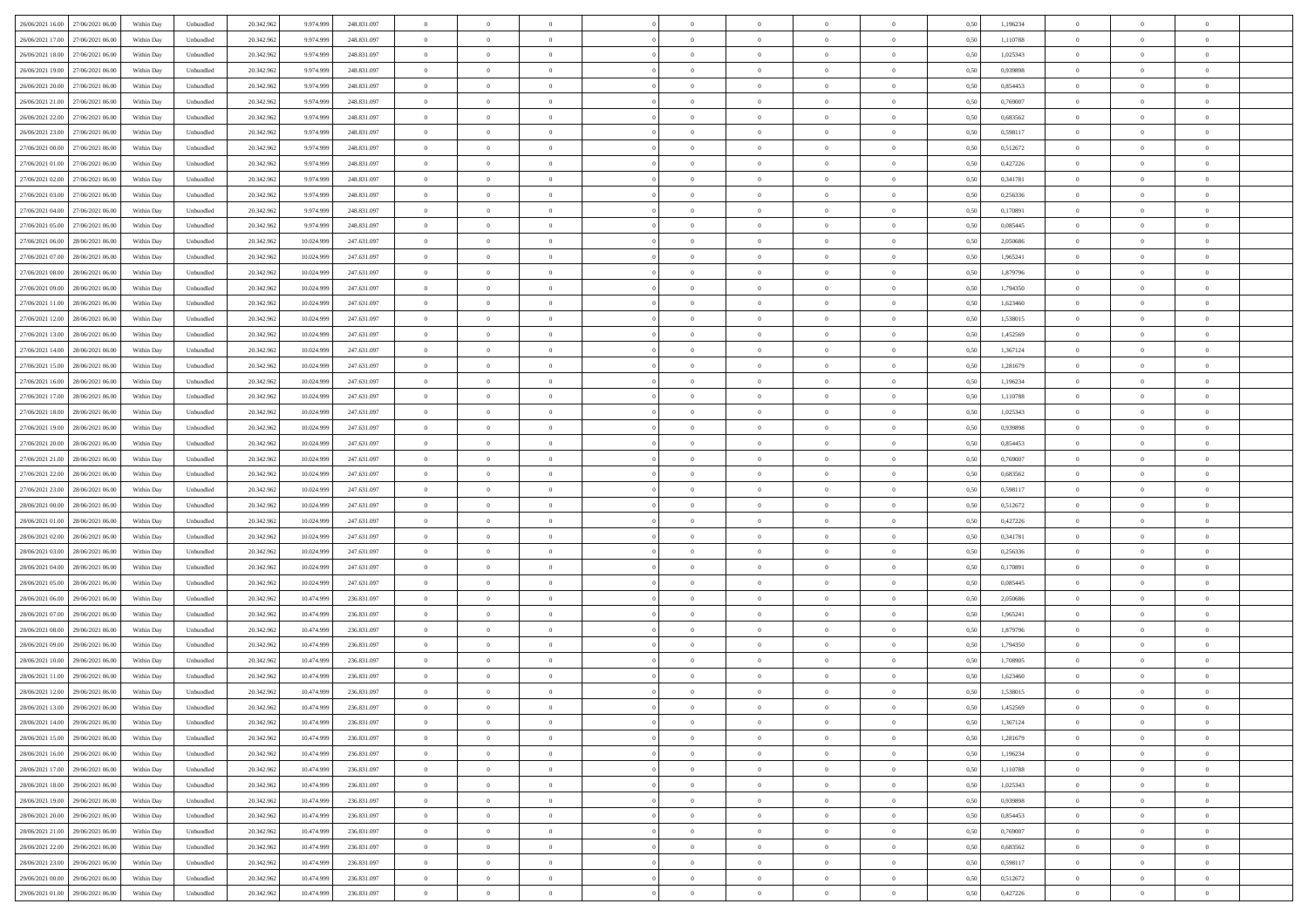| 26/06/2021 16:00<br>27/06/2021 06:00 | Within Day | Unbundled | 20.342.962 | 9.974.999  | 248.831.097 | $\overline{0}$ | $\overline{0}$ | $\overline{0}$ | $\theta$       | $\theta$       |                | $\overline{0}$ | 0,50 | 1,196234 | $\theta$       | $\theta$       | $\overline{0}$ |  |
|--------------------------------------|------------|-----------|------------|------------|-------------|----------------|----------------|----------------|----------------|----------------|----------------|----------------|------|----------|----------------|----------------|----------------|--|
|                                      |            |           |            |            |             |                |                |                |                |                |                |                |      |          |                |                |                |  |
| 26/06/2021 17:00<br>27/06/2021 06.00 | Within Day | Unbundled | 20.342.96  | 9.974.999  | 248.831.097 | $\overline{0}$ | $\overline{0}$ | $\overline{0}$ | $\,$ 0 $\,$    | $\bf{0}$       | $\overline{0}$ | $\bf{0}$       | 0,50 | 1,110788 | $\,$ 0 $\,$    | $\theta$       | $\overline{0}$ |  |
| 26/06/2021 18.00<br>27/06/2021 06:00 | Within Day | Unbundled | 20.342.962 | 9.974.999  | 248.831.097 | $\overline{0}$ | $\overline{0}$ | $\overline{0}$ | $\bf{0}$       | $\bf{0}$       | $\overline{0}$ | $\mathbf{0}$   | 0.50 | 1.025343 | $\bf{0}$       | $\overline{0}$ | $\overline{0}$ |  |
| 26/06/2021 19:00<br>27/06/2021 06:00 | Within Day | Unbundled | 20.342.962 | 9.974.999  | 248.831.097 | $\overline{0}$ | $\overline{0}$ | $\overline{0}$ | $\overline{0}$ | $\overline{0}$ | $\overline{0}$ | $\bf{0}$       | 0,50 | 0,939898 | $\theta$       | $\theta$       | $\overline{0}$ |  |
| 26/06/2021 20:00<br>27/06/2021 06.00 | Within Day | Unbundled | 20.342.962 | 9.974.999  | 248.831.097 | $\overline{0}$ | $\overline{0}$ | $\bf{0}$       | $\bf{0}$       | $\overline{0}$ | $\overline{0}$ | $\bf{0}$       | 0,50 | 0,854453 | $\,$ 0 $\,$    | $\theta$       | $\overline{0}$ |  |
| 26/06/2021 21:00<br>27/06/2021 06:00 | Within Day | Unbundled | 20.342.962 | 9.974.999  | 248.831.097 | $\overline{0}$ | $\overline{0}$ | $\overline{0}$ | $\overline{0}$ | $\overline{0}$ | $\overline{0}$ | $\mathbf{0}$   | 0.50 | 0.769007 | $\bf{0}$       | $\theta$       | $\overline{0}$ |  |
| 26/06/2021 22.00<br>27/06/2021 06.00 | Within Day | Unbundled | 20.342.962 | 9.974.999  | 248.831.097 | $\overline{0}$ | $\overline{0}$ | $\overline{0}$ | $\overline{0}$ | $\overline{0}$ | $\overline{0}$ | $\bf{0}$       | 0,50 | 0,683562 | $\theta$       | $\theta$       | $\overline{0}$ |  |
| 27/06/2021 06.00                     | Within Day | Unbundled | 20.342.962 | 9.974.999  | 248.831.097 | $\overline{0}$ | $\overline{0}$ | $\overline{0}$ | $\bf{0}$       | $\overline{0}$ | $\overline{0}$ | $\bf{0}$       | 0,50 | 0,598117 | $\,$ 0 $\,$    | $\bf{0}$       | $\overline{0}$ |  |
| 26/06/2021 23:00                     |            |           |            |            |             |                |                |                |                |                |                |                |      |          |                |                |                |  |
| 27/06/2021 00.00<br>27/06/2021 06:00 | Within Day | Unbundled | 20.342.962 | 9.974.999  | 248.831.097 | $\overline{0}$ | $\overline{0}$ | $\overline{0}$ | $\overline{0}$ | $\overline{0}$ | $\overline{0}$ | $\mathbf{0}$   | 0.50 | 0,512672 | $\,$ 0 $\,$    | $\theta$       | $\overline{0}$ |  |
| 27/06/2021 01:00<br>27/06/2021 06:00 | Within Day | Unbundled | 20.342.962 | 9.974.999  | 248.831.097 | $\overline{0}$ | $\overline{0}$ | $\overline{0}$ | $\bf{0}$       | $\overline{0}$ | $\overline{0}$ | $\bf{0}$       | 0,50 | 0,427226 | $\,$ 0 $\,$    | $\theta$       | $\overline{0}$ |  |
| 27/06/2021 02.00<br>27/06/2021 06.00 | Within Day | Unbundled | 20.342.962 | 9.974.999  | 248.831.097 | $\overline{0}$ | $\overline{0}$ | $\overline{0}$ | $\bf{0}$       | $\overline{0}$ | $\overline{0}$ | $\bf{0}$       | 0,50 | 0,341781 | $\,$ 0 $\,$    | $\bf{0}$       | $\overline{0}$ |  |
| 27/06/2021 03.00<br>27/06/2021 06:00 | Within Day | Unbundled | 20.342.962 | 9.974.999  | 248.831.097 | $\overline{0}$ | $\overline{0}$ | $\overline{0}$ | $\bf{0}$       | $\bf{0}$       | $\overline{0}$ | $\mathbf{0}$   | 0.50 | 0.256336 | $\bf{0}$       | $\overline{0}$ | $\bf{0}$       |  |
| 27/06/2021 04.00<br>27/06/2021 06:00 | Within Day | Unbundled | 20.342.962 | 9.974.999  | 248.831.097 | $\overline{0}$ | $\overline{0}$ | $\overline{0}$ | $\overline{0}$ | $\overline{0}$ | $\overline{0}$ | $\bf{0}$       | 0,50 | 0,170891 | $\theta$       | $\theta$       | $\overline{0}$ |  |
| 27/06/2021 05:00<br>27/06/2021 06.00 | Within Day | Unbundled | 20.342.962 | 9.974.999  | 248.831.097 | $\overline{0}$ | $\overline{0}$ | $\overline{0}$ | $\bf{0}$       | $\overline{0}$ | $\overline{0}$ | $\bf{0}$       | 0,50 | 0,085445 | $\,$ 0 $\,$    | $\bf{0}$       | $\overline{0}$ |  |
| 27/06/2021 06.00<br>28/06/2021 06:00 | Within Day | Unbundled | 20.342.962 | 10.024.999 | 247.631.097 | $\overline{0}$ | $\overline{0}$ | $\overline{0}$ | $\overline{0}$ | $\overline{0}$ | $\overline{0}$ | $\mathbf{0}$   | 0.50 | 2.050686 | $\,$ 0 $\,$    | $\theta$       | $\overline{0}$ |  |
|                                      |            |           |            |            |             |                |                |                |                |                |                |                |      |          |                |                |                |  |
| 27/06/2021 07.00<br>28/06/2021 06:00 | Within Day | Unbundled | 20.342.962 | 10.024.999 | 247.631.097 | $\overline{0}$ | $\overline{0}$ | $\overline{0}$ | $\overline{0}$ | $\overline{0}$ | $\overline{0}$ | $\bf{0}$       | 0,50 | 1,965241 | $\theta$       | $\theta$       | $\overline{0}$ |  |
| 27/06/2021 08.00<br>28/06/2021 06.00 | Within Day | Unbundled | 20.342.962 | 10.024.999 | 247.631.097 | $\overline{0}$ | $\overline{0}$ | $\overline{0}$ | $\bf{0}$       | $\overline{0}$ | $\overline{0}$ | $\bf{0}$       | 0,50 | 1,879796 | $\,$ 0 $\,$    | $\theta$       | $\overline{0}$ |  |
| 27/06/2021 09:00<br>28/06/2021 06:00 | Within Day | Unbundled | 20.342.962 | 10.024.999 | 247.631.097 | $\overline{0}$ | $\overline{0}$ | $\overline{0}$ | $\overline{0}$ | $\bf{0}$       | $\overline{0}$ | $\mathbf{0}$   | 0.50 | 1,794350 | $\,$ 0 $\,$    | $\overline{0}$ | $\overline{0}$ |  |
| 27/06/2021 11:00<br>28/06/2021 06.00 | Within Day | Unbundled | 20.342.962 | 10.024.999 | 247.631.097 | $\overline{0}$ | $\overline{0}$ | $\overline{0}$ | $\overline{0}$ | $\overline{0}$ | $\overline{0}$ | $\bf{0}$       | 0,50 | 1,623460 | $\,$ 0 $\,$    | $\theta$       | $\overline{0}$ |  |
| 27/06/2021 12:00<br>28/06/2021 06.00 | Within Day | Unbundled | 20.342.962 | 10.024.999 | 247.631.097 | $\overline{0}$ | $\overline{0}$ | $\overline{0}$ | $\bf{0}$       | $\bf{0}$       | $\overline{0}$ | $\bf{0}$       | 0,50 | 1,538015 | $\,$ 0 $\,$    | $\bf{0}$       | $\overline{0}$ |  |
| 27/06/2021 13:00<br>28/06/2021 06:00 | Within Day | Unbundled | 20.342.962 | 10.024.999 | 247.631.097 | $\overline{0}$ | $\overline{0}$ | $\overline{0}$ | $\bf{0}$       | $\bf{0}$       | $\overline{0}$ | $\,$ 0 $\,$    | 0.50 | 1.452569 | $\bf{0}$       | $\overline{0}$ | $\overline{0}$ |  |
| 27/06/2021 14:00<br>28/06/2021 06:00 | Within Day | Unbundled | 20.342.962 | 10.024.999 | 247.631.097 | $\overline{0}$ | $\overline{0}$ | $\overline{0}$ | $\overline{0}$ | $\overline{0}$ | $\overline{0}$ | $\,$ 0 $\,$    | 0,50 | 1,367124 | $\theta$       | $\theta$       | $\overline{0}$ |  |
|                                      |            |           |            |            |             |                |                |                |                |                |                |                |      |          |                |                |                |  |
| 27/06/2021 15:00<br>28/06/2021 06.00 | Within Day | Unbundled | 20.342.962 | 10.024.999 | 247.631.097 | $\overline{0}$ | $\overline{0}$ | $\bf{0}$       | $\bf{0}$       | $\bf{0}$       | $\overline{0}$ | $\bf{0}$       | 0,50 | 1,281679 | $\,$ 0 $\,$    | $\bf{0}$       | $\overline{0}$ |  |
| 27/06/2021 16.00<br>28/06/2021 06:00 | Within Day | Unbundled | 20.342.962 | 10.024.999 | 247.631.097 | $\overline{0}$ | $\overline{0}$ | $\overline{0}$ | $\overline{0}$ | $\overline{0}$ | $\overline{0}$ | $\mathbf{0}$   | 0.50 | 1.196234 | $\bf{0}$       | $\theta$       | $\overline{0}$ |  |
| 27/06/2021 17:00<br>28/06/2021 06:00 | Within Day | Unbundled | 20.342.962 | 10.024.999 | 247.631.097 | $\overline{0}$ | $\overline{0}$ | $\overline{0}$ | $\overline{0}$ | $\overline{0}$ | $\overline{0}$ | $\bf{0}$       | 0,50 | 1,110788 | $\theta$       | $\theta$       | $\overline{0}$ |  |
| 27/06/2021 18.00<br>28/06/2021 06.00 | Within Day | Unbundled | 20.342.962 | 10.024.999 | 247.631.097 | $\overline{0}$ | $\overline{0}$ | $\overline{0}$ | $\bf{0}$       | $\overline{0}$ | $\overline{0}$ | $\bf{0}$       | 0,50 | 1,025343 | $\,$ 0 $\,$    | $\theta$       | $\overline{0}$ |  |
| 27/06/2021 19:00<br>28/06/2021 06:00 | Within Day | Unbundled | 20.342.962 | 10.024.999 | 247.631.097 | $\overline{0}$ | $\overline{0}$ | $\overline{0}$ | $\overline{0}$ | $\overline{0}$ | $\overline{0}$ | $\mathbf{0}$   | 0.50 | 0.939898 | $\,$ 0 $\,$    | $\theta$       | $\overline{0}$ |  |
| 27/06/2021 20.00<br>28/06/2021 06:00 | Within Day | Unbundled | 20.342.962 | 10.024.999 | 247.631.097 | $\overline{0}$ | $\overline{0}$ | $\overline{0}$ | $\overline{0}$ | $\overline{0}$ | $\overline{0}$ | $\bf{0}$       | 0,50 | 0,854453 | $\theta$       | $\theta$       | $\overline{0}$ |  |
| 28/06/2021 06.00                     | Within Day | Unbundled | 20.342.96  | 10.024.999 | 247.631.097 | $\overline{0}$ | $\overline{0}$ | $\overline{0}$ | $\overline{0}$ | $\bf{0}$       | $\overline{0}$ | $\bf{0}$       | 0,50 | 0,769007 | $\,$ 0 $\,$    | $\bf{0}$       | $\overline{0}$ |  |
| 27/06/2021 21:00                     |            |           |            |            |             |                |                |                |                |                |                |                |      |          |                |                |                |  |
| 27/06/2021 22.00<br>28/06/2021 06:00 | Within Day | Unbundled | 20.342.962 | 10.024.999 | 247.631.097 | $\overline{0}$ | $\overline{0}$ | $\overline{0}$ | $\bf{0}$       | $\bf{0}$       | $\overline{0}$ | $\mathbf{0}$   | 0.50 | 0.683562 | $\bf{0}$       | $\overline{0}$ | $\bf{0}$       |  |
| 27/06/2021 23:00<br>28/06/2021 06:00 | Within Day | Unbundled | 20.342.962 | 10.024.999 | 247.631.097 | $\overline{0}$ | $\overline{0}$ | $\overline{0}$ | $\overline{0}$ | $\overline{0}$ | $\overline{0}$ | $\overline{0}$ | 0.50 | 0,598117 | $\theta$       | $\theta$       | $\overline{0}$ |  |
| 28/06/2021 00:00<br>28/06/2021 06.00 | Within Day | Unbundled | 20.342.962 | 10.024.999 | 247.631.097 | $\overline{0}$ | $\overline{0}$ | $\overline{0}$ | $\bf{0}$       | $\overline{0}$ | $\overline{0}$ | $\bf{0}$       | 0,50 | 0,512672 | $\,$ 0 $\,$    | $\bf{0}$       | $\overline{0}$ |  |
| 28/06/2021 01:00<br>28/06/2021 06:00 | Within Day | Unbundled | 20.342.962 | 10.024.999 | 247.631.097 | $\overline{0}$ | $\overline{0}$ | $\overline{0}$ | $\overline{0}$ | $\overline{0}$ | $\overline{0}$ | $\mathbf{0}$   | 0.50 | 0,427226 | $\,$ 0 $\,$    | $\theta$       | $\overline{0}$ |  |
| 28/06/2021 02:00<br>28/06/2021 06:00 | Within Day | Unbundled | 20.342.962 | 10.024.999 | 247.631.097 | $\overline{0}$ | $\overline{0}$ | $\overline{0}$ | $\overline{0}$ | $\overline{0}$ | $\Omega$       | $\overline{0}$ | 0.50 | 0,341781 | $\theta$       | $\theta$       | $\overline{0}$ |  |
| 28/06/2021 03:00<br>28/06/2021 06.00 | Within Day | Unbundled | 20.342.96  | 10.024.999 | 247.631.097 | $\overline{0}$ | $\overline{0}$ | $\overline{0}$ | $\bf{0}$       | $\overline{0}$ | $\overline{0}$ | $\bf{0}$       | 0,50 | 0,256336 | $\,$ 0 $\,$    | $\bf{0}$       | $\overline{0}$ |  |
| 28/06/2021 04:00<br>28/06/2021 06:00 | Within Day | Unbundled | 20.342.962 | 10.024.999 | 247.631.097 | $\overline{0}$ | $\overline{0}$ | $\overline{0}$ | $\overline{0}$ | $\bf{0}$       | $\overline{0}$ | $\mathbf{0}$   | 0.50 | 0.170891 | $\,$ 0 $\,$    | $\theta$       | $\overline{0}$ |  |
| 28/06/2021 05:00<br>28/06/2021 06:00 | Within Day | Unbundled | 20.342.962 | 10.024.999 | 247.631.097 | $\overline{0}$ | $\overline{0}$ | $\overline{0}$ | $\overline{0}$ | $\overline{0}$ | $\overline{0}$ | $\overline{0}$ | 0.50 | 0,085445 | $\theta$       | $\theta$       | $\overline{0}$ |  |
|                                      |            |           |            |            |             |                |                |                |                |                |                |                |      |          |                |                |                |  |
| 28/06/2021 06:00<br>29/06/2021 06.0  | Within Day | Unbundled | 20.342.96  | 10.474.999 | 236.831.097 | $\overline{0}$ | $\overline{0}$ | $\overline{0}$ | $\,$ 0 $\,$    | $\bf{0}$       | $\overline{0}$ | $\bf{0}$       | 0,50 | 2,050686 | $\,$ 0 $\,$    | $\bf{0}$       | $\overline{0}$ |  |
| 28/06/2021 07:00<br>29/06/2021 06:00 | Within Day | Unbundled | 20.342.962 | 10.474.999 | 236.831.097 | $\overline{0}$ | $\overline{0}$ | $\overline{0}$ | $\bf{0}$       | $\bf{0}$       | $\overline{0}$ | $\mathbf{0}$   | 0.50 | 1,965241 | $\bf{0}$       | $\overline{0}$ | $\overline{0}$ |  |
| 28/06/2021 08:00<br>29/06/2021 06.00 | Within Day | Unbundled | 20.342.962 | 10.474.999 | 236.831.097 | $\overline{0}$ | $\overline{0}$ | $\overline{0}$ | $\overline{0}$ | $\overline{0}$ | $\overline{0}$ | $\overline{0}$ | 0.50 | 1,879796 | $\theta$       | $\theta$       | $\overline{0}$ |  |
| 28/06/2021 09:00<br>29/06/2021 06.0  | Within Day | Unbundled | 20.342.962 | 10.474.999 | 236.831.097 | $\overline{0}$ | $\overline{0}$ | $\overline{0}$ | $\bf{0}$       | $\bf{0}$       | $\overline{0}$ | $\bf{0}$       | 0,50 | 1,794350 | $\,$ 0 $\,$    | $\bf{0}$       | $\overline{0}$ |  |
| 28/06/2021 10:00<br>29/06/2021 06.00 | Within Day | Unbundled | 20.342.962 | 10.474.999 | 236.831.097 | $\overline{0}$ | $\overline{0}$ | $\overline{0}$ | $\overline{0}$ | $\overline{0}$ | $\overline{0}$ | $\mathbf{0}$   | 0.50 | 1,708905 | $\,$ 0 $\,$    | $\theta$       | $\overline{0}$ |  |
| 28/06/2021 11:00<br>29/06/2021 06.00 | Within Day | Unbundled | 20.342.962 | 10.474.999 | 236.831.097 | $\overline{0}$ | $\overline{0}$ | $\overline{0}$ | $\overline{0}$ | $\overline{0}$ | $\Omega$       | $\overline{0}$ | 0.5( | 1,623460 | $\theta$       | $\theta$       | $\overline{0}$ |  |
| 28/06/2021 12:00<br>29/06/2021 06.00 | Within Day | Unbundled | 20.342.962 | 10.474.999 | 236.831.097 | $\overline{0}$ | $\overline{0}$ | $\bf{0}$       | $\overline{0}$ | $\bf{0}$       | $\overline{0}$ | $\bf{0}$       | 0,50 | 1,538015 | $\,$ 0 $\,$    | $\bf{0}$       | $\overline{0}$ |  |
| 28/06/2021 13:00 29/06/2021 06:00    | Within Day | Unbundled | 20.342.962 | 10.474.999 | 236 831 097 | $\bf{0}$       | $\,0\,$        |                | $\bf{0}$       |                |                | $\Omega$       | 0,50 | 1,452569 | $\theta$       | $\overline{0}$ |                |  |
|                                      |            |           |            |            |             |                |                |                |                |                |                |                |      |          |                |                |                |  |
| 28/06/2021 14:00 29/06/2021 06:00    | Within Dav | Unbundled | 20.342.962 | 10.474.999 | 236.831.097 | $\overline{0}$ | $\overline{0}$ | $\overline{0}$ | $\overline{0}$ | $\overline{0}$ | $\overline{0}$ | $\overline{0}$ | 0,50 | 1,367124 | $\theta$       | $\theta$       | $\overline{0}$ |  |
| 28/06/2021 15:00<br>29/06/2021 06.0  | Within Day | Unbundled | 20.342.962 | 10.474.999 | 236.831.097 | $\overline{0}$ | $\overline{0}$ | $\overline{0}$ | $\bf{0}$       | $\overline{0}$ | $\overline{0}$ | $\mathbf{0}$   | 0,50 | 1,281679 | $\bf{0}$       | $\overline{0}$ | $\bf{0}$       |  |
| 29/06/2021 06:00<br>28/06/2021 16.00 | Within Day | Unbundled | 20.342.962 | 10.474.999 | 236.831.097 | $\overline{0}$ | $\overline{0}$ | $\overline{0}$ | $\bf{0}$       | $\bf{0}$       | $\overline{0}$ | $\mathbf{0}$   | 0.50 | 1.196234 | $\,$ 0 $\,$    | $\bf{0}$       | $\,$ 0 $\,$    |  |
| 28/06/2021 17:00<br>29/06/2021 06:00 | Within Dav | Unbundled | 20.342.962 | 10.474.999 | 236.831.097 | $\overline{0}$ | $\overline{0}$ | $\overline{0}$ | $\overline{0}$ | $\overline{0}$ | $\overline{0}$ | $\mathbf{0}$   | 0,50 | 1,110788 | $\overline{0}$ | $\theta$       | $\overline{0}$ |  |
| 28/06/2021 18:00<br>29/06/2021 06.00 | Within Day | Unbundled | 20.342.962 | 10.474.999 | 236.831.097 | $\overline{0}$ | $\overline{0}$ | $\overline{0}$ | $\overline{0}$ | $\bf{0}$       | $\overline{0}$ | $\mathbf{0}$   | 0,50 | 1,025343 | $\overline{0}$ | $\bf{0}$       | $\overline{0}$ |  |
| 28/06/2021 19:00<br>29/06/2021 06:00 | Within Day | Unbundled | 20.342.962 | 10.474.999 | 236.831.097 | $\overline{0}$ | $\overline{0}$ | $\overline{0}$ | $\bf{0}$       | $\overline{0}$ | $\overline{0}$ | $\mathbf{0}$   | 0.50 | 0.939898 | $\,$ 0 $\,$    | $\theta$       | $\,$ 0         |  |
| 28/06/2021 20:00<br>29/06/2021 06:00 | Within Dav | Unbundled | 20.342.962 | 10.474.999 | 236.831.097 | $\overline{0}$ | $\overline{0}$ | $\overline{0}$ | $\overline{0}$ | $\overline{0}$ | $\overline{0}$ | $\mathbf{0}$   | 0,50 | 0,854453 | $\overline{0}$ | $\theta$       | $\overline{0}$ |  |
|                                      |            |           |            |            |             |                |                |                |                |                |                |                |      |          |                |                |                |  |
| 28/06/2021 21:00<br>29/06/2021 06.00 | Within Day | Unbundled | 20.342.962 | 10.474.999 | 236.831.097 | $\overline{0}$ | $\overline{0}$ | $\overline{0}$ | $\bf{0}$       | $\overline{0}$ | $\overline{0}$ | $\,$ 0 $\,$    | 0,50 | 0,769007 | $\bf{0}$       | $\bf{0}$       | $\overline{0}$ |  |
| 28/06/2021 22.00<br>29/06/2021 06:00 | Within Day | Unbundled | 20.342.962 | 10.474.999 | 236.831.097 | $\overline{0}$ | $\overline{0}$ | $\overline{0}$ | $\bf{0}$       | $\bf{0}$       | $\overline{0}$ | $\,$ 0 $\,$    | 0.50 | 0.683562 | $\overline{0}$ | $\overline{0}$ | $\,$ 0         |  |
| 28/06/2021 23:00<br>29/06/2021 06:00 | Within Dav | Unbundled | 20.342.962 | 10.474.999 | 236.831.097 | $\overline{0}$ | $\overline{0}$ | $\overline{0}$ | $\overline{0}$ | $\overline{0}$ | $\overline{0}$ | $\mathbf{0}$   | 0,50 | 0,598117 | $\overline{0}$ | $\theta$       | $\overline{0}$ |  |
| 29/06/2021 00:00<br>29/06/2021 06.0  | Within Day | Unbundled | 20.342.962 | 10.474.999 | 236.831.097 | $\overline{0}$ | $\overline{0}$ | $\overline{0}$ | $\overline{0}$ | $\bf{0}$       | $\overline{0}$ | $\mathbf{0}$   | 0,50 | 0,512672 | $\bf{0}$       | $\bf{0}$       | $\overline{0}$ |  |
| 29/06/2021 01:00 29/06/2021 06:00    | Within Day | Unbundled | 20.342.962 | 10.474.999 | 236.831.097 | $\overline{0}$ | $\overline{0}$ | $\overline{0}$ | $\bf{0}$       | $\,$ 0         | $\overline{0}$ | $\,0\,$        | 0,50 | 0,427226 | $\overline{0}$ | $\,$ 0 $\,$    | $\,$ 0 $\,$    |  |
|                                      |            |           |            |            |             |                |                |                |                |                |                |                |      |          |                |                |                |  |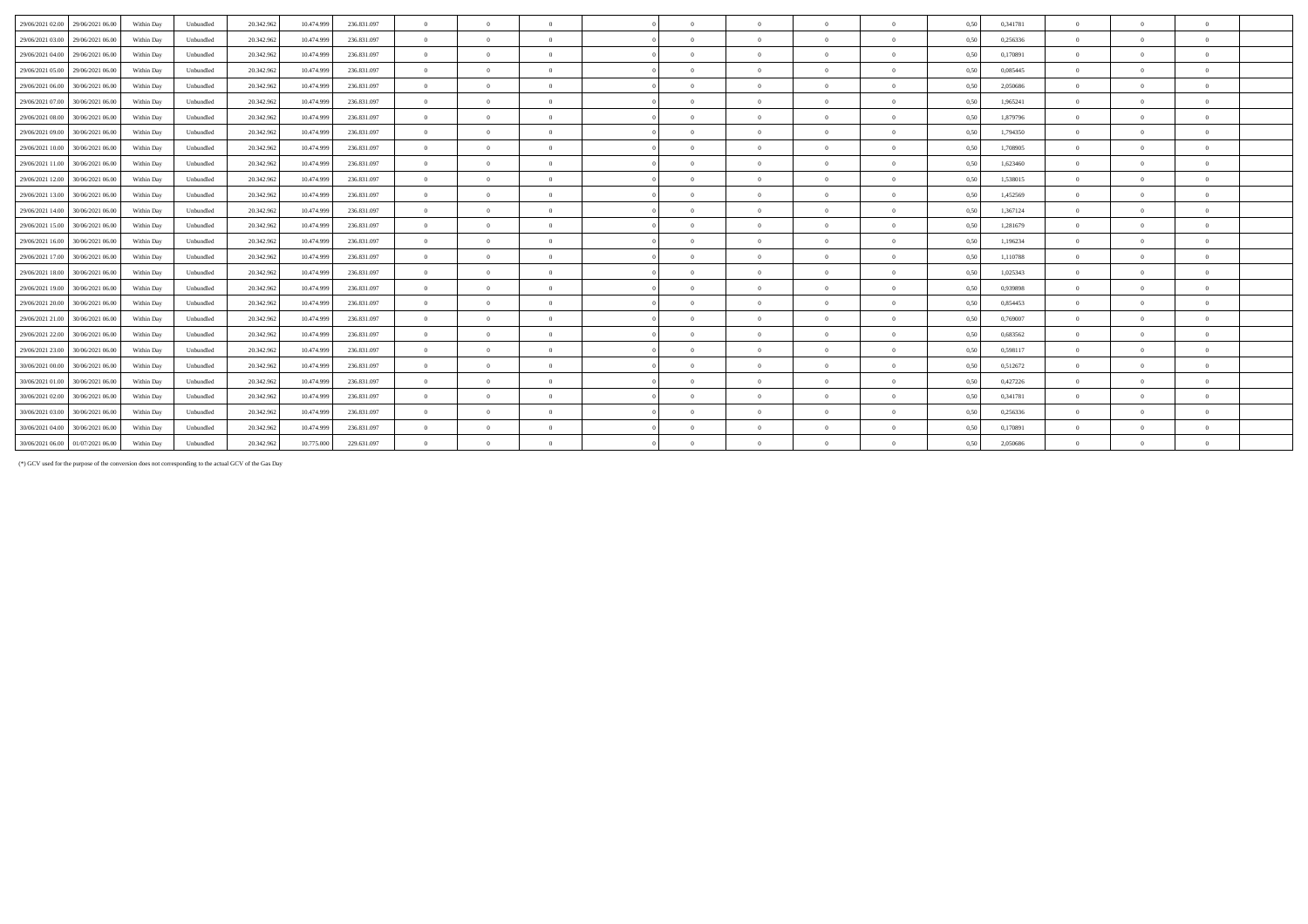| 29/06/2021 02:00<br>29/06/2021 06:00 | Within Day | Unbundled | 20.342.962 | 10.474.999 | 236.831.097 | $\overline{0}$ | $\Omega$       | $\overline{0}$ | $\theta$       | $\Omega$       | $\Omega$       | $\theta$       | 0,50 | 0,341781 | $\overline{0}$ | $\Omega$   |              |  |
|--------------------------------------|------------|-----------|------------|------------|-------------|----------------|----------------|----------------|----------------|----------------|----------------|----------------|------|----------|----------------|------------|--------------|--|
| 29/06/2021 03:00<br>29/06/2021 06:00 | Within Day | Unbundled | 20.342.962 | 10.474.999 | 236.831.097 | $\Omega$       | $\Omega$       | $\Omega$       | $\Omega$       | $\Omega$       | $\Omega$       | $\Omega$       | 0.50 | 0.256336 | $\Omega$       |            | $\Omega$     |  |
| 29/06/2021 04:00<br>29/06/2021 06:00 | Within Day | Unbundled | 20.342.962 | 10.474.999 | 236.831.097 | $\overline{0}$ | $\Omega$       | $\overline{0}$ | $\Omega$       | $\Omega$       | $\Omega$       | $\theta$       | 0,50 | 0.170891 | $\Omega$       |            |              |  |
| 29/06/2021 05:00<br>29/06/2021 06:00 | Within Day | Unbundled | 20.342.962 | 10.474.999 | 236.831.097 | $\overline{0}$ | $\Omega$       | $\overline{0}$ | $\Omega$       | $\Omega$       | $\Omega$       | $\mathbf{a}$   | 0,50 | 0,085445 | $\overline{0}$ |            |              |  |
| 29/06/2021 06:00<br>30/06/2021 06:00 | Within Day | Unbundled | 20.342.962 | 10.474.999 | 236.831.097 | $\overline{0}$ | $\Omega$       | $\Omega$       | $\Omega$       | $\Omega$       | $\Omega$       | $\theta$       | 0,50 | 2,050686 | $\overline{0}$ |            | $\theta$     |  |
| 29/06/2021 07:00<br>30/06/2021 06:00 | Within Day | Unbundled | 20.342.962 | 10.474.999 | 236.831.097 | $\overline{0}$ | $\Omega$       | $\overline{0}$ | $\Omega$       | $\Omega$       | $\theta$       | $\overline{0}$ | 0.50 | 1,965241 | $\overline{0}$ |            |              |  |
| 29/06/2021 08:00<br>30/06/2021 06:00 | Within Day | Unbundled | 20.342.962 | 10.474.999 | 236.831.097 | $\overline{0}$ | $\Omega$       | $\overline{0}$ | $\Omega$       | $\Omega$       | $\Omega$       | $\theta$       | 0,50 | 1.879796 | $\Omega$       |            |              |  |
| 29/06/2021 09:00<br>30/06/2021 06:00 | Within Day | Unbundled | 20.342.962 | 10.474.999 | 236.831.097 | $\overline{0}$ | $\Omega$       | $\Omega$       | $\Omega$       | $\Omega$       | $\Omega$       | $\theta$       | 0,50 | 1,794350 | $\Omega$       |            |              |  |
| 29/06/2021 10:00<br>30/06/2021 06:00 | Within Day | Unbundled | 20.342.962 | 10.474.999 | 236.831.097 | $\overline{0}$ | $\Omega$       | $\overline{0}$ | $\sqrt{2}$     | $\Omega$       | $\theta$       | $\theta$       | 0.50 | 1.708905 | $\overline{0}$ |            | $\mathbf{a}$ |  |
| 29/06/2021 11:00<br>30/06/2021 06:00 | Within Day | Unbundled | 20.342.962 | 10.474.999 | 236.831.097 | $\overline{0}$ | $\Omega$       | $\Omega$       | $\Omega$       | $\Omega$       | $\Omega$       | $\theta$       | 0.50 | 1.623460 | $\Omega$       |            |              |  |
| 29/06/2021 12:00<br>30/06/2021 06:00 | Within Day | Unbundled | 20.342.962 | 10.474.999 | 236.831.097 | $\overline{0}$ | $\Omega$       | $\overline{0}$ | $\Omega$       | $\Omega$       | $\Omega$       | $\theta$       | 0,50 | 1,538015 | $\overline{0}$ |            | $\theta$     |  |
| 29/06/2021 13:00<br>30/06/2021 06:00 | Within Day | Unbundled | 20.342.962 | 10.474.999 | 236.831.097 | $\overline{0}$ | $\overline{0}$ | $\overline{0}$ | $\Omega$       | $\theta$       | $\overline{0}$ | $\theta$       | 0,50 | 1,452569 | $\overline{0}$ | $^{\circ}$ | $\theta$     |  |
| 29/06/2021 14:00<br>30/06/2021 06:00 | Within Day | Unbundled | 20.342.962 | 10.474.999 | 236.831.097 | $\overline{0}$ | $\overline{0}$ | $\overline{0}$ | $\Omega$       | $\bf{0}$       | $\overline{0}$ | $\overline{0}$ | 0,50 | 1,367124 | $\overline{0}$ | $\Omega$   | $\theta$     |  |
| 29/06/2021 15:00 30/06/2021 06:00    | Within Day | Unbundled | 20.342.962 | 10.474.999 | 236.831.097 | $\overline{0}$ | $\Omega$       | $\Omega$       | $\Omega$       | $\Omega$       | $\Omega$       | $\mathbf{a}$   | 0.50 | 1,281679 | $\Omega$       |            |              |  |
| 29/06/2021 16:00<br>30/06/2021 06:00 | Within Day | Unbundled | 20.342.962 | 10.474.999 | 236.831.097 | $\Omega$       | $\Omega$       | $\Omega$       | $\Omega$       | $\Omega$       | $\Omega$       | $\Omega$       | 0,50 | 1,196234 | $\Omega$       |            |              |  |
| 29/06/2021 17:00<br>30/06/2021 06:00 | Within Day | Unbundled | 20.342.962 | 10.474.999 | 236.831.097 | $\overline{0}$ | $\Omega$       | $\overline{0}$ | $\Omega$       | $\theta$       | $\Omega$       | $\theta$       | 0,50 | 1,110788 | $\Omega$       |            | $\theta$     |  |
| 29/06/2021 18:00<br>30/06/2021 06:00 | Within Day | Unbundled | 20.342.962 | 10.474.999 | 236.831.097 | $\overline{0}$ | $\overline{0}$ | $\overline{0}$ | $\overline{0}$ | $\overline{0}$ | $\overline{0}$ | $\overline{0}$ | 0.50 | 1.025343 | $\overline{0}$ | $^{\circ}$ | $\theta$     |  |
| 29/06/2021 19:00<br>30/06/2021 06:00 | Within Day | Unbundled | 20.342.962 | 10.474.999 | 236.831.097 | $\Omega$       | $\Omega$       | $\Omega$       | $\Omega$       | $\Omega$       | $\Omega$       | $\Omega$       | 0,50 | 0,939898 | $\Omega$       |            |              |  |
| 29/06/2021 20:00<br>30/06/2021 06:00 | Within Day | Unbundled | 20.342.962 | 10.474.999 | 236.831.097 | $\overline{0}$ | $\Omega$       | $\overline{0}$ | $\Omega$       | $\Omega$       | $\theta$       | $\overline{0}$ | 0,50 | 0,854453 | $\overline{0}$ |            |              |  |
| 29/06/2021 21:00<br>30/06/2021 06:00 | Within Day | Unbundled | 20.342.962 | 10.474.999 | 236.831.097 | $\Omega$       | $\Omega$       | $\Omega$       | $\Omega$       | $\Omega$       | $\Omega$       | $\theta$       | 0,50 | 0,769007 | $\Omega$       |            |              |  |
| 29/06/2021 22:00<br>30/06/2021 06:00 | Within Day | Unbundled | 20.342.962 | 10.474.999 | 236.831.097 | $\overline{0}$ | $\overline{0}$ | $\overline{0}$ | $\overline{0}$ | $\overline{0}$ | $\overline{0}$ | $\overline{0}$ | 0.50 | 0.683562 | $\overline{0}$ | $\Omega$   | $\theta$     |  |
| 29/06/2021 23:00<br>30/06/2021 06:00 | Within Day | Unbundled | 20.342.962 | 10.474.999 | 236.831.097 | $\overline{0}$ | $\overline{0}$ | $\overline{0}$ | $\overline{0}$ | $\overline{0}$ | $\overline{0}$ | $\overline{0}$ | 0.50 | 0,598117 | $\overline{0}$ | $^{\circ}$ | $\theta$     |  |
| 30/06/2021 00:00<br>30/06/2021 06:00 | Within Day | Unbundled | 20.342.962 | 10.474.999 | 236.831.097 | $\overline{0}$ | $\Omega$       | $\Omega$       | $\Omega$       | $\Omega$       | $\Omega$       | $\Omega$       | 0,50 | 0,512672 | $\Omega$       |            |              |  |
| 30/06/2021 01:00<br>30/06/2021 06:00 | Within Day | Unbundled | 20.342.962 | 10.474.999 | 236.831.097 | $\overline{0}$ | $\Omega$       | $\Omega$       | $\Omega$       | $\Omega$       | $\Omega$       | $\theta$       | 0,50 | 0,427226 | $\overline{0}$ |            | $\theta$     |  |
| 30/06/2021 02:00<br>30/06/2021 06:00 | Within Day | Unbundled | 20.342.962 | 10.474.999 | 236.831.097 | $\overline{0}$ | $\overline{0}$ | $\overline{0}$ | $\Omega$       | $\bf{0}$       | $\theta$       | $\overline{0}$ | 0,50 | 0,341781 | $\overline{0}$ |            |              |  |
| 30/06/2021 03:00<br>30/06/2021 06:00 | Within Day | Unbundled | 20.342.962 | 10.474.999 | 236.831.097 | $\overline{0}$ | $\Omega$       | $\Omega$       | $\theta$       | $\Omega$       | $\Omega$       | $\theta$       | 0,50 | 0,256336 | $\Omega$       |            | $\theta$     |  |
| 30/06/2021 04:00<br>30/06/2021 06:00 | Within Day | Unbundled | 20.342.962 | 10.474.999 | 236.831.097 | $\overline{0}$ | $\Omega$       | $\overline{0}$ | $\Omega$       | $\Omega$       | $\overline{0}$ | $\Omega$       | 0.50 | 0.170891 | $\overline{0}$ |            | $\theta$     |  |
| 30/06/2021 06:00 01/07/2021 06:00    | Within Day | Unbundled | 20.342.962 | 10.775.000 | 229.631.097 | $\Omega$       | $\Omega$       | $\Omega$       | $\Omega$       | $\Omega$       | $\Omega$       | $\Omega$       | 0,50 | 2,050686 | $\Omega$       |            |              |  |
|                                      |            |           |            |            |             |                |                |                |                |                |                |                |      |          |                |            |              |  |

(\*) GCV used for the purpose of the conversion does not corresponding to the actual GCV of the Gas Day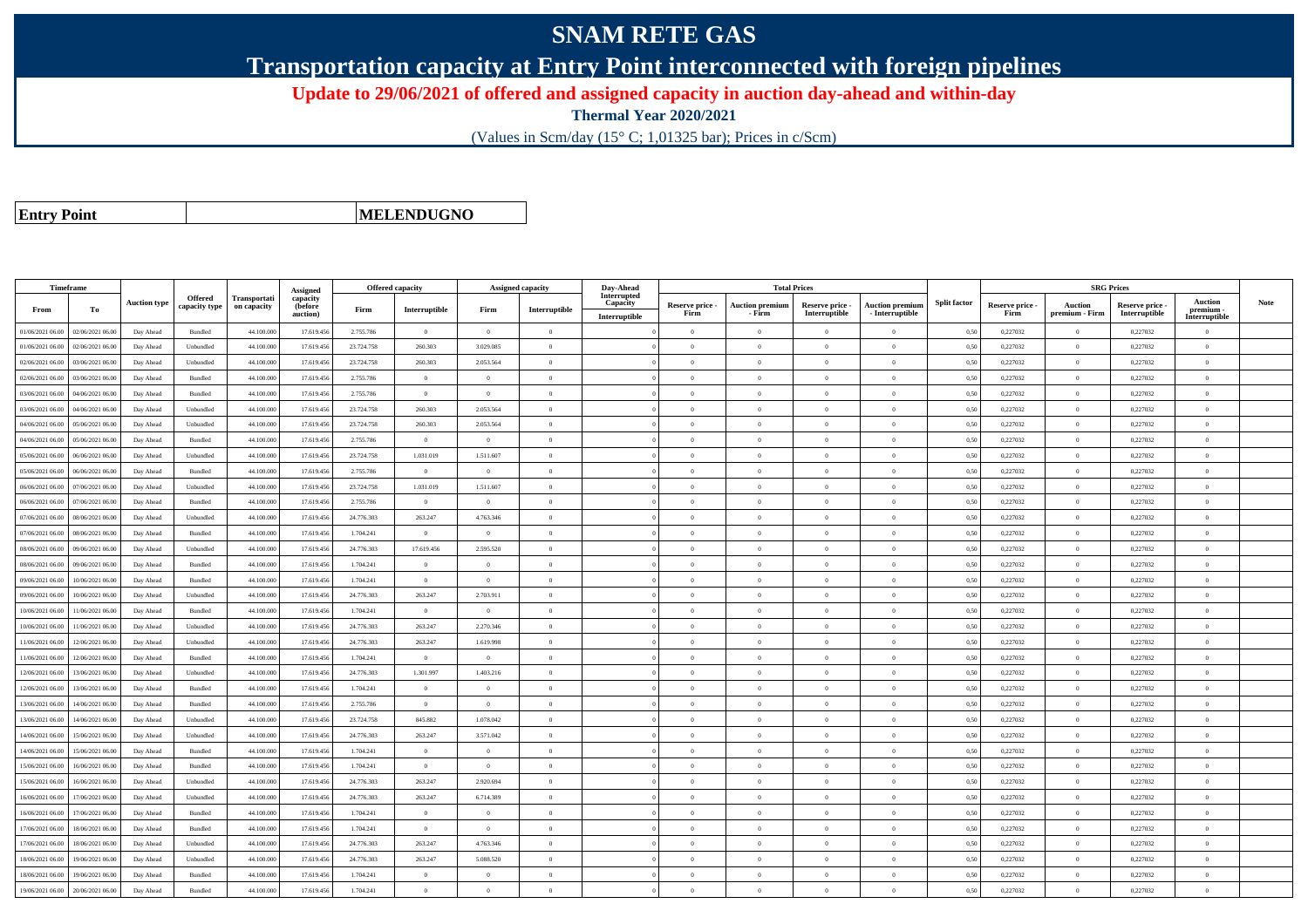## **SNAM RETE GAS**

**Transportation capacity at Entry Point interconnected with foreign pipelines**

**Update to 29/06/2021 of offered and assigned capacity in auction day-ahead and within-day**

**Thermal Year 2020/2021**

(Values in Scm/day (15° C; 1,01325 bar); Prices in c/Scm)

**Entry Point**

**MELENDUGNO**

| Timeframe        |                  |                     |                          |                                    | Assigned                        | <b>Offered capacity</b> |                |                | <b>Assigned capacity</b> | Day-Ahead                                |                         | <b>Total Prices</b>              |                                  |                                           |                     |                         | <b>SRG Prices</b>                |                                  |                                            |             |
|------------------|------------------|---------------------|--------------------------|------------------------------------|---------------------------------|-------------------------|----------------|----------------|--------------------------|------------------------------------------|-------------------------|----------------------------------|----------------------------------|-------------------------------------------|---------------------|-------------------------|----------------------------------|----------------------------------|--------------------------------------------|-------------|
| From             | To               | <b>Auction type</b> | Offered<br>capacity type | <b>Transportati</b><br>on capacity | capacity<br>(before<br>auction) | Firm                    | Interruptible  | Firm           | Interruptible            | Interrupted<br>Capacity<br>Interruptible | Reserve price -<br>Firm | <b>Auction premium</b><br>- Firm | Reserve price -<br>Interruptible | <b>Auction premium</b><br>- Interruptible | <b>Split factor</b> | Reserve price -<br>Firm | <b>Auction</b><br>premium - Firm | Reserve price -<br>Interruptible | <b>Auction</b><br>premium<br>Interruptible | <b>Note</b> |
| 01/06/2021 06:00 | 02/06/2021 06:00 | Day Ahead           | Bundled                  | 44,100,000                         | 17.619.456                      | 2.755.786               | $\overline{0}$ | $\overline{0}$ | $\overline{0}$           |                                          | $\Omega$                | $\theta$                         | $\Omega$                         | $\Omega$                                  | 0.50                | 0.227032                | $\Omega$                         | 0.227032                         | $\Omega$                                   |             |
| 01/06/2021 06.00 | 02/06/2021 06.00 | Day Ahead           | Unbundled                | 44.100.00                          | 17.619.456                      | 23.724.758              | 260.303        | 3.029.085      | $\Omega$                 |                                          | $\theta$                | $\theta$                         | $\theta$                         | $\mathbf{0}$                              | 0,50                | 0,227032                | $\overline{0}$                   | 0,227032                         | $\bf{0}$                                   |             |
| 02/06/2021 06:00 | 03/06/2021 06.00 | Day Ahead           | Unbundled                | 44.100.000                         | 17.619.456                      | 23.724.758              | 260.303        | 2.053.564      | $\overline{0}$           |                                          | $\theta$                | $\theta$                         | $\overline{0}$                   | $\mathbf{0}$                              | 0,50                | 0,227032                | $\overline{0}$                   | 0,227032                         | $\bf{0}$                                   |             |
| 02/06/2021 06:00 | 03/06/2021 06:00 | Day Ahead           | <b>Bundled</b>           | 44,100,000                         | 17.619.456                      | 2.755.786               | $\overline{0}$ | $\Omega$       | $\Omega$                 |                                          | $\Omega$                | $\theta$                         | $\overline{0}$                   | $\overline{0}$                            | 0,50                | 0,227032                | $\overline{0}$                   | 0.227032                         | $\Omega$                                   |             |
| 03/06/2021 06.0  | 34/06/2021 06.0  | Day Ahead           | Bundled                  | 44.100.00                          | 17.619.456                      | 2.755.786               | $\overline{0}$ | $\overline{0}$ | $\theta$                 |                                          | $\theta$                | $\theta$                         | $\overline{0}$                   | $\mathbf{0}$                              | 0,50                | 0,227032                | $\overline{0}$                   | 0,227032                         | $\bf{0}$                                   |             |
| 03/06/2021 06:00 | 04/06/2021 06.00 | Day Ahead           | Unbundled                | 44,100,000                         | 17.619.456                      | 23.724.758              | 260.303        | 2.053.564      | $\theta$                 |                                          | $\theta$                | $\theta$                         | $\Omega$                         | $\theta$                                  | 0,50                | 0,227032                | $\Omega$                         | 0,227032                         | $\theta$                                   |             |
| 04/06/2021 06:00 | 05/06/2021 06.00 | Day Ahead           | Unbundled                | 44,100,000                         | 17.619.456                      | 23.724.758              | 260.303        | 2.053.564      | $\theta$                 |                                          | $\theta$                | $\theta$                         | $\overline{0}$                   | $\mathbf{0}$                              | 0.50                | 0,227032                | $\overline{0}$                   | 0,227032                         | $\Omega$                                   |             |
| 04/06/2021 06.00 | 05/06/2021 06.0  | Day Ahead           | Bundled                  | 44.100.00                          | 17.619.456                      | 2.755.786               | $\overline{0}$ | $\overline{0}$ | $\theta$                 |                                          | $\theta$                | $\theta$                         | $\theta$                         | $\mathbf{0}$                              | 0,50                | 0,227032                | $\overline{0}$                   | 0,227032                         | $\bf{0}$                                   |             |
| 05/06/2021 06:00 | 06/06/2021 06:00 | Day Ahead           | Unbundled                | 44.100.000                         | 17.619.456                      | 23.724.758              | 1.031.019      | 1.511.607      | $\Omega$                 |                                          | $\theta$                | $\theta$                         | $\Omega$                         | $\mathbf{0}$                              | 0,50                | 0,227032                | $\overline{0}$                   | 0,227032                         | $\Omega$                                   |             |
| 05/06/2021 06:00 | 06/06/2021 06.00 | Day Ahead           | Bundled                  | 44.100.000                         | 17.619.456                      | 2.755.786               | $\overline{0}$ | $\overline{0}$ | $\theta$                 |                                          | $\overline{0}$          | $\theta$                         | $\overline{0}$                   | $\overline{0}$                            | 0,50                | 0,227032                | $\overline{0}$                   | 0,227032                         | $\bf{0}$                                   |             |
| 06/06/2021 06:00 | 7/06/2021 06.0   | Day Ahead           | Unbundled                | 44.100.00                          | 17.619.456                      | 23.724.758              | 1.031.019      | 1.511.607      | $\Omega$                 |                                          | $\Omega$                | $\theta$                         | $\Omega$                         | $\theta$                                  | 0,50                | 0,227032                | $\overline{0}$                   | 0,227032                         | $\Omega$                                   |             |
| 06/06/2021 06:00 | 07/06/2021 06.00 | Day Ahead           | Bundled                  | 44,100,000                         | 17.619.456                      | 2.755.786               | $\overline{0}$ | $\overline{0}$ | $\theta$                 |                                          | $\theta$                | $\theta$                         | $\overline{0}$                   | $\overline{0}$                            | 0.50                | 0,227032                | $\overline{0}$                   | 0,227032                         | $\bf{0}$                                   |             |
| 07/06/2021 06:00 | 08/06/2021 06:00 | Day Ahead           | Unbundled                | 44.100.000                         | 17.619.456                      | 24.776.303              | 263.247        | 4.763.346      | $\theta$                 |                                          | $\theta$                | $\theta$                         | $\overline{0}$                   | $\mathbf{0}$                              | 0,50                | 0,227032                | $\overline{0}$                   | 0,227032                         | $\bf{0}$                                   |             |
| 07/06/2021 06:00 | 08/06/2021 06:00 | Day Ahead           | Bundled                  | 44.100.00                          | 17.619.456                      | 1.704.241               | $\overline{0}$ | $\Omega$       | $\Omega$                 |                                          | $\Omega$                |                                  | $\Omega$                         | $\Omega$                                  | 0,50                | 0,227032                | $\mathbf{0}$                     | 0,227032                         | $\Omega$                                   |             |
| 08/06/2021 06:00 | 09/06/2021 06.00 | Day Ahead           | Unbundled                | 44.100.000                         | 17.619.456                      | 24.776.303              | 17.619.456     | 2.595.520      | $\Omega$                 |                                          | $\theta$                | $\theta$                         | $\Omega$                         | $\mathbf{0}$                              | 0,50                | 0,227032                | $\theta$                         | 0,227032                         | $\Omega$                                   |             |
| 08/06/2021 06:00 | 09/06/2021 06.00 | Day Ahead           | Bundled                  | 44.100.000                         | 17.619.456                      | 1.704.241               | $\overline{0}$ | $\Omega$       | $\theta$                 |                                          | $\theta$                | $\theta$                         | $\overline{0}$                   | $\theta$                                  | 0,50                | 0,227032                | $\overline{0}$                   | 0,227032                         | $\Omega$                                   |             |
| 09/06/2021 06:00 | 10/06/2021 06:00 | Day Ahead           | <b>Bundled</b>           | 44,100,000                         | 17.619.456                      | 1.704.241               | $\overline{0}$ | $\overline{0}$ | $\theta$                 |                                          | $\Omega$                | $\theta$                         | $\overline{0}$                   | $\mathbf{0}$                              | 0.50                | 0.227032                | $\overline{0}$                   | 0.227032                         | $\theta$                                   |             |
| 09/06/2021 06.00 | 10/06/2021 06.00 | Day Ahead           | Unbundled                | 44.100.000                         | 17.619.456                      | 24.776.303              | 263.247        | 2.703.911      | $\overline{0}$           |                                          | $\theta$                | $\mathbf{a}$                     | $\overline{0}$                   | $\mathbf{0}$                              | 0,50                | 0,227032                | $\,$ 0 $\,$                      | 0,227032                         | $\Omega$                                   |             |
| 10/06/2021 06:00 | 11/06/2021 06:00 | Day Ahead           | Bundled                  | 44.100.000                         | 17.619.456                      | 1.704.241               | $\overline{0}$ | $\Omega$       | $\theta$                 |                                          | $\Omega$                | $\theta$                         | $\overline{0}$                   | $\Omega$                                  | 0,50                | 0,227032                | $\overline{0}$                   | 0,227032                         | $\Omega$                                   |             |
| 10/06/2021 06:00 | 11/06/2021 06:00 | Day Ahead           | Unbundled                | 44,100,000                         | 17.619.456                      | 24,776,303              | 263.247        | 2.270.346      | $\theta$                 |                                          | $\theta$                | $\theta$                         | $\theta$                         | $\theta$                                  | 0,50                | 0,227032                | $\Omega$                         | 0.227032                         | $\theta$                                   |             |
| 11/06/2021 06.00 | 12/06/2021 06.0  | Day Ahead           | Unbundled                | 44.100.00                          | 17.619.456                      | 24.776.303              | 263.247        | 1.619.998      | $\theta$                 |                                          | $\Omega$                | $\theta$                         | $\theta$                         | $\mathbf{0}$                              | 0,50                | 0,227032                | $\mathbf{0}$                     | 0,227032                         | $\Omega$                                   |             |
| 11/06/2021 06:00 | 12/06/2021 06:00 | Day Ahead           | <b>Bundled</b>           | 44,100,000                         | 17.619.456                      | 1.704.241               | $\overline{0}$ | $\Omega$       | $\Omega$                 |                                          | $\theta$                | $\theta$                         | $\Omega$                         | $\theta$                                  | 0.50                | 0,227032                | $\Omega$                         | 0,227032                         | $\theta$                                   |             |
| 12/06/2021 06:00 | 13/06/2021 06:00 | Day Ahead           | Unbundled                | 44.100.000                         | 17.619.456                      | 24.776.303              | 1.301.997      | 1.403.216      | $\Omega$                 |                                          | $\theta$                | $\theta$                         | $\overline{0}$                   | $\overline{0}$                            | 0.50                | 0,227032                | $\overline{0}$                   | 0,227032                         | $\Omega$                                   |             |
| 12/06/2021 06.0  | 3/06/2021 06.0   | Day Ahead           | Bundled                  | 44.100.00                          | 17.619.456                      | 1.704.241               | $\overline{0}$ | $\theta$       | $\theta$                 |                                          | $\theta$                | $\theta$                         | $\theta$                         | $\mathbf{0}$                              | 0,50                | 0,227032                | $\overline{0}$                   | 0,227032                         | $\bf{0}$                                   |             |
| 13/06/2021 06:00 | 14/06/2021 06.00 | Day Ahead           | <b>Bundled</b>           | 44,100,000                         | 17.619.456                      | 2.755.786               | $\theta$       | $\Omega$       | $\Omega$                 |                                          | $\theta$                | $\theta$                         | $\Omega$                         | $\theta$                                  | 0,50                | 0,227032                | $\Omega$                         | 0,227032                         | $\theta$                                   |             |
| 13/06/2021 06:00 | 14/06/2021 06:00 | Day Ahead           | Unbundled                | 44,100,000                         | 17.619.456                      | 23.724.758              | 845.882        | 1.078.042      | $\Omega$                 |                                          | $\Omega$                | $\theta$                         | $\Omega$                         | $\theta$                                  | 0.50                | 0,227032                | $\overline{0}$                   | 0.227032                         | $\Omega$                                   |             |
| 14/06/2021 06:00 | 15/06/2021 06.0  | Day Ahead           | Unbundled                | 44.100.00                          | 17.619.456                      | 24.776.303              | 263.247        | 3.571.042      | $\theta$                 |                                          | $\theta$                | $\theta$                         | $\theta$                         | $\mathbf{0}$                              | 0,50                | 0,227032                | $\mathbf{0}$                     | 0,227032                         | $\bf{0}$                                   |             |
| 14/06/2021 06:00 | 15/06/2021 06:00 | Day Ahead           | Bundled                  | 44.100.000                         | 17.619.456                      | 1.704.241               | $\overline{0}$ | $\overline{0}$ | $\overline{0}$           |                                          | $\overline{0}$          | $\theta$                         | $\overline{0}$                   | $\overline{0}$                            | 0,50                | 0,227032                | $\overline{0}$                   | 0,227032                         | $\Omega$                                   |             |
| 15/06/2021 06:00 | 16/06/2021 06.00 | Day Ahead           | Bundled                  | 44.100.000                         | 17.619.456                      | 1.704.241               | $\overline{0}$ | $\Omega$       | $\overline{0}$           |                                          | $\overline{0}$          | $\theta$                         | $\overline{0}$                   | $\overline{0}$                            | 0,50                | 0,227032                | $\overline{0}$                   | 0,227032                         | $\Omega$                                   |             |
| 15/06/2021 06:00 | 16/06/2021 06:00 | Day Ahead           | Unbundled                | 44.100.00                          | 17.619.456                      | 24.776.303              | 263.247        | 2.920.694      | $\Omega$                 |                                          | $\Omega$                | $\theta$                         | $\overline{0}$                   | $\Omega$                                  | 0,50                | 0,227032                | $\overline{0}$                   | 0,227032                         | $\Omega$                                   |             |
| 16/06/2021 06:00 | 17/06/2021 06.00 | Day Ahead           | Unbundled                | 44.100.000                         | 17.619.456                      | 24.776.303              | 263.247        | 6.714.389      | $\theta$                 |                                          | $\theta$                | $\theta$                         | $\overline{0}$                   | $\mathbf{0}$                              | 0,50                | 0,227032                | $\theta$                         | 0,227032                         | $\Omega$                                   |             |
| 16/06/2021 06:00 | 17/06/2021 06:00 | Day Ahead           | Bundled                  | 44.100.000                         | 17.619.456                      | 1.704.241               | $\overline{0}$ | $\overline{0}$ | $\theta$                 |                                          | $\theta$                | $\theta$                         | $\overline{0}$                   | $\mathbf{0}$                              | 0,50                | 0,227032                | $\overline{0}$                   | 0,227032                         | $\bf{0}$                                   |             |
| 17/06/2021 06.00 | 18/06/2021 06:00 | Day Ahead           | Bundled                  | 44.100.00                          | 17.619.456                      | 1.704.241               | $\overline{0}$ | $\Omega$       | $\Omega$                 |                                          | $\Omega$                |                                  | $\Omega$                         | $\theta$                                  | 0,50                | 0,227032                | $\Omega$                         | 0,227032                         | $\theta$                                   |             |
| 17/06/2021 06:00 | 18/06/2021 06.00 | Day Ahead           | Unbundled                | 44.100.000                         | 17.619.456                      | 24.776.303              | 263.247        | 4.763.346      | $\Omega$                 |                                          | $\theta$                | $\mathbf{a}$                     | $\theta$                         | $\theta$                                  | 0,50                | 0,227032                | $\overline{0}$                   | 0,227032                         | $\Omega$                                   |             |
| 18/06/2021 06:00 | 19/06/2021 06.00 | Day Ahead           | Unbundled                | 44.100.000                         | 17.619.456                      | 24.776.303              | 263.247        | 5.088.520      | $\theta$                 |                                          | $\theta$                | $\theta$                         | $\overline{0}$                   | $\mathbf{0}$                              | 0,50                | 0,227032                | $\overline{0}$                   | 0,227032                         | $\bf{0}$                                   |             |
| 18/06/2021 06:00 | 19/06/2021 06:00 | Day Ahead           | <b>Bundled</b>           | 44,100,000                         | 17.619.456                      | 1.704.241               | $\overline{0}$ | $\Omega$       | $\theta$                 |                                          | $\theta$                | $\theta$                         | $\theta$                         | $\theta$                                  | 0.50                | 0.227032                | $\overline{0}$                   | 0.227032                         | $\theta$                                   |             |
| 19/06/2021 06:00 | 20/06/2021 06:00 | Day Ahead           | Bundled                  | 44.100.000                         | 17.619.456                      | 1.704.241               | $\overline{0}$ | $\Omega$       | $\Omega$                 |                                          | $\theta$                |                                  | $\Omega$                         | $\theta$                                  | 0,50                | 0,227032                | $\overline{0}$                   | 0,227032                         | $\Omega$                                   |             |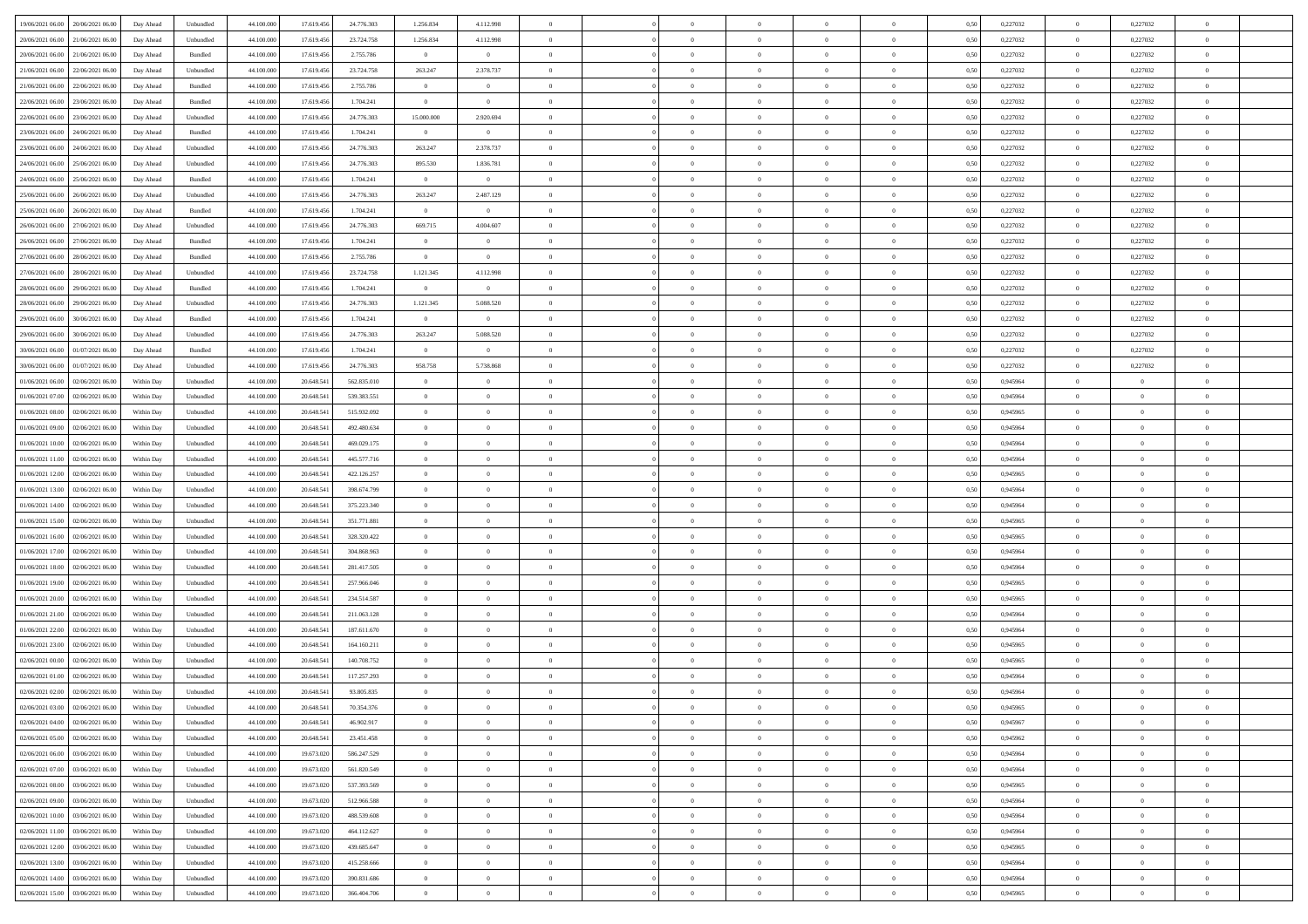| 19/06/2021 06:00 20/06/2021 06:00            |            |                             | 44.100.000 |            | 24.776.303  | 1.256.834      |                |                | $\overline{0}$ | $\bf{0}$       | $\overline{0}$ | $\theta$       | 0,50 | 0,227032 | $\,$ 0 $\,$    | 0,227032       | $\bf{0}$       |  |
|----------------------------------------------|------------|-----------------------------|------------|------------|-------------|----------------|----------------|----------------|----------------|----------------|----------------|----------------|------|----------|----------------|----------------|----------------|--|
|                                              | Day Ahead  | Unbundled                   |            | 17.619.456 |             |                | 4.112.998      |                |                |                |                |                |      |          |                |                |                |  |
| 20/06/2021 06:00<br>21/06/2021 06:00         | Day Ahead  | Unbundled                   | 44.100.00  | 17.619.456 | 23.724.758  | 1.256.834      | 4.112.998      | $\overline{0}$ | $\overline{0}$ | $\,$ 0         | $\overline{0}$ | $\bf{0}$       | 0,50 | 0,227032 | $\bf{0}$       | 0,227032       | $\bf{0}$       |  |
| 20/06/2021 06:00<br>21/06/2021 06:00         | Day Ahead  | Bundled                     | 44,100,000 | 17.619.456 | 2.755.786   | $\overline{0}$ | $\overline{0}$ | $\overline{0}$ | $\overline{0}$ | $\bf{0}$       | $\overline{0}$ | $\overline{0}$ | 0.50 | 0,227032 | $\overline{0}$ | 0,227032       | $\bf{0}$       |  |
| 21/06/2021 06:00<br>22/06/2021 06:00         | Day Ahead  | Unbundled                   | 44.100.000 | 17.619.456 | 23.724.758  | 263.247        | 2.378.737      | $\overline{0}$ | $\overline{0}$ | $\bf{0}$       | $\overline{0}$ | $\theta$       | 0,50 | 0,227032 | $\overline{0}$ | 0,227032       | $\overline{0}$ |  |
|                                              |            |                             |            |            |             |                |                |                |                |                |                |                |      |          |                |                |                |  |
| 21/06/2021 06:00<br>22/06/2021 06.00         | Day Ahead  | Bundled                     | 44.100.00  | 17.619.456 | 2.755.786   | $\overline{0}$ | $\theta$       | $\overline{0}$ |                | $\bf{0}$       | $\overline{0}$ | $\bf{0}$       | 0,50 | 0,227032 | $\bf{0}$       | 0,227032       | $\bf{0}$       |  |
| 22/06/2021 06:00<br>23/06/2021 06:00         | Day Ahead  | Bundled                     | 44,100,000 | 17.619.456 | 1.704.241   | $\overline{0}$ | $\overline{0}$ | $\overline{0}$ | $\overline{0}$ | $\bf{0}$       | $\overline{0}$ | $\overline{0}$ | 0.50 | 0,227032 | $\theta$       | 0,227032       | $\bf{0}$       |  |
| 22/06/2021 06:00<br>23/06/2021 06:00         | Day Ahead  | Unbundled                   | 44.100.000 | 17.619.456 | 24.776.303  | 15.000.000     | 2.920.694      | $\overline{0}$ | $\overline{0}$ | $\bf{0}$       | $\overline{0}$ | $\overline{0}$ | 0,50 | 0,227032 | $\overline{0}$ | 0,227032       | $\overline{0}$ |  |
| 23/06/2021 06:00<br>24/06/2021 06.00         | Day Ahead  | Bundled                     | 44.100.00  | 17.619.456 | 1.704.241   | $\bf{0}$       | $\bf{0}$       | $\overline{0}$ |                | $\,$ 0         | $\overline{0}$ | $\bf{0}$       | 0,50 | 0,227032 | $\bf{0}$       | 0,227032       | $\bf{0}$       |  |
|                                              |            |                             |            |            |             |                |                |                |                |                |                |                |      |          |                |                |                |  |
| 23/06/2021 06:00<br>24/06/2021 06:00         | Day Ahead  | Unbundled                   | 44,100,00  | 17.619.456 | 24,776,303  | 263.247        | 2.378.737      | $\overline{0}$ | $\overline{0}$ | $\bf{0}$       | $\overline{0}$ | $\overline{0}$ | 0.50 | 0,227032 | $\overline{0}$ | 0.227032       | $\bf{0}$       |  |
| 24/06/2021 06:00<br>25/06/2021 06:00         | Day Ahead  | Unbundled                   | 44.100.000 | 17.619.456 | 24.776.303  | 895.530        | 1.836.781      | $\overline{0}$ | $\overline{0}$ | $\bf{0}$       | $\overline{0}$ | $\overline{0}$ | 0,50 | 0,227032 | $\overline{0}$ | 0,227032       | $\bf{0}$       |  |
| 24/06/2021 06:00<br>25/06/2021 06.00         | Day Ahead  | Bundled                     | 44.100.00  | 17.619.456 | 1.704.241   | $\overline{0}$ | $\bf{0}$       | $\overline{0}$ | $\overline{0}$ | $\,$ 0         | $\overline{0}$ | $\bf{0}$       | 0,50 | 0,227032 | $\bf{0}$       | 0,227032       | $\bf{0}$       |  |
| 25/06/2021 06:00<br>26/06/2021 06:00         | Day Ahead  | Unbundled                   | 44,100,000 | 17.619.456 | 24.776.303  | 263.247        | 2.487.129      | $\overline{0}$ | $\overline{0}$ | $\,$ 0 $\,$    | $\overline{0}$ | $\overline{0}$ | 0.50 | 0,227032 | $\,$ 0 $\,$    | 0,227032       | $\bf{0}$       |  |
| 25/06/2021 06:00<br>26/06/2021 06:00         | Day Ahead  | Bundled                     | 44.100.000 | 17.619.456 | 1.704.241   | $\overline{0}$ | $\overline{0}$ | $\overline{0}$ | $\overline{0}$ | $\bf{0}$       | $\overline{0}$ | $\theta$       | 0,50 | 0,227032 | $\,$ 0 $\,$    | 0,227032       | $\bf{0}$       |  |
|                                              |            |                             |            |            |             |                |                |                |                |                |                |                |      |          |                |                |                |  |
| 26/06/2021 06:00<br>27/06/2021 06.00         | Day Ahead  | Unbundled                   | 44.100.00  | 17.619.456 | 24.776.303  | 669.715        | 4.004.607      | $\overline{0}$ |                | $\bf{0}$       | $\overline{0}$ | $\bf{0}$       | 0,50 | 0,227032 | $\bf{0}$       | 0,227032       | $\bf{0}$       |  |
| 26/06/2021 06:00<br>27/06/2021 06:00         | Day Ahead  | Bundled                     | 44,100,000 | 17.619.456 | 1.704.241   | $\overline{0}$ | $\overline{0}$ | $\overline{0}$ | $\overline{0}$ | $\,$ 0         | $\overline{0}$ | $\overline{0}$ | 0.50 | 0,227032 | $\bf{0}$       | 0,227032       | $\bf{0}$       |  |
| 27/06/2021 06:00<br>28/06/2021 06:00         | Day Ahead  | Bundled                     | 44.100.000 | 17.619.456 | 2.755.786   | $\overline{0}$ | $\overline{0}$ | $\overline{0}$ | $\overline{0}$ | $\bf{0}$       | $\overline{0}$ | $\overline{0}$ | 0,50 | 0,227032 | $\overline{0}$ | 0,227032       | $\overline{0}$ |  |
| 27/06/2021 06:00<br>28/06/2021 06.00         | Day Ahead  | Unbundled                   | 44.100.00  | 17.619.456 | 23.724.758  | 1.121.345      | 4.112.998      | $\overline{0}$ |                | $\,$ 0         | $\overline{0}$ | $\bf{0}$       | 0,50 | 0,227032 | $\bf{0}$       | 0,227032       | $\bf{0}$       |  |
|                                              |            |                             |            |            |             |                |                |                |                |                |                |                |      |          |                |                |                |  |
| 28/06/2021 06:00<br>29/06/2021 06:00         | Day Ahead  | Bundled                     | 44,100,000 | 17.619.456 | 1.704.241   | $\overline{0}$ | $\mathbf{0}$   | $\overline{0}$ | $\overline{0}$ | $\bf{0}$       | $\overline{0}$ | $\overline{0}$ | 0.50 | 0,227032 | $\overline{0}$ | 0.227032       | $\bf{0}$       |  |
| 28/06/2021 06:00<br>29/06/2021 06:00         | Day Ahead  | Unbundled                   | 44.100.000 | 17.619.456 | 24.776.303  | 1.121.345      | 5.088.520      | $\overline{0}$ | $\overline{0}$ | $\,$ 0         | $\overline{0}$ | $\overline{0}$ | 0,50 | 0,227032 | $\,$ 0 $\,$    | 0,227032       | $\bf{0}$       |  |
| 29/06/2021 06:00<br>30/06/2021 06:00         | Day Ahead  | Bundled                     | 44.100.00  | 17.619.456 | 1.704.241   | $\bf{0}$       | $\bf{0}$       | $\overline{0}$ | $\overline{0}$ | $\,$ 0         | $\overline{0}$ | $\bf{0}$       | 0,50 | 0,227032 | $\bf{0}$       | 0,227032       | $\bf{0}$       |  |
| 29/06/2021 06:00<br>30/06/2021 06:00         | Day Ahead  | Unbundled                   | 44,100,000 | 17.619.456 | 24,776,303  | 263.247        | 5.088.520      | $\overline{0}$ | $\overline{0}$ | $\,$ 0 $\,$    | $\overline{0}$ | $\overline{0}$ | 0.50 | 0,227032 | $\overline{0}$ | 0,227032       | $\bf{0}$       |  |
|                                              |            |                             |            |            |             |                |                |                |                |                |                |                |      |          |                |                |                |  |
| 30/06/2021 06:00<br>01/07/2021 06:00         | Day Ahead  | Bundled                     | 44.100.000 | 17.619.456 | 1.704.241   | $\overline{0}$ | $\overline{0}$ | $\overline{0}$ | $\overline{0}$ | $\bf{0}$       | $\overline{0}$ | $\overline{0}$ | 0,50 | 0,227032 | $\,0\,$        | 0,227032       | $\overline{0}$ |  |
| 30/06/2021 06:00<br>01/07/2021 06.00         | Day Ahead  | Unbundled                   | 44.100.00  | 17.619.456 | 24.776.303  | 958.758        | 5.738.868      | $\overline{0}$ | $\overline{0}$ | $\,$ 0         | $\overline{0}$ | $\bf{0}$       | 0,50 | 0,227032 | $\bf{0}$       | 0,227032       | $\bf{0}$       |  |
| 01/06/2021 06:00<br>02/06/2021 06:00         | Within Day | Unbundled                   | 44,100,000 | 20.648.54  | 562.835.010 | $\overline{0}$ | $\overline{0}$ | $\overline{0}$ | $\overline{0}$ | $\bf{0}$       | $\overline{0}$ | $\overline{0}$ | 0.50 | 0.945964 | $\bf{0}$       | $\overline{0}$ | $\bf{0}$       |  |
| 01/06/2021 07:00<br>02/06/2021 06.00         | Within Day | Unbundled                   | 44.100.000 | 20.648.541 | 539.383.551 | $\overline{0}$ | $\overline{0}$ | $\overline{0}$ | $\overline{0}$ | $\bf{0}$       | $\overline{0}$ | $\overline{0}$ | 0,50 | 0,945964 | $\,0\,$        | $\overline{0}$ | $\overline{0}$ |  |
|                                              |            |                             |            |            |             | $\overline{0}$ | $\theta$       | $\overline{0}$ |                | $\,$ 0         |                | $\bf{0}$       |      |          | $\bf{0}$       | $\overline{0}$ | $\,$ 0         |  |
| 01/06/2021 08:00<br>02/06/2021 06.00         | Within Day | Unbundled                   | 44.100.00  | 20.648.541 | 515.932.092 |                |                |                |                |                | $\overline{0}$ |                | 0,50 | 0,945965 |                |                |                |  |
| 01/06/2021 09:00<br>02/06/2021 06:00         | Within Day | Unbundled                   | 44,100,000 | 20.648.54  | 492.480.634 | $\overline{0}$ | $\overline{0}$ | $\overline{0}$ | $\overline{0}$ | $\bf{0}$       | $\overline{0}$ | $\overline{0}$ | 0.50 | 0.945964 | $\bf{0}$       | $\overline{0}$ | $\bf{0}$       |  |
| 01/06/2021 10:00<br>02/06/2021 06:00         | Within Day | Unbundled                   | 44.100.000 | 20.648.541 | 469.029.175 | $\overline{0}$ | $\overline{0}$ | $\overline{0}$ | $\overline{0}$ | $\bf{0}$       | $\overline{0}$ | $\overline{0}$ | 0,50 | 0,945964 | $\,0\,$        | $\overline{0}$ | $\overline{0}$ |  |
| 01/06/2021 11:00<br>02/06/2021 06.00         | Within Day | Unbundled                   | 44.100.00  | 20.648.541 | 445.577.716 | $\bf{0}$       | $\overline{0}$ | $\overline{0}$ | $\overline{0}$ | $\bf{0}$       | $\overline{0}$ | $\bf{0}$       | 0,50 | 0,945964 | $\bf{0}$       | $\overline{0}$ | $\bf{0}$       |  |
| 01/06/2021 12:00<br>02/06/2021 06:00         | Within Day | Unbundled                   | 44,100,000 | 20.648.541 | 422.126.257 | $\overline{0}$ | $\overline{0}$ | $\overline{0}$ | $\overline{0}$ | $\,$ 0 $\,$    | $\overline{0}$ | $\overline{0}$ | 0.50 | 0.945965 | $\,$ 0 $\,$    | $\bf{0}$       | $\bf{0}$       |  |
|                                              |            |                             |            |            |             |                |                |                |                |                |                |                |      |          |                |                |                |  |
| 01/06/2021 13:00<br>02/06/2021 06:00         | Within Day | Unbundled                   | 44.100.000 | 20.648.54  | 398.674.799 | $\overline{0}$ | $\overline{0}$ | $\theta$       | $\Omega$       | $\overline{0}$ | $\overline{0}$ | $\overline{0}$ | 0.50 | 0,945964 | $\mathbf{0}$   | $\overline{0}$ | $\overline{0}$ |  |
| 01/06/2021 14:00<br>02/06/2021 06.00         | Within Day | Unbundled                   | 44.100.00  | 20.648.541 | 375.223.340 | $\overline{0}$ | $\theta$       | $\overline{0}$ |                | $\,$ 0         | $\overline{0}$ | $\bf{0}$       | 0,50 | 0,945964 | $\bf{0}$       | $\overline{0}$ | $\bf{0}$       |  |
| 01/06/2021 15:00<br>02/06/2021 06:00         | Within Day | Unbundled                   | 44,100,000 | 20.648.541 | 351.771.881 | $\overline{0}$ | $\overline{0}$ | $\overline{0}$ | $\overline{0}$ | $\bf{0}$       | $\overline{0}$ | $\overline{0}$ | 0.50 | 0.945965 | $\bf{0}$       | $\overline{0}$ | $\bf{0}$       |  |
| 01/06/2021 16:00<br>02/06/2021 06:00         | Within Day | Unbundled                   | 44.100.000 | 20.648.541 | 328.320.422 | $\overline{0}$ | $\overline{0}$ | $\Omega$       | $\Omega$       | $\mathbf{0}$   | $\overline{0}$ | $\overline{0}$ | 0.50 | 0,945965 | $\mathbf{0}$   | $\overline{0}$ | $\overline{0}$ |  |
| 01/06/2021 17:00<br>02/06/2021 06.00         | Within Day | Unbundled                   | 44.100.00  | 20.648.541 | 304.868.963 | $\overline{0}$ | $\theta$       | $\overline{0}$ |                | $\,$ 0         | $\overline{0}$ | $\bf{0}$       | 0,50 | 0,945964 | $\bf{0}$       | $\overline{0}$ | $\bf{0}$       |  |
|                                              |            |                             |            |            |             |                |                |                |                |                |                |                |      |          |                |                |                |  |
| 01/06/2021 18:00<br>02/06/2021 06:00         | Within Day | Unbundled                   | 44,100,000 | 20.648.54  | 281.417.505 | $\overline{0}$ | $\overline{0}$ | $\overline{0}$ | $\overline{0}$ | $\bf{0}$       | $\overline{0}$ | $\overline{0}$ | 0.50 | 0.945964 | $\bf{0}$       | $\overline{0}$ | $\bf{0}$       |  |
| 01/06/2021 19:00<br>02/06/2021 06:00         | Within Day | Unbundled                   | 44.100.000 | 20.648.54  | 257.966.046 | $\overline{0}$ | $\overline{0}$ | $\overline{0}$ | $\Omega$       | $\overline{0}$ | $\overline{0}$ | $\overline{0}$ | 0.50 | 0,945965 | $\mathbf{0}$   | $\overline{0}$ | $\overline{0}$ |  |
| 01/06/2021 20:00<br>02/06/2021 06.00         | Within Day | Unbundled                   | 44.100.00  | 20.648.541 | 234.514.587 | $\bf{0}$       | $\overline{0}$ | $\overline{0}$ | $\overline{0}$ | $\bf{0}$       | $\overline{0}$ | $\bf{0}$       | 0,50 | 0,945965 | $\bf{0}$       | $\overline{0}$ | $\bf{0}$       |  |
| 01/06/2021 21:00<br>02/06/2021 06:00         | Within Day | Unbundled                   | 44,100,000 | 20.648.541 | 211.063.128 | $\overline{0}$ | $\overline{0}$ | $\overline{0}$ | $\overline{0}$ | $\bf{0}$       | $\overline{0}$ | $\overline{0}$ | 0.50 | 0.945964 | $\overline{0}$ | $\bf{0}$       | $\bf{0}$       |  |
|                                              |            |                             |            |            |             |                |                |                |                |                |                |                |      |          |                |                |                |  |
| 01/06/2021 22:00<br>02/06/2021 06:00         | Within Day | Unbundled                   | 44.100.000 | 20.648.541 | 187.611.670 | $\overline{0}$ | $\overline{0}$ | $\Omega$       | $\Omega$       | $\mathbf{0}$   | $\overline{0}$ | $\overline{0}$ | 0.50 | 0,945964 | $\mathbf{0}$   | $\overline{0}$ | $\overline{0}$ |  |
| 01/06/2021 23:00<br>02/06/2021 06.00         | Within Day | Unbundled                   | 44.100.00  | 20.648.541 | 164.160.211 | $\overline{0}$ | $\overline{0}$ | $\overline{0}$ | $\overline{0}$ | $\,$ 0         | $\overline{0}$ | $\bf{0}$       | 0,50 | 0,945965 | $\bf{0}$       | $\overline{0}$ | $\bf{0}$       |  |
| 02/06/2021 00:00<br>02/06/2021 06.00         | Within Day | Unbundled                   | 44,100,000 | 20.648.54  | 140.708.752 | $\overline{0}$ | $\theta$       | $\overline{0}$ | $\overline{0}$ | $\bf{0}$       | $\overline{0}$ | $\overline{0}$ | 0.50 | 0.945965 | $\bf{0}$       | $\overline{0}$ | $\bf{0}$       |  |
| 02/06/2021 01:00<br>02/06/2021 06:00         | Within Day | Unbundled                   | 44.100.000 | 20.648.54  | 117.257.293 | $\overline{0}$ | $\Omega$       | $\Omega$       | $\Omega$       | $\bf{0}$       | $\overline{0}$ | $\Omega$       | 0.50 | 0,945964 | $\mathbf{0}$   | $\overline{0}$ | $\overline{0}$ |  |
| 02/06/2021 02:00<br>02/06/2021 06:00         | Within Day | Unbundled                   | 44.100.000 | 20.648.541 | 93.805.835  | $\bf{0}$       | $\,$ 0 $\,$    | $\overline{0}$ | $\overline{0}$ | $\,$ 0         | $\overline{0}$ | $\bf{0}$       | 0,50 | 0,945964 | $\bf{0}$       | $\overline{0}$ | $\bf{0}$       |  |
|                                              |            |                             |            |            |             |                |                |                |                |                |                |                |      |          |                |                |                |  |
| $02/06/2021\ 03.00 \qquad 02/06/2021\ 06.00$ | Within Day | $\ensuremath{\mathsf{Unb}}$ | 44.100.000 | 20.648.541 | 70.354.376  | $\bf{0}$       | $\theta$       |                |                |                |                |                | 0,50 | 0.945965 | $\theta$       | $\Omega$       |                |  |
| 02/06/2021 04:00 02/06/2021 06:00            | Within Day | Unbundled                   | 44.100.000 | 20.648.541 | 46.902.917  | $\theta$       | $\overline{0}$ | $\theta$       | $\Omega$       | $\mathbf{0}$   | $\overline{0}$ | $\overline{0}$ | 0,50 | 0,945967 | $\mathbf{0}$   | $\overline{0}$ | $\bf{0}$       |  |
| 02/06/2021 05:00<br>02/06/2021 06:00         | Within Day | Unbundled                   | 44.100.00  | 20.648.541 | 23.451.458  | $\bf{0}$       | $\overline{0}$ | $\overline{0}$ | $\bf{0}$       | $\overline{0}$ | $\overline{0}$ | $\mathbf{0}$   | 0,50 | 0,945962 | $\overline{0}$ | $\bf{0}$       | $\bf{0}$       |  |
| 02/06/2021 06:00 03/06/2021 06:00            | Within Day | Unbundled                   | 44,100,000 | 19.673.020 | 586.247.529 | $\overline{0}$ | $\overline{0}$ | $\overline{0}$ | $\overline{0}$ | $\,$ 0 $\,$    | $\overline{0}$ | $\mathbf{0}$   | 0.50 | 0.945964 | $\overline{0}$ | $\,$ 0 $\,$    | $\bf{0}$       |  |
|                                              |            |                             |            |            |             |                |                |                |                |                |                |                |      |          |                |                |                |  |
| 02/06/2021 07:00 03/06/2021 06:00            | Within Dav | Unbundled                   | 44.100.000 | 19.673.020 | 561.820.549 | $\overline{0}$ | $\overline{0}$ | $\overline{0}$ | $\overline{0}$ | $\mathbf{0}$   | $\overline{0}$ | $\overline{0}$ | 0,50 | 0,945964 | $\theta$       | $\overline{0}$ | $\bf{0}$       |  |
| 02/06/2021 08:00<br>03/06/2021 06:00         | Within Day | Unbundled                   | 44.100.000 | 19.673.020 | 537.393.569 | $\bf{0}$       | $\overline{0}$ | $\overline{0}$ | $\overline{0}$ | $\bf{0}$       | $\overline{0}$ | $\bf{0}$       | 0,50 | 0,945965 | $\,$ 0 $\,$    | $\bf{0}$       | $\bf{0}$       |  |
| 03/06/2021 06:00<br>02/06/2021 09:00         | Within Day | Unbundled                   | 44,100,000 | 19.673.020 | 512.966.588 | $\overline{0}$ | $\overline{0}$ | $\overline{0}$ | $\overline{0}$ | $\bf{0}$       | $\overline{0}$ | $\overline{0}$ | 0.50 | 0.945964 | $\theta$       | $\overline{0}$ | $\bf{0}$       |  |
| 02/06/2021 10:00<br>03/06/2021 06:00         | Within Dav | Unbundled                   | 44.100.000 | 19.673.020 | 488.539.608 | $\overline{0}$ | $\overline{0}$ | $\overline{0}$ | $\overline{0}$ | $\overline{0}$ | $\overline{0}$ | $\overline{0}$ | 0,50 | 0,945964 | $\theta$       | $\overline{0}$ | $\bf{0}$       |  |
|                                              |            |                             |            |            |             |                |                |                |                |                |                |                |      |          |                |                |                |  |
| 02/06/2021 11:00<br>03/06/2021 06:00         | Within Day | Unbundled                   | 44.100.00  | 19.673.020 | 464.112.627 | $\bf{0}$       | $\,$ 0         | $\overline{0}$ | $\overline{0}$ | $\bf{0}$       | $\overline{0}$ | $\bf{0}$       | 0,50 | 0,945964 | $\overline{0}$ | $\,$ 0 $\,$    | $\bf{0}$       |  |
| 02/06/2021 12:00 03/06/2021 06:00            | Within Day | Unbundled                   | 44,100,000 | 19.673.020 | 439.685.647 | $\overline{0}$ | $\overline{0}$ | $\overline{0}$ | $\overline{0}$ | $\,$ 0 $\,$    | $\overline{0}$ | $\overline{0}$ | 0.50 | 0.945965 | $\overline{0}$ | $\bf{0}$       | $\bf{0}$       |  |
| 02/06/2021 13:00 03/06/2021 06:00            | Within Dav | Unbundled                   | 44.100.000 | 19.673.020 | 415.258.666 | $\overline{0}$ | $\overline{0}$ | $\overline{0}$ | $\overline{0}$ | $\overline{0}$ | $\overline{0}$ | $\overline{0}$ | 0,50 | 0,945964 | $\overline{0}$ | $\overline{0}$ | $\bf{0}$       |  |
| 02/06/2021 14:00<br>03/06/2021 06:00         | Within Day | Unbundled                   | 44.100.00  | 19.673.020 | 390.831.686 | $\bf{0}$       | $\overline{0}$ | $\overline{0}$ | $\overline{0}$ | $\bf{0}$       | $\overline{0}$ | $\bf{0}$       | 0,50 | 0,945964 | $\overline{0}$ | $\bf{0}$       | $\bf{0}$       |  |
|                                              |            |                             |            |            |             |                |                |                |                |                |                |                |      |          |                |                |                |  |
| 02/06/2021 15:00 03/06/2021 06:00            | Within Day | Unbundled                   | 44.100.000 | 19.673.020 | 366.404.706 | $\overline{0}$ | $\bf{0}$       | $\overline{0}$ | $\overline{0}$ | $\,$ 0 $\,$    | $\overline{0}$ | $\overline{0}$ | 0,50 | 0,945965 | $\,$ 0 $\,$    | $\,$ 0 $\,$    | $\bf{0}$       |  |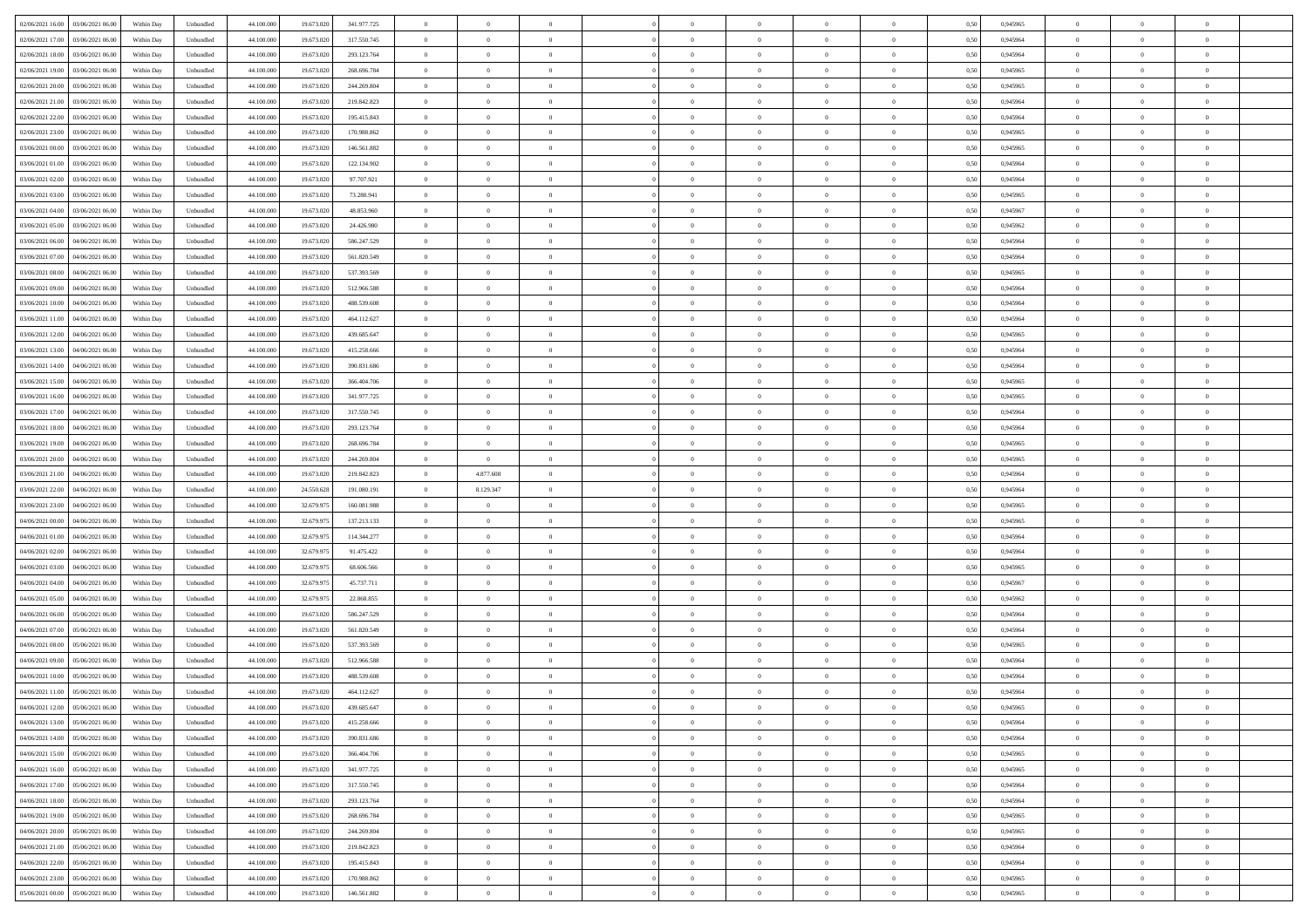| 02/06/2021 16:00<br>03/06/2021 06:00 | Within Day | Unbundled | 44.100.000 | 19.673.020 | 341.977.725 | $\overline{0}$ | $\overline{0}$ | $\overline{0}$ | $\theta$       | $\theta$       |                | $\overline{0}$ | 0,50 | 0,945965 | $\theta$       | $\theta$       | $\theta$       |  |
|--------------------------------------|------------|-----------|------------|------------|-------------|----------------|----------------|----------------|----------------|----------------|----------------|----------------|------|----------|----------------|----------------|----------------|--|
|                                      |            |           |            |            |             |                |                |                |                |                |                |                |      |          |                |                |                |  |
| 02/06/2021 17:00<br>03/06/2021 06.0  | Within Day | Unbundled | 44.100.000 | 19.673.020 | 317.550.745 | $\overline{0}$ | $\overline{0}$ | $\overline{0}$ | $\,0\,$        | $\bf{0}$       | $\overline{0}$ | $\bf{0}$       | 0,50 | 0,945964 | $\,$ 0 $\,$    | $\theta$       | $\overline{0}$ |  |
| 02/06/2021 18.00<br>03/06/2021 06:00 | Within Day | Unbundled | 44,100,000 | 19.673.020 | 293.123.764 | $\overline{0}$ | $\overline{0}$ | $\overline{0}$ | $\bf{0}$       | $\bf{0}$       | $\overline{0}$ | $\mathbf{0}$   | 0.50 | 0.945964 | $\bf{0}$       | $\overline{0}$ | $\overline{0}$ |  |
| 02/06/2021 19:00<br>03/06/2021 06.00 | Within Day | Unbundled | 44.100.000 | 19.673.020 | 268.696.784 | $\overline{0}$ | $\overline{0}$ | $\overline{0}$ | $\overline{0}$ | $\overline{0}$ | $\overline{0}$ | $\bf{0}$       | 0,50 | 0,945965 | $\theta$       | $\theta$       | $\overline{0}$ |  |
| 02/06/2021 20.00<br>03/06/2021 06.0  | Within Day | Unbundled | 44.100.000 | 19.673.020 | 244.269.804 | $\overline{0}$ | $\overline{0}$ | $\bf{0}$       | $\overline{0}$ | $\overline{0}$ | $\overline{0}$ | $\bf{0}$       | 0,50 | 0,945965 | $\,$ 0 $\,$    | $\theta$       | $\overline{0}$ |  |
|                                      |            |           |            |            |             |                |                |                |                |                |                |                |      |          |                |                |                |  |
| 02/06/2021 21.00<br>03/06/2021 06:00 | Within Day | Unbundled | 44,100,000 | 19.673.020 | 219.842.823 | $\overline{0}$ | $\overline{0}$ | $\overline{0}$ | $\overline{0}$ | $\overline{0}$ | $\overline{0}$ | $\mathbf{0}$   | 0.50 | 0.945964 | $\theta$       | $\theta$       | $\overline{0}$ |  |
| 02/06/2021 22.00<br>03/06/2021 06.00 | Within Day | Unbundled | 44.100.000 | 19.673.020 | 195.415.843 | $\overline{0}$ | $\overline{0}$ | $\overline{0}$ | $\overline{0}$ | $\overline{0}$ | $\overline{0}$ | $\bf{0}$       | 0,50 | 0,945964 | $\theta$       | $\theta$       | $\overline{0}$ |  |
| 02/06/2021 23:00<br>03/06/2021 06.00 | Within Day | Unbundled | 44.100.000 | 19.673.020 | 170.988.862 | $\overline{0}$ | $\overline{0}$ | $\overline{0}$ | $\bf{0}$       | $\overline{0}$ | $\overline{0}$ | $\bf{0}$       | 0,50 | 0,945965 | $\,$ 0 $\,$    | $\bf{0}$       | $\overline{0}$ |  |
| 03/06/2021 00:00<br>03/06/2021 06:00 | Within Day | Unbundled | 44,100,000 | 19.673.020 | 146.561.882 | $\overline{0}$ | $\overline{0}$ | $\overline{0}$ | $\overline{0}$ | $\overline{0}$ | $\overline{0}$ | $\mathbf{0}$   | 0.50 | 0.945965 | $\,$ 0 $\,$    | $\theta$       | $\overline{0}$ |  |
| 03/06/2021 01:00<br>03/06/2021 06:00 | Within Day | Unbundled | 44.100.000 | 19.673.020 | 122.134.902 | $\overline{0}$ | $\overline{0}$ | $\overline{0}$ | $\overline{0}$ | $\overline{0}$ | $\overline{0}$ | $\bf{0}$       | 0,50 | 0,945964 | $\,$ 0 $\,$    | $\theta$       | $\overline{0}$ |  |
|                                      |            |           |            |            |             |                |                |                |                |                |                |                |      |          |                |                |                |  |
| 03/06/2021 02.00<br>03/06/2021 06.0  | Within Day | Unbundled | 44.100.000 | 19.673.020 | 97.707.921  | $\overline{0}$ | $\overline{0}$ | $\bf{0}$       | $\bf{0}$       | $\overline{0}$ | $\overline{0}$ | $\bf{0}$       | 0,50 | 0,945964 | $\,$ 0 $\,$    | $\theta$       | $\overline{0}$ |  |
| 03/06/2021 03:00<br>03/06/2021 06:00 | Within Day | Unbundled | 44,100,000 | 19.673.020 | 73.280.941  | $\overline{0}$ | $\overline{0}$ | $\overline{0}$ | $\bf{0}$       | $\bf{0}$       | $\overline{0}$ | $\mathbf{0}$   | 0.50 | 0.945965 | $\bf{0}$       | $\overline{0}$ | $\bf{0}$       |  |
| 03/06/2021 04:00<br>03/06/2021 06:00 | Within Day | Unbundled | 44.100.000 | 19.673.020 | 48.853.960  | $\overline{0}$ | $\overline{0}$ | $\overline{0}$ | $\overline{0}$ | $\overline{0}$ | $\overline{0}$ | $\bf{0}$       | 0,50 | 0,945967 | $\theta$       | $\theta$       | $\overline{0}$ |  |
| 03/06/2021 05.00<br>03/06/2021 06.0  | Within Day | Unbundled | 44.100.000 | 19.673.020 | 24.426.980  | $\overline{0}$ | $\overline{0}$ | $\bf{0}$       | $\bf{0}$       | $\bf{0}$       | $\overline{0}$ | $\bf{0}$       | 0,50 | 0,945962 | $\,$ 0 $\,$    | $\bf{0}$       | $\overline{0}$ |  |
| 03/06/2021 06.00<br>04/06/2021 06:00 | Within Day | Unbundled | 44,100,000 | 19.673.020 | 586.247.529 | $\overline{0}$ | $\overline{0}$ | $\overline{0}$ | $\overline{0}$ | $\overline{0}$ | $\overline{0}$ | $\mathbf{0}$   | 0.50 | 0.945964 | $\theta$       | $\theta$       | $\overline{0}$ |  |
|                                      |            |           |            |            |             |                | $\overline{0}$ | $\overline{0}$ | $\overline{0}$ | $\overline{0}$ | $\overline{0}$ |                |      |          | $\theta$       | $\theta$       | $\overline{0}$ |  |
| 03/06/2021 07.00<br>04/06/2021 06.00 | Within Day | Unbundled | 44.100.000 | 19.673.020 | 561.820.549 | $\overline{0}$ |                |                |                |                |                | $\bf{0}$       | 0,50 | 0,945964 |                |                |                |  |
| 03/06/2021 08.00<br>04/06/2021 06.0  | Within Day | Unbundled | 44.100.000 | 19.673.020 | 537.393.569 | $\overline{0}$ | $\overline{0}$ | $\overline{0}$ | $\bf{0}$       | $\overline{0}$ | $\overline{0}$ | $\bf{0}$       | 0,50 | 0,945965 | $\,$ 0 $\,$    | $\theta$       | $\overline{0}$ |  |
| 03/06/2021 09:00<br>04/06/2021 06:00 | Within Day | Unbundled | 44,100,000 | 19.673.020 | 512.966.588 | $\overline{0}$ | $\overline{0}$ | $\overline{0}$ | $\overline{0}$ | $\bf{0}$       | $\overline{0}$ | $\mathbf{0}$   | 0.50 | 0.945964 | $\,$ 0 $\,$    | $\overline{0}$ | $\overline{0}$ |  |
| 03/06/2021 10:00<br>04/06/2021 06.00 | Within Day | Unbundled | 44.100.000 | 19.673.020 | 488.539.608 | $\overline{0}$ | $\overline{0}$ | $\overline{0}$ | $\overline{0}$ | $\overline{0}$ | $\overline{0}$ | $\bf{0}$       | 0,50 | 0,945964 | $\,$ 0 $\,$    | $\theta$       | $\overline{0}$ |  |
| 03/06/2021 11:00<br>04/06/2021 06.0  | Within Day | Unbundled | 44.100.000 | 19.673.020 | 464.112.627 | $\overline{0}$ | $\overline{0}$ | $\overline{0}$ | $\bf{0}$       | $\bf{0}$       | $\overline{0}$ | $\bf{0}$       | 0,50 | 0,945964 | $\,$ 0 $\,$    | $\bf{0}$       | $\overline{0}$ |  |
| 03/06/2021 12:00<br>04/06/2021 06:00 | Within Day | Unbundled | 44,100,000 | 19.673.020 | 439.685.647 | $\overline{0}$ | $\overline{0}$ | $\overline{0}$ | $\bf{0}$       | $\bf{0}$       | $\overline{0}$ | $\mathbf{0}$   | 0.50 | 0.945965 | $\bf{0}$       | $\overline{0}$ | $\overline{0}$ |  |
|                                      |            |           |            |            |             |                |                |                |                |                |                |                |      |          |                |                |                |  |
| 03/06/2021 13:00<br>04/06/2021 06:00 | Within Day | Unbundled | 44.100.000 | 19.673.020 | 415.258.666 | $\overline{0}$ | $\overline{0}$ | $\overline{0}$ | $\overline{0}$ | $\overline{0}$ | $\overline{0}$ | $\,$ 0 $\,$    | 0,50 | 0,945964 | $\theta$       | $\theta$       | $\overline{0}$ |  |
| 03/06/2021 14:00<br>04/06/2021 06.0  | Within Day | Unbundled | 44.100.000 | 19.673.020 | 390.831.686 | $\overline{0}$ | $\overline{0}$ | $\bf{0}$       | $\bf{0}$       | $\overline{0}$ | $\overline{0}$ | $\bf{0}$       | 0,50 | 0,945964 | $\,$ 0 $\,$    | $\bf{0}$       | $\overline{0}$ |  |
| 03/06/2021 15:00<br>04/06/2021 06:00 | Within Day | Unbundled | 44,100,000 | 19.673.020 | 366,404.706 | $\overline{0}$ | $\overline{0}$ | $\overline{0}$ | $\overline{0}$ | $\overline{0}$ | $\overline{0}$ | $\mathbf{0}$   | 0.50 | 0.945965 | $\bf{0}$       | $\theta$       | $\overline{0}$ |  |
| 03/06/2021 16:00<br>04/06/2021 06.00 | Within Day | Unbundled | 44.100.000 | 19.673.020 | 341.977.725 | $\overline{0}$ | $\overline{0}$ | $\overline{0}$ | $\overline{0}$ | $\overline{0}$ | $\overline{0}$ | $\bf{0}$       | 0,50 | 0,945965 | $\theta$       | $\theta$       | $\overline{0}$ |  |
| 03/06/2021 17.00<br>04/06/2021 06.0  | Within Day | Unbundled | 44.100.000 | 19.673.020 | 317.550.745 | $\overline{0}$ | $\overline{0}$ | $\overline{0}$ | $\overline{0}$ | $\overline{0}$ | $\overline{0}$ | $\bf{0}$       | 0,50 | 0,945964 | $\,$ 0 $\,$    | $\theta$       | $\overline{0}$ |  |
| 03/06/2021 18:00<br>04/06/2021 06:00 | Within Day | Unbundled | 44,100,000 | 19.673.020 | 293.123.764 | $\overline{0}$ | $\overline{0}$ | $\overline{0}$ | $\overline{0}$ | $\bf{0}$       | $\overline{0}$ | $\mathbf{0}$   | 0.50 | 0.945964 | $\,$ 0 $\,$    | $\theta$       | $\overline{0}$ |  |
|                                      |            |           |            |            |             |                |                |                |                |                |                |                |      |          |                |                |                |  |
| 03/06/2021 19:00<br>04/06/2021 06:00 | Within Day | Unbundled | 44.100.000 | 19.673.020 | 268.696.784 | $\overline{0}$ | $\overline{0}$ | $\overline{0}$ | $\overline{0}$ | $\overline{0}$ | $\overline{0}$ | $\bf{0}$       | 0,50 | 0,945965 | $\theta$       | $\theta$       | $\overline{0}$ |  |
| 03/06/2021 20.00<br>04/06/2021 06.0  | Within Day | Unbundled | 44.100.000 | 19.673.020 | 244.269.804 | $\overline{0}$ | $\overline{0}$ | $\overline{0}$ | $\overline{0}$ | $\bf{0}$       | $\overline{0}$ | $\bf{0}$       | 0,50 | 0,945965 | $\,$ 0 $\,$    | $\bf{0}$       | $\overline{0}$ |  |
| 03/06/2021 21.00<br>04/06/2021 06:00 | Within Day | Unbundled | 44,100,000 | 19.673.020 | 219.842.823 | $\overline{0}$ | 4.877.608      | $\overline{0}$ | $\bf{0}$       | $\bf{0}$       | $\overline{0}$ | $\mathbf{0}$   | 0.50 | 0.945964 | $\bf{0}$       | $\overline{0}$ | $\bf{0}$       |  |
| 03/06/2021 22.00<br>04/06/2021 06:00 | Within Day | Unbundled | 44.100.000 | 24.550.628 | 191.080.191 | $\overline{0}$ | 8.129.347      | $\overline{0}$ | $\overline{0}$ | $\overline{0}$ | $\overline{0}$ | $\overline{0}$ | 0.50 | 0.945964 | $\theta$       | $\theta$       | $\overline{0}$ |  |
| 03/06/2021 23.00<br>04/06/2021 06.0  | Within Day | Unbundled | 44.100.000 | 32.679.975 | 160.081.988 | $\overline{0}$ | $\overline{0}$ | $\overline{0}$ | $\bf{0}$       | $\overline{0}$ | $\overline{0}$ | $\bf{0}$       | 0,50 | 0,945965 | $\,$ 0 $\,$    | $\bf{0}$       | $\overline{0}$ |  |
| 04/06/2021 00:00<br>04/06/2021 06:00 | Within Day | Unbundled | 44,100,000 | 32.679.975 | 137.213.133 | $\overline{0}$ | $\overline{0}$ | $\overline{0}$ | $\overline{0}$ | $\overline{0}$ | $\overline{0}$ | $\mathbf{0}$   | 0.50 | 0.945965 | $\,$ 0 $\,$    | $\theta$       | $\overline{0}$ |  |
|                                      |            |           |            |            |             |                |                |                |                |                |                |                |      |          |                |                |                |  |
| 04/06/2021 01:00<br>04/06/2021 06:00 | Within Day | Unbundled | 44.100.000 | 32.679.975 | 114.344.277 | $\overline{0}$ | $\overline{0}$ | $\overline{0}$ | $\overline{0}$ | $\overline{0}$ | $\overline{0}$ | $\overline{0}$ | 0.50 | 0,945964 | $\theta$       | $\theta$       | $\overline{0}$ |  |
| 04/06/2021 02.00<br>04/06/2021 06.0  | Within Day | Unbundled | 44.100.000 | 32.679.975 | 91.475.422  | $\overline{0}$ | $\overline{0}$ | $\overline{0}$ | $\bf{0}$       | $\overline{0}$ | $\overline{0}$ | $\bf{0}$       | 0,50 | 0,945964 | $\,$ 0 $\,$    | $\theta$       | $\overline{0}$ |  |
| 04/06/2021 03:00<br>04/06/2021 06:00 | Within Day | Unbundled | 44,100,000 | 32.679.975 | 68,606,566  | $\overline{0}$ | $\overline{0}$ | $\overline{0}$ | $\overline{0}$ | $\bf{0}$       | $\overline{0}$ | $\mathbf{0}$   | 0.50 | 0.945965 | $\,$ 0 $\,$    | $\theta$       | $\overline{0}$ |  |
| 04/06/2021 04:00<br>04/06/2021 06:00 | Within Day | Unbundled | 44.100.000 | 32.679.975 | 45.737.711  | $\overline{0}$ | $\overline{0}$ | $\overline{0}$ | $\overline{0}$ | $\overline{0}$ | $\overline{0}$ | $\overline{0}$ | 0.50 | 0,945967 | $\theta$       | $\theta$       | $\overline{0}$ |  |
| 04/06/2021 05.00<br>04/06/2021 06.0  | Within Day | Unbundled | 44.100.000 | 32.679.975 | 22.868.855  | $\overline{0}$ | $\overline{0}$ | $\overline{0}$ | $\,0\,$        | $\bf{0}$       | $\overline{0}$ | $\bf{0}$       | 0,50 | 0,945962 | $\,$ 0 $\,$    | $\bf{0}$       | $\overline{0}$ |  |
| 04/06/2021 06.00<br>05/06/2021 06:00 | Within Day | Unbundled | 44,100,000 | 19.673.020 | 586.247.529 | $\overline{0}$ | $\overline{0}$ | $\overline{0}$ | $\bf{0}$       | $\bf{0}$       | $\overline{0}$ | $\mathbf{0}$   | 0.50 | 0.945964 | $\bf{0}$       | $\overline{0}$ | $\overline{0}$ |  |
|                                      |            |           |            |            |             |                |                |                |                |                |                |                |      |          |                |                |                |  |
| 04/06/2021 07:00<br>05/06/2021 06:00 | Within Day | Unbundled | 44.100.000 | 19.673.020 | 561.820.549 | $\overline{0}$ | $\overline{0}$ | $\overline{0}$ | $\overline{0}$ | $\overline{0}$ | $\overline{0}$ | $\overline{0}$ | 0.50 | 0,945964 | $\theta$       | $\theta$       | $\overline{0}$ |  |
| 04/06/2021 08.00<br>05/06/2021 06.0  | Within Day | Unbundled | 44.100.000 | 19.673.020 | 537.393.569 | $\overline{0}$ | $\overline{0}$ | $\overline{0}$ | $\bf{0}$       | $\bf{0}$       | $\overline{0}$ | $\bf{0}$       | 0,50 | 0,945965 | $\,$ 0 $\,$    | $\bf{0}$       | $\overline{0}$ |  |
| 04/06/2021 09:00<br>05/06/2021 06.00 | Within Day | Unbundled | 44,100,000 | 19.673.020 | 512.966.588 | $\overline{0}$ | $\overline{0}$ | $\overline{0}$ | $\overline{0}$ | $\overline{0}$ | $\overline{0}$ | $\overline{0}$ | 0.50 | 0.945964 | $\,$ 0 $\,$    | $\theta$       | $\overline{0}$ |  |
| 04/06/2021 10:00<br>05/06/2021 06:00 | Within Day | Unbundled | 44.100.000 | 19.673.020 | 488.539.608 | $\overline{0}$ | $\overline{0}$ | $\overline{0}$ | $\overline{0}$ | $\overline{0}$ | $\theta$       | $\overline{0}$ | 0.50 | 0,945964 | $\theta$       | $\theta$       | $\overline{0}$ |  |
| 04/06/2021 11:00<br>05/06/2021 06.00 | Within Day | Unbundled | 44.100.000 | 19.673.020 | 464.112.627 | $\overline{0}$ | $\overline{0}$ | $\bf{0}$       | $\overline{0}$ | $\bf{0}$       | $\overline{0}$ | $\bf{0}$       | 0,50 | 0,945964 | $\,$ 0 $\,$    | $\bf{0}$       | $\overline{0}$ |  |
| 04/06/2021 12:00  05/06/2021 06:00   | Within Day | Unbundled | 44.100.000 | 19.673.020 | 439 685 647 | $\bf{0}$       | $\,$ 0 $\,$    |                | $\bf{0}$       |                |                |                | 0,50 | 0.945965 | $\theta$       | $\overline{0}$ |                |  |
|                                      |            |           |            |            |             |                |                |                |                |                |                |                |      |          |                |                |                |  |
| 04/06/2021 13:00  05/06/2021 06:00   | Within Dav | Unbundled | 44.100.000 | 19.673.020 | 415.258.666 | $\overline{0}$ | $\overline{0}$ | $\overline{0}$ | $\overline{0}$ | $\overline{0}$ | $\overline{0}$ | $\overline{0}$ | 0,50 | 0,945964 | $\theta$       | $\theta$       | $\overline{0}$ |  |
| 04/06/2021 14:00<br>05/06/2021 06.0  | Within Day | Unbundled | 44.100.000 | 19.673.020 | 390.831.686 | $\overline{0}$ | $\overline{0}$ | $\overline{0}$ | $\bf{0}$       | $\overline{0}$ | $\overline{0}$ | $\mathbf{0}$   | 0,50 | 0,945964 | $\bf{0}$       | $\overline{0}$ | $\bf{0}$       |  |
| 04/06/2021 15:00<br>05/06/2021 06:00 | Within Day | Unbundled | 44.100.000 | 19.673.020 | 366.404.706 | $\overline{0}$ | $\overline{0}$ | $\overline{0}$ | $\overline{0}$ | $\bf{0}$       | $\overline{0}$ | $\mathbf{0}$   | 0.50 | 0.945965 | $\overline{0}$ | $\bf{0}$       | $\,$ 0 $\,$    |  |
| 04/06/2021 16:00<br>05/06/2021 06:00 | Within Dav | Unbundled | 44.100.000 | 19.673.020 | 341.977.725 | $\overline{0}$ | $\overline{0}$ | $\overline{0}$ | $\overline{0}$ | $\overline{0}$ | $\overline{0}$ | $\mathbf{0}$   | 0,50 | 0,945965 | $\theta$       | $\theta$       | $\overline{0}$ |  |
| 04/06/2021 17.00<br>05/06/2021 06.00 | Within Day | Unbundled | 44.100.000 | 19.673.020 | 317.550.745 | $\overline{0}$ | $\overline{0}$ | $\overline{0}$ | $\bf{0}$       | $\bf{0}$       | $\overline{0}$ | $\mathbf{0}$   | 0,50 | 0,945964 | $\overline{0}$ | $\bf{0}$       | $\overline{0}$ |  |
| 04/06/2021 18.00<br>05/06/2021 06:00 | Within Day | Unbundled | 44.100.000 | 19.673.020 | 293.123.764 | $\overline{0}$ | $\overline{0}$ | $\overline{0}$ | $\bf{0}$       | $\overline{0}$ | $\overline{0}$ | $\mathbf{0}$   | 0.50 | 0.945964 | $\,$ 0 $\,$    | $\theta$       | $\overline{0}$ |  |
|                                      |            |           |            |            |             |                |                |                |                |                |                |                |      |          |                |                |                |  |
| 04/06/2021 19:00<br>05/06/2021 06:00 | Within Dav | Unbundled | 44.100.000 | 19.673.020 | 268.696.784 | $\overline{0}$ | $\overline{0}$ | $\overline{0}$ | $\overline{0}$ | $\overline{0}$ | $\overline{0}$ | $\mathbf{0}$   | 0,50 | 0,945965 | $\overline{0}$ | $\theta$       | $\overline{0}$ |  |
| 04/06/2021 20.00<br>05/06/2021 06.00 | Within Day | Unbundled | 44.100.000 | 19.673.020 | 244.269.804 | $\overline{0}$ | $\overline{0}$ | $\overline{0}$ | $\bf{0}$       | $\overline{0}$ | $\overline{0}$ | $\,$ 0 $\,$    | 0,50 | 0,945965 | $\bf{0}$       | $\bf{0}$       | $\overline{0}$ |  |
| 04/06/2021 21.00<br>05/06/2021 06:00 | Within Day | Unbundled | 44,100,000 | 19.673.020 | 219.842.823 | $\overline{0}$ | $\overline{0}$ | $\overline{0}$ | $\bf{0}$       | $\bf{0}$       | $\overline{0}$ | $\,$ 0 $\,$    | 0.50 | 0.945964 | $\overline{0}$ | $\bf{0}$       | $\,$ 0         |  |
| 04/06/2021 22.00<br>05/06/2021 06:00 | Within Dav | Unbundled | 44.100.000 | 19.673.020 | 195.415.843 | $\overline{0}$ | $\overline{0}$ | $\overline{0}$ | $\overline{0}$ | $\overline{0}$ | $\overline{0}$ | $\mathbf{0}$   | 0,50 | 0,945964 | $\overline{0}$ | $\theta$       | $\overline{0}$ |  |
| 04/06/2021 23.00<br>05/06/2021 06.0  | Within Day | Unbundled | 44.100.000 | 19.673.020 | 170.988.862 | $\overline{0}$ | $\overline{0}$ | $\overline{0}$ | $\overline{0}$ | $\bf{0}$       | $\overline{0}$ | $\mathbf{0}$   | 0,50 | 0,945965 | $\bf{0}$       | $\bf{0}$       | $\overline{0}$ |  |
|                                      |            |           |            |            |             |                |                |                |                |                |                |                |      |          |                |                |                |  |
| 05/06/2021 00:00 05/06/2021 06:00    | Within Day | Unbundled | 44.100.000 | 19.673.020 | 146.561.882 | $\overline{0}$ | $\overline{0}$ | $\overline{0}$ | $\bf{0}$       | $\,$ 0         | $\overline{0}$ | $\,0\,$        | 0,50 | 0,945965 | $\overline{0}$ | $\,$ 0 $\,$    | $\,$ 0 $\,$    |  |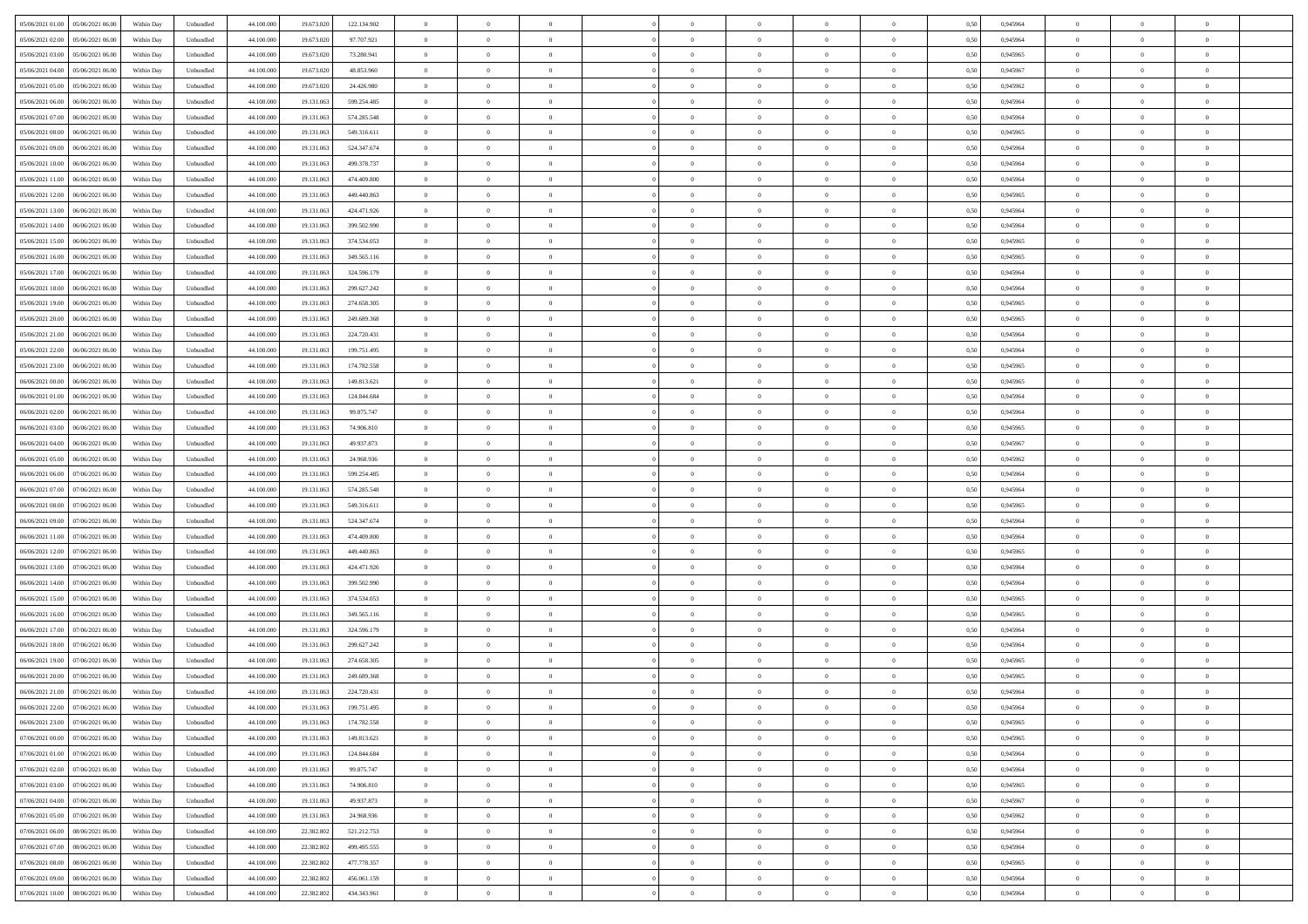| 05/06/2021 01:00  05/06/2021 06:00   | Within Day | Unbundled                   | 44.100.000 | 19.673.020 | 122.134.902 | $\overline{0}$ | $\theta$       |                | $\overline{0}$ | $\theta$       |                | $\bf{0}$       | 0,50 | 0,945964 | $\theta$       | $\theta$       | $\overline{0}$ |  |
|--------------------------------------|------------|-----------------------------|------------|------------|-------------|----------------|----------------|----------------|----------------|----------------|----------------|----------------|------|----------|----------------|----------------|----------------|--|
| 05/06/2021 02:00<br>05/06/2021 06.00 | Within Day | Unbundled                   | 44.100.00  | 19.673.02  | 97.707.921  | $\bf{0}$       | $\overline{0}$ | $\overline{0}$ | $\overline{0}$ | $\theta$       | $\overline{0}$ | $\bf{0}$       | 0,50 | 0,945964 | $\theta$       | $\bf{0}$       | $\overline{0}$ |  |
| 05/06/2021 03:00<br>05/06/2021 06:00 | Within Day | Unbundled                   | 44,100,000 | 19.673.020 | 73.280.941  | $\overline{0}$ | $\overline{0}$ | $\overline{0}$ | $\bf{0}$       | $\bf{0}$       | $\overline{0}$ | $\bf{0}$       | 0.50 | 0.945965 | $\bf{0}$       | $\overline{0}$ | $\overline{0}$ |  |
| 05/06/2021 04:00<br>05/06/2021 06:00 | Within Day | Unbundled                   | 44.100.000 | 19.673.020 | 48.853.960  | $\overline{0}$ | $\overline{0}$ | $\overline{0}$ | $\theta$       | $\theta$       | $\overline{0}$ | $\bf{0}$       | 0,50 | 0,945967 | $\theta$       | $\theta$       | $\overline{0}$ |  |
| 05/06/2021 05:00<br>05/06/2021 06.00 | Within Day | Unbundled                   | 44.100.00  | 19.673.020 | 24.426.980  | $\overline{0}$ | $\theta$       | $\overline{0}$ | $\overline{0}$ | $\theta$       | $\overline{0}$ | $\bf{0}$       | 0,50 | 0,945962 | $\,$ 0 $\,$    | $\bf{0}$       | $\overline{0}$ |  |
| 05/06/2021 06:00<br>06/06/2021 06:00 | Within Day | Unbundled                   | 44,100,000 | 19.131.063 | 599.254.485 | $\overline{0}$ | $\overline{0}$ | $\Omega$       | $\bf{0}$       | $\overline{0}$ | $\Omega$       | $\bf{0}$       | 0.50 | 0.945964 | $\bf{0}$       | $\theta$       | $\overline{0}$ |  |
| 05/06/2021 07:00<br>06/06/2021 06:00 | Within Day | Unbundled                   | 44.100.000 | 19.131.063 | 574.285.548 | $\overline{0}$ | $\overline{0}$ | $\overline{0}$ | $\overline{0}$ | $\overline{0}$ | $\overline{0}$ | $\bf{0}$       | 0,50 | 0,945964 | $\theta$       | $\theta$       | $\overline{0}$ |  |
| 05/06/2021 08:00<br>06/06/2021 06.00 | Within Day | Unbundled                   | 44.100.00  | 19.131.06  | 549.316.611 | $\overline{0}$ | $\overline{0}$ | $\overline{0}$ | $\overline{0}$ | $\theta$       | $\overline{0}$ | $\bf{0}$       | 0,50 | 0,945965 | $\,$ 0 $\,$    | $\bf{0}$       | $\overline{0}$ |  |
|                                      |            |                             |            |            |             |                |                |                |                |                |                |                |      |          |                |                |                |  |
| 05/06/2021 09:00<br>06/06/2021 06:00 | Within Day | Unbundled                   | 44,100,000 | 19.131.063 | 524.347.674 | $\overline{0}$ | $\overline{0}$ | $\overline{0}$ | $\bf{0}$       | $\overline{0}$ | $\overline{0}$ | $\bf{0}$       | 0.50 | 0.945964 | $\bf{0}$       | $\theta$       | $\overline{0}$ |  |
| 05/06/2021 10:00<br>06/06/2021 06:00 | Within Day | Unbundled                   | 44.100.000 | 19.131.063 | 499.378.737 | $\overline{0}$ | $\bf{0}$       | $\overline{0}$ | $\overline{0}$ | $\theta$       | $\overline{0}$ | $\bf{0}$       | 0,50 | 0,945964 | $\,$ 0 $\,$    | $\theta$       | $\overline{0}$ |  |
| 05/06/2021 11:00<br>06/06/2021 06.00 | Within Day | Unbundled                   | 44.100.00  | 19.131.06  | 474.409.800 | $\bf{0}$       | $\overline{0}$ | $\bf{0}$       | $\overline{0}$ | $\bf{0}$       | $\overline{0}$ | $\bf{0}$       | 0,50 | 0,945964 | $\,$ 0 $\,$    | $\bf{0}$       | $\overline{0}$ |  |
| 05/06/2021 12:00<br>06/06/2021 06:00 | Within Day | Unbundled                   | 44,100,000 | 19.131.063 | 449,440,863 | $\overline{0}$ | $\overline{0}$ | $\overline{0}$ | $\bf{0}$       | $\bf{0}$       | $\overline{0}$ | $\bf{0}$       | 0.50 | 0.945965 | $\bf{0}$       | $\overline{0}$ | $\overline{0}$ |  |
| 05/06/2021 13:00<br>06/06/2021 06:00 | Within Day | Unbundled                   | 44.100.000 | 19.131.063 | 424.471.926 | $\overline{0}$ | $\overline{0}$ | $\overline{0}$ | $\overline{0}$ | $\theta$       | $\overline{0}$ | $\overline{0}$ | 0,50 | 0,945964 | $\theta$       | $\theta$       | $\overline{0}$ |  |
| 05/06/2021 14:00<br>06/06/2021 06.00 | Within Day | Unbundled                   | 44.100.00  | 19.131.06  | 399.502.990 | $\bf{0}$       | $\theta$       | $\bf{0}$       | $\overline{0}$ | $\theta$       | $\overline{0}$ | $\bf{0}$       | 0,50 | 0,945964 | $\bf{0}$       | $\bf{0}$       | $\overline{0}$ |  |
| 05/06/2021 15:00<br>06/06/2021 06:00 | Within Day | Unbundled                   | 44,100,000 | 19.131.063 | 374.534.053 | $\overline{0}$ | $\overline{0}$ | $\overline{0}$ | $\bf{0}$       | $\theta$       | $\theta$       | $\bf{0}$       | 0.50 | 0.945965 | $\theta$       | $\overline{0}$ | $\overline{0}$ |  |
| 05/06/2021 16:00<br>06/06/2021 06:00 | Within Day | Unbundled                   | 44.100.000 | 19.131.063 | 349.565.116 | $\overline{0}$ | $\overline{0}$ | $\overline{0}$ | $\overline{0}$ | $\theta$       | $\overline{0}$ | $\bf{0}$       | 0,50 | 0,945965 | $\theta$       | $\theta$       | $\overline{0}$ |  |
| 05/06/2021 17:00<br>06/06/2021 06.00 | Within Day | Unbundled                   | 44.100.00  | 19.131.06  | 324.596.179 | $\bf{0}$       | $\overline{0}$ | $\overline{0}$ | $\overline{0}$ | $\theta$       | $\overline{0}$ | $\bf{0}$       | 0,50 | 0,945964 | $\,$ 0 $\,$    | $\bf{0}$       | $\overline{0}$ |  |
| 05/06/2021 18:00<br>06/06/2021 06:00 | Within Day | Unbundled                   | 44,100,000 | 19.131.063 | 299.627.242 | $\overline{0}$ | $\overline{0}$ | $\overline{0}$ | $\bf{0}$       | $\overline{0}$ | $\overline{0}$ | $\bf{0}$       | 0.50 | 0.945964 | $\bf{0}$       | $\overline{0}$ | $\overline{0}$ |  |
| 05/06/2021 19:00<br>06/06/2021 06:00 | Within Day | Unbundled                   | 44.100.000 | 19.131.063 | 274.658.305 | $\bf{0}$       | $\overline{0}$ | $\overline{0}$ | $\overline{0}$ | $\overline{0}$ | $\overline{0}$ | $\bf{0}$       | 0,50 | 0,945965 | $\,$ 0 $\,$    | $\theta$       | $\overline{0}$ |  |
| 05/06/2021 20:00<br>06/06/2021 06.00 | Within Day | Unbundled                   | 44.100.00  | 19.131.06  | 249.689.368 | $\bf{0}$       | $\overline{0}$ | $\bf{0}$       | $\bf{0}$       | $\overline{0}$ | $\overline{0}$ | $\bf{0}$       | 0,50 | 0,945965 | $\,$ 0 $\,$    | $\bf{0}$       | $\overline{0}$ |  |
| 05/06/2021 21:00<br>06/06/2021 06:00 | Within Day | Unbundled                   | 44,100,000 | 19.131.063 | 224,720,431 | $\overline{0}$ | $\overline{0}$ | $\overline{0}$ | $\bf{0}$       | $\overline{0}$ | $\overline{0}$ | $\bf{0}$       | 0.50 | 0.945964 | $\bf{0}$       | $\overline{0}$ | $\overline{0}$ |  |
| 05/06/2021 22.00<br>06/06/2021 06:00 | Within Day | Unbundled                   | 44.100.000 | 19.131.063 | 199.751.495 | $\overline{0}$ | $\overline{0}$ | $\overline{0}$ | $\overline{0}$ | $\theta$       | $\overline{0}$ | $\bf{0}$       | 0,50 | 0,945964 | $\theta$       | $\theta$       | $\overline{0}$ |  |
|                                      |            |                             |            |            |             |                |                |                |                |                |                |                |      |          |                |                |                |  |
| 05/06/2021 23:00<br>06/06/2021 06.00 | Within Day | Unbundled                   | 44.100.00  | 19.131.06  | 174.782.558 | $\bf{0}$       | $\overline{0}$ | $\overline{0}$ | $\overline{0}$ | $\theta$       | $\overline{0}$ | $\bf{0}$       | 0,50 | 0,945965 | $\,$ 0 $\,$    | $\bf{0}$       | $\overline{0}$ |  |
| 06/06/2021 00:00<br>06/06/2021 06:00 | Within Day | Unbundled                   | 44,100,000 | 19.131.063 | 149.813.621 | $\overline{0}$ | $\overline{0}$ | $\Omega$       | $\overline{0}$ | $\overline{0}$ | $\theta$       | $\bf{0}$       | 0.50 | 0.945965 | $\bf{0}$       | $\theta$       | $\overline{0}$ |  |
| 06/06/2021 01:00<br>06/06/2021 06:00 | Within Day | Unbundled                   | 44.100.000 | 19.131.063 | 124.844.684 | $\overline{0}$ | $\overline{0}$ | $\overline{0}$ | $\overline{0}$ | $\theta$       | $\overline{0}$ | $\bf{0}$       | 0,50 | 0,945964 | $\theta$       | $\theta$       | $\overline{0}$ |  |
| 06/06/2021 02:00<br>06/06/2021 06.00 | Within Day | Unbundled                   | 44.100.00  | 19.131.06  | 99.875.747  | $\bf{0}$       | $\theta$       | $\overline{0}$ | $\overline{0}$ | $\theta$       | $\overline{0}$ | $\bf{0}$       | 0,50 | 0,945964 | $\,$ 0 $\,$    | $\bf{0}$       | $\overline{0}$ |  |
| 06/06/2021 03:00<br>06/06/2021 06:00 | Within Day | Unbundled                   | 44,100,000 | 19.131.063 | 74,906,810  | $\overline{0}$ | $\overline{0}$ | $\overline{0}$ | $\bf{0}$       | $\overline{0}$ | $\overline{0}$ | $\bf{0}$       | 0.50 | 0.945965 | $\bf{0}$       | $\theta$       | $\overline{0}$ |  |
| 06/06/2021 04:00<br>06/06/2021 06:00 | Within Day | Unbundled                   | 44.100.000 | 19.131.063 | 49.937.873  | $\overline{0}$ | $\overline{0}$ | $\overline{0}$ | $\overline{0}$ | $\theta$       | $\overline{0}$ | $\bf{0}$       | 0,50 | 0,945967 | $\theta$       | $\theta$       | $\overline{0}$ |  |
| 06/06/2021 05:00<br>06/06/2021 06.00 | Within Day | Unbundled                   | 44.100.00  | 19.131.063 | 24.968.936  | $\bf{0}$       | $\bf{0}$       | $\bf{0}$       | $\bf{0}$       | $\overline{0}$ | $\overline{0}$ | $\bf{0}$       | 0,50 | 0,945962 | $\,$ 0 $\,$    | $\bf{0}$       | $\overline{0}$ |  |
| 06/06/2021 06:00<br>07/06/2021 06:00 | Within Day | Unbundled                   | 44,100,000 | 19.131.063 | 599.254.485 | $\overline{0}$ | $\overline{0}$ | $\overline{0}$ | $\bf{0}$       | $\bf{0}$       | $\overline{0}$ | $\bf{0}$       | 0.50 | 0.945964 | $\bf{0}$       | $\overline{0}$ | $\overline{0}$ |  |
| 06/06/2021 07:00<br>07/06/2021 06:00 | Within Day | Unbundled                   | 44.100.000 | 19.131.063 | 574.285.548 | $\overline{0}$ | $\overline{0}$ | $\overline{0}$ | $\overline{0}$ | $\overline{0}$ | $\overline{0}$ | $\bf{0}$       | 0.5( | 0.945964 | $\theta$       | $\theta$       | $\overline{0}$ |  |
| 06/06/2021 08:00<br>07/06/2021 06.00 | Within Day | Unbundled                   | 44.100.00  | 19.131.06  | 549.316.611 | $\bf{0}$       | $\overline{0}$ | $\bf{0}$       | $\overline{0}$ | $\theta$       | $\overline{0}$ | $\bf{0}$       | 0,50 | 0,945965 | $\,$ 0 $\,$    | $\bf{0}$       | $\overline{0}$ |  |
| 06/06/2021 09:00<br>07/06/2021 06.00 | Within Day | Unbundled                   | 44,100,000 | 19.131.063 | 524.347.674 | $\overline{0}$ | $\overline{0}$ | $\overline{0}$ | $\bf{0}$       | $\theta$       | $\theta$       | $\bf{0}$       | 0.50 | 0.945964 | $\,$ 0 $\,$    | $\overline{0}$ | $\overline{0}$ |  |
| 06/06/2021 11:00<br>07/06/2021 06:00 | Within Dav | Unbundled                   | 44.100.000 | 19.131.063 | 474.409.800 | $\overline{0}$ | $\theta$       | $\Omega$       | $\overline{0}$ | $\theta$       | $\overline{0}$ | $\overline{0}$ | 0.50 | 0,945964 | $\theta$       | $\theta$       | $\overline{0}$ |  |
| 06/06/2021 12:00<br>07/06/2021 06.00 | Within Day | Unbundled                   | 44.100.00  | 19.131.06  | 449.440.863 | $\bf{0}$       | $\overline{0}$ | $\overline{0}$ | $\overline{0}$ | $\bf{0}$       | $\overline{0}$ | $\bf{0}$       | 0,50 | 0,945965 | $\,$ 0 $\,$    | $\bf{0}$       | $\overline{0}$ |  |
| 06/06/2021 13:00<br>07/06/2021 06:00 | Within Day | Unbundled                   | 44,100,000 | 19.131.063 | 424.471.926 | $\overline{0}$ | $\overline{0}$ | $\overline{0}$ | $\bf{0}$       | $\overline{0}$ | $\overline{0}$ | $\bf{0}$       | 0.50 | 0.945964 | $\bf{0}$       | $\overline{0}$ | $\overline{0}$ |  |
| 06/06/2021 14:00<br>07/06/2021 06:00 | Within Dav | Unbundled                   | 44.100.000 | 19.131.063 | 399.502.990 | $\overline{0}$ | $\overline{0}$ | $\overline{0}$ | $\overline{0}$ | $\overline{0}$ | $\overline{0}$ | $\overline{0}$ | 0.50 | 0,945964 | $\theta$       | $\theta$       | $\overline{0}$ |  |
|                                      |            |                             |            |            |             |                |                |                |                |                |                |                |      |          |                |                |                |  |
| 06/06/2021 15:00<br>07/06/2021 06.00 | Within Day | Unbundled                   | 44.100.00  | 19.131.06  | 374.534.053 | $\bf{0}$       | $\bf{0}$       | $\bf{0}$       | $\bf{0}$       | $\overline{0}$ | $\overline{0}$ | $\bf{0}$       | 0,50 | 0,945965 | $\,$ 0 $\,$    | $\bf{0}$       | $\overline{0}$ |  |
| 06/06/2021 16:00<br>07/06/2021 06:00 | Within Day | Unbundled                   | 44,100,000 | 19.131.063 | 349.565.116 | $\overline{0}$ | $\bf{0}$       | $\overline{0}$ | $\bf{0}$       | $\overline{0}$ | $\overline{0}$ | $\bf{0}$       | 0.50 | 0.945965 | $\bf{0}$       | $\overline{0}$ | $\overline{0}$ |  |
| 06/06/2021 17:00<br>07/06/2021 06:00 | Within Dav | Unbundled                   | 44.100.000 | 19.131.063 | 324.596.179 | $\overline{0}$ | $\overline{0}$ | $\Omega$       | $\overline{0}$ | $\theta$       | $\overline{0}$ | $\overline{0}$ | 0.50 | 0.945964 | $\theta$       | $\theta$       | $\overline{0}$ |  |
| 06/06/2021 18:00<br>07/06/2021 06.00 | Within Day | Unbundled                   | 44.100.00  | 19.131.06  | 299.627.242 | $\bf{0}$       | $\overline{0}$ | $\bf{0}$       | $\overline{0}$ | $\overline{0}$ | $\overline{0}$ | $\bf{0}$       | 0,50 | 0,945964 | $\,$ 0 $\,$    | $\bf{0}$       | $\overline{0}$ |  |
| 06/06/2021 19:00<br>07/06/2021 06.00 | Within Day | Unbundled                   | 44,100,000 | 19.131.06  | 274.658.305 | $\overline{0}$ | $\overline{0}$ | $\Omega$       | $\overline{0}$ | $\theta$       | $\theta$       | $\bf{0}$       | 0.50 | 0.945965 | $\,$ 0 $\,$    | $\overline{0}$ | $\overline{0}$ |  |
| 06/06/2021 20:00<br>07/06/2021 06:00 | Within Dav | Unbundled                   | 44.100.000 | 19.131.063 | 249.689.368 | $\overline{0}$ | $\overline{0}$ | $\Omega$       | $\overline{0}$ | $\theta$       | $\Omega$       | $\overline{0}$ | 0.5( | 0,945965 | $\theta$       | $\theta$       | $\overline{0}$ |  |
| 06/06/2021 21:00<br>07/06/2021 06:00 | Within Day | Unbundled                   | 44.100.000 | 19.131.06  | 224.720.431 | $\bf{0}$       | $\bf{0}$       | $\overline{0}$ | $\bf{0}$       | $\bf{0}$       | $\overline{0}$ | $\bf{0}$       | 0,50 | 0,945964 | $\,$ 0 $\,$    | $\bf{0}$       | $\overline{0}$ |  |
| 06/06/2021 22:00 07/06/2021 06:00    | Within Day | $\ensuremath{\mathsf{Unb}}$ | 44.100.000 | 19.131.063 | 199.751.495 | $\overline{0}$ | $\Omega$       |                | $\Omega$       |                |                |                | 0,50 | 0.945964 | $\theta$       | $\overline{0}$ |                |  |
| 06/06/2021 23:00 07/06/2021 06:00    | Within Day | Unbundled                   | 44.100.000 | 19.131.063 | 174.782.558 | $\overline{0}$ | $\overline{0}$ | $\Omega$       | $\theta$       | $\overline{0}$ | $\overline{0}$ | $\bf{0}$       | 0,50 | 0,945965 | $\theta$       | $\theta$       | $\overline{0}$ |  |
| 07/06/2021 00:00<br>07/06/2021 06:00 | Within Day | Unbundled                   | 44.100.00  | 19.131.063 | 149.813.621 | $\overline{0}$ | $\bf{0}$       | $\overline{0}$ | $\overline{0}$ | $\bf{0}$       | $\overline{0}$ | $\bf{0}$       | 0,50 | 0,945965 | $\bf{0}$       | $\overline{0}$ | $\bf{0}$       |  |
| 07/06/2021 01:00 07/06/2021 06:00    | Within Day | Unbundled                   | 44,100,000 | 19.131.063 | 124.844.684 | $\overline{0}$ | $\bf{0}$       | $\overline{0}$ | $\overline{0}$ | $\overline{0}$ | $\overline{0}$ | $\bf{0}$       | 0.50 | 0.945964 | $\overline{0}$ | $\bf{0}$       | $\,$ 0 $\,$    |  |
| 07/06/2021 02:00 07/06/2021 06:00    | Within Dav | Unbundled                   | 44.100.000 | 19.131.063 | 99.875.747  | $\overline{0}$ | $\overline{0}$ | $\overline{0}$ | $\overline{0}$ | $\overline{0}$ | $\overline{0}$ | $\bf{0}$       | 0,50 | 0,945964 | $\theta$       | $\theta$       | $\overline{0}$ |  |
| 07/06/2021 03:00<br>07/06/2021 06:00 | Within Day | Unbundled                   | 44.100.000 | 19.131.063 | 74.906.810  | $\overline{0}$ | $\bf{0}$       | $\overline{0}$ | $\overline{0}$ | $\overline{0}$ | $\bf{0}$       | $\bf{0}$       | 0,50 | 0,945965 | $\overline{0}$ | $\bf{0}$       | $\overline{0}$ |  |
| 07/06/2021 06:00<br>07/06/2021 04:00 | Within Day | Unbundled                   | 44,100,000 | 19.131.063 | 49.937.873  | $\overline{0}$ | $\bf{0}$       | $\overline{0}$ | $\overline{0}$ | $\overline{0}$ | $\overline{0}$ | $\bf{0}$       | 0.50 | 0.945967 | $\,$ 0 $\,$    | $\theta$       | $\overline{0}$ |  |
| 07/06/2021 05:00                     |            |                             |            |            |             |                |                |                |                |                |                |                |      |          |                |                |                |  |
| 07/06/2021 06:00                     | Within Dav | Unbundled                   | 44.100.000 | 19.131.063 | 24.968.936  | $\overline{0}$ | $\overline{0}$ | $\overline{0}$ | $\overline{0}$ | $\overline{0}$ | $\overline{0}$ | $\bf{0}$       | 0.50 | 0,945962 | $\overline{0}$ | $\theta$       | $\overline{0}$ |  |
| 07/06/2021 06:00<br>08/06/2021 06:00 | Within Day | Unbundled                   | 44.100.00  | 22.382.802 | 521.212.753 | $\overline{0}$ | $\overline{0}$ | $\overline{0}$ | $\overline{0}$ | $\bf{0}$       | $\overline{0}$ | $\bf{0}$       | 0,50 | 0,945964 | $\bf{0}$       | $\overline{0}$ | $\overline{0}$ |  |
| 07/06/2021 07:00<br>08/06/2021 06:00 | Within Day | Unbundled                   | 44,100,000 | 22.382.802 | 499.495.555 | $\overline{0}$ | $\overline{0}$ | $\overline{0}$ | $\overline{0}$ | $\bf{0}$       | $\overline{0}$ | $\bf{0}$       | 0.50 | 0.945964 | $\overline{0}$ | $\,$ 0 $\,$    | $\,$ 0         |  |
| 07/06/2021 08:00 08/06/2021 06:00    | Within Dav | Unbundled                   | 44.100.000 | 22.382.802 | 477.778.357 | $\overline{0}$ | $\overline{0}$ | $\overline{0}$ | $\overline{0}$ | $\overline{0}$ | $\overline{0}$ | $\bf{0}$       | 0,50 | 0,945965 | $\overline{0}$ | $\theta$       | $\overline{0}$ |  |
| 07/06/2021 09:00<br>08/06/2021 06:00 | Within Day | Unbundled                   | 44.100.00  | 22.382.802 | 456.061.159 | $\overline{0}$ | $\bf{0}$       | $\overline{0}$ | $\bf{0}$       | $\overline{0}$ | $\bf{0}$       | $\bf{0}$       | 0,50 | 0,945964 | $\bf{0}$       | $\bf{0}$       | $\overline{0}$ |  |
| 07/06/2021 10:00  08/06/2021 06:00   | Within Day | Unbundled                   | 44.100.000 | 22.382.802 | 434.343.961 | $\overline{0}$ | $\bf{0}$       | $\overline{0}$ | $\overline{0}$ | $\,$ 0 $\,$    | $\overline{0}$ | $\bf{0}$       | 0,50 | 0,945964 | $\overline{0}$ | $\,$ 0 $\,$    | $\,$ 0 $\,$    |  |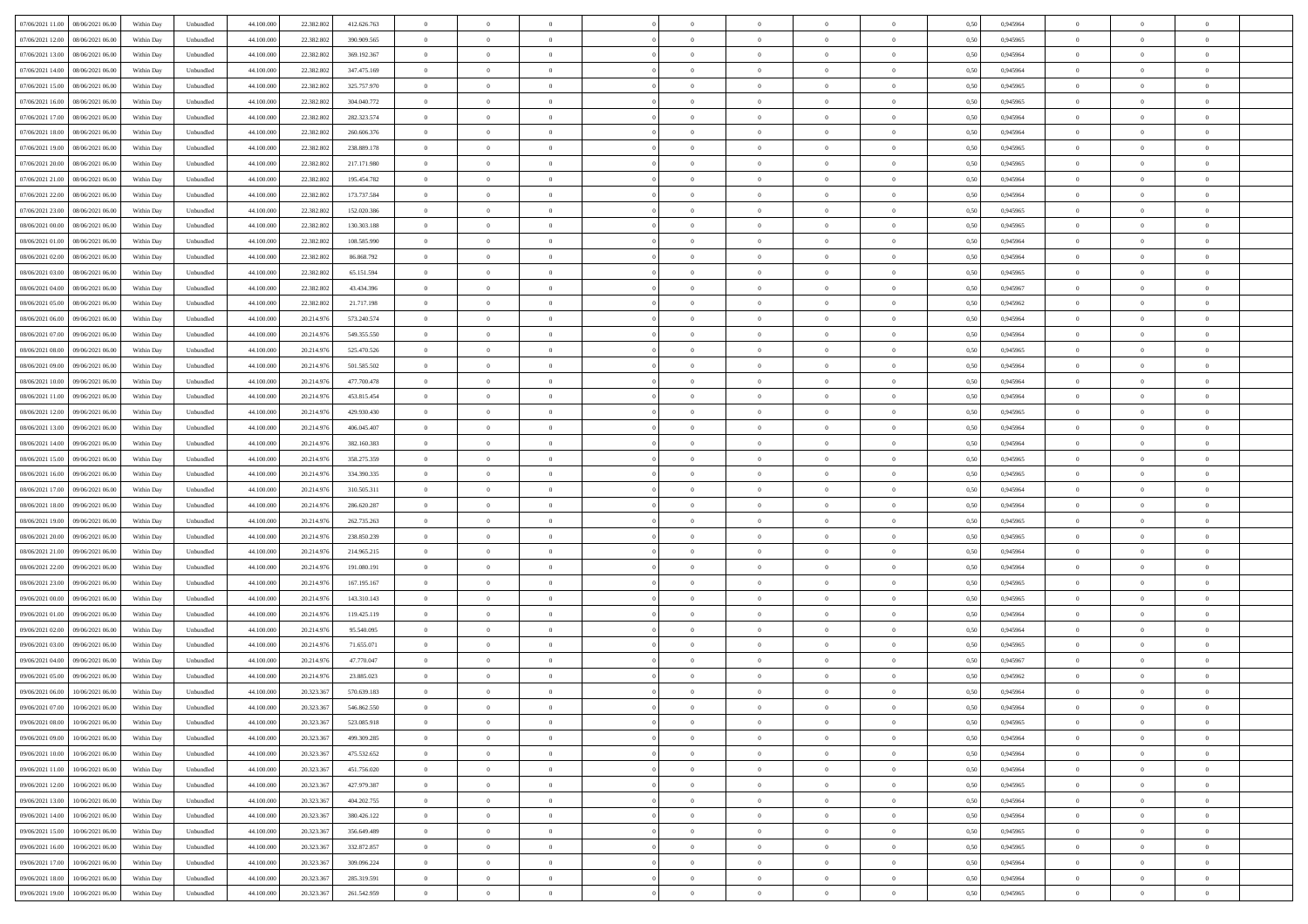| 07/06/2021 11:00<br>08/06/2021 06:00 | Within Day | Unbundled | 44.100.000 | 22.382.802 | 412.626.763 | $\overline{0}$ | $\overline{0}$   | $\overline{0}$ | $\theta$       | $\theta$       |                | $\overline{0}$ | 0,50 | 0,945964 | $\theta$       | $\theta$       | $\theta$       |  |
|--------------------------------------|------------|-----------|------------|------------|-------------|----------------|------------------|----------------|----------------|----------------|----------------|----------------|------|----------|----------------|----------------|----------------|--|
|                                      |            |           |            |            |             |                |                  |                |                |                |                |                |      |          |                |                |                |  |
| 07/06/2021 12:00<br>08/06/2021 06.00 | Within Day | Unbundled | 44.100.00  | 22.382.802 | 390.909.565 | $\overline{0}$ | $\overline{0}$   | $\overline{0}$ | $\,$ 0 $\,$    | $\bf{0}$       | $\overline{0}$ | $\bf{0}$       | 0,50 | 0,945965 | $\,$ 0 $\,$    | $\theta$       | $\overline{0}$ |  |
| 07/06/2021 13:00<br>08/06/2021 06:00 | Within Day | Unbundled | 44,100,000 | 22.382.802 | 369.192.367 | $\overline{0}$ | $\overline{0}$   | $\overline{0}$ | $\bf{0}$       | $\bf{0}$       | $\overline{0}$ | $\overline{0}$ | 0.50 | 0.945964 | $\bf{0}$       | $\overline{0}$ | $\overline{0}$ |  |
| 07/06/2021 14:00<br>08/06/2021 06:00 | Within Day | Unbundled | 44.100.000 | 22.382.802 | 347.475.169 | $\overline{0}$ | $\overline{0}$   | $\overline{0}$ | $\overline{0}$ | $\overline{0}$ | $\overline{0}$ | $\bf{0}$       | 0,50 | 0,945964 | $\theta$       | $\theta$       | $\overline{0}$ |  |
| 07/06/2021 15:00<br>08/06/2021 06.0  | Within Day | Unbundled | 44.100.000 | 22.382.802 | 325.757.970 | $\overline{0}$ | $\overline{0}$   | $\bf{0}$       | $\overline{0}$ | $\overline{0}$ | $\overline{0}$ | $\bf{0}$       | 0,50 | 0,945965 | $\,$ 0 $\,$    | $\theta$       | $\overline{0}$ |  |
| 08/06/2021 06:00                     |            |           | 44,100,000 | 22.382.802 | 304.040.772 |                |                  |                |                | $\overline{0}$ | $\Omega$       | $\overline{0}$ |      |          |                | $\theta$       | $\overline{0}$ |  |
| 07/06/2021 16.00                     | Within Day | Unbundled |            |            |             | $\overline{0}$ | $\overline{0}$   | $\overline{0}$ | $\overline{0}$ |                |                |                | 0.50 | 0.945965 | $\theta$       |                |                |  |
| 07/06/2021 17:00<br>08/06/2021 06:00 | Within Day | Unbundled | 44.100.000 | 22.382.802 | 282.323.574 | $\overline{0}$ | $\overline{0}$   | $\overline{0}$ | $\overline{0}$ | $\overline{0}$ | $\overline{0}$ | $\bf{0}$       | 0,50 | 0,945964 | $\theta$       | $\theta$       | $\overline{0}$ |  |
| 07/06/2021 18:00<br>08/06/2021 06.00 | Within Day | Unbundled | 44.100.000 | 22.382.802 | 260.606.376 | $\overline{0}$ | $\overline{0}$   | $\overline{0}$ | $\overline{0}$ | $\overline{0}$ | $\overline{0}$ | $\bf{0}$       | 0,50 | 0,945964 | $\,$ 0 $\,$    | $\bf{0}$       | $\overline{0}$ |  |
| 07/06/2021 19:00<br>08/06/2021 06:00 | Within Day | Unbundled | 44,100,000 | 22.382.802 | 238.889.178 | $\overline{0}$ | $\overline{0}$   | $\overline{0}$ | $\overline{0}$ | $\overline{0}$ | $\overline{0}$ | $\mathbf{0}$   | 0.50 | 0.945965 | $\,$ 0 $\,$    | $\theta$       | $\overline{0}$ |  |
| 07/06/2021 20.00<br>08/06/2021 06:00 | Within Day | Unbundled | 44.100.000 | 22.382.802 | 217.171.980 | $\overline{0}$ | $\overline{0}$   | $\overline{0}$ | $\bf{0}$       | $\overline{0}$ | $\overline{0}$ | $\bf{0}$       | 0,50 | 0,945965 | $\theta$       | $\theta$       | $\overline{0}$ |  |
| 07/06/2021 21:00<br>08/06/2021 06.00 | Within Day | Unbundled | 44.100.000 | 22.382.802 | 195.454.782 | $\overline{0}$ | $\overline{0}$   | $\overline{0}$ | $\bf{0}$       | $\bf{0}$       | $\overline{0}$ | $\bf{0}$       | 0,50 | 0,945964 | $\,$ 0 $\,$    | $\theta$       | $\overline{0}$ |  |
|                                      |            |           |            |            |             |                |                  |                |                |                |                |                |      |          |                |                |                |  |
| 07/06/2021 22.00<br>08/06/2021 06:00 | Within Day | Unbundled | 44,100,000 | 22.382.802 | 173.737.584 | $\overline{0}$ | $\overline{0}$   | $\overline{0}$ | $\bf{0}$       | $\bf{0}$       | $\overline{0}$ | $\mathbf{0}$   | 0.50 | 0.945964 | $\bf{0}$       | $\overline{0}$ | $\bf{0}$       |  |
| 07/06/2021 23.00<br>08/06/2021 06:00 | Within Day | Unbundled | 44.100.000 | 22.382.802 | 152.020.386 | $\overline{0}$ | $\overline{0}$   | $\overline{0}$ | $\overline{0}$ | $\overline{0}$ | $\overline{0}$ | $\bf{0}$       | 0,50 | 0,945965 | $\theta$       | $\theta$       | $\overline{0}$ |  |
| 08/06/2021 00:00<br>08/06/2021 06.00 | Within Day | Unbundled | 44.100.000 | 22.382.802 | 130.303.188 | $\overline{0}$ | $\overline{0}$   | $\bf{0}$       | $\bf{0}$       | $\overline{0}$ | $\overline{0}$ | $\bf{0}$       | 0,50 | 0,945965 | $\,$ 0 $\,$    | $\bf{0}$       | $\overline{0}$ |  |
| 08/06/2021 01:00<br>08/06/2021 06:00 | Within Day | Unbundled | 44,100,000 | 22.382.802 | 108.585.990 | $\overline{0}$ | $\overline{0}$   | $\overline{0}$ | $\overline{0}$ | $\overline{0}$ | $\Omega$       | $\overline{0}$ | 0.50 | 0.945964 | $\theta$       | $\theta$       | $\overline{0}$ |  |
| 08/06/2021 02:00<br>08/06/2021 06:00 | Within Day | Unbundled | 44.100.000 | 22.382.802 | 86.868.792  | $\overline{0}$ | $\overline{0}$   | $\overline{0}$ | $\overline{0}$ | $\overline{0}$ | $\overline{0}$ | $\bf{0}$       | 0,50 | 0,945964 | $\theta$       | $\theta$       | $\overline{0}$ |  |
| 08/06/2021 03:00<br>08/06/2021 06.00 | Within Day | Unbundled | 44.100.000 | 22.382.802 | 65.151.594  | $\overline{0}$ | $\overline{0}$   | $\overline{0}$ | $\overline{0}$ | $\overline{0}$ | $\overline{0}$ | $\bf{0}$       | 0,50 | 0,945965 | $\,$ 0 $\,$    | $\theta$       | $\overline{0}$ |  |
|                                      |            |           |            |            |             |                |                  |                |                |                |                |                |      |          |                |                |                |  |
| 08/06/2021 04:00<br>08/06/2021 06:00 | Within Day | Unbundled | 44,100,000 | 22.382.802 | 43.434.396  | $\overline{0}$ | $\overline{0}$   | $\overline{0}$ | $\overline{0}$ | $\overline{0}$ | $\overline{0}$ | $\mathbf{0}$   | 0.50 | 0.945967 | $\,$ 0 $\,$    | $\overline{0}$ | $\overline{0}$ |  |
| 08/06/2021 05:00<br>08/06/2021 06.00 | Within Day | Unbundled | 44.100.000 | 22.382.802 | 21.717.198  | $\overline{0}$ | $\overline{0}$   | $\overline{0}$ | $\overline{0}$ | $\overline{0}$ | $\overline{0}$ | $\bf{0}$       | 0,50 | 0,945962 | $\theta$       | $\theta$       | $\overline{0}$ |  |
| 08/06/2021 06:00<br>09/06/2021 06.0  | Within Day | Unbundled | 44.100.000 | 20.214.976 | 573.240.574 | $\overline{0}$ | $\overline{0}$   | $\overline{0}$ | $\bf{0}$       | $\bf{0}$       | $\overline{0}$ | $\bf{0}$       | 0,50 | 0,945964 | $\,$ 0 $\,$    | $\bf{0}$       | $\overline{0}$ |  |
| 08/06/2021 07:00<br>09/06/2021 06:00 | Within Day | Unbundled | 44,100,000 | 20.214.976 | 549.355.550 | $\overline{0}$ | $\overline{0}$   | $\overline{0}$ | $\bf{0}$       | $\bf{0}$       | $\overline{0}$ | $\mathbf{0}$   | 0.50 | 0.945964 | $\bf{0}$       | $\overline{0}$ | $\bf{0}$       |  |
| 08/06/2021 08:00<br>09/06/2021 06:00 | Within Day | Unbundled | 44.100.000 | 20.214.976 | 525.470.526 | $\overline{0}$ | $\overline{0}$   | $\overline{0}$ | $\overline{0}$ | $\overline{0}$ | $\overline{0}$ | $\bf{0}$       | 0,50 | 0,945965 | $\theta$       | $\theta$       | $\overline{0}$ |  |
| 08/06/2021 09:00<br>09/06/2021 06.0  | Within Day | Unbundled | 44.100.000 | 20.214.976 | 501.585.502 | $\overline{0}$ | $\overline{0}$   | $\overline{0}$ | $\bf{0}$       | $\overline{0}$ | $\overline{0}$ | $\bf{0}$       | 0,50 | 0,945964 | $\,$ 0 $\,$    | $\bf{0}$       | $\overline{0}$ |  |
|                                      |            |           |            |            |             |                |                  |                |                |                |                |                |      |          |                |                |                |  |
| 08/06/2021 10:00<br>09/06/2021 06:00 | Within Day | Unbundled | 44,100,000 | 20.214.976 | 477,700,478 | $\overline{0}$ | $\overline{0}$   | $\overline{0}$ | $\overline{0}$ | $\overline{0}$ | $\Omega$       | $\mathbf{0}$   | 0.50 | 0.945964 | $\theta$       | $\theta$       | $\overline{0}$ |  |
| 08/06/2021 11:00<br>09/06/2021 06.00 | Within Day | Unbundled | 44.100.000 | 20.214.976 | 453.815.454 | $\overline{0}$ | $\overline{0}$   | $\overline{0}$ | $\overline{0}$ | $\overline{0}$ | $\overline{0}$ | $\bf{0}$       | 0,50 | 0,945964 | $\theta$       | $\theta$       | $\overline{0}$ |  |
| 08/06/2021 12:00<br>09/06/2021 06.0  | Within Day | Unbundled | 44.100.000 | 20.214.976 | 429.930.430 | $\overline{0}$ | $\overline{0}$   | $\overline{0}$ | $\overline{0}$ | $\overline{0}$ | $\overline{0}$ | $\bf{0}$       | 0,50 | 0,945965 | $\,$ 0 $\,$    | $\theta$       | $\overline{0}$ |  |
| 08/06/2021 13:00<br>09/06/2021 06:00 | Within Day | Unbundled | 44,100,000 | 20.214.976 | 406.045.407 | $\overline{0}$ | $\overline{0}$   | $\overline{0}$ | $\overline{0}$ | $\overline{0}$ | $\overline{0}$ | $\mathbf{0}$   | 0.50 | 0.945964 | $\,$ 0 $\,$    | $\overline{0}$ | $\overline{0}$ |  |
| 08/06/2021 14:00<br>09/06/2021 06:00 | Within Day | Unbundled | 44.100.000 | 20.214.976 | 382.160.383 | $\overline{0}$ | $\overline{0}$   | $\overline{0}$ | $\overline{0}$ | $\overline{0}$ | $\overline{0}$ | $\bf{0}$       | 0,50 | 0,945964 | $\theta$       | $\theta$       | $\overline{0}$ |  |
| 08/06/2021 15:00<br>09/06/2021 06.0  | Within Day | Unbundled | 44.100.000 | 20.214.976 | 358.275.359 | $\overline{0}$ | $\overline{0}$   | $\overline{0}$ | $\overline{0}$ | $\bf{0}$       | $\overline{0}$ | $\bf{0}$       | 0,50 | 0,945965 | $\,$ 0 $\,$    | $\bf{0}$       | $\overline{0}$ |  |
| 08/06/2021 16:00<br>09/06/2021 06:00 |            | Unbundled | 44,100,000 | 20.214.976 | 334.390.335 |                |                  | $\overline{0}$ |                | $\bf{0}$       | $\overline{0}$ |                | 0.50 | 0.945965 | $\bf{0}$       | $\overline{0}$ | $\bf{0}$       |  |
|                                      | Within Day |           |            |            |             | $\overline{0}$ | $\overline{0}$   |                | $\bf{0}$       |                |                | $\mathbf{0}$   |      |          |                |                |                |  |
| 08/06/2021 17:00<br>09/06/2021 06:00 | Within Day | Unbundled | 44.100.000 | 20.214.976 | 310.505.311 | $\overline{0}$ | $\overline{0}$   | $\overline{0}$ | $\overline{0}$ | $\overline{0}$ | $\overline{0}$ | $\overline{0}$ | 0.50 | 0.945964 | $\theta$       | $\theta$       | $\overline{0}$ |  |
| 08/06/2021 18.00<br>09/06/2021 06.0  | Within Day | Unbundled | 44.100.000 | 20.214.976 | 286.620.287 | $\overline{0}$ | $\overline{0}$   | $\overline{0}$ | $\bf{0}$       | $\overline{0}$ | $\overline{0}$ | $\bf{0}$       | 0,50 | 0,945964 | $\,$ 0 $\,$    | $\bf{0}$       | $\overline{0}$ |  |
| 08/06/2021 19:00<br>09/06/2021 06.00 | Within Day | Unbundled | 44,100,000 | 20.214.976 | 262.735.263 | $\overline{0}$ | $\overline{0}$   | $\overline{0}$ | $\overline{0}$ | $\overline{0}$ | $\overline{0}$ | $\overline{0}$ | 0.50 | 0.945965 | $\theta$       | $\theta$       | $\overline{0}$ |  |
| 08/06/2021 20:00<br>09/06/2021 06:00 | Within Day | Unbundled | 44.100.000 | 20.214.976 | 238.850.239 | $\overline{0}$ | $\overline{0}$   | $\overline{0}$ | $\overline{0}$ | $\overline{0}$ | $\Omega$       | $\overline{0}$ | 0.50 | 0,945965 | $\theta$       | $\theta$       | $\overline{0}$ |  |
| 08/06/2021 21:00<br>09/06/2021 06.0  | Within Day | Unbundled | 44.100.000 | 20.214.976 | 214.965.215 | $\overline{0}$ | $\overline{0}$   | $\overline{0}$ | $\bf{0}$       | $\overline{0}$ | $\overline{0}$ | $\bf{0}$       | 0,50 | 0,945964 | $\,$ 0 $\,$    | $\theta$       | $\overline{0}$ |  |
| 08/06/2021 22:00<br>09/06/2021 06:00 | Within Day | Unbundled | 44,100,000 | 20.214.976 | 191.080.191 | $\overline{0}$ | $\overline{0}$   | $\overline{0}$ | $\overline{0}$ | $\bf{0}$       | $\overline{0}$ | $\mathbf{0}$   | 0.50 | 0.945964 | $\,$ 0 $\,$    | $\theta$       | $\overline{0}$ |  |
| 08/06/2021 23:00<br>09/06/2021 06:00 | Within Day | Unbundled | 44.100.000 | 20.214.976 | 167.195.167 | $\overline{0}$ | $\overline{0}$   | $\overline{0}$ | $\overline{0}$ | $\overline{0}$ | $\overline{0}$ | $\overline{0}$ | 0.50 | 0,945965 | $\theta$       | $\theta$       | $\overline{0}$ |  |
|                                      |            |           |            |            |             |                |                  |                |                |                |                |                |      |          |                |                |                |  |
| 09/06/2021 00:00<br>09/06/2021 06.0  | Within Day | Unbundled | 44.100.000 | 20.214.976 | 143.310.143 | $\overline{0}$ | $\overline{0}$   | $\overline{0}$ | $\,$ 0 $\,$    | $\bf{0}$       | $\overline{0}$ | $\bf{0}$       | 0,50 | 0,945965 | $\,$ 0 $\,$    | $\bf{0}$       | $\overline{0}$ |  |
| 09/06/2021 01:00<br>09/06/2021 06:00 | Within Day | Unbundled | 44,100,000 | 20.214.976 | 119.425.119 | $\overline{0}$ | $\overline{0}$   | $\overline{0}$ | $\bf{0}$       | $\bf{0}$       | $\overline{0}$ | $\mathbf{0}$   | 0.50 | 0.945964 | $\bf{0}$       | $\overline{0}$ | $\bf{0}$       |  |
| 09/06/2021 02:00<br>09/06/2021 06:00 | Within Day | Unbundled | 44.100.000 | 20.214.976 | 95.540.095  | $\overline{0}$ | $\overline{0}$   | $\overline{0}$ | $\overline{0}$ | $\overline{0}$ | $\overline{0}$ | $\overline{0}$ | 0.50 | 0,945964 | $\theta$       | $\theta$       | $\overline{0}$ |  |
| 09/06/2021 03:00<br>09/06/2021 06.0  | Within Day | Unbundled | 44.100.000 | 20.214.976 | 71.655.071  | $\overline{0}$ | $\overline{0}$   | $\overline{0}$ | $\bf{0}$       | $\overline{0}$ | $\overline{0}$ | $\bf{0}$       | 0,50 | 0,945965 | $\,$ 0 $\,$    | $\bf{0}$       | $\overline{0}$ |  |
| 09/06/2021 04:00<br>09/06/2021 06.00 | Within Day | Unbundled | 44,100,000 | 20.214.976 | 47.770.047  | $\overline{0}$ | $\overline{0}$   | $\overline{0}$ | $\overline{0}$ | $\overline{0}$ | $\theta$       | $\overline{0}$ | 0.50 | 0.945967 | $\,$ 0 $\,$    | $\theta$       | $\overline{0}$ |  |
| 09/06/2021 05:00<br>09/06/2021 06:00 | Within Day | Unbundled | 44.100.000 | 20.214.976 | 23.885.023  | $\overline{0}$ | $\Omega$         | $\overline{0}$ | $\overline{0}$ | $\overline{0}$ | $\theta$       | $\overline{0}$ | 0.50 | 0,945962 | $\theta$       | $\theta$       | $\overline{0}$ |  |
|                                      |            |           |            |            |             |                | $\overline{0}$   | $\bf{0}$       | $\overline{0}$ | $\bf{0}$       | $\overline{0}$ | $\bf{0}$       |      |          | $\overline{0}$ | $\bf{0}$       | $\overline{0}$ |  |
| 09/06/2021 06:00<br>10/06/2021 06:00 | Within Day | Unbundled | 44.100.000 | 20.323.367 | 570.639.183 | $\overline{0}$ |                  |                |                |                |                |                | 0,50 | 0,945964 |                |                |                |  |
| 09/06/2021 07:00 10/06/2021 06:00    | Within Day | Unbundled | 44.100.000 | 20.323.367 | 546.862.550 | $\bf{0}$       | $\boldsymbol{0}$ |                | $\bf{0}$       |                |                |                | 0,50 | 0.945964 | $\theta$       | $\overline{0}$ |                |  |
| 09/06/2021 08:00<br>10/06/2021 06:00 | Within Dav | Unbundled | 44.100.000 | 20.323.367 | 523.085.918 | $\overline{0}$ | $\overline{0}$   | $\overline{0}$ | $\overline{0}$ | $\overline{0}$ | $\overline{0}$ | $\overline{0}$ | 0,50 | 0,945965 | $\theta$       | $\theta$       | $\overline{0}$ |  |
| 09/06/2021 09:00<br>10/06/2021 06.00 | Within Day | Unbundled | 44.100.000 | 20.323.367 | 499.309.285 | $\overline{0}$ | $\overline{0}$   | $\overline{0}$ | $\bf{0}$       | $\overline{0}$ | $\overline{0}$ | $\mathbf{0}$   | 0,50 | 0,945964 | $\overline{0}$ | $\overline{0}$ | $\bf{0}$       |  |
| 09/06/2021 10.00<br>10/06/2021 06:00 | Within Day | Unbundled | 44.100.000 | 20.323.367 | 475.532.652 | $\overline{0}$ | $\overline{0}$   | $\overline{0}$ | $\overline{0}$ | $\bf{0}$       | $\overline{0}$ | $\mathbf{0}$   | 0.50 | 0.945964 | $\,$ 0 $\,$    | $\bf{0}$       | $\bf{0}$       |  |
| 09/06/2021 11:00<br>10/06/2021 06:00 | Within Dav | Unbundled | 44.100.000 | 20.323.367 | 451.756.020 | $\overline{0}$ | $\overline{0}$   | $\overline{0}$ | $\overline{0}$ | $\overline{0}$ | $\overline{0}$ | $\mathbf{0}$   | 0,50 | 0,945964 | $\overline{0}$ | $\theta$       | $\overline{0}$ |  |
| 09/06/2021 12.00<br>10/06/2021 06:00 | Within Day | Unbundled | 44.100.000 | 20.323.367 | 427.979.387 | $\overline{0}$ | $\overline{0}$   | $\overline{0}$ | $\bf{0}$       | $\bf{0}$       | $\overline{0}$ | $\mathbf{0}$   | 0,50 | 0,945965 | $\overline{0}$ | $\bf{0}$       | $\overline{0}$ |  |
|                                      |            |           |            |            |             |                |                  |                |                |                |                |                |      |          |                |                |                |  |
| 09/06/2021 13.00<br>10/06/2021 06:00 | Within Day | Unbundled | 44.100.000 | 20.323.367 | 404.202.755 | $\overline{0}$ | $\overline{0}$   | $\overline{0}$ | $\bf{0}$       | $\overline{0}$ | $\overline{0}$ | $\mathbf{0}$   | 0.50 | 0.945964 | $\,$ 0 $\,$    | $\theta$       | $\overline{0}$ |  |
| 09/06/2021 14:00<br>10/06/2021 06:00 | Within Dav | Unbundled | 44.100.000 | 20.323.367 | 380.426.122 | $\overline{0}$ | $\overline{0}$   | $\overline{0}$ | $\overline{0}$ | $\overline{0}$ | $\overline{0}$ | $\mathbf{0}$   | 0,50 | 0,945964 | $\overline{0}$ | $\theta$       | $\overline{0}$ |  |
| 09/06/2021 15:00<br>10/06/2021 06:00 | Within Day | Unbundled | 44.100.000 | 20.323.367 | 356.649.489 | $\overline{0}$ | $\overline{0}$   | $\overline{0}$ | $\bf{0}$       | $\overline{0}$ | $\overline{0}$ | $\,$ 0 $\,$    | 0,50 | 0,945965 | $\bf{0}$       | $\bf{0}$       | $\overline{0}$ |  |
| 09/06/2021 16:00<br>10/06/2021 06:00 | Within Day | Unbundled | 44,100,000 | 20.323.367 | 332.872.857 | $\overline{0}$ | $\overline{0}$   | $\overline{0}$ | $\bf{0}$       | $\bf{0}$       | $\overline{0}$ | $\,$ 0 $\,$    | 0.50 | 0.945965 | $\overline{0}$ | $\bf{0}$       | $\,$ 0         |  |
| 09/06/2021 17:00<br>10/06/2021 06:00 | Within Dav | Unbundled | 44.100.000 | 20.323.367 | 309.096.224 | $\overline{0}$ | $\overline{0}$   | $\overline{0}$ | $\overline{0}$ | $\overline{0}$ | $\overline{0}$ | $\mathbf{0}$   | 0,50 | 0,945964 | $\overline{0}$ | $\theta$       | $\overline{0}$ |  |
| 09/06/2021 18.00<br>10/06/2021 06.00 | Within Day | Unbundled | 44.100.000 | 20.323.367 | 285.319.591 | $\overline{0}$ | $\overline{0}$   | $\overline{0}$ | $\overline{0}$ | $\bf{0}$       | $\overline{0}$ | $\mathbf{0}$   | 0,50 | 0,945964 | $\bf{0}$       | $\bf{0}$       | $\overline{0}$ |  |
|                                      |            |           |            |            |             |                |                  |                |                |                |                |                |      |          |                |                |                |  |
| 09/06/2021 19:00 10/06/2021 06:00    | Within Day | Unbundled | 44.100.000 | 20.323.367 | 261.542.959 | $\overline{0}$ | $\overline{0}$   | $\overline{0}$ | $\bf{0}$       | $\,$ 0         | $\overline{0}$ | $\,0\,$        | 0,50 | 0,945965 | $\overline{0}$ | $\,$ 0 $\,$    | $\,$ 0 $\,$    |  |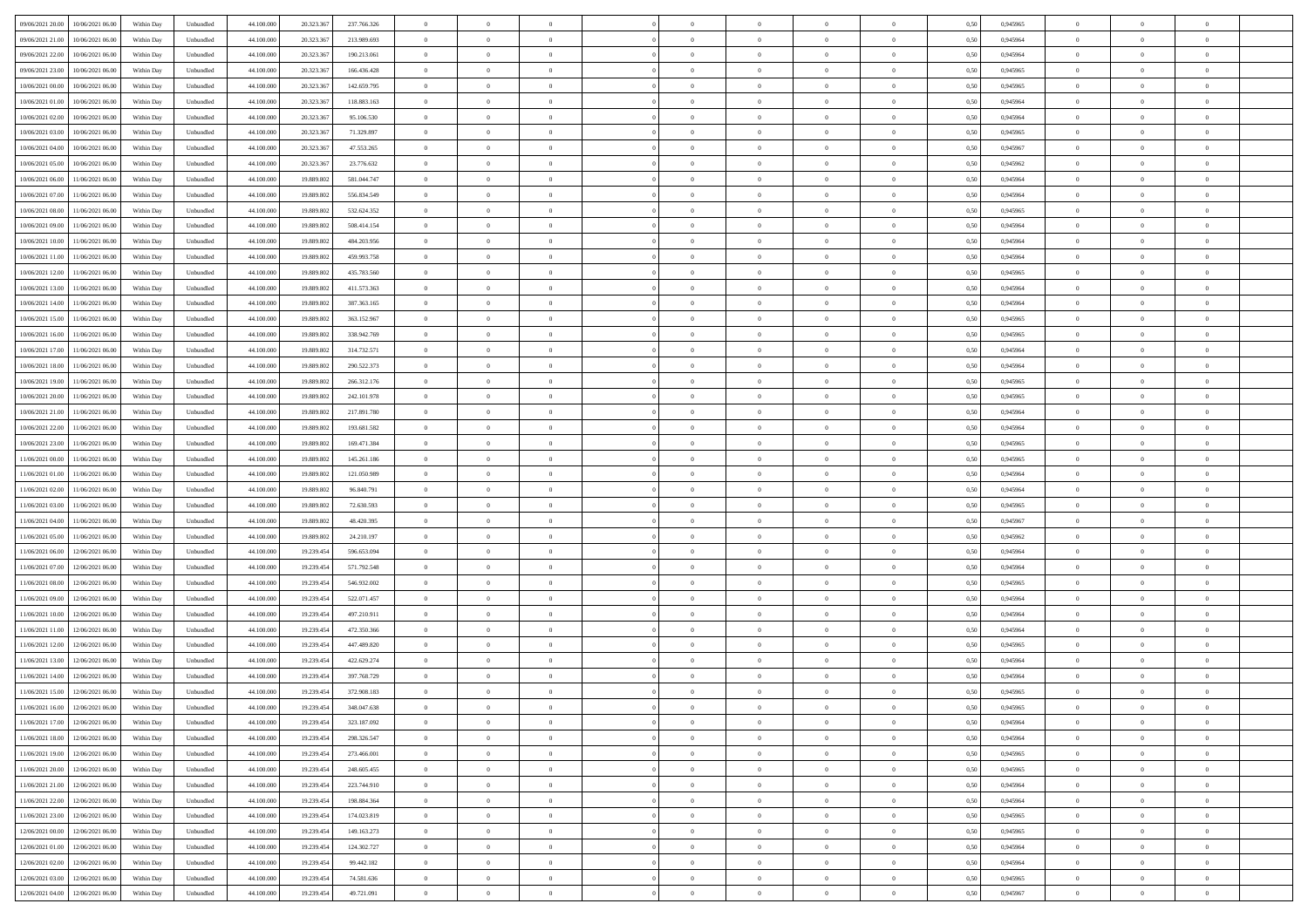| 09/06/2021 20:00<br>10/06/2021 06:00         | Within Day | Unbundled                   | 44.100.000 | 20.323.367 | 237.766.326 | $\overline{0}$ | $\theta$       |                | $\overline{0}$ | $\theta$       |                | $\theta$       | 0,50 | 0,945965 | $\theta$       | $\theta$       | $\overline{0}$ |  |
|----------------------------------------------|------------|-----------------------------|------------|------------|-------------|----------------|----------------|----------------|----------------|----------------|----------------|----------------|------|----------|----------------|----------------|----------------|--|
| 09/06/2021 21:00<br>10/06/2021 06:00         | Within Day | Unbundled                   | 44.100.00  | 20.323.36  | 213.989.693 | $\bf{0}$       | $\overline{0}$ | $\bf{0}$       | $\overline{0}$ | $\bf{0}$       | $\overline{0}$ | $\bf{0}$       | 0,50 | 0,945964 | $\,$ 0 $\,$    | $\bf{0}$       | $\overline{0}$ |  |
| 09/06/2021 22:00<br>10/06/2021 06:00         | Within Day | Unbundled                   | 44,100,000 | 20.323.367 | 190.213.061 | $\overline{0}$ | $\bf{0}$       | $\overline{0}$ | $\bf{0}$       | $\bf{0}$       | $\overline{0}$ | $\bf{0}$       | 0.50 | 0.945964 | $\bf{0}$       | $\overline{0}$ | $\overline{0}$ |  |
| 09/06/2021 23:00                             |            |                             |            |            |             | $\overline{0}$ | $\overline{0}$ | $\overline{0}$ | $\theta$       | $\theta$       | $\overline{0}$ | $\bf{0}$       |      |          | $\theta$       | $\theta$       | $\overline{0}$ |  |
| 10/06/2021 06:00                             | Within Day | Unbundled                   | 44.100.000 | 20.323.36  | 166.436.428 |                |                |                |                |                |                |                | 0,50 | 0,945965 |                |                |                |  |
| 10/06/2021 00:00<br>10/06/2021 06:00         | Within Day | Unbundled                   | 44.100.00  | 20.323.36  | 142.659.795 | $\bf{0}$       | $\overline{0}$ | $\bf{0}$       | $\overline{0}$ | $\theta$       | $\overline{0}$ | $\bf{0}$       | 0,50 | 0,945965 | $\,$ 0 $\,$    | $\bf{0}$       | $\overline{0}$ |  |
| 10/06/2021 01:00<br>10/06/2021 06:00         | Within Day | Unbundled                   | 44,100,000 | 20.323.36  | 118,883,163 | $\overline{0}$ | $\overline{0}$ | $\overline{0}$ | $\overline{0}$ | $\overline{0}$ | $\theta$       | $\bf{0}$       | 0.50 | 0.945964 | $\bf{0}$       | $\theta$       | $\overline{0}$ |  |
| 10/06/2021 02:00<br>10/06/2021 06:00         | Within Day | Unbundled                   | 44.100.000 | 20.323.36  | 95.106.530  | $\overline{0}$ | $\overline{0}$ | $\overline{0}$ | $\overline{0}$ | $\theta$       | $\overline{0}$ | $\bf{0}$       | 0,50 | 0,945964 | $\theta$       | $\theta$       | $\overline{0}$ |  |
|                                              |            |                             |            |            |             |                |                |                |                |                |                |                |      |          |                |                |                |  |
| 10/06/2021 03:00<br>10/06/2021 06:00         | Within Day | Unbundled                   | 44.100.00  | 20.323.36  | 71.329.897  | $\bf{0}$       | $\overline{0}$ | $\overline{0}$ | $\overline{0}$ | $\theta$       | $\overline{0}$ | $\bf{0}$       | 0,50 | 0,945965 | $\,$ 0 $\,$    | $\bf{0}$       | $\overline{0}$ |  |
| 10/06/2021 04:00<br>10/06/2021 06:00         | Within Day | Unbundled                   | 44,100,00  | 20.323.36  | 47.553.265  | $\overline{0}$ | $\bf{0}$       | $\overline{0}$ | $\bf{0}$       | $\overline{0}$ | $\overline{0}$ | $\bf{0}$       | 0.50 | 0.945967 | $\bf{0}$       | $\overline{0}$ | $\overline{0}$ |  |
| 10/06/2021 05:00<br>10/06/2021 06:00         | Within Day | Unbundled                   | 44.100.000 | 20.323.367 | 23.776.632  | $\overline{0}$ | $\bf{0}$       | $\overline{0}$ | $\overline{0}$ | $\theta$       | $\overline{0}$ | $\bf{0}$       | 0,50 | 0,945962 | $\,$ 0 $\,$    | $\bf{0}$       | $\overline{0}$ |  |
| 10/06/2021 06:00<br>11/06/2021 06:00         | Within Day | Unbundled                   | 44.100.00  | 19.889.80  | 581.044.747 | $\bf{0}$       | $\overline{0}$ | $\bf{0}$       | $\bf{0}$       | $\bf{0}$       | $\overline{0}$ | $\bf{0}$       | 0,50 | 0,945964 | $\,$ 0 $\,$    | $\bf{0}$       | $\overline{0}$ |  |
|                                              |            |                             |            |            |             |                |                |                |                |                |                |                |      |          |                |                |                |  |
| 10/06/2021 07:00<br>11/06/2021 06:00         | Within Day | Unbundled                   | 44,100,000 | 19,889,802 | 556.834.549 | $\overline{0}$ | $\bf{0}$       | $\overline{0}$ | $\bf{0}$       | $\bf{0}$       | $\overline{0}$ | $\bf{0}$       | 0.50 | 0.945964 | $\bf{0}$       | $\overline{0}$ | $\bf{0}$       |  |
| 10/06/2021 08:00<br>11/06/2021 06:00         | Within Day | Unbundled                   | 44.100.000 | 19.889.802 | 532.624.352 | $\overline{0}$ | $\overline{0}$ | $\overline{0}$ | $\overline{0}$ | $\theta$       | $\overline{0}$ | $\overline{0}$ | 0,50 | 0,945965 | $\theta$       | $\theta$       | $\overline{0}$ |  |
| 10/06/2021 09:00<br>11/06/2021 06:00         | Within Day | Unbundled                   | 44.100.00  | 19.889.80  | 508.414.154 | $\bf{0}$       | $\theta$       | $\bf{0}$       | $\overline{0}$ | $\theta$       | $\overline{0}$ | $\bf{0}$       | 0,50 | 0,945964 | $\,$ 0 $\,$    | $\bf{0}$       | $\overline{0}$ |  |
| 10/06/2021 10:00<br>11/06/2021 06:00         | Within Day | Unbundled                   | 44,100,000 | 19,889,802 | 484.203.956 | $\overline{0}$ | $\overline{0}$ | $\overline{0}$ | $\bf{0}$       | $\theta$       | $\Omega$       | $\bf{0}$       | 0.50 | 0.945964 | $\theta$       | $\theta$       | $\overline{0}$ |  |
|                                              |            |                             |            |            |             |                |                |                |                |                |                |                |      |          |                |                |                |  |
| 10/06/2021 11:00<br>11/06/2021 06:00         | Within Day | Unbundled                   | 44.100.000 | 19.889.802 | 459.993.758 | $\overline{0}$ | $\overline{0}$ | $\overline{0}$ | $\overline{0}$ | $\overline{0}$ | $\overline{0}$ | $\bf{0}$       | 0,50 | 0,945964 | $\theta$       | $\theta$       | $\overline{0}$ |  |
| 10/06/2021 12:00<br>11/06/2021 06:00         | Within Day | Unbundled                   | 44.100.00  | 19.889.80  | 435.783.560 | $\bf{0}$       | $\overline{0}$ | $\overline{0}$ | $\overline{0}$ | $\theta$       | $\overline{0}$ | $\bf{0}$       | 0,50 | 0,945965 | $\,$ 0 $\,$    | $\bf{0}$       | $\overline{0}$ |  |
| 10/06/2021 13:00<br>11/06/2021 06:00         | Within Day | Unbundled                   | 44,100,000 | 19,889.802 | 411.573.363 | $\overline{0}$ | $\bf{0}$       | $\overline{0}$ | $\bf{0}$       | $\overline{0}$ | $\overline{0}$ | $\bf{0}$       | 0.50 | 0.945964 | $\bf{0}$       | $\overline{0}$ | $\overline{0}$ |  |
| 10/06/2021 14:00<br>11/06/2021 06:00         | Within Day | Unbundled                   | 44.100.000 | 19.889.802 | 387.363.165 | $\overline{0}$ | $\overline{0}$ | $\overline{0}$ | $\overline{0}$ | $\overline{0}$ | $\overline{0}$ | $\bf{0}$       | 0,50 | 0,945964 | $\,$ 0 $\,$    | $\theta$       | $\overline{0}$ |  |
|                                              |            |                             |            |            |             |                |                |                |                |                |                |                |      |          |                |                |                |  |
| 10/06/2021 15:00<br>11/06/2021 06:00         | Within Day | Unbundled                   | 44.100.00  | 19.889.80  | 363.152.967 | $\bf{0}$       | $\bf{0}$       | $\bf{0}$       | $\bf{0}$       | $\overline{0}$ | $\overline{0}$ | $\bf{0}$       | 0,50 | 0,945965 | $\,$ 0 $\,$    | $\bf{0}$       | $\overline{0}$ |  |
| 10/06/2021 16:00<br>11/06/2021 06:00         | Within Day | Unbundled                   | 44,100,000 | 19,889,802 | 338,942.769 | $\overline{0}$ | $\bf{0}$       | $\overline{0}$ | $\bf{0}$       | $\bf{0}$       | $\overline{0}$ | $\bf{0}$       | 0.50 | 0.945965 | $\bf{0}$       | $\overline{0}$ | $\bf{0}$       |  |
| 10/06/2021 17:00<br>11/06/2021 06:00         | Within Day | Unbundled                   | 44.100.000 | 19.889.802 | 314.732.571 | $\overline{0}$ | $\overline{0}$ | $\overline{0}$ | $\theta$       | $\theta$       | $\overline{0}$ | $\bf{0}$       | 0,50 | 0,945964 | $\theta$       | $\theta$       | $\overline{0}$ |  |
| 10/06/2021 18:00<br>11/06/2021 06:00         | Within Day | Unbundled                   | 44.100.00  | 19.889.80  | 290.522.373 | $\bf{0}$       | $\overline{0}$ | $\bf{0}$       | $\bf{0}$       | $\bf{0}$       | $\overline{0}$ | $\bf{0}$       | 0,50 | 0,945964 | $\,$ 0 $\,$    | $\bf{0}$       | $\overline{0}$ |  |
|                                              |            |                             |            |            |             |                |                |                |                |                |                |                |      |          |                |                |                |  |
| 10/06/2021 19:00<br>11/06/2021 06:00         | Within Day | Unbundled                   | 44,100,000 | 19,889.802 | 266.312.176 | $\overline{0}$ | $\overline{0}$ | $\overline{0}$ | $\overline{0}$ | $\overline{0}$ | $\Omega$       | $\bf{0}$       | 0.50 | 0.945965 | $\bf{0}$       | $\theta$       | $\overline{0}$ |  |
| 10/06/2021 20:00<br>11/06/2021 06:00         | Within Day | Unbundled                   | 44.100.000 | 19.889.802 | 242.101.978 | $\overline{0}$ | $\overline{0}$ | $\overline{0}$ | $\overline{0}$ | $\overline{0}$ | $\overline{0}$ | $\bf{0}$       | 0,50 | 0,945965 | $\theta$       | $\theta$       | $\overline{0}$ |  |
| 10/06/2021 21:00<br>11/06/2021 06:00         | Within Day | Unbundled                   | 44.100.00  | 19.889.80  | 217.891.780 | $\bf{0}$       | $\overline{0}$ | $\bf{0}$       | $\overline{0}$ | $\theta$       | $\overline{0}$ | $\bf{0}$       | 0,50 | 0,945964 | $\,$ 0 $\,$    | $\bf{0}$       | $\overline{0}$ |  |
| 10/06/2021 22:00<br>11/06/2021 06:00         | Within Day | Unbundled                   | 44,100,000 | 19,889,802 | 193.681.582 | $\overline{0}$ | $\bf{0}$       | $\overline{0}$ | $\bf{0}$       | $\overline{0}$ | $\overline{0}$ | $\bf{0}$       | 0.50 | 0.945964 | $\bf{0}$       | $\overline{0}$ | $\overline{0}$ |  |
| 10/06/2021 23:00<br>11/06/2021 06:00         | Within Day | Unbundled                   | 44.100.000 | 19.889.802 | 169.471.384 | $\overline{0}$ | $\overline{0}$ | $\overline{0}$ | $\overline{0}$ | $\overline{0}$ | $\overline{0}$ | $\bf{0}$       | 0,50 | 0,945965 | $\theta$       | $\theta$       | $\overline{0}$ |  |
|                                              |            |                             |            |            |             |                |                |                |                |                |                |                |      |          |                |                |                |  |
| 11/06/2021 00:00<br>11/06/2021 06:00         | Within Day | Unbundled                   | 44.100.00  | 19.889.802 | 145.261.186 | $\bf{0}$       | $\bf{0}$       | $\bf{0}$       | $\bf{0}$       | $\overline{0}$ | $\overline{0}$ | $\bf{0}$       | 0,50 | 0,945965 | $\,$ 0 $\,$    | $\bf{0}$       | $\overline{0}$ |  |
| 11/06/2021 01:00<br>11/06/2021 06:00         | Within Day | Unbundled                   | 44,100,000 | 19,889,802 | 121.050.989 | $\overline{0}$ | $\bf{0}$       | $\overline{0}$ | $\bf{0}$       | $\bf{0}$       | $\overline{0}$ | $\bf{0}$       | 0.50 | 0.945964 | $\bf{0}$       | $\overline{0}$ | $\bf{0}$       |  |
| 11/06/2021 02:00<br>11/06/2021 06:00         | Within Day | Unbundled                   | 44.100.000 | 19,889,802 | 96,840.791  | $\overline{0}$ | $\overline{0}$ | $\overline{0}$ | $\overline{0}$ | $\overline{0}$ | $\overline{0}$ | $\bf{0}$       | 0.5( | 0.945964 | $\theta$       | $\theta$       | $\overline{0}$ |  |
| 11/06/2021 03:00<br>11/06/2021 06:00         | Within Day | Unbundled                   | 44.100.00  | 19.889.80  | 72.630.593  | $\bf{0}$       | $\overline{0}$ | $\bf{0}$       | $\overline{0}$ | $\overline{0}$ | $\overline{0}$ | $\bf{0}$       | 0,50 | 0,945965 | $\,$ 0 $\,$    | $\bf{0}$       | $\overline{0}$ |  |
|                                              |            |                             |            |            |             |                |                |                |                |                |                |                |      |          |                |                |                |  |
| 11/06/2021 04:00<br>11/06/2021 06:00         | Within Day | Unbundled                   | 44,100,000 | 19,889,802 | 48.420.395  | $\overline{0}$ | $\overline{0}$ | $\overline{0}$ | $\bf{0}$       | $\overline{0}$ | $\Omega$       | $\bf{0}$       | 0.50 | 0.945967 | $\,$ 0 $\,$    | $\theta$       | $\overline{0}$ |  |
| 11/06/2021 05:00<br>11/06/2021 06:00         | Within Dav | Unbundled                   | 44.100.000 | 19.889.802 | 24.210.197  | $\overline{0}$ | $\overline{0}$ | $\overline{0}$ | $\overline{0}$ | $\overline{0}$ | $\overline{0}$ | $\overline{0}$ | 0.5( | 0,945962 | $\theta$       | $\theta$       | $\overline{0}$ |  |
| 11/06/2021 06:00<br>12/06/2021 06:00         | Within Day | Unbundled                   | 44.100.00  | 19.239.454 | 596.653.094 | $\bf{0}$       | $\overline{0}$ | $\bf{0}$       | $\overline{0}$ | $\bf{0}$       | $\overline{0}$ | $\bf{0}$       | 0,50 | 0,945964 | $\,$ 0 $\,$    | $\bf{0}$       | $\overline{0}$ |  |
| 11/06/2021 07:00<br>12/06/2021 06:00         | Within Day | Unbundled                   | 44,100,000 | 19.239.45  | 571.792.548 | $\overline{0}$ | $\bf{0}$       | $\overline{0}$ | $\bf{0}$       | $\overline{0}$ | $\overline{0}$ | $\bf{0}$       | 0.50 | 0.945964 | $\bf{0}$       | $\overline{0}$ | $\overline{0}$ |  |
| 11/06/2021 08:00<br>12/06/2021 06:00         | Within Dav | Unbundled                   | 44.100.000 | 19.239.454 | 546.932.002 | $\overline{0}$ | $\overline{0}$ | $\overline{0}$ | $\overline{0}$ | $\overline{0}$ | $\overline{0}$ | $\overline{0}$ | 0.50 | 0,945965 | $\theta$       | $\theta$       | $\overline{0}$ |  |
|                                              |            |                             |            |            |             |                |                |                |                |                |                |                |      |          |                |                |                |  |
| 11/06/2021 09:00<br>12/06/2021 06:00         | Within Day | Unbundled                   | 44.100.00  | 19.239.454 | 522.071.457 | $\bf{0}$       | $\bf{0}$       | $\bf{0}$       | $\bf{0}$       | $\overline{0}$ | $\overline{0}$ | $\bf{0}$       | 0,50 | 0,945964 | $\,$ 0 $\,$    | $\bf{0}$       | $\overline{0}$ |  |
| 11/06/2021 10:00<br>12/06/2021 06:00         | Within Day | Unbundled                   | 44,100,000 | 19.239.454 | 497.210.911 | $\overline{0}$ | $\bf{0}$       | $\overline{0}$ | $\bf{0}$       | $\bf{0}$       | $\overline{0}$ | $\bf{0}$       | 0.50 | 0.945964 | $\bf{0}$       | $\overline{0}$ | $\overline{0}$ |  |
| 11/06/2021 11:00<br>12/06/2021 06:00         | Within Dav | Unbundled                   | 44.100.000 | 19.239.454 | 472.350.366 | $\overline{0}$ | $\overline{0}$ | $\Omega$       | $\overline{0}$ | $\overline{0}$ | $\overline{0}$ | $\bf{0}$       | 0.50 | 0.945964 | $\theta$       | $\theta$       | $\overline{0}$ |  |
| 11/06/2021 12:00<br>12/06/2021 06:00         | Within Day | Unbundled                   | 44.100.00  | 19.239.454 | 447.489.820 | $\bf{0}$       | $\overline{0}$ | $\bf{0}$       | $\bf{0}$       | $\,$ 0 $\,$    | $\overline{0}$ | $\bf{0}$       | 0,50 | 0,945965 | $\,$ 0 $\,$    | $\bf{0}$       | $\overline{0}$ |  |
|                                              |            |                             |            |            |             |                |                |                |                |                |                |                |      |          |                |                |                |  |
| 11/06/2021 13:00<br>12/06/2021 06:00         | Within Day | Unbundled                   | 44,100,000 | 19.239.45  | 422.629.274 | $\overline{0}$ | $\overline{0}$ | $\Omega$       | $\overline{0}$ | $\overline{0}$ | $\theta$       | $\bf{0}$       | 0.50 | 0.945964 | $\bf{0}$       | $\theta$       | $\overline{0}$ |  |
| 11/06/2021 14:00<br>12/06/2021 06:00         | Within Dav | Unbundled                   | 44.100.000 | 19.239.454 | 397.768.729 | $\overline{0}$ | $\overline{0}$ | $\Omega$       | $\overline{0}$ | $\theta$       | $\Omega$       | $\overline{0}$ | 0.5( | 0,945964 | $\theta$       | $\theta$       | $\overline{0}$ |  |
| 11/06/2021 15:00<br>12/06/2021 06:00         | Within Day | Unbundled                   | 44.100.000 | 19.239.454 | 372.908.183 | $\bf{0}$       | $\bf{0}$       | $\overline{0}$ | $\bf{0}$       | $\bf{0}$       | $\overline{0}$ | $\bf{0}$       | 0,50 | 0,945965 | $\,$ 0 $\,$    | $\bf{0}$       | $\overline{0}$ |  |
| $11/06/2021\ 16.00 \qquad 12/06/2021\ 06.00$ | Within Day | $\ensuremath{\mathsf{Unb}}$ | 44.100.000 | 19.239.454 | 348.047.638 | $\bf{0}$       | $\Omega$       |                | $\Omega$       |                |                |                | 0,50 | 0.945965 | $\theta$       | $\overline{0}$ |                |  |
|                                              |            |                             |            |            |             |                |                |                |                |                |                |                |      |          |                |                |                |  |
| 11/06/2021 17:00 12/06/2021 06:00            | Within Day | Unbundled                   | 44.100.000 | 19.239.454 | 323.187.092 | $\overline{0}$ | $\theta$       | $\Omega$       | $\theta$       | $\theta$       | $\overline{0}$ | $\bf{0}$       | 0,50 | 0,945964 | $\theta$       | $\theta$       | $\overline{0}$ |  |
| 11/06/2021 18:00<br>12/06/2021 06:00         | Within Day | Unbundled                   | 44.100.00  | 19.239.454 | 298.326.547 | $\overline{0}$ | $\bf{0}$       | $\overline{0}$ | $\overline{0}$ | $\bf{0}$       | $\overline{0}$ | $\bf{0}$       | 0,50 | 0,945964 | $\bf{0}$       | $\overline{0}$ | $\bf{0}$       |  |
| 11/06/2021 19:00 12/06/2021 06:00            | Within Day | Unbundled                   | 44,100,000 | 19.239.454 | 273.466.001 | $\overline{0}$ | $\bf{0}$       | $\overline{0}$ | $\overline{0}$ | $\overline{0}$ | $\overline{0}$ | $\bf{0}$       | 0.50 | 0.945965 | $\mathbf{0}$   | $\bf{0}$       | $\,$ 0 $\,$    |  |
| 11/06/2021 20:00 12/06/2021 06:00            | Within Dav | Unbundled                   | 44.100.000 | 19.239.454 | 248.605.455 | $\overline{0}$ | $\overline{0}$ | $\overline{0}$ | $\overline{0}$ | $\overline{0}$ | $\overline{0}$ | $\bf{0}$       | 0,50 | 0,945965 | $\theta$       | $\theta$       | $\overline{0}$ |  |
|                                              |            |                             |            |            |             |                |                |                |                |                |                |                |      |          |                |                |                |  |
| 11/06/2021 21:00<br>12/06/2021 06:00         | Within Day | Unbundled                   | 44.100.000 | 19.239.454 | 223.744.910 | $\overline{0}$ | $\bf{0}$       | $\overline{0}$ | $\bf{0}$       | $\overline{0}$ | $\bf{0}$       | $\bf{0}$       | 0,50 | 0,945964 | $\overline{0}$ | $\bf{0}$       | $\overline{0}$ |  |
| 11/06/2021 22:00<br>12/06/2021 06:00         | Within Day | Unbundled                   | 44,100,000 | 19.239.454 | 198.884.364 | $\overline{0}$ | $\bf{0}$       | $\overline{0}$ | $\overline{0}$ | $\overline{0}$ | $\overline{0}$ | $\bf{0}$       | 0.50 | 0.945964 | $\,$ 0 $\,$    | $\theta$       | $\overline{0}$ |  |
| 11/06/2021 23:00<br>12/06/2021 06:00         | Within Dav | Unbundled                   | 44.100.000 | 19.239.454 | 174.023.819 | $\overline{0}$ | $\overline{0}$ | $\overline{0}$ | $\overline{0}$ | $\overline{0}$ | $\overline{0}$ | $\bf{0}$       | 0.50 | 0,945965 | $\overline{0}$ | $\theta$       | $\overline{0}$ |  |
| 12/06/2021 00:00<br>12/06/2021 06:00         | Within Day | Unbundled                   | 44.100.00  | 19.239.454 | 149.163.273 | $\overline{0}$ | $\overline{0}$ | $\overline{0}$ | $\overline{0}$ | $\bf{0}$       | $\overline{0}$ | $\bf{0}$       | 0,50 | 0,945965 | $\bf{0}$       | $\bf{0}$       | $\overline{0}$ |  |
| 12/06/2021 06:00                             |            | Unbundled                   | 44,100,000 | 19.239.454 | 124.302.727 | $\overline{0}$ | $\overline{0}$ | $\overline{0}$ |                | $\bf{0}$       | $\overline{0}$ |                | 0.50 | 0.945964 | $\overline{0}$ | $\,$ 0 $\,$    | $\,$ 0         |  |
| 12/06/2021 01:00                             | Within Day |                             |            |            |             |                |                |                | $\overline{0}$ |                |                | $\bf{0}$       |      |          |                |                |                |  |
| 12/06/2021 02:00 12/06/2021 06:00            | Within Dav | Unbundled                   | 44.100.000 | 19.239.454 | 99.442.182  | $\overline{0}$ | $\overline{0}$ | $\overline{0}$ | $\overline{0}$ | $\overline{0}$ | $\overline{0}$ | $\bf{0}$       | 0,50 | 0,945964 | $\theta$       | $\theta$       | $\overline{0}$ |  |
| 12/06/2021 03:00<br>12/06/2021 06:00         | Within Day | Unbundled                   | 44.100.00  | 19.239.454 | 74.581.636  | $\overline{0}$ | $\bf{0}$       | $\overline{0}$ | $\bf{0}$       | $\overline{0}$ | $\bf{0}$       | $\bf{0}$       | 0,50 | 0,945965 | $\bf{0}$       | $\bf{0}$       | $\overline{0}$ |  |
| 12/06/2021 04:00 12/06/2021 06:00            | Within Day | Unbundled                   | 44.100.000 | 19.239.454 | 49.721.091  | $\overline{0}$ | $\bf{0}$       | $\overline{0}$ | $\overline{0}$ | $\,$ 0 $\,$    | $\overline{0}$ | $\bf{0}$       | 0,50 | 0,945967 | $\overline{0}$ | $\,$ 0 $\,$    | $\,$ 0 $\,$    |  |
|                                              |            |                             |            |            |             |                |                |                |                |                |                |                |      |          |                |                |                |  |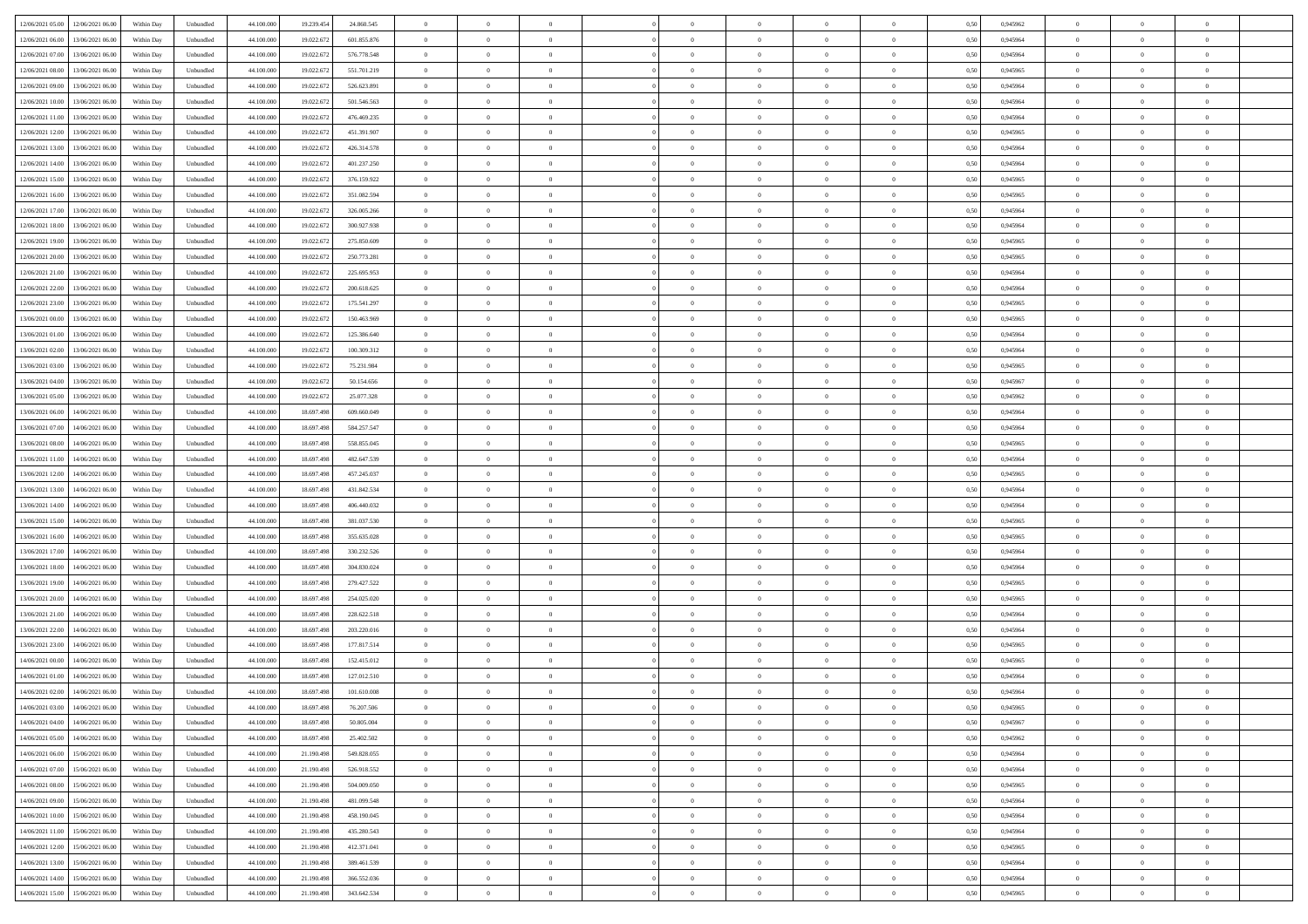| 12/06/2021 05:00 12/06/2021 06:00              | Within Day | Unbundled                   | 44.100.000 | 19.239.454 | 24.860.545  | $\overline{0}$ | $\theta$       |                | $\overline{0}$ | $\theta$       |                | $\theta$       | 0,50 | 0,945962 | $\theta$       | $\theta$       | $\overline{0}$ |  |
|------------------------------------------------|------------|-----------------------------|------------|------------|-------------|----------------|----------------|----------------|----------------|----------------|----------------|----------------|------|----------|----------------|----------------|----------------|--|
| 12/06/2021 06:00<br>13/06/2021 06:00           | Within Day | Unbundled                   | 44.100.00  | 19.022.67  | 601.855.876 | $\bf{0}$       | $\overline{0}$ | $\bf{0}$       | $\overline{0}$ | $\bf{0}$       | $\overline{0}$ | $\bf{0}$       | 0,50 | 0,945964 | $\,$ 0 $\,$    | $\bf{0}$       | $\overline{0}$ |  |
| 12/06/2021 07:00<br>13/06/2021 06:00           | Within Day | Unbundled                   | 44,100,000 | 19.022.672 | 576.778.548 | $\overline{0}$ | $\overline{0}$ | $\overline{0}$ | $\bf{0}$       | $\bf{0}$       | $\overline{0}$ | $\bf{0}$       | 0.50 | 0.945964 | $\bf{0}$       | $\overline{0}$ | $\overline{0}$ |  |
| 12/06/2021 08:00<br>13/06/2021 06:00           | Within Day | Unbundled                   | 44.100.000 | 19.022.672 | 551.701.219 | $\overline{0}$ | $\overline{0}$ | $\overline{0}$ | $\theta$       | $\theta$       | $\overline{0}$ | $\overline{0}$ | 0,50 | 0,945965 | $\theta$       | $\theta$       | $\overline{0}$ |  |
|                                                |            |                             |            |            |             |                |                |                |                |                |                |                |      |          |                |                |                |  |
| 12/06/2021 09:00<br>13/06/2021 06:00           | Within Day | Unbundled                   | 44.100.00  | 19.022.67  | 526.623.891 | $\bf{0}$       | $\overline{0}$ | $\overline{0}$ | $\overline{0}$ | $\theta$       | $\overline{0}$ | $\bf{0}$       | 0,50 | 0,945964 | $\bf{0}$       | $\bf{0}$       | $\overline{0}$ |  |
| 12/06/2021 10:00<br>13/06/2021 06:00           | Within Day | Unbundled                   | 44,100,000 | 19.022.672 | 501.546.563 | $\overline{0}$ | $\overline{0}$ | $\overline{0}$ | $\overline{0}$ | $\overline{0}$ | $\Omega$       | $\bf{0}$       | 0.50 | 0.945964 | $\bf{0}$       | $\theta$       | $\overline{0}$ |  |
| 12/06/2021 11:00<br>13/06/2021 06:00           | Within Day | Unbundled                   | 44.100.000 | 19.022.672 | 476.469.235 | $\overline{0}$ | $\overline{0}$ | $\overline{0}$ | $\overline{0}$ | $\theta$       | $\overline{0}$ | $\bf{0}$       | 0,50 | 0,945964 | $\theta$       | $\theta$       | $\overline{0}$ |  |
| 12/06/2021 12:00<br>13/06/2021 06:00           | Within Day | Unbundled                   | 44.100.00  | 19.022.67  | 451.391.907 | $\bf{0}$       | $\overline{0}$ | $\overline{0}$ | $\overline{0}$ | $\theta$       | $\overline{0}$ | $\bf{0}$       | 0,50 | 0,945965 | $\,$ 0 $\,$    | $\bf{0}$       | $\overline{0}$ |  |
| 12/06/2021 13:00<br>13/06/2021 06:00           | Within Day | Unbundled                   | 44,100,000 | 19.022.672 | 426.314.578 | $\overline{0}$ | $\bf{0}$       | $\overline{0}$ | $\bf{0}$       | $\overline{0}$ | $\overline{0}$ | $\bf{0}$       | 0.50 | 0.945964 | $\bf{0}$       | $\overline{0}$ | $\overline{0}$ |  |
| 12/06/2021 14:00<br>13/06/2021 06:00           | Within Day | Unbundled                   | 44.100.000 | 19.022.672 | 401.237.250 | $\bf{0}$       | $\bf{0}$       | $\overline{0}$ | $\overline{0}$ | $\theta$       | $\overline{0}$ | $\bf{0}$       | 0,50 | 0,945964 | $\,$ 0 $\,$    | $\theta$       | $\overline{0}$ |  |
|                                                |            |                             |            |            |             |                |                |                |                |                |                |                |      |          |                |                |                |  |
| 12/06/2021 15:00<br>13/06/2021 06:00           | Within Day | Unbundled                   | 44.100.00  | 19.022.67  | 376.159.922 | $\bf{0}$       | $\overline{0}$ | $\bf{0}$       | $\overline{0}$ | $\bf{0}$       | $\overline{0}$ | $\bf{0}$       | 0,50 | 0,945965 | $\,$ 0 $\,$    | $\bf{0}$       | $\overline{0}$ |  |
| 12/06/2021 16:00<br>13/06/2021 06:00           | Within Day | Unbundled                   | 44,100,000 | 19.022.672 | 351.082.594 | $\overline{0}$ | $\overline{0}$ | $\overline{0}$ | $\bf{0}$       | $\bf{0}$       | $\overline{0}$ | $\bf{0}$       | 0.50 | 0.945965 | $\bf{0}$       | $\overline{0}$ | $\overline{0}$ |  |
| 12/06/2021 17:00<br>13/06/2021 06:00           | Within Day | Unbundled                   | 44.100.000 | 19.022.672 | 326.005.266 | $\overline{0}$ | $\overline{0}$ | $\overline{0}$ | $\overline{0}$ | $\theta$       | $\overline{0}$ | $\overline{0}$ | 0,50 | 0,945964 | $\theta$       | $\theta$       | $\overline{0}$ |  |
| 12/06/2021 18:00<br>13/06/2021 06:00           | Within Day | Unbundled                   | 44.100.00  | 19.022.67  | 300.927.938 | $\bf{0}$       | $\theta$       | $\bf{0}$       | $\overline{0}$ | $\theta$       | $\overline{0}$ | $\bf{0}$       | 0,50 | 0,945964 | $\,$ 0 $\,$    | $\bf{0}$       | $\overline{0}$ |  |
| 12/06/2021 19:00<br>13/06/2021 06:00           | Within Day | Unbundled                   | 44,100,000 | 19.022.672 | 275.850.609 | $\overline{0}$ | $\overline{0}$ | $\overline{0}$ | $\bf{0}$       | $\theta$       | $\theta$       | $\bf{0}$       | 0.50 | 0.945965 | $\theta$       | $\theta$       | $\overline{0}$ |  |
| 12/06/2021 20:00                               |            |                             |            |            |             | $\overline{0}$ | $\overline{0}$ | $\overline{0}$ | $\overline{0}$ | $\overline{0}$ | $\overline{0}$ |                |      |          | $\theta$       | $\theta$       | $\overline{0}$ |  |
| 13/06/2021 06:00                               | Within Day | Unbundled                   | 44.100.000 | 19.022.672 | 250.773.281 |                |                |                |                |                |                | $\bf{0}$       | 0,50 | 0,945965 |                |                |                |  |
| 12/06/2021 21:00<br>13/06/2021 06:00           | Within Day | Unbundled                   | 44.100.00  | 19.022.67  | 225.695.953 | $\bf{0}$       | $\overline{0}$ | $\overline{0}$ | $\overline{0}$ | $\theta$       | $\overline{0}$ | $\bf{0}$       | 0,50 | 0,945964 | $\,$ 0 $\,$    | $\bf{0}$       | $\overline{0}$ |  |
| 12/06/2021 22:00<br>13/06/2021 06:00           | Within Day | Unbundled                   | 44,100,000 | 19.022.672 | 200.618.625 | $\overline{0}$ | $\overline{0}$ | $\overline{0}$ | $\bf{0}$       | $\overline{0}$ | $\overline{0}$ | $\bf{0}$       | 0.50 | 0.945964 | $\bf{0}$       | $\overline{0}$ | $\overline{0}$ |  |
| 12/06/2021 23:00<br>13/06/2021 06:00           | Within Day | Unbundled                   | 44.100.000 | 19.022.672 | 175.541.297 | $\overline{0}$ | $\overline{0}$ | $\overline{0}$ | $\overline{0}$ | $\overline{0}$ | $\overline{0}$ | $\bf{0}$       | 0,50 | 0,945965 | $\,$ 0 $\,$    | $\theta$       | $\overline{0}$ |  |
| 13/06/2021 00:00<br>13/06/2021 06:00           | Within Day | Unbundled                   | 44.100.00  | 19.022.67  | 150.463.969 | $\bf{0}$       | $\overline{0}$ | $\bf{0}$       | $\bf{0}$       | $\overline{0}$ | $\overline{0}$ | $\bf{0}$       | 0,50 | 0,945965 | $\,$ 0 $\,$    | $\bf{0}$       | $\overline{0}$ |  |
| 13/06/2021 01:00<br>13/06/2021 06:00           | Within Day | Unbundled                   | 44,100,000 | 19.022.672 | 125.386.640 | $\overline{0}$ | $\bf{0}$       | $\overline{0}$ | $\bf{0}$       | $\bf{0}$       | $\overline{0}$ | $\bf{0}$       | 0.50 | 0.945964 | $\bf{0}$       | $\overline{0}$ | $\overline{0}$ |  |
| 13/06/2021 02:00<br>13/06/2021 06:00           | Within Day | Unbundled                   | 44.100.000 | 19.022.672 | 100.309.312 | $\overline{0}$ | $\overline{0}$ | $\overline{0}$ | $\overline{0}$ | $\theta$       | $\overline{0}$ | $\bf{0}$       | 0,50 | 0,945964 | $\theta$       | $\theta$       | $\overline{0}$ |  |
|                                                |            |                             |            |            |             |                |                |                |                |                |                |                |      |          |                |                |                |  |
| 13/06/2021 03:00<br>13/06/2021 06:00           | Within Day | Unbundled                   | 44.100.00  | 19.022.67  | 75.231.984  | $\bf{0}$       | $\overline{0}$ | $\bf{0}$       | $\bf{0}$       | $\theta$       | $\overline{0}$ | $\bf{0}$       | 0,50 | 0,945965 | $\,$ 0 $\,$    | $\bf{0}$       | $\overline{0}$ |  |
| 13/06/2021 04:00<br>13/06/2021 06:00           | Within Day | Unbundled                   | 44,100,000 | 19.022.672 | 50.154.656  | $\overline{0}$ | $\overline{0}$ | $\overline{0}$ | $\overline{0}$ | $\overline{0}$ | $\Omega$       | $\bf{0}$       | 0.50 | 0.945967 | $\bf{0}$       | $\theta$       | $\overline{0}$ |  |
| 13/06/2021 05:00<br>13/06/2021 06:00           | Within Day | Unbundled                   | 44.100.000 | 19.022.672 | 25.077.328  | $\overline{0}$ | $\overline{0}$ | $\overline{0}$ | $\overline{0}$ | $\theta$       | $\overline{0}$ | $\bf{0}$       | 0,50 | 0,945962 | $\theta$       | $\theta$       | $\overline{0}$ |  |
| 13/06/2021 06:00<br>14/06/2021 06.00           | Within Day | Unbundled                   | 44.100.00  | 18.697.498 | 609.660.049 | $\bf{0}$       | $\theta$       | $\overline{0}$ | $\overline{0}$ | $\theta$       | $\overline{0}$ | $\bf{0}$       | 0,50 | 0,945964 | $\,$ 0 $\,$    | $\bf{0}$       | $\overline{0}$ |  |
| 13/06/2021 07:00<br>14/06/2021 06:00           | Within Day | Unbundled                   | 44,100,000 | 18.697.498 | 584.257.547 | $\overline{0}$ | $\bf{0}$       | $\overline{0}$ | $\bf{0}$       | $\overline{0}$ | $\overline{0}$ | $\bf{0}$       | 0.50 | 0.945964 | $\bf{0}$       | $\overline{0}$ | $\overline{0}$ |  |
| 13/06/2021 08:00<br>14/06/2021 06:00           | Within Day | Unbundled                   | 44.100.000 | 18.697.498 | 558.855.045 | $\overline{0}$ | $\overline{0}$ | $\overline{0}$ | $\overline{0}$ | $\overline{0}$ | $\overline{0}$ | $\bf{0}$       | 0,50 | 0,945965 | $\theta$       | $\theta$       | $\overline{0}$ |  |
| 14/06/2021 06.00                               | Within Day | Unbundled                   | 44.100.00  | 18.697.498 | 482.647.539 | $\bf{0}$       | $\bf{0}$       | $\bf{0}$       | $\bf{0}$       | $\overline{0}$ | $\overline{0}$ | $\bf{0}$       | 0,50 | 0,945964 | $\,$ 0 $\,$    | $\bf{0}$       | $\overline{0}$ |  |
| 13/06/2021 11:00                               |            |                             |            |            |             |                |                |                |                |                |                |                |      |          |                |                |                |  |
| 13/06/2021 12:00<br>14/06/2021 06.00           | Within Day | Unbundled                   | 44,100,000 | 18.697.498 | 457.245.037 | $\overline{0}$ | $\bf{0}$       | $\overline{0}$ | $\bf{0}$       | $\bf{0}$       | $\overline{0}$ | $\bf{0}$       | 0.50 | 0.945965 | $\bf{0}$       | $\overline{0}$ | $\overline{0}$ |  |
| 13/06/2021 13:00<br>14/06/2021 06:00           | Within Day | Unbundled                   | 44.100.000 | 18.697.498 | 431.842.534 | $\overline{0}$ | $\overline{0}$ | $\overline{0}$ | $\overline{0}$ | $\overline{0}$ | $\overline{0}$ | $\bf{0}$       | 0.5( | 0.945964 | $\theta$       | $\theta$       | $\overline{0}$ |  |
| 13/06/2021 14:00<br>14/06/2021 06.00           | Within Day | Unbundled                   | 44.100.00  | 18.697.498 | 406.440.032 | $\bf{0}$       | $\overline{0}$ | $\bf{0}$       | $\overline{0}$ | $\overline{0}$ | $\overline{0}$ | $\bf{0}$       | 0,50 | 0,945964 | $\,$ 0 $\,$    | $\bf{0}$       | $\overline{0}$ |  |
| 13/06/2021 15:00<br>14/06/2021 06:00           | Within Day | Unbundled                   | 44,100,000 | 18.697.498 | 381.037.530 | $\overline{0}$ | $\overline{0}$ | $\overline{0}$ | $\bf{0}$       | $\bf{0}$       | $\Omega$       | $\bf{0}$       | 0.50 | 0.945965 | $\,$ 0 $\,$    | $\theta$       | $\overline{0}$ |  |
| 13/06/2021 16:00<br>14/06/2021 06:00           | Within Dav | Unbundled                   | 44.100.000 | 18.697.498 | 355.635.028 | $\overline{0}$ | $\overline{0}$ | $\overline{0}$ | $\overline{0}$ | $\overline{0}$ | $\overline{0}$ | $\overline{0}$ | 0.50 | 0,945965 | $\theta$       | $\theta$       | $\overline{0}$ |  |
| 13/06/2021 17:00<br>14/06/2021 06.00           | Within Day | Unbundled                   | 44.100.00  | 18.697.498 | 330.232.526 | $\bf{0}$       | $\overline{0}$ | $\bf{0}$       | $\overline{0}$ | $\bf{0}$       | $\overline{0}$ | $\bf{0}$       | 0,50 | 0,945964 | $\,$ 0 $\,$    | $\bf{0}$       | $\overline{0}$ |  |
| 13/06/2021 18:00<br>14/06/2021 06:00           | Within Day | Unbundled                   | 44,100,000 | 18.697.498 | 304.830.024 | $\overline{0}$ | $\bf{0}$       | $\overline{0}$ | $\bf{0}$       | $\overline{0}$ | $\overline{0}$ | $\bf{0}$       | 0.50 | 0.945964 | $\bf{0}$       | $\overline{0}$ | $\overline{0}$ |  |
|                                                |            |                             |            |            |             |                |                |                |                |                |                |                |      |          |                |                |                |  |
| 13/06/2021 19:00<br>14/06/2021 06:00           | Within Dav | Unbundled                   | 44.100.000 | 18.697.498 | 279.427.522 | $\overline{0}$ | $\overline{0}$ | $\overline{0}$ | $\overline{0}$ | $\overline{0}$ | $\overline{0}$ | $\overline{0}$ | 0.50 | 0,945965 | $\theta$       | $\theta$       | $\overline{0}$ |  |
| 13/06/2021 20:00<br>14/06/2021 06.00           | Within Day | Unbundled                   | 44.100.00  | 18.697.498 | 254.025.020 | $\bf{0}$       | $\bf{0}$       | $\bf{0}$       | $\bf{0}$       | $\overline{0}$ | $\overline{0}$ | $\bf{0}$       | 0,50 | 0,945965 | $\,$ 0 $\,$    | $\bf{0}$       | $\overline{0}$ |  |
| 13/06/2021 21:00<br>14/06/2021 06:00           | Within Day | Unbundled                   | 44,100,000 | 18.697.498 | 228.622.518 | $\overline{0}$ | $\bf{0}$       | $\overline{0}$ | $\bf{0}$       | $\bf{0}$       | $\overline{0}$ | $\bf{0}$       | 0.50 | 0.945964 | $\bf{0}$       | $\overline{0}$ | $\overline{0}$ |  |
| 13/06/2021 22:00<br>14/06/2021 06:00           | Within Dav | Unbundled                   | 44.100.000 | 18.697.498 | 203.220.016 | $\overline{0}$ | $\overline{0}$ | $\Omega$       | $\overline{0}$ | $\overline{0}$ | $\overline{0}$ | $\overline{0}$ | 0.50 | 0.945964 | $\theta$       | $\theta$       | $\overline{0}$ |  |
| 13/06/2021 23:00<br>14/06/2021 06.00           | Within Day | Unbundled                   | 44.100.00  | 18.697.498 | 177.817.514 | $\bf{0}$       | $\overline{0}$ | $\bf{0}$       | $\bf{0}$       | $\,$ 0 $\,$    | $\overline{0}$ | $\bf{0}$       | 0,50 | 0,945965 | $\,$ 0 $\,$    | $\bf{0}$       | $\overline{0}$ |  |
| 14/06/2021 00:00<br>14/06/2021 06.00           | Within Day | Unbundled                   | 44,100,000 | 18.697.498 | 152.415.012 | $\overline{0}$ | $\overline{0}$ | $\Omega$       | $\overline{0}$ | $\theta$       | $\theta$       | $\bf{0}$       | 0.50 | 0.945965 | $\,$ 0 $\,$    | $\theta$       | $\overline{0}$ |  |
| 14/06/2021 01:00<br>14/06/2021 06:00           | Within Dav | Unbundled                   | 44.100.000 | 18.697.498 | 127.012.510 | $\overline{0}$ | $\overline{0}$ | $\Omega$       | $\overline{0}$ | $\theta$       | $\Omega$       | $\overline{0}$ | 0.5( | 0,945964 | $\theta$       | $\theta$       | $\overline{0}$ |  |
| 14/06/2021 06.00                               | Within Day | Unbundled                   | 44.100.000 | 18.697.498 | 101.610.008 | $\bf{0}$       | $\bf{0}$       | $\bf{0}$       | $\bf{0}$       | $\bf{0}$       | $\overline{0}$ | $\bf{0}$       | 0,50 | 0,945964 | $\,$ 0 $\,$    | $\bf{0}$       | $\overline{0}$ |  |
| 14/06/2021 02:00                               |            |                             |            |            |             |                |                |                |                |                |                |                |      |          |                |                |                |  |
| $14/06/2021\; 03.00 \qquad 14/06/2021\; 06.00$ | Within Day | $\ensuremath{\mathsf{Unb}}$ | 44.100.000 | 18.697.498 | 76.207.506  | $\overline{0}$ | $\Omega$       |                | $\Omega$       |                |                |                | 0,50 | 0.945965 | $\theta$       | $\overline{0}$ |                |  |
| 14/06/2021 04:00 14/06/2021 06:00              | Within Day | Unbundled                   | 44.100.000 | 18.697.498 | 50.805.004  | $\overline{0}$ | $\theta$       | $\Omega$       | $\theta$       | $\theta$       | $\overline{0}$ | $\bf{0}$       | 0,50 | 0,945967 | $\theta$       | $\theta$       | $\overline{0}$ |  |
| 14/06/2021 05:00<br>14/06/2021 06.00           | Within Day | Unbundled                   | 44.100.00  | 18.697.498 | 25.402.502  | $\overline{0}$ | $\bf{0}$       | $\overline{0}$ | $\overline{0}$ | $\bf{0}$       | $\overline{0}$ | $\bf{0}$       | 0,50 | 0,945962 | $\bf{0}$       | $\overline{0}$ | $\bf{0}$       |  |
| 14/06/2021 06:00 15/06/2021 06:00              | Within Day | Unbundled                   | 44,100,000 | 21.190.498 | 549.828.055 | $\overline{0}$ | $\bf{0}$       | $\overline{0}$ | $\overline{0}$ | $\overline{0}$ | $\overline{0}$ | $\bf{0}$       | 0.50 | 0.945964 | $\overline{0}$ | $\bf{0}$       | $\,$ 0 $\,$    |  |
| 14/06/2021 07:00 15/06/2021 06:00              | Within Dav | Unbundled                   | 44.100.000 | 21.190.498 | 526.918.552 | $\overline{0}$ | $\overline{0}$ | $\overline{0}$ | $\overline{0}$ | $\overline{0}$ | $\overline{0}$ | $\bf{0}$       | 0,50 | 0,945964 | $\theta$       | $\theta$       | $\overline{0}$ |  |
| 14/06/2021 08:00<br>15/06/2021 06:00           | Within Day | Unbundled                   | 44.100.000 | 21.190.498 | 504.009.050 | $\overline{0}$ | $\bf{0}$       | $\overline{0}$ | $\bf{0}$       | $\overline{0}$ | $\bf{0}$       | $\bf{0}$       | 0,50 | 0,945965 | $\overline{0}$ | $\bf{0}$       | $\overline{0}$ |  |
|                                                |            |                             |            |            |             |                |                |                |                |                |                |                |      |          |                |                |                |  |
| 15/06/2021 06:00<br>14/06/2021 09:00           | Within Day | Unbundled                   | 44,100,000 | 21.190.498 | 481.099.548 | $\overline{0}$ | $\bf{0}$       | $\overline{0}$ | $\overline{0}$ | $\overline{0}$ | $\overline{0}$ | $\bf{0}$       | 0.50 | 0.945964 | $\,$ 0 $\,$    | $\theta$       | $\overline{0}$ |  |
| 14/06/2021 10:00<br>15/06/2021 06:00           | Within Dav | Unbundled                   | 44.100.000 | 21.190.498 | 458.190.045 | $\overline{0}$ | $\overline{0}$ | $\overline{0}$ | $\overline{0}$ | $\overline{0}$ | $\overline{0}$ | $\bf{0}$       | 0.50 | 0,945964 | $\overline{0}$ | $\theta$       | $\overline{0}$ |  |
| 14/06/2021 11:00<br>15/06/2021 06:00           | Within Day | Unbundled                   | 44.100.00  | 21.190.498 | 435.280.543 | $\overline{0}$ | $\overline{0}$ | $\overline{0}$ | $\overline{0}$ | $\bf{0}$       | $\overline{0}$ | $\bf{0}$       | 0,50 | 0,945964 | $\bf{0}$       | $\bf{0}$       | $\overline{0}$ |  |
| 14/06/2021 12:00<br>15/06/2021 06:00           | Within Day | Unbundled                   | 44,100,000 | 21.190.498 | 412.371.041 | $\overline{0}$ | $\overline{0}$ | $\overline{0}$ | $\overline{0}$ | $\bf{0}$       | $\overline{0}$ | $\bf{0}$       | 0.50 | 0.945965 | $\overline{0}$ | $\,$ 0 $\,$    | $\,$ 0         |  |
| 14/06/2021 13:00<br>15/06/2021 06:00           | Within Dav | Unbundled                   | 44.100.000 | 21.190.498 | 389.461.539 | $\overline{0}$ | $\overline{0}$ | $\overline{0}$ | $\overline{0}$ | $\overline{0}$ | $\overline{0}$ | $\bf{0}$       | 0,50 | 0,945964 | $\theta$       | $\theta$       | $\overline{0}$ |  |
| 14/06/2021 14:00<br>15/06/2021 06:00           | Within Day | Unbundled                   | 44.100.00  | 21.190.498 | 366.552.036 | $\overline{0}$ | $\bf{0}$       | $\overline{0}$ | $\bf{0}$       | $\overline{0}$ | $\bf{0}$       | $\bf{0}$       | 0,50 | 0,945964 | $\bf{0}$       | $\bf{0}$       | $\overline{0}$ |  |
|                                                |            |                             |            |            |             |                |                |                |                |                |                |                |      |          |                |                |                |  |
| 14/06/2021 15:00 15/06/2021 06:00              | Within Day | Unbundled                   | 44.100.000 | 21.190.498 | 343.642.534 | $\overline{0}$ | $\bf{0}$       | $\overline{0}$ | $\overline{0}$ | $\,$ 0 $\,$    | $\overline{0}$ | $\bf{0}$       | 0,50 | 0,945965 | $\overline{0}$ | $\,$ 0 $\,$    | $\,$ 0 $\,$    |  |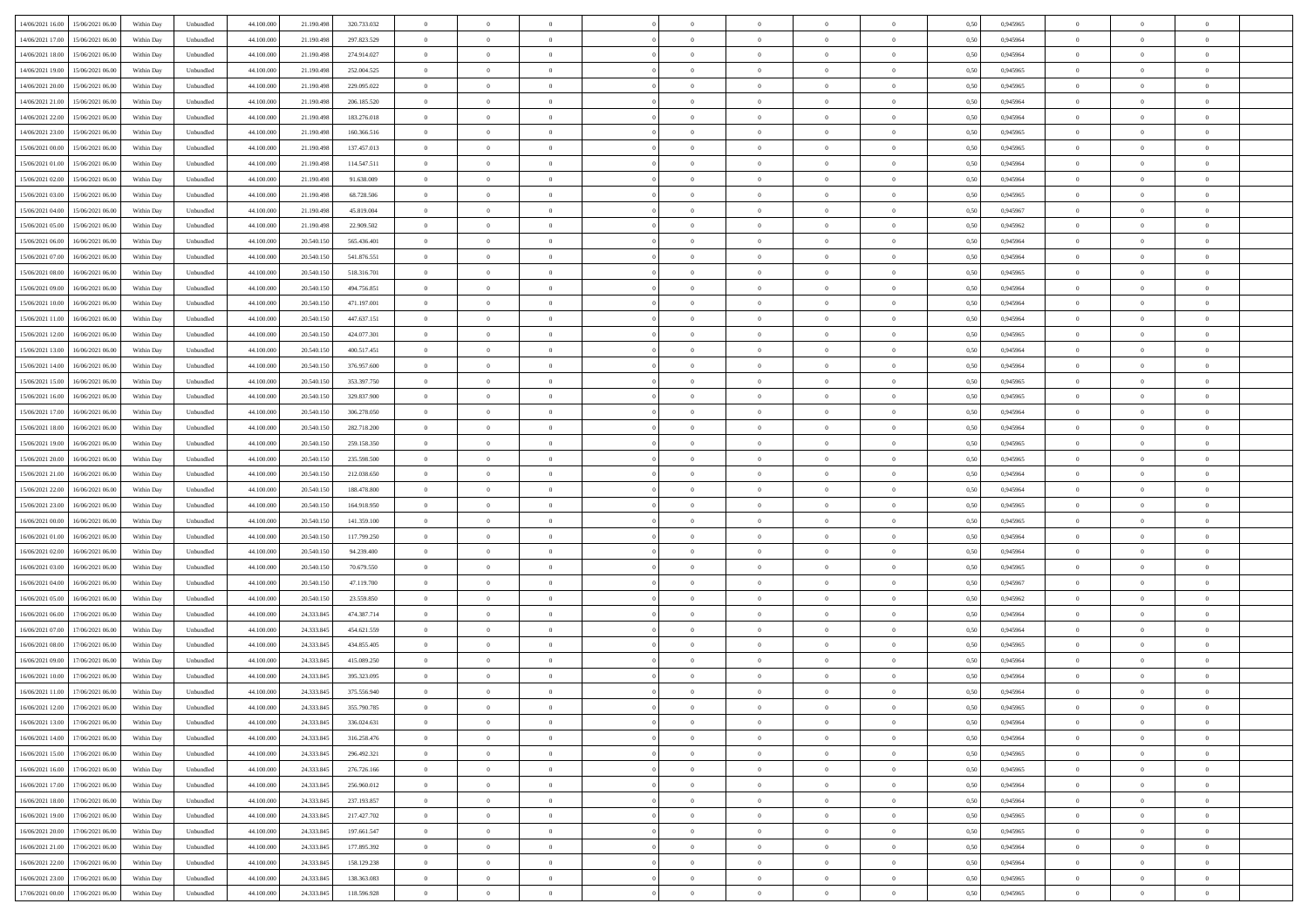| 14/06/2021 16:00 15/06/2021 06:00            | Within Day | Unbundled         | 44.100.000 | 21.190.498 | 320.733.032 | $\overline{0}$ | $\theta$       |                | $\overline{0}$ | $\theta$       |                | $\theta$       | 0,50 | 0,945965 | $\theta$       | $\theta$       | $\overline{0}$ |  |
|----------------------------------------------|------------|-------------------|------------|------------|-------------|----------------|----------------|----------------|----------------|----------------|----------------|----------------|------|----------|----------------|----------------|----------------|--|
| 14/06/2021 17:00<br>15/06/2021 06:00         | Within Day | Unbundled         | 44.100.00  | 21.190.49  | 297.823.529 | $\bf{0}$       | $\overline{0}$ | $\bf{0}$       | $\overline{0}$ | $\bf{0}$       | $\overline{0}$ | $\bf{0}$       | 0,50 | 0,945964 | $\theta$       | $\bf{0}$       | $\overline{0}$ |  |
| 14/06/2021 18:00<br>15/06/2021 06:00         | Within Day | Unbundled         | 44,100,000 | 21.190.498 | 274.914.027 | $\overline{0}$ | $\overline{0}$ | $\overline{0}$ | $\bf{0}$       | $\bf{0}$       | $\overline{0}$ | $\bf{0}$       | 0.50 | 0.945964 | $\bf{0}$       | $\overline{0}$ | $\overline{0}$ |  |
| 14/06/2021 19:00<br>15/06/2021 06:00         |            |                   |            |            |             | $\overline{0}$ | $\overline{0}$ | $\overline{0}$ | $\theta$       | $\theta$       | $\overline{0}$ | $\overline{0}$ |      |          | $\theta$       | $\theta$       | $\overline{0}$ |  |
|                                              | Within Day | Unbundled         | 44.100.000 | 21.190.498 | 252.004.525 |                |                |                |                |                |                |                | 0,50 | 0,945965 |                |                |                |  |
| 14/06/2021 20:00<br>15/06/2021 06:00         | Within Day | Unbundled         | 44.100.00  | 21.190.498 | 229.095.022 | $\bf{0}$       | $\overline{0}$ | $\overline{0}$ | $\overline{0}$ | $\theta$       | $\overline{0}$ | $\bf{0}$       | 0,50 | 0,945965 | $\bf{0}$       | $\bf{0}$       | $\overline{0}$ |  |
| 14/06/2021 21:00<br>15/06/2021 06:00         | Within Day | Unbundled         | 44,100,00  | 21.190.49  | 206.185.520 | $\overline{0}$ | $\overline{0}$ | $\overline{0}$ | $\overline{0}$ | $\overline{0}$ | $\Omega$       | $\bf{0}$       | 0.50 | 0.945964 | $\bf{0}$       | $\theta$       | $\overline{0}$ |  |
| 14/06/2021 22:00<br>15/06/2021 06:00         | Within Day | Unbundled         | 44.100.000 | 21.190.498 | 183.276.018 | $\overline{0}$ | $\overline{0}$ | $\overline{0}$ | $\overline{0}$ | $\theta$       | $\overline{0}$ | $\bf{0}$       | 0,50 | 0,945964 | $\theta$       | $\theta$       | $\overline{0}$ |  |
|                                              |            |                   |            |            |             |                |                |                |                |                |                |                |      |          |                |                |                |  |
| 14/06/2021 23:00<br>15/06/2021 06:00         | Within Day | Unbundled         | 44.100.00  | 21.190.498 | 160.366.516 | $\overline{0}$ | $\overline{0}$ | $\overline{0}$ | $\overline{0}$ | $\theta$       | $\overline{0}$ | $\bf{0}$       | 0,50 | 0,945965 | $\,$ 0 $\,$    | $\bf{0}$       | $\overline{0}$ |  |
| 15/06/2021 00:00<br>15/06/2021 06:00         | Within Day | Unbundled         | 44,100,00  | 21.190.498 | 137,457,013 | $\overline{0}$ | $\overline{0}$ | $\overline{0}$ | $\bf{0}$       | $\overline{0}$ | $\overline{0}$ | $\bf{0}$       | 0.50 | 0.945965 | $\bf{0}$       | $\theta$       | $\overline{0}$ |  |
| 15/06/2021 01:00<br>15/06/2021 06:00         | Within Day | Unbundled         | 44.100.000 | 21.190.498 | 114.547.511 | $\bf{0}$       | $\bf{0}$       | $\overline{0}$ | $\overline{0}$ | $\theta$       | $\overline{0}$ | $\bf{0}$       | 0,50 | 0,945964 | $\,$ 0 $\,$    | $\theta$       | $\overline{0}$ |  |
| 15/06/2021 02:00<br>15/06/2021 06:00         | Within Day | Unbundled         | 44.100.00  | 21.190.498 | 91.638.009  | $\bf{0}$       | $\overline{0}$ | $\bf{0}$       | $\overline{0}$ | $\bf{0}$       | $\overline{0}$ | $\bf{0}$       | 0,50 | 0,945964 | $\,$ 0 $\,$    | $\bf{0}$       | $\overline{0}$ |  |
|                                              |            |                   |            |            |             |                |                |                |                |                |                |                |      |          |                |                |                |  |
| 15/06/2021 03:00<br>15/06/2021 06:00         | Within Day | Unbundled         | 44,100,000 | 21.190.498 | 68.728.506  | $\overline{0}$ | $\overline{0}$ | $\overline{0}$ | $\bf{0}$       | $\bf{0}$       | $\overline{0}$ | $\bf{0}$       | 0.50 | 0.945965 | $\bf{0}$       | $\overline{0}$ | $\overline{0}$ |  |
| 15/06/2021 04:00<br>15/06/2021 06:00         | Within Day | Unbundled         | 44.100.000 | 21.190.498 | 45.819.004  | $\overline{0}$ | $\overline{0}$ | $\overline{0}$ | $\overline{0}$ | $\theta$       | $\overline{0}$ | $\overline{0}$ | 0,50 | 0,945967 | $\theta$       | $\theta$       | $\overline{0}$ |  |
| 15/06/2021 05:00<br>15/06/2021 06:00         | Within Day | Unbundled         | 44.100.00  | 21.190.498 | 22.909.502  | $\bf{0}$       | $\theta$       | $\bf{0}$       | $\overline{0}$ | $\theta$       | $\overline{0}$ | $\bf{0}$       | 0,50 | 0,945962 | $\bf{0}$       | $\bf{0}$       | $\overline{0}$ |  |
| 15/06/2021 06:00<br>16/06/2021 06:00         | Within Day | Unbundled         | 44,100,00  | 20.540.15  | 565.436.401 | $\overline{0}$ | $\overline{0}$ | $\overline{0}$ | $\bf{0}$       | $\theta$       | $\theta$       | $\bf{0}$       | 0.50 | 0.945964 | $\theta$       | $\theta$       | $\overline{0}$ |  |
|                                              |            |                   |            |            |             |                |                |                |                |                |                |                |      |          |                |                |                |  |
| 15/06/2021 07:00<br>16/06/2021 06:00         | Within Day | Unbundled         | 44.100.000 | 20.540.150 | 541.876.551 | $\overline{0}$ | $\overline{0}$ | $\overline{0}$ | $\overline{0}$ | $\overline{0}$ | $\overline{0}$ | $\bf{0}$       | 0,50 | 0,945964 | $\theta$       | $\theta$       | $\overline{0}$ |  |
| 15/06/2021 08:00<br>16/06/2021 06:00         | Within Day | Unbundled         | 44.100.00  | 20.540.15  | 518.316.701 | $\bf{0}$       | $\overline{0}$ | $\overline{0}$ | $\overline{0}$ | $\theta$       | $\overline{0}$ | $\bf{0}$       | 0,50 | 0,945965 | $\,$ 0 $\,$    | $\bf{0}$       | $\overline{0}$ |  |
| 15/06/2021 09:00<br>16/06/2021 06:00         | Within Day | Unbundled         | 44,100,00  | 20.540.15  | 494.756.851 | $\overline{0}$ | $\overline{0}$ | $\overline{0}$ | $\bf{0}$       | $\overline{0}$ | $\overline{0}$ | $\bf{0}$       | 0.50 | 0.945964 | $\bf{0}$       | $\overline{0}$ | $\overline{0}$ |  |
| 15/06/2021 10:00<br>16/06/2021 06:00         | Within Day | Unbundled         | 44.100.000 | 20.540.150 | 471.197.001 | $\overline{0}$ | $\overline{0}$ | $\overline{0}$ | $\overline{0}$ | $\theta$       | $\overline{0}$ | $\bf{0}$       | 0,50 | 0,945964 | $\,$ 0 $\,$    | $\theta$       | $\overline{0}$ |  |
|                                              |            |                   |            |            |             |                |                |                |                |                |                |                |      |          |                |                |                |  |
| 15/06/2021 11:00<br>16/06/2021 06:00         | Within Day | Unbundled         | 44.100.00  | 20.540.15  | 447.637.151 | $\bf{0}$       | $\overline{0}$ | $\bf{0}$       | $\bf{0}$       | $\overline{0}$ | $\overline{0}$ | $\bf{0}$       | 0,50 | 0,945964 | $\,$ 0 $\,$    | $\bf{0}$       | $\overline{0}$ |  |
| 15/06/2021 12:00<br>16/06/2021 06:00         | Within Day | Unbundled         | 44,100,000 | 20.540.15  | 424.077.301 | $\overline{0}$ | $\bf{0}$       | $\overline{0}$ | $\bf{0}$       | $\bf{0}$       | $\overline{0}$ | $\bf{0}$       | 0.50 | 0.945965 | $\bf{0}$       | $\overline{0}$ | $\overline{0}$ |  |
| 15/06/2021 13:00<br>16/06/2021 06:00         | Within Day | Unbundled         | 44.100.000 | 20.540.150 | 400.517.451 | $\overline{0}$ | $\overline{0}$ | $\overline{0}$ | $\overline{0}$ | $\theta$       | $\overline{0}$ | $\bf{0}$       | 0,50 | 0,945964 | $\theta$       | $\theta$       | $\overline{0}$ |  |
| 15/06/2021 14:00<br>16/06/2021 06:00         | Within Day | Unbundled         | 44.100.00  | 20.540.15  | 376.957.600 | $\bf{0}$       | $\overline{0}$ | $\bf{0}$       | $\bf{0}$       | $\theta$       | $\overline{0}$ | $\bf{0}$       | 0,50 | 0,945964 | $\,$ 0 $\,$    | $\bf{0}$       | $\overline{0}$ |  |
| 16/06/2021 06:00                             |            |                   | 44,100,00  | 20.540.15  | 353,397,750 |                | $\overline{0}$ | $\overline{0}$ | $\overline{0}$ | $\overline{0}$ | $\Omega$       |                | 0.50 | 0.945965 |                | $\theta$       | $\overline{0}$ |  |
| 15/06/2021 15:00                             | Within Day | Unbundled         |            |            |             | $\overline{0}$ |                |                |                |                |                | $\bf{0}$       |      |          | $\bf{0}$       |                |                |  |
| 15/06/2021 16:00<br>16/06/2021 06:00         | Within Day | Unbundled         | 44.100.000 | 20.540.150 | 329.837.900 | $\overline{0}$ | $\overline{0}$ | $\overline{0}$ | $\overline{0}$ | $\theta$       | $\overline{0}$ | $\bf{0}$       | 0,50 | 0,945965 | $\theta$       | $\theta$       | $\overline{0}$ |  |
| 15/06/2021 17:00<br>16/06/2021 06:00         | Within Day | Unbundled         | 44.100.00  | 20.540.15  | 306.278.050 | $\bf{0}$       | $\theta$       | $\overline{0}$ | $\overline{0}$ | $\theta$       | $\overline{0}$ | $\bf{0}$       | 0,50 | 0,945964 | $\,$ 0 $\,$    | $\bf{0}$       | $\overline{0}$ |  |
| 15/06/2021 18:00<br>16/06/2021 06:00         | Within Day | Unbundled         | 44,100,00  | 20.540.15  | 282.718.200 | $\overline{0}$ | $\bf{0}$       | $\overline{0}$ | $\bf{0}$       | $\overline{0}$ | $\overline{0}$ | $\bf{0}$       | 0.50 | 0.945964 | $\bf{0}$       | $\theta$       | $\overline{0}$ |  |
| 15/06/2021 19:00<br>16/06/2021 06:00         | Within Day | Unbundled         | 44.100.000 | 20.540.150 | 259.158.350 | $\overline{0}$ | $\overline{0}$ | $\overline{0}$ | $\overline{0}$ | $\overline{0}$ | $\overline{0}$ | $\bf{0}$       | 0,50 | 0,945965 | $\theta$       | $\theta$       | $\overline{0}$ |  |
|                                              |            |                   |            |            |             |                |                |                |                |                |                |                |      |          |                |                |                |  |
| 15/06/2021 20:00<br>16/06/2021 06:00         | Within Day | Unbundled         | 44.100.00  | 20.540.15  | 235.598.500 | $\bf{0}$       | $\bf{0}$       | $\bf{0}$       | $\bf{0}$       | $\overline{0}$ | $\overline{0}$ | $\bf{0}$       | 0,50 | 0,945965 | $\,$ 0 $\,$    | $\bf{0}$       | $\overline{0}$ |  |
| 15/06/2021 21:00<br>16/06/2021 06:00         | Within Day | Unbundled         | 44,100,000 | 20.540.15  | 212.038.650 | $\overline{0}$ | $\bf{0}$       | $\overline{0}$ | $\bf{0}$       | $\bf{0}$       | $\overline{0}$ | $\bf{0}$       | 0.50 | 0.945964 | $\bf{0}$       | $\overline{0}$ | $\overline{0}$ |  |
| 15/06/2021 22:00<br>16/06/2021 06:00         | Within Day | Unbundled         | 44.100.000 | 20.540.15  | 188,478,800 | $\overline{0}$ | $\overline{0}$ | $\overline{0}$ | $\overline{0}$ | $\theta$       | $\overline{0}$ | $\bf{0}$       | 0.5( | 0.945964 | $\theta$       | $\theta$       | $\overline{0}$ |  |
| 15/06/2021 23:00<br>16/06/2021 06:00         | Within Day | Unbundled         | 44.100.00  | 20.540.15  | 164.918.950 | $\bf{0}$       | $\overline{0}$ | $\bf{0}$       | $\overline{0}$ | $\overline{0}$ | $\overline{0}$ | $\bf{0}$       | 0,50 | 0,945965 | $\,$ 0 $\,$    | $\bf{0}$       | $\overline{0}$ |  |
|                                              |            |                   |            |            |             |                |                |                |                |                |                |                |      |          |                |                |                |  |
| 16/06/2021 00:00<br>16/06/2021 06:00         | Within Day | Unbundled         | 44,100,000 | 20.540.15  | 141.359.100 | $\overline{0}$ | $\overline{0}$ | $\overline{0}$ | $\bf{0}$       | $\theta$       | $\Omega$       | $\bf{0}$       | 0.50 | 0.945965 | $\,$ 0 $\,$    | $\overline{0}$ | $\overline{0}$ |  |
| 16/06/2021 01:00<br>16/06/2021 06:00         | Within Dav | Unbundled         | 44.100.000 | 20.540.150 | 117.799.250 | $\overline{0}$ | $\overline{0}$ | $\overline{0}$ | $\overline{0}$ | $\overline{0}$ | $\overline{0}$ | $\overline{0}$ | 0.50 | 0,945964 | $\theta$       | $\theta$       | $\overline{0}$ |  |
| 16/06/2021 02:00<br>16/06/2021 06:00         | Within Day | Unbundled         | 44.100.00  | 20.540.15  | 94.239.400  | $\bf{0}$       | $\overline{0}$ | $\bf{0}$       | $\overline{0}$ | $\bf{0}$       | $\overline{0}$ | $\bf{0}$       | 0,50 | 0,945964 | $\,$ 0 $\,$    | $\bf{0}$       | $\overline{0}$ |  |
| 16/06/2021 03:00<br>16/06/2021 06:00         | Within Day | Unbundled         | 44,100,00  | 20.540.15  | 70.679.550  | $\overline{0}$ | $\bf{0}$       | $\overline{0}$ | $\bf{0}$       | $\overline{0}$ | $\overline{0}$ | $\bf{0}$       | 0.50 | 0.945965 | $\bf{0}$       | $\overline{0}$ | $\overline{0}$ |  |
|                                              |            |                   |            |            |             |                |                |                |                |                |                |                |      |          |                |                |                |  |
| 16/06/2021 04:00<br>16/06/2021 06:00         | Within Dav | Unbundled         | 44.100.000 | 20.540.15  | 47.119.700  | $\overline{0}$ | $\overline{0}$ | $\overline{0}$ | $\overline{0}$ | $\overline{0}$ | $\overline{0}$ | $\overline{0}$ | 0.50 | 0,945967 | $\theta$       | $\theta$       | $\overline{0}$ |  |
| 16/06/2021 05:00<br>16/06/2021 06:00         | Within Day | Unbundled         | 44.100.00  | 20.540.15  | 23.559.850  | $\bf{0}$       | $\bf{0}$       | $\bf{0}$       | $\bf{0}$       | $\overline{0}$ | $\overline{0}$ | $\bf{0}$       | 0,50 | 0,945962 | $\,$ 0 $\,$    | $\bf{0}$       | $\overline{0}$ |  |
| 16/06/2021 06:00<br>17/06/2021 06:00         | Within Day | Unbundled         | 44,100,000 | 24.333.845 | 474.387.714 | $\overline{0}$ | $\bf{0}$       | $\overline{0}$ | $\bf{0}$       | $\bf{0}$       | $\overline{0}$ | $\bf{0}$       | 0.50 | 0.945964 | $\bf{0}$       | $\overline{0}$ | $\overline{0}$ |  |
| 16/06/2021 07:00<br>17/06/2021 06:00         | Within Dav | Unbundled         | 44.100.000 | 24.333.845 | 454.621.559 | $\overline{0}$ | $\overline{0}$ | $\Omega$       | $\overline{0}$ | $\theta$       | $\overline{0}$ | $\overline{0}$ | 0.50 | 0.945964 | $\theta$       | $\theta$       | $\overline{0}$ |  |
| 16/06/2021 08:00<br>17/06/2021 06:00         | Within Day | Unbundled         | 44.100.00  | 24.333.845 | 434.855.405 | $\bf{0}$       | $\overline{0}$ | $\bf{0}$       | $\bf{0}$       | $\overline{0}$ | $\overline{0}$ | $\bf{0}$       | 0,50 | 0,945965 | $\,$ 0 $\,$    | $\bf{0}$       | $\overline{0}$ |  |
|                                              |            |                   |            |            |             |                |                |                |                |                |                |                |      |          |                |                |                |  |
| 16/06/2021 09:00<br>17/06/2021 06.00         | Within Day | Unbundled         | 44,100,00  | 24.333.845 | 415.089.250 | $\overline{0}$ | $\overline{0}$ | $\Omega$       | $\overline{0}$ | $\theta$       | $\theta$       | $\bf{0}$       | 0.50 | 0.945964 | $\,$ 0 $\,$    | $\overline{0}$ | $\overline{0}$ |  |
| 16/06/2021 10:00<br>17/06/2021 06:00         | Within Dav | Unbundled         | 44.100.000 | 24.333.845 | 395.323.095 | $\overline{0}$ | $\overline{0}$ | $\Omega$       | $\overline{0}$ | $\theta$       | $\Omega$       | $\overline{0}$ | 0.5( | 0,945964 | $\theta$       | $\theta$       | $\overline{0}$ |  |
| 16/06/2021 11:00<br>17/06/2021 06:00         | Within Day | Unbundled         | 44.100.000 | 24.333.845 | 375.556.940 | $\bf{0}$       | $\bf{0}$       | $\overline{0}$ | $\bf{0}$       | $\bf{0}$       | $\overline{0}$ | $\bf{0}$       | 0,50 | 0,945964 | $\,$ 0 $\,$    | $\bf{0}$       | $\overline{0}$ |  |
| $16/06/2021\ 12.00 \qquad 17/06/2021\ 06.00$ | Within Day | ${\sf Unbundred}$ | 44.100.000 | 24.333.845 | 355.790.785 | $\overline{0}$ | $\Omega$       |                | $\Omega$       |                |                |                | 0,50 | 0.945965 | $\theta$       | $\overline{0}$ |                |  |
|                                              |            |                   |            |            |             | $\overline{0}$ | $\theta$       | $\Omega$       | $\theta$       | $\theta$       |                |                |      |          | $\theta$       | $\theta$       | $\overline{0}$ |  |
| 16/06/2021 13:00 17/06/2021 06:00            | Within Day | Unbundled         | 44.100.000 | 24.333.845 | 336.024.631 |                |                |                |                |                | $\overline{0}$ | $\bf{0}$       | 0,50 | 0,945964 |                |                |                |  |
| 16/06/2021 14:00<br>17/06/2021 06.00         | Within Day | Unbundled         | 44.100.00  | 24.333.845 | 316.258.476 | $\overline{0}$ | $\bf{0}$       | $\overline{0}$ | $\overline{0}$ | $\bf{0}$       | $\overline{0}$ | $\bf{0}$       | 0,50 | 0,945964 | $\bf{0}$       | $\overline{0}$ | $\bf{0}$       |  |
| 16/06/2021 15:00 17/06/2021 06:00            | Within Day | Unbundled         | 44,100,000 | 24.333.845 | 296.492.321 | $\overline{0}$ | $\bf{0}$       | $\overline{0}$ | $\overline{0}$ | $\overline{0}$ | $\overline{0}$ | $\bf{0}$       | 0.50 | 0.945965 | $\mathbf{0}$   | $\bf{0}$       | $\,$ 0 $\,$    |  |
| 16/06/2021 16:00 17/06/2021 06:00            | Within Day | Unbundled         | 44.100.000 | 24.333.845 | 276.726.166 | $\overline{0}$ | $\overline{0}$ | $\overline{0}$ | $\overline{0}$ | $\overline{0}$ | $\overline{0}$ | $\bf{0}$       | 0,50 | 0,945965 | $\theta$       | $\theta$       | $\overline{0}$ |  |
|                                              |            |                   |            |            |             |                |                |                |                |                |                |                |      |          |                |                |                |  |
| 16/06/2021 17:00<br>17/06/2021 06.00         | Within Day | Unbundled         | 44.100.000 | 24.333.845 | 256.960.012 | $\overline{0}$ | $\bf{0}$       | $\overline{0}$ | $\bf{0}$       | $\overline{0}$ | $\bf{0}$       | $\bf{0}$       | 0,50 | 0,945964 | $\bf{0}$       | $\bf{0}$       | $\overline{0}$ |  |
| 17/06/2021 06:00<br>16/06/2021 18:00         | Within Day | Unbundled         | 44,100,000 | 24.333.845 | 237.193.857 | $\overline{0}$ | $\bf{0}$       | $\overline{0}$ | $\overline{0}$ | $\overline{0}$ | $\overline{0}$ | $\bf{0}$       | 0.50 | 0.945964 | $\,$ 0 $\,$    | $\theta$       | $\overline{0}$ |  |
| 16/06/2021 19:00<br>17/06/2021 06:00         | Within Dav | Unbundled         | 44.100.000 | 24.333.845 | 217.427.702 | $\overline{0}$ | $\overline{0}$ | $\overline{0}$ | $\overline{0}$ | $\overline{0}$ | $\overline{0}$ | $\bf{0}$       | 0.50 | 0,945965 | $\overline{0}$ | $\theta$       | $\overline{0}$ |  |
| 16/06/2021 20:00<br>17/06/2021 06.00         | Within Day | Unbundled         | 44.100.00  | 24.333.845 | 197.661.547 | $\overline{0}$ | $\overline{0}$ | $\overline{0}$ | $\overline{0}$ | $\bf{0}$       | $\overline{0}$ | $\bf{0}$       | 0,50 | 0,945965 | $\bf{0}$       | $\overline{0}$ | $\overline{0}$ |  |
| 17/06/2021 06:00                             |            | Unbundled         | 44,100,000 |            | 177.895.392 | $\overline{0}$ | $\overline{0}$ | $\overline{0}$ |                | $\bf{0}$       | $\overline{0}$ |                | 0.50 | 0.945964 | $\overline{0}$ | $\,$ 0 $\,$    | $\,$ 0         |  |
| 16/06/2021 21:00                             | Within Day |                   |            | 24.333.845 |             |                |                |                | $\overline{0}$ |                |                | $\bf{0}$       |      |          |                |                |                |  |
| 16/06/2021 22:00<br>17/06/2021 06:00         | Within Dav | Unbundled         | 44.100.000 | 24.333.845 | 158.129.238 | $\overline{0}$ | $\overline{0}$ | $\overline{0}$ | $\overline{0}$ | $\overline{0}$ | $\overline{0}$ | $\bf{0}$       | 0,50 | 0,945964 | $\overline{0}$ | $\theta$       | $\overline{0}$ |  |
| 16/06/2021 23:00<br>17/06/2021 06:00         | Within Day | Unbundled         | 44.100.00  | 24.333.845 | 138.363.083 | $\overline{0}$ | $\bf{0}$       | $\overline{0}$ | $\bf{0}$       | $\overline{0}$ | $\bf{0}$       | $\bf{0}$       | 0,50 | 0,945965 | $\bf{0}$       | $\bf{0}$       | $\overline{0}$ |  |
| 17/06/2021 00:00 17/06/2021 06:00            | Within Day | Unbundled         | 44.100.000 | 24.333.845 | 118.596.928 | $\overline{0}$ | $\bf{0}$       | $\overline{0}$ | $\overline{0}$ | $\,$ 0 $\,$    | $\overline{0}$ | $\bf{0}$       | 0,50 | 0,945965 | $\overline{0}$ | $\,$ 0 $\,$    | $\,$ 0 $\,$    |  |
|                                              |            |                   |            |            |             |                |                |                |                |                |                |                |      |          |                |                |                |  |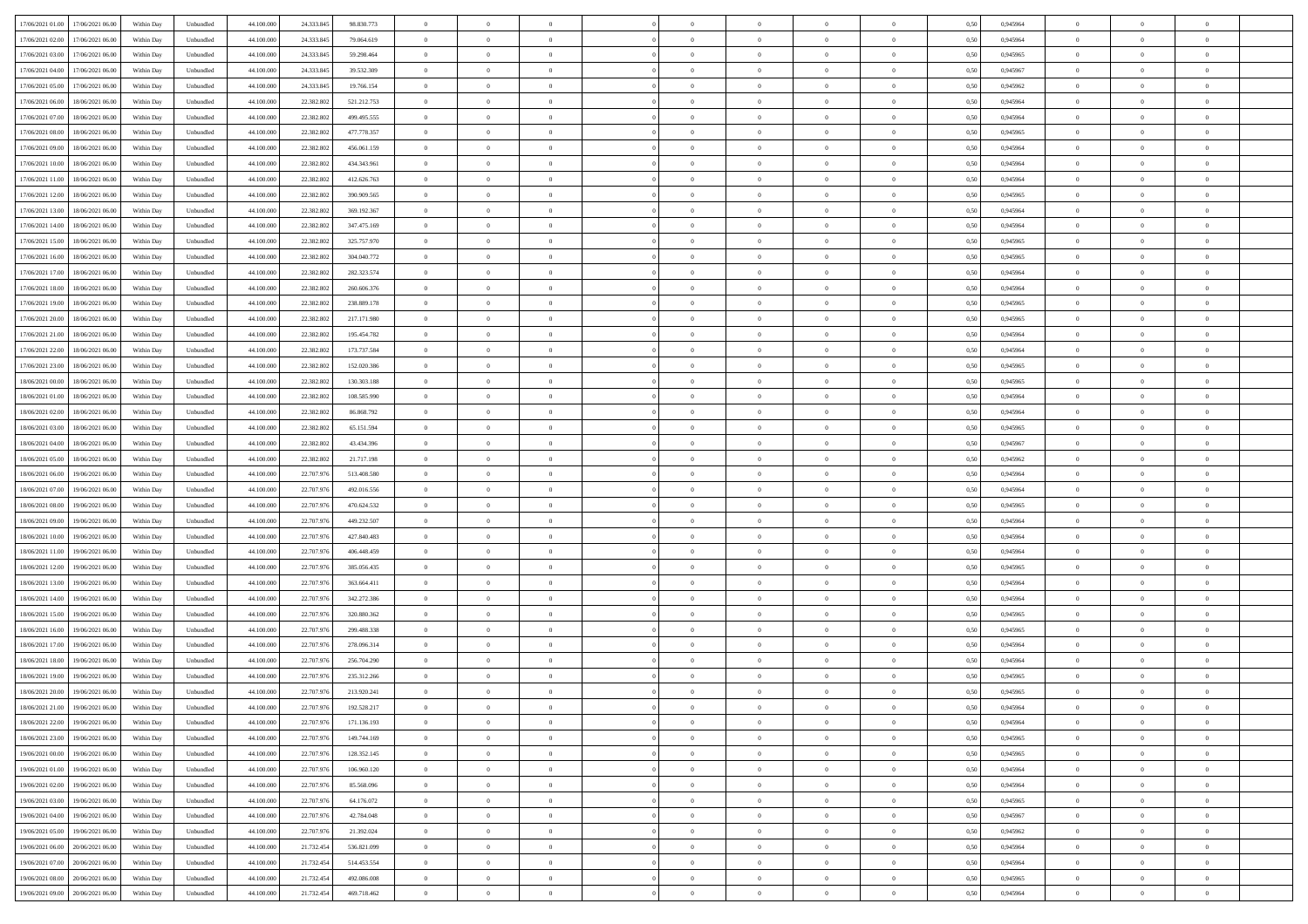| 17/06/2021 01:00 17/06/2021 06:00    | Within Day | Unbundled                   | 44.100.000 | 24.333.845 | 98.830.773  | $\overline{0}$ | $\theta$       |                | $\overline{0}$ | $\theta$       |                | $\bf{0}$       | 0,50 | 0,945964 | $\theta$       | $\theta$       | $\overline{0}$ |  |
|--------------------------------------|------------|-----------------------------|------------|------------|-------------|----------------|----------------|----------------|----------------|----------------|----------------|----------------|------|----------|----------------|----------------|----------------|--|
| 17/06/2021 02:00<br>17/06/2021 06:00 | Within Day | Unbundled                   | 44.100.00  | 24.333.84  | 79.064.619  | $\bf{0}$       | $\overline{0}$ | $\overline{0}$ | $\overline{0}$ | $\bf{0}$       | $\overline{0}$ | $\bf{0}$       | 0,50 | 0,945964 | $\theta$       | $\bf{0}$       | $\overline{0}$ |  |
| 17/06/2021 03:00<br>17/06/2021 06:00 | Within Day | Unbundled                   | 44,100,000 | 24.333.845 | 59.298.464  | $\overline{0}$ | $\overline{0}$ | $\overline{0}$ | $\bf{0}$       | $\bf{0}$       | $\overline{0}$ | $\bf{0}$       | 0.50 | 0.945965 | $\bf{0}$       | $\overline{0}$ | $\overline{0}$ |  |
| 17/06/2021 04:00<br>17/06/2021 06.00 | Within Day | Unbundled                   | 44.100.000 | 24.333.845 | 39.532.309  | $\overline{0}$ | $\overline{0}$ | $\overline{0}$ | $\theta$       | $\theta$       | $\overline{0}$ | $\overline{0}$ | 0,50 | 0,945967 | $\theta$       | $\theta$       | $\overline{0}$ |  |
|                                      |            |                             |            |            |             |                |                |                |                |                |                |                |      |          |                |                |                |  |
| 17/06/2021 05:00<br>17/06/2021 06:00 | Within Day | Unbundled                   | 44.100.00  | 24.333.84  | 19.766.154  | $\overline{0}$ | $\theta$       | $\overline{0}$ | $\overline{0}$ | $\theta$       | $\overline{0}$ | $\bf{0}$       | 0,50 | 0,945962 | $\bf{0}$       | $\bf{0}$       | $\overline{0}$ |  |
| 17/06/2021 06:00<br>18/06/2021 06:00 | Within Day | Unbundled                   | 44,100,000 | 22.382.802 | 521.212.753 | $\overline{0}$ | $\overline{0}$ | $\overline{0}$ | $\overline{0}$ | $\overline{0}$ | $\Omega$       | $\bf{0}$       | 0.50 | 0.945964 | $\bf{0}$       | $\theta$       | $\overline{0}$ |  |
| 17/06/2021 07:00<br>18/06/2021 06:00 | Within Day | Unbundled                   | 44.100.000 | 22.382.802 | 499.495.555 | $\overline{0}$ | $\overline{0}$ | $\overline{0}$ | $\overline{0}$ | $\theta$       | $\overline{0}$ | $\bf{0}$       | 0,50 | 0,945964 | $\theta$       | $\theta$       | $\overline{0}$ |  |
| 17/06/2021 08:00<br>18/06/2021 06:00 | Within Day | Unbundled                   | 44.100.00  | 22.382.80  | 477.778.357 | $\overline{0}$ | $\overline{0}$ | $\overline{0}$ | $\overline{0}$ | $\theta$       | $\overline{0}$ | $\bf{0}$       | 0,50 | 0,945965 | $\,$ 0 $\,$    | $\bf{0}$       | $\overline{0}$ |  |
| 17/06/2021 09:00<br>18/06/2021 06:00 | Within Day | Unbundled                   | 44,100,00  | 22.382.802 | 456.061.159 | $\overline{0}$ | $\overline{0}$ | $\overline{0}$ | $\bf{0}$       | $\overline{0}$ | $\overline{0}$ | $\bf{0}$       | 0.50 | 0.945964 | $\bf{0}$       | $\theta$       | $\overline{0}$ |  |
| 17/06/2021 10:00<br>18/06/2021 06:00 | Within Day | Unbundled                   | 44.100.000 | 22.382.802 | 434.343.961 | $\overline{0}$ | $\bf{0}$       | $\overline{0}$ | $\overline{0}$ | $\theta$       | $\overline{0}$ | $\bf{0}$       | 0,50 | 0,945964 | $\theta$       | $\theta$       | $\overline{0}$ |  |
|                                      |            |                             |            |            |             |                |                |                |                |                |                |                |      |          |                |                |                |  |
| 17/06/2021 11:00<br>18/06/2021 06:00 | Within Day | Unbundled                   | 44.100.00  | 22.382.802 | 412.626.763 | $\bf{0}$       | $\overline{0}$ | $\bf{0}$       | $\overline{0}$ | $\bf{0}$       | $\overline{0}$ | $\bf{0}$       | 0,50 | 0,945964 | $\,$ 0 $\,$    | $\bf{0}$       | $\overline{0}$ |  |
| 17/06/2021 12:00<br>18/06/2021 06:00 | Within Day | Unbundled                   | 44,100,000 | 22.382.802 | 390.909.565 | $\overline{0}$ | $\overline{0}$ | $\overline{0}$ | $\bf{0}$       | $\bf{0}$       | $\overline{0}$ | $\bf{0}$       | 0.50 | 0.945965 | $\bf{0}$       | $\overline{0}$ | $\overline{0}$ |  |
| 17/06/2021 13:00<br>18/06/2021 06:00 | Within Day | Unbundled                   | 44.100.000 | 22.382.802 | 369.192.367 | $\overline{0}$ | $\overline{0}$ | $\overline{0}$ | $\overline{0}$ | $\theta$       | $\overline{0}$ | $\overline{0}$ | 0,50 | 0,945964 | $\theta$       | $\theta$       | $\overline{0}$ |  |
| 17/06/2021 14:00<br>18/06/2021 06:00 | Within Day | Unbundled                   | 44.100.00  | 22.382.802 | 347.475.169 | $\bf{0}$       | $\theta$       | $\bf{0}$       | $\overline{0}$ | $\theta$       | $\overline{0}$ | $\bf{0}$       | 0,50 | 0,945964 | $\bf{0}$       | $\bf{0}$       | $\overline{0}$ |  |
| 17/06/2021 15:00<br>18/06/2021 06:00 | Within Day | Unbundled                   | 44,100,00  | 22.382.802 | 325,757,970 | $\overline{0}$ | $\overline{0}$ | $\overline{0}$ | $\bf{0}$       | $\theta$       | $\theta$       | $\bf{0}$       | 0.50 | 0.945965 | $\theta$       | $\overline{0}$ | $\overline{0}$ |  |
| 17/06/2021 16:00<br>18/06/2021 06:00 | Within Day | Unbundled                   | 44.100.000 | 22.382.802 | 304.040.772 | $\overline{0}$ | $\overline{0}$ | $\overline{0}$ | $\overline{0}$ | $\overline{0}$ | $\overline{0}$ | $\bf{0}$       | 0,50 | 0,945965 | $\theta$       | $\theta$       | $\overline{0}$ |  |
| 17/06/2021 17:00<br>18/06/2021 06:00 | Within Day | Unbundled                   | 44.100.00  | 22.382.80  | 282.323.574 | $\bf{0}$       | $\overline{0}$ | $\overline{0}$ | $\overline{0}$ | $\theta$       | $\overline{0}$ | $\bf{0}$       | 0,50 | 0,945964 | $\,$ 0 $\,$    | $\bf{0}$       | $\overline{0}$ |  |
|                                      |            |                             |            |            |             |                |                |                |                |                |                |                |      |          |                |                |                |  |
| 17/06/2021 18:00<br>18/06/2021 06:00 | Within Day | Unbundled                   | 44,100,00  | 22,382,802 | 260,606,376 | $\overline{0}$ | $\overline{0}$ | $\overline{0}$ | $\bf{0}$       | $\overline{0}$ | $\overline{0}$ | $\bf{0}$       | 0.50 | 0.945964 | $\bf{0}$       | $\overline{0}$ | $\overline{0}$ |  |
| 17/06/2021 19:00<br>18/06/2021 06:00 | Within Day | Unbundled                   | 44.100.000 | 22.382.802 | 238.889.178 | $\overline{0}$ | $\overline{0}$ | $\overline{0}$ | $\overline{0}$ | $\theta$       | $\overline{0}$ | $\bf{0}$       | 0,50 | 0,945965 | $\,$ 0 $\,$    | $\theta$       | $\overline{0}$ |  |
| 17/06/2021 20:00<br>18/06/2021 06:00 | Within Day | Unbundled                   | 44.100.00  | 22.382.802 | 217.171.980 | $\bf{0}$       | $\overline{0}$ | $\bf{0}$       | $\bf{0}$       | $\overline{0}$ | $\overline{0}$ | $\bf{0}$       | 0,50 | 0,945965 | $\,$ 0 $\,$    | $\bf{0}$       | $\overline{0}$ |  |
| 17/06/2021 21:00<br>18/06/2021 06:00 | Within Day | Unbundled                   | 44,100,000 | 22.382.802 | 195.454.782 | $\overline{0}$ | $\bf{0}$       | $\overline{0}$ | $\bf{0}$       | $\bf{0}$       | $\overline{0}$ | $\bf{0}$       | 0.50 | 0.945964 | $\bf{0}$       | $\overline{0}$ | $\overline{0}$ |  |
| 17/06/2021 22.00<br>18/06/2021 06:00 | Within Day | Unbundled                   | 44.100.000 | 22.382.802 | 173.737.584 | $\overline{0}$ | $\overline{0}$ | $\overline{0}$ | $\overline{0}$ | $\theta$       | $\overline{0}$ | $\bf{0}$       | 0,50 | 0,945964 | $\theta$       | $\theta$       | $\overline{0}$ |  |
| 17/06/2021 23:00<br>18/06/2021 06:00 | Within Day | Unbundled                   | 44.100.00  | 22.382.802 | 152.020.386 | $\bf{0}$       | $\overline{0}$ | $\bf{0}$       | $\overline{0}$ | $\theta$       | $\overline{0}$ | $\bf{0}$       | 0,50 | 0,945965 | $\,$ 0 $\,$    | $\bf{0}$       | $\overline{0}$ |  |
| 18/06/2021 00:00<br>18/06/2021 06:00 | Within Day | Unbundled                   | 44,100,00  | 22.382.802 | 130.303.188 | $\overline{0}$ | $\overline{0}$ | $\overline{0}$ | $\overline{0}$ | $\overline{0}$ | $\Omega$       | $\bf{0}$       | 0.50 | 0.945965 | $\bf{0}$       | $\theta$       | $\overline{0}$ |  |
| 18/06/2021 01:00<br>18/06/2021 06:00 | Within Day | Unbundled                   | 44.100.000 | 22.382.802 | 108.585.990 | $\overline{0}$ | $\overline{0}$ | $\overline{0}$ | $\overline{0}$ | $\theta$       | $\overline{0}$ | $\bf{0}$       | 0,50 | 0,945964 | $\theta$       | $\theta$       | $\overline{0}$ |  |
| 18/06/2021 02:00<br>18/06/2021 06:00 | Within Day | Unbundled                   | 44.100.00  | 22.382.80  | 86.868.792  | $\bf{0}$       | $\theta$       | $\overline{0}$ | $\overline{0}$ | $\theta$       | $\overline{0}$ | $\bf{0}$       | 0,50 | 0,945964 | $\,$ 0 $\,$    | $\bf{0}$       | $\overline{0}$ |  |
|                                      |            |                             |            |            |             |                |                |                |                |                |                |                |      |          |                |                |                |  |
| 18/06/2021 03:00<br>18/06/2021 06:00 | Within Day | Unbundled                   | 44,100,00  | 22,382,802 | 65.151.594  | $\overline{0}$ | $\bf{0}$       | $\overline{0}$ | $\bf{0}$       | $\overline{0}$ | $\overline{0}$ | $\bf{0}$       | 0.50 | 0.945965 | $\bf{0}$       | $\theta$       | $\overline{0}$ |  |
| 18/06/2021 04:00<br>18/06/2021 06:00 | Within Day | Unbundled                   | 44.100.000 | 22.382.802 | 43.434.396  | $\overline{0}$ | $\overline{0}$ | $\overline{0}$ | $\overline{0}$ | $\theta$       | $\overline{0}$ | $\bf{0}$       | 0,50 | 0,945967 | $\theta$       | $\theta$       | $\overline{0}$ |  |
| 18/06/2021 05:00<br>18/06/2021 06:00 | Within Day | Unbundled                   | 44.100.00  | 22.382.802 | 21.717.198  | $\bf{0}$       | $\bf{0}$       | $\bf{0}$       | $\bf{0}$       | $\overline{0}$ | $\overline{0}$ | $\bf{0}$       | 0,50 | 0,945962 | $\,$ 0 $\,$    | $\bf{0}$       | $\overline{0}$ |  |
| 18/06/2021 06:00<br>19/06/2021 06:00 | Within Day | Unbundled                   | 44,100,000 | 22.707.976 | 513.408.580 | $\overline{0}$ | $\bf{0}$       | $\overline{0}$ | $\bf{0}$       | $\bf{0}$       | $\overline{0}$ | $\bf{0}$       | 0.50 | 0.945964 | $\bf{0}$       | $\overline{0}$ | $\overline{0}$ |  |
| 18/06/2021 07:00<br>19/06/2021 06:00 | Within Day | Unbundled                   | 44.100.000 | 22.707.976 | 492.016.556 | $\overline{0}$ | $\overline{0}$ | $\overline{0}$ | $\overline{0}$ | $\theta$       | $\overline{0}$ | $\bf{0}$       | 0.5( | 0.945964 | $\theta$       | $\theta$       | $\overline{0}$ |  |
| 18/06/2021 08:00<br>19/06/2021 06:00 | Within Day | Unbundled                   | 44.100.00  | 22.707.97  | 470.624.532 | $\bf{0}$       | $\overline{0}$ | $\bf{0}$       | $\overline{0}$ | $\theta$       | $\overline{0}$ | $\bf{0}$       | 0,50 | 0,945965 | $\,$ 0 $\,$    | $\bf{0}$       | $\overline{0}$ |  |
| 18/06/2021 09:00<br>19/06/2021 06:00 | Within Day | Unbundled                   | 44,100,000 | 22.707.976 | 449.232.507 | $\overline{0}$ | $\overline{0}$ | $\overline{0}$ | $\bf{0}$       | $\theta$       | $\Omega$       | $\bf{0}$       | 0.50 | 0.945964 | $\theta$       | $\overline{0}$ | $\overline{0}$ |  |
| 18/06/2021 10:00<br>19/06/2021 06:00 | Within Dav | Unbundled                   | 44.100.000 | 22.707.976 | 427.840.483 | $\overline{0}$ | $\theta$       | $\Omega$       | $\overline{0}$ | $\theta$       | $\overline{0}$ | $\overline{0}$ | 0.50 | 0,945964 | $\theta$       | $\theta$       | $\overline{0}$ |  |
|                                      |            |                             |            |            |             |                |                |                |                |                |                |                |      |          |                |                |                |  |
| 18/06/2021 11:00<br>19/06/2021 06:00 | Within Day | Unbundled                   | 44.100.00  | 22.707.97  | 406.448.459 | $\bf{0}$       | $\overline{0}$ | $\overline{0}$ | $\overline{0}$ | $\bf{0}$       | $\overline{0}$ | $\bf{0}$       | 0,50 | 0,945964 | $\,$ 0 $\,$    | $\bf{0}$       | $\overline{0}$ |  |
| 18/06/2021 12:00<br>19/06/2021 06:00 | Within Day | Unbundled                   | 44,100,00  | 22,707.97  | 385.056.435 | $\overline{0}$ | $\overline{0}$ | $\overline{0}$ | $\bf{0}$       | $\overline{0}$ | $\overline{0}$ | $\bf{0}$       | 0.50 | 0.945965 | $\bf{0}$       | $\overline{0}$ | $\overline{0}$ |  |
| 18/06/2021 13:00<br>19/06/2021 06:00 | Within Dav | Unbundled                   | 44.100.000 | 22.707.976 | 363,664,411 | $\overline{0}$ | $\overline{0}$ | $\overline{0}$ | $\overline{0}$ | $\overline{0}$ | $\overline{0}$ | $\overline{0}$ | 0.50 | 0,945964 | $\theta$       | $\theta$       | $\overline{0}$ |  |
| 18/06/2021 14:00<br>19/06/2021 06:00 | Within Day | Unbundled                   | 44.100.00  | 22.707.97  | 342.272.386 | $\bf{0}$       | $\bf{0}$       | $\bf{0}$       | $\bf{0}$       | $\overline{0}$ | $\overline{0}$ | $\bf{0}$       | 0,50 | 0,945964 | $\,$ 0 $\,$    | $\bf{0}$       | $\overline{0}$ |  |
| 18/06/2021 15:00<br>19/06/2021 06:00 | Within Day | Unbundled                   | 44,100,000 | 22.707.976 | 320,880,362 | $\overline{0}$ | $\bf{0}$       | $\overline{0}$ | $\bf{0}$       | $\bf{0}$       | $\overline{0}$ | $\bf{0}$       | 0.50 | 0.945965 | $\bf{0}$       | $\overline{0}$ | $\overline{0}$ |  |
| 18/06/2021 16:00<br>19/06/2021 06:00 | Within Dav | Unbundled                   | 44.100.000 | 22.707.976 | 299.488.338 | $\overline{0}$ | $\overline{0}$ | $\Omega$       | $\overline{0}$ | $\theta$       | $\overline{0}$ | $\overline{0}$ | 0.50 | 0.945965 | $\theta$       | $\theta$       | $\overline{0}$ |  |
| 18/06/2021 17:00<br>19/06/2021 06:00 | Within Day | Unbundled                   | 44.100.00  | 22.707.97  | 278.096.314 | $\bf{0}$       | $\overline{0}$ | $\bf{0}$       | $\overline{0}$ | $\theta$       | $\overline{0}$ | $\bf{0}$       | 0,50 | 0,945964 | $\,$ 0 $\,$    | $\bf{0}$       | $\overline{0}$ |  |
| 18/06/2021 18:00<br>19/06/2021 06:00 |            | Unbundled                   | 44,100,00  | 22,707.97  | 256.704.290 | $\overline{0}$ | $\overline{0}$ | $\Omega$       | $\overline{0}$ | $\theta$       | $\theta$       | $\bf{0}$       | 0.50 | 0.945964 | $\,$ 0 $\,$    | $\overline{0}$ | $\overline{0}$ |  |
|                                      | Within Day |                             |            |            |             | $\overline{0}$ |                |                |                |                | $\Omega$       |                |      |          | $\theta$       | $\theta$       |                |  |
| 18/06/2021 19:00<br>19/06/2021 06:00 | Within Dav | Unbundled                   | 44.100.000 | 22.707.976 | 235.312.266 |                | $\overline{0}$ | $\Omega$       | $\overline{0}$ | $\theta$       |                | $\overline{0}$ | 0.5( | 0,945965 |                |                | $\overline{0}$ |  |
| 18/06/2021 20:00<br>19/06/2021 06:00 | Within Day | Unbundled                   | 44.100.000 | 22.707.97  | 213.920.241 | $\bf{0}$       | $\bf{0}$       | $\overline{0}$ | $\bf{0}$       | $\bf{0}$       | $\overline{0}$ | $\bf{0}$       | 0,50 | 0,945965 | $\,$ 0 $\,$    | $\bf{0}$       | $\overline{0}$ |  |
| 18/06/2021 21:00 19/06/2021 06:00    | Within Day | $\ensuremath{\mathsf{Unb}}$ | 44.100.000 | 22.707.976 | 192.528.217 | $\overline{0}$ | $\Omega$       |                | $\Omega$       |                |                |                | 0,50 | 0.945964 | $\theta$       | $\overline{0}$ |                |  |
| 18/06/2021 22:00 19/06/2021 06:00    | Within Day | Unbundled                   | 44.100.000 | 22.707.976 | 171.136.193 | $\overline{0}$ | $\theta$       | $\Omega$       | $\theta$       | $\overline{0}$ | $\overline{0}$ | $\bf{0}$       | 0,50 | 0,945964 | $\theta$       | $\theta$       | $\overline{0}$ |  |
| 18/06/2021 23:00<br>19/06/2021 06:00 | Within Day | Unbundled                   | 44.100.00  | 22.707.97  | 149.744.169 | $\overline{0}$ | $\bf{0}$       | $\overline{0}$ | $\overline{0}$ | $\bf{0}$       | $\overline{0}$ | $\bf{0}$       | 0,50 | 0,945965 | $\bf{0}$       | $\overline{0}$ | $\bf{0}$       |  |
| 19/06/2021 00:00 19/06/2021 06:00    | Within Day | Unbundled                   | 44,100,000 | 22.707.976 | 128.352.145 | $\overline{0}$ | $\bf{0}$       | $\overline{0}$ | $\overline{0}$ | $\overline{0}$ | $\overline{0}$ | $\bf{0}$       | 0.50 | 0.945965 | $\overline{0}$ | $\bf{0}$       | $\,$ 0 $\,$    |  |
| 19/06/2021 01:00 19/06/2021 06:00    | Within Day | Unbundled                   | 44.100.000 | 22.707.976 | 106.960.120 | $\overline{0}$ | $\overline{0}$ | $\overline{0}$ | $\overline{0}$ | $\overline{0}$ | $\overline{0}$ | $\bf{0}$       | 0,50 | 0,945964 | $\theta$       | $\theta$       | $\overline{0}$ |  |
| 19/06/2021 02:00<br>19/06/2021 06:00 | Within Day | Unbundled                   | 44.100.000 | 22.707.976 | 85.568.096  | $\overline{0}$ | $\bf{0}$       | $\overline{0}$ | $\bf{0}$       | $\overline{0}$ | $\bf{0}$       | $\bf{0}$       | 0,50 | 0,945964 | $\overline{0}$ | $\overline{0}$ | $\overline{0}$ |  |
|                                      |            |                             |            |            |             |                |                |                |                |                |                |                |      |          |                |                |                |  |
| 19/06/2021 03:00<br>19/06/2021 06:00 | Within Day | Unbundled                   | 44,100,000 | 22,707.976 | 64.176.072  | $\overline{0}$ | $\bf{0}$       | $\overline{0}$ | $\overline{0}$ | $\overline{0}$ | $\overline{0}$ | $\bf{0}$       | 0.50 | 0.945965 | $\,$ 0 $\,$    | $\theta$       | $\overline{0}$ |  |
| 19/06/2021 04:00<br>19/06/2021 06:00 | Within Dav | Unbundled                   | 44.100.000 | 22.707.976 | 42.784.048  | $\overline{0}$ | $\overline{0}$ | $\overline{0}$ | $\overline{0}$ | $\overline{0}$ | $\overline{0}$ | $\bf{0}$       | 0.50 | 0,945967 | $\overline{0}$ | $\theta$       | $\overline{0}$ |  |
| 19/06/2021 05:00<br>19/06/2021 06:00 | Within Day | Unbundled                   | 44.100.00  | 22.707.97  | 21.392.024  | $\overline{0}$ | $\overline{0}$ | $\overline{0}$ | $\overline{0}$ | $\bf{0}$       | $\overline{0}$ | $\bf{0}$       | 0,50 | 0,945962 | $\bf{0}$       | $\overline{0}$ | $\overline{0}$ |  |
| 19/06/2021 06:00<br>20/06/2021 06:00 | Within Day | Unbundled                   | 44,100,000 | 21.732.454 | 536.821.099 | $\overline{0}$ | $\overline{0}$ | $\overline{0}$ | $\overline{0}$ | $\bf{0}$       | $\overline{0}$ | $\bf{0}$       | 0.50 | 0.945964 | $\overline{0}$ | $\,$ 0 $\,$    | $\,$ 0         |  |
| 19/06/2021 07:00 20/06/2021 06:00    | Within Dav | Unbundled                   | 44.100.000 | 21.732.454 | 514.453.554 | $\overline{0}$ | $\overline{0}$ | $\overline{0}$ | $\overline{0}$ | $\overline{0}$ | $\overline{0}$ | $\bf{0}$       | 0,50 | 0,945964 | $\overline{0}$ | $\theta$       | $\overline{0}$ |  |
| 19/06/2021 08:00<br>20/06/2021 06:00 | Within Day | Unbundled                   | 44.100.00  | 21.732.454 | 492.086.008 | $\overline{0}$ | $\bf{0}$       | $\overline{0}$ | $\bf{0}$       | $\overline{0}$ | $\bf{0}$       | $\bf{0}$       | 0,50 | 0,945965 | $\bf{0}$       | $\bf{0}$       | $\overline{0}$ |  |
| 19/06/2021 09:00 20/06/2021 06:00    | Within Day | Unbundled                   | 44.100.000 | 21.732.454 | 469.718.462 | $\overline{0}$ | $\bf{0}$       | $\overline{0}$ | $\overline{0}$ | $\,$ 0 $\,$    | $\overline{0}$ | $\bf{0}$       | 0,50 | 0,945964 | $\overline{0}$ | $\,$ 0 $\,$    | $\,$ 0 $\,$    |  |
|                                      |            |                             |            |            |             |                |                |                |                |                |                |                |      |          |                |                |                |  |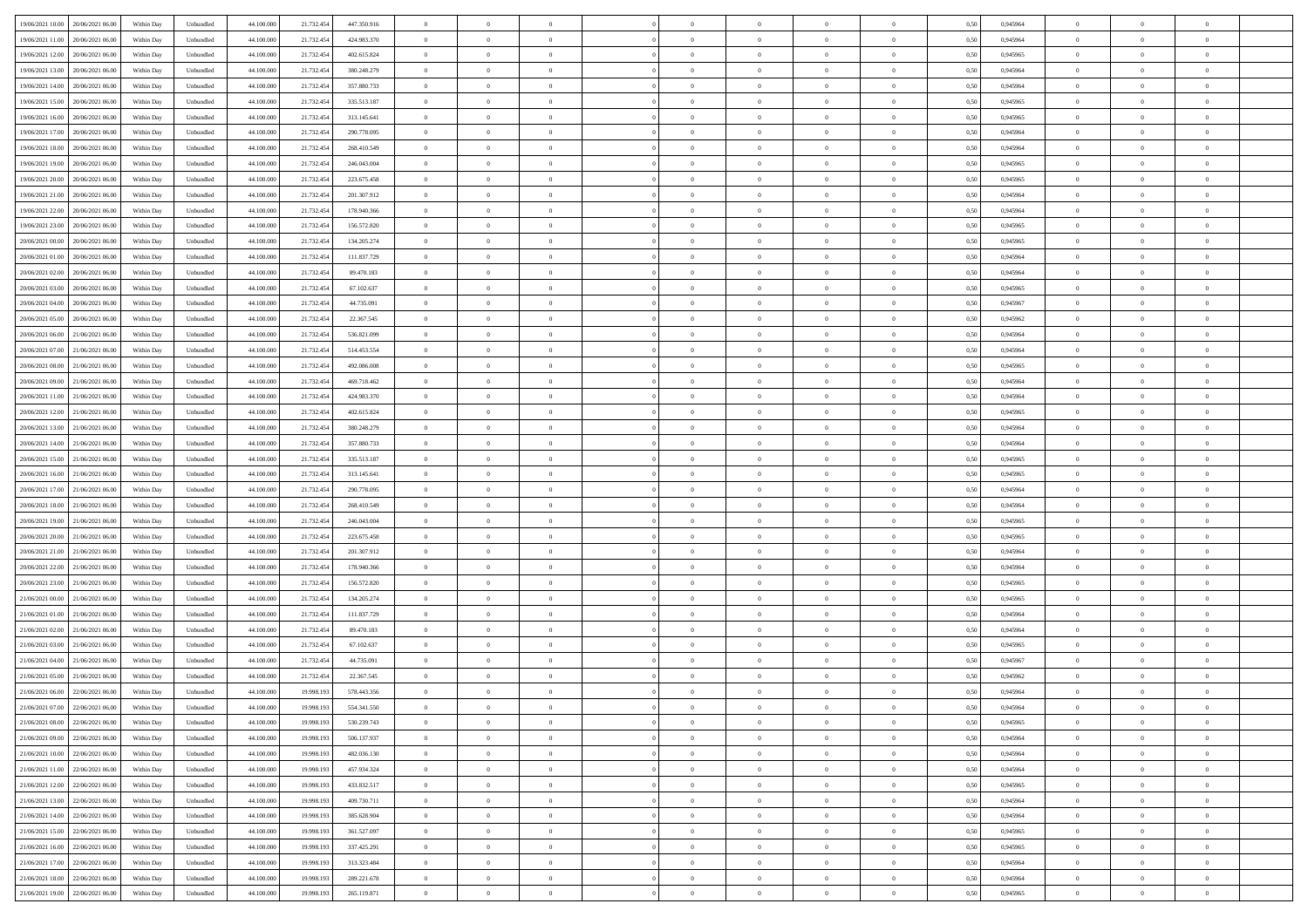| 19/06/2021 10:00<br>20/06/2021 06:00 | Within Day | Unbundled | 44.100.000 | 21.732.454 | 447.350.916 | $\overline{0}$ | $\overline{0}$ | $\overline{0}$ | $\theta$       | $\theta$       |                | $\overline{0}$ | 0,50 | 0,945964 | $\theta$       | $\theta$       | $\theta$       |  |
|--------------------------------------|------------|-----------|------------|------------|-------------|----------------|----------------|----------------|----------------|----------------|----------------|----------------|------|----------|----------------|----------------|----------------|--|
|                                      |            |           |            |            |             |                |                |                |                |                |                |                |      |          |                |                |                |  |
| 19/06/2021 11:00<br>20/06/2021 06.0  | Within Day | Unbundled | 44.100.00  | 21.732.454 | 424.983.370 | $\overline{0}$ | $\overline{0}$ | $\overline{0}$ | $\bf{0}$       | $\bf{0}$       | $\overline{0}$ | $\bf{0}$       | 0,50 | 0,945964 | $\,$ 0 $\,$    | $\theta$       | $\overline{0}$ |  |
| 19/06/2021 12:00<br>20/06/2021 06:00 | Within Day | Unbundled | 44,100,000 | 21.732.454 | 402.615.824 | $\overline{0}$ | $\overline{0}$ | $\overline{0}$ | $\bf{0}$       | $\bf{0}$       | $\overline{0}$ | $\mathbf{0}$   | 0.50 | 0.945965 | $\bf{0}$       | $\overline{0}$ | $\overline{0}$ |  |
| 19/06/2021 13:00<br>20/06/2021 06:00 | Within Day | Unbundled | 44.100.000 | 21.732.454 | 380.248.279 | $\overline{0}$ | $\overline{0}$ | $\overline{0}$ | $\overline{0}$ | $\overline{0}$ | $\overline{0}$ | $\bf{0}$       | 0,50 | 0,945964 | $\theta$       | $\theta$       | $\overline{0}$ |  |
| 19/06/2021 14:00<br>20/06/2021 06.0  | Within Day | Unbundled | 44.100.000 | 21.732.454 | 357.880.733 | $\overline{0}$ | $\overline{0}$ | $\bf{0}$       | $\overline{0}$ | $\overline{0}$ | $\overline{0}$ | $\bf{0}$       | 0,50 | 0,945964 | $\,$ 0 $\,$    | $\theta$       | $\overline{0}$ |  |
|                                      |            |           |            |            |             |                |                |                |                |                |                |                |      |          |                |                |                |  |
| 19/06/2021 15:00<br>20/06/2021 06:00 | Within Day | Unbundled | 44,100,000 | 21.732.454 | 335.513.187 | $\overline{0}$ | $\overline{0}$ | $\overline{0}$ | $\overline{0}$ | $\overline{0}$ | $\Omega$       | $\mathbf{0}$   | 0.50 | 0.945965 | $\theta$       | $\theta$       | $\overline{0}$ |  |
| 19/06/2021 16:00<br>20/06/2021 06:00 | Within Day | Unbundled | 44.100.000 | 21.732.454 | 313.145.641 | $\overline{0}$ | $\overline{0}$ | $\overline{0}$ | $\overline{0}$ | $\overline{0}$ | $\overline{0}$ | $\bf{0}$       | 0,50 | 0,945965 | $\theta$       | $\theta$       | $\overline{0}$ |  |
| 19/06/2021 17:00<br>20/06/2021 06.0  | Within Day | Unbundled | 44.100.000 | 21.732.454 | 290.778.095 | $\overline{0}$ | $\overline{0}$ | $\overline{0}$ | $\overline{0}$ | $\overline{0}$ | $\overline{0}$ | $\bf{0}$       | 0,50 | 0,945964 | $\,$ 0 $\,$    | $\bf{0}$       | $\overline{0}$ |  |
| 19/06/2021 18:00<br>20/06/2021 06:00 | Within Day | Unbundled | 44,100,000 | 21.732.454 | 268,410.549 | $\overline{0}$ | $\overline{0}$ | $\overline{0}$ | $\overline{0}$ | $\overline{0}$ | $\overline{0}$ | $\mathbf{0}$   | 0.50 | 0.945964 | $\,$ 0 $\,$    | $\theta$       | $\overline{0}$ |  |
| 19/06/2021 19:00                     |            |           | 44.100.000 |            |             | $\overline{0}$ | $\overline{0}$ | $\overline{0}$ | $\overline{0}$ | $\overline{0}$ | $\overline{0}$ | $\bf{0}$       |      |          | $\theta$       | $\theta$       | $\overline{0}$ |  |
| 20/06/2021 06:00                     | Within Day | Unbundled |            | 21.732.454 | 246.043.004 |                |                |                |                |                |                |                | 0,50 | 0,945965 |                |                |                |  |
| 19/06/2021 20:00<br>20/06/2021 06.0  | Within Day | Unbundled | 44.100.000 | 21.732.454 | 223.675.458 | $\overline{0}$ | $\overline{0}$ | $\bf{0}$       | $\bf{0}$       | $\bf{0}$       | $\overline{0}$ | $\bf{0}$       | 0,50 | 0,945965 | $\,$ 0 $\,$    | $\theta$       | $\overline{0}$ |  |
| 19/06/2021 21:00<br>20/06/2021 06:00 | Within Day | Unbundled | 44,100,000 | 21.732.454 | 201.307.912 | $\overline{0}$ | $\overline{0}$ | $\overline{0}$ | $\bf{0}$       | $\bf{0}$       | $\overline{0}$ | $\mathbf{0}$   | 0.50 | 0.945964 | $\bf{0}$       | $\overline{0}$ | $\bf{0}$       |  |
| 19/06/2021 22.00<br>20/06/2021 06:00 | Within Day | Unbundled | 44.100.000 | 21.732.454 | 178.940.366 | $\overline{0}$ | $\overline{0}$ | $\overline{0}$ | $\overline{0}$ | $\overline{0}$ | $\overline{0}$ | $\overline{0}$ | 0,50 | 0,945964 | $\theta$       | $\theta$       | $\overline{0}$ |  |
| 19/06/2021 23.00<br>20/06/2021 06.0  | Within Day | Unbundled | 44.100.000 | 21.732.454 | 156.572.820 | $\overline{0}$ | $\overline{0}$ | $\bf{0}$       | $\bf{0}$       | $\overline{0}$ | $\overline{0}$ | $\bf{0}$       | 0,50 | 0,945965 | $\,$ 0 $\,$    | $\bf{0}$       | $\overline{0}$ |  |
|                                      |            |           |            |            |             |                |                |                |                |                |                |                |      |          |                |                |                |  |
| 20/06/2021 00:00<br>20/06/2021 06:00 | Within Day | Unbundled | 44,100,000 | 21.732.454 | 134.205.274 | $\overline{0}$ | $\overline{0}$ | $\overline{0}$ | $\overline{0}$ | $\overline{0}$ | $\Omega$       | $\overline{0}$ | 0.50 | 0.945965 | $\theta$       | $\theta$       | $\overline{0}$ |  |
| 20/06/2021 01:00<br>20/06/2021 06:00 | Within Day | Unbundled | 44.100.000 | 21.732.454 | 111.837.729 | $\overline{0}$ | $\overline{0}$ | $\overline{0}$ | $\overline{0}$ | $\overline{0}$ | $\overline{0}$ | $\bf{0}$       | 0,50 | 0,945964 | $\theta$       | $\theta$       | $\overline{0}$ |  |
| 20/06/2021 02:00<br>20/06/2021 06.0  | Within Day | Unbundled | 44.100.000 | 21.732.454 | 89.470.183  | $\overline{0}$ | $\overline{0}$ | $\overline{0}$ | $\overline{0}$ | $\overline{0}$ | $\overline{0}$ | $\bf{0}$       | 0,50 | 0,945964 | $\,$ 0 $\,$    | $\theta$       | $\overline{0}$ |  |
| 20/06/2021 03:00<br>20/06/2021 06:00 | Within Day | Unbundled | 44,100,000 | 21.732.454 | 67.102.637  | $\overline{0}$ | $\overline{0}$ | $\overline{0}$ | $\overline{0}$ | $\overline{0}$ | $\overline{0}$ | $\mathbf{0}$   | 0.50 | 0.945965 | $\,$ 0 $\,$    | $\overline{0}$ | $\overline{0}$ |  |
| 20/06/2021 04:00                     |            |           | 44.100.000 |            |             | $\overline{0}$ | $\overline{0}$ |                | $\overline{0}$ | $\overline{0}$ | $\overline{0}$ | $\bf{0}$       |      |          | $\theta$       | $\theta$       | $\overline{0}$ |  |
| 20/06/2021 06.00                     | Within Day | Unbundled |            | 21.732.454 | 44.735.091  |                |                | $\overline{0}$ |                |                |                |                | 0,50 | 0,945967 |                |                |                |  |
| 20/06/2021 05:00<br>20/06/2021 06.0  | Within Day | Unbundled | 44.100.000 | 21.732.454 | 22.367.545  | $\overline{0}$ | $\overline{0}$ | $\overline{0}$ | $\bf{0}$       | $\bf{0}$       | $\overline{0}$ | $\bf{0}$       | 0,50 | 0,945962 | $\,$ 0 $\,$    | $\bf{0}$       | $\overline{0}$ |  |
| 20/06/2021 06.00<br>21/06/2021 06:00 | Within Day | Unbundled | 44,100,000 | 21.732.454 | 536.821.099 | $\overline{0}$ | $\overline{0}$ | $\overline{0}$ | $\bf{0}$       | $\bf{0}$       | $\overline{0}$ | $\mathbf{0}$   | 0.50 | 0.945964 | $\bf{0}$       | $\overline{0}$ | $\bf{0}$       |  |
| 20/06/2021 07:00<br>21/06/2021 06:00 | Within Day | Unbundled | 44.100.000 | 21.732.454 | 514.453.554 | $\overline{0}$ | $\overline{0}$ | $\overline{0}$ | $\overline{0}$ | $\overline{0}$ | $\overline{0}$ | $\bf{0}$       | 0.5( | 0,945964 | $\theta$       | $\theta$       | $\overline{0}$ |  |
| 20/06/2021 08:00<br>21/06/2021 06.00 | Within Day | Unbundled | 44.100.000 | 21.732.454 | 492.086.008 | $\overline{0}$ | $\overline{0}$ | $\bf{0}$       | $\bf{0}$       | $\overline{0}$ | $\overline{0}$ | $\bf{0}$       | 0,50 | 0,945965 | $\,$ 0 $\,$    | $\bf{0}$       | $\overline{0}$ |  |
|                                      |            |           |            |            |             |                |                |                |                |                |                |                |      |          |                |                |                |  |
| 20/06/2021 09:00<br>21/06/2021 06:00 | Within Day | Unbundled | 44,100,000 | 21.732.454 | 469.718.462 | $\overline{0}$ | $\overline{0}$ | $\overline{0}$ | $\overline{0}$ | $\overline{0}$ | $\Omega$       | $\mathbf{0}$   | 0.50 | 0.945964 | $\theta$       | $\theta$       | $\overline{0}$ |  |
| 20/06/2021 11:00<br>21/06/2021 06.00 | Within Day | Unbundled | 44.100.000 | 21.732.454 | 424.983.370 | $\overline{0}$ | $\overline{0}$ | $\overline{0}$ | $\overline{0}$ | $\overline{0}$ | $\overline{0}$ | $\bf{0}$       | 0,50 | 0,945964 | $\theta$       | $\theta$       | $\overline{0}$ |  |
| 20/06/2021 12:00<br>21/06/2021 06.00 | Within Day | Unbundled | 44.100.000 | 21.732.454 | 402.615.824 | $\overline{0}$ | $\overline{0}$ | $\overline{0}$ | $\overline{0}$ | $\overline{0}$ | $\overline{0}$ | $\bf{0}$       | 0,50 | 0,945965 | $\,$ 0 $\,$    | $\theta$       | $\overline{0}$ |  |
| 20/06/2021 13:00<br>21/06/2021 06:00 | Within Day | Unbundled | 44,100,000 | 21.732.454 | 380.248.279 | $\overline{0}$ | $\overline{0}$ | $\overline{0}$ | $\overline{0}$ | $\overline{0}$ | $\overline{0}$ | $\mathbf{0}$   | 0.50 | 0.945964 | $\,$ 0 $\,$    | $\overline{0}$ | $\overline{0}$ |  |
| 20/06/2021 14:00<br>21/06/2021 06:00 | Within Day | Unbundled | 44.100.000 | 21.732.454 | 357.880.733 | $\overline{0}$ | $\overline{0}$ | $\overline{0}$ | $\overline{0}$ | $\overline{0}$ | $\overline{0}$ | $\bf{0}$       | 0,50 | 0,945964 | $\theta$       | $\theta$       | $\overline{0}$ |  |
|                                      |            |           |            |            |             |                |                |                |                |                |                |                |      |          |                |                |                |  |
| 20/06/2021 15:00<br>21/06/2021 06.00 | Within Day | Unbundled | 44.100.000 | 21.732.454 | 335.513.187 | $\overline{0}$ | $\overline{0}$ | $\overline{0}$ | $\overline{0}$ | $\bf{0}$       | $\overline{0}$ | $\bf{0}$       | 0,50 | 0,945965 | $\,$ 0 $\,$    | $\bf{0}$       | $\overline{0}$ |  |
| 20/06/2021 16:00<br>21/06/2021 06:00 | Within Day | Unbundled | 44,100,000 | 21.732.454 | 313.145.641 | $\overline{0}$ | $\overline{0}$ | $\overline{0}$ | $\bf{0}$       | $\bf{0}$       | $\overline{0}$ | $\mathbf{0}$   | 0.50 | 0.945965 | $\bf{0}$       | $\overline{0}$ | $\bf{0}$       |  |
| 20/06/2021 17:00<br>21/06/2021 06:00 | Within Day | Unbundled | 44.100.000 | 21.732.454 | 290.778.095 | $\overline{0}$ | $\overline{0}$ | $\overline{0}$ | $\overline{0}$ | $\overline{0}$ | $\Omega$       | $\overline{0}$ | 0.50 | 0.945964 | $\theta$       | $\theta$       | $\overline{0}$ |  |
| 20/06/2021 18:00<br>21/06/2021 06.00 | Within Day | Unbundled | 44.100.000 | 21.732.454 | 268.410.549 | $\overline{0}$ | $\overline{0}$ | $\overline{0}$ | $\bf{0}$       | $\overline{0}$ | $\overline{0}$ | $\bf{0}$       | 0,50 | 0,945964 | $\,$ 0 $\,$    | $\bf{0}$       | $\overline{0}$ |  |
| 20/06/2021 19:00<br>21/06/2021 06:00 | Within Day | Unbundled | 44,100,000 | 21.732.454 | 246,043,004 | $\overline{0}$ | $\overline{0}$ | $\overline{0}$ | $\overline{0}$ | $\overline{0}$ | $\overline{0}$ | $\overline{0}$ | 0.50 | 0.945965 | $\,$ 0 $\,$    | $\theta$       | $\overline{0}$ |  |
|                                      |            |           |            |            |             |                |                |                |                |                |                |                |      |          |                |                |                |  |
| 20/06/2021 20:00<br>21/06/2021 06:00 | Within Day | Unbundled | 44.100.000 | 21.732.454 | 223.675.458 | $\overline{0}$ | $\overline{0}$ | $\overline{0}$ | $\overline{0}$ | $\overline{0}$ | $\Omega$       | $\overline{0}$ | 0.50 | 0,945965 | $\theta$       | $\theta$       | $\overline{0}$ |  |
| 20/06/2021 21:00<br>21/06/2021 06.00 | Within Day | Unbundled | 44.100.000 | 21.732.454 | 201.307.912 | $\overline{0}$ | $\overline{0}$ | $\overline{0}$ | $\bf{0}$       | $\overline{0}$ | $\overline{0}$ | $\bf{0}$       | 0,50 | 0,945964 | $\,$ 0 $\,$    | $\theta$       | $\overline{0}$ |  |
| 20/06/2021 22.00<br>21/06/2021 06:00 | Within Day | Unbundled | 44,100,000 | 21.732.454 | 178,940,366 | $\overline{0}$ | $\overline{0}$ | $\overline{0}$ | $\overline{0}$ | $\bf{0}$       | $\overline{0}$ | $\mathbf{0}$   | 0.50 | 0.945964 | $\,$ 0 $\,$    | $\theta$       | $\overline{0}$ |  |
| 20/06/2021 23:00<br>21/06/2021 06:00 | Within Day | Unbundled | 44.100.000 | 21.732.454 | 156.572.820 | $\overline{0}$ | $\overline{0}$ | $\overline{0}$ | $\overline{0}$ | $\overline{0}$ | $\overline{0}$ | $\overline{0}$ | 0.50 | 0,945965 | $\theta$       | $\theta$       | $\overline{0}$ |  |
| 21/06/2021 00:00<br>21/06/2021 06.0  | Within Day | Unbundled | 44.100.000 | 21.732.454 | 134.205.274 | $\overline{0}$ | $\overline{0}$ | $\overline{0}$ | $\,0\,$        | $\bf{0}$       | $\overline{0}$ | $\bf{0}$       | 0,50 | 0,945965 | $\,$ 0 $\,$    | $\bf{0}$       | $\overline{0}$ |  |
|                                      |            | Unbundled | 44,100,000 |            | 111.837.729 |                |                |                |                |                | $\overline{0}$ |                | 0.50 | 0.945964 |                | $\overline{0}$ |                |  |
| 21/06/2021 01:00<br>21/06/2021 06:00 | Within Day |           |            | 21.732.454 |             | $\overline{0}$ | $\overline{0}$ | $\overline{0}$ | $\bf{0}$       | $\bf{0}$       |                | $\mathbf{0}$   |      |          | $\bf{0}$       |                | $\overline{0}$ |  |
| 21/06/2021 02:00<br>21/06/2021 06:00 | Within Day | Unbundled | 44.100.000 | 21.732.454 | 89.470.183  | $\overline{0}$ | $\overline{0}$ | $\overline{0}$ | $\overline{0}$ | $\overline{0}$ | $\Omega$       | $\overline{0}$ | 0.50 | 0,945964 | $\theta$       | $\theta$       | $\overline{0}$ |  |
| 21/06/2021 03:00<br>21/06/2021 06.00 | Within Day | Unbundled | 44.100.000 | 21.732.454 | 67.102.637  | $\overline{0}$ | $\overline{0}$ | $\overline{0}$ | $\bf{0}$       | $\overline{0}$ | $\overline{0}$ | $\bf{0}$       | 0,50 | 0,945965 | $\,$ 0 $\,$    | $\bf{0}$       | $\overline{0}$ |  |
| 21/06/2021 04:00<br>21/06/2021 06.00 | Within Day | Unbundled | 44,100,000 | 21.732.454 | 44.735.091  | $\overline{0}$ | $\overline{0}$ | $\overline{0}$ | $\overline{0}$ | $\overline{0}$ | $\theta$       | $\overline{0}$ | 0.50 | 0.945967 | $\,$ 0 $\,$    | $\theta$       | $\overline{0}$ |  |
| 21/06/2021 05:00<br>21/06/2021 06:00 | Within Day | Unbundled | 44.100.000 | 21.732.454 | 22.367.545  | $\overline{0}$ | $\overline{0}$ | $\overline{0}$ | $\overline{0}$ | $\overline{0}$ | $\theta$       | $\overline{0}$ | 0.50 | 0,945962 | $\theta$       | $\theta$       | $\overline{0}$ |  |
| 21/06/2021 06:00<br>22/06/2021 06.00 | Within Day | Unbundled | 44.100.000 | 19.998.193 | 578.443.356 | $\overline{0}$ | $\overline{0}$ | $\bf{0}$       | $\overline{0}$ | $\bf{0}$       | $\overline{0}$ | $\bf{0}$       | 0,50 | 0,945964 | $\,$ 0 $\,$    | $\bf{0}$       | $\overline{0}$ |  |
|                                      |            |           |            |            |             |                |                |                |                |                |                |                |      |          |                |                |                |  |
| 21/06/2021 07:00 22/06/2021 06:00    | Within Day | Unbundled | 44.100.000 | 19.998.193 | 554.341.550 | $\bf{0}$       | $\,0\,$        |                | $\bf{0}$       |                |                |                | 0,50 | 0.945964 | $\theta$       | $\overline{0}$ |                |  |
| 21/06/2021 08:00 22/06/2021 06:00    | Within Dav | Unbundled | 44.100.000 | 19.998.193 | 530.239.743 | $\overline{0}$ | $\overline{0}$ | $\overline{0}$ | $\overline{0}$ | $\overline{0}$ | $\overline{0}$ | $\overline{0}$ | 0,50 | 0,945965 | $\theta$       | $\theta$       | $\overline{0}$ |  |
| 21/06/2021 09:00<br>22/06/2021 06.0  | Within Day | Unbundled | 44.100.000 | 19.998.193 | 506.137.937 | $\overline{0}$ | $\overline{0}$ | $\overline{0}$ | $\bf{0}$       | $\overline{0}$ | $\overline{0}$ | $\mathbf{0}$   | 0,50 | 0,945964 | $\overline{0}$ | $\overline{0}$ | $\bf{0}$       |  |
| 22/06/2021 06:00<br>21/06/2021 10:00 | Within Day | Unbundled | 44.100.000 | 19.998.193 | 482.036.130 | $\overline{0}$ | $\overline{0}$ | $\overline{0}$ | $\overline{0}$ | $\bf{0}$       | $\overline{0}$ | $\mathbf{0}$   | 0.50 | 0.945964 | $\overline{0}$ | $\bf{0}$       | $\overline{0}$ |  |
|                                      |            |           |            |            |             |                |                |                |                |                |                |                |      |          |                |                |                |  |
| 21/06/2021 11:00<br>22/06/2021 06:00 | Within Dav | Unbundled | 44.100.000 | 19.998.193 | 457.934.324 | $\overline{0}$ | $\overline{0}$ | $\overline{0}$ | $\overline{0}$ | $\overline{0}$ | $\overline{0}$ | $\mathbf{0}$   | 0,50 | 0,945964 | $\overline{0}$ | $\theta$       | $\overline{0}$ |  |
| 21/06/2021 12:00<br>22/06/2021 06.00 | Within Day | Unbundled | 44.100.000 | 19.998.193 | 433.832.517 | $\overline{0}$ | $\overline{0}$ | $\overline{0}$ | $\bf{0}$       | $\bf{0}$       | $\overline{0}$ | $\mathbf{0}$   | 0,50 | 0,945965 | $\overline{0}$ | $\bf{0}$       | $\overline{0}$ |  |
| 22/06/2021 06:00<br>21/06/2021 13.00 | Within Day | Unbundled | 44.100.000 | 19.998.193 | 409.730.711 | $\overline{0}$ | $\overline{0}$ | $\overline{0}$ | $\bf{0}$       | $\overline{0}$ | $\overline{0}$ | $\mathbf{0}$   | 0.50 | 0.945964 | $\,$ 0 $\,$    | $\theta$       | $\overline{0}$ |  |
| 21/06/2021 14:00<br>22/06/2021 06:00 | Within Dav | Unbundled | 44.100.000 | 19.998.193 | 385.628.904 | $\overline{0}$ | $\overline{0}$ | $\overline{0}$ | $\overline{0}$ | $\overline{0}$ | $\overline{0}$ | $\mathbf{0}$   | 0,50 | 0,945964 | $\overline{0}$ | $\theta$       | $\overline{0}$ |  |
| 21/06/2021 15:00<br>22/06/2021 06:00 | Within Day | Unbundled | 44.100.000 | 19.998.193 | 361.527.097 | $\overline{0}$ | $\overline{0}$ | $\overline{0}$ | $\bf{0}$       | $\bf{0}$       | $\overline{0}$ | $\,$ 0 $\,$    | 0,50 | 0,945965 | $\bf{0}$       | $\bf{0}$       | $\overline{0}$ |  |
|                                      |            |           |            |            |             |                |                |                |                |                |                |                |      |          |                |                |                |  |
| 22/06/2021 06:00<br>21/06/2021 16.00 | Within Day | Unbundled | 44,100,000 | 19.998.193 | 337.425.291 | $\overline{0}$ | $\overline{0}$ | $\overline{0}$ | $\bf{0}$       | $\bf{0}$       | $\overline{0}$ | $\,$ 0 $\,$    | 0.50 | 0.945965 | $\overline{0}$ | $\bf{0}$       | $\,$ 0         |  |
| 21/06/2021 17:00<br>22/06/2021 06:00 | Within Dav | Unbundled | 44.100.000 | 19.998.193 | 313.323.484 | $\overline{0}$ | $\overline{0}$ | $\overline{0}$ | $\overline{0}$ | $\overline{0}$ | $\overline{0}$ | $\mathbf{0}$   | 0,50 | 0,945964 | $\overline{0}$ | $\theta$       | $\overline{0}$ |  |
| 21/06/2021 18:00<br>22/06/2021 06.0  | Within Day | Unbundled | 44.100.000 | 19.998.193 | 289.221.678 | $\overline{0}$ | $\overline{0}$ | $\overline{0}$ | $\overline{0}$ | $\bf{0}$       | $\overline{0}$ | $\mathbf{0}$   | 0,50 | 0,945964 | $\bf{0}$       | $\bf{0}$       | $\overline{0}$ |  |
| 21/06/2021 19:00 22/06/2021 06:00    | Within Day | Unbundled | 44.100.000 | 19.998.193 | 265.119.871 | $\overline{0}$ | $\overline{0}$ | $\overline{0}$ | $\bf{0}$       | $\,$ 0         | $\overline{0}$ | $\,0\,$        | 0,50 | 0,945965 | $\overline{0}$ | $\,$ 0 $\,$    | $\,$ 0 $\,$    |  |
|                                      |            |           |            |            |             |                |                |                |                |                |                |                |      |          |                |                |                |  |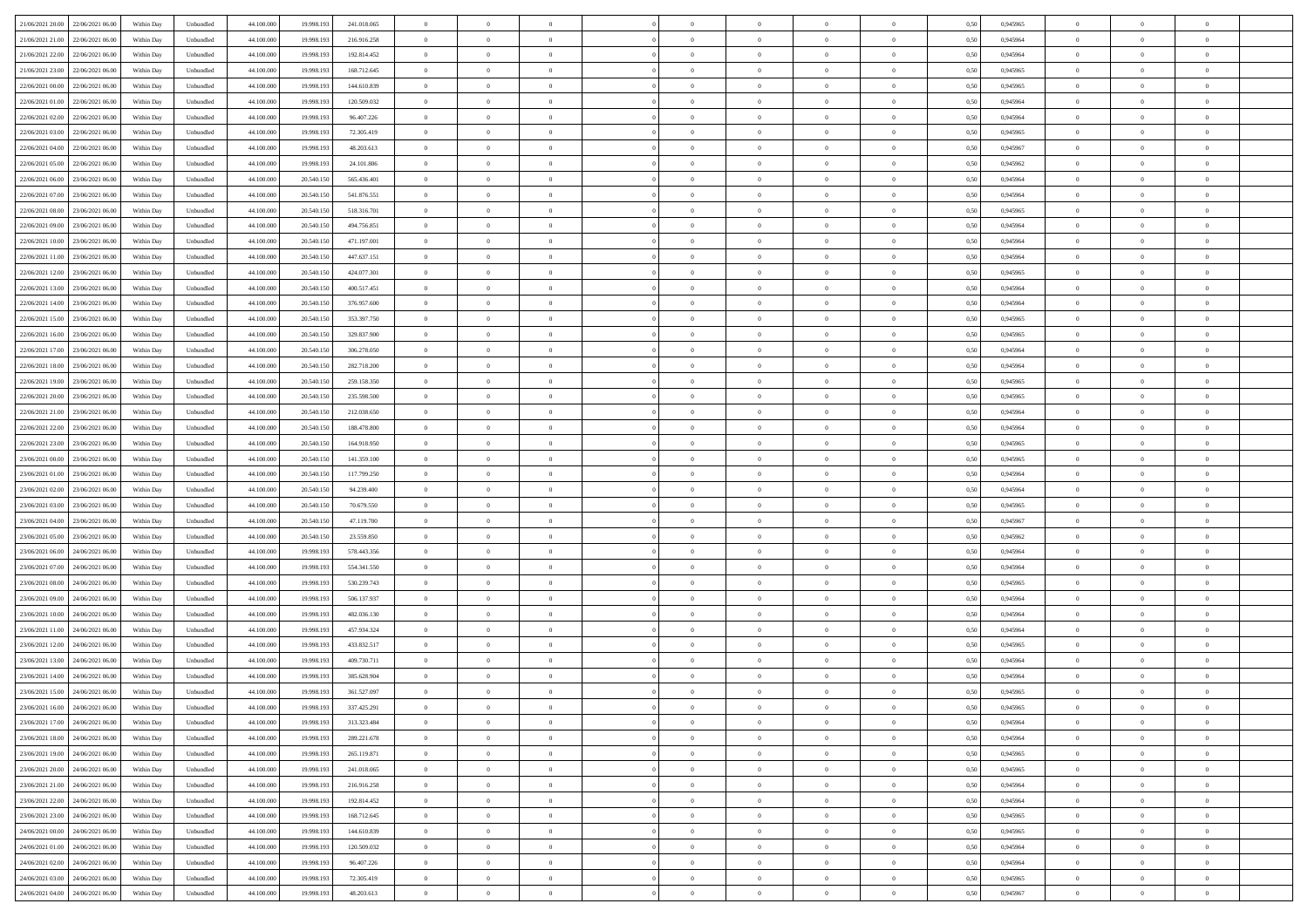| 21/06/2021 20:00<br>22/06/2021 06:00 | Within Day | Unbundled | 44.100.000 | 19.998.193 | 241.018.065 | $\overline{0}$ | $\overline{0}$ | $\overline{0}$ | $\theta$       | $\theta$       |                | $\overline{0}$ | 0,50 | 0,945965 | $\theta$       | $\theta$       | $\theta$       |  |
|--------------------------------------|------------|-----------|------------|------------|-------------|----------------|----------------|----------------|----------------|----------------|----------------|----------------|------|----------|----------------|----------------|----------------|--|
|                                      |            |           |            |            |             |                |                |                |                |                |                |                |      |          |                |                |                |  |
| 21/06/2021 21.00<br>22/06/2021 06.0  | Within Day | Unbundled | 44.100.000 | 19.998.193 | 216.916.258 | $\overline{0}$ | $\overline{0}$ | $\overline{0}$ | $\,0\,$        | $\bf{0}$       | $\overline{0}$ | $\bf{0}$       | 0,50 | 0,945964 | $\,$ 0 $\,$    | $\theta$       | $\overline{0}$ |  |
| 21/06/2021 22.00<br>22/06/2021 06:00 | Within Day | Unbundled | 44,100,000 | 19.998.193 | 192.814.452 | $\overline{0}$ | $\overline{0}$ | $\overline{0}$ | $\bf{0}$       | $\bf{0}$       | $\overline{0}$ | $\mathbf{0}$   | 0.50 | 0.945964 | $\bf{0}$       | $\overline{0}$ | $\overline{0}$ |  |
| 21/06/2021 23:00<br>22/06/2021 06:00 | Within Day | Unbundled | 44.100.000 | 19.998.193 | 168.712.645 | $\overline{0}$ | $\overline{0}$ | $\overline{0}$ | $\overline{0}$ | $\overline{0}$ | $\overline{0}$ | $\bf{0}$       | 0,50 | 0,945965 | $\theta$       | $\theta$       | $\overline{0}$ |  |
| 22/06/2021 00:00<br>22/06/2021 06.0  | Within Day | Unbundled | 44.100.000 | 19.998.193 | 144.610.839 | $\overline{0}$ | $\overline{0}$ | $\bf{0}$       | $\bf{0}$       | $\overline{0}$ | $\overline{0}$ | $\bf{0}$       | 0,50 | 0,945965 | $\,$ 0 $\,$    | $\theta$       | $\overline{0}$ |  |
|                                      |            |           |            |            |             |                |                |                |                |                |                |                |      |          |                |                |                |  |
| 22/06/2021 01:00<br>22/06/2021 06:00 | Within Day | Unbundled | 44,100,000 | 19.998.193 | 120.509.032 | $\overline{0}$ | $\overline{0}$ | $\overline{0}$ | $\overline{0}$ | $\overline{0}$ | $\overline{0}$ | $\mathbf{0}$   | 0.50 | 0.945964 | $\bf{0}$       | $\theta$       | $\overline{0}$ |  |
| 22/06/2021 02:00<br>22/06/2021 06.00 | Within Day | Unbundled | 44.100.000 | 19.998.193 | 96.407.226  | $\overline{0}$ | $\overline{0}$ | $\overline{0}$ | $\overline{0}$ | $\overline{0}$ | $\overline{0}$ | $\bf{0}$       | 0,50 | 0,945964 | $\theta$       | $\theta$       | $\overline{0}$ |  |
| 22/06/2021 03:00<br>22/06/2021 06.0  | Within Day | Unbundled | 44.100.000 | 19.998.193 | 72.305.419  | $\overline{0}$ | $\overline{0}$ | $\overline{0}$ | $\overline{0}$ | $\overline{0}$ | $\overline{0}$ | $\bf{0}$       | 0,50 | 0,945965 | $\,$ 0 $\,$    | $\bf{0}$       | $\overline{0}$ |  |
| 22/06/2021 04:00<br>22/06/2021 06:00 | Within Day | Unbundled | 44,100,000 | 19,998.193 | 48.203.613  | $\overline{0}$ | $\overline{0}$ | $\overline{0}$ | $\overline{0}$ | $\overline{0}$ | $\overline{0}$ | $\mathbf{0}$   | 0.50 | 0.945967 | $\,$ 0 $\,$    | $\theta$       | $\overline{0}$ |  |
| 22/06/2021 05:00<br>22/06/2021 06:00 | Within Day | Unbundled | 44.100.000 | 19.998.193 | 24.101.806  | $\overline{0}$ | $\overline{0}$ | $\overline{0}$ | $\bf{0}$       | $\overline{0}$ | $\overline{0}$ | $\bf{0}$       | 0,50 | 0,945962 | $\,$ 0 $\,$    | $\theta$       | $\overline{0}$ |  |
|                                      |            |           |            |            |             |                |                |                |                |                |                |                |      |          |                |                |                |  |
| 22/06/2021 06:00<br>23/06/2021 06.0  | Within Day | Unbundled | 44.100.000 | 20.540.150 | 565.436.401 | $\overline{0}$ | $\overline{0}$ | $\overline{0}$ | $\bf{0}$       | $\bf{0}$       | $\overline{0}$ | $\bf{0}$       | 0,50 | 0,945964 | $\,$ 0 $\,$    | $\bf{0}$       | $\overline{0}$ |  |
| 22/06/2021 07.00<br>23/06/2021 06:00 | Within Day | Unbundled | 44,100,000 | 20.540.150 | 541.876.551 | $\overline{0}$ | $\overline{0}$ | $\overline{0}$ | $\bf{0}$       | $\bf{0}$       | $\overline{0}$ | $\mathbf{0}$   | 0.50 | 0.945964 | $\bf{0}$       | $\overline{0}$ | $\bf{0}$       |  |
| 22/06/2021 08:00<br>23/06/2021 06:00 | Within Day | Unbundled | 44.100.000 | 20.540.150 | 518.316.701 | $\overline{0}$ | $\overline{0}$ | $\overline{0}$ | $\overline{0}$ | $\overline{0}$ | $\overline{0}$ | $\bf{0}$       | 0,50 | 0,945965 | $\theta$       | $\theta$       | $\overline{0}$ |  |
| 22/06/2021 09:00<br>23/06/2021 06.0  | Within Day | Unbundled | 44.100.000 | 20.540.150 | 494.756.851 | $\overline{0}$ | $\overline{0}$ | $\overline{0}$ | $\bf{0}$       | $\overline{0}$ | $\overline{0}$ | $\bf{0}$       | 0,50 | 0,945964 | $\,$ 0 $\,$    | $\bf{0}$       | $\overline{0}$ |  |
|                                      |            |           |            |            |             |                |                |                |                |                |                |                |      |          |                |                |                |  |
| 22/06/2021 10:00<br>23/06/2021 06:00 | Within Day | Unbundled | 44,100,000 | 20.540.150 | 471.197.001 | $\overline{0}$ | $\overline{0}$ | $\overline{0}$ | $\overline{0}$ | $\overline{0}$ | $\overline{0}$ | $\mathbf{0}$   | 0.50 | 0.945964 | $\,$ 0 $\,$    | $\theta$       | $\overline{0}$ |  |
| 22/06/2021 11:00<br>23/06/2021 06:00 | Within Day | Unbundled | 44.100.000 | 20.540.150 | 447.637.151 | $\overline{0}$ | $\overline{0}$ | $\overline{0}$ | $\overline{0}$ | $\overline{0}$ | $\overline{0}$ | $\bf{0}$       | 0,50 | 0,945964 | $\theta$       | $\theta$       | $\overline{0}$ |  |
| 22/06/2021 12:00<br>23/06/2021 06.0  | Within Day | Unbundled | 44.100.000 | 20.540.150 | 424.077.301 | $\overline{0}$ | $\overline{0}$ | $\overline{0}$ | $\bf{0}$       | $\overline{0}$ | $\overline{0}$ | $\bf{0}$       | 0,50 | 0,945965 | $\,$ 0 $\,$    | $\theta$       | $\overline{0}$ |  |
| 22/06/2021 13:00<br>23/06/2021 06:00 | Within Day | Unbundled | 44,100,000 | 20,540,150 | 400.517.451 | $\overline{0}$ | $\overline{0}$ | $\overline{0}$ | $\overline{0}$ | $\bf{0}$       | $\overline{0}$ | $\mathbf{0}$   | 0.50 | 0.945964 | $\,$ 0 $\,$    | $\overline{0}$ | $\overline{0}$ |  |
| 22/06/2021 14:00<br>23/06/2021 06:00 | Within Day | Unbundled | 44.100.000 | 20.540.150 | 376.957.600 | $\overline{0}$ | $\overline{0}$ | $\overline{0}$ | $\overline{0}$ | $\overline{0}$ | $\overline{0}$ | $\bf{0}$       | 0,50 | 0,945964 | $\,$ 0 $\,$    | $\theta$       | $\overline{0}$ |  |
|                                      |            |           |            |            |             |                |                |                |                |                |                |                |      |          |                |                |                |  |
| 22/06/2021 15:00<br>23/06/2021 06.0  | Within Day | Unbundled | 44.100.000 | 20.540.150 | 353.397.750 | $\overline{0}$ | $\overline{0}$ | $\overline{0}$ | $\bf{0}$       | $\bf{0}$       | $\overline{0}$ | $\bf{0}$       | 0,50 | 0,945965 | $\,$ 0 $\,$    | $\bf{0}$       | $\overline{0}$ |  |
| 22/06/2021 16:00<br>23/06/2021 06:00 | Within Day | Unbundled | 44,100,000 | 20,540,150 | 329,837,900 | $\overline{0}$ | $\overline{0}$ | $\overline{0}$ | $\bf{0}$       | $\bf{0}$       | $\overline{0}$ | $\mathbf{0}$   | 0.50 | 0.945965 | $\bf{0}$       | $\overline{0}$ | $\,$ 0         |  |
| 22/06/2021 17:00<br>23/06/2021 06:00 | Within Day | Unbundled | 44.100.000 | 20.540.150 | 306.278.050 | $\overline{0}$ | $\overline{0}$ | $\overline{0}$ | $\overline{0}$ | $\overline{0}$ | $\overline{0}$ | $\,$ 0 $\,$    | 0,50 | 0,945964 | $\theta$       | $\theta$       | $\overline{0}$ |  |
| 22/06/2021 18:00<br>23/06/2021 06.0  | Within Day | Unbundled | 44.100.000 | 20.540.150 | 282.718.200 | $\overline{0}$ | $\overline{0}$ | $\overline{0}$ | $\bf{0}$       | $\bf{0}$       | $\overline{0}$ | $\bf{0}$       | 0,50 | 0,945964 | $\,$ 0 $\,$    | $\bf{0}$       | $\overline{0}$ |  |
| 22/06/2021 19:00<br>23/06/2021 06:00 | Within Day | Unbundled | 44,100,000 | 20.540.150 | 259.158.350 | $\overline{0}$ | $\overline{0}$ | $\overline{0}$ | $\overline{0}$ | $\overline{0}$ | $\overline{0}$ | $\mathbf{0}$   | 0.50 | 0.945965 | $\bf{0}$       | $\theta$       | $\overline{0}$ |  |
|                                      |            |           |            |            |             |                |                |                |                |                |                |                |      |          |                |                |                |  |
| 22/06/2021 20:00<br>23/06/2021 06:00 | Within Day | Unbundled | 44.100.000 | 20.540.150 | 235.598.500 | $\overline{0}$ | $\overline{0}$ | $\overline{0}$ | $\overline{0}$ | $\overline{0}$ | $\overline{0}$ | $\bf{0}$       | 0,50 | 0,945965 | $\theta$       | $\theta$       | $\overline{0}$ |  |
| 22/06/2021 21:00<br>23/06/2021 06.0  | Within Day | Unbundled | 44.100.000 | 20.540.150 | 212.038.650 | $\overline{0}$ | $\overline{0}$ | $\overline{0}$ | $\bf{0}$       | $\overline{0}$ | $\overline{0}$ | $\bf{0}$       | 0,50 | 0,945964 | $\,$ 0 $\,$    | $\theta$       | $\overline{0}$ |  |
| 22/06/2021 22.00<br>23/06/2021 06:00 | Within Day | Unbundled | 44,100,000 | 20.540.150 | 188,478,800 | $\overline{0}$ | $\overline{0}$ | $\overline{0}$ | $\overline{0}$ | $\overline{0}$ | $\overline{0}$ | $\mathbf{0}$   | 0.50 | 0.945964 | $\,$ 0 $\,$    | $\overline{0}$ | $\overline{0}$ |  |
| 22/06/2021 23:00<br>23/06/2021 06:00 | Within Day | Unbundled | 44.100.000 | 20.540.150 | 164.918.950 | $\overline{0}$ | $\overline{0}$ | $\overline{0}$ | $\overline{0}$ | $\overline{0}$ | $\overline{0}$ | $\bf{0}$       | 0,50 | 0,945965 | $\theta$       | $\theta$       | $\overline{0}$ |  |
|                                      |            |           |            |            |             |                |                |                |                |                |                |                |      |          |                |                |                |  |
| 23/06/2021 00:00<br>23/06/2021 06.0  | Within Day | Unbundled | 44.100.000 | 20.540.150 | 141.359.100 | $\overline{0}$ | $\overline{0}$ | $\overline{0}$ | $\overline{0}$ | $\bf{0}$       | $\overline{0}$ | $\bf{0}$       | 0,50 | 0,945965 | $\,$ 0 $\,$    | $\bf{0}$       | $\overline{0}$ |  |
| 23/06/2021 01:00<br>23/06/2021 06:00 | Within Day | Unbundled | 44,100,000 | 20.540.150 | 117.799.250 | $\overline{0}$ | $\overline{0}$ | $\overline{0}$ | $\bf{0}$       | $\bf{0}$       | $\overline{0}$ | $\mathbf{0}$   | 0.50 | 0.945964 | $\bf{0}$       | $\overline{0}$ | $\bf{0}$       |  |
| 23/06/2021 02:00<br>23/06/2021 06:00 | Within Day | Unbundled | 44.100.000 | 20,540,150 | 94.239.400  | $\overline{0}$ | $\overline{0}$ | $\overline{0}$ | $\overline{0}$ | $\overline{0}$ | $\overline{0}$ | $\overline{0}$ | 0.50 | 0.945964 | $\theta$       | $\theta$       | $\overline{0}$ |  |
| 23/06/2021 03:00<br>23/06/2021 06.0  | Within Day | Unbundled | 44.100.000 | 20.540.150 | 70.679.550  | $\overline{0}$ | $\overline{0}$ | $\overline{0}$ | $\bf{0}$       | $\overline{0}$ | $\overline{0}$ | $\bf{0}$       | 0,50 | 0,945965 | $\,$ 0 $\,$    | $\bf{0}$       | $\overline{0}$ |  |
| 23/06/2021 04:00<br>23/06/2021 06:00 | Within Day | Unbundled | 44,100,000 | 20.540.150 | 47.119.700  | $\overline{0}$ | $\overline{0}$ | $\overline{0}$ | $\overline{0}$ | $\overline{0}$ | $\overline{0}$ | $\mathbf{0}$   | 0.50 | 0.945967 | $\,$ 0 $\,$    | $\theta$       | $\overline{0}$ |  |
| 23/06/2021 05:00<br>23/06/2021 06:00 | Within Day | Unbundled | 44.100.000 | 20.540.150 | 23.559.850  | $\overline{0}$ | $\overline{0}$ | $\overline{0}$ | $\overline{0}$ | $\overline{0}$ | $\Omega$       | $\overline{0}$ | 0.50 | 0,945962 | $\theta$       | $\theta$       | $\overline{0}$ |  |
|                                      |            |           |            |            |             |                |                |                |                |                |                |                |      |          |                |                |                |  |
| 23/06/2021 06:00<br>24/06/2021 06.0  | Within Day | Unbundled | 44.100.000 | 19.998.193 | 578.443.356 | $\overline{0}$ | $\overline{0}$ | $\overline{0}$ | $\bf{0}$       | $\overline{0}$ | $\overline{0}$ | $\bf{0}$       | 0,50 | 0,945964 | $\,$ 0 $\,$    | $\bf{0}$       | $\overline{0}$ |  |
| 23/06/2021 07.00<br>24/06/2021 06:00 | Within Day | Unbundled | 44,100,000 | 19.998.193 | 554.341.550 | $\overline{0}$ | $\overline{0}$ | $\overline{0}$ | $\overline{0}$ | $\bf{0}$       | $\overline{0}$ | $\mathbf{0}$   | 0.50 | 0.945964 | $\,$ 0 $\,$    | $\overline{0}$ | $\overline{0}$ |  |
| 23/06/2021 08:00<br>24/06/2021 06.00 | Within Day | Unbundled | 44.100.000 | 19.998.193 | 530.239.743 | $\overline{0}$ | $\overline{0}$ | $\overline{0}$ | $\overline{0}$ | $\overline{0}$ | $\overline{0}$ | $\overline{0}$ | 0.50 | 0,945965 | $\theta$       | $\theta$       | $\overline{0}$ |  |
| 23/06/2021 09:00<br>24/06/2021 06.0  | Within Day | Unbundled | 44.100.000 | 19.998.193 | 506.137.937 | $\overline{0}$ | $\overline{0}$ | $\overline{0}$ | $\,0\,$        | $\bf{0}$       | $\overline{0}$ | $\bf{0}$       | 0,50 | 0,945964 | $\,$ 0 $\,$    | $\bf{0}$       | $\overline{0}$ |  |
|                                      |            | Unbundled | 44,100,000 | 19.998.193 | 482.036.130 |                |                | $\overline{0}$ |                |                | $\overline{0}$ |                | 0.50 | 0.945964 |                | $\overline{0}$ | $\,$ 0         |  |
| 23/06/2021 10:00<br>24/06/2021 06.00 | Within Day |           |            |            |             | $\overline{0}$ | $\overline{0}$ |                | $\bf{0}$       | $\bf{0}$       |                | $\mathbf{0}$   |      |          | $\bf{0}$       |                |                |  |
| 23/06/2021 11:00<br>24/06/2021 06:00 | Within Day | Unbundled | 44.100.000 | 19.998.193 | 457.934.324 | $\overline{0}$ | $\overline{0}$ | $\overline{0}$ | $\overline{0}$ | $\overline{0}$ | $\overline{0}$ | $\overline{0}$ | 0.50 | 0.945964 | $\theta$       | $\theta$       | $\overline{0}$ |  |
| 23/06/2021 12:00<br>24/06/2021 06.0  | Within Day | Unbundled | 44.100.000 | 19.998.193 | 433.832.517 | $\overline{0}$ | $\overline{0}$ | $\overline{0}$ | $\bf{0}$       | $\bf{0}$       | $\overline{0}$ | $\bf{0}$       | 0,50 | 0,945965 | $\,$ 0 $\,$    | $\bf{0}$       | $\overline{0}$ |  |
| 23/06/2021 13:00<br>24/06/2021 06.00 | Within Day | Unbundled | 44,100,000 | 19.998.193 | 409.730.711 | $\overline{0}$ | $\overline{0}$ | $\overline{0}$ | $\overline{0}$ | $\overline{0}$ | $\Omega$       | $\mathbf{0}$   | 0.50 | 0.945964 | $\,$ 0 $\,$    | $\theta$       | $\overline{0}$ |  |
| 23/06/2021 14:00<br>24/06/2021 06.00 | Within Day | Unbundled | 44.100.000 | 19.998.193 | 385.628.904 | $\overline{0}$ | $\overline{0}$ | $\overline{0}$ | $\overline{0}$ | $\overline{0}$ | $\theta$       | $\overline{0}$ | 0.50 | 0,945964 | $\theta$       | $\theta$       | $\overline{0}$ |  |
| 23/06/2021 15:00<br>24/06/2021 06.00 | Within Day | Unbundled | 44.100.000 | 19.998.193 | 361.527.097 | $\overline{0}$ | $\overline{0}$ | $\bf{0}$       | $\,0\,$        | $\bf{0}$       | $\overline{0}$ | $\bf{0}$       | 0,50 | 0,945965 | $\,$ 0 $\,$    | $\bf{0}$       | $\overline{0}$ |  |
|                                      |            |           |            |            |             |                |                |                |                |                |                |                |      |          |                |                |                |  |
| 23/06/2021 16:00 24/06/2021 06:00    | Within Day | Unbundled | 44.100.000 | 19.998.193 | 337.425.291 | $\bf{0}$       | $\,0\,$        |                | $\bf{0}$       |                |                |                | 0,50 | 0.945965 | $\theta$       | $\overline{0}$ |                |  |
| 23/06/2021 17:00<br>24/06/2021 06:00 | Within Dav | Unbundled | 44.100.000 | 19.998.193 | 313.323.484 | $\overline{0}$ | $\overline{0}$ | $\overline{0}$ | $\overline{0}$ | $\overline{0}$ | $\overline{0}$ | $\overline{0}$ | 0,50 | 0,945964 | $\theta$       | $\theta$       | $\overline{0}$ |  |
| 23/06/2021 18:00<br>24/06/2021 06.0  | Within Day | Unbundled | 44.100.000 | 19.998.193 | 289.221.678 | $\overline{0}$ | $\overline{0}$ | $\overline{0}$ | $\bf{0}$       | $\overline{0}$ | $\overline{0}$ | $\mathbf{0}$   | 0,50 | 0,945964 | $\bf{0}$       | $\overline{0}$ | $\bf{0}$       |  |
| 23/06/2021 19:00 24/06/2021 06:00    | Within Day | Unbundled | 44.100.000 | 19.998.193 | 265.119.871 | $\overline{0}$ | $\overline{0}$ | $\overline{0}$ | $\overline{0}$ | $\bf{0}$       | $\overline{0}$ | $\mathbf{0}$   | 0.50 | 0.945965 | $\overline{0}$ | $\bf{0}$       | $\,$ 0 $\,$    |  |
|                                      |            |           |            |            |             |                |                |                |                |                |                |                |      |          |                |                |                |  |
| 23/06/2021 20:00<br>24/06/2021 06:00 | Within Dav | Unbundled | 44.100.000 | 19.998.193 | 241.018.065 | $\overline{0}$ | $\overline{0}$ | $\overline{0}$ | $\overline{0}$ | $\overline{0}$ | $\overline{0}$ | $\mathbf{0}$   | 0,50 | 0,945965 | $\theta$       | $\theta$       | $\overline{0}$ |  |
| 23/06/2021 21:00<br>24/06/2021 06.00 | Within Day | Unbundled | 44.100.000 | 19.998.193 | 216.916.258 | $\overline{0}$ | $\overline{0}$ | $\overline{0}$ | $\overline{0}$ | $\bf{0}$       | $\overline{0}$ | $\mathbf{0}$   | 0,50 | 0,945964 | $\overline{0}$ | $\bf{0}$       | $\overline{0}$ |  |
| 23/06/2021 22.00<br>24/06/2021 06:00 | Within Day | Unbundled | 44.100.000 | 19.998.193 | 192.814.452 | $\overline{0}$ | $\overline{0}$ | $\overline{0}$ | $\bf{0}$       | $\overline{0}$ | $\overline{0}$ | $\mathbf{0}$   | 0.50 | 0.945964 | $\,$ 0 $\,$    | $\theta$       | $\,$ 0         |  |
| 23/06/2021 23:00<br>24/06/2021 06:00 | Within Dav | Unbundled | 44.100.000 | 19.998.193 | 168.712.645 | $\overline{0}$ | $\overline{0}$ | $\overline{0}$ | $\overline{0}$ | $\overline{0}$ | $\overline{0}$ | $\mathbf{0}$   | 0,50 | 0,945965 | $\overline{0}$ | $\theta$       | $\overline{0}$ |  |
| 24/06/2021 00:00<br>24/06/2021 06.00 | Within Day | Unbundled | 44.100.000 | 19.998.193 | 144.610.839 | $\overline{0}$ | $\overline{0}$ | $\overline{0}$ | $\bf{0}$       | $\overline{0}$ | $\overline{0}$ | $\,$ 0 $\,$    | 0,50 | 0,945965 | $\bf{0}$       | $\bf{0}$       | $\overline{0}$ |  |
|                                      |            |           |            |            |             |                |                |                |                |                |                |                |      |          |                |                |                |  |
| 24/06/2021 01:00<br>24/06/2021 06:00 | Within Day | Unbundled | 44,100,000 | 19.998.193 | 120.509.032 | $\overline{0}$ | $\overline{0}$ | $\overline{0}$ | $\bf{0}$       | $\bf{0}$       | $\overline{0}$ | $\,$ 0 $\,$    | 0.50 | 0.945964 | $\overline{0}$ | $\bf{0}$       | $\,$ 0         |  |
| 24/06/2021 02:00<br>24/06/2021 06:00 | Within Dav | Unbundled | 44.100.000 | 19.998.193 | 96.407.226  | $\overline{0}$ | $\overline{0}$ | $\overline{0}$ | $\overline{0}$ | $\overline{0}$ | $\overline{0}$ | $\mathbf{0}$   | 0,50 | 0,945964 | $\overline{0}$ | $\theta$       | $\overline{0}$ |  |
| 24/06/2021 03:00<br>24/06/2021 06.0  | Within Day | Unbundled | 44.100.000 | 19.998.193 | 72.305.419  | $\overline{0}$ | $\overline{0}$ | $\overline{0}$ | $\overline{0}$ | $\bf{0}$       | $\overline{0}$ | $\mathbf{0}$   | 0,50 | 0,945965 | $\bf{0}$       | $\bf{0}$       | $\overline{0}$ |  |
| 24/06/2021 04.00 24/06/2021 06.00    | Within Day | Unbundled | 44.100.000 | 19.998.193 | 48.203.613  | $\overline{0}$ | $\overline{0}$ | $\overline{0}$ | $\bf{0}$       | $\,$ 0         | $\overline{0}$ | $\,0\,$        | 0,50 | 0,945967 | $\overline{0}$ | $\,$ 0 $\,$    | $\,$ 0 $\,$    |  |
|                                      |            |           |            |            |             |                |                |                |                |                |                |                |      |          |                |                |                |  |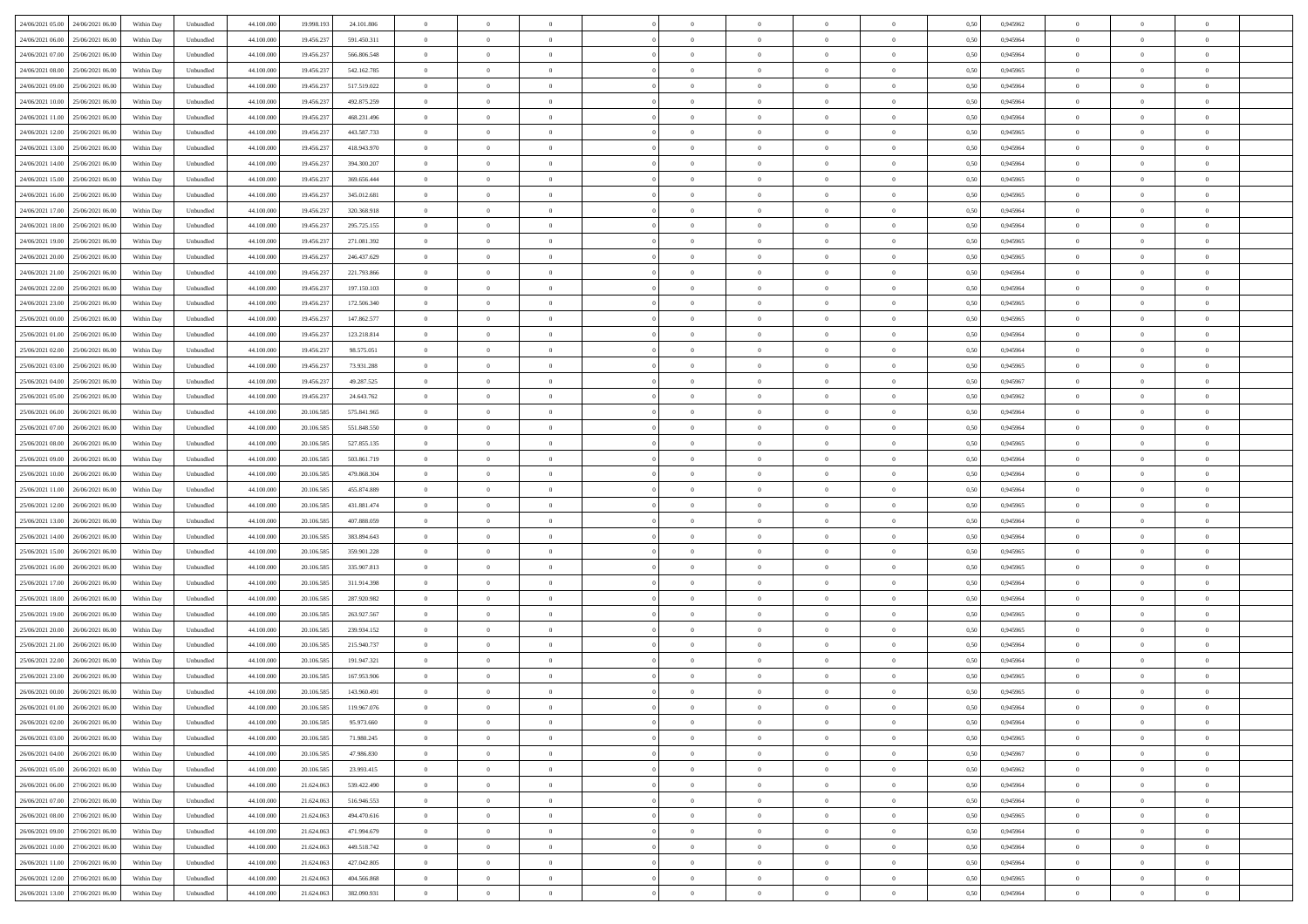| 24/06/2021 05:00 24/06/2021 06:00            | Within Day | Unbundled         | 44.100.000 | 19.998.193 | 24.101.806  | $\overline{0}$ | $\theta$       |                | $\overline{0}$ | $\theta$       |                | $\bf{0}$       | 0,50 | 0,945962 | $\theta$       | $\theta$       | $\overline{0}$ |  |
|----------------------------------------------|------------|-------------------|------------|------------|-------------|----------------|----------------|----------------|----------------|----------------|----------------|----------------|------|----------|----------------|----------------|----------------|--|
| 24/06/2021 06:00<br>25/06/2021 06.00         | Within Day | Unbundled         | 44.100.00  | 19.456.23  | 591.450.311 | $\bf{0}$       | $\overline{0}$ | $\bf{0}$       | $\overline{0}$ | $\bf{0}$       | $\overline{0}$ | $\bf{0}$       | 0,50 | 0,945964 | $\,$ 0 $\,$    | $\bf{0}$       | $\overline{0}$ |  |
| 24/06/2021 07:00<br>25/06/2021 06:00         | Within Day | Unbundled         | 44,100,000 | 19.456.237 | 566,806,548 | $\overline{0}$ | $\overline{0}$ | $\overline{0}$ | $\bf{0}$       | $\bf{0}$       | $\overline{0}$ | $\bf{0}$       | 0.50 | 0.945964 | $\bf{0}$       | $\overline{0}$ | $\overline{0}$ |  |
| 24/06/2021 08:00<br>25/06/2021 06:00         | Within Day | Unbundled         | 44.100.000 | 19.456.237 | 542.162.785 | $\overline{0}$ | $\overline{0}$ | $\overline{0}$ | $\theta$       | $\theta$       | $\overline{0}$ | $\overline{0}$ | 0,50 | 0,945965 | $\theta$       | $\theta$       | $\overline{0}$ |  |
|                                              |            |                   |            |            |             |                |                |                |                |                |                |                |      |          |                |                |                |  |
| 24/06/2021 09:00<br>25/06/2021 06.00         | Within Day | Unbundled         | 44.100.00  | 19.456.23  | 517.519.022 | $\overline{0}$ | $\theta$       | $\overline{0}$ | $\overline{0}$ | $\theta$       | $\overline{0}$ | $\bf{0}$       | 0,50 | 0,945964 | $\,$ 0 $\,$    | $\bf{0}$       | $\overline{0}$ |  |
| 24/06/2021 10:00<br>25/06/2021 06:00         | Within Day | Unbundled         | 44,100,000 | 19.456.23  | 492.875.259 | $\overline{0}$ | $\overline{0}$ | $\overline{0}$ | $\overline{0}$ | $\overline{0}$ | $\Omega$       | $\bf{0}$       | 0.50 | 0.945964 | $\bf{0}$       | $\theta$       | $\overline{0}$ |  |
| 24/06/2021 11:00<br>25/06/2021 06:00         | Within Day | Unbundled         | 44.100.000 | 19.456.237 | 468.231.496 | $\overline{0}$ | $\overline{0}$ | $\overline{0}$ | $\overline{0}$ | $\theta$       | $\overline{0}$ | $\bf{0}$       | 0,50 | 0,945964 | $\theta$       | $\theta$       | $\overline{0}$ |  |
| 24/06/2021 12:00<br>25/06/2021 06.00         | Within Day | Unbundled         | 44.100.00  | 19.456.23  | 443.587.733 | $\bf{0}$       | $\overline{0}$ | $\overline{0}$ | $\overline{0}$ | $\theta$       | $\overline{0}$ | $\bf{0}$       | 0,50 | 0,945965 | $\,$ 0 $\,$    | $\bf{0}$       | $\overline{0}$ |  |
| 24/06/2021 13:00<br>25/06/2021 06:00         | Within Day | Unbundled         | 44,100,000 | 19.456.237 | 418,943,970 | $\overline{0}$ | $\bf{0}$       | $\overline{0}$ | $\bf{0}$       | $\overline{0}$ | $\overline{0}$ | $\bf{0}$       | 0.50 | 0.945964 | $\bf{0}$       | $\theta$       | $\overline{0}$ |  |
| 24/06/2021 14:00<br>25/06/2021 06:00         | Within Day | Unbundled         | 44.100.000 | 19.456.237 | 394.300.207 | $\overline{0}$ | $\bf{0}$       | $\overline{0}$ | $\overline{0}$ | $\theta$       | $\overline{0}$ | $\bf{0}$       | 0,50 | 0,945964 | $\theta$       | $\theta$       | $\overline{0}$ |  |
|                                              |            |                   |            |            |             |                |                |                |                |                |                |                |      |          |                |                |                |  |
| 24/06/2021 15:00<br>25/06/2021 06.00         | Within Day | Unbundled         | 44.100.00  | 19.456.237 | 369.656.444 | $\bf{0}$       | $\overline{0}$ | $\bf{0}$       | $\overline{0}$ | $\bf{0}$       | $\overline{0}$ | $\bf{0}$       | 0,50 | 0,945965 | $\,$ 0 $\,$    | $\bf{0}$       | $\overline{0}$ |  |
| 24/06/2021 16:00<br>25/06/2021 06:00         | Within Day | Unbundled         | 44,100,000 | 19.456.237 | 345.012.681 | $\overline{0}$ | $\overline{0}$ | $\overline{0}$ | $\bf{0}$       | $\bf{0}$       | $\overline{0}$ | $\bf{0}$       | 0.50 | 0.945965 | $\bf{0}$       | $\overline{0}$ | $\overline{0}$ |  |
| 24/06/2021 17:00<br>25/06/2021 06:00         | Within Day | Unbundled         | 44.100.000 | 19.456.237 | 320.368.918 | $\overline{0}$ | $\overline{0}$ | $\overline{0}$ | $\overline{0}$ | $\theta$       | $\overline{0}$ | $\overline{0}$ | 0,50 | 0,945964 | $\theta$       | $\theta$       | $\overline{0}$ |  |
| 24/06/2021 18:00<br>25/06/2021 06.00         | Within Day | Unbundled         | 44.100.00  | 19.456.23  | 295.725.155 | $\bf{0}$       | $\theta$       | $\bf{0}$       | $\overline{0}$ | $\theta$       | $\overline{0}$ | $\bf{0}$       | 0,50 | 0,945964 | $\bf{0}$       | $\bf{0}$       | $\overline{0}$ |  |
| 24/06/2021 19:00<br>25/06/2021 06:00         | Within Day | Unbundled         | 44,100,000 | 19.456.23  | 271.081.392 | $\overline{0}$ | $\overline{0}$ | $\overline{0}$ | $\bf{0}$       | $\theta$       | $\theta$       | $\bf{0}$       | 0.50 | 0.945965 | $\theta$       | $\theta$       | $\overline{0}$ |  |
| 24/06/2021 20:00<br>25/06/2021 06:00         | Within Day | Unbundled         | 44.100.000 | 19.456.237 | 246.437.629 | $\overline{0}$ | $\overline{0}$ | $\overline{0}$ | $\overline{0}$ | $\overline{0}$ | $\overline{0}$ | $\bf{0}$       | 0,50 | 0,945965 | $\theta$       | $\theta$       | $\overline{0}$ |  |
|                                              |            |                   |            |            |             |                |                |                |                |                |                |                |      |          |                |                |                |  |
| 24/06/2021 21:00<br>25/06/2021 06.00         | Within Day | Unbundled         | 44.100.00  | 19.456.23  | 221.793.866 | $\bf{0}$       | $\overline{0}$ | $\overline{0}$ | $\overline{0}$ | $\theta$       | $\overline{0}$ | $\bf{0}$       | 0,50 | 0,945964 | $\,$ 0 $\,$    | $\bf{0}$       | $\overline{0}$ |  |
| 24/06/2021 22.00<br>25/06/2021 06:00         | Within Day | Unbundled         | 44,100,000 | 19.456.23  | 197.150.103 | $\overline{0}$ | $\overline{0}$ | $\overline{0}$ | $\bf{0}$       | $\overline{0}$ | $\overline{0}$ | $\bf{0}$       | 0.50 | 0.945964 | $\bf{0}$       | $\overline{0}$ | $\overline{0}$ |  |
| 24/06/2021 23:00<br>25/06/2021 06:00         | Within Day | Unbundled         | 44.100.000 | 19.456.237 | 172.506.340 | $\overline{0}$ | $\overline{0}$ | $\overline{0}$ | $\overline{0}$ | $\theta$       | $\overline{0}$ | $\bf{0}$       | 0,50 | 0,945965 | $\,$ 0 $\,$    | $\theta$       | $\overline{0}$ |  |
| 25/06/2021 00:00<br>25/06/2021 06.00         | Within Day | Unbundled         | 44.100.00  | 19.456.23  | 147.862.577 | $\bf{0}$       | $\overline{0}$ | $\bf{0}$       | $\bf{0}$       | $\overline{0}$ | $\overline{0}$ | $\bf{0}$       | 0,50 | 0,945965 | $\,$ 0 $\,$    | $\bf{0}$       | $\overline{0}$ |  |
| 25/06/2021 01:00<br>25/06/2021 06:00         | Within Day | Unbundled         | 44,100,000 | 19.456.237 | 123.218.814 | $\overline{0}$ | $\bf{0}$       | $\overline{0}$ | $\bf{0}$       | $\overline{0}$ | $\overline{0}$ | $\bf{0}$       | 0.50 | 0.945964 | $\bf{0}$       | $\overline{0}$ | $\overline{0}$ |  |
| 25/06/2021 02:00<br>25/06/2021 06:00         | Within Day | Unbundled         | 44.100.000 | 19.456.237 | 98.575.051  | $\overline{0}$ | $\overline{0}$ | $\overline{0}$ | $\overline{0}$ | $\theta$       | $\overline{0}$ | $\bf{0}$       | 0,50 | 0,945964 | $\theta$       | $\theta$       | $\overline{0}$ |  |
|                                              |            |                   |            |            |             |                |                |                |                |                |                |                |      |          |                |                |                |  |
| 25/06/2021 03:00<br>25/06/2021 06.00         | Within Day | Unbundled         | 44.100.00  | 19.456.23  | 73.931.288  | $\bf{0}$       | $\overline{0}$ | $\bf{0}$       | $\overline{0}$ | $\theta$       | $\overline{0}$ | $\bf{0}$       | 0,50 | 0,945965 | $\,$ 0 $\,$    | $\bf{0}$       | $\overline{0}$ |  |
| 25/06/2021 04:00<br>25/06/2021 06:00         | Within Day | Unbundled         | 44,100,000 | 19.456.23  | 49.287.525  | $\overline{0}$ | $\overline{0}$ | $\overline{0}$ | $\overline{0}$ | $\overline{0}$ | $\Omega$       | $\bf{0}$       | 0.50 | 0.945967 | $\bf{0}$       | $\theta$       | $\overline{0}$ |  |
| 25/06/2021 05:00<br>25/06/2021 06:00         | Within Day | Unbundled         | 44.100.000 | 19.456.237 | 24.643.762  | $\overline{0}$ | $\overline{0}$ | $\overline{0}$ | $\overline{0}$ | $\theta$       | $\overline{0}$ | $\bf{0}$       | 0,50 | 0,945962 | $\theta$       | $\theta$       | $\overline{0}$ |  |
| 25/06/2021 06:00<br>26/06/2021 06.00         | Within Day | Unbundled         | 44.100.00  | 20.106.58  | 575.841.965 | $\bf{0}$       | $\theta$       | $\overline{0}$ | $\overline{0}$ | $\theta$       | $\overline{0}$ | $\bf{0}$       | 0,50 | 0,945964 | $\,$ 0 $\,$    | $\bf{0}$       | $\overline{0}$ |  |
| 25/06/2021 07:00<br>26/06/2021 06:00         | Within Day | Unbundled         | 44,100,00  | 20,106.58  | 551.848.550 | $\overline{0}$ | $\bf{0}$       | $\overline{0}$ | $\bf{0}$       | $\overline{0}$ | $\overline{0}$ | $\bf{0}$       | 0.50 | 0.945964 | $\bf{0}$       | $\theta$       | $\overline{0}$ |  |
| 25/06/2021 08:00<br>26/06/2021 06:00         | Within Day | Unbundled         | 44.100.000 | 20.106.585 | 527.855.135 | $\overline{0}$ | $\overline{0}$ | $\overline{0}$ | $\overline{0}$ | $\theta$       | $\overline{0}$ | $\bf{0}$       | 0,50 | 0,945965 | $\theta$       | $\theta$       | $\overline{0}$ |  |
| 26/06/2021 06.00                             | Within Day | Unbundled         | 44.100.00  | 20.106.58  | 503.861.719 | $\bf{0}$       | $\bf{0}$       | $\bf{0}$       | $\bf{0}$       | $\overline{0}$ | $\overline{0}$ | $\bf{0}$       | 0,50 | 0,945964 | $\,$ 0 $\,$    | $\bf{0}$       | $\overline{0}$ |  |
| 25/06/2021 09:00                             |            |                   |            |            |             |                |                |                |                |                |                |                |      |          |                |                |                |  |
| 25/06/2021 10:00<br>26/06/2021 06:00         | Within Day | Unbundled         | 44,100,000 | 20,106.58  | 479.868.304 | $\overline{0}$ | $\bf{0}$       | $\overline{0}$ | $\bf{0}$       | $\bf{0}$       | $\overline{0}$ | $\bf{0}$       | 0.50 | 0.945964 | $\bf{0}$       | $\overline{0}$ | $\overline{0}$ |  |
| 25/06/2021 11:00<br>26/06/2021 06:00         | Within Day | Unbundled         | 44.100.000 | 20.106.58  | 455.874.889 | $\overline{0}$ | $\overline{0}$ | $\overline{0}$ | $\overline{0}$ | $\theta$       | $\overline{0}$ | $\bf{0}$       | 0.5( | 0.945964 | $\theta$       | $\theta$       | $\overline{0}$ |  |
| 25/06/2021 12:00<br>26/06/2021 06.00         | Within Day | Unbundled         | 44.100.00  | 20.106.58  | 431.881.474 | $\bf{0}$       | $\overline{0}$ | $\bf{0}$       | $\overline{0}$ | $\theta$       | $\overline{0}$ | $\bf{0}$       | 0,50 | 0,945965 | $\,$ 0 $\,$    | $\bf{0}$       | $\overline{0}$ |  |
| 25/06/2021 13:00<br>26/06/2021 06:00         | Within Day | Unbundled         | 44,100,000 | 20,106.58  | 407.888.059 | $\overline{0}$ | $\overline{0}$ | $\overline{0}$ | $\bf{0}$       | $\bf{0}$       | $\Omega$       | $\bf{0}$       | 0.50 | 0.945964 | $\,$ 0 $\,$    | $\overline{0}$ | $\overline{0}$ |  |
| 25/06/2021 14:00<br>26/06/2021 06:00         | Within Dav | Unbundled         | 44.100.000 | 20.106.585 | 383.894.643 | $\overline{0}$ | $\theta$       | $\Omega$       | $\overline{0}$ | $\theta$       | $\overline{0}$ | $\overline{0}$ | 0.50 | 0,945964 | $\theta$       | $\theta$       | $\overline{0}$ |  |
| 25/06/2021 15:00<br>26/06/2021 06.00         | Within Day | Unbundled         | 44.100.00  | 20.106.58  | 359.901.228 | $\bf{0}$       | $\overline{0}$ | $\bf{0}$       | $\overline{0}$ | $\bf{0}$       | $\overline{0}$ | $\bf{0}$       | 0,50 | 0,945965 | $\,$ 0 $\,$    | $\bf{0}$       | $\overline{0}$ |  |
| 25/06/2021 16:00<br>26/06/2021 06:00         | Within Day | Unbundled         | 44,100,00  | 20,106.58  | 335.907.813 | $\overline{0}$ | $\bf{0}$       | $\overline{0}$ | $\bf{0}$       | $\overline{0}$ | $\overline{0}$ | $\bf{0}$       | 0.50 | 0.945965 | $\bf{0}$       | $\overline{0}$ | $\overline{0}$ |  |
|                                              |            |                   |            |            |             |                |                |                |                |                |                |                |      |          |                |                |                |  |
| 25/06/2021 17:00<br>26/06/2021 06:00         | Within Dav | Unbundled         | 44.100.000 | 20.106.58  | 311.914.398 | $\overline{0}$ | $\overline{0}$ | $\overline{0}$ | $\overline{0}$ | $\overline{0}$ | $\overline{0}$ | $\overline{0}$ | 0.50 | 0,945964 | $\theta$       | $\theta$       | $\overline{0}$ |  |
| 25/06/2021 18:00<br>26/06/2021 06.00         | Within Day | Unbundled         | 44.100.00  | 20.106.58  | 287.920.982 | $\bf{0}$       | $\bf{0}$       | $\bf{0}$       | $\bf{0}$       | $\overline{0}$ | $\overline{0}$ | $\bf{0}$       | 0,50 | 0,945964 | $\,$ 0 $\,$    | $\bf{0}$       | $\overline{0}$ |  |
| 25/06/2021 19:00<br>26/06/2021 06:00         | Within Day | Unbundled         | 44,100,000 | 20.106.585 | 263.927.567 | $\overline{0}$ | $\bf{0}$       | $\overline{0}$ | $\bf{0}$       | $\bf{0}$       | $\overline{0}$ | $\bf{0}$       | 0.50 | 0.945965 | $\bf{0}$       | $\overline{0}$ | $\overline{0}$ |  |
| 25/06/2021 20:00<br>26/06/2021 06:00         | Within Dav | Unbundled         | 44.100.000 | 20.106.58  | 239.934.152 | $\overline{0}$ | $\overline{0}$ | $\Omega$       | $\overline{0}$ | $\overline{0}$ | $\overline{0}$ | $\bf{0}$       | 0.50 | 0.945965 | $\theta$       | $\theta$       | $\overline{0}$ |  |
| 25/06/2021 21:00<br>26/06/2021 06.00         | Within Day | Unbundled         | 44.100.00  | 20.106.585 | 215.940.737 | $\bf{0}$       | $\overline{0}$ | $\bf{0}$       | $\overline{0}$ | $\overline{0}$ | $\overline{0}$ | $\bf{0}$       | 0,50 | 0,945964 | $\,$ 0 $\,$    | $\bf{0}$       | $\overline{0}$ |  |
| 25/06/2021 22:00<br>26/06/2021 06.00         | Within Day | Unbundled         | 44,100,00  | 20,106.58  | 191.947.321 | $\overline{0}$ | $\overline{0}$ | $\Omega$       | $\overline{0}$ | $\theta$       | $\theta$       | $\bf{0}$       | 0.50 | 0.945964 | $\,$ 0 $\,$    | $\overline{0}$ | $\overline{0}$ |  |
| 25/06/2021 23:00<br>26/06/2021 06:00         | Within Dav | Unbundled         | 44.100.000 | 20.106.58  | 167.953.906 | $\overline{0}$ | $\overline{0}$ | $\Omega$       | $\overline{0}$ | $\theta$       | $\Omega$       | $\overline{0}$ | 0.5( | 0,945965 | $\theta$       | $\theta$       | $\overline{0}$ |  |
| 26/06/2021 00:00                             |            |                   |            |            |             | $\bf{0}$       | $\bf{0}$       | $\overline{0}$ | $\bf{0}$       | $\bf{0}$       | $\overline{0}$ | $\bf{0}$       |      |          | $\,$ 0 $\,$    | $\bf{0}$       | $\overline{0}$ |  |
| 26/06/2021 06.00                             | Within Day | Unbundled         | 44.100.000 | 20.106.585 | 143.960.491 |                |                |                |                |                |                |                | 0,50 | 0,945965 |                |                |                |  |
| $26/06/2021\ 01.00 \qquad 26/06/2021\ 06.00$ | Within Day | ${\sf Unbundred}$ | 44.100.000 | 20.106.585 | 119.967.076 | $\overline{0}$ | $\Omega$       |                | $\Omega$       |                |                |                | 0,50 | 0.945964 | $\theta$       | $\overline{0}$ |                |  |
| 26/06/2021 02:00 26/06/2021 06:00            | Within Day | Unbundled         | 44.100.000 | 20.106.585 | 95.973.660  | $\overline{0}$ | $\theta$       | $\Omega$       | $\theta$       | $\overline{0}$ | $\overline{0}$ | $\bf{0}$       | 0,50 | 0,945964 | $\theta$       | $\theta$       | $\overline{0}$ |  |
| 26/06/2021 03:00<br>26/06/2021 06.00         | Within Day | Unbundled         | 44.100.00  | 20.106.585 | 71.980.245  | $\overline{0}$ | $\bf{0}$       | $\overline{0}$ | $\overline{0}$ | $\bf{0}$       | $\overline{0}$ | $\bf{0}$       | 0,50 | 0,945965 | $\bf{0}$       | $\overline{0}$ | $\bf{0}$       |  |
| 26/06/2021 04:00<br>26/06/2021 06:00         | Within Day | Unbundled         | 44,100,000 | 20.106.585 | 47,986,830  | $\overline{0}$ | $\bf{0}$       | $\overline{0}$ | $\overline{0}$ | $\overline{0}$ | $\overline{0}$ | $\bf{0}$       | 0.50 | 0.945967 | $\mathbf{0}$   | $\bf{0}$       | $\,$ 0 $\,$    |  |
| 26/06/2021 05:00 26/06/2021 06:00            | Within Dav | Unbundled         | 44.100.000 | 20.106.585 | 23.993.415  | $\overline{0}$ | $\overline{0}$ | $\overline{0}$ | $\overline{0}$ | $\overline{0}$ | $\overline{0}$ | $\bf{0}$       | 0,50 | 0,945962 | $\theta$       | $\theta$       | $\overline{0}$ |  |
| 26/06/2021 06:00<br>27/06/2021 06:00         | Within Day | Unbundled         | 44.100.000 | 21.624.063 | 539.422.490 | $\overline{0}$ | $\bf{0}$       | $\overline{0}$ | $\bf{0}$       | $\overline{0}$ | $\overline{0}$ | $\bf{0}$       | 0,50 | 0,945964 | $\overline{0}$ | $\bf{0}$       | $\overline{0}$ |  |
|                                              |            |                   |            |            |             |                |                |                |                |                |                |                |      |          |                |                |                |  |
| 26/06/2021 07:00<br>27/06/2021 06:00         | Within Day | Unbundled         | 44,100,000 | 21.624.063 | 516,946,553 | $\overline{0}$ | $\bf{0}$       | $\overline{0}$ | $\overline{0}$ | $\overline{0}$ | $\overline{0}$ | $\bf{0}$       | 0.50 | 0.945964 | $\,$ 0 $\,$    | $\theta$       | $\overline{0}$ |  |
| 26/06/2021 08:00<br>27/06/2021 06:00         | Within Dav | Unbundled         | 44.100.000 | 21.624.063 | 494.470.616 | $\overline{0}$ | $\overline{0}$ | $\overline{0}$ | $\overline{0}$ | $\overline{0}$ | $\overline{0}$ | $\bf{0}$       | 0.50 | 0,945965 | $\overline{0}$ | $\theta$       | $\overline{0}$ |  |
| 26/06/2021 09:00<br>27/06/2021 06:00         | Within Day | Unbundled         | 44.100.00  | 21.624.063 | 471.994.679 | $\overline{0}$ | $\overline{0}$ | $\overline{0}$ | $\overline{0}$ | $\bf{0}$       | $\overline{0}$ | $\bf{0}$       | 0,50 | 0,945964 | $\bf{0}$       | $\overline{0}$ | $\overline{0}$ |  |
| 26/06/2021 10:00 27/06/2021 06:00            | Within Day | Unbundled         | 44,100,000 | 21.624.063 | 449.518.742 | $\overline{0}$ | $\overline{0}$ | $\overline{0}$ | $\overline{0}$ | $\bf{0}$       | $\overline{0}$ | $\bf{0}$       | 0.50 | 0.945964 | $\overline{0}$ | $\,$ 0 $\,$    | $\,$ 0         |  |
| 26/06/2021 11:00 27/06/2021 06:00            | Within Dav | Unbundled         | 44.100.000 | 21.624.063 | 427.042.805 | $\overline{0}$ | $\overline{0}$ | $\overline{0}$ | $\overline{0}$ | $\overline{0}$ | $\overline{0}$ | $\bf{0}$       | 0,50 | 0,945964 | $\overline{0}$ | $\theta$       | $\overline{0}$ |  |
| 26/06/2021 12:00<br>27/06/2021 06:00         | Within Day | Unbundled         | 44.100.00  | 21.624.06  | 404.566.868 | $\overline{0}$ | $\bf{0}$       | $\overline{0}$ | $\bf{0}$       | $\overline{0}$ | $\overline{0}$ | $\bf{0}$       | 0,50 | 0,945965 | $\bf{0}$       | $\bf{0}$       | $\overline{0}$ |  |
|                                              |            |                   |            |            |             |                |                |                |                |                |                |                |      |          |                |                |                |  |
| 26/06/2021 13:00 27/06/2021 06:00            | Within Day | Unbundled         | 44.100.000 | 21.624.063 | 382.090.931 | $\overline{0}$ | $\bf{0}$       | $\overline{0}$ | $\overline{0}$ | $\,$ 0 $\,$    | $\overline{0}$ | $\bf{0}$       | 0,50 | 0,945964 | $\overline{0}$ | $\,$ 0 $\,$    | $\,$ 0 $\,$    |  |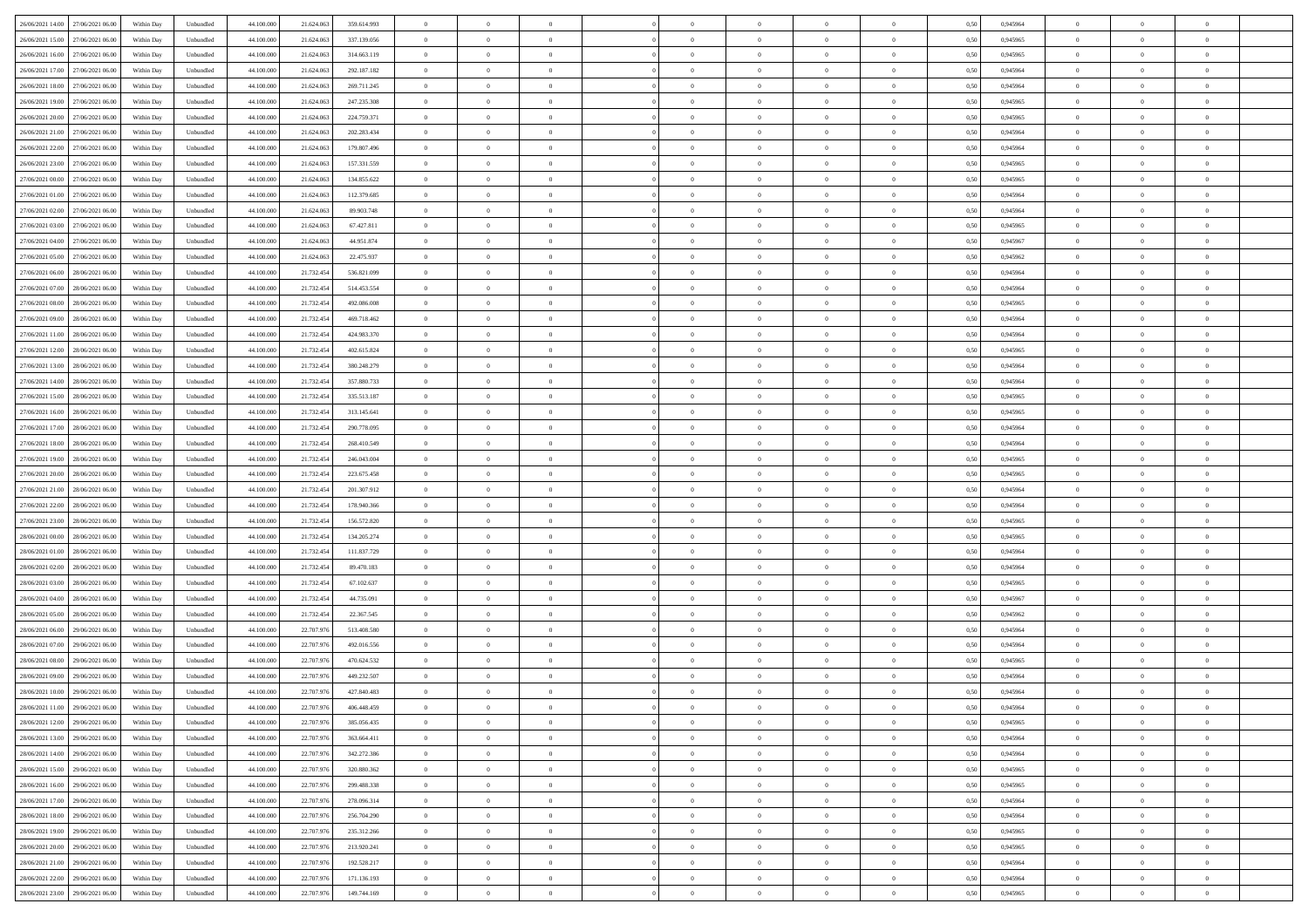| 26/06/2021 14:00 27/06/2021 06:00       | Within Day | Unbundled                   | 44.100.000 | 21.624.063 | 359.614.993 | $\overline{0}$ | $\theta$       |                | $\overline{0}$ | $\theta$       |                | $\bf{0}$       | 0,50 | 0,945964 | $\theta$       | $\theta$       | $\overline{0}$ |  |
|-----------------------------------------|------------|-----------------------------|------------|------------|-------------|----------------|----------------|----------------|----------------|----------------|----------------|----------------|------|----------|----------------|----------------|----------------|--|
| 26/06/2021 15:00<br>27/06/2021 06.00    | Within Day | Unbundled                   | 44.100.00  | 21.624.06  | 337.139.056 | $\bf{0}$       | $\overline{0}$ | $\overline{0}$ | $\overline{0}$ | $\theta$       | $\overline{0}$ | $\bf{0}$       | 0,50 | 0,945965 | $\,$ 0 $\,$    | $\bf{0}$       | $\overline{0}$ |  |
| 26/06/2021 16:00<br>27/06/2021 06:00    | Within Day | Unbundled                   | 44,100,000 | 21.624.063 | 314.663.119 | $\overline{0}$ | $\overline{0}$ | $\overline{0}$ | $\bf{0}$       | $\bf{0}$       | $\overline{0}$ | $\bf{0}$       | 0.50 | 0.945965 | $\bf{0}$       | $\overline{0}$ | $\overline{0}$ |  |
| 26/06/2021 17:00<br>27/06/2021 06:00    |            |                             | 44.100.000 |            |             | $\overline{0}$ | $\overline{0}$ | $\overline{0}$ | $\theta$       | $\theta$       | $\overline{0}$ | $\overline{0}$ |      |          | $\theta$       | $\theta$       | $\overline{0}$ |  |
|                                         | Within Day | Unbundled                   |            | 21.624.063 | 292.187.182 |                |                |                |                |                |                |                | 0,50 | 0,945964 |                |                |                |  |
| 26/06/2021 18:00<br>27/06/2021 06.00    | Within Day | Unbundled                   | 44.100.00  | 21.624.06  | 269.711.245 | $\overline{0}$ | $\theta$       | $\overline{0}$ | $\overline{0}$ | $\theta$       | $\overline{0}$ | $\bf{0}$       | 0,50 | 0,945964 | $\bf{0}$       | $\bf{0}$       | $\overline{0}$ |  |
| 26/06/2021 19:00<br>27/06/2021 06:00    | Within Day | Unbundled                   | 44,100,00  | 21.624.063 | 247.235.308 | $\overline{0}$ | $\overline{0}$ | $\overline{0}$ | $\overline{0}$ | $\overline{0}$ | $\Omega$       | $\bf{0}$       | 0.50 | 0.945965 | $\bf{0}$       | $\theta$       | $\overline{0}$ |  |
| 26/06/2021 20:00<br>27/06/2021 06:00    | Within Day | Unbundled                   | 44.100.000 | 21.624.063 | 224.759.371 | $\overline{0}$ | $\overline{0}$ | $\overline{0}$ | $\overline{0}$ | $\overline{0}$ | $\overline{0}$ | $\bf{0}$       | 0,50 | 0,945965 | $\theta$       | $\theta$       | $\overline{0}$ |  |
|                                         |            |                             |            |            |             |                |                |                |                |                |                |                |      |          |                |                |                |  |
| 26/06/2021 21:00<br>27/06/2021 06.00    | Within Day | Unbundled                   | 44.100.00  | 21.624.06  | 202.283.434 | $\bf{0}$       | $\overline{0}$ | $\overline{0}$ | $\overline{0}$ | $\theta$       | $\overline{0}$ | $\bf{0}$       | 0,50 | 0,945964 | $\,$ 0 $\,$    | $\bf{0}$       | $\overline{0}$ |  |
| 26/06/2021 22.00<br>27/06/2021 06:00    | Within Day | Unbundled                   | 44,100,00  | 21.624.06  | 179.807.496 | $\overline{0}$ | $\overline{0}$ | $\overline{0}$ | $\bf{0}$       | $\overline{0}$ | $\overline{0}$ | $\bf{0}$       | 0.50 | 0.945964 | $\bf{0}$       | $\theta$       | $\overline{0}$ |  |
| 26/06/2021 23:00<br>27/06/2021 06:00    | Within Day | Unbundled                   | 44.100.000 | 21.624.063 | 157.331.559 | $\overline{0}$ | $\bf{0}$       | $\overline{0}$ | $\overline{0}$ | $\theta$       | $\overline{0}$ | $\bf{0}$       | 0,50 | 0,945965 | $\,$ 0 $\,$    | $\theta$       | $\overline{0}$ |  |
| 27/06/2021 00:00<br>27/06/2021 06.00    | Within Day | Unbundled                   | 44.100.00  | 21.624.06  | 134.855.622 | $\bf{0}$       | $\overline{0}$ | $\bf{0}$       | $\overline{0}$ | $\bf{0}$       | $\overline{0}$ | $\bf{0}$       | 0,50 | 0,945965 | $\,$ 0 $\,$    | $\bf{0}$       | $\overline{0}$ |  |
|                                         |            |                             |            |            |             |                |                |                |                |                |                |                |      |          |                |                |                |  |
| 27/06/2021 01:00<br>27/06/2021 06:00    | Within Day | Unbundled                   | 44,100,000 | 21.624.063 | 112.379.685 | $\overline{0}$ | $\overline{0}$ | $\overline{0}$ | $\bf{0}$       | $\bf{0}$       | $\overline{0}$ | $\bf{0}$       | 0.50 | 0.945964 | $\bf{0}$       | $\overline{0}$ | $\overline{0}$ |  |
| 27/06/2021 02:00<br>27/06/2021 06:00    | Within Day | Unbundled                   | 44.100.000 | 21.624.063 | 89.903.748  | $\overline{0}$ | $\overline{0}$ | $\overline{0}$ | $\overline{0}$ | $\theta$       | $\overline{0}$ | $\overline{0}$ | 0,50 | 0,945964 | $\theta$       | $\theta$       | $\overline{0}$ |  |
| 27/06/2021 03:00<br>27/06/2021 06.00    | Within Day | Unbundled                   | 44.100.00  | 21.624.06  | 67.427.811  | $\bf{0}$       | $\theta$       | $\bf{0}$       | $\overline{0}$ | $\theta$       | $\overline{0}$ | $\bf{0}$       | 0,50 | 0,945965 | $\bf{0}$       | $\bf{0}$       | $\overline{0}$ |  |
|                                         |            |                             |            |            |             |                |                |                |                |                |                |                |      |          |                |                |                |  |
| 27/06/2021 04:00<br>27/06/2021 06.00    | Within Day | Unbundled                   | 44,100,00  | 21.624.063 | 44.951.874  | $\overline{0}$ | $\overline{0}$ | $\overline{0}$ | $\bf{0}$       | $\theta$       | $\theta$       | $\bf{0}$       | 0.50 | 0.945967 | $\theta$       | $\theta$       | $\overline{0}$ |  |
| 27/06/2021 05:00<br>27/06/2021 06:00    | Within Day | Unbundled                   | 44.100.000 | 21.624.063 | 22.475.937  | $\overline{0}$ | $\overline{0}$ | $\overline{0}$ | $\overline{0}$ | $\overline{0}$ | $\overline{0}$ | $\bf{0}$       | 0,50 | 0,945962 | $\theta$       | $\theta$       | $\overline{0}$ |  |
| 27/06/2021 06:00<br>28/06/2021 06.00    | Within Day | Unbundled                   | 44.100.00  | 21.732.454 | 536.821.099 | $\bf{0}$       | $\overline{0}$ | $\overline{0}$ | $\overline{0}$ | $\theta$       | $\overline{0}$ | $\bf{0}$       | 0,50 | 0,945964 | $\,$ 0 $\,$    | $\bf{0}$       | $\overline{0}$ |  |
| 27/06/2021 07:00<br>28/06/2021 06:00    | Within Day | Unbundled                   | 44,100,00  | 21.732.45  | 514.453.554 | $\overline{0}$ | $\overline{0}$ | $\overline{0}$ | $\bf{0}$       | $\overline{0}$ | $\overline{0}$ | $\bf{0}$       | 0.50 | 0.945964 | $\bf{0}$       | $\overline{0}$ | $\overline{0}$ |  |
| 27/06/2021 08:00<br>28/06/2021 06:00    | Within Day | Unbundled                   | 44.100.000 | 21.732.454 | 492.086.008 | $\overline{0}$ | $\overline{0}$ | $\overline{0}$ | $\overline{0}$ | $\theta$       | $\overline{0}$ | $\bf{0}$       | 0,50 | 0,945965 | $\,$ 0 $\,$    | $\theta$       | $\overline{0}$ |  |
|                                         |            |                             |            |            |             |                |                |                |                |                |                |                |      |          |                |                |                |  |
| 27/06/2021 09:00<br>28/06/2021 06.00    | Within Day | Unbundled                   | 44.100.00  | 21.732.45  | 469.718.462 | $\bf{0}$       | $\overline{0}$ | $\bf{0}$       | $\bf{0}$       | $\overline{0}$ | $\overline{0}$ | $\bf{0}$       | 0,50 | 0,945964 | $\,$ 0 $\,$    | $\bf{0}$       | $\overline{0}$ |  |
| $27/06/2021\ 11.00$<br>28/06/2021 06:00 | Within Day | Unbundled                   | 44,100,000 | 21.732.454 | 424.983.370 | $\overline{0}$ | $\overline{0}$ | $\overline{0}$ | $\bf{0}$       | $\overline{0}$ | $\overline{0}$ | $\bf{0}$       | 0.50 | 0.945964 | $\bf{0}$       | $\overline{0}$ | $\overline{0}$ |  |
| 27/06/2021 12:00<br>28/06/2021 06:00    | Within Day | Unbundled                   | 44.100.000 | 21.732.454 | 402.615.824 | $\overline{0}$ | $\overline{0}$ | $\overline{0}$ | $\overline{0}$ | $\theta$       | $\overline{0}$ | $\bf{0}$       | 0,50 | 0,945965 | $\theta$       | $\theta$       | $\overline{0}$ |  |
|                                         |            |                             |            |            |             |                | $\overline{0}$ |                | $\overline{0}$ | $\theta$       | $\overline{0}$ |                |      |          | $\,$ 0 $\,$    | $\bf{0}$       | $\overline{0}$ |  |
| 27/06/2021 13:00<br>28/06/2021 06.00    | Within Day | Unbundled                   | 44.100.00  | 21.732.45  | 380.248.279 | $\bf{0}$       |                | $\bf{0}$       |                |                |                | $\bf{0}$       | 0,50 | 0,945964 |                |                |                |  |
| 27/06/2021 14:00<br>28/06/2021 06:00    | Within Day | Unbundled                   | 44,100,00  | 21.732.454 | 357,880,733 | $\overline{0}$ | $\overline{0}$ | $\overline{0}$ | $\overline{0}$ | $\overline{0}$ | $\Omega$       | $\bf{0}$       | 0.50 | 0.945964 | $\bf{0}$       | $\theta$       | $\overline{0}$ |  |
| 27/06/2021 15:00<br>28/06/2021 06:00    | Within Day | Unbundled                   | 44.100.000 | 21.732.454 | 335.513.187 | $\overline{0}$ | $\overline{0}$ | $\overline{0}$ | $\overline{0}$ | $\theta$       | $\overline{0}$ | $\bf{0}$       | 0,50 | 0,945965 | $\theta$       | $\theta$       | $\overline{0}$ |  |
| 27/06/2021 16:00<br>28/06/2021 06.00    | Within Day | Unbundled                   | 44.100.00  | 21.732.45  | 313.145.641 | $\bf{0}$       | $\theta$       | $\overline{0}$ | $\overline{0}$ | $\theta$       | $\overline{0}$ | $\bf{0}$       | 0,50 | 0,945965 | $\,$ 0 $\,$    | $\bf{0}$       | $\overline{0}$ |  |
| 27/06/2021 17:00<br>28/06/2021 06:00    | Within Day | Unbundled                   | 44,100,00  | 21.732.454 | 290.778.095 | $\overline{0}$ | $\bf{0}$       | $\overline{0}$ | $\bf{0}$       | $\overline{0}$ | $\overline{0}$ | $\bf{0}$       | 0.50 | 0.945964 | $\bf{0}$       | $\theta$       | $\overline{0}$ |  |
|                                         |            |                             |            |            |             |                |                |                |                |                |                |                |      |          |                |                |                |  |
| 27/06/2021 18:00<br>28/06/2021 06:00    | Within Day | Unbundled                   | 44.100.000 | 21.732.454 | 268.410.549 | $\overline{0}$ | $\overline{0}$ | $\overline{0}$ | $\overline{0}$ | $\theta$       | $\overline{0}$ | $\bf{0}$       | 0,50 | 0,945964 | $\theta$       | $\theta$       | $\overline{0}$ |  |
| 27/06/2021 19:00<br>28/06/2021 06.00    | Within Day | Unbundled                   | 44.100.00  | 21.732.454 | 246.043.004 | $\bf{0}$       | $\bf{0}$       | $\bf{0}$       | $\bf{0}$       | $\overline{0}$ | $\overline{0}$ | $\bf{0}$       | 0,50 | 0,945965 | $\,$ 0 $\,$    | $\bf{0}$       | $\overline{0}$ |  |
| 27/06/2021 20:00<br>28/06/2021 06:00    | Within Day | Unbundled                   | 44,100,000 | 21.732.454 | 223.675.458 | $\overline{0}$ | $\bf{0}$       | $\overline{0}$ | $\bf{0}$       | $\bf{0}$       | $\overline{0}$ | $\bf{0}$       | 0.50 | 0.945965 | $\bf{0}$       | $\overline{0}$ | $\overline{0}$ |  |
| 27/06/2021 21:00<br>28/06/2021 06:00    | Within Day | Unbundled                   | 44.100.000 | 21.732.454 | 201.307.912 | $\overline{0}$ | $\overline{0}$ | $\overline{0}$ | $\overline{0}$ | $\overline{0}$ | $\overline{0}$ | $\bf{0}$       | 0.5( | 0.945964 | $\theta$       | $\theta$       | $\overline{0}$ |  |
|                                         |            |                             |            |            |             |                |                |                |                |                |                |                |      |          |                |                |                |  |
| 27/06/2021 22:00<br>28/06/2021 06.00    | Within Day | Unbundled                   | 44.100.00  | 21.732.45  | 178.940.366 | $\bf{0}$       | $\overline{0}$ | $\bf{0}$       | $\overline{0}$ | $\overline{0}$ | $\overline{0}$ | $\bf{0}$       | 0,50 | 0,945964 | $\,$ 0 $\,$    | $\bf{0}$       | $\overline{0}$ |  |
| 27/06/2021 23:00<br>28/06/2021 06:00    | Within Day | Unbundled                   | 44,100,00  | 21.732.454 | 156,572.820 | $\overline{0}$ | $\overline{0}$ | $\overline{0}$ | $\bf{0}$       | $\theta$       | $\Omega$       | $\bf{0}$       | 0.50 | 0.945965 | $\,$ 0 $\,$    | $\overline{0}$ | $\overline{0}$ |  |
| 28/06/2021 00:00<br>28/06/2021 06:00    | Within Dav | Unbundled                   | 44.100.000 | 21.732.454 | 134.205.274 | $\overline{0}$ | $\overline{0}$ | $\Omega$       | $\overline{0}$ | $\theta$       | $\overline{0}$ | $\overline{0}$ | 0.50 | 0,945965 | $\theta$       | $\theta$       | $\overline{0}$ |  |
| 28/06/2021 01:00<br>28/06/2021 06.00    | Within Day | Unbundled                   | 44.100.00  | 21.732.454 | 111.837.729 | $\bf{0}$       | $\overline{0}$ | $\bf{0}$       | $\overline{0}$ | $\bf{0}$       | $\overline{0}$ | $\bf{0}$       | 0,50 | 0,945964 | $\,$ 0 $\,$    | $\bf{0}$       | $\overline{0}$ |  |
| 28/06/2021 06:00                        |            | Unbundled                   | 44,100,00  | 21.732.45  | 89.470.183  |                | $\bf{0}$       | $\overline{0}$ |                | $\overline{0}$ | $\overline{0}$ |                | 0.50 | 0.945964 | $\bf{0}$       | $\overline{0}$ | $\overline{0}$ |  |
| 28/06/2021 02:00                        | Within Day |                             |            |            |             | $\overline{0}$ |                |                | $\bf{0}$       |                |                | $\bf{0}$       |      |          |                |                |                |  |
| 28/06/2021 03:00<br>28/06/2021 06:00    | Within Dav | Unbundled                   | 44.100.000 | 21.732.454 | 67.102.637  | $\overline{0}$ | $\overline{0}$ | $\overline{0}$ | $\overline{0}$ | $\overline{0}$ | $\overline{0}$ | $\overline{0}$ | 0.50 | 0,945965 | $\theta$       | $\theta$       | $\overline{0}$ |  |
| 28/06/2021 04:00<br>28/06/2021 06.00    | Within Day | Unbundled                   | 44.100.00  | 21.732.454 | 44.735.091  | $\bf{0}$       | $\bf{0}$       | $\bf{0}$       | $\bf{0}$       | $\overline{0}$ | $\overline{0}$ | $\bf{0}$       | 0,50 | 0,945967 | $\,$ 0 $\,$    | $\bf{0}$       | $\overline{0}$ |  |
| 28/06/2021 05:00<br>28/06/2021 06:00    | Within Day | Unbundled                   | 44,100,000 | 21.732.454 | 22.367.545  | $\overline{0}$ | $\bf{0}$       | $\overline{0}$ | $\bf{0}$       | $\bf{0}$       | $\overline{0}$ | $\bf{0}$       | 0.50 | 0.945962 | $\bf{0}$       | $\overline{0}$ | $\overline{0}$ |  |
| 28/06/2021 06:00<br>29/06/2021 06:00    | Within Dav | Unbundled                   | 44.100.000 | 22.707.976 | 513.408.580 | $\overline{0}$ | $\overline{0}$ | $\Omega$       | $\overline{0}$ | $\overline{0}$ | $\overline{0}$ | $\overline{0}$ | 0.50 | 0.945964 | $\theta$       | $\theta$       | $\overline{0}$ |  |
|                                         |            |                             |            |            |             |                |                |                |                |                |                |                |      |          |                |                |                |  |
| 28/06/2021 07:00<br>29/06/2021 06.00    | Within Day | Unbundled                   | 44.100.00  | 22.707.97  | 492.016.556 | $\bf{0}$       | $\overline{0}$ | $\bf{0}$       | $\overline{0}$ | $\,$ 0 $\,$    | $\overline{0}$ | $\bf{0}$       | 0,50 | 0,945964 | $\,$ 0 $\,$    | $\bf{0}$       | $\overline{0}$ |  |
| 28/06/2021 08:00<br>29/06/2021 06.00    | Within Day | Unbundled                   | 44,100,00  | 22,707.97  | 470.624.532 | $\overline{0}$ | $\overline{0}$ | $\Omega$       | $\overline{0}$ | $\theta$       | $\theta$       | $\bf{0}$       | 0.50 | 0.945965 | $\,$ 0 $\,$    | $\theta$       | $\overline{0}$ |  |
| 28/06/2021 09:00<br>29/06/2021 06:00    | Within Dav | Unbundled                   | 44.100.000 | 22.707.976 | 449.232.507 | $\overline{0}$ | $\overline{0}$ | $\Omega$       | $\overline{0}$ | $\theta$       | $\Omega$       | $\overline{0}$ | 0.5( | 0,945964 | $\theta$       | $\theta$       | $\overline{0}$ |  |
| 28/06/2021 10:00<br>29/06/2021 06.00    | Within Day | Unbundled                   | 44.100.000 | 22.707.97  | 427.840.483 | $\bf{0}$       | $\bf{0}$       | $\overline{0}$ | $\bf{0}$       | $\bf{0}$       | $\overline{0}$ | $\bf{0}$       | 0,50 | 0,945964 | $\,$ 0 $\,$    | $\bf{0}$       | $\overline{0}$ |  |
|                                         |            |                             |            |            |             |                |                |                |                |                |                |                |      |          |                |                |                |  |
| 28/06/2021 11:00 29/06/2021 06:00       | Within Day | $\ensuremath{\mathsf{Unb}}$ | 44.100.000 | 22.707.976 | 406.448.459 | $\overline{0}$ | $\Omega$       |                | $\Omega$       |                |                |                | 0,50 | 0.945964 | $\theta$       | $\overline{0}$ |                |  |
| 28/06/2021 12:00 29/06/2021 06:00       | Within Day | Unbundled                   | 44.100.000 | 22.707.976 | 385.056.435 | $\overline{0}$ | $\theta$       | $\Omega$       | $\theta$       | $\overline{0}$ | $\overline{0}$ | $\bf{0}$       | 0,50 | 0,945965 | $\theta$       | $\theta$       | $\overline{0}$ |  |
| 28/06/2021 13:00<br>29/06/2021 06.00    | Within Day | Unbundled                   | 44.100.00  | 22.707.97  | 363.664.411 | $\overline{0}$ | $\bf{0}$       | $\overline{0}$ | $\overline{0}$ | $\bf{0}$       | $\overline{0}$ | $\bf{0}$       | 0,50 | 0,945964 | $\bf{0}$       | $\overline{0}$ | $\bf{0}$       |  |
| 28/06/2021 14:00 29/06/2021 06:00       | Within Day | Unbundled                   | 44,100,000 | 22.707.976 | 342.272.386 | $\overline{0}$ | $\bf{0}$       | $\overline{0}$ | $\overline{0}$ | $\overline{0}$ | $\overline{0}$ | $\bf{0}$       | 0.50 | 0.945964 | $\overline{0}$ | $\bf{0}$       | $\,$ 0 $\,$    |  |
|                                         |            |                             |            |            |             |                | $\overline{0}$ |                |                | $\overline{0}$ |                |                |      |          | $\theta$       | $\theta$       | $\overline{0}$ |  |
| 28/06/2021 15:00 29/06/2021 06:00       | Within Day | Unbundled                   | 44.100.000 | 22.707.976 | 320.880.362 | $\overline{0}$ |                | $\overline{0}$ | $\overline{0}$ |                | $\overline{0}$ | $\bf{0}$       | 0,50 | 0,945965 |                |                |                |  |
| 28/06/2021 16:00<br>29/06/2021 06.00    | Within Day | Unbundled                   | 44.100.000 | 22.707.976 | 299.488.338 | $\overline{0}$ | $\bf{0}$       | $\overline{0}$ | $\bf{0}$       | $\overline{0}$ | $\bf{0}$       | $\bf{0}$       | 0,50 | 0,945965 | $\overline{0}$ | $\bf{0}$       | $\overline{0}$ |  |
| 28/06/2021 17:00<br>29/06/2021 06:00    | Within Day | Unbundled                   | 44,100,000 | 22,707.976 | 278.096.314 | $\overline{0}$ | $\bf{0}$       | $\overline{0}$ | $\overline{0}$ | $\overline{0}$ | $\overline{0}$ | $\bf{0}$       | 0.50 | 0.945964 | $\,$ 0 $\,$    | $\theta$       | $\bf{0}$       |  |
| 28/06/2021 18:00<br>29/06/2021 06:00    | Within Dav | Unbundled                   | 44.100.000 | 22.707.976 | 256.704.290 | $\overline{0}$ | $\overline{0}$ | $\overline{0}$ | $\overline{0}$ | $\overline{0}$ | $\overline{0}$ | $\bf{0}$       | 0.50 | 0,945964 | $\overline{0}$ | $\theta$       | $\overline{0}$ |  |
|                                         |            |                             |            |            |             |                | $\overline{0}$ |                |                | $\overline{0}$ |                |                |      |          | $\bf{0}$       |                | $\overline{0}$ |  |
| 28/06/2021 19:00<br>29/06/2021 06.00    | Within Day | Unbundled                   | 44.100.00  | 22.707.97  | 235.312.266 | $\overline{0}$ |                | $\overline{0}$ | $\overline{0}$ |                | $\overline{0}$ | $\bf{0}$       | 0,50 | 0,945965 |                | $\bf{0}$       |                |  |
| 28/06/2021 20:00<br>29/06/2021 06:00    | Within Day | Unbundled                   | 44,100,000 | 22,707.976 | 213.920.241 | $\overline{0}$ | $\overline{0}$ | $\overline{0}$ | $\overline{0}$ | $\bf{0}$       | $\overline{0}$ | $\bf{0}$       | 0.50 | 0.945965 | $\overline{0}$ | $\,$ 0 $\,$    | $\,$ 0         |  |
| 28/06/2021 21:00 29/06/2021 06:00       | Within Dav | Unbundled                   | 44.100.000 | 22.707.976 | 192.528.217 | $\overline{0}$ | $\overline{0}$ | $\overline{0}$ | $\overline{0}$ | $\overline{0}$ | $\overline{0}$ | $\bf{0}$       | 0,50 | 0,945964 | $\overline{0}$ | $\theta$       | $\overline{0}$ |  |
| 28/06/2021 22:00<br>29/06/2021 06.00    | Within Day | Unbundled                   | 44.100.00  | 22.707.97  | 171.136.193 | $\overline{0}$ | $\bf{0}$       | $\overline{0}$ | $\bf{0}$       | $\overline{0}$ | $\bf{0}$       | $\bf{0}$       | 0,50 | 0,945964 | $\bf{0}$       | $\bf{0}$       | $\overline{0}$ |  |
|                                         |            |                             |            |            |             |                |                |                |                |                |                |                |      |          |                |                |                |  |
| 28/06/2021 23:00 29/06/2021 06:00       | Within Day | Unbundled                   | 44.100.000 | 22.707.976 | 149.744.169 | $\overline{0}$ | $\bf{0}$       | $\overline{0}$ | $\overline{0}$ | $\,$ 0 $\,$    | $\overline{0}$ | $\bf{0}$       | 0,50 | 0,945965 | $\overline{0}$ | $\,$ 0 $\,$    | $\,$ 0 $\,$    |  |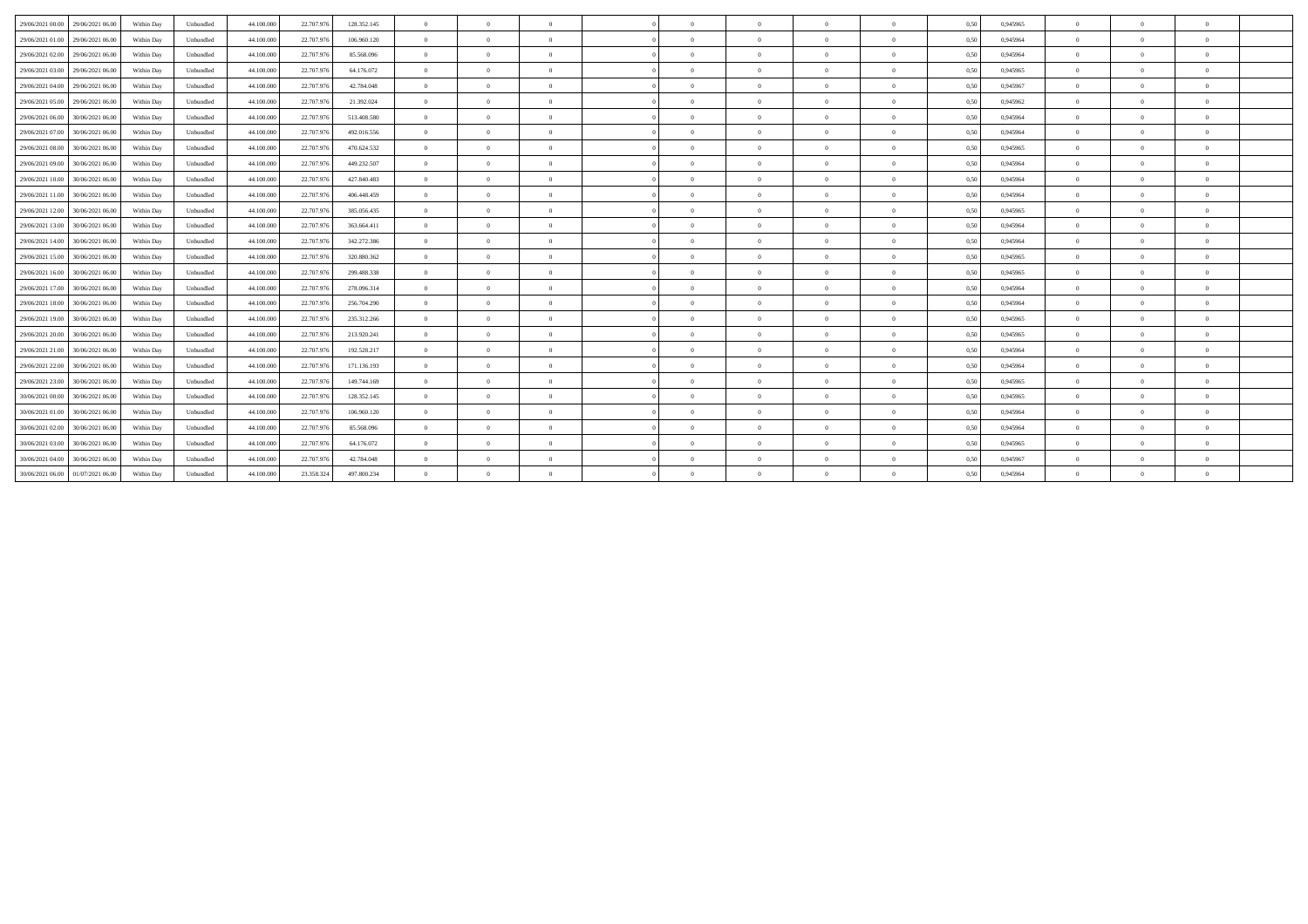| 29/06/2021 00:00 | 29/06/2021 06:00 | Within Day | Unbundled | 44.100.000 | 22.707.976 | 128.352.145 | $\overline{0}$ | $\Omega$ | $\Omega$       |          | $\Omega$       | $\Omega$       | $\overline{0}$ | 0,50 | 0,945965 | $\Omega$ | $\theta$       | $\theta$       |  |
|------------------|------------------|------------|-----------|------------|------------|-------------|----------------|----------|----------------|----------|----------------|----------------|----------------|------|----------|----------|----------------|----------------|--|
| 29/06/2021 01:00 | 29/06/2021 06:00 | Within Day | Unbundled | 44.100.000 | 22.707.976 | 106.960.120 | $\overline{0}$ | $\Omega$ | $\Omega$       | $\Omega$ | $\Omega$       | $\Omega$       | $\overline{0}$ | 0,50 | 0,945964 | $\Omega$ | $\theta$       | $\theta$       |  |
| 29/06/2021 02:00 | 29/06/2021 06.00 | Within Day | Unbundled | 44.100.000 | 22.707.976 | 85,568,096  | $\Omega$       | $\Omega$ |                |          | $\Omega$       | $\Omega$       | $\theta$       | 0,50 | 0.945964 | $\Omega$ | $\theta$       | $\theta$       |  |
| 29/06/2021 03:00 | 29/06/2021 06:00 | Within Day | Unbundled | 44.100.000 | 22.707.976 | 64.176.072  | $\overline{0}$ | $\Omega$ | $\Omega$       | $\Omega$ | $\overline{0}$ | $\overline{0}$ | $\overline{0}$ | 0,50 | 0.945965 | $\theta$ | $\overline{0}$ | $\overline{0}$ |  |
| 29/06/2021 04:00 | 29/06/2021 06:00 | Within Dav | Unbundled | 44,100,000 | 22,707.976 | 42,784,048  | $\overline{0}$ | $\Omega$ | $\Omega$       | $\Omega$ | $\overline{0}$ | $\overline{0}$ | $\overline{0}$ | 0.50 | 0.945967 | $\theta$ | $\Omega$       | $\theta$       |  |
| 29/06/2021 05:00 | 29/06/2021 06.00 | Within Day | Unbundled | 44.100.000 | 22.707.976 | 21.392.024  | $\overline{0}$ | $\Omega$ | $\Omega$       | $\Omega$ | $\overline{0}$ | $\overline{0}$ | $\overline{0}$ | 0,50 | 0.945962 | $\theta$ | $\Omega$       | $\overline{0}$ |  |
| 29/06/2021 06:00 | 30/06/2021 06:00 | Within Day | Unbundled | 44.100.000 | 22.707.976 | 513.408.580 | $\overline{0}$ | $\theta$ | $\overline{0}$ | $\Omega$ | $\bf{0}$       | $\overline{0}$ | $\overline{0}$ | 0,50 | 0,945964 | $\theta$ | $\theta$       | $\overline{0}$ |  |
| 29/06/2021 07:00 | 30/06/2021 06:00 | Within Day | Unbundled | 44.100.000 | 22.707.976 | 492.016.556 | $\Omega$       | $\theta$ |                |          | $\overline{0}$ | $\Omega$       | $\bf{0}$       | 0,50 | 0,945964 | $\theta$ | $\theta$       | $\overline{0}$ |  |
| 29/06/2021 08:00 | 30/06/2021 06:00 | Within Day | Unbundled | 44.100.000 | 22.707.976 | 470.624.532 | $\overline{0}$ | $\theta$ | $\Omega$       | $\Omega$ | $\overline{0}$ | $\overline{0}$ | $\overline{0}$ | 0,50 | 0,945965 | $\theta$ | $\theta$       | $\overline{0}$ |  |
| 29/06/2021 09:00 | 30/06/2021 06:00 | Within Day | Unbundled | 44.100.000 | 22.707.976 | 449.232.507 | $\Omega$       | $\Omega$ |                |          | $\Omega$       | $\Omega$       | $\Omega$       | 0,50 | 0.945964 | $\Omega$ | $\Omega$       | $\theta$       |  |
| 29/06/2021 10:00 | 30/06/2021 06:00 | Within Day | Unbundled | 44,100,000 | 22,707.976 | 427.840.483 | $\theta$       | $\Omega$ | $\Omega$       | $\Omega$ | $\Omega$       | $\theta$       | $\overline{0}$ | 0.50 | 0.945964 | $\Omega$ | $\theta$       | $\theta$       |  |
| 29/06/2021 11:00 | 30/06/2021 06:00 | Within Day | Unbundled | 44.100.000 | 22.707.976 | 406.448.459 | $\theta$       | $\Omega$ | $\Omega$       |          | $\Omega$       | $\Omega$       | $\theta$       | 0,50 | 0.945964 | $\Omega$ | $\theta$       | $\theta$       |  |
| 29/06/2021 12:00 | 30/06/2021 06:00 | Within Day | Unbundled | 44.100.000 | 22.707.976 | 385.056.435 | $\overline{0}$ | $\Omega$ | $\Omega$       |          | $\Omega$       | $\overline{0}$ | $\overline{0}$ | 0,50 | 0,945965 | $\theta$ | $\theta$       | $\theta$       |  |
| 29/06/2021 13:00 | 30/06/2021 06:00 | Within Day | Unbundled | 44.100.000 | 22.707.976 | 363.664.411 | $\Omega$       | $\Omega$ | $\Omega$       |          | $\Omega$       | $\Omega$       | $\theta$       | 0,50 | 0,945964 | $\Omega$ | $\theta$       | $\theta$       |  |
| 29/06/2021 14:00 | 30/06/2021 06:00 | Within Day | Unbundled | 44.100.000 | 22.707.976 | 342.272.386 | $\overline{0}$ | $\Omega$ | $\Omega$       | $\Omega$ | $\theta$       | $\overline{0}$ | $\overline{0}$ | 0,50 | 0,945964 | $\Omega$ | $\theta$       | $\theta$       |  |
| 29/06/2021 15:00 | 30/06/2021 06:00 | Within Dav | Unbundled | 44.100.000 | 22.707.976 | 320,880,362 | $\overline{0}$ | $\Omega$ | $\Omega$       |          | $\Omega$       | $\Omega$       | $\overline{0}$ | 0.50 | 0.945965 | $\Omega$ | $\theta$       | $\theta$       |  |
| 29/06/2021 16:00 | 30/06/2021 06:00 | Within Day | Unbundled | 44.100.000 | 22.707.976 | 299.488.338 | $\overline{0}$ | $\Omega$ | $\Omega$       |          | $\Omega$       | $\Omega$       | $\theta$       | 0,50 | 0,945965 | $\Omega$ | $\Omega$       | $\theta$       |  |
| 29/06/2021 17:00 | 30/06/2021 06:00 | Within Day | Unbundled | 44.100.000 | 22.707.976 | 278.096.314 | $\Omega$       | $\Omega$ | $\Omega$       |          | $\Omega$       | $\Omega$       | $\theta$       | 0,50 | 0.945964 | $\Omega$ | $\theta$       | $\theta$       |  |
| 29/06/2021 18:00 | 30/06/2021 06:00 | Within Day | Unbundled | 44,100,000 | 22.707.976 | 256.704.290 | $\overline{0}$ | $\theta$ | $\Omega$       | $\Omega$ | $\overline{0}$ | $\overline{0}$ | $\overline{0}$ | 0,50 | 0.945964 | $\theta$ | $\overline{0}$ | $\overline{0}$ |  |
| 29/06/2021 19:00 | 30/06/2021 06:00 | Within Day | Unbundled | 44.100.000 | 22.707.976 | 235.312.266 | $\overline{0}$ | $\theta$ | $\overline{0}$ | $\Omega$ | $\overline{0}$ | $\overline{0}$ | $\overline{0}$ | 0,50 | 0.945965 | $\theta$ | $\theta$       | $\overline{0}$ |  |
| 29/06/2021 20:00 | 30/06/2021 06:00 | Within Day | Unbundled | 44.100.000 | 22.707.976 | 213.920.241 | $\overline{0}$ | $\theta$ |                |          | $\overline{0}$ | $\overline{0}$ | $\bf{0}$       | 0,50 | 0,945965 | $\theta$ | $\theta$       | $\overline{0}$ |  |
| 29/06/2021 21:00 | 30/06/2021 06:00 | Within Day | Unbundled | 44.100.000 | 22.707.976 | 192.528.217 | $\theta$       | $\Omega$ |                |          | $\Omega$       | $\Omega$       | $\theta$       | 0,5  | 0.945964 | $\Omega$ | $\theta$       | $\theta$       |  |
| 29/06/2021 22.00 | 30/06/2021 06:00 | Within Day | Unbundled | 44.100.000 | 22.707.976 | 171.136.193 | $\Omega$       | $\Omega$ |                |          | $\Omega$       | $\Omega$       | $\Omega$       | 0,50 | 0.945964 | $\Omega$ | $\theta$       | $\theta$       |  |
| 29/06/2021 23:00 | 30/06/2021 06:00 | Within Dav | Unbundled | 44.100.000 | 22.707.976 | 149,744,169 | $\overline{0}$ | $\Omega$ | $\Omega$       | $\Omega$ | $\Omega$       | $\overline{0}$ | $\overline{0}$ | 0.50 | 0.945965 | $\Omega$ | $\Omega$       | $\theta$       |  |
| 30/06/2021 00:00 | 30/06/2021 06:00 | Within Day | Unbundled | 44.100.000 | 22.707.976 | 128.352.145 | $\Omega$       | $\Omega$ | $\Omega$       | $\Omega$ | $\Omega$       | $\Omega$       | $\overline{0}$ | 0,50 | 0,945965 | $\Omega$ | $\theta$       | $\theta$       |  |
| 30/06/2021 01:00 | 30/06/2021 06:00 | Within Day | Unbundled | 44.100.000 | 22.707.976 | 106.960.120 | $\overline{0}$ | $\Omega$ | $\Omega$       |          | $\Omega$       | $\overline{0}$ | $\overline{0}$ | 0,50 | 0,945964 | $\Omega$ | $\theta$       | $\theta$       |  |
| 30/06/2021 02.00 | 30/06/2021 06:00 | Within Day | Unbundled | 44.100.000 | 22.707.976 | 85.568.096  | $\Omega$       | $\Omega$ | $\sqrt{2}$     |          | $\Omega$       | $\Omega$       | $\theta$       | 0,50 | 0.945964 | $\Omega$ | $\Omega$       | $\theta$       |  |
| 30/06/2021 03:00 | 30/06/2021 06:00 | Within Day | Unbundled | 44.100.000 | 22.707.976 | 64.176.072  | $\overline{0}$ | $\Omega$ | $\Omega$       |          | $\Omega$       | $\overline{0}$ | $\overline{0}$ | 0,50 | 0,945965 | $\theta$ | $\theta$       | $\theta$       |  |
| 30/06/2021 04:00 | 30/06/2021 06:00 | Within Day | Unbundled | 44.100.000 | 22.707.976 | 42.784.048  | $\Omega$       | $\Omega$ | $\Omega$       | $\Omega$ | $\Omega$       | $\Omega$       | $\overline{0}$ | 0,50 | 0,945967 | $\Omega$ | $\theta$       | $\theta$       |  |
| 30/06/2021 06:00 | 01/07/2021 06:00 | Within Day | Unbundled | 44.100.000 | 23.358.324 | 497.800.234 | $\Omega$       | $\Omega$ |                |          | $\Omega$       | $\Omega$       | $\Omega$       | 0,50 | 0,945964 | $\Omega$ | $\theta$       | $\theta$       |  |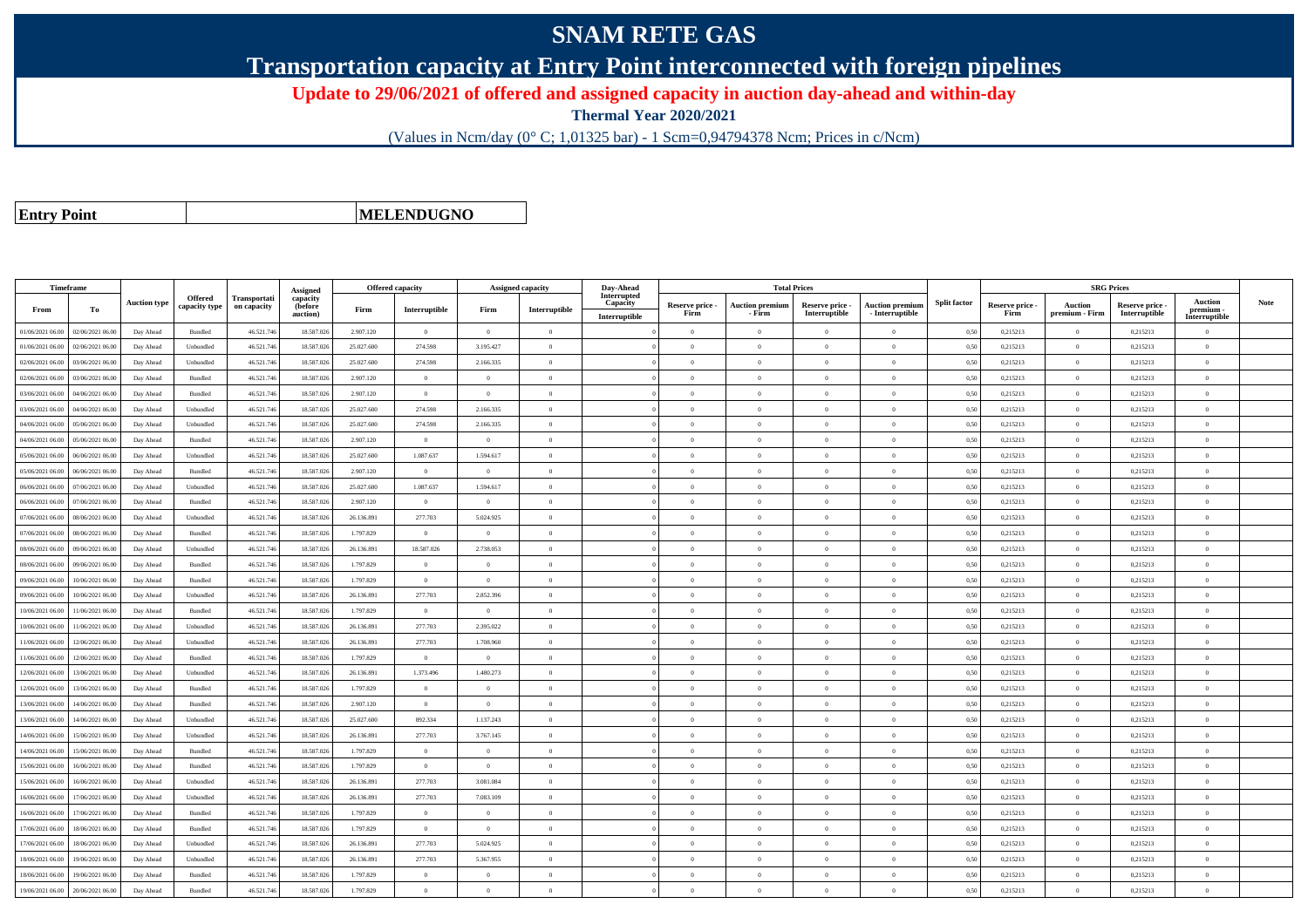## **SNAM RETE GAS**

**Transportation capacity at Entry Point interconnected with foreign pipelines**

**Update to 29/06/2021 of offered and assigned capacity in auction day-ahead and within-day**

**Thermal Year 2020/2021**

(Values in Ncm/day (0° C; 1,01325 bar) - 1 Scm=0,94794378 Ncm; Prices in c/Ncm)

**Entry Point**

**MELENDUGNO**

|                  | Timeframe        |                     |                                 |                                    | Assigned                        | <b>Offered capacity</b> |                |                | <b>Assigned capacity</b> | Day-Ahead                                |                         | <b>Total Prices</b>              |                                  |                                           |                     |                         | <b>SRG Prices</b>         |                                  |                                              |             |
|------------------|------------------|---------------------|---------------------------------|------------------------------------|---------------------------------|-------------------------|----------------|----------------|--------------------------|------------------------------------------|-------------------------|----------------------------------|----------------------------------|-------------------------------------------|---------------------|-------------------------|---------------------------|----------------------------------|----------------------------------------------|-------------|
| From             | To               | <b>Auction type</b> | <b>Offered</b><br>capacity type | <b>Transportati</b><br>on capacity | capacity<br>(before<br>auction) | Firm                    | Interruptible  | Firm           | Interruptible            | Interrupted<br>Capacity<br>Interruptible | Reserve price -<br>Firm | <b>Auction premium</b><br>- Firm | Reserve price -<br>Interruptible | <b>Auction premium</b><br>- Interruptible | <b>Split factor</b> | Reserve price -<br>Firm | Auction<br>premium - Firm | Reserve price -<br>Interruptible | <b>Auction</b><br>premium -<br>Interruptible | <b>Note</b> |
| 01/06/2021 06:00 | 02/06/2021 06:00 | Day Ahead           | <b>Bundled</b>                  | 46.521.74                          | 18.587.026                      | 2.907.120               | $\overline{0}$ | $\Omega$       | $\Omega$                 |                                          | $\Omega$                | $\theta$                         | $\Omega$                         | $\Omega$                                  | 0.50                | 0,215213                | $\Omega$                  | 0,215213                         | $\Omega$                                     |             |
| 01/06/2021 06:00 | 02/06/2021 06.00 | Day Ahead           | Unbundled                       | 46.521.74                          | 18,587,026                      | 25.027.600              | 274.598        | 3.195.427      | $\Omega$                 |                                          | $\theta$                |                                  | $\Omega$                         | $\theta$                                  | 0.50                | 0,215213                | $\overline{0}$            | 0,215213                         | $\theta$                                     |             |
| 02/06/2021 06:00 | 03/06/2021 06:00 | Day Ahead           | Unbundled                       | 46.521.746                         | 18,587,026                      | 25.027.600              | 274.598        | 2.166.335      | $\overline{0}$           |                                          | $\overline{0}$          | $\theta$                         | $\overline{0}$                   | $\overline{0}$                            | 0,50                | 0,215213                | $\overline{0}$            | 0,215213                         | $\overline{0}$                               |             |
| 02/06/2021 06:00 | 03/06/2021 06.0  | Day Ahead           | $\mathbf B$ undled              | 46.521.746                         | 18.587.026                      | 2.907.120               | $\overline{0}$ | $\overline{0}$ | $\overline{0}$           |                                          | $\overline{0}$          | $\theta$                         | $\overline{0}$                   | $\overline{0}$                            | 0,50                | 0,215213                | $\overline{0}$            | 0,215213                         | $\bf{0}$                                     |             |
| 03/06/2021 06:00 | 04/06/2021 06.00 | Day Ahead           | Bundled                         | 46.521.74                          | 18.587.026                      | 2.907.120               | $\overline{0}$ | $\theta$       | $\Omega$                 |                                          | $\Omega$                |                                  | $\Omega$                         | $\Omega$                                  | 0,50                | 0,215213                | $\theta$                  | 0,215213                         | $\theta$                                     |             |
| 03/06/2021 06:00 | 04/06/2021 06.00 | Day Ahead           | Unbundled                       | 46.521.74                          | 18.587.026                      | 25.027.600              | 274.598        | 2.166.335      | $\Omega$                 |                                          | $\Omega$                | $\theta$                         | $\Omega$                         | $\overline{0}$                            | 0.50                | 0,215213                | $\overline{0}$            | 0,215213                         | $\Omega$                                     |             |
| 04/06/2021 06:00 | 05/06/2021 06.00 | Day Ahead           | Unbundled                       | 46.521.746                         | 18.587.026                      | 25.027.600              | 274.598        | 2.166.335      | $\Omega$                 |                                          | $\Omega$                | $\theta$                         | $\Omega$                         | $\Omega$                                  | 0,50                | 0,215213                | $\overline{0}$            | 0,215213                         | $\Omega$                                     |             |
| 04/06/2021 06.00 | 05/06/2021 06.00 | Day Ahead           | Bundled                         | 46.521.746                         | 18.587.026                      | 2.907.120               | $\overline{0}$ | $\theta$       | $\Omega$                 |                                          | $\Omega$                |                                  | $\Omega$                         | $\theta$                                  | 0,50                | 0,215213                | $\Omega$                  | 0,215213                         | $\theta$                                     |             |
| 05/06/2021 06:00 | 06/06/2021 06.0  | Day Ahead           | Unbundled                       | 46.521.746                         | 18.587.026                      | 25.027.600              | 1.087.637      | 1.594.617      | $\Omega$                 |                                          | $\Omega$                | $\theta$                         | $\overline{0}$                   | $\overline{0}$                            | 0,50                | 0,215213                | $\overline{0}$            | 0,215213                         | $\Omega$                                     |             |
| 05/06/2021 06:00 | 06/06/2021 06:00 | Day Ahead           | Bundled                         | 46.521.746                         | 18.587.026                      | 2.907.120               | $\overline{0}$ | $\theta$       | $\Omega$                 |                                          | $\Omega$                | $\theta$                         | $\overline{0}$                   | $\overline{0}$                            | 0,50                | 0,215213                | $\overline{0}$            | 0,215213                         | $\Omega$                                     |             |
| 06/06/2021 06:00 | 07/06/2021 06:00 | Day Ahead           | Unbundled                       | 46.521.746                         | 18,587,026                      | 25.027.600              | 1.087.637      | 1.594.617      | $\Omega$                 |                                          | $\Omega$                | $\Omega$                         | $\Omega$                         | $\theta$                                  | 0.50                | 0,215213                | $\overline{0}$            | 0.215213                         | $\theta$                                     |             |
| 06/06/2021 06.0  | 07/06/2021 06.0  | Day Ahead           | Bundled                         | 46.521.74                          | 18.587.026                      | 2.907.120               | $\overline{0}$ | $\overline{0}$ | $\Omega$                 |                                          | $\Omega$                | $\theta$                         | $\overline{0}$                   | $\theta$                                  | 0,50                | 0,215213                | $\theta$                  | 0,215213                         | $\Omega$                                     |             |
| 07/06/2021 06:00 | 08/06/2021 06:00 | Day Ahead           | Unbundled                       | 46.521.746                         | 18,587,026                      | 26.136.891              | 277,703        | 5.024.925      | $\overline{0}$           |                                          | $\Omega$                |                                  | $\overline{0}$                   | $\theta$                                  | 0.50                | 0.215213                | $\overline{0}$            | 0.215213                         | $\theta$                                     |             |
| 07/06/2021 06:00 | 08/06/2021 06:00 | Day Ahead           | <b>Bundled</b>                  | 46.521.746                         | 18.587.026                      | 1.797.829               | $\overline{0}$ | $\Omega$       | $\Omega$                 |                                          | $\Omega$                | $\theta$                         | $\theta$                         | $\Omega$                                  | 0,50                | 0,215213                | $\overline{0}$            | 0,215213                         | $\Omega$                                     |             |
| 08/06/2021 06.00 | 09/06/2021 06.0  | Day Ahead           | Unbundled                       | 46.521.74                          | 18.587.026                      | 26.136.891              | 18.587.026     | 2.738.053      | $\theta$                 |                                          | $\Omega$                |                                  | $\overline{0}$                   | $\theta$                                  | 0,50                | 0,215213                | $\overline{0}$            | 0,215213                         | $\theta$                                     |             |
| 08/06/2021 06:00 | 09/06/2021 06:00 | Day Ahead           | <b>Bundled</b>                  | 46.521.746                         | 18,587,026                      | 1.797.829               | $\overline{0}$ | $\theta$       | $\Omega$                 |                                          | $\Omega$                | $\Omega$                         | $\Omega$                         | $\theta$                                  | 0,50                | 0,215213                | $\overline{0}$            | 0.215213                         | $\theta$                                     |             |
| 09/06/2021 06:00 | 10/06/2021 06:00 | Day Ahead           | Bundled                         | 46.521.746                         | 18,587.026                      | 1.797.829               | $\overline{0}$ | $\Omega$       | $\Omega$                 |                                          | $\Omega$                | $\theta$                         | $\overline{0}$                   | $\overline{0}$                            | 0.50                | 0,215213                | $\overline{0}$            | 0.215213                         | $\theta$                                     |             |
| 09/06/2021 06.00 | 10/06/2021 06.0  | Day Ahead           | Unbundled                       | 46.521.74                          | 18.587.026                      | 26.136.891              | 277.703        | 2.852.396      | $\overline{0}$           |                                          | $\theta$                |                                  | $\overline{0}$                   | $\theta$                                  | 0,50                | 0,215213                | $\overline{0}$            | 0,215213                         | $\theta$                                     |             |
| 10/06/2021 06:00 | 1/06/2021 06.00  | Day Ahead           | Bundled                         | 46.521.746                         | 18.587.026                      | 1.797.829               | $\,$ 0 $\,$    | $\overline{0}$ | $\overline{0}$           |                                          | $\Omega$                | $\sqrt{2}$                       | $\overline{0}$                   | $\theta$                                  | 0,50                | 0,215213                | $\overline{0}$            | 0,215213                         | $\Omega$                                     |             |
| 10/06/2021 06:00 | 11/06/2021 06.00 | Day Ahead           | Unbundled                       | 46.521.746                         | 18.587.026                      | 26.136.891              | 277.703        | 2.395.022      | $\Omega$                 |                                          | $\Omega$                | $\theta$                         | $\theta$                         | $\Omega$                                  | 0,50                | 0,215213                | $\theta$                  | 0,215213                         | $\Omega$                                     |             |
| 1/06/2021 06:00  | 12/06/2021 06:00 | Day Ahead           | Unbundled                       | 46.521.74                          | 18.587.026                      | 26.136.891              | 277.703        | 1.708.960      | $\Omega$                 |                                          | $\Omega$                |                                  | $\Omega$                         | $\theta$                                  | 0,50                | 0,215213                | $\Omega$                  | 0,215213                         | $\theta$                                     |             |
| 11/06/2021 06:00 | 12/06/2021 06:00 | Day Ahead           | Bundled                         | 46.521.746                         | 18,587.026                      | 1.797.829               | $\overline{0}$ | $\overline{0}$ | $\overline{0}$           |                                          | $\overline{0}$          | $\Omega$                         | $\overline{0}$                   | $\overline{0}$                            | 0,50                | 0,215213                | $\overline{0}$            | 0,215213                         | $\mathbf{0}$                                 |             |
| 12/06/2021 06:00 | 13/06/2021 06:00 | Day Ahead           | Unbundled                       | 46.521.746                         | 18.587.026                      | 26.136.891              | 1.373.496      | 1.480.273      | $\overline{0}$           |                                          | $\overline{0}$          | $\overline{0}$                   | $\overline{0}$                   | $\,$ 0                                    | 0,50                | 0,215213                | $\overline{0}$            | 0,215213                         | $\mathbf{0}$                                 |             |
| 12/06/2021 06:00 | 13/06/2021 06.00 | Day Ahead           | Bundled                         | 46.521.74                          | 18.587.026                      | 1.797.829               | $\overline{0}$ | $\overline{0}$ | $\Omega$                 |                                          | $\Omega$                |                                  | $\overline{0}$                   | $\theta$                                  | 0,50                | 0,215213                | $\overline{0}$            | 0,215213                         | $\theta$                                     |             |
| 13/06/2021 06:00 | 14/06/2021 06.00 | Day Ahead           | Bundled                         | 46.521.74                          | 18.587.026                      | 2.907.120               | $\,$ 0 $\,$    | $\overline{0}$ | $\overline{0}$           |                                          | $\Omega$                | $\theta$                         | $\overline{0}$                   | $\overline{0}$                            | 0,50                | 0,215213                | $\overline{0}$            | 0,215213                         | $\theta$                                     |             |
| 13/06/2021 06:00 | 14/06/2021 06:00 | Day Ahead           | Unbundled                       | 46.521.746                         | 18.587.026                      | 25.027.600              | 892.334        | 1.137.243      | $\overline{0}$           |                                          | $\Omega$                | $\theta$                         | $\overline{0}$                   | $\Omega$                                  | 0,50                | 0,215213                | $\overline{0}$            | 0,215213                         | $\mathbf{0}$                                 |             |
| 14/06/2021 06:00 | 15/06/2021 06:00 | Day Ahead           | Unbundled                       | 46.521.746                         | 18,587,026                      | 26.136.891              | 277,703        | 3.767.145      | $\Omega$                 |                                          | $\Omega$                |                                  | $\theta$                         | $\theta$                                  | 0.50                | 0,215213                | $\overline{0}$            | 0,215213                         | $\theta$                                     |             |
| 14/06/2021 06:00 | 15/06/2021 06.00 | Day Ahead           | Bundled                         | 46.521.74                          | 18,587,026                      | 1.797.829               | $\overline{0}$ | $\overline{0}$ | $\overline{0}$           |                                          | $\overline{0}$          | $\Omega$                         | $\overline{0}$                   | $\overline{0}$                            | 0,50                | 0,215213                | $\overline{0}$            | 0,215213                         | $\mathbf{0}$                                 |             |
| 15/06/2021 06:00 | 16/06/2021 06.00 | Day Ahead           | Bundled                         | 46.521.746                         | 18.587.026                      | 1.797.829               | $\overline{0}$ | $\overline{0}$ | $\overline{0}$           |                                          | $\overline{0}$          | $\bf{0}$                         | $\overline{0}$                   | $\overline{0}$                            | 0,50                | 0,215213                | $\overline{0}$            | 0,215213                         | $\mathbf{0}$                                 |             |
| 15/06/2021 06:00 | 16/06/2021 06:00 | Day Ahead           | Unbundled                       | 46.521.746                         | 18,587,026                      | 26.136.891              | 277,703        | 3.081.084      | $\Omega$                 |                                          | $\Omega$                | $\theta$                         | $\theta$                         | $\theta$                                  | 0.50                | 0,215213                | $\overline{0}$            | 0,215213                         | $\Omega$                                     |             |
| 16/06/2021 06.0  | 17/06/2021 06.0  | Day Ahead           | Unbundled                       | 46.521.74                          | 18.587.02                       | 26.136.891              | 277.703        | 7.083.109      | $\overline{0}$           |                                          | $\Omega$                |                                  | $\overline{0}$                   | $\theta$                                  | 0,50                | 0,215213                | $\overline{0}$            | 0,215213                         | $\theta$                                     |             |
| 16/06/2021 06:00 | 17/06/2021 06.00 | Day Ahead           | Bundled                         | 46.521.74                          | 18.587.026                      | 1.797.829               | $\overline{0}$ | $\theta$       | $\Omega$                 |                                          | $\Omega$                | $\theta$                         | $\Omega$                         | $\theta$                                  | 0,50                | 0,215213                | $\overline{0}$            | 0,215213                         | $\Omega$                                     |             |
| 17/06/2021 06:00 | 18/06/2021 06:00 | Day Ahead           | <b>Bundled</b>                  | 46.521.746                         | 18.587.026                      | 1.797.829               | $\overline{0}$ | $\Omega$       | $\Omega$                 |                                          | $\Omega$                | $\theta$                         | $\theta$                         | $\Omega$                                  | 0.50                | 0,215213                | $\overline{0}$            | 0,215213                         | $\Omega$                                     |             |
| 17/06/2021 06.00 | 18/06/2021 06.0  | Day Ahead           | Unbundled                       | 46.521.74                          | 18.587.026                      | 26.136.891              | 277.703        | 5.024.925      | $\overline{0}$           |                                          | $\overline{0}$          | $\theta$                         | $\overline{0}$                   | $\theta$                                  | 0,50                | 0,215213                | $\overline{0}$            | 0,215213                         | $\mathbf{0}$                                 |             |
| 18/06/2021 06:00 | 19/06/2021 06:00 | Day Ahead           | Unbundled                       | 46.521.746                         | 18.587.026                      | 26.136.891              | 277.703        | 5.367.955      | $\overline{0}$           |                                          | $\Omega$                | $\theta$                         | $\overline{0}$                   | $\overline{0}$                            | 0,50                | 0,215213                | $\overline{0}$            | 0,215213                         | $\Omega$                                     |             |
| 18/06/2021 06:00 | 19/06/2021 06.0  | Day Ahead           | Bundled                         | 46.521.74                          | 18.587.026                      | 1.797.829               | $\overline{0}$ | $\theta$       | $\Omega$                 |                                          | $\Omega$                | $\theta$                         | $\theta$                         | $\overline{0}$                            | 0.50                | 0,215213                | $\overline{0}$            | 0,215213                         | $\Omega$                                     |             |
| 19/06/2021 06:00 | 20/06/2021 06:00 | Day Ahead           | Bundled                         | 46.521.746                         | 18,587,026                      | 1.797.829               | $\Omega$       | $\Omega$       | $\Omega$                 |                                          | $\Omega$                |                                  | $\Omega$                         | $\theta$                                  | 0,50                | 0,215213                | $\theta$                  | 0,215213                         | $\theta$                                     |             |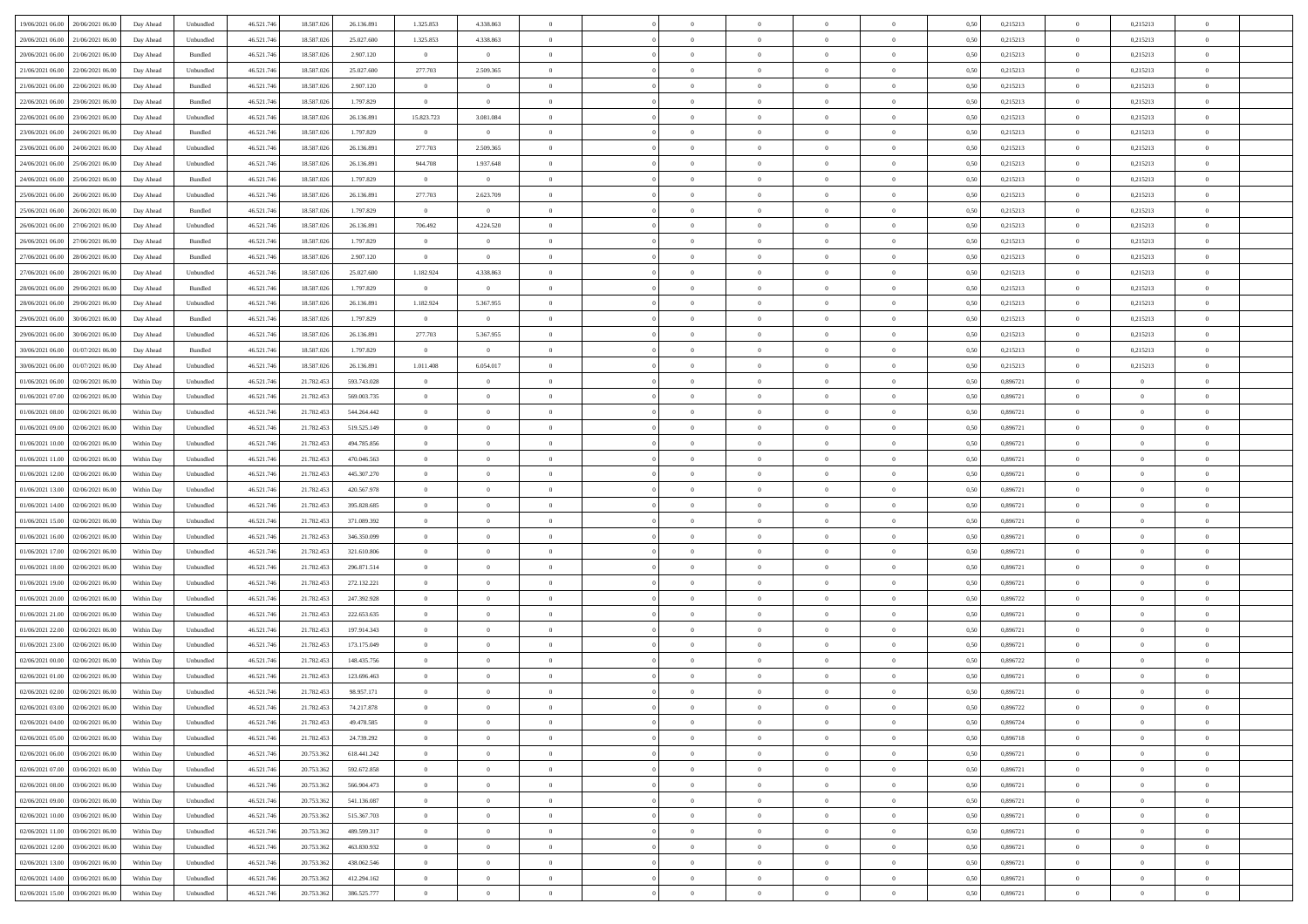| 19/06/2021 06:00 20/06/2021 06:00              | Day Ahead  | Unbundled         | 46.521.74  | 18.587.026 | 26.136.891  | 1.325.853      | 4.338.863      |                | $\overline{0}$ | $\theta$       |                | $\theta$       | 0,50 | 0,215213 | $\theta$       | 0,215213       | $\overline{0}$ |  |
|------------------------------------------------|------------|-------------------|------------|------------|-------------|----------------|----------------|----------------|----------------|----------------|----------------|----------------|------|----------|----------------|----------------|----------------|--|
| 20/06/2021 06:00<br>21/06/2021 06:00           | Day Ahead  | Unbundled         | 46.521.74  | 18.587.02  | 25.027.600  | 1.325.853      | 4.338.863      | $\overline{0}$ | $\overline{0}$ | $\overline{0}$ | $\overline{0}$ | $\bf{0}$       | 0,50 | 0,215213 | $\,$ 0 $\,$    | 0,215213       | $\overline{0}$ |  |
| 20/06/2021 06:00<br>21/06/2021 06:00           | Day Ahead  | Bundled           | 46.521.746 | 18,587,026 | 2.907.120   | $\overline{0}$ | $\overline{0}$ | $\overline{0}$ | $\bf{0}$       | $\bf{0}$       | $\overline{0}$ | $\bf{0}$       | 0.50 | 0,215213 | $\overline{0}$ | 0,215213       | $\overline{0}$ |  |
| 21/06/2021 06:00<br>22/06/2021 06:00           | Day Ahead  | Unbundled         | 46.521.74  | 18.587.026 | 25.027.600  | 277.703        | 2.509.365      | $\overline{0}$ | $\theta$       | $\theta$       | $\overline{0}$ | $\overline{0}$ | 0,50 | 0,215213 | $\,$ 0 $\,$    | 0,215213       | $\overline{0}$ |  |
| 21/06/2021 06:00<br>22/06/2021 06.00           | Day Ahead  | Bundled           | 46.521.74  | 18.587.026 | 2.907.120   | $\bf{0}$       | $\theta$       | $\overline{0}$ | $\overline{0}$ | $\theta$       | $\overline{0}$ | $\bf{0}$       | 0,50 | 0,215213 | $\,$ 0 $\,$    | 0,215213       | $\overline{0}$ |  |
| 22/06/2021 06:00<br>23/06/2021 06:00           | Day Ahead  | Bundled           | 46.521.74  | 18,587,026 | 1.797.829   | $\overline{0}$ | $\overline{0}$ | $\Omega$       | $\overline{0}$ | $\overline{0}$ | $\theta$       | $\bf{0}$       | 0.50 | 0.215213 | $\bf{0}$       | 0,215213       | $\overline{0}$ |  |
| 22/06/2021 06:00<br>23/06/2021 06:00           | Day Ahead  | Unbundled         | 46.521.74  | 18.587.026 | 26.136.891  | 15.823.723     | 3.081.084      | $\overline{0}$ | $\overline{0}$ | $\theta$       | $\overline{0}$ | $\bf{0}$       | 0,50 | 0,215213 | $\,$ 0 $\,$    | 0,215213       | $\overline{0}$ |  |
| 24/06/2021 06.00                               | Day Ahead  | Bundled           | 46.521.74  | 18.587.02  | 1.797.829   | $\bf{0}$       | $\bf{0}$       | $\bf{0}$       | $\overline{0}$ | $\theta$       | $\overline{0}$ | $\bf{0}$       | 0,50 | 0,215213 | $\,$ 0 $\,$    | 0,215213       | $\overline{0}$ |  |
| 23/06/2021 06:00                               |            |                   |            |            |             |                |                |                |                |                |                |                |      |          |                |                |                |  |
| 23/06/2021 06:00<br>24/06/2021 06:00           | Day Ahead  | Unbundled         | 46.521.74  | 18.587.02  | 26.136.891  | 277.703        | 2.509.365      | $\Omega$       | $\bf{0}$       | $\overline{0}$ | $\overline{0}$ | $\bf{0}$       | 0.50 | 0.215213 | $\bf{0}$       | 0.215213       | $\overline{0}$ |  |
| 24/06/2021 06:00<br>25/06/2021 06:00           | Day Ahead  | Unbundled         | 46.521.746 | 18.587.026 | 26.136.891  | 944.708        | 1.937.648      | $\overline{0}$ | $\overline{0}$ | $\theta$       | $\overline{0}$ | $\bf{0}$       | 0,50 | 0,215213 | $\bf{0}$       | 0,215213       | $\overline{0}$ |  |
| 24/06/2021 06:00<br>25/06/2021 06.00           | Day Ahead  | Bundled           | 46.521.74  | 18.587.026 | 1.797.829   | $\bf{0}$       | $\overline{0}$ | $\bf{0}$       | $\overline{0}$ | $\bf{0}$       | $\overline{0}$ | $\bf{0}$       | 0,50 | 0,215213 | $\,$ 0 $\,$    | 0,215213       | $\overline{0}$ |  |
| 25/06/2021 06:00<br>26/06/2021 06:00           | Day Ahead  | Unbundled         | 46.521.74  | 18,587,026 | 26.136.891  | 277.703        | 2.623.709      | $\overline{0}$ | $\bf{0}$       | $\bf{0}$       | $\overline{0}$ | $\bf{0}$       | 0.50 | 0,215213 | $\overline{0}$ | 0,215213       | $\overline{0}$ |  |
| 25/06/2021 06:00<br>26/06/2021 06:00           | Day Ahead  | Bundled           | 46.521.74  | 18.587.026 | 1.797.829   | $\overline{0}$ | $\overline{0}$ | $\overline{0}$ | $\overline{0}$ | $\theta$       | $\overline{0}$ | $\overline{0}$ | 0,50 | 0,215213 | $\,$ 0 $\,$    | 0,215213       | $\overline{0}$ |  |
| 26/06/2021 06:00<br>27/06/2021 06.00           | Day Ahead  | Unbundled         | 46.521.74  | 18.587.02  | 26.136.891  | 706.492        | 4.224.520      | $\bf{0}$       | $\overline{0}$ | $\theta$       | $\overline{0}$ | $\bf{0}$       | 0,50 | 0,215213 | $\,$ 0 $\,$    | 0,215213       | $\overline{0}$ |  |
| 26/06/2021 06:00<br>27/06/2021 06.00           | Day Ahead  | Bundled           | 46.521.746 | 18,587,026 | 1.797.829   | $\overline{0}$ | $\overline{0}$ | $\overline{0}$ | $\bf{0}$       | $\theta$       | $\theta$       | $\bf{0}$       | 0.50 | 0,215213 | $\bf{0}$       | 0,215213       | $\overline{0}$ |  |
| 27/06/2021 06:00<br>28/06/2021 06:00           | Day Ahead  | Bundled           | 46.521.74  | 18.587.026 | 2.907.120   | $\overline{0}$ | $\overline{0}$ | $\overline{0}$ | $\overline{0}$ | $\overline{0}$ | $\overline{0}$ | $\bf{0}$       | 0,50 | 0,215213 | $\bf{0}$       | 0,215213       | $\overline{0}$ |  |
| 27/06/2021 06:00<br>28/06/2021 06.00           | Day Ahead  | Unbundled         | 46.521.74  | 18.587.02  | 25.027.600  | 1.182.924      | 4.338.863      | $\overline{0}$ | $\overline{0}$ | $\theta$       | $\overline{0}$ | $\bf{0}$       | 0,50 | 0,215213 | $\,$ 0 $\,$    | 0,215213       | $\overline{0}$ |  |
| 28/06/2021 06:00<br>29/06/2021 06:00           | Day Ahead  | Bundled           | 46.521.74  | 18.587.02  | 1,797.829   | $\overline{0}$ | $\overline{0}$ | $\overline{0}$ | $\bf{0}$       | $\overline{0}$ | $\overline{0}$ | $\bf{0}$       | 0.50 | 0.215213 | $\bf{0}$       | 0.215213       | $\overline{0}$ |  |
| 28/06/2021 06:00<br>29/06/2021 06.00           | Day Ahead  | Unbundled         | 46.521.74  | 18.587.026 | 26.136.891  | 1.182.924      | 5.367.955      | $\overline{0}$ | $\overline{0}$ | $\theta$       | $\overline{0}$ | $\bf{0}$       | 0,50 | 0,215213 | $\,$ 0 $\,$    | 0,215213       | $\overline{0}$ |  |
|                                                |            |                   |            |            |             |                |                |                |                |                |                |                |      |          |                |                |                |  |
| 29/06/2021 06:00<br>30/06/2021 06.00           | Day Ahead  | Bundled           | 46.521.74  | 18.587.026 | 1.797.829   | $\bf{0}$       | $\bf{0}$       | $\bf{0}$       | $\overline{0}$ | $\overline{0}$ | $\overline{0}$ | $\bf{0}$       | 0,50 | 0,215213 | $\,$ 0 $\,$    | 0,215213       | $\overline{0}$ |  |
| 29/06/2021 06:00<br>30/06/2021 06:00           | Day Ahead  | Unbundled         | 46.521.746 | 18,587,026 | 26.136.891  | 277.703        | 5.367.955      | $\overline{0}$ | $\bf{0}$       | $\overline{0}$ | $\overline{0}$ | $\bf{0}$       | 0.50 | 0,215213 | $\overline{0}$ | 0,215213       | $\overline{0}$ |  |
| 30/06/2021 06:00<br>01/07/2021 06:00           | Day Ahead  | Bundled           | 46.521.74  | 18.587.026 | 1.797.829   | $\overline{0}$ | $\overline{0}$ | $\overline{0}$ | $\overline{0}$ | $\theta$       | $\overline{0}$ | $\bf{0}$       | 0.5( | 0,215213 | $\,$ 0 $\,$    | 0,215213       | $\overline{0}$ |  |
| 30/06/2021 06:00<br>01/07/2021 06.00           | Day Ahead  | Unbundled         | 46.521.74  | 18.587.02  | 26.136.891  | 1.011.408      | 6.054.017      | $\overline{0}$ | $\overline{0}$ | $\theta$       | $\overline{0}$ | $\bf{0}$       | 0,50 | 0,215213 | $\,$ 0 $\,$    | 0,215213       | $\overline{0}$ |  |
| 01/06/2021 06:00<br>02/06/2021 06:00           | Within Day | Unbundled         | 46.521.74  | 21.782.45  | 593.743.028 | $\overline{0}$ | $\overline{0}$ | $\overline{0}$ | $\overline{0}$ | $\overline{0}$ | $\Omega$       | $\bf{0}$       | 0.50 | 0.896721 | $\,$ 0 $\,$    | $\overline{0}$ | $\overline{0}$ |  |
| 01/06/2021 07:00<br>02/06/2021 06.00           | Within Day | Unbundled         | 46.521.74  | 21.782.453 | 569.003.735 | $\overline{0}$ | $\overline{0}$ | $\overline{0}$ | $\overline{0}$ | $\theta$       | $\overline{0}$ | $\overline{0}$ | 0,50 | 0,896721 | $\theta$       | $\theta$       | $\overline{0}$ |  |
| 01/06/2021 08:00<br>02/06/2021 06.00           | Within Day | Unbundled         | 46.521.74  | 21.782.45  | 544.264.442 | $\bf{0}$       | $\theta$       | $\bf{0}$       | $\overline{0}$ | $\theta$       | $\overline{0}$ | $\bf{0}$       | 0,50 | 0,896721 | $\,$ 0 $\,$    | $\bf{0}$       | $\overline{0}$ |  |
| 01/06/2021 09:00<br>02/06/2021 06:00           | Within Day | Unbundled         | 46.521.74  | 21.782.453 | 519.525.149 | $\overline{0}$ | $\bf{0}$       | $\overline{0}$ | $\bf{0}$       | $\overline{0}$ | $\overline{0}$ | $\bf{0}$       | 0.50 | 0.896721 | $\bf{0}$       | $\theta$       | $\overline{0}$ |  |
| 01/06/2021 10:00<br>02/06/2021 06:00           | Within Day | Unbundled         | 46.521.74  | 21.782.453 | 494.785.856 | $\overline{0}$ | $\overline{0}$ | $\overline{0}$ | $\overline{0}$ | $\overline{0}$ | $\overline{0}$ | $\bf{0}$       | 0,50 | 0,896721 | $\theta$       | $\theta$       | $\overline{0}$ |  |
| 01/06/2021 11:00<br>02/06/2021 06.00           | Within Day | Unbundled         | 46.521.74  | 21.782.453 | 470.046.563 | $\bf{0}$       | $\bf{0}$       | $\bf{0}$       | $\bf{0}$       | $\overline{0}$ | $\overline{0}$ | $\bf{0}$       | 0,50 | 0,896721 | $\,$ 0 $\,$    | $\bf{0}$       | $\overline{0}$ |  |
| 01/06/2021 12:00<br>02/06/2021 06:00           | Within Day | Unbundled         | 46.521.74  | 21.782.453 | 445.307.270 | $\overline{0}$ | $\bf{0}$       | $\overline{0}$ | $\bf{0}$       | $\bf{0}$       | $\overline{0}$ | $\bf{0}$       | 0.50 | 0.896721 | $\bf{0}$       | $\overline{0}$ | $\bf{0}$       |  |
| 01/06/2021 13:00<br>02/06/2021 06:00           | Within Day | Unbundled         | 46.521.74  | 21.782.453 | 420.567.978 | $\overline{0}$ | $\overline{0}$ | $\overline{0}$ | $\overline{0}$ | $\overline{0}$ | $\overline{0}$ | $\bf{0}$       | 0.5( | 0,896721 | $\theta$       | $\theta$       | $\overline{0}$ |  |
|                                                |            |                   |            |            |             |                | $\overline{0}$ |                |                | $\theta$       | $\overline{0}$ |                |      |          |                |                |                |  |
| 01/06/2021 14:00<br>02/06/2021 06.00           | Within Day | Unbundled         | 46.521.74  | 21.782.45  | 395.828.685 | $\bf{0}$       |                | $\bf{0}$       | $\overline{0}$ |                |                | $\bf{0}$       | 0,50 | 0,896721 | $\,$ 0 $\,$    | $\bf{0}$       | $\overline{0}$ |  |
| 01/06/2021 15:00<br>02/06/2021 06:00           | Within Day | Unbundled         | 46.521.74  | 21.782.453 | 371.089.392 | $\overline{0}$ | $\overline{0}$ | $\overline{0}$ | $\bf{0}$       | $\theta$       | $\Omega$       | $\bf{0}$       | 0.50 | 0,896721 | $\,$ 0 $\,$    | $\theta$       | $\overline{0}$ |  |
| 01/06/2021 16:00<br>02/06/2021 06:00           | Within Dav | Unbundled         | 46.521.74  | 21.782.453 | 346.350.099 | $\overline{0}$ | $\overline{0}$ | $\Omega$       | $\overline{0}$ | $\theta$       | $\overline{0}$ | $\overline{0}$ | 0.5( | 0,896721 | $\theta$       | $\theta$       | $\overline{0}$ |  |
| 01/06/2021 17:00<br>02/06/2021 06.00           | Within Day | Unbundled         | 46.521.74  | 21.782.45  | 321.610.806 | $\bf{0}$       | $\overline{0}$ | $\bf{0}$       | $\overline{0}$ | $\bf{0}$       | $\overline{0}$ | $\bf{0}$       | 0,50 | 0,896721 | $\,$ 0 $\,$    | $\bf{0}$       | $\overline{0}$ |  |
| 01/06/2021 18:00<br>02/06/2021 06:00           | Within Day | Unbundled         | 46.521.74  | 21.782.45  | 296.871.514 | $\overline{0}$ | $\bf{0}$       | $\overline{0}$ | $\bf{0}$       | $\overline{0}$ | $\overline{0}$ | $\bf{0}$       | 0.50 | 0.896721 | $\bf{0}$       | $\overline{0}$ | $\overline{0}$ |  |
| 01/06/2021 19:00<br>02/06/2021 06:00           | Within Dav | Unbundled         | 46.521.74  | 21.782.453 | 272.132.221 | $\overline{0}$ | $\overline{0}$ | $\overline{0}$ | $\theta$       | $\overline{0}$ | $\overline{0}$ | $\overline{0}$ | 0.5( | 0,896721 | $\theta$       | $\theta$       | $\overline{0}$ |  |
| 01/06/2021 20:00<br>02/06/2021 06.00           | Within Day | Unbundled         | 46.521.74  | 21.782.45  | 247.392.928 | $\bf{0}$       | $\bf{0}$       | $\bf{0}$       | $\bf{0}$       | $\overline{0}$ | $\overline{0}$ | $\bf{0}$       | 0,50 | 0,896722 | $\,$ 0 $\,$    | $\bf{0}$       | $\overline{0}$ |  |
| 01/06/2021 21:00<br>02/06/2021 06:00           | Within Day | Unbundled         | 46.521.746 | 21.782.453 | 222.653.635 | $\overline{0}$ | $\bf{0}$       | $\overline{0}$ | $\bf{0}$       | $\bf{0}$       | $\overline{0}$ | $\bf{0}$       | 0.50 | 0.896721 | $\bf{0}$       | $\overline{0}$ | $\overline{0}$ |  |
| 01/06/2021 22:00<br>02/06/2021 06:00           | Within Dav | Unbundled         | 46.521.74  | 21.782.453 | 197.914.343 | $\overline{0}$ | $\overline{0}$ | $\Omega$       | $\overline{0}$ | $\overline{0}$ | $\overline{0}$ | $\bf{0}$       | 0.5( | 0,896721 | $\theta$       | $\theta$       | $\overline{0}$ |  |
| 01/06/2021 23:00<br>02/06/2021 06.00           | Within Day | Unbundled         | 46.521.74  | 21.782.45  | 173.175.049 | $\bf{0}$       | $\overline{0}$ | $\bf{0}$       | $\overline{0}$ | $\overline{0}$ | $\overline{0}$ | $\bf{0}$       | 0,50 | 0,896721 | $\,$ 0 $\,$    | $\bf{0}$       | $\overline{0}$ |  |
| 02/06/2021 00:00<br>02/06/2021 06.00           | Within Day | Unbundled         | 46.521.74  | 21.782.45  | 148.435.756 | $\overline{0}$ | $\overline{0}$ | $\Omega$       | $\overline{0}$ | $\overline{0}$ | $\theta$       | $\bf{0}$       | 0.50 | 0,896722 | $\bf{0}$       | $\theta$       | $\overline{0}$ |  |
| 02/06/2021 01:00<br>02/06/2021 06:00           | Within Dav | Unbundled         | 46.521.74  | 21.782.453 | 123.696.463 | $\overline{0}$ | $\overline{0}$ | $\Omega$       | $\Omega$       | $\theta$       | $\Omega$       | $\overline{0}$ | 0.5( | 0,896721 | $\theta$       | $\theta$       | $\overline{0}$ |  |
| 02/06/2021 02:00<br>02/06/2021 06:00           | Within Day | Unbundled         | 46.521.74  | 21.782.453 | 98.957.171  | $\bf{0}$       | $\,$ 0 $\,$    | $\overline{0}$ | $\bf{0}$       | $\bf{0}$       | $\overline{0}$ | $\bf{0}$       | 0,50 | 0,896721 | $\,$ 0 $\,$    | $\bf{0}$       | $\overline{0}$ |  |
| $02/06/2021\; 03.00 \qquad 02/06/2021\; 06.00$ | Within Day | ${\sf Unbundred}$ | 46.521.746 | 21.782.453 | 74.217.878  | $\overline{0}$ |                |                | $\Omega$       |                |                |                | 0,50 | 0,896722 | $\theta$       | $\overline{0}$ |                |  |
|                                                |            |                   |            |            |             |                |                |                |                |                |                |                |      |          |                |                |                |  |
| 02/06/2021 04:00 02/06/2021 06:00              | Within Day | Unbundled         | 46.521.746 | 21.782.453 | 49.478.585  | $\theta$       | $\theta$       | $\Omega$       | $\theta$       | $\overline{0}$ | $\overline{0}$ | $\bf{0}$       | 0,50 | 0,896724 | $\theta$       | $\theta$       | $\overline{0}$ |  |
| 02/06/2021 05:00<br>02/06/2021 06:00           | Within Day | Unbundled         | 46.521.74  | 21.782.453 | 24.739.292  | $\overline{0}$ | $\bf{0}$       | $\overline{0}$ | $\overline{0}$ | $\bf{0}$       | $\overline{0}$ | $\bf{0}$       | 0,50 | 0,896718 | $\bf{0}$       | $\overline{0}$ | $\bf{0}$       |  |
| 02/06/2021 06:00 03/06/2021 06:00              | Within Day | Unbundled         | 46.521.746 | 20.753.362 | 618.441.242 | $\overline{0}$ | $\bf{0}$       | $\overline{0}$ | $\overline{0}$ | $\overline{0}$ | $\overline{0}$ | $\bf{0}$       | 0.50 | 0.896721 | $\mathbf{0}$   | $\bf{0}$       | $\,$ 0 $\,$    |  |
| 02/06/2021 07:00 03/06/2021 06:00              | Within Dav | Unbundled         | 46.521.746 | 20.753.362 | 592.672.858 | $\overline{0}$ | $\overline{0}$ | $\overline{0}$ | $\overline{0}$ | $\overline{0}$ | $\overline{0}$ | $\bf{0}$       | 0,50 | 0,896721 | $\theta$       | $\theta$       | $\overline{0}$ |  |
| 02/06/2021 08:00<br>03/06/2021 06:00           | Within Day | Unbundled         | 46.521.74  | 20.753.362 | 566.904.473 | $\overline{0}$ | $\bf{0}$       | $\overline{0}$ | $\bf{0}$       | $\overline{0}$ | $\overline{0}$ | $\bf{0}$       | 0,50 | 0,896721 | $\overline{0}$ | $\bf{0}$       | $\overline{0}$ |  |
| 03/06/2021 06:00<br>02/06/2021 09:00           | Within Day | Unbundled         | 46.521.746 | 20.753.362 | 541.136.087 | $\overline{0}$ | $\bf{0}$       | $\overline{0}$ | $\overline{0}$ | $\overline{0}$ | $\overline{0}$ | $\bf{0}$       | 0.50 | 0.896721 | $\,$ 0 $\,$    | $\theta$       | $\overline{0}$ |  |
| 02/06/2021 10:00<br>03/06/2021 06:00           | Within Dav | Unbundled         | 46.521.746 | 20.753.362 | 515.367.703 | $\overline{0}$ | $\overline{0}$ | $\overline{0}$ | $\overline{0}$ | $\overline{0}$ | $\overline{0}$ | $\bf{0}$       | 0.50 | 0,896721 | $\overline{0}$ | $\theta$       | $\overline{0}$ |  |
| 02/06/2021 11:00<br>03/06/2021 06:00           | Within Day | Unbundled         | 46.521.74  | 20.753.36  | 489.599.317 | $\overline{0}$ | $\bf{0}$       | $\overline{0}$ | $\overline{0}$ | $\bf{0}$       | $\overline{0}$ | $\bf{0}$       | 0,50 | 0,896721 | $\bf{0}$       | $\bf{0}$       | $\overline{0}$ |  |
| 02/06/2021 12:00 03/06/2021 06:00              | Within Day | Unbundled         | 46.521.746 | 20.753.362 | 463.830.932 | $\overline{0}$ | $\overline{0}$ | $\overline{0}$ | $\overline{0}$ | $\bf{0}$       | $\overline{0}$ | $\bf{0}$       | 0.50 | 0.896721 | $\overline{0}$ | $\,$ 0 $\,$    | $\,$ 0         |  |
| 02/06/2021 13:00 03/06/2021 06:00              | Within Dav | Unbundled         | 46.521.746 | 20.753.362 | 438.062.546 | $\overline{0}$ | $\overline{0}$ | $\overline{0}$ | $\overline{0}$ | $\overline{0}$ | $\overline{0}$ | $\bf{0}$       | 0,50 | 0,896721 | $\theta$       | $\theta$       | $\overline{0}$ |  |
| 02/06/2021 14:00<br>03/06/2021 06:00           | Within Day | Unbundled         | 46.521.74  | 20.753.36  | 412.294.162 | $\overline{0}$ | $\bf{0}$       | $\overline{0}$ | $\bf{0}$       | $\overline{0}$ | $\overline{0}$ | $\bf{0}$       | 0,50 | 0,896721 | $\bf{0}$       | $\bf{0}$       | $\overline{0}$ |  |
|                                                |            |                   |            |            |             |                |                |                |                |                |                |                |      |          |                |                |                |  |
| 02/06/2021 15:00 03/06/2021 06:00              | Within Day | Unbundled         | 46.521.746 | 20.753.362 | 386.525.777 | $\overline{0}$ | $\bf{0}$       | $\overline{0}$ | $\overline{0}$ | $\,$ 0 $\,$    | $\overline{0}$ | $\bf{0}$       | 0,50 | 0,896721 | $\overline{0}$ | $\,$ 0 $\,$    | $\,$ 0 $\,$    |  |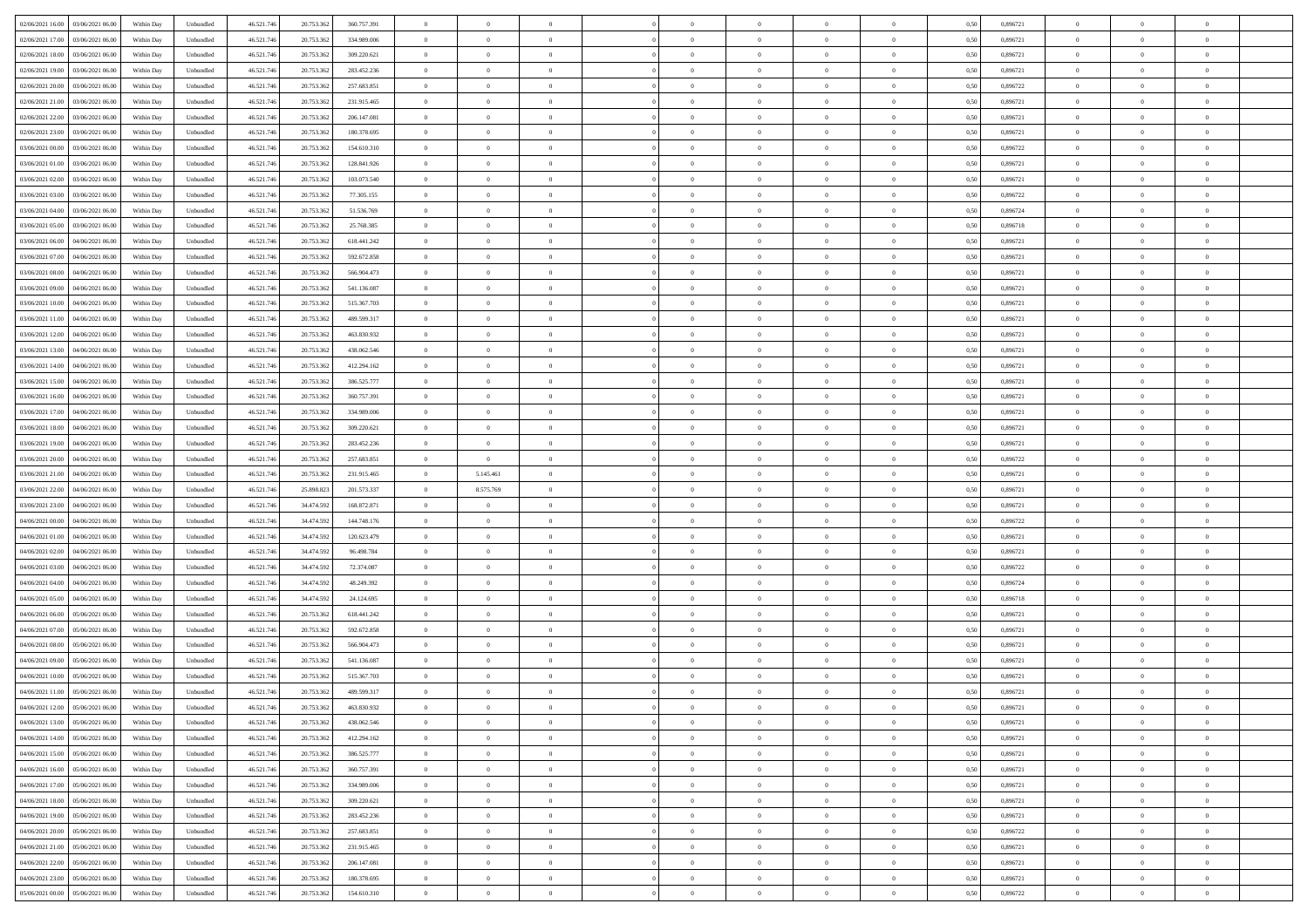| 02/06/2021 16:00 03/06/2021 06:00            | Within Day | Unbundled         | 46.521.74  | 20.753.362 | 360.757.391 | $\overline{0}$ | $\theta$       |                | $\overline{0}$ | $\bf{0}$       |                | $\bf{0}$       | 0,50 | 0,896721 | $\theta$       | $\theta$       | $\theta$       |  |
|----------------------------------------------|------------|-------------------|------------|------------|-------------|----------------|----------------|----------------|----------------|----------------|----------------|----------------|------|----------|----------------|----------------|----------------|--|
| 02/06/2021 17:00<br>03/06/2021 06:00         | Within Day | Unbundled         | 46.521.74  | 20.753.36  | 334.989.006 | $\bf{0}$       | $\overline{0}$ | $\bf{0}$       | $\overline{0}$ | $\bf{0}$       | $\overline{0}$ | $\bf{0}$       | 0,50 | 0,896721 | $\,$ 0 $\,$    | $\bf{0}$       | $\overline{0}$ |  |
| 02/06/2021 18:00<br>03/06/2021 06:00         | Within Day | Unbundled         | 46.521.746 | 20.753.362 | 309.220.621 | $\overline{0}$ | $\bf{0}$       | $\overline{0}$ | $\bf{0}$       | $\bf{0}$       | $\overline{0}$ | $\bf{0}$       | 0.50 | 0.896721 | $\bf{0}$       | $\overline{0}$ | $\overline{0}$ |  |
| 02/06/2021 19:00<br>03/06/2021 06:00         |            |                   | 46.521.74  |            |             | $\overline{0}$ | $\overline{0}$ | $\overline{0}$ | $\theta$       | $\theta$       | $\overline{0}$ | $\overline{0}$ |      | 0,896721 | $\theta$       | $\theta$       | $\overline{0}$ |  |
|                                              | Within Day | Unbundled         |            | 20.753.362 | 283.452.236 |                |                |                |                |                |                |                | 0,50 |          |                |                |                |  |
| 02/06/2021 20:00<br>03/06/2021 06.00         | Within Day | Unbundled         | 46.521.74  | 20.753.36  | 257.683.851 | $\overline{0}$ | $\theta$       | $\overline{0}$ | $\overline{0}$ | $\theta$       | $\overline{0}$ | $\bf{0}$       | 0,50 | 0,896722 | $\,$ 0 $\,$    | $\bf{0}$       | $\overline{0}$ |  |
| 02/06/2021 21:00<br>03/06/2021 06:00         | Within Day | Unbundled         | 46.521.746 | 20.753.362 | 231.915.465 | $\overline{0}$ | $\overline{0}$ | $\overline{0}$ | $\overline{0}$ | $\overline{0}$ | $\Omega$       | $\bf{0}$       | 0.50 | 0.896721 | $\,$ 0 $\,$    | $\theta$       | $\overline{0}$ |  |
| 02/06/2021 22:00<br>03/06/2021 06:00         | Within Day | Unbundled         | 46.521.74  | 20.753.362 | 206.147.081 | $\overline{0}$ | $\overline{0}$ | $\overline{0}$ | $\overline{0}$ | $\theta$       | $\overline{0}$ | $\bf{0}$       | 0,50 | 0,896721 | $\theta$       | $\theta$       | $\overline{0}$ |  |
|                                              |            |                   |            |            |             |                |                |                |                |                |                |                |      |          |                |                |                |  |
| 02/06/2021 23:00<br>03/06/2021 06.00         | Within Day | Unbundled         | 46.521.74  | 20.753.36  | 180.378.695 | $\bf{0}$       | $\overline{0}$ | $\overline{0}$ | $\overline{0}$ | $\theta$       | $\overline{0}$ | $\bf{0}$       | 0,50 | 0,896721 | $\,$ 0 $\,$    | $\bf{0}$       | $\overline{0}$ |  |
| 03/06/2021 00:00<br>03/06/2021 06:00         | Within Day | Unbundled         | 46.521.74  | 20.753.362 | 154,610,310 | $\overline{0}$ | $\bf{0}$       | $\overline{0}$ | $\bf{0}$       | $\overline{0}$ | $\overline{0}$ | $\bf{0}$       | 0.50 | 0.896722 | $\bf{0}$       | $\theta$       | $\overline{0}$ |  |
| 03/06/2021 01:00<br>03/06/2021 06:00         | Within Day | Unbundled         | 46.521.74  | 20.753.362 | 128.841.926 | $\overline{0}$ | $\bf{0}$       | $\overline{0}$ | $\overline{0}$ | $\theta$       | $\overline{0}$ | $\bf{0}$       | 0,50 | 0,896721 | $\,$ 0 $\,$    | $\theta$       | $\overline{0}$ |  |
| 03/06/2021 02:00<br>03/06/2021 06.00         | Within Day | Unbundled         | 46.521.74  | 20.753.36  | 103.073.540 | $\bf{0}$       | $\overline{0}$ | $\bf{0}$       | $\overline{0}$ | $\bf{0}$       | $\overline{0}$ | $\bf{0}$       | 0,50 | 0,896721 | $\,$ 0 $\,$    | $\bf{0}$       | $\overline{0}$ |  |
|                                              |            |                   |            |            |             |                |                |                |                |                |                |                |      |          |                |                |                |  |
| 03/06/2021 03:00<br>03/06/2021 06:00         | Within Day | Unbundled         | 46.521.746 | 20.753.362 | 77.305.155  | $\overline{0}$ | $\overline{0}$ | $\overline{0}$ | $\bf{0}$       | $\bf{0}$       | $\overline{0}$ | $\bf{0}$       | 0.50 | 0.896722 | $\bf{0}$       | $\overline{0}$ | $\overline{0}$ |  |
| 03/06/2021 04:00<br>03/06/2021 06:00         | Within Day | Unbundled         | 46.521.74  | 20.753.362 | 51.536.769  | $\overline{0}$ | $\overline{0}$ | $\overline{0}$ | $\overline{0}$ | $\theta$       | $\overline{0}$ | $\overline{0}$ | 0,50 | 0,896724 | $\theta$       | $\theta$       | $\overline{0}$ |  |
| 03/06/2021 05:00<br>03/06/2021 06.00         | Within Day | Unbundled         | 46.521.74  | 20.753.36  | 25.768.385  | $\bf{0}$       | $\theta$       | $\bf{0}$       | $\overline{0}$ | $\theta$       | $\overline{0}$ | $\bf{0}$       | 0,50 | 0,896718 | $\bf{0}$       | $\bf{0}$       | $\overline{0}$ |  |
|                                              |            |                   |            |            |             |                |                |                |                |                |                |                |      |          |                |                |                |  |
| 03/06/2021 06:00<br>04/06/2021 06:00         | Within Day | Unbundled         | 46.521.74  | 20.753.362 | 618.441.242 | $\overline{0}$ | $\overline{0}$ | $\overline{0}$ | $\bf{0}$       | $\theta$       | $\theta$       | $\bf{0}$       | 0.50 | 0,896721 | $\bf{0}$       | $\theta$       | $\overline{0}$ |  |
| 03/06/2021 07:00<br>04/06/2021 06:00         | Within Day | Unbundled         | 46.521.74  | 20.753.362 | 592.672.858 | $\overline{0}$ | $\overline{0}$ | $\overline{0}$ | $\overline{0}$ | $\overline{0}$ | $\overline{0}$ | $\bf{0}$       | 0,50 | 0,896721 | $\theta$       | $\theta$       | $\overline{0}$ |  |
| 03/06/2021 08:00<br>04/06/2021 06.00         | Within Day | Unbundled         | 46.521.74  | 20.753.36  | 566.904.473 | $\bf{0}$       | $\overline{0}$ | $\overline{0}$ | $\overline{0}$ | $\theta$       | $\overline{0}$ | $\bf{0}$       | 0,50 | 0,896721 | $\,$ 0 $\,$    | $\bf{0}$       | $\overline{0}$ |  |
| 03/06/2021 09:00<br>04/06/2021 06:00         | Within Day | Unbundled         | 46.521.74  | 20.753.362 | 541.136.087 | $\overline{0}$ | $\overline{0}$ | $\overline{0}$ | $\bf{0}$       | $\overline{0}$ | $\overline{0}$ | $\bf{0}$       | 0.50 | 0.896721 | $\bf{0}$       | $\overline{0}$ | $\overline{0}$ |  |
|                                              |            |                   |            |            |             | $\overline{0}$ | $\overline{0}$ | $\overline{0}$ | $\overline{0}$ | $\theta$       | $\overline{0}$ |                |      |          | $\,$ 0 $\,$    | $\theta$       | $\overline{0}$ |  |
| 03/06/2021 10:00<br>04/06/2021 06:00         | Within Day | Unbundled         | 46.521.74  | 20.753.362 | 515.367.703 |                |                |                |                |                |                | $\bf{0}$       | 0,50 | 0,896721 |                |                |                |  |
| 03/06/2021 11:00<br>04/06/2021 06.00         | Within Day | Unbundled         | 46.521.74  | 20.753.36  | 489.599.317 | $\bf{0}$       | $\overline{0}$ | $\bf{0}$       | $\bf{0}$       | $\overline{0}$ | $\overline{0}$ | $\bf{0}$       | 0,50 | 0,896721 | $\,$ 0 $\,$    | $\bf{0}$       | $\overline{0}$ |  |
| 03/06/2021 12:00<br>04/06/2021 06:00         | Within Day | Unbundled         | 46.521.746 | 20.753.362 | 463.830.932 | $\overline{0}$ | $\bf{0}$       | $\overline{0}$ | $\bf{0}$       | $\bf{0}$       | $\overline{0}$ | $\bf{0}$       | 0.50 | 0.896721 | $\bf{0}$       | $\overline{0}$ | $\overline{0}$ |  |
| 03/06/2021 13:00<br>04/06/2021 06:00         | Within Day | Unbundled         | 46.521.74  | 20.753.362 | 438.062.546 | $\overline{0}$ | $\overline{0}$ | $\overline{0}$ | $\theta$       | $\theta$       | $\overline{0}$ | $\bf{0}$       | 0,50 | 0,896721 | $\theta$       | $\theta$       | $\overline{0}$ |  |
|                                              |            |                   |            |            |             |                | $\overline{0}$ |                |                |                |                |                |      |          |                |                | $\overline{0}$ |  |
| 03/06/2021 14:00<br>04/06/2021 06.00         | Within Day | Unbundled         | 46.521.74  | 20.753.36  | 412.294.162 | $\bf{0}$       |                | $\bf{0}$       | $\overline{0}$ | $\theta$       | $\overline{0}$ | $\bf{0}$       | 0,50 | 0,896721 | $\,$ 0 $\,$    | $\bf{0}$       |                |  |
| 03/06/2021 15:00<br>04/06/2021 06:00         | Within Day | Unbundled         | 46.521.74  | 20.753.362 | 386.525.777 | $\overline{0}$ | $\overline{0}$ | $\overline{0}$ | $\overline{0}$ | $\overline{0}$ | $\Omega$       | $\bf{0}$       | 0.50 | 0.896721 | $\,$ 0 $\,$    | $\theta$       | $\overline{0}$ |  |
| 03/06/2021 16:00<br>04/06/2021 06.00         | Within Day | Unbundled         | 46.521.74  | 20.753.362 | 360.757.391 | $\overline{0}$ | $\overline{0}$ | $\overline{0}$ | $\overline{0}$ | $\theta$       | $\overline{0}$ | $\bf{0}$       | 0,50 | 0,896721 | $\theta$       | $\theta$       | $\overline{0}$ |  |
| 03/06/2021 17:00<br>04/06/2021 06.00         | Within Day | Unbundled         | 46.521.74  | 20.753.36  | 334.989.006 | $\bf{0}$       | $\theta$       | $\overline{0}$ | $\overline{0}$ | $\theta$       | $\overline{0}$ | $\bf{0}$       | 0,50 | 0,896721 | $\,$ 0 $\,$    | $\bf{0}$       | $\overline{0}$ |  |
| 04/06/2021 06:00                             |            | Unbundled         | 46.521.74  | 20.753.362 | 309.220.621 |                | $\bf{0}$       | $\overline{0}$ |                | $\overline{0}$ | $\overline{0}$ |                | 0.50 | 0.896721 | $\bf{0}$       | $\overline{0}$ | $\overline{0}$ |  |
| 03/06/2021 18:00                             | Within Day |                   |            |            |             | $\overline{0}$ |                |                | $\bf{0}$       |                |                | $\bf{0}$       |      |          |                |                |                |  |
| 03/06/2021 19:00<br>04/06/2021 06:00         | Within Day | Unbundled         | 46.521.74  | 20.753.362 | 283.452.236 | $\overline{0}$ | $\overline{0}$ | $\overline{0}$ | $\overline{0}$ | $\theta$       | $\overline{0}$ | $\bf{0}$       | 0,50 | 0,896721 | $\theta$       | $\theta$       | $\overline{0}$ |  |
| 03/06/2021 20:00<br>04/06/2021 06.00         | Within Day | Unbundled         | 46.521.74  | 20.753.36  | 257.683.851 | $\bf{0}$       | $\bf{0}$       | $\bf{0}$       | $\bf{0}$       | $\overline{0}$ | $\overline{0}$ | $\bf{0}$       | 0,50 | 0,896722 | $\,$ 0 $\,$    | $\bf{0}$       | $\overline{0}$ |  |
| 03/06/2021 21:00<br>04/06/2021 06:00         | Within Day | Unbundled         | 46.521.746 | 20.753.362 | 231.915.465 | $\overline{0}$ | 5.145.461      | $\overline{0}$ | $\bf{0}$       | $\bf{0}$       | $\overline{0}$ | $\bf{0}$       | 0.50 | 0.896721 | $\bf{0}$       | $\overline{0}$ | $\overline{0}$ |  |
| 03/06/2021 22:00<br>04/06/2021 06:00         | Within Day | Unbundled         | 46.521.74  | 25.898.823 | 201.573.337 | $\overline{0}$ | 8.575.769      | $\overline{0}$ | $\overline{0}$ | $\theta$       | $\overline{0}$ | $\bf{0}$       | 0.5( | 0,896721 | $\theta$       | $\theta$       | $\overline{0}$ |  |
|                                              |            |                   |            |            |             |                |                |                |                |                |                |                |      |          |                |                |                |  |
| 03/06/2021 23:00<br>04/06/2021 06.00         | Within Day | Unbundled         | 46.521.74  | 34.474.59  | 168.872.871 | $\bf{0}$       | $\theta$       | $\bf{0}$       | $\overline{0}$ | $\overline{0}$ | $\overline{0}$ | $\bf{0}$       | 0,50 | 0,896721 | $\,$ 0 $\,$    | $\bf{0}$       | $\overline{0}$ |  |
| 04/06/2021 00:00<br>04/06/2021 06:00         | Within Day | Unbundled         | 46.521.746 | 34.474.592 | 144,748,176 | $\overline{0}$ | $\overline{0}$ | $\overline{0}$ | $\bf{0}$       | $\bf{0}$       | $\Omega$       | $\bf{0}$       | 0.50 | 0,896722 | $\,$ 0 $\,$    | $\theta$       | $\overline{0}$ |  |
| 04/06/2021 01:00<br>04/06/2021 06:00         | Within Dav | Unbundled         | 46.521.74  | 34.474.592 | 120.623.479 | $\overline{0}$ | $\overline{0}$ | $\Omega$       | $\overline{0}$ | $\theta$       | $\overline{0}$ | $\overline{0}$ | 0.5( | 0,896721 | $\theta$       | $\theta$       | $\overline{0}$ |  |
| 04/06/2021 02:00<br>04/06/2021 06.00         | Within Day | Unbundled         | 46.521.74  | 34.474.59  | 96.498.784  | $\bf{0}$       | $\overline{0}$ | $\bf{0}$       | $\overline{0}$ | $\bf{0}$       | $\overline{0}$ | $\bf{0}$       | 0,50 | 0,896721 | $\,$ 0 $\,$    | $\bf{0}$       | $\overline{0}$ |  |
|                                              |            |                   |            |            |             |                |                |                |                |                |                |                |      |          |                |                |                |  |
| 04/06/2021 03:00<br>04/06/2021 06:00         | Within Day | Unbundled         | 46.521.74  | 34.474.59  | 72.374.087  | $\overline{0}$ | $\bf{0}$       | $\overline{0}$ | $\bf{0}$       | $\overline{0}$ | $\overline{0}$ | $\bf{0}$       | 0.50 | 0.896722 | $\bf{0}$       | $\overline{0}$ | $\overline{0}$ |  |
| 04/06/2021 04:00<br>04/06/2021 06:00         | Within Dav | Unbundled         | 46.521.74  | 34.474.592 | 48.249.392  | $\overline{0}$ | $\overline{0}$ | $\overline{0}$ | $\overline{0}$ | $\overline{0}$ | $\overline{0}$ | $\overline{0}$ | 0.50 | 0,896724 | $\theta$       | $\theta$       | $\overline{0}$ |  |
| 04/06/2021 05:00<br>04/06/2021 06.00         | Within Day | Unbundled         | 46.521.74  | 34.474.59  | 24.124.695  | $\bf{0}$       | $\bf{0}$       | $\bf{0}$       | $\bf{0}$       | $\overline{0}$ | $\overline{0}$ | $\bf{0}$       | 0,50 | 0,896718 | $\,$ 0 $\,$    | $\bf{0}$       | $\overline{0}$ |  |
| 04/06/2021 06:00<br>05/06/2021 06:00         | Within Day | Unbundled         | 46.521.746 | 20.753.362 | 618.441.242 | $\overline{0}$ | $\bf{0}$       | $\overline{0}$ | $\bf{0}$       | $\bf{0}$       | $\overline{0}$ | $\bf{0}$       | 0.50 | 0.896721 | $\bf{0}$       | $\overline{0}$ | $\overline{0}$ |  |
|                                              |            |                   |            |            |             |                |                |                |                |                |                |                |      |          |                |                |                |  |
| 04/06/2021 07:00<br>05/06/2021 06:00         | Within Day | Unbundled         | 46.521.74  | 20.753.362 | 592.672.858 | $\overline{0}$ | $\overline{0}$ | $\Omega$       | $\overline{0}$ | $\theta$       | $\overline{0}$ | $\bf{0}$       | 0.50 | 0,896721 | $\theta$       | $\theta$       | $\overline{0}$ |  |
| 04/06/2021 08:00<br>05/06/2021 06.00         | Within Day | Unbundled         | 46.521.74  | 20.753.36  | 566.904.473 | $\bf{0}$       | $\overline{0}$ | $\bf{0}$       | $\overline{0}$ | $\overline{0}$ | $\overline{0}$ | $\bf{0}$       | 0,50 | 0,896721 | $\,$ 0 $\,$    | $\bf{0}$       | $\overline{0}$ |  |
| 04/06/2021 09:00<br>05/06/2021 06:00         | Within Day | Unbundled         | 46.521.74  | 20.753.362 | 541.136.087 | $\overline{0}$ | $\overline{0}$ | $\Omega$       | $\overline{0}$ | $\theta$       | $\theta$       | $\bf{0}$       | 0.50 | 0,896721 | $\bf{0}$       | $\theta$       | $\overline{0}$ |  |
| 04/06/2021 10:00<br>05/06/2021 06:00         | Within Dav | Unbundled         | 46.521.74  | 20.753.362 | 515.367.703 | $\overline{0}$ | $\overline{0}$ | $\Omega$       | $\overline{0}$ | $\theta$       | $\Omega$       | $\overline{0}$ | 0.5( | 0,896721 | $\theta$       | $\theta$       | $\overline{0}$ |  |
|                                              |            |                   |            |            |             |                |                |                |                |                |                |                |      |          |                |                |                |  |
| 04/06/2021 11:00<br>05/06/2021 06:00         | Within Day | Unbundled         | 46.521.74  | 20.753.36  | 489.599.317 | $\bf{0}$       | $\bf{0}$       | $\overline{0}$ | $\bf{0}$       | $\bf{0}$       | $\overline{0}$ | $\bf{0}$       | 0,50 | 0,896721 | $\,$ 0 $\,$    | $\bf{0}$       | $\overline{0}$ |  |
| $04/06/2021\ 12.00 \qquad 05/06/2021\ 06.00$ | Within Day | ${\sf Unbundred}$ | 46.521.746 | 20.753.362 | 463.830.932 | $\overline{0}$ | $\Omega$       |                | $\Omega$       |                |                |                | 0,50 | 0,896721 | $\theta$       | $\overline{0}$ |                |  |
| 04/06/2021 13:00 05/06/2021 06:00            | Within Day | Unbundled         | 46.521.746 | 20.753.362 | 438.062.546 | $\overline{0}$ | $\theta$       | $\Omega$       | $\theta$       | $\overline{0}$ | $\overline{0}$ | $\bf{0}$       | 0,50 | 0,896721 | $\theta$       | $\theta$       | $\overline{0}$ |  |
| 04/06/2021 14:00<br>05/06/2021 06:00         | Within Day | Unbundled         | 46.521.74  | 20.753.362 | 412.294.162 | $\overline{0}$ | $\bf{0}$       | $\overline{0}$ | $\overline{0}$ | $\bf{0}$       | $\overline{0}$ | $\bf{0}$       | 0,50 | 0,896721 | $\bf{0}$       | $\overline{0}$ | $\bf{0}$       |  |
|                                              |            |                   |            |            |             |                |                |                |                |                |                |                |      |          |                |                |                |  |
| 04/06/2021 15:00  05/06/2021 06:00           | Within Day | Unbundled         | 46.521.746 | 20.753.362 | 386.525.777 | $\overline{0}$ | $\bf{0}$       | $\overline{0}$ | $\overline{0}$ | $\overline{0}$ | $\overline{0}$ | $\,$ 0 $\,$    | 0.50 | 0.896721 | $\overline{0}$ | $\bf{0}$       | $\,$ 0 $\,$    |  |
| 04/06/2021 16:00  05/06/2021 06:00           | Within Day | Unbundled         | 46.521.746 | 20.753.362 | 360.757.391 | $\overline{0}$ | $\overline{0}$ | $\overline{0}$ | $\overline{0}$ | $\overline{0}$ | $\overline{0}$ | $\bf{0}$       | 0,50 | 0,896721 | $\theta$       | $\theta$       | $\overline{0}$ |  |
| 04/06/2021 17:00<br>05/06/2021 06:00         | Within Day | Unbundled         | 46.521.74  | 20.753.362 | 334.989.006 | $\overline{0}$ | $\bf{0}$       | $\overline{0}$ | $\bf{0}$       | $\overline{0}$ | $\bf{0}$       | $\bf{0}$       | 0,50 | 0,896721 | $\bf{0}$       | $\bf{0}$       | $\overline{0}$ |  |
| 05/06/2021 06:00<br>04/06/2021 18:00         | Within Day | Unbundled         | 46.521.746 | 20.753.362 | 309.220.621 | $\overline{0}$ | $\bf{0}$       | $\overline{0}$ | $\overline{0}$ | $\overline{0}$ | $\overline{0}$ | $\bf{0}$       | 0.50 | 0,896721 | $\,$ 0 $\,$    | $\theta$       | $\overline{0}$ |  |
|                                              |            |                   |            |            |             |                |                |                |                |                |                |                |      |          |                |                |                |  |
| 04/06/2021 19:00<br>05/06/2021 06:00         | Within Dav | Unbundled         | 46.521.746 | 20.753.362 | 283.452.236 | $\overline{0}$ | $\overline{0}$ | $\overline{0}$ | $\overline{0}$ | $\overline{0}$ | $\overline{0}$ | $\bf{0}$       | 0.50 | 0,896721 | $\overline{0}$ | $\theta$       | $\overline{0}$ |  |
| 04/06/2021 20:00<br>05/06/2021 06:00         | Within Day | Unbundled         | 46.521.74  | 20.753.36  | 257.683.851 | $\overline{0}$ | $\overline{0}$ | $\overline{0}$ | $\overline{0}$ | $\overline{0}$ | $\overline{0}$ | $\bf{0}$       | 0,50 | 0,896722 | $\bf{0}$       | $\bf{0}$       | $\overline{0}$ |  |
| 04/06/2021 21:00  05/06/2021 06:00           | Within Day | Unbundled         | 46.521.746 | 20.753.362 | 231.915.465 | $\overline{0}$ | $\overline{0}$ | $\overline{0}$ | $\overline{0}$ | $\bf{0}$       | $\overline{0}$ | $\bf{0}$       | 0.50 | 0.896721 | $\overline{0}$ | $\,$ 0 $\,$    | $\,$ 0         |  |
| 04/06/2021 22:00 05/06/2021 06:00            | Within Dav | Unbundled         | 46.521.746 | 20.753.362 | 206.147.081 | $\overline{0}$ | $\overline{0}$ | $\overline{0}$ | $\overline{0}$ | $\overline{0}$ | $\overline{0}$ | $\bf{0}$       | 0,50 | 0,896721 | $\overline{0}$ | $\theta$       | $\overline{0}$ |  |
|                                              |            |                   |            |            |             |                |                |                |                |                |                |                |      |          |                |                |                |  |
| 04/06/2021 23:00<br>05/06/2021 06:00         | Within Day | Unbundled         | 46.521.74  | 20.753.36  | 180.378.695 | $\overline{0}$ | $\bf{0}$       | $\overline{0}$ | $\bf{0}$       | $\overline{0}$ | $\bf{0}$       | $\bf{0}$       | 0,50 | 0,896721 | $\bf{0}$       | $\bf{0}$       | $\overline{0}$ |  |
| 05/06/2021 00:00 05/06/2021 06:00            | Within Day | Unbundled         | 46.521.746 | 20.753.362 | 154.610.310 | $\overline{0}$ | $\bf{0}$       | $\overline{0}$ | $\overline{0}$ | $\,$ 0 $\,$    | $\overline{0}$ | $\bf{0}$       | 0,50 | 0,896722 | $\overline{0}$ | $\,$ 0 $\,$    | $\,$ 0 $\,$    |  |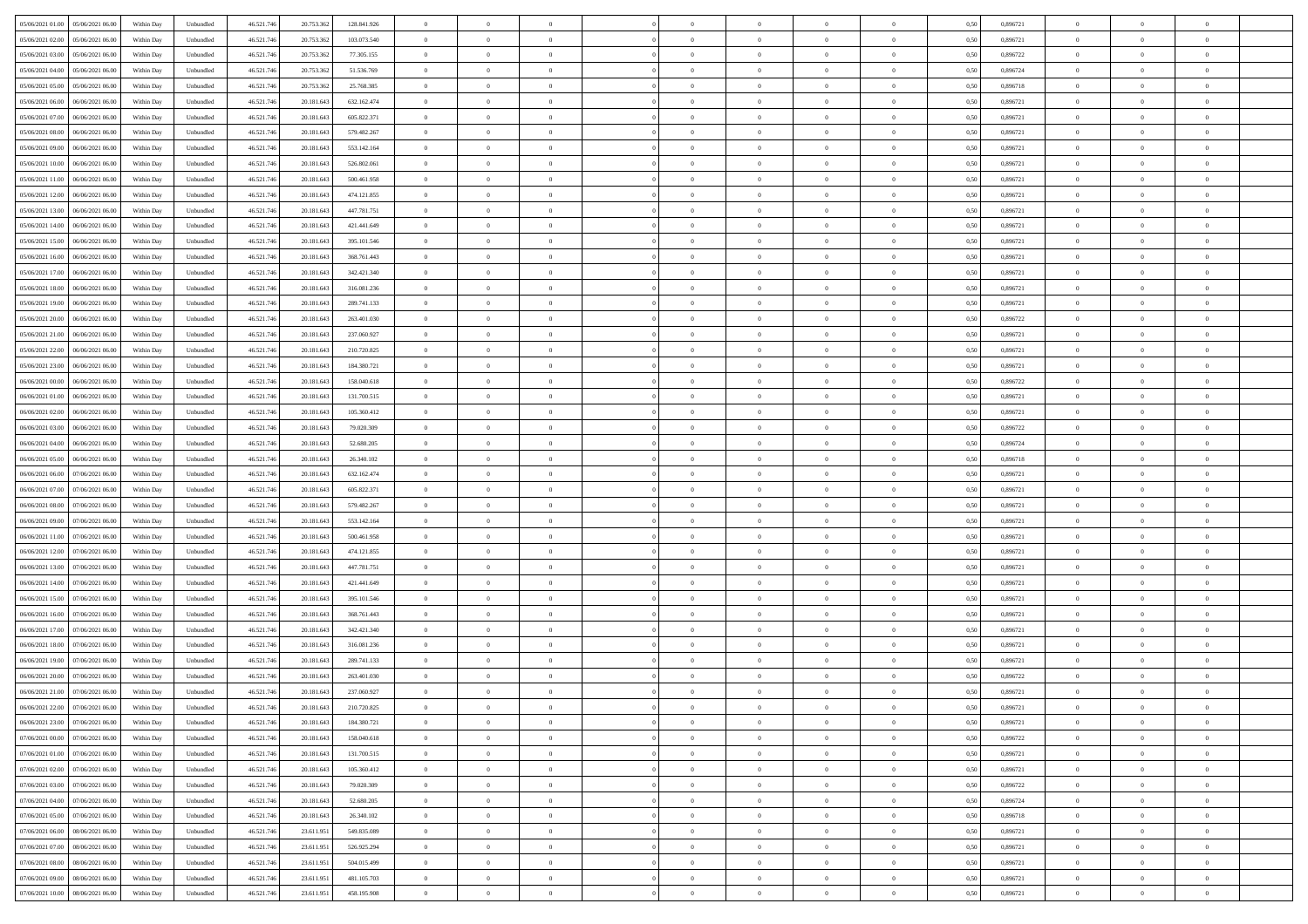| 05/06/2021 01:00  05/06/2021 06:00           | Within Day | Unbundled         | 46.521.74  | 20.753.362 | 128.841.926 | $\overline{0}$ | $\theta$       |                | $\overline{0}$ | $\bf{0}$       |                | $\bf{0}$       | 0,50 | 0,896721 | $\theta$       | $\theta$       | $\theta$       |  |
|----------------------------------------------|------------|-------------------|------------|------------|-------------|----------------|----------------|----------------|----------------|----------------|----------------|----------------|------|----------|----------------|----------------|----------------|--|
| 05/06/2021 02:00<br>05/06/2021 06.00         | Within Day | Unbundled         | 46.521.74  | 20.753.36  | 103.073.540 | $\bf{0}$       | $\overline{0}$ | $\overline{0}$ | $\overline{0}$ | $\theta$       | $\overline{0}$ | $\bf{0}$       | 0,50 | 0,896721 | $\,$ 0 $\,$    | $\bf{0}$       | $\overline{0}$ |  |
| 05/06/2021 03:00<br>05/06/2021 06:00         | Within Day | Unbundled         | 46.521.746 | 20.753.362 | 77.305.155  | $\overline{0}$ | $\bf{0}$       | $\overline{0}$ | $\bf{0}$       | $\bf{0}$       | $\overline{0}$ | $\bf{0}$       | 0.50 | 0,896722 | $\bf{0}$       | $\overline{0}$ | $\overline{0}$ |  |
| 05/06/2021 04:00<br>05/06/2021 06:00         | Within Day | Unbundled         | 46.521.74  | 20.753.362 | 51.536.769  | $\overline{0}$ | $\overline{0}$ | $\overline{0}$ | $\theta$       | $\theta$       | $\overline{0}$ | $\overline{0}$ | 0,50 | 0,896724 | $\theta$       | $\theta$       | $\overline{0}$ |  |
| 05/06/2021 05:00<br>05/06/2021 06.00         | Within Day | Unbundled         | 46.521.74  | 20.753.36  | 25.768.385  | $\overline{0}$ | $\theta$       | $\overline{0}$ | $\overline{0}$ | $\theta$       | $\overline{0}$ | $\bf{0}$       | 0,50 | 0,896718 | $\,$ 0 $\,$    | $\theta$       | $\overline{0}$ |  |
| 05/06/2021 06:00<br>06/06/2021 06:00         | Within Day | Unbundled         | 46.521.746 | 20.181.643 | 632.162.474 | $\overline{0}$ | $\overline{0}$ | $\overline{0}$ | $\overline{0}$ | $\overline{0}$ | $\Omega$       | $\bf{0}$       | 0.50 | 0,896721 | $\bf{0}$       | $\theta$       | $\overline{0}$ |  |
| 05/06/2021 07:00<br>06/06/2021 06:00         | Within Day | Unbundled         | 46.521.74  | 20.181.643 | 605.822.371 | $\overline{0}$ | $\overline{0}$ | $\overline{0}$ | $\overline{0}$ | $\theta$       | $\overline{0}$ | $\bf{0}$       | 0,50 | 0,896721 | $\theta$       | $\theta$       | $\overline{0}$ |  |
|                                              |            |                   |            |            |             | $\overline{0}$ | $\overline{0}$ | $\overline{0}$ | $\overline{0}$ | $\theta$       | $\overline{0}$ |                |      |          | $\,$ 0 $\,$    | $\bf{0}$       | $\overline{0}$ |  |
| 05/06/2021 08:00<br>06/06/2021 06.00         | Within Day | Unbundled         | 46.521.74  | 20.181.64  | 579.482.267 |                |                |                |                |                |                | $\bf{0}$       | 0,50 | 0,896721 |                |                |                |  |
| 05/06/2021 09:00<br>06/06/2021 06:00         | Within Day | Unbundled         | 46.521.74  | 20.181.643 | 553.142.164 | $\overline{0}$ | $\overline{0}$ | $\overline{0}$ | $\bf{0}$       | $\overline{0}$ | $\overline{0}$ | $\bf{0}$       | 0.50 | 0.896721 | $\bf{0}$       | $\theta$       | $\overline{0}$ |  |
| 05/06/2021 10:00<br>06/06/2021 06:00         | Within Day | Unbundled         | 46.521.74  | 20.181.643 | 526.802.061 | $\overline{0}$ | $\bf{0}$       | $\overline{0}$ | $\overline{0}$ | $\theta$       | $\overline{0}$ | $\bf{0}$       | 0,50 | 0,896721 | $\,$ 0 $\,$    | $\theta$       | $\overline{0}$ |  |
| 05/06/2021 11:00<br>06/06/2021 06.00         | Within Day | Unbundled         | 46.521.74  | 20.181.64  | 500.461.958 | $\bf{0}$       | $\overline{0}$ | $\bf{0}$       | $\overline{0}$ | $\bf{0}$       | $\overline{0}$ | $\bf{0}$       | 0,50 | 0,896721 | $\,$ 0 $\,$    | $\bf{0}$       | $\overline{0}$ |  |
| 05/06/2021 12:00<br>06/06/2021 06:00         | Within Day | Unbundled         | 46.521.746 | 20.181.643 | 474.121.855 | $\overline{0}$ | $\overline{0}$ | $\overline{0}$ | $\bf{0}$       | $\bf{0}$       | $\overline{0}$ | $\bf{0}$       | 0.50 | 0.896721 | $\bf{0}$       | $\overline{0}$ | $\overline{0}$ |  |
| 05/06/2021 13:00<br>06/06/2021 06:00         | Within Day | Unbundled         | 46.521.74  | 20.181.643 | 447.781.751 | $\overline{0}$ | $\overline{0}$ | $\overline{0}$ | $\overline{0}$ | $\theta$       | $\overline{0}$ | $\overline{0}$ | 0,50 | 0,896721 | $\theta$       | $\theta$       | $\overline{0}$ |  |
| 05/06/2021 14:00<br>06/06/2021 06.00         | Within Day | Unbundled         | 46.521.74  | 20.181.64  | 421.441.649 | $\bf{0}$       | $\theta$       | $\bf{0}$       | $\overline{0}$ | $\theta$       | $\overline{0}$ | $\bf{0}$       | 0,50 | 0,896721 | $\bf{0}$       | $\bf{0}$       | $\overline{0}$ |  |
| 05/06/2021 15:00<br>06/06/2021 06:00         | Within Day | Unbundled         | 46.521.74  | 20.181.643 | 395.101.546 | $\overline{0}$ | $\overline{0}$ | $\overline{0}$ | $\bf{0}$       | $\theta$       | $\theta$       | $\bf{0}$       | 0.50 | 0,896721 | $\bf{0}$       | $\theta$       | $\overline{0}$ |  |
| 05/06/2021 16:00<br>06/06/2021 06:00         | Within Day | Unbundled         | 46.521.74  | 20.181.643 | 368.761.443 | $\overline{0}$ | $\overline{0}$ | $\overline{0}$ | $\overline{0}$ | $\theta$       | $\overline{0}$ | $\bf{0}$       | 0,50 | 0,896721 | $\theta$       | $\theta$       | $\overline{0}$ |  |
| 05/06/2021 17:00<br>06/06/2021 06.00         | Within Day | Unbundled         | 46.521.74  | 20.181.64  | 342.421.340 | $\bf{0}$       | $\overline{0}$ | $\overline{0}$ | $\overline{0}$ | $\theta$       | $\overline{0}$ | $\bf{0}$       | 0,50 | 0,896721 | $\,$ 0 $\,$    | $\theta$       | $\overline{0}$ |  |
| 05/06/2021 18:00<br>06/06/2021 06:00         | Within Day | Unbundled         | 46.521.74  | 20.181.643 | 316.081.236 | $\overline{0}$ | $\overline{0}$ | $\overline{0}$ | $\bf{0}$       | $\overline{0}$ | $\overline{0}$ | $\bf{0}$       | 0.50 | 0.896721 | $\bf{0}$       | $\overline{0}$ | $\overline{0}$ |  |
| 05/06/2021 19:00<br>06/06/2021 06:00         | Within Day | Unbundled         | 46.521.74  | 20.181.643 | 289.741.133 | $\overline{0}$ | $\overline{0}$ | $\overline{0}$ | $\overline{0}$ | $\theta$       | $\overline{0}$ | $\bf{0}$       | 0,50 | 0,896721 | $\,$ 0 $\,$    | $\theta$       | $\overline{0}$ |  |
|                                              |            |                   |            |            |             |                | $\overline{0}$ |                |                |                | $\overline{0}$ |                |      |          |                |                |                |  |
| 05/06/2021 20:00<br>06/06/2021 06.00         | Within Day | Unbundled         | 46.521.74  | 20.181.64  | 263.401.030 | $\bf{0}$       |                | $\bf{0}$       | $\bf{0}$       | $\overline{0}$ |                | $\bf{0}$       | 0,50 | 0,896722 | $\,$ 0 $\,$    | $\bf{0}$       | $\overline{0}$ |  |
| 05/06/2021 21:00<br>06/06/2021 06:00         | Within Day | Unbundled         | 46.521.746 | 20.181.643 | 237.060.927 | $\overline{0}$ | $\bf{0}$       | $\overline{0}$ | $\bf{0}$       | $\bf{0}$       | $\overline{0}$ | $\bf{0}$       | 0.50 | 0.896721 | $\bf{0}$       | $\overline{0}$ | $\overline{0}$ |  |
| 05/06/2021 22.00<br>06/06/2021 06:00         | Within Day | Unbundled         | 46.521.74  | 20.181.643 | 210.720.825 | $\overline{0}$ | $\overline{0}$ | $\overline{0}$ | $\overline{0}$ | $\theta$       | $\overline{0}$ | $\bf{0}$       | 0,50 | 0,896721 | $\theta$       | $\theta$       | $\overline{0}$ |  |
| 05/06/2021 23:00<br>06/06/2021 06.00         | Within Day | Unbundled         | 46.521.74  | 20.181.64  | 184.380.721 | $\bf{0}$       | $\overline{0}$ | $\bf{0}$       | $\overline{0}$ | $\theta$       | $\overline{0}$ | $\bf{0}$       | 0,50 | 0,896721 | $\,$ 0 $\,$    | $\bf{0}$       | $\overline{0}$ |  |
| 06/06/2021 00:00<br>06/06/2021 06:00         | Within Day | Unbundled         | 46.521.74  | 20.181.643 | 158,040,618 | $\overline{0}$ | $\overline{0}$ | $\overline{0}$ | $\overline{0}$ | $\overline{0}$ | $\Omega$       | $\bf{0}$       | 0.50 | 0.896722 | $\,$ 0 $\,$    | $\theta$       | $\overline{0}$ |  |
| 06/06/2021 01:00<br>06/06/2021 06:00         | Within Day | Unbundled         | 46.521.74  | 20.181.643 | 131.700.515 | $\overline{0}$ | $\overline{0}$ | $\overline{0}$ | $\overline{0}$ | $\theta$       | $\overline{0}$ | $\bf{0}$       | 0,50 | 0,896721 | $\theta$       | $\theta$       | $\overline{0}$ |  |
| 06/06/2021 02:00<br>06/06/2021 06.00         | Within Day | Unbundled         | 46.521.74  | 20.181.64  | 105.360.412 | $\overline{0}$ | $\theta$       | $\overline{0}$ | $\overline{0}$ | $\theta$       | $\overline{0}$ | $\bf{0}$       | 0,50 | 0,896721 | $\,$ 0 $\,$    | $\bf{0}$       | $\overline{0}$ |  |
| 06/06/2021 03:00<br>06/06/2021 06:00         | Within Day | Unbundled         | 46.521.74  | 20.181.643 | 79.020.309  | $\overline{0}$ | $\bf{0}$       | $\overline{0}$ | $\bf{0}$       | $\overline{0}$ | $\overline{0}$ | $\bf{0}$       | 0.50 | 0.896722 | $\bf{0}$       | $\theta$       | $\overline{0}$ |  |
| 06/06/2021 04:00<br>06/06/2021 06:00         | Within Day | Unbundled         | 46.521.74  | 20.181.643 | 52.680.205  | $\overline{0}$ | $\overline{0}$ | $\overline{0}$ | $\overline{0}$ | $\theta$       | $\overline{0}$ | $\bf{0}$       | 0,50 | 0,896724 | $\theta$       | $\theta$       | $\overline{0}$ |  |
| 06/06/2021 05:00<br>06/06/2021 06.00         | Within Day | Unbundled         | 46.521.74  | 20.181.64  | 26.340.102  | $\bf{0}$       | $\bf{0}$       | $\bf{0}$       | $\bf{0}$       | $\overline{0}$ | $\overline{0}$ | $\bf{0}$       | 0,50 | 0,896718 | $\,$ 0 $\,$    | $\bf{0}$       | $\overline{0}$ |  |
| 06/06/2021 06:00<br>07/06/2021 06:00         | Within Day | Unbundled         | 46.521.74  | 20.181.643 | 632.162.474 | $\overline{0}$ | $\bf{0}$       | $\overline{0}$ | $\bf{0}$       | $\bf{0}$       | $\overline{0}$ | $\bf{0}$       | 0.50 | 0.896721 | $\bf{0}$       | $\overline{0}$ | $\overline{0}$ |  |
| 06/06/2021 07:00<br>07/06/2021 06:00         | Within Day | Unbundled         | 46.521.74  | 20.181.643 | 605.822.371 | $\overline{0}$ | $\overline{0}$ | $\overline{0}$ | $\overline{0}$ | $\theta$       | $\overline{0}$ | $\bf{0}$       | 0.5( | 0,896721 | $\theta$       | $\theta$       | $\overline{0}$ |  |
|                                              |            |                   |            |            |             |                | $\overline{0}$ |                | $\overline{0}$ | $\theta$       | $\overline{0}$ | $\bf{0}$       |      |          | $\,$ 0 $\,$    | $\bf{0}$       | $\overline{0}$ |  |
| 06/06/2021 08:00<br>07/06/2021 06.00         | Within Day | Unbundled         | 46.521.74  | 20.181.64  | 579.482.267 | $\bf{0}$       |                | $\bf{0}$       |                |                |                |                | 0,50 | 0,896721 |                |                |                |  |
| 06/06/2021 09:00<br>07/06/2021 06.00         | Within Day | Unbundled         | 46.521.74  | 20.181.64  | 553.142.164 | $\overline{0}$ | $\overline{0}$ | $\overline{0}$ | $\bf{0}$       | $\theta$       | $\Omega$       | $\bf{0}$       | 0.50 | 0,896721 | $\,$ 0 $\,$    | $\overline{0}$ | $\overline{0}$ |  |
| 06/06/2021 11:00<br>07/06/2021 06:00         | Within Dav | Unbundled         | 46.521.74  | 20.181.643 | 500.461.958 | $\overline{0}$ | $\theta$       | $\Omega$       | $\overline{0}$ | $\theta$       | $\overline{0}$ | $\overline{0}$ | 0.5( | 0,896721 | $\theta$       | $\theta$       | $\overline{0}$ |  |
| 06/06/2021 12:00<br>07/06/2021 06.00         | Within Day | Unbundled         | 46.521.74  | 20.181.64  | 474.121.855 | $\bf{0}$       | $\overline{0}$ | $\bf{0}$       | $\overline{0}$ | $\bf{0}$       | $\overline{0}$ | $\bf{0}$       | 0,50 | 0,896721 | $\,$ 0 $\,$    | $\bf{0}$       | $\overline{0}$ |  |
| 06/06/2021 13:00<br>07/06/2021 06:00         | Within Day | Unbundled         | 46.521.74  | 20.181.643 | 447.781.751 | $\overline{0}$ | $\overline{0}$ | $\overline{0}$ | $\bf{0}$       | $\overline{0}$ | $\overline{0}$ | $\bf{0}$       | 0.50 | 0.896721 | $\bf{0}$       | $\overline{0}$ | $\overline{0}$ |  |
| 06/06/2021 14:00<br>07/06/2021 06:00         | Within Dav | Unbundled         | 46.521.74  | 20.181.643 | 421.441.649 | $\overline{0}$ | $\overline{0}$ | $\overline{0}$ | $\overline{0}$ | $\overline{0}$ | $\overline{0}$ | $\overline{0}$ | 0.50 | 0,896721 | $\theta$       | $\theta$       | $\overline{0}$ |  |
| 06/06/2021 15:00<br>07/06/2021 06.00         | Within Day | Unbundled         | 46.521.74  | 20.181.64  | 395.101.546 | $\bf{0}$       | $\bf{0}$       | $\bf{0}$       | $\bf{0}$       | $\overline{0}$ | $\overline{0}$ | $\bf{0}$       | 0,50 | 0,896721 | $\,$ 0 $\,$    | $\bf{0}$       | $\overline{0}$ |  |
| 06/06/2021 16:00<br>07/06/2021 06:00         | Within Day | Unbundled         | 46.521.746 | 20.181.643 | 368,761,443 | $\overline{0}$ | $\bf{0}$       | $\overline{0}$ | $\bf{0}$       | $\bf{0}$       | $\overline{0}$ | $\bf{0}$       | 0.50 | 0.896721 | $\bf{0}$       | $\overline{0}$ | $\overline{0}$ |  |
| 06/06/2021 17:00<br>07/06/2021 06:00         | Within Dav | Unbundled         | 46.521.74  | 20.181.643 | 342.421.340 | $\overline{0}$ | $\overline{0}$ | $\Omega$       | $\overline{0}$ | $\theta$       | $\overline{0}$ | $\overline{0}$ | 0.50 | 0,896721 | $\theta$       | $\theta$       | $\overline{0}$ |  |
| 06/06/2021 18:00<br>07/06/2021 06.00         | Within Day | Unbundled         | 46.521.74  | 20.181.64  | 316.081.236 | $\bf{0}$       | $\overline{0}$ | $\bf{0}$       | $\overline{0}$ | $\theta$       | $\overline{0}$ | $\bf{0}$       | 0,50 | 0,896721 | $\,$ 0 $\,$    | $\bf{0}$       | $\overline{0}$ |  |
| 06/06/2021 19:00<br>07/06/2021 06.00         | Within Day | Unbundled         | 46.521.74  | 20.181.64  | 289.741.133 | $\overline{0}$ | $\overline{0}$ | $\Omega$       | $\overline{0}$ | $\theta$       | $\theta$       | $\overline{0}$ | 0.50 | 0,896721 | $\bf{0}$       | $\overline{0}$ | $\overline{0}$ |  |
| 06/06/2021 20:00<br>07/06/2021 06:00         | Within Dav | Unbundled         | 46.521.74  | 20.181.643 | 263.401.030 | $\overline{0}$ | $\overline{0}$ | $\Omega$       | $\overline{0}$ | $\theta$       | $\Omega$       | $\overline{0}$ | 0.5( | 0,896722 | $\theta$       | $\theta$       | $\overline{0}$ |  |
| 06/06/2021 21:00<br>07/06/2021 06:00         | Within Day | Unbundled         | 46.521.74  | 20.181.64  | 237.060.927 | $\bf{0}$       | $\bf{0}$       | $\overline{0}$ | $\bf{0}$       | $\bf{0}$       | $\overline{0}$ | $\bf{0}$       | 0,50 | 0,896721 | $\,$ 0 $\,$    | $\bf{0}$       | $\overline{0}$ |  |
| $0606/2021\;22.00\quad \  07/06/2021\;06.00$ | Within Day | ${\sf Unbundred}$ | 46.521.746 | 20.181.643 | 210.720.825 | $\overline{0}$ | $\Omega$       |                | $\Omega$       |                |                |                | 0,50 | 0,896721 | $\theta$       | $\overline{0}$ |                |  |
|                                              |            |                   |            |            |             |                |                |                |                |                |                |                |      |          |                |                |                |  |
| 06/06/2021 23:00 07/06/2021 06:00            | Within Day | Unbundled         | 46.521.746 | 20.181.643 | 184.380.721 | $\overline{0}$ | $\theta$       | $\Omega$       | $\theta$       | $\overline{0}$ | $\overline{0}$ | $\bf{0}$       | 0,50 | 0,896721 | $\theta$       | $\theta$       | $\overline{0}$ |  |
| 07/06/2021 00:00<br>07/06/2021 06:00         | Within Day | Unbundled         | 46.521.74  | 20.181.643 | 158.040.618 | $\overline{0}$ | $\bf{0}$       | $\overline{0}$ | $\overline{0}$ | $\bf{0}$       | $\overline{0}$ | $\bf{0}$       | 0,50 | 0,896722 | $\bf{0}$       | $\overline{0}$ | $\bf{0}$       |  |
| 07/06/2021 01:00 07/06/2021 06:00            | Within Day | Unbundled         | 46.521.746 | 20.181.643 | 131.700.515 | $\overline{0}$ | $\bf{0}$       | $\overline{0}$ | $\overline{0}$ | $\overline{0}$ | $\overline{0}$ | $\bf{0}$       | 0.50 | 0,896721 | $\overline{0}$ | $\bf{0}$       | $\,$ 0 $\,$    |  |
| 07/06/2021 02:00 07/06/2021 06:00            | Within Day | Unbundled         | 46.521.746 | 20.181.643 | 105.360.412 | $\overline{0}$ | $\overline{0}$ | $\overline{0}$ | $\overline{0}$ | $\overline{0}$ | $\overline{0}$ | $\bf{0}$       | 0.50 | 0,896721 | $\theta$       | $\theta$       | $\overline{0}$ |  |
| 07/06/2021 03:00<br>07/06/2021 06:00         | Within Day | Unbundled         | 46.521.74  | 20.181.643 | 79.020.309  | $\overline{0}$ | $\bf{0}$       | $\overline{0}$ | $\overline{0}$ | $\overline{0}$ | $\overline{0}$ | $\bf{0}$       | 0,50 | 0,896722 | $\bf{0}$       | $\bf{0}$       | $\overline{0}$ |  |
| 07/06/2021 06:00<br>07/06/2021 04:00         | Within Day | Unbundled         | 46.521.746 | 20.181.643 | 52.680.205  | $\overline{0}$ | $\bf{0}$       | $\overline{0}$ | $\overline{0}$ | $\overline{0}$ | $\overline{0}$ | $\bf{0}$       | 0.50 | 0.896724 | $\,$ 0 $\,$    | $\theta$       | $\overline{0}$ |  |
| 07/06/2021 05:00<br>07/06/2021 06:00         | Within Dav | Unbundled         | 46.521.746 | 20.181.643 | 26.340.102  | $\overline{0}$ | $\overline{0}$ | $\overline{0}$ | $\overline{0}$ | $\overline{0}$ | $\overline{0}$ | $\bf{0}$       | 0.50 | 0,896718 | $\overline{0}$ | $\theta$       | $\overline{0}$ |  |
| 07/06/2021 06:00<br>08/06/2021 06:00         | Within Day | Unbundled         | 46.521.74  | 23.611.951 | 549.835.089 | $\overline{0}$ | $\overline{0}$ | $\overline{0}$ | $\overline{0}$ | $\bf{0}$       | $\overline{0}$ | $\bf{0}$       | 0,50 | 0,896721 | $\bf{0}$       | $\overline{0}$ | $\overline{0}$ |  |
| 07/06/2021 07:00 08/06/2021 06:00            | Within Day | Unbundled         | 46.521.746 | 23.611.951 | 526.925.294 | $\overline{0}$ | $\overline{0}$ | $\overline{0}$ | $\overline{0}$ | $\bf{0}$       | $\overline{0}$ | $\bf{0}$       | 0.50 | 0.896721 | $\overline{0}$ | $\,$ 0 $\,$    | $\,$ 0         |  |
| 07/06/2021 08:00 08/06/2021 06:00            | Within Dav | Unbundled         | 46.521.746 | 23.611.951 | 504.015.499 | $\overline{0}$ | $\overline{0}$ | $\overline{0}$ | $\overline{0}$ | $\overline{0}$ | $\overline{0}$ | $\bf{0}$       | 0,50 | 0,896721 | $\overline{0}$ | $\theta$       | $\overline{0}$ |  |
| 07/06/2021 09:00<br>08/06/2021 06:00         | Within Day | Unbundled         | 46.521.74  | 23.611.95  | 481.105.703 | $\overline{0}$ | $\bf{0}$       | $\overline{0}$ | $\bf{0}$       | $\overline{0}$ | $\overline{0}$ | $\bf{0}$       | 0,50 | 0,896721 | $\bf{0}$       | $\bf{0}$       | $\overline{0}$ |  |
|                                              |            |                   |            |            |             |                |                |                |                |                |                |                |      |          |                |                |                |  |
| 07/06/2021 10:00  08/06/2021 06:00           | Within Day | Unbundled         | 46.521.746 | 23.611.951 | 458.195.908 | $\overline{0}$ | $\bf{0}$       | $\overline{0}$ | $\overline{0}$ | $\,$ 0 $\,$    | $\overline{0}$ | $\bf{0}$       | 0,50 | 0,896721 | $\overline{0}$ | $\,$ 0 $\,$    | $\,$ 0 $\,$    |  |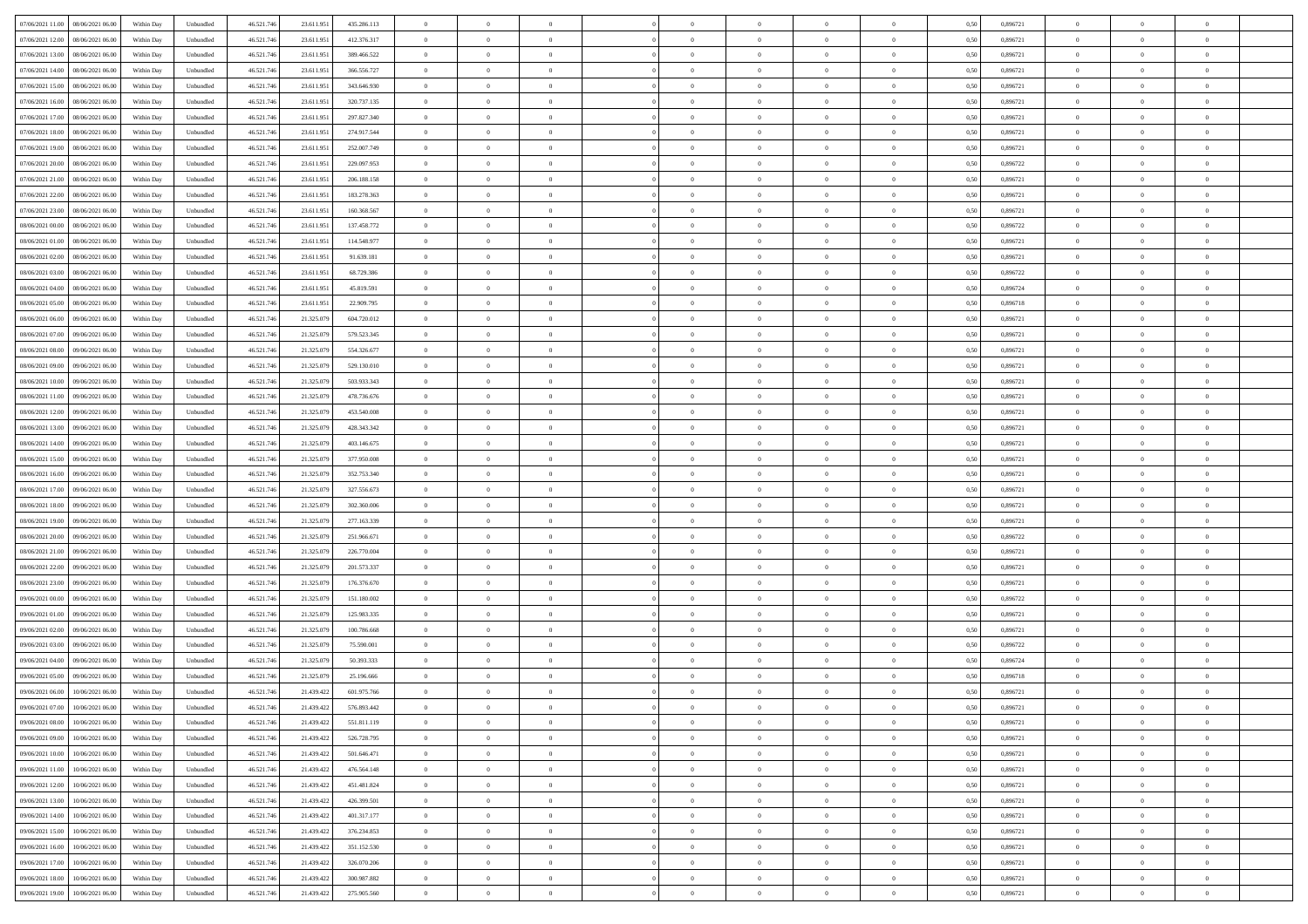| 07/06/2021 11:00  08/06/2021 06:00           | Within Day | Unbundled         | 46.521.74  | 23.611.951 | 435.286.113 | $\overline{0}$ | $\theta$       |                | $\overline{0}$ | $\theta$       |                | $\bf{0}$       | 0,50 | 0,896721 | $\theta$       | $\theta$       | $\overline{0}$ |  |
|----------------------------------------------|------------|-------------------|------------|------------|-------------|----------------|----------------|----------------|----------------|----------------|----------------|----------------|------|----------|----------------|----------------|----------------|--|
| 07/06/2021 12:00<br>08/06/2021 06:00         | Within Day | Unbundled         | 46.521.74  | 23.611.95  | 412.376.317 | $\bf{0}$       | $\overline{0}$ | $\overline{0}$ | $\overline{0}$ | $\theta$       | $\overline{0}$ | $\bf{0}$       | 0,50 | 0,896721 | $\,$ 0 $\,$    | $\bf{0}$       | $\overline{0}$ |  |
| 07/06/2021 13:00<br>08/06/2021 06:00         | Within Day | Unbundled         | 46.521.746 | 23.611.951 | 389.466.522 | $\overline{0}$ | $\overline{0}$ | $\overline{0}$ | $\bf{0}$       | $\bf{0}$       | $\overline{0}$ | $\bf{0}$       | 0.50 | 0.896721 | $\bf{0}$       | $\overline{0}$ | $\overline{0}$ |  |
| 07/06/2021 14:00                             |            |                   | 46.521.74  |            |             | $\overline{0}$ | $\overline{0}$ | $\overline{0}$ | $\theta$       | $\theta$       | $\overline{0}$ | $\overline{0}$ |      | 0,896721 | $\theta$       | $\theta$       | $\overline{0}$ |  |
| 08/06/2021 06:00                             | Within Day | Unbundled         |            | 23.611.951 | 366.556.727 |                |                |                |                |                |                |                | 0,50 |          |                |                |                |  |
| 07/06/2021 15:00<br>08/06/2021 06:00         | Within Day | Unbundled         | 46.521.74  | 23.611.95  | 343.646.930 | $\overline{0}$ | $\theta$       | $\overline{0}$ | $\overline{0}$ | $\theta$       | $\overline{0}$ | $\bf{0}$       | 0,50 | 0,896721 | $\,$ 0 $\,$    | $\theta$       | $\overline{0}$ |  |
| 07/06/2021 16:00<br>08/06/2021 06:00         | Within Day | Unbundled         | 46.521.74  | 23.611.951 | 320.737.135 | $\overline{0}$ | $\overline{0}$ | $\Omega$       | $\overline{0}$ | $\overline{0}$ | $\Omega$       | $\bf{0}$       | 0.50 | 0.896721 | $\,$ 0 $\,$    | $\theta$       | $\overline{0}$ |  |
| 07/06/2021 17:00<br>08/06/2021 06:00         | Within Day | Unbundled         | 46.521.74  | 23.611.951 | 297.827.340 | $\overline{0}$ | $\overline{0}$ | $\overline{0}$ | $\overline{0}$ | $\theta$       | $\overline{0}$ | $\bf{0}$       | 0,50 | 0,896721 | $\theta$       | $\theta$       | $\overline{0}$ |  |
|                                              |            |                   |            |            |             |                |                |                |                |                |                |                |      |          |                |                |                |  |
| 07/06/2021 18:00<br>08/06/2021 06:00         | Within Day | Unbundled         | 46.521.74  | 23.611.95  | 274.917.544 | $\overline{0}$ | $\overline{0}$ | $\overline{0}$ | $\overline{0}$ | $\theta$       | $\overline{0}$ | $\bf{0}$       | 0,50 | 0,896721 | $\,$ 0 $\,$    | $\bf{0}$       | $\overline{0}$ |  |
| 07/06/2021 19:00<br>08/06/2021 06:00         | Within Day | Unbundled         | 46.521.74  | 23.611.95  | 252.007.749 | $\overline{0}$ | $\overline{0}$ | $\overline{0}$ | $\bf{0}$       | $\overline{0}$ | $\overline{0}$ | $\bf{0}$       | 0.50 | 0.896721 | $\bf{0}$       | $\theta$       | $\overline{0}$ |  |
| 07/06/2021 20:00<br>08/06/2021 06:00         | Within Day | Unbundled         | 46.521.74  | 23.611.951 | 229.097.953 | $\overline{0}$ | $\bf{0}$       | $\overline{0}$ | $\overline{0}$ | $\theta$       | $\overline{0}$ | $\bf{0}$       | 0,50 | 0,896722 | $\,$ 0 $\,$    | $\theta$       | $\overline{0}$ |  |
| 07/06/2021 21:00<br>08/06/2021 06:00         | Within Day | Unbundled         | 46.521.74  | 23.611.95  | 206.188.158 | $\bf{0}$       | $\overline{0}$ | $\bf{0}$       | $\overline{0}$ | $\bf{0}$       | $\overline{0}$ | $\bf{0}$       | 0,50 | 0,896721 | $\,$ 0 $\,$    | $\bf{0}$       | $\overline{0}$ |  |
|                                              |            |                   |            |            |             |                |                |                |                |                |                |                |      |          |                |                |                |  |
| 07/06/2021 22:00<br>08/06/2021 06:00         | Within Day | Unbundled         | 46.521.746 | 23.611.951 | 183.278.363 | $\overline{0}$ | $\overline{0}$ | $\overline{0}$ | $\bf{0}$       | $\bf{0}$       | $\overline{0}$ | $\bf{0}$       | 0.50 | 0.896721 | $\bf{0}$       | $\overline{0}$ | $\overline{0}$ |  |
| 07/06/2021 23:00<br>08/06/2021 06:00         | Within Day | Unbundled         | 46.521.74  | 23.611.951 | 160.368.567 | $\overline{0}$ | $\overline{0}$ | $\overline{0}$ | $\overline{0}$ | $\theta$       | $\overline{0}$ | $\overline{0}$ | 0,50 | 0,896721 | $\theta$       | $\theta$       | $\overline{0}$ |  |
| 08/06/2021 00:00<br>08/06/2021 06:00         | Within Day | Unbundled         | 46.521.74  | 23.611.95  | 137.458.772 | $\bf{0}$       | $\theta$       | $\bf{0}$       | $\overline{0}$ | $\theta$       | $\overline{0}$ | $\bf{0}$       | 0,50 | 0,896722 | $\bf{0}$       | $\bf{0}$       | $\overline{0}$ |  |
|                                              |            |                   |            |            |             |                |                |                |                |                |                |                |      |          |                |                |                |  |
| 08/06/2021 01:00<br>08/06/2021 06:00         | Within Day | Unbundled         | 46.521.74  | 23.611.951 | 114.548.977 | $\overline{0}$ | $\overline{0}$ | $\overline{0}$ | $\bf{0}$       | $\theta$       | $\theta$       | $\bf{0}$       | 0.50 | 0,896721 | $\theta$       | $\theta$       | $\overline{0}$ |  |
| 08/06/2021 02:00<br>08/06/2021 06:00         | Within Day | Unbundled         | 46.521.74  | 23.611.951 | 91.639.181  | $\overline{0}$ | $\overline{0}$ | $\overline{0}$ | $\overline{0}$ | $\theta$       | $\overline{0}$ | $\bf{0}$       | 0,50 | 0,896721 | $\theta$       | $\theta$       | $\overline{0}$ |  |
| 08/06/2021 03:00<br>08/06/2021 06:00         | Within Day | Unbundled         | 46.521.74  | 23.611.95  | 68.729.386  | $\bf{0}$       | $\overline{0}$ | $\overline{0}$ | $\overline{0}$ | $\theta$       | $\overline{0}$ | $\bf{0}$       | 0,50 | 0,896722 | $\,$ 0 $\,$    | $\theta$       | $\overline{0}$ |  |
| 08/06/2021 04:00<br>08/06/2021 06:00         | Within Day | Unbundled         | 46.521.74  | 23.611.95  | 45.819.591  | $\overline{0}$ | $\overline{0}$ | $\overline{0}$ | $\bf{0}$       | $\overline{0}$ | $\overline{0}$ | $\bf{0}$       | 0.50 | 0.896724 | $\bf{0}$       | $\overline{0}$ | $\overline{0}$ |  |
| 08/06/2021 05:00                             |            |                   |            |            |             | $\overline{0}$ | $\overline{0}$ | $\overline{0}$ | $\overline{0}$ | $\theta$       | $\overline{0}$ | $\bf{0}$       |      |          | $\,$ 0 $\,$    | $\theta$       | $\overline{0}$ |  |
| 08/06/2021 06:00                             | Within Day | Unbundled         | 46.521.74  | 23.611.951 | 22.909.795  |                |                |                |                |                |                |                | 0,50 | 0,896718 |                |                |                |  |
| 08/06/2021 06:00<br>09/06/2021 06.00         | Within Day | Unbundled         | 46.521.74  | 21.325.07  | 604.720.012 | $\bf{0}$       | $\overline{0}$ | $\bf{0}$       | $\bf{0}$       | $\overline{0}$ | $\overline{0}$ | $\bf{0}$       | 0,50 | 0,896721 | $\,$ 0 $\,$    | $\bf{0}$       | $\overline{0}$ |  |
| 08/06/2021 07:00<br>09/06/2021 06:00         | Within Day | Unbundled         | 46.521.746 | 21.325.079 | 579.523.345 | $\overline{0}$ | $\overline{0}$ | $\overline{0}$ | $\bf{0}$       | $\overline{0}$ | $\overline{0}$ | $\bf{0}$       | 0.50 | 0.896721 | $\bf{0}$       | $\overline{0}$ | $\overline{0}$ |  |
| 08/06/2021 08:00<br>09/06/2021 06:00         | Within Day | Unbundled         | 46.521.74  | 21.325.079 | 554.326.677 | $\overline{0}$ | $\overline{0}$ | $\overline{0}$ | $\overline{0}$ | $\theta$       | $\overline{0}$ | $\bf{0}$       | 0,50 | 0,896721 | $\theta$       | $\theta$       | $\overline{0}$ |  |
|                                              |            |                   |            |            |             |                | $\overline{0}$ |                |                |                |                |                |      |          |                |                | $\overline{0}$ |  |
| 08/06/2021 09:00<br>09/06/2021 06.00         | Within Day | Unbundled         | 46.521.74  | 21.325.07  | 529.130.010 | $\bf{0}$       |                | $\overline{0}$ | $\overline{0}$ | $\theta$       | $\overline{0}$ | $\bf{0}$       | 0,50 | 0,896721 | $\,$ 0 $\,$    | $\bf{0}$       |                |  |
| 08/06/2021 10:00<br>09/06/2021 06:00         | Within Day | Unbundled         | 46.521.74  | 21.325.079 | 503.933.343 | $\overline{0}$ | $\overline{0}$ | $\Omega$       | $\overline{0}$ | $\overline{0}$ | $\Omega$       | $\bf{0}$       | 0.50 | 0.896721 | $\,$ 0 $\,$    | $\theta$       | $\overline{0}$ |  |
| 08/06/2021 11:00<br>09/06/2021 06:00         | Within Day | Unbundled         | 46.521.74  | 21.325.079 | 478.736.676 | $\overline{0}$ | $\overline{0}$ | $\overline{0}$ | $\overline{0}$ | $\theta$       | $\overline{0}$ | $\bf{0}$       | 0,50 | 0,896721 | $\theta$       | $\theta$       | $\overline{0}$ |  |
| 08/06/2021 12:00<br>09/06/2021 06.00         | Within Day | Unbundled         | 46.521.74  | 21.325.07  | 453.540.008 | $\overline{0}$ | $\theta$       | $\overline{0}$ | $\overline{0}$ | $\theta$       | $\overline{0}$ | $\bf{0}$       | 0,50 | 0,896721 | $\,$ 0 $\,$    | $\bf{0}$       | $\overline{0}$ |  |
| 09/06/2021 06:00                             |            | Unbundled         | 46.521.74  | 21.325.079 | 428.343.342 | $\overline{0}$ | $\overline{0}$ | $\overline{0}$ |                | $\overline{0}$ | $\overline{0}$ |                | 0.50 | 0.896721 | $\bf{0}$       | $\theta$       | $\overline{0}$ |  |
| 08/06/2021 13:00                             | Within Day |                   |            |            |             |                |                |                | $\bf{0}$       |                |                | $\bf{0}$       |      |          |                |                |                |  |
| 08/06/2021 14:00<br>09/06/2021 06:00         | Within Day | Unbundled         | 46.521.74  | 21.325.079 | 403.146.675 | $\overline{0}$ | $\overline{0}$ | $\overline{0}$ | $\overline{0}$ | $\theta$       | $\overline{0}$ | $\bf{0}$       | 0,50 | 0,896721 | $\theta$       | $\theta$       | $\overline{0}$ |  |
| 08/06/2021 15:00<br>09/06/2021 06.00         | Within Day | Unbundled         | 46.521.74  | 21.325.07  | 377.950.008 | $\bf{0}$       | $\bf{0}$       | $\bf{0}$       | $\bf{0}$       | $\overline{0}$ | $\overline{0}$ | $\bf{0}$       | 0,50 | 0,896721 | $\,$ 0 $\,$    | $\bf{0}$       | $\overline{0}$ |  |
| 08/06/2021 16:00<br>09/06/2021 06:00         | Within Day | Unbundled         | 46.521.74  | 21.325.079 | 352.753.340 | $\overline{0}$ | $\overline{0}$ | $\overline{0}$ | $\bf{0}$       | $\bf{0}$       | $\overline{0}$ | $\bf{0}$       | 0.50 | 0.896721 | $\bf{0}$       | $\overline{0}$ | $\overline{0}$ |  |
| 08/06/2021 17:00<br>09/06/2021 06:00         | Within Day | Unbundled         | 46.521.74  | 21.325.079 | 327.556.673 | $\overline{0}$ | $\overline{0}$ | $\overline{0}$ | $\overline{0}$ | $\theta$       | $\overline{0}$ | $\overline{0}$ | 0.5( | 0,896721 | $\theta$       | $\theta$       | $\overline{0}$ |  |
|                                              |            |                   |            |            |             |                |                |                |                |                |                |                |      |          |                |                |                |  |
| 08/06/2021 18:00<br>09/06/2021 06.00         | Within Day | Unbundled         | 46.521.74  | 21.325.07  | 302.360.006 | $\bf{0}$       | $\overline{0}$ | $\bf{0}$       | $\overline{0}$ | $\overline{0}$ | $\overline{0}$ | $\bf{0}$       | 0,50 | 0,896721 | $\,$ 0 $\,$    | $\bf{0}$       | $\overline{0}$ |  |
| 08/06/2021 19:00<br>09/06/2021 06:00         | Within Day | Unbundled         | 46.521.74  | 21.325.079 | 277.163.339 | $\overline{0}$ | $\overline{0}$ | $\overline{0}$ | $\bf{0}$       | $\theta$       | $\theta$       | $\bf{0}$       | 0.50 | 0,896721 | $\,$ 0 $\,$    | $\theta$       | $\overline{0}$ |  |
| 08/06/2021 20:00<br>09/06/2021 06:00         | Within Dav | Unbundled         | 46.521.74  | 21.325.079 | 251.966.671 | $\overline{0}$ | $\overline{0}$ | $\Omega$       | $\overline{0}$ | $\theta$       | $\overline{0}$ | $\overline{0}$ | 0.5( | 0,896722 | $\theta$       | $\theta$       | $\overline{0}$ |  |
| 08/06/2021 21:00<br>09/06/2021 06.00         | Within Day | Unbundled         | 46.521.74  | 21.325.07  | 226.770.004 | $\bf{0}$       | $\overline{0}$ | $\overline{0}$ | $\overline{0}$ | $\bf{0}$       | $\overline{0}$ | $\bf{0}$       | 0,50 | 0,896721 | $\,$ 0 $\,$    | $\bf{0}$       | $\overline{0}$ |  |
|                                              |            |                   |            |            |             |                |                |                |                |                |                |                |      |          |                |                |                |  |
| 08/06/2021 22:00<br>09/06/2021 06:00         | Within Day | Unbundled         | 46.521.74  | 21.325.079 | 201.573.337 | $\overline{0}$ | $\overline{0}$ | $\overline{0}$ | $\bf{0}$       | $\overline{0}$ | $\overline{0}$ | $\bf{0}$       | 0.50 | 0.896721 | $\bf{0}$       | $\overline{0}$ | $\overline{0}$ |  |
| 08/06/2021 23:00<br>09/06/2021 06:00         | Within Dav | Unbundled         | 46.521.74  | 21.325.079 | 176.376.670 | $\overline{0}$ | $\overline{0}$ | $\overline{0}$ | $\overline{0}$ | $\overline{0}$ | $\overline{0}$ | $\overline{0}$ | 0.50 | 0,896721 | $\theta$       | $\theta$       | $\overline{0}$ |  |
| 09/06/2021 00:00<br>09/06/2021 06.00         | Within Day | Unbundled         | 46.521.74  | 21.325.07  | 151.180.002 | $\bf{0}$       | $\bf{0}$       | $\bf{0}$       | $\bf{0}$       | $\overline{0}$ | $\overline{0}$ | $\bf{0}$       | 0,50 | 0,896722 | $\,$ 0 $\,$    | $\bf{0}$       | $\overline{0}$ |  |
| 09/06/2021 01:00<br>09/06/2021 06:00         | Within Day | Unbundled         | 46.521.746 | 21.325.079 | 125.983.335 | $\overline{0}$ | $\bf{0}$       | $\overline{0}$ | $\bf{0}$       | $\bf{0}$       | $\overline{0}$ | $\bf{0}$       | 0.50 | 0.896721 | $\bf{0}$       | $\overline{0}$ | $\overline{0}$ |  |
|                                              |            |                   |            |            |             |                |                |                |                |                |                |                |      |          |                |                |                |  |
| 09/06/2021 02:00<br>09/06/2021 06:00         | Within Dav | Unbundled         | 46.521.74  | 21.325.079 | 100.786.668 | $\overline{0}$ | $\overline{0}$ | $\Omega$       | $\overline{0}$ | $\theta$       | $\overline{0}$ | $\overline{0}$ | 0.50 | 0,896721 | $\theta$       | $\theta$       | $\overline{0}$ |  |
| 09/06/2021 03:00<br>09/06/2021 06.00         | Within Day | Unbundled         | 46.521.74  | 21.325.07  | 75.590.001  | $\bf{0}$       | $\overline{0}$ | $\bf{0}$       | $\overline{0}$ | $\theta$       | $\overline{0}$ | $\bf{0}$       | 0,50 | 0,896722 | $\,$ 0 $\,$    | $\bf{0}$       | $\overline{0}$ |  |
| 09/06/2021 04:00<br>09/06/2021 06:00         | Within Day | Unbundled         | 46.521.74  | 21.325.079 | 50.393.333  | $\overline{0}$ | $\overline{0}$ | $\Omega$       | $\overline{0}$ | $\theta$       | $\theta$       | $\overline{0}$ | 0.50 | 0.896724 | $\bf{0}$       | $\theta$       | $\overline{0}$ |  |
| 09/06/2021 05:00<br>09/06/2021 06:00         | Within Dav | Unbundled         | 46.521.74  | 21.325.079 | 25.196.666  | $\overline{0}$ | $\overline{0}$ | $\Omega$       | $\overline{0}$ | $\theta$       | $\Omega$       | $\overline{0}$ | 0.5( | 0,896718 | $\theta$       | $\theta$       | $\overline{0}$ |  |
| 09/06/2021 06:00<br>10/06/2021 06:00         | Within Day | Unbundled         | 46.521.74  | 21.439.422 | 601.975.766 | $\bf{0}$       | $\bf{0}$       | $\overline{0}$ | $\bf{0}$       | $\bf{0}$       | $\overline{0}$ | $\bf{0}$       | 0,50 | 0,896721 | $\,$ 0 $\,$    | $\bf{0}$       | $\overline{0}$ |  |
|                                              |            |                   |            |            |             |                |                |                |                |                |                |                |      |          |                |                |                |  |
| $09/06/2021\;07.00 \qquad 10/06/2021\;06.00$ | Within Day | ${\sf Unbundred}$ | 46.521.746 | 21.439.422 | 576.893.442 | $\overline{0}$ | $\Omega$       |                | $\Omega$       |                |                |                | 0,50 | 0,896721 | $\theta$       | $\overline{0}$ |                |  |
| 09/06/2021 08:00 10/06/2021 06:00            | Within Day | Unbundled         | 46.521.746 | 21.439.422 | 551.811.119 | $\overline{0}$ | $\theta$       | $\Omega$       | $\theta$       | $\overline{0}$ | $\overline{0}$ | $\bf{0}$       | 0,50 | 0,896721 | $\theta$       | $\theta$       | $\overline{0}$ |  |
| 09/06/2021 09:00<br>10/06/2021 06:00         | Within Day | Unbundled         | 46.521.74  | 21.439.422 | 526.728.795 | $\overline{0}$ | $\bf{0}$       | $\overline{0}$ | $\overline{0}$ | $\bf{0}$       | $\overline{0}$ | $\bf{0}$       | 0,50 | 0,896721 | $\bf{0}$       | $\overline{0}$ | $\bf{0}$       |  |
| 09/06/2021 10:00<br>10/06/2021 06:00         | Within Day | Unbundled         | 46.521.746 | 21.439.422 | 501.646.471 | $\overline{0}$ | $\bf{0}$       | $\overline{0}$ | $\overline{0}$ | $\overline{0}$ | $\overline{0}$ | $\bf{0}$       | 0.50 | 0.896721 | $\overline{0}$ | $\bf{0}$       | $\,$ 0 $\,$    |  |
|                                              |            |                   |            |            |             |                |                |                |                |                |                |                |      |          |                |                |                |  |
| 09/06/2021 11:00<br>10/06/2021 06:00         | Within Day | Unbundled         | 46.521.746 | 21.439.422 | 476.564.148 | $\overline{0}$ | $\overline{0}$ | $\overline{0}$ | $\overline{0}$ | $\overline{0}$ | $\overline{0}$ | $\bf{0}$       | 0,50 | 0,896721 | $\theta$       | $\theta$       | $\overline{0}$ |  |
| 09/06/2021 12:00<br>10/06/2021 06:00         | Within Day | Unbundled         | 46.521.74  | 21.439.422 | 451.481.824 | $\overline{0}$ | $\bf{0}$       | $\overline{0}$ | $\bf{0}$       | $\overline{0}$ | $\bf{0}$       | $\bf{0}$       | 0,50 | 0,896721 | $\overline{0}$ | $\bf{0}$       | $\overline{0}$ |  |
| 09/06/2021 13:00<br>10/06/2021 06:00         | Within Day | Unbundled         | 46.521.746 | 21.439.422 | 426.399.501 | $\overline{0}$ | $\bf{0}$       | $\overline{0}$ | $\overline{0}$ | $\overline{0}$ | $\overline{0}$ | $\bf{0}$       | 0.50 | 0,896721 | $\,$ 0 $\,$    | $\theta$       | $\overline{0}$ |  |
| 09/06/2021 14:00<br>10/06/2021 06:00         | Within Dav | Unbundled         | 46.521.746 | 21.439.422 | 401.317.177 | $\overline{0}$ | $\overline{0}$ | $\overline{0}$ | $\overline{0}$ | $\overline{0}$ | $\overline{0}$ | $\bf{0}$       | 0.50 | 0,896721 | $\overline{0}$ | $\theta$       | $\overline{0}$ |  |
|                                              |            |                   |            |            |             |                |                |                |                |                |                |                |      |          |                |                |                |  |
| 09/06/2021 15:00<br>10/06/2021 06:00         | Within Day | Unbundled         | 46.521.74  | 21.439.422 | 376.234.853 | $\overline{0}$ | $\overline{0}$ | $\overline{0}$ | $\overline{0}$ | $\bf{0}$       | $\overline{0}$ | $\bf{0}$       | 0,50 | 0,896721 | $\bf{0}$       | $\bf{0}$       | $\overline{0}$ |  |
| 10/06/2021 06:00<br>09/06/2021 16:00         | Within Day | Unbundled         | 46.521.746 | 21.439.422 | 351.152.530 | $\overline{0}$ | $\overline{0}$ | $\overline{0}$ | $\overline{0}$ | $\bf{0}$       | $\overline{0}$ | $\bf{0}$       | 0.50 | 0.896721 | $\overline{0}$ | $\,$ 0 $\,$    | $\,$ 0         |  |
| 09/06/2021 17:00<br>10/06/2021 06:00         | Within Dav | Unbundled         | 46.521.746 | 21.439.422 | 326.070.206 | $\overline{0}$ | $\overline{0}$ | $\overline{0}$ | $\overline{0}$ | $\overline{0}$ | $\overline{0}$ | $\bf{0}$       | 0,50 | 0,896721 | $\overline{0}$ | $\theta$       | $\overline{0}$ |  |
| 09/06/2021 18:00<br>10/06/2021 06:00         | Within Day | Unbundled         | 46.521.74  | 21.439.422 | 300.987.882 | $\overline{0}$ | $\bf{0}$       | $\overline{0}$ | $\bf{0}$       | $\overline{0}$ | $\bf{0}$       | $\bf{0}$       | 0,50 | 0,896721 | $\bf{0}$       | $\bf{0}$       | $\overline{0}$ |  |
|                                              |            |                   |            |            |             |                |                |                |                |                |                |                |      |          |                |                |                |  |
| 09/06/2021 19:00 10/06/2021 06:00            | Within Day | Unbundled         | 46.521.746 | 21.439.422 | 275.905.560 | $\overline{0}$ | $\bf{0}$       | $\overline{0}$ | $\overline{0}$ | $\,$ 0 $\,$    | $\overline{0}$ | $\bf{0}$       | 0,50 | 0,896721 | $\overline{0}$ | $\,$ 0 $\,$    | $\,$ 0 $\,$    |  |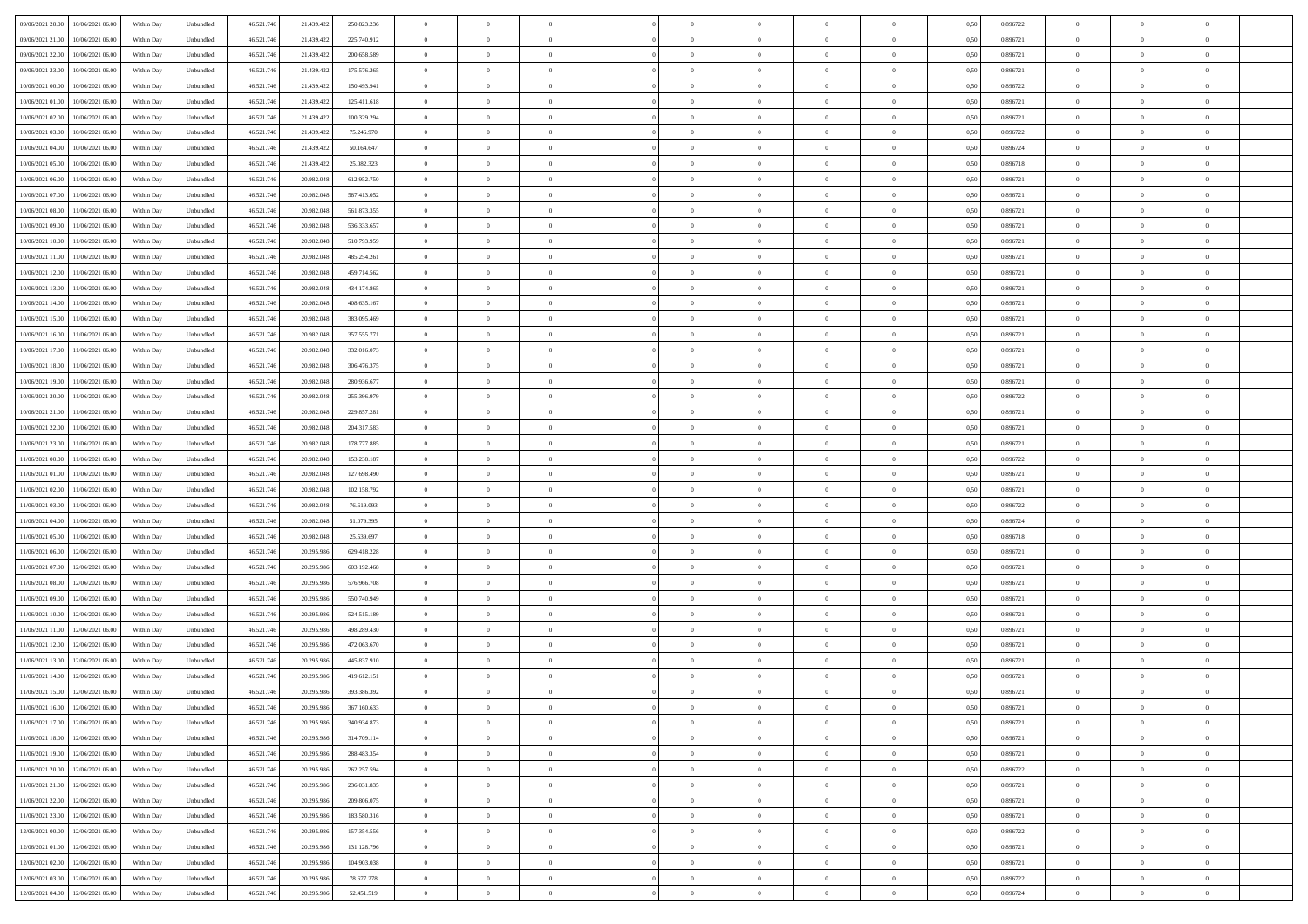| 09/06/2021 20:00<br>10/06/2021 06:00         | Within Day | Unbundled         | 46.521.74  | 21.439.422 | 250.823.236 | $\overline{0}$ | $\theta$       |                | $\overline{0}$ | $\theta$       |                | $\bf{0}$       | 0,50 | 0,896722 | $\theta$       | $\theta$       | $\overline{0}$ |  |
|----------------------------------------------|------------|-------------------|------------|------------|-------------|----------------|----------------|----------------|----------------|----------------|----------------|----------------|------|----------|----------------|----------------|----------------|--|
| 09/06/2021 21:00<br>10/06/2021 06:00         | Within Day | Unbundled         | 46.521.74  | 21.439.42  | 225.740.912 | $\bf{0}$       | $\overline{0}$ | $\bf{0}$       | $\overline{0}$ | $\bf{0}$       | $\overline{0}$ | $\bf{0}$       | 0,50 | 0,896721 | $\,$ 0 $\,$    | $\bf{0}$       | $\overline{0}$ |  |
| 09/06/2021 22:00<br>10/06/2021 06:00         | Within Day | Unbundled         | 46.521.746 | 21.439.422 | 200.658.589 | $\overline{0}$ | $\bf{0}$       | $\overline{0}$ | $\bf{0}$       | $\bf{0}$       | $\overline{0}$ | $\bf{0}$       | 0.50 | 0.896721 | $\bf{0}$       | $\overline{0}$ | $\overline{0}$ |  |
| 09/06/2021 23:00                             |            |                   |            |            |             | $\overline{0}$ | $\overline{0}$ | $\overline{0}$ | $\theta$       | $\theta$       | $\overline{0}$ | $\overline{0}$ |      | 0,896721 | $\theta$       | $\theta$       | $\overline{0}$ |  |
| 10/06/2021 06:00                             | Within Day | Unbundled         | 46.521.74  | 21.439.422 | 175.576.265 |                |                |                |                |                |                |                | 0,50 |          |                |                |                |  |
| 10/06/2021 00:00<br>10/06/2021 06:00         | Within Day | Unbundled         | 46.521.74  | 21.439.42  | 150.493.941 | $\overline{0}$ | $\overline{0}$ | $\overline{0}$ | $\overline{0}$ | $\theta$       | $\overline{0}$ | $\bf{0}$       | 0,50 | 0,896722 | $\,$ 0 $\,$    | $\bf{0}$       | $\overline{0}$ |  |
| 10/06/2021 01:00<br>10/06/2021 06:00         | Within Day | Unbundled         | 46.521.74  | 21.439.422 | 125.411.618 | $\overline{0}$ | $\overline{0}$ | $\overline{0}$ | $\overline{0}$ | $\overline{0}$ | $\Omega$       | $\bf{0}$       | 0.50 | 0.896721 | $\,$ 0 $\,$    | $\theta$       | $\overline{0}$ |  |
| 10/06/2021 02:00<br>10/06/2021 06:00         | Within Day | Unbundled         | 46.521.74  | 21.439.422 | 100.329.294 | $\overline{0}$ | $\overline{0}$ | $\overline{0}$ | $\overline{0}$ | $\theta$       | $\overline{0}$ | $\bf{0}$       | 0,50 | 0,896721 | $\theta$       | $\theta$       | $\overline{0}$ |  |
|                                              |            |                   |            |            |             |                |                |                |                |                |                |                |      |          |                |                |                |  |
| 10/06/2021 03:00<br>10/06/2021 06:00         | Within Day | Unbundled         | 46.521.74  | 21.439.42  | 75.246.970  | $\bf{0}$       | $\overline{0}$ | $\overline{0}$ | $\overline{0}$ | $\theta$       | $\overline{0}$ | $\bf{0}$       | 0,50 | 0,896722 | $\,$ 0 $\,$    | $\bf{0}$       | $\overline{0}$ |  |
| 10/06/2021 04:00<br>10/06/2021 06:00         | Within Day | Unbundled         | 46.521.74  | 21.439.422 | 50.164.647  | $\overline{0}$ | $\bf{0}$       | $\overline{0}$ | $\bf{0}$       | $\overline{0}$ | $\overline{0}$ | $\bf{0}$       | 0.50 | 0.896724 | $\bf{0}$       | $\overline{0}$ | $\overline{0}$ |  |
| 10/06/2021 05:00<br>10/06/2021 06:00         | Within Day | Unbundled         | 46.521.74  | 21.439.422 | 25.082.323  | $\overline{0}$ | $\bf{0}$       | $\overline{0}$ | $\overline{0}$ | $\theta$       | $\overline{0}$ | $\bf{0}$       | 0,50 | 0,896718 | $\,$ 0 $\,$    | $\theta$       | $\overline{0}$ |  |
| 10/06/2021 06:00<br>11/06/2021 06:00         | Within Day | Unbundled         | 46.521.74  | 20.982.048 | 612.952.750 | $\bf{0}$       | $\overline{0}$ | $\bf{0}$       | $\overline{0}$ | $\bf{0}$       | $\overline{0}$ | $\bf{0}$       | 0,50 | 0,896721 | $\,$ 0 $\,$    | $\bf{0}$       | $\overline{0}$ |  |
|                                              |            |                   |            |            |             |                |                |                |                |                |                |                |      |          |                |                |                |  |
| 10/06/2021 07:00<br>11/06/2021 06:00         | Within Day | Unbundled         | 46.521.746 | 20.982.048 | 587.413.052 | $\overline{0}$ | $\overline{0}$ | $\overline{0}$ | $\bf{0}$       | $\bf{0}$       | $\overline{0}$ | $\bf{0}$       | 0.50 | 0.896721 | $\bf{0}$       | $\overline{0}$ | $\bf{0}$       |  |
| 10/06/2021 08:00<br>11/06/2021 06:00         | Within Day | Unbundled         | 46.521.74  | 20.982.048 | 561.873.355 | $\overline{0}$ | $\overline{0}$ | $\overline{0}$ | $\overline{0}$ | $\theta$       | $\overline{0}$ | $\overline{0}$ | 0,50 | 0,896721 | $\theta$       | $\theta$       | $\overline{0}$ |  |
| 10/06/2021 09:00<br>11/06/2021 06:00         | Within Day | Unbundled         | 46.521.74  | 20.982.048 | 536.333.657 | $\bf{0}$       | $\theta$       | $\bf{0}$       | $\overline{0}$ | $\theta$       | $\overline{0}$ | $\bf{0}$       | 0,50 | 0,896721 | $\bf{0}$       | $\bf{0}$       | $\overline{0}$ |  |
| 10/06/2021 10:00<br>11/06/2021 06:00         | Within Day | Unbundled         | 46.521.74  | 20.982.048 | 510.793.959 | $\overline{0}$ | $\overline{0}$ | $\overline{0}$ | $\bf{0}$       | $\theta$       | $\Omega$       | $\bf{0}$       | 0.50 | 0,896721 | $\bf{0}$       | $\theta$       | $\overline{0}$ |  |
| 10/06/2021 11:00<br>11/06/2021 06:00         | Within Day | Unbundled         | 46.521.74  | 20.982.048 | 485.254.261 | $\overline{0}$ | $\overline{0}$ | $\overline{0}$ | $\overline{0}$ | $\overline{0}$ | $\overline{0}$ | $\bf{0}$       | 0,50 | 0,896721 | $\theta$       | $\theta$       | $\overline{0}$ |  |
|                                              |            |                   |            |            |             |                |                |                |                |                |                |                |      |          |                |                |                |  |
| 10/06/2021 12:00<br>11/06/2021 06:00         | Within Day | Unbundled         | 46.521.74  | 20.982.048 | 459.714.562 | $\bf{0}$       | $\overline{0}$ | $\overline{0}$ | $\overline{0}$ | $\theta$       | $\overline{0}$ | $\bf{0}$       | 0,50 | 0,896721 | $\,$ 0 $\,$    | $\bf{0}$       | $\overline{0}$ |  |
| 10/06/2021 13:00<br>11/06/2021 06:00         | Within Day | Unbundled         | 46.521.74  | 20.982.048 | 434.174.865 | $\overline{0}$ | $\bf{0}$       | $\overline{0}$ | $\bf{0}$       | $\overline{0}$ | $\overline{0}$ | $\bf{0}$       | 0.50 | 0.896721 | $\bf{0}$       | $\overline{0}$ | $\overline{0}$ |  |
| 10/06/2021 14:00<br>11/06/2021 06:00         | Within Day | Unbundled         | 46.521.74  | 20.982.048 | 408.635.167 | $\overline{0}$ | $\overline{0}$ | $\overline{0}$ | $\overline{0}$ | $\overline{0}$ | $\overline{0}$ | $\bf{0}$       | 0,50 | 0,896721 | $\,$ 0 $\,$    | $\theta$       | $\overline{0}$ |  |
| 10/06/2021 15:00<br>11/06/2021 06:00         | Within Day | Unbundled         | 46.521.74  | 20.982.048 | 383.095.469 | $\bf{0}$       | $\bf{0}$       | $\bf{0}$       | $\bf{0}$       | $\overline{0}$ | $\overline{0}$ | $\bf{0}$       | 0,50 | 0,896721 | $\,$ 0 $\,$    | $\bf{0}$       | $\overline{0}$ |  |
|                                              |            |                   |            |            |             |                |                |                |                |                |                |                |      |          |                |                |                |  |
| 10/06/2021 16:00<br>11/06/2021 06:00         | Within Day | Unbundled         | 46.521.746 | 20.982.048 | 357.555.771 | $\overline{0}$ | $\bf{0}$       | $\overline{0}$ | $\bf{0}$       | $\bf{0}$       | $\overline{0}$ | $\bf{0}$       | 0.50 | 0.896721 | $\bf{0}$       | $\overline{0}$ | $\overline{0}$ |  |
| 10/06/2021 17:00<br>11/06/2021 06:00         | Within Day | Unbundled         | 46.521.74  | 20.982.048 | 332.016.073 | $\overline{0}$ | $\overline{0}$ | $\overline{0}$ | $\theta$       | $\theta$       | $\overline{0}$ | $\bf{0}$       | 0,50 | 0,896721 | $\theta$       | $\theta$       | $\overline{0}$ |  |
| 10/06/2021 18:00<br>11/06/2021 06:00         | Within Day | Unbundled         | 46.521.74  | 20.982.048 | 306.476.375 | $\bf{0}$       | $\overline{0}$ | $\bf{0}$       | $\overline{0}$ | $\theta$       | $\overline{0}$ | $\bf{0}$       | 0,50 | 0,896721 | $\,$ 0 $\,$    | $\bf{0}$       | $\overline{0}$ |  |
| 10/06/2021 19:00<br>11/06/2021 06:00         | Within Day | Unbundled         | 46.521.74  | 20.982.048 | 280.936.677 | $\overline{0}$ | $\overline{0}$ | $\overline{0}$ | $\overline{0}$ | $\overline{0}$ | $\Omega$       | $\bf{0}$       | 0.50 | 0,896721 | $\,$ 0 $\,$    | $\theta$       | $\overline{0}$ |  |
| 10/06/2021 20:00<br>11/06/2021 06:00         | Within Day | Unbundled         | 46.521.74  | 20.982.048 | 255.396.979 | $\overline{0}$ | $\overline{0}$ | $\overline{0}$ | $\overline{0}$ | $\overline{0}$ | $\overline{0}$ | $\bf{0}$       | 0,50 | 0,896722 | $\theta$       | $\theta$       | $\overline{0}$ |  |
|                                              |            |                   |            |            |             |                |                |                |                |                |                |                |      |          |                |                |                |  |
| 10/06/2021 21:00<br>11/06/2021 06:00         | Within Day | Unbundled         | 46.521.74  | 20.982.048 | 229.857.281 | $\bf{0}$       | $\theta$       | $\bf{0}$       | $\overline{0}$ | $\theta$       | $\overline{0}$ | $\bf{0}$       | 0,50 | 0,896721 | $\,$ 0 $\,$    | $\bf{0}$       | $\overline{0}$ |  |
| 10/06/2021 22:00<br>11/06/2021 06:00         | Within Day | Unbundled         | 46.521.74  | 20.982.048 | 204.317.583 | $\overline{0}$ | $\bf{0}$       | $\overline{0}$ | $\bf{0}$       | $\overline{0}$ | $\overline{0}$ | $\bf{0}$       | 0.50 | 0.896721 | $\bf{0}$       | $\overline{0}$ | $\overline{0}$ |  |
| 10/06/2021 23:00<br>11/06/2021 06:00         | Within Day | Unbundled         | 46.521.74  | 20.982.048 | 178.777.885 | $\overline{0}$ | $\overline{0}$ | $\overline{0}$ | $\overline{0}$ | $\overline{0}$ | $\overline{0}$ | $\bf{0}$       | 0,50 | 0,896721 | $\theta$       | $\theta$       | $\overline{0}$ |  |
| 11/06/2021 00:00<br>11/06/2021 06:00         | Within Day | Unbundled         | 46.521.74  | 20.982.048 | 153.238.187 | $\bf{0}$       | $\bf{0}$       | $\bf{0}$       | $\bf{0}$       | $\overline{0}$ | $\overline{0}$ | $\bf{0}$       | 0,50 | 0,896722 | $\,$ 0 $\,$    | $\bf{0}$       | $\overline{0}$ |  |
|                                              |            |                   |            |            |             |                |                |                |                |                |                |                |      |          |                |                |                |  |
| 11/06/2021 01:00<br>11/06/2021 06:00         | Within Day | Unbundled         | 46.521.746 | 20.982.048 | 127,698,490 | $\overline{0}$ | $\bf{0}$       | $\overline{0}$ | $\bf{0}$       | $\bf{0}$       | $\overline{0}$ | $\bf{0}$       | 0.50 | 0.896721 | $\bf{0}$       | $\overline{0}$ | $\bf{0}$       |  |
| 11/06/2021 02:00<br>11/06/2021 06:00         | Within Day | Unbundled         | 46.521.74  | 20.982.048 | 102.158.792 | $\overline{0}$ | $\overline{0}$ | $\overline{0}$ | $\overline{0}$ | $\overline{0}$ | $\overline{0}$ | $\bf{0}$       | 0.5( | 0,896721 | $\theta$       | $\theta$       | $\overline{0}$ |  |
| 11/06/2021 03:00<br>11/06/2021 06:00         | Within Day | Unbundled         | 46.521.74  | 20.982.048 | 76.619.093  | $\bf{0}$       | $\overline{0}$ | $\bf{0}$       | $\overline{0}$ | $\overline{0}$ | $\overline{0}$ | $\bf{0}$       | 0,50 | 0,896722 | $\,$ 0 $\,$    | $\bf{0}$       | $\overline{0}$ |  |
| 11/06/2021 04:00<br>11/06/2021 06:00         | Within Day | Unbundled         | 46.521.74  | 20.982.048 | 51.079.395  | $\overline{0}$ | $\overline{0}$ | $\overline{0}$ | $\bf{0}$       | $\bf{0}$       | $\Omega$       | $\bf{0}$       | 0.50 | 0.896724 | $\,$ 0 $\,$    | $\theta$       | $\overline{0}$ |  |
| 11/06/2021 05:00<br>11/06/2021 06:00         | Within Dav | Unbundled         | 46.521.74  | 20.982.048 | 25.539.697  | $\overline{0}$ | $\overline{0}$ | $\overline{0}$ | $\overline{0}$ | $\overline{0}$ | $\overline{0}$ | $\overline{0}$ | 0.50 | 0,896718 | $\theta$       | $\theta$       | $\overline{0}$ |  |
|                                              |            |                   |            |            |             |                |                |                |                |                |                |                |      |          |                |                |                |  |
| 11/06/2021 06:00<br>12/06/2021 06:00         | Within Day | Unbundled         | 46.521.74  | 20.295.98  | 629.418.228 | $\bf{0}$       | $\overline{0}$ | $\bf{0}$       | $\overline{0}$ | $\bf{0}$       | $\overline{0}$ | $\bf{0}$       | 0,50 | 0,896721 | $\,$ 0 $\,$    | $\bf{0}$       | $\overline{0}$ |  |
| 11/06/2021 07:00<br>12/06/2021 06:00         | Within Day | Unbundled         | 46.521.74  | 20.295.98  | 603.192.468 | $\overline{0}$ | $\bf{0}$       | $\overline{0}$ | $\bf{0}$       | $\overline{0}$ | $\overline{0}$ | $\bf{0}$       | 0.50 | 0.896721 | $\bf{0}$       | $\overline{0}$ | $\overline{0}$ |  |
| 11/06/2021 08:00<br>12/06/2021 06:00         | Within Dav | Unbundled         | 46.521.74  | 20.295.98  | 576,966,708 | $\overline{0}$ | $\overline{0}$ | $\overline{0}$ | $\overline{0}$ | $\overline{0}$ | $\overline{0}$ | $\overline{0}$ | 0.50 | 0,896721 | $\theta$       | $\theta$       | $\overline{0}$ |  |
| 11/06/2021 09:00<br>12/06/2021 06:00         | Within Day | Unbundled         | 46.521.74  | 20.295.98  | 550.740.949 | $\bf{0}$       | $\bf{0}$       | $\bf{0}$       | $\bf{0}$       | $\overline{0}$ | $\overline{0}$ | $\bf{0}$       | 0,50 | 0,896721 | $\,$ 0 $\,$    | $\bf{0}$       | $\overline{0}$ |  |
|                                              |            |                   |            |            |             |                |                |                |                |                |                |                |      |          |                |                |                |  |
| 11/06/2021 10:00<br>12/06/2021 06:00         | Within Day | Unbundled         | 46.521.746 | 20.295.98  | 524.515.189 | $\overline{0}$ | $\bf{0}$       | $\overline{0}$ | $\bf{0}$       | $\bf{0}$       | $\overline{0}$ | $\bf{0}$       | 0.50 | 0.896721 | $\bf{0}$       | $\overline{0}$ | $\overline{0}$ |  |
| 11/06/2021 11:00<br>12/06/2021 06:00         | Within Dav | Unbundled         | 46.521.74  | 20.295.98  | 498.289.430 | $\overline{0}$ | $\overline{0}$ | $\Omega$       | $\overline{0}$ | $\theta$       | $\overline{0}$ | $\overline{0}$ | 0.50 | 0,896721 | $\theta$       | $\theta$       | $\overline{0}$ |  |
| 11/06/2021 12:00<br>12/06/2021 06:00         | Within Day | Unbundled         | 46.521.74  | 20.295.98  | 472.063.670 | $\bf{0}$       | $\overline{0}$ | $\bf{0}$       | $\bf{0}$       | $\,$ 0 $\,$    | $\overline{0}$ | $\bf{0}$       | 0,50 | 0,896721 | $\,$ 0 $\,$    | $\bf{0}$       | $\overline{0}$ |  |
| 11/06/2021 13:00<br>12/06/2021 06:00         | Within Day | Unbundled         | 46.521.74  | 20.295.98  | 445.837.910 | $\overline{0}$ | $\overline{0}$ | $\Omega$       | $\overline{0}$ | $\overline{0}$ | $\theta$       | $\bf{0}$       | 0.50 | 0,896721 | $\bf{0}$       | $\theta$       | $\overline{0}$ |  |
| 11/06/2021 14:00<br>12/06/2021 06:00         | Within Dav | Unbundled         | 46.521.74  | 20.295.98  | 419.612.151 | $\overline{0}$ | $\overline{0}$ | $\Omega$       | $\overline{0}$ | $\theta$       | $\Omega$       | $\overline{0}$ | 0.5( | 0,896721 | $\theta$       | $\theta$       | $\overline{0}$ |  |
|                                              |            |                   |            |            |             |                |                |                |                |                |                |                |      |          |                |                |                |  |
| 11/06/2021 15:00<br>12/06/2021 06:00         | Within Day | Unbundled         | 46.521.74  | 20.295.98  | 393.386.392 | $\bf{0}$       | $\bf{0}$       | $\overline{0}$ | $\bf{0}$       | $\bf{0}$       | $\overline{0}$ | $\bf{0}$       | 0,50 | 0,896721 | $\,$ 0 $\,$    | $\bf{0}$       | $\overline{0}$ |  |
| $11/06/2021\ 16.00 \qquad 12/06/2021\ 06.00$ | Within Day | ${\sf Unbundred}$ | 46.521.746 | 20.295.986 | 367 160 633 | $\overline{0}$ | $\Omega$       |                | $\Omega$       |                |                |                | 0,50 | 0.896721 | $\theta$       | $\overline{0}$ |                |  |
| 11/06/2021 17:00 12/06/2021 06:00            | Within Day | Unbundled         | 46.521.746 | 20.295.986 | 340.934.873 | $\overline{0}$ | $\theta$       | $\Omega$       | $\theta$       | $\overline{0}$ | $\overline{0}$ | $\bf{0}$       | 0,50 | 0,896721 | $\theta$       | $\theta$       | $\overline{0}$ |  |
| 11/06/2021 18:00<br>12/06/2021 06:00         | Within Day | Unbundled         | 46.521.74  | 20.295.98  | 314.709.114 | $\overline{0}$ | $\bf{0}$       | $\overline{0}$ | $\overline{0}$ | $\bf{0}$       | $\overline{0}$ | $\bf{0}$       | 0,50 | 0,896721 | $\bf{0}$       | $\overline{0}$ | $\bf{0}$       |  |
| 11/06/2021 19:00 12/06/2021 06:00            |            |                   |            |            | 288.483.354 |                |                |                |                |                | $\overline{0}$ |                | 0.50 | 0.896721 | $\overline{0}$ |                |                |  |
|                                              | Within Day | Unbundled         | 46.521.746 | 20.295.986 |             | $\overline{0}$ | $\bf{0}$       | $\overline{0}$ | $\overline{0}$ | $\overline{0}$ |                | $\bf{0}$       |      |          |                | $\bf{0}$       | $\,$ 0 $\,$    |  |
| 11/06/2021 20:00 12/06/2021 06:00            | Within Day | Unbundled         | 46.521.746 | 20.295.986 | 262.257.594 | $\overline{0}$ | $\overline{0}$ | $\overline{0}$ | $\overline{0}$ | $\overline{0}$ | $\overline{0}$ | $\bf{0}$       | 0,50 | 0,896722 | $\theta$       | $\theta$       | $\overline{0}$ |  |
| 11/06/2021 21:00<br>12/06/2021 06:00         | Within Day | Unbundled         | 46.521.74  | 20.295.986 | 236.031.835 | $\overline{0}$ | $\bf{0}$       | $\overline{0}$ | $\bf{0}$       | $\overline{0}$ | $\overline{0}$ | $\bf{0}$       | 0,50 | 0,896721 | $\bf{0}$       | $\bf{0}$       | $\overline{0}$ |  |
| 11/06/2021 22:00<br>12/06/2021 06:00         | Within Day | Unbundled         | 46.521.746 | 20.295.986 | 209.806.075 | $\overline{0}$ | $\bf{0}$       | $\overline{0}$ | $\overline{0}$ | $\overline{0}$ | $\overline{0}$ | $\bf{0}$       | 0.50 | 0,896721 | $\,$ 0 $\,$    | $\theta$       | $\overline{0}$ |  |
| 11/06/2021 23:00<br>12/06/2021 06:00         | Within Dav | Unbundled         | 46.521.746 | 20.295.986 | 183.580.316 | $\overline{0}$ | $\overline{0}$ | $\overline{0}$ | $\overline{0}$ | $\overline{0}$ | $\overline{0}$ | $\bf{0}$       | 0.50 | 0,896721 | $\overline{0}$ | $\theta$       | $\overline{0}$ |  |
|                                              |            |                   |            |            |             |                |                |                |                |                |                |                |      |          |                |                |                |  |
| 12/06/2021 00:00<br>12/06/2021 06:00         | Within Day | Unbundled         | 46.521.74  | 20.295.98  | 157.354.556 | $\overline{0}$ | $\overline{0}$ | $\overline{0}$ | $\overline{0}$ | $\bf{0}$       | $\overline{0}$ | $\bf{0}$       | 0,50 | 0,896722 | $\bf{0}$       | $\bf{0}$       | $\overline{0}$ |  |
| 12/06/2021 01:00 12/06/2021 06:00            | Within Day | Unbundled         | 46.521.746 | 20.295.986 | 131.128.796 | $\overline{0}$ | $\overline{0}$ | $\overline{0}$ | $\overline{0}$ | $\bf{0}$       | $\overline{0}$ | $\bf{0}$       | 0.50 | 0.896721 | $\overline{0}$ | $\,$ 0 $\,$    | $\,$ 0         |  |
| 12/06/2021 02:00 12/06/2021 06:00            | Within Dav | Unbundled         | 46.521.746 | 20.295.986 | 104.903.038 | $\overline{0}$ | $\overline{0}$ | $\overline{0}$ | $\overline{0}$ | $\overline{0}$ | $\overline{0}$ | $\bf{0}$       | 0,50 | 0,896721 | $\overline{0}$ | $\theta$       | $\overline{0}$ |  |
| 12/06/2021 03:00<br>12/06/2021 06:00         | Within Day | Unbundled         | 46.521.74  | 20.295.98  | 78.677.278  | $\overline{0}$ | $\bf{0}$       | $\overline{0}$ | $\bf{0}$       | $\overline{0}$ | $\overline{0}$ | $\bf{0}$       | 0,50 | 0,896722 | $\bf{0}$       | $\bf{0}$       | $\overline{0}$ |  |
|                                              |            |                   |            |            |             |                |                |                |                |                |                |                |      |          |                |                |                |  |
| 12/06/2021 04:00 12/06/2021 06:00            | Within Day | Unbundled         | 46.521.746 | 20.295.986 | 52.451.519  | $\overline{0}$ | $\bf{0}$       | $\overline{0}$ | $\overline{0}$ | $\,$ 0 $\,$    | $\overline{0}$ | $\bf{0}$       | 0,50 | 0,896724 | $\overline{0}$ | $\,$ 0 $\,$    | $\,$ 0 $\,$    |  |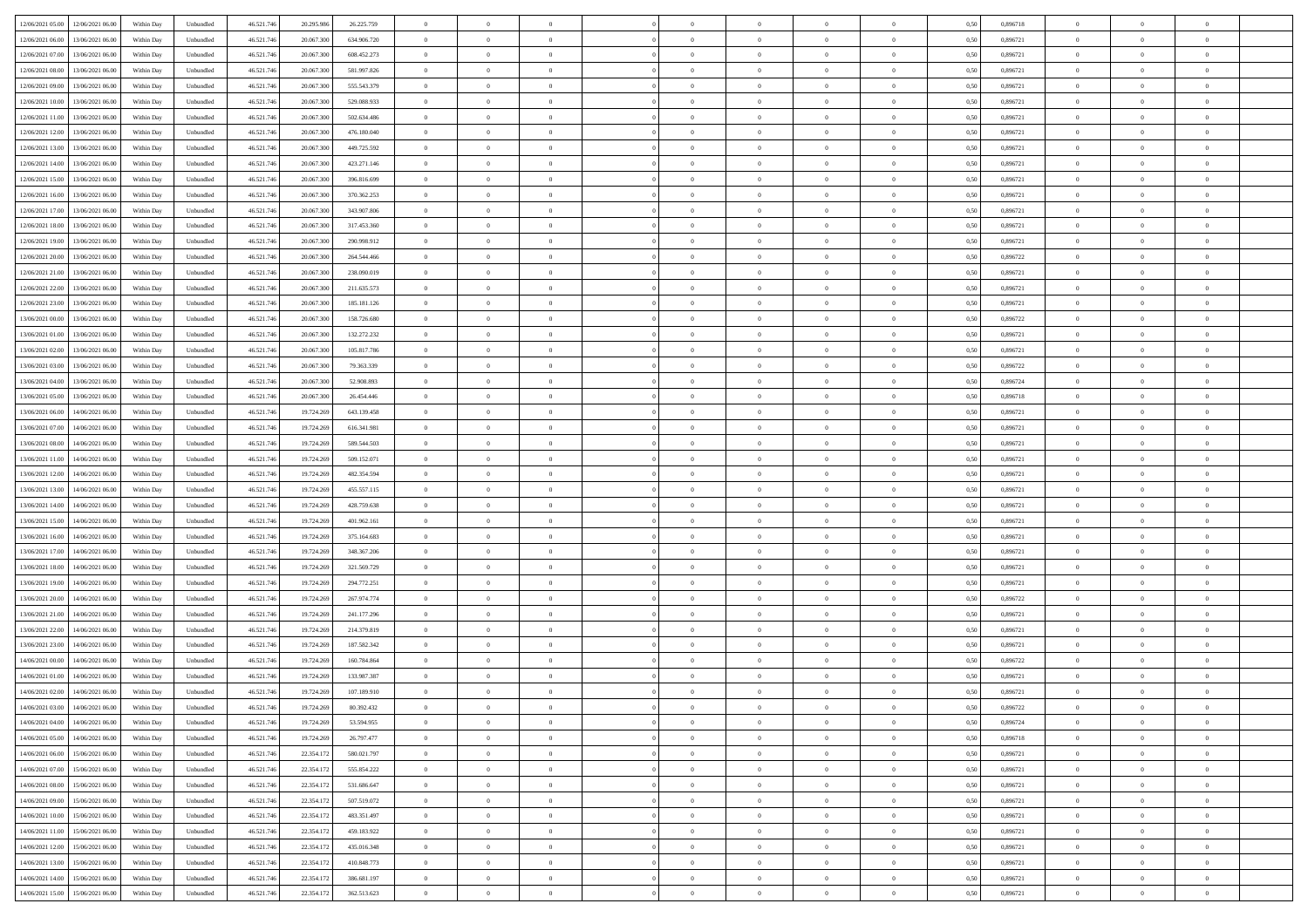| 12/06/2021 05:00 12/06/2021 06:00              | Within Day | Unbundled         | 46.521.74  | 20.295.986 | 26.225.759  | $\overline{0}$ | $\theta$       |                | $\overline{0}$ | $\theta$       |                | $\bf{0}$       | 0,50 | 0,896718 | $\theta$       | $\theta$       | $\overline{0}$ |  |
|------------------------------------------------|------------|-------------------|------------|------------|-------------|----------------|----------------|----------------|----------------|----------------|----------------|----------------|------|----------|----------------|----------------|----------------|--|
| 12/06/2021 06:00<br>13/06/2021 06:00           | Within Day | Unbundled         | 46.521.74  | 20.067.30  | 634.906.720 | $\bf{0}$       | $\overline{0}$ | $\bf{0}$       | $\overline{0}$ | $\bf{0}$       | $\overline{0}$ | $\bf{0}$       | 0,50 | 0,896721 | $\,$ 0 $\,$    | $\bf{0}$       | $\overline{0}$ |  |
| 12/06/2021 07:00<br>13/06/2021 06:00           | Within Day | Unbundled         | 46.521.746 | 20,067,300 | 608.452.273 | $\overline{0}$ | $\overline{0}$ | $\overline{0}$ | $\bf{0}$       | $\bf{0}$       | $\overline{0}$ | $\bf{0}$       | 0.50 | 0.896721 | $\bf{0}$       | $\overline{0}$ | $\overline{0}$ |  |
|                                                |            |                   |            |            |             | $\overline{0}$ | $\overline{0}$ | $\overline{0}$ | $\theta$       | $\theta$       | $\overline{0}$ | $\overline{0}$ |      |          | $\theta$       | $\theta$       | $\overline{0}$ |  |
| 12/06/2021 08:00<br>13/06/2021 06:00           | Within Day | Unbundled         | 46.521.74  | 20.067.300 | 581.997.826 |                |                |                |                |                |                |                | 0,50 | 0,896721 |                |                |                |  |
| 12/06/2021 09:00<br>13/06/2021 06:00           | Within Day | Unbundled         | 46.521.74  | 20.067.30  | 555.543.379 | $\overline{0}$ | $\theta$       | $\overline{0}$ | $\overline{0}$ | $\theta$       | $\overline{0}$ | $\bf{0}$       | 0,50 | 0,896721 | $\,$ 0 $\,$    | $\bf{0}$       | $\overline{0}$ |  |
| 12/06/2021 10:00<br>13/06/2021 06:00           | Within Day | Unbundled         | 46.521.746 | 20,067,300 | 529.088.933 | $\overline{0}$ | $\overline{0}$ | $\overline{0}$ | $\overline{0}$ | $\overline{0}$ | $\Omega$       | $\bf{0}$       | 0.50 | 0.896721 | $\,$ 0 $\,$    | $\theta$       | $\overline{0}$ |  |
| 12/06/2021 11:00<br>13/06/2021 06:00           | Within Day | Unbundled         | 46.521.74  | 20.067.300 | 502.634.486 | $\overline{0}$ | $\overline{0}$ | $\overline{0}$ | $\overline{0}$ | $\theta$       | $\overline{0}$ | $\bf{0}$       | 0,50 | 0,896721 | $\theta$       | $\theta$       | $\overline{0}$ |  |
|                                                |            |                   |            |            |             | $\overline{0}$ | $\overline{0}$ | $\overline{0}$ | $\overline{0}$ | $\theta$       | $\overline{0}$ |                |      |          | $\,$ 0 $\,$    | $\bf{0}$       | $\overline{0}$ |  |
| 12/06/2021 12:00<br>13/06/2021 06:00           | Within Day | Unbundled         | 46.521.74  | 20.067.30  | 476.180.040 |                |                |                |                |                |                | $\bf{0}$       | 0,50 | 0,896721 |                |                |                |  |
| 12/06/2021 13:00<br>13/06/2021 06:00           | Within Day | Unbundled         | 46.521.74  | 20.067.30  | 449.725.592 | $\overline{0}$ | $\overline{0}$ | $\overline{0}$ | $\bf{0}$       | $\overline{0}$ | $\overline{0}$ | $\bf{0}$       | 0.50 | 0.896721 | $\bf{0}$       | $\theta$       | $\overline{0}$ |  |
| 12/06/2021 14:00<br>13/06/2021 06:00           | Within Day | Unbundled         | 46.521.74  | 20.067.300 | 423.271.146 | $\bf{0}$       | $\bf{0}$       | $\overline{0}$ | $\overline{0}$ | $\theta$       | $\overline{0}$ | $\bf{0}$       | 0,50 | 0,896721 | $\,$ 0 $\,$    | $\theta$       | $\overline{0}$ |  |
| 12/06/2021 15:00<br>13/06/2021 06:00           | Within Day | Unbundled         | 46.521.74  | 20.067.300 | 396.816.699 | $\bf{0}$       | $\overline{0}$ | $\bf{0}$       | $\overline{0}$ | $\bf{0}$       | $\overline{0}$ | $\bf{0}$       | 0,50 | 0,896721 | $\,$ 0 $\,$    | $\bf{0}$       | $\overline{0}$ |  |
| 12/06/2021 16:00<br>13/06/2021 06:00           | Within Day | Unbundled         | 46.521.746 | 20,067,300 | 370.362.253 | $\overline{0}$ | $\overline{0}$ | $\overline{0}$ | $\bf{0}$       | $\bf{0}$       | $\overline{0}$ | $\bf{0}$       | 0.50 | 0.896721 | $\bf{0}$       | $\overline{0}$ | $\overline{0}$ |  |
|                                                |            |                   |            |            |             |                |                |                |                |                |                |                |      |          |                |                |                |  |
| 12/06/2021 17:00<br>13/06/2021 06:00           | Within Day | Unbundled         | 46.521.74  | 20.067.300 | 343.907.806 | $\overline{0}$ | $\overline{0}$ | $\overline{0}$ | $\overline{0}$ | $\theta$       | $\overline{0}$ | $\overline{0}$ | 0,50 | 0,896721 | $\,$ 0 $\,$    | $\theta$       | $\overline{0}$ |  |
| 12/06/2021 18:00<br>13/06/2021 06:00           | Within Day | Unbundled         | 46.521.74  | 20.067.30  | 317.453.360 | $\bf{0}$       | $\theta$       | $\bf{0}$       | $\overline{0}$ | $\theta$       | $\overline{0}$ | $\bf{0}$       | 0,50 | 0,896721 | $\bf{0}$       | $\bf{0}$       | $\overline{0}$ |  |
| 12/06/2021 19:00<br>13/06/2021 06:00           | Within Day | Unbundled         | 46.521.74  | 20.067.30  | 290.998.912 | $\overline{0}$ | $\overline{0}$ | $\overline{0}$ | $\bf{0}$       | $\theta$       | $\theta$       | $\bf{0}$       | 0.50 | 0,896721 | $\theta$       | $\overline{0}$ | $\overline{0}$ |  |
| 12/06/2021 20:00<br>13/06/2021 06:00           | Within Day | Unbundled         | 46.521.74  | 20.067.300 | 264.544.466 | $\overline{0}$ | $\overline{0}$ | $\overline{0}$ | $\overline{0}$ | $\overline{0}$ | $\overline{0}$ | $\bf{0}$       | 0,50 | 0,896722 | $\theta$       | $\theta$       | $\overline{0}$ |  |
| 12/06/2021 21:00<br>13/06/2021 06:00           | Within Day | Unbundled         | 46.521.74  | 20.067.30  | 238.090.019 | $\bf{0}$       | $\overline{0}$ | $\overline{0}$ | $\overline{0}$ | $\theta$       | $\overline{0}$ | $\bf{0}$       | 0,50 | 0,896721 | $\,$ 0 $\,$    | $\bf{0}$       | $\overline{0}$ |  |
|                                                |            |                   |            |            |             |                |                |                |                |                |                |                |      |          |                |                |                |  |
| 12/06/2021 22:00<br>13/06/2021 06:00           | Within Day | Unbundled         | 46.521.74  | 20,067,300 | 211.635.573 | $\overline{0}$ | $\overline{0}$ | $\overline{0}$ | $\bf{0}$       | $\overline{0}$ | $\overline{0}$ | $\bf{0}$       | 0.50 | 0.896721 | $\bf{0}$       | $\overline{0}$ | $\overline{0}$ |  |
| 12/06/2021 23:00<br>13/06/2021 06:00           | Within Day | Unbundled         | 46.521.74  | 20.067.300 | 185.181.126 | $\bf{0}$       | $\overline{0}$ | $\overline{0}$ | $\overline{0}$ | $\theta$       | $\overline{0}$ | $\bf{0}$       | 0,50 | 0,896721 | $\,$ 0 $\,$    | $\theta$       | $\overline{0}$ |  |
| 13/06/2021 00:00<br>13/06/2021 06:00           | Within Day | Unbundled         | 46.521.74  | 20.067.30  | 158.726.680 | $\bf{0}$       | $\overline{0}$ | $\bf{0}$       | $\bf{0}$       | $\overline{0}$ | $\overline{0}$ | $\bf{0}$       | 0,50 | 0,896722 | $\,$ 0 $\,$    | $\bf{0}$       | $\overline{0}$ |  |
| 13/06/2021 01:00<br>13/06/2021 06:00           | Within Day | Unbundled         | 46.521.746 | 20,067,300 | 132.272.232 | $\overline{0}$ | $\bf{0}$       | $\overline{0}$ | $\bf{0}$       | $\bf{0}$       | $\overline{0}$ | $\bf{0}$       | 0.50 | 0.896721 | $\bf{0}$       | $\overline{0}$ | $\overline{0}$ |  |
| 13/06/2021 02:00<br>13/06/2021 06:00           | Within Day | Unbundled         | 46.521.74  | 20.067.300 | 105.817.786 | $\overline{0}$ | $\overline{0}$ | $\overline{0}$ | $\theta$       | $\theta$       | $\overline{0}$ | $\bf{0}$       | 0,50 | 0,896721 | $\theta$       | $\theta$       | $\overline{0}$ |  |
|                                                |            |                   |            |            |             |                |                |                |                |                |                |                |      |          |                |                |                |  |
| 13/06/2021 03:00<br>13/06/2021 06:00           | Within Day | Unbundled         | 46.521.74  | 20.067.30  | 79.363.339  | $\bf{0}$       | $\overline{0}$ | $\bf{0}$       | $\overline{0}$ | $\theta$       | $\overline{0}$ | $\bf{0}$       | 0,50 | 0,896722 | $\,$ 0 $\,$    | $\bf{0}$       | $\overline{0}$ |  |
| 13/06/2021 04:00<br>13/06/2021 06:00           | Within Day | Unbundled         | 46.521.74  | 20.067.30  | 52,908.893  | $\overline{0}$ | $\overline{0}$ | $\overline{0}$ | $\overline{0}$ | $\overline{0}$ | $\Omega$       | $\bf{0}$       | 0.50 | 0.896724 | $\,$ 0 $\,$    | $\theta$       | $\overline{0}$ |  |
| 13/06/2021 05:00<br>13/06/2021 06:00           | Within Day | Unbundled         | 46.521.74  | 20.067.300 | 26.454.446  | $\overline{0}$ | $\overline{0}$ | $\overline{0}$ | $\overline{0}$ | $\theta$       | $\overline{0}$ | $\bf{0}$       | 0,50 | 0,896718 | $\theta$       | $\theta$       | $\overline{0}$ |  |
| 13/06/2021 06:00<br>14/06/2021 06.00           | Within Day | Unbundled         | 46.521.74  | 19.724.26  | 643.139.458 | $\bf{0}$       | $\theta$       | $\overline{0}$ | $\overline{0}$ | $\theta$       | $\overline{0}$ | $\bf{0}$       | 0,50 | 0,896721 | $\,$ 0 $\,$    | $\bf{0}$       | $\overline{0}$ |  |
| 14/06/2021 06:00                               |            | Unbundled         | 46.521.74  | 19.724.269 | 616.341.981 | $\overline{0}$ |                | $\overline{0}$ |                | $\overline{0}$ | $\overline{0}$ |                | 0.50 | 0.896721 | $\bf{0}$       | $\theta$       | $\overline{0}$ |  |
| 13/06/2021 07:00                               | Within Day |                   |            |            |             |                | $\overline{0}$ |                | $\bf{0}$       |                |                | $\bf{0}$       |      |          |                |                |                |  |
| 13/06/2021 08:00<br>14/06/2021 06:00           | Within Day | Unbundled         | 46.521.74  | 19.724.269 | 589.544.503 | $\overline{0}$ | $\overline{0}$ | $\overline{0}$ | $\overline{0}$ | $\theta$       | $\overline{0}$ | $\bf{0}$       | 0,50 | 0,896721 | $\theta$       | $\theta$       | $\overline{0}$ |  |
| 13/06/2021 11:00<br>14/06/2021 06.00           | Within Day | Unbundled         | 46.521.74  | 19.724.269 | 509.152.071 | $\bf{0}$       | $\bf{0}$       | $\bf{0}$       | $\bf{0}$       | $\overline{0}$ | $\overline{0}$ | $\bf{0}$       | 0,50 | 0,896721 | $\,$ 0 $\,$    | $\bf{0}$       | $\overline{0}$ |  |
| 13/06/2021 12:00<br>14/06/2021 06:00           | Within Day | Unbundled         | 46.521.746 | 19.724.269 | 482.354.594 | $\overline{0}$ | $\bf{0}$       | $\overline{0}$ | $\bf{0}$       | $\bf{0}$       | $\overline{0}$ | $\bf{0}$       | 0.50 | 0.896721 | $\bf{0}$       | $\overline{0}$ | $\overline{0}$ |  |
| 13/06/2021 13:00<br>14/06/2021 06:00           | Within Day | Unbundled         | 46.521.74  | 19.724.269 | 455.557.115 | $\overline{0}$ | $\overline{0}$ | $\overline{0}$ | $\overline{0}$ | $\theta$       | $\overline{0}$ | $\bf{0}$       | 0.5( | 0,896721 | $\theta$       | $\theta$       | $\overline{0}$ |  |
|                                                |            |                   |            |            |             |                | $\overline{0}$ |                | $\overline{0}$ | $\overline{0}$ | $\overline{0}$ |                |      |          | $\,$ 0 $\,$    | $\bf{0}$       | $\overline{0}$ |  |
| 13/06/2021 14:00<br>14/06/2021 06.00           | Within Day | Unbundled         | 46.521.74  | 19.724.269 | 428.759.638 | $\bf{0}$       |                | $\bf{0}$       |                |                |                | $\bf{0}$       | 0,50 | 0,896721 |                |                |                |  |
| 13/06/2021 15:00<br>14/06/2021 06:00           | Within Day | Unbundled         | 46.521.746 | 19.724.269 | 401.962.161 | $\overline{0}$ | $\overline{0}$ | $\overline{0}$ | $\bf{0}$       | $\theta$       | $\Omega$       | $\bf{0}$       | 0.50 | 0,896721 | $\,$ 0 $\,$    | $\overline{0}$ | $\overline{0}$ |  |
| 13/06/2021 16:00<br>14/06/2021 06:00           | Within Dav | Unbundled         | 46.521.74  | 19.724.269 | 375.164.683 | $\overline{0}$ | $\theta$       | $\overline{0}$ | $\overline{0}$ | $\theta$       | $\overline{0}$ | $\overline{0}$ | 0.5( | 0,896721 | $\theta$       | $\theta$       | $\overline{0}$ |  |
| 13/06/2021 17:00<br>14/06/2021 06.00           | Within Day | Unbundled         | 46.521.74  | 19.724.26  | 348.367.206 | $\bf{0}$       | $\overline{0}$ | $\bf{0}$       | $\overline{0}$ | $\bf{0}$       | $\overline{0}$ | $\bf{0}$       | 0,50 | 0,896721 | $\,$ 0 $\,$    | $\bf{0}$       | $\overline{0}$ |  |
| 13/06/2021 18:00<br>14/06/2021 06:00           | Within Day | Unbundled         | 46.521.74  | 19.724.269 | 321.569.729 | $\overline{0}$ | $\bf{0}$       | $\overline{0}$ | $\bf{0}$       | $\overline{0}$ | $\overline{0}$ | $\bf{0}$       | 0.50 | 0.896721 | $\bf{0}$       | $\overline{0}$ | $\overline{0}$ |  |
| 13/06/2021 19:00<br>14/06/2021 06:00           | Within Dav | Unbundled         | 46.521.74  | 19.724.269 | 294.772.251 | $\overline{0}$ | $\overline{0}$ | $\overline{0}$ | $\overline{0}$ | $\overline{0}$ | $\overline{0}$ | $\overline{0}$ | 0.50 | 0,896721 | $\theta$       | $\theta$       | $\overline{0}$ |  |
|                                                |            |                   |            |            |             |                |                |                |                |                |                |                |      |          |                |                |                |  |
| 13/06/2021 20:00<br>14/06/2021 06.00           | Within Day | Unbundled         | 46.521.74  | 19.724.269 | 267.974.774 | $\bf{0}$       | $\bf{0}$       | $\bf{0}$       | $\bf{0}$       | $\overline{0}$ | $\overline{0}$ | $\bf{0}$       | 0,50 | 0,896722 | $\,$ 0 $\,$    | $\bf{0}$       | $\overline{0}$ |  |
| 13/06/2021 21:00<br>14/06/2021 06:00           | Within Day | Unbundled         | 46.521.746 | 19.724.269 | 241.177.296 | $\overline{0}$ | $\bf{0}$       | $\overline{0}$ | $\bf{0}$       | $\bf{0}$       | $\overline{0}$ | $\bf{0}$       | 0.50 | 0.896721 | $\bf{0}$       | $\overline{0}$ | $\overline{0}$ |  |
| 13/06/2021 22:00<br>14/06/2021 06:00           | Within Dav | Unbundled         | 46.521.74  | 19.724.269 | 214.379.819 | $\overline{0}$ | $\overline{0}$ | $\Omega$       | $\overline{0}$ | $\theta$       | $\overline{0}$ | $\bf{0}$       | 0.50 | 0,896721 | $\theta$       | $\theta$       | $\overline{0}$ |  |
| 13/06/2021 23:00<br>14/06/2021 06.00           | Within Day | Unbundled         | 46.521.74  | 19.724.269 | 187.582.342 | $\bf{0}$       | $\overline{0}$ | $\bf{0}$       | $\bf{0}$       | $\theta$       | $\overline{0}$ | $\bf{0}$       | 0,50 | 0,896721 | $\,$ 0 $\,$    | $\bf{0}$       | $\overline{0}$ |  |
| 14/06/2021 00:00<br>14/06/2021 06.00           | Within Day | Unbundled         | 46.521.74  | 19.724.26  | 160.784.864 | $\overline{0}$ | $\overline{0}$ | $\Omega$       | $\overline{0}$ | $\theta$       | $\theta$       | $\bf{0}$       | 0.50 | 0,896722 | $\bf{0}$       | $\overline{0}$ | $\overline{0}$ |  |
|                                                |            |                   |            |            |             |                |                |                |                |                |                |                |      |          |                |                |                |  |
| 14/06/2021 01:00<br>14/06/2021 06:00           | Within Dav | Unbundled         | 46.521.74  | 19.724.269 | 133.987.387 | $\overline{0}$ | $\overline{0}$ | $\Omega$       | $\overline{0}$ | $\theta$       | $\Omega$       | $\overline{0}$ | 0.5( | 0,896721 | $\theta$       | $\theta$       | $\overline{0}$ |  |
| 14/06/2021 02:00<br>14/06/2021 06.00           | Within Day | Unbundled         | 46.521.74  | 19.724.269 | 107.189.910 | $\bf{0}$       | $\bf{0}$       | $\bf{0}$       | $\bf{0}$       | $\bf{0}$       | $\overline{0}$ | $\bf{0}$       | 0,50 | 0,896721 | $\,$ 0 $\,$    | $\bf{0}$       | $\overline{0}$ |  |
| $14/06/2021\; 03.00 \qquad 14/06/2021\; 06.00$ | Within Day | ${\sf Unbundred}$ | 46.521.746 | 19.724.269 | 80.392.432  | $\overline{0}$ | $\Omega$       |                | $\Omega$       |                |                |                | 0,50 | 0,896722 | $\theta$       | $\overline{0}$ |                |  |
| 14/06/2021 04:00 14/06/2021 06:00              | Within Day | Unbundled         | 46.521.746 | 19.724.269 | 53.594.955  | $\overline{0}$ | $\theta$       | $\Omega$       | $\theta$       | $\overline{0}$ | $\overline{0}$ | $\bf{0}$       | 0,50 | 0,896724 | $\theta$       | $\theta$       | $\overline{0}$ |  |
| 14/06/2021 05:00<br>14/06/2021 06.00           | Within Day | Unbundled         | 46.521.74  | 19.724.269 | 26.797.477  | $\overline{0}$ | $\bf{0}$       | $\overline{0}$ | $\overline{0}$ | $\bf{0}$       | $\overline{0}$ | $\bf{0}$       | 0,50 | 0,896718 | $\bf{0}$       | $\overline{0}$ | $\bf{0}$       |  |
|                                                |            |                   |            |            |             |                |                |                |                |                |                |                |      |          |                |                |                |  |
| 14/06/2021 06:00 15/06/2021 06:00              | Within Day | Unbundled         | 46.521.746 | 22.354.172 | 580.021.797 | $\overline{0}$ | $\bf{0}$       | $\overline{0}$ | $\overline{0}$ | $\overline{0}$ | $\overline{0}$ | $\bf{0}$       | 0.50 | 0.896721 | $\overline{0}$ | $\bf{0}$       | $\,$ 0 $\,$    |  |
| 14/06/2021 07:00 15/06/2021 06:00              | Within Day | Unbundled         | 46.521.746 | 22.354.172 | 555.854.222 | $\overline{0}$ | $\overline{0}$ | $\overline{0}$ | $\overline{0}$ | $\overline{0}$ | $\overline{0}$ | $\bf{0}$       | 0,50 | 0,896721 | $\theta$       | $\theta$       | $\overline{0}$ |  |
| 14/06/2021 08:00<br>15/06/2021 06:00           | Within Day | Unbundled         | 46.521.74  | 22.354.172 | 531.686.647 | $\overline{0}$ | $\bf{0}$       | $\overline{0}$ | $\bf{0}$       | $\overline{0}$ | $\overline{0}$ | $\bf{0}$       | 0,50 | 0,896721 | $\bf{0}$       | $\bf{0}$       | $\overline{0}$ |  |
| 15/06/2021 06:00<br>14/06/2021 09:00           | Within Day | Unbundled         | 46.521.746 | 22.354.172 | 507.519.072 | $\overline{0}$ | $\bf{0}$       | $\overline{0}$ | $\overline{0}$ | $\overline{0}$ | $\overline{0}$ | $\bf{0}$       | 0.50 | 0,896721 | $\,$ 0 $\,$    | $\theta$       | $\overline{0}$ |  |
| 14/06/2021 10:00<br>15/06/2021 06:00           | Within Dav | Unbundled         | 46.521.746 | 22.354.172 | 483.351.497 | $\overline{0}$ | $\overline{0}$ | $\overline{0}$ | $\overline{0}$ | $\overline{0}$ | $\overline{0}$ | $\bf{0}$       | 0.50 | 0,896721 | $\overline{0}$ | $\theta$       | $\overline{0}$ |  |
|                                                |            |                   |            |            |             |                |                |                |                |                |                |                |      |          |                |                |                |  |
| 14/06/2021 11:00<br>15/06/2021 06:00           | Within Day | Unbundled         | 46.521.74  | 22.354.17  | 459.183.922 | $\overline{0}$ | $\overline{0}$ | $\overline{0}$ | $\overline{0}$ | $\bf{0}$       | $\overline{0}$ | $\bf{0}$       | 0,50 | 0,896721 | $\bf{0}$       | $\overline{0}$ | $\overline{0}$ |  |
| 14/06/2021 12:00<br>15/06/2021 06:00           | Within Day | Unbundled         | 46.521.746 | 22.354.172 | 435.016.348 | $\overline{0}$ | $\overline{0}$ | $\overline{0}$ | $\overline{0}$ | $\bf{0}$       | $\overline{0}$ | $\bf{0}$       | 0.50 | 0.896721 | $\overline{0}$ | $\,$ 0 $\,$    | $\,$ 0         |  |
| 14/06/2021 13:00 15/06/2021 06:00              | Within Dav | Unbundled         | 46.521.746 | 22.354.172 | 410.848.773 | $\overline{0}$ | $\overline{0}$ | $\overline{0}$ | $\overline{0}$ | $\overline{0}$ | $\overline{0}$ | $\bf{0}$       | 0,50 | 0,896721 | $\overline{0}$ | $\theta$       | $\overline{0}$ |  |
| 14/06/2021 14:00<br>15/06/2021 06:00           | Within Day | Unbundled         | 46.521.74  | 22.354.17  | 386.681.197 | $\overline{0}$ | $\bf{0}$       | $\overline{0}$ | $\bf{0}$       | $\overline{0}$ | $\bf{0}$       | $\bf{0}$       | 0,50 | 0,896721 | $\bf{0}$       | $\bf{0}$       | $\overline{0}$ |  |
| 14/06/2021 15:00 15/06/2021 06:00              |            | Unbundled         | 46.521.746 | 22.354.172 | 362.513.623 | $\overline{0}$ | $\bf{0}$       | $\overline{0}$ | $\overline{0}$ | $\,$ 0 $\,$    | $\overline{0}$ | $\bf{0}$       | 0,50 | 0,896721 | $\overline{0}$ | $\,$ 0 $\,$    | $\,$ 0 $\,$    |  |
|                                                | Within Day |                   |            |            |             |                |                |                |                |                |                |                |      |          |                |                |                |  |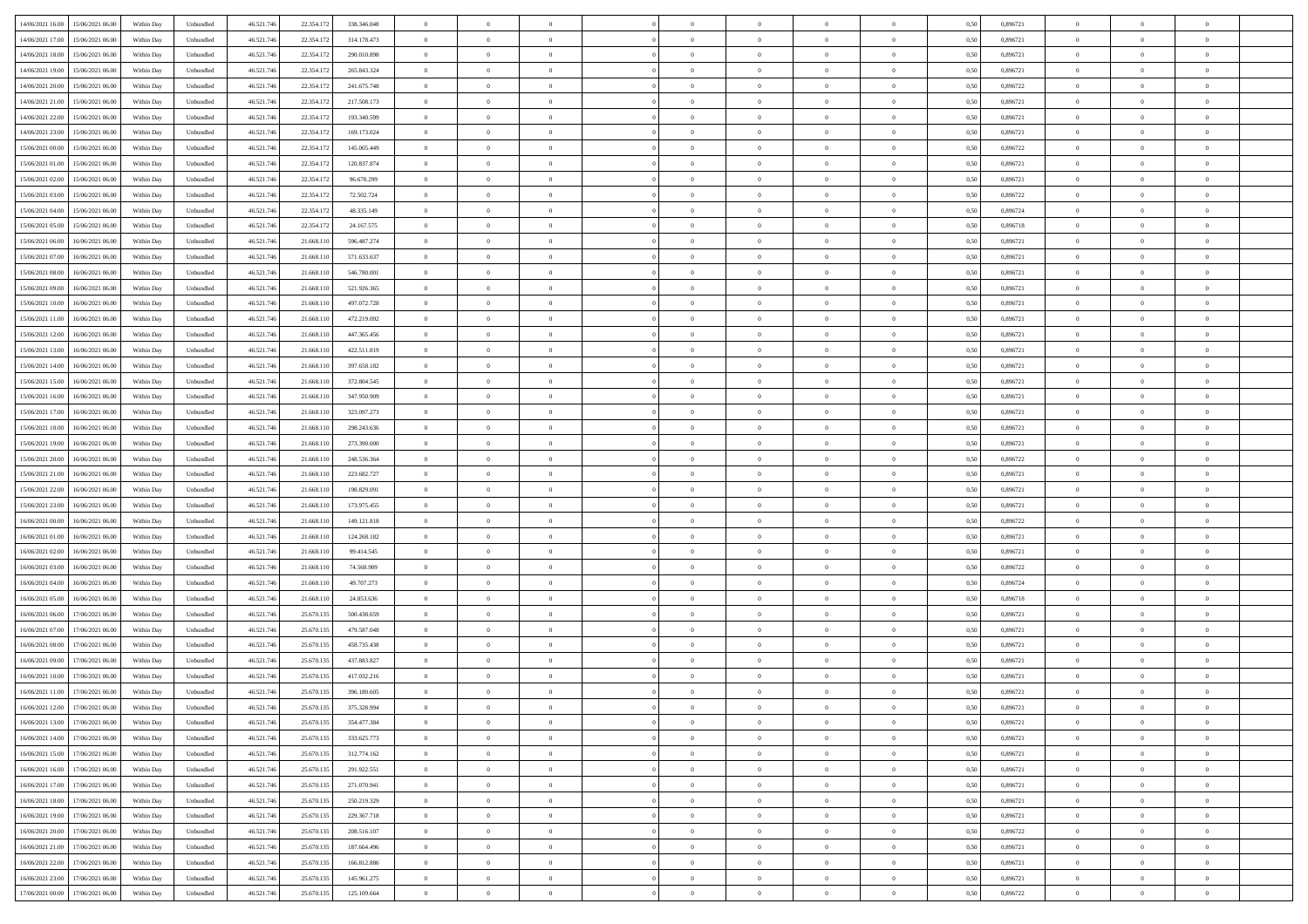| 14/06/2021 16:00 15/06/2021 06:00            | Within Day | Unbundled         | 46.521.74  | 22.354.172 | 338.346.048 | $\overline{0}$ | $\theta$       |                | $\overline{0}$ | $\theta$       |                | $\bf{0}$       | 0,50 | 0,896721 | $\theta$       | $\theta$       | $\overline{0}$ |  |
|----------------------------------------------|------------|-------------------|------------|------------|-------------|----------------|----------------|----------------|----------------|----------------|----------------|----------------|------|----------|----------------|----------------|----------------|--|
| 14/06/2021 17:00<br>15/06/2021 06:00         | Within Day | Unbundled         | 46.521.74  | 22.354.17  | 314.178.473 | $\bf{0}$       | $\overline{0}$ | $\bf{0}$       | $\overline{0}$ | $\bf{0}$       | $\overline{0}$ | $\bf{0}$       | 0,50 | 0,896721 | $\,$ 0 $\,$    | $\bf{0}$       | $\overline{0}$ |  |
| 14/06/2021 18:00<br>15/06/2021 06:00         | Within Day | Unbundled         | 46.521.746 | 22.354.172 | 290.010.898 | $\overline{0}$ | $\overline{0}$ | $\overline{0}$ | $\bf{0}$       | $\bf{0}$       | $\overline{0}$ | $\bf{0}$       | 0.50 | 0.896721 | $\bf{0}$       | $\overline{0}$ | $\overline{0}$ |  |
|                                              |            |                   |            |            |             | $\overline{0}$ | $\overline{0}$ | $\overline{0}$ | $\theta$       | $\theta$       | $\overline{0}$ | $\overline{0}$ |      |          | $\theta$       | $\theta$       | $\overline{0}$ |  |
| 14/06/2021 19:00<br>15/06/2021 06:00         | Within Day | Unbundled         | 46.521.74  | 22.354.172 | 265.843.324 |                |                |                |                |                |                |                | 0,50 | 0,896721 |                |                |                |  |
| 14/06/2021 20:00<br>15/06/2021 06:00         | Within Day | Unbundled         | 46.521.74  | 22.354.17  | 241.675.748 | $\overline{0}$ | $\theta$       | $\overline{0}$ | $\overline{0}$ | $\theta$       | $\overline{0}$ | $\bf{0}$       | 0,50 | 0,896722 | $\,$ 0 $\,$    | $\bf{0}$       | $\overline{0}$ |  |
| 14/06/2021 21:00<br>15/06/2021 06:00         | Within Day | Unbundled         | 46.521.74  | 22.354.172 | 217.508.173 | $\overline{0}$ | $\overline{0}$ | $\overline{0}$ | $\overline{0}$ | $\overline{0}$ | $\Omega$       | $\bf{0}$       | 0.50 | 0.896721 | $\bf{0}$       | $\theta$       | $\overline{0}$ |  |
| 14/06/2021 22:00<br>15/06/2021 06:00         | Within Day | Unbundled         | 46.521.74  | 22.354.172 | 193.340.599 | $\overline{0}$ | $\overline{0}$ | $\overline{0}$ | $\overline{0}$ | $\theta$       | $\overline{0}$ | $\bf{0}$       | 0,50 | 0,896721 | $\theta$       | $\theta$       | $\overline{0}$ |  |
|                                              |            |                   |            |            |             |                |                |                |                |                |                |                |      |          |                |                |                |  |
| 14/06/2021 23:00<br>15/06/2021 06:00         | Within Day | Unbundled         | 46.521.74  | 22.354.17  | 169.173.024 | $\overline{0}$ | $\overline{0}$ | $\overline{0}$ | $\overline{0}$ | $\theta$       | $\overline{0}$ | $\bf{0}$       | 0,50 | 0,896721 | $\,$ 0 $\,$    | $\bf{0}$       | $\overline{0}$ |  |
| 15/06/2021 00:00<br>15/06/2021 06:00         | Within Day | Unbundled         | 46.521.74  | 22.354.172 | 145,005,449 | $\overline{0}$ | $\overline{0}$ | $\overline{0}$ | $\bf{0}$       | $\overline{0}$ | $\overline{0}$ | $\bf{0}$       | 0.50 | 0.896722 | $\bf{0}$       | $\theta$       | $\overline{0}$ |  |
| 15/06/2021 01:00<br>15/06/2021 06:00         | Within Day | Unbundled         | 46.521.74  | 22.354.172 | 120.837.874 | $\overline{0}$ | $\bf{0}$       | $\overline{0}$ | $\overline{0}$ | $\theta$       | $\overline{0}$ | $\bf{0}$       | 0,50 | 0,896721 | $\,$ 0 $\,$    | $\theta$       | $\overline{0}$ |  |
| 15/06/2021 02:00<br>15/06/2021 06:00         | Within Day | Unbundled         | 46.521.74  | 22.354.17  | 96.670.299  | $\bf{0}$       | $\overline{0}$ | $\bf{0}$       | $\overline{0}$ | $\bf{0}$       | $\overline{0}$ | $\bf{0}$       | 0,50 | 0,896721 | $\,$ 0 $\,$    | $\bf{0}$       | $\overline{0}$ |  |
|                                              |            |                   |            |            |             |                |                |                |                |                |                |                |      |          |                |                |                |  |
| 15/06/2021 03:00<br>15/06/2021 06:00         | Within Day | Unbundled         | 46.521.746 | 22.354.172 | 72.502.724  | $\overline{0}$ | $\overline{0}$ | $\overline{0}$ | $\bf{0}$       | $\bf{0}$       | $\overline{0}$ | $\bf{0}$       | 0.50 | 0.896722 | $\bf{0}$       | $\overline{0}$ | $\overline{0}$ |  |
| 15/06/2021 04:00<br>15/06/2021 06:00         | Within Day | Unbundled         | 46.521.74  | 22.354.172 | 48.335.149  | $\overline{0}$ | $\overline{0}$ | $\overline{0}$ | $\overline{0}$ | $\theta$       | $\overline{0}$ | $\overline{0}$ | 0,50 | 0,896724 | $\theta$       | $\theta$       | $\overline{0}$ |  |
| 15/06/2021 05:00<br>15/06/2021 06:00         | Within Day | Unbundled         | 46.521.74  | 22.354.17  | 24.167.575  | $\bf{0}$       | $\theta$       | $\bf{0}$       | $\overline{0}$ | $\theta$       | $\overline{0}$ | $\bf{0}$       | 0,50 | 0,896718 | $\bf{0}$       | $\bf{0}$       | $\overline{0}$ |  |
|                                              |            |                   |            |            |             |                |                |                |                |                |                |                |      |          |                |                |                |  |
| 15/06/2021 06:00<br>16/06/2021 06:00         | Within Day | Unbundled         | 46.521.74  | 21.668.11  | 596.487.274 | $\overline{0}$ | $\overline{0}$ | $\overline{0}$ | $\bf{0}$       | $\theta$       | $\theta$       | $\bf{0}$       | 0.50 | 0,896721 | $\bf{0}$       | $\theta$       | $\overline{0}$ |  |
| 15/06/2021 07:00<br>16/06/2021 06:00         | Within Day | Unbundled         | 46.521.74  | 21.668.110 | 571.633.637 | $\overline{0}$ | $\overline{0}$ | $\overline{0}$ | $\overline{0}$ | $\theta$       | $\overline{0}$ | $\bf{0}$       | 0,50 | 0,896721 | $\theta$       | $\theta$       | $\overline{0}$ |  |
| 15/06/2021 08:00<br>16/06/2021 06:00         | Within Day | Unbundled         | 46.521.74  | 21.668.11  | 546.780.001 | $\bf{0}$       | $\overline{0}$ | $\overline{0}$ | $\overline{0}$ | $\theta$       | $\overline{0}$ | $\bf{0}$       | 0,50 | 0,896721 | $\,$ 0 $\,$    | $\bf{0}$       | $\overline{0}$ |  |
| 15/06/2021 09:00<br>16/06/2021 06:00         | Within Day | Unbundled         | 46.521.74  | 21,668.11  | 521.926.365 | $\overline{0}$ | $\overline{0}$ | $\overline{0}$ | $\bf{0}$       | $\overline{0}$ | $\overline{0}$ | $\bf{0}$       | 0.50 | 0.896721 | $\bf{0}$       | $\overline{0}$ | $\overline{0}$ |  |
|                                              |            |                   |            |            |             | $\overline{0}$ | $\overline{0}$ | $\overline{0}$ | $\overline{0}$ | $\overline{0}$ | $\overline{0}$ |                |      |          |                | $\theta$       | $\overline{0}$ |  |
| 15/06/2021 10:00<br>16/06/2021 06:00         | Within Day | Unbundled         | 46.521.74  | 21.668.110 | 497.072.728 |                |                |                |                |                |                | $\bf{0}$       | 0,50 | 0,896721 | $\,$ 0 $\,$    |                |                |  |
| 15/06/2021 11:00<br>16/06/2021 06:00         | Within Day | Unbundled         | 46.521.74  | 21.668.11  | 472.219.092 | $\bf{0}$       | $\overline{0}$ | $\bf{0}$       | $\bf{0}$       | $\overline{0}$ | $\overline{0}$ | $\bf{0}$       | 0,50 | 0,896721 | $\,$ 0 $\,$    | $\bf{0}$       | $\overline{0}$ |  |
| 15/06/2021 12:00<br>16/06/2021 06:00         | Within Day | Unbundled         | 46.521.746 | 21.668.11  | 447.365.456 | $\overline{0}$ | $\overline{0}$ | $\overline{0}$ | $\bf{0}$       | $\bf{0}$       | $\overline{0}$ | $\bf{0}$       | 0.50 | 0.896721 | $\bf{0}$       | $\overline{0}$ | $\overline{0}$ |  |
| 15/06/2021 13:00<br>16/06/2021 06:00         | Within Day | Unbundled         | 46.521.74  | 21.668.110 | 422.511.819 | $\overline{0}$ | $\overline{0}$ | $\overline{0}$ | $\theta$       | $\theta$       | $\overline{0}$ | $\bf{0}$       | 0,50 | 0,896721 | $\theta$       | $\theta$       | $\overline{0}$ |  |
|                                              |            |                   |            |            |             |                | $\overline{0}$ |                |                |                |                |                |      |          |                |                | $\overline{0}$ |  |
| 15/06/2021 14:00<br>16/06/2021 06:00         | Within Day | Unbundled         | 46.521.74  | 21.668.11  | 397.658.182 | $\bf{0}$       |                | $\bf{0}$       | $\overline{0}$ | $\theta$       | $\overline{0}$ | $\bf{0}$       | 0,50 | 0,896721 | $\,$ 0 $\,$    | $\bf{0}$       |                |  |
| 15/06/2021 15:00<br>16/06/2021 06:00         | Within Day | Unbundled         | 46.521.74  | 21.668.11  | 372.804.545 | $\overline{0}$ | $\overline{0}$ | $\overline{0}$ | $\overline{0}$ | $\overline{0}$ | $\Omega$       | $\bf{0}$       | 0.50 | 0.896721 | $\,$ 0 $\,$    | $\theta$       | $\overline{0}$ |  |
| 15/06/2021 16:00<br>16/06/2021 06:00         | Within Day | Unbundled         | 46.521.74  | 21.668.110 | 347.950.909 | $\overline{0}$ | $\overline{0}$ | $\overline{0}$ | $\overline{0}$ | $\theta$       | $\overline{0}$ | $\bf{0}$       | 0,50 | 0,896721 | $\theta$       | $\theta$       | $\overline{0}$ |  |
| 15/06/2021 17:00<br>16/06/2021 06:00         | Within Day | Unbundled         | 46.521.74  | 21.668.11  | 323.097.273 | $\bf{0}$       | $\theta$       | $\overline{0}$ | $\overline{0}$ | $\theta$       | $\overline{0}$ | $\bf{0}$       | 0,50 | 0,896721 | $\,$ 0 $\,$    | $\bf{0}$       | $\overline{0}$ |  |
| 15/06/2021 18:00<br>16/06/2021 06:00         | Within Day | Unbundled         | 46.521.74  | 21.668.11  | 298.243.636 | $\overline{0}$ | $\overline{0}$ | $\overline{0}$ | $\bf{0}$       | $\overline{0}$ | $\overline{0}$ | $\bf{0}$       | 0.50 | 0.896721 | $\bf{0}$       | $\theta$       | $\overline{0}$ |  |
|                                              |            |                   |            |            |             |                |                |                |                |                |                |                |      |          |                |                |                |  |
| 15/06/2021 19:00<br>16/06/2021 06:00         | Within Day | Unbundled         | 46.521.74  | 21.668.110 | 273.390.000 | $\overline{0}$ | $\overline{0}$ | $\overline{0}$ | $\overline{0}$ | $\overline{0}$ | $\overline{0}$ | $\bf{0}$       | 0,50 | 0,896721 | $\theta$       | $\theta$       | $\overline{0}$ |  |
| 15/06/2021 20:00<br>16/06/2021 06:00         | Within Day | Unbundled         | 46.521.74  | 21.668.11  | 248.536.364 | $\bf{0}$       | $\bf{0}$       | $\bf{0}$       | $\bf{0}$       | $\overline{0}$ | $\overline{0}$ | $\bf{0}$       | 0,50 | 0,896722 | $\,$ 0 $\,$    | $\bf{0}$       | $\overline{0}$ |  |
| 15/06/2021 21:00<br>16/06/2021 06:00         | Within Day | Unbundled         | 46.521.74  | 21.668.11  | 223.682.727 | $\overline{0}$ | $\bf{0}$       | $\overline{0}$ | $\bf{0}$       | $\bf{0}$       | $\overline{0}$ | $\bf{0}$       | 0.50 | 0.896721 | $\bf{0}$       | $\overline{0}$ | $\overline{0}$ |  |
| 15/06/2021 22:00<br>16/06/2021 06:00         | Within Day | Unbundled         | 46.521.74  | 21.668.11  | 198.829.091 | $\overline{0}$ | $\overline{0}$ | $\overline{0}$ | $\overline{0}$ | $\overline{0}$ | $\overline{0}$ | $\bf{0}$       | 0.5( | 0,896721 | $\theta$       | $\theta$       | $\overline{0}$ |  |
|                                              |            |                   |            |            |             |                |                |                |                |                |                |                |      |          |                |                |                |  |
| 15/06/2021 23:00<br>16/06/2021 06:00         | Within Day | Unbundled         | 46.521.74  | 21.668.11  | 173.975.455 | $\bf{0}$       | $\overline{0}$ | $\bf{0}$       | $\overline{0}$ | $\overline{0}$ | $\overline{0}$ | $\bf{0}$       | 0,50 | 0,896721 | $\,$ 0 $\,$    | $\bf{0}$       | $\overline{0}$ |  |
| 16/06/2021 00:00<br>16/06/2021 06:00         | Within Day | Unbundled         | 46.521.74  | 21.668.11  | 149.121.818 | $\overline{0}$ | $\overline{0}$ | $\overline{0}$ | $\bf{0}$       | $\theta$       | $\Omega$       | $\bf{0}$       | 0.50 | 0,896722 | $\,$ 0 $\,$    | $\overline{0}$ | $\overline{0}$ |  |
| 16/06/2021 01:00<br>16/06/2021 06:00         | Within Dav | Unbundled         | 46.521.74  | 21.668.11  | 124.268.182 | $\overline{0}$ | $\overline{0}$ | $\overline{0}$ | $\overline{0}$ | $\theta$       | $\overline{0}$ | $\overline{0}$ | 0.5( | 0,896721 | $\theta$       | $\theta$       | $\overline{0}$ |  |
| 16/06/2021 02:00<br>16/06/2021 06:00         | Within Day | Unbundled         | 46.521.74  | 21.668.11  | 99.414.545  | $\bf{0}$       | $\overline{0}$ | $\bf{0}$       | $\overline{0}$ | $\bf{0}$       | $\overline{0}$ | $\bf{0}$       | 0,50 | 0,896721 | $\,$ 0 $\,$    | $\bf{0}$       | $\overline{0}$ |  |
|                                              |            |                   |            |            |             |                |                |                |                |                |                |                |      |          |                |                |                |  |
| 16/06/2021 03:00<br>16/06/2021 06:00         | Within Day | Unbundled         | 46.521.74  | 21.668.11  | 74.560.909  | $\overline{0}$ | $\bf{0}$       | $\overline{0}$ | $\bf{0}$       | $\overline{0}$ | $\overline{0}$ | $\bf{0}$       | 0.50 | 0.896722 | $\bf{0}$       | $\overline{0}$ | $\overline{0}$ |  |
| 16/06/2021 04:00<br>16/06/2021 06:00         | Within Dav | Unbundled         | 46.521.74  | 21.668.11  | 49.707.273  | $\overline{0}$ | $\overline{0}$ | $\overline{0}$ | $\overline{0}$ | $\overline{0}$ | $\overline{0}$ | $\overline{0}$ | 0.50 | 0,896724 | $\theta$       | $\theta$       | $\overline{0}$ |  |
| 16/06/2021 05:00<br>16/06/2021 06:00         | Within Day | Unbundled         | 46.521.74  | 21.668.11  | 24.853.636  | $\bf{0}$       | $\bf{0}$       | $\bf{0}$       | $\bf{0}$       | $\overline{0}$ | $\overline{0}$ | $\bf{0}$       | 0,50 | 0,896718 | $\,$ 0 $\,$    | $\bf{0}$       | $\overline{0}$ |  |
| 16/06/2021 06:00<br>17/06/2021 06:00         | Within Day | Unbundled         | 46.521.746 | 25.670.135 | 500.438.659 | $\overline{0}$ | $\bf{0}$       | $\overline{0}$ | $\bf{0}$       | $\bf{0}$       | $\overline{0}$ | $\bf{0}$       | 0.50 | 0.896721 | $\bf{0}$       | $\overline{0}$ | $\overline{0}$ |  |
| 16/06/2021 07:00<br>17/06/2021 06:00         | Within Dav | Unbundled         | 46.521.74  | 25.670.135 | 479.587.048 | $\overline{0}$ | $\overline{0}$ | $\Omega$       | $\overline{0}$ | $\theta$       | $\overline{0}$ | $\overline{0}$ | 0.50 | 0,896721 | $\theta$       | $\theta$       | $\overline{0}$ |  |
|                                              |            |                   |            |            |             |                |                |                |                |                |                |                |      |          |                |                |                |  |
| 16/06/2021 08:00<br>17/06/2021 06:00         | Within Day | Unbundled         | 46.521.74  | 25.670.13: | 458.735.438 | $\bf{0}$       | $\overline{0}$ | $\bf{0}$       | $\bf{0}$       | $\overline{0}$ | $\overline{0}$ | $\bf{0}$       | 0,50 | 0,896721 | $\,$ 0 $\,$    | $\bf{0}$       | $\overline{0}$ |  |
| 16/06/2021 09:00<br>17/06/2021 06.00         | Within Day | Unbundled         | 46.521.74  | 25.670.13  | 437.883.827 | $\overline{0}$ | $\overline{0}$ | $\Omega$       | $\overline{0}$ | $\theta$       | $\theta$       | $\bf{0}$       | 0.50 | 0,896721 | $\bf{0}$       | $\overline{0}$ | $\overline{0}$ |  |
| 16/06/2021 10:00<br>17/06/2021 06:00         | Within Dav | Unbundled         | 46.521.74  | 25.670.13: | 417.032.216 | $\overline{0}$ | $\overline{0}$ | $\Omega$       | $\overline{0}$ | $\theta$       | $\Omega$       | $\overline{0}$ | 0.5( | 0,896721 | $\theta$       | $\theta$       | $\overline{0}$ |  |
| 16/06/2021 11:00<br>17/06/2021 06.00         | Within Day | Unbundled         | 46.521.74  | 25.670.13: | 396.180.605 | $\bf{0}$       | $\bf{0}$       | $\overline{0}$ | $\bf{0}$       | $\bf{0}$       | $\overline{0}$ | $\bf{0}$       | 0,50 | 0,896721 | $\,$ 0 $\,$    | $\bf{0}$       | $\overline{0}$ |  |
|                                              |            |                   |            |            |             |                |                |                |                |                |                |                |      |          |                |                |                |  |
| $16/06/2021\ 12.00 \qquad 17/06/2021\ 06.00$ | Within Day | ${\sf Unbundred}$ | 46.521.746 | 25.670.135 | 375.328.994 | $\overline{0}$ | $\Omega$       |                | $\Omega$       |                |                |                | 0,50 | 0.896721 | $\theta$       | $\overline{0}$ |                |  |
| 16/06/2021 13:00 17/06/2021 06:00            | Within Day | Unbundled         | 46.521.746 | 25.670.135 | 354.477.384 | $\overline{0}$ | $\theta$       | $\overline{0}$ | $\theta$       | $\overline{0}$ | $\overline{0}$ | $\bf{0}$       | 0,50 | 0,896721 | $\theta$       | $\theta$       | $\overline{0}$ |  |
| 16/06/2021 14:00<br>17/06/2021 06.00         | Within Day | Unbundled         | 46.521.74  | 25.670.13: | 333.625.773 | $\overline{0}$ | $\bf{0}$       | $\overline{0}$ | $\overline{0}$ | $\bf{0}$       | $\overline{0}$ | $\bf{0}$       | 0,50 | 0,896721 | $\bf{0}$       | $\overline{0}$ | $\bf{0}$       |  |
| 16/06/2021 15:00 17/06/2021 06:00            | Within Day | Unbundled         | 46.521.746 | 25.670.135 | 312.774.162 | $\overline{0}$ | $\bf{0}$       | $\overline{0}$ | $\overline{0}$ | $\overline{0}$ | $\overline{0}$ | $\bf{0}$       | 0.50 | 0.896721 | $\overline{0}$ | $\bf{0}$       | $\,$ 0 $\,$    |  |
|                                              |            |                   |            |            |             |                |                |                |                |                |                |                |      |          |                |                |                |  |
| 16/06/2021 16:00 17/06/2021 06:00            | Within Day | Unbundled         | 46.521.746 | 25.670.135 | 291.922.551 | $\overline{0}$ | $\overline{0}$ | $\overline{0}$ | $\overline{0}$ | $\overline{0}$ | $\overline{0}$ | $\bf{0}$       | 0,50 | 0,896721 | $\theta$       | $\theta$       | $\overline{0}$ |  |
| 16/06/2021 17:00<br>17/06/2021 06.00         | Within Day | Unbundled         | 46.521.74  | 25.670.135 | 271.070.941 | $\overline{0}$ | $\bf{0}$       | $\overline{0}$ | $\bf{0}$       | $\overline{0}$ | $\overline{0}$ | $\bf{0}$       | 0,50 | 0,896721 | $\bf{0}$       | $\bf{0}$       | $\overline{0}$ |  |
| 17/06/2021 06:00<br>16/06/2021 18:00         | Within Day | Unbundled         | 46.521.746 | 25.670.135 | 250.219.329 | $\overline{0}$ | $\bf{0}$       | $\overline{0}$ | $\overline{0}$ | $\overline{0}$ | $\overline{0}$ | $\bf{0}$       | 0.50 | 0,896721 | $\,$ 0 $\,$    | $\theta$       | $\overline{0}$ |  |
| 16/06/2021 19:00<br>17/06/2021 06:00         | Within Dav | Unbundled         | 46.521.746 | 25.670.135 | 229.367.718 | $\overline{0}$ | $\overline{0}$ | $\overline{0}$ | $\overline{0}$ | $\overline{0}$ | $\overline{0}$ | $\bf{0}$       | 0.50 | 0,896721 | $\overline{0}$ | $\theta$       | $\overline{0}$ |  |
|                                              |            |                   |            |            |             |                |                |                |                |                |                |                |      |          |                |                |                |  |
| 16/06/2021 20:00<br>17/06/2021 06.00         | Within Day | Unbundled         | 46.521.74  | 25.670.13: | 208.516.107 | $\overline{0}$ | $\overline{0}$ | $\overline{0}$ | $\overline{0}$ | $\bf{0}$       | $\overline{0}$ | $\bf{0}$       | 0,50 | 0,896722 | $\bf{0}$       | $\bf{0}$       | $\overline{0}$ |  |
| 17/06/2021 06:00<br>16/06/2021 21:00         | Within Day | Unbundled         | 46.521.746 | 25.670.135 | 187.664.496 | $\overline{0}$ | $\overline{0}$ | $\overline{0}$ | $\overline{0}$ | $\bf{0}$       | $\overline{0}$ | $\bf{0}$       | 0.50 | 0.896721 | $\overline{0}$ | $\,$ 0 $\,$    | $\,$ 0         |  |
| 16/06/2021 22:00<br>17/06/2021 06:00         | Within Dav | Unbundled         | 46.521.746 | 25.670.135 | 166.812.886 | $\overline{0}$ | $\overline{0}$ | $\overline{0}$ | $\overline{0}$ | $\overline{0}$ | $\overline{0}$ | $\bf{0}$       | 0,50 | 0,896721 | $\overline{0}$ | $\theta$       | $\overline{0}$ |  |
| 16/06/2021 23:00<br>17/06/2021 06:00         | Within Day | Unbundled         | 46.521.74  | 25.670.13: | 145.961.275 | $\overline{0}$ | $\bf{0}$       | $\overline{0}$ | $\bf{0}$       | $\overline{0}$ | $\overline{0}$ | $\bf{0}$       | 0,50 | 0,896721 | $\bf{0}$       | $\bf{0}$       | $\overline{0}$ |  |
|                                              |            |                   |            |            |             |                |                |                |                |                |                |                |      |          |                |                |                |  |
| 17/06/2021 00:00 17/06/2021 06:00            | Within Day | Unbundled         | 46.521.746 | 25.670.135 | 125.109.664 | $\overline{0}$ | $\bf{0}$       | $\overline{0}$ | $\overline{0}$ | $\,$ 0 $\,$    | $\overline{0}$ | $\bf{0}$       | 0,50 | 0,896722 | $\overline{0}$ | $\,$ 0 $\,$    | $\,$ 0 $\,$    |  |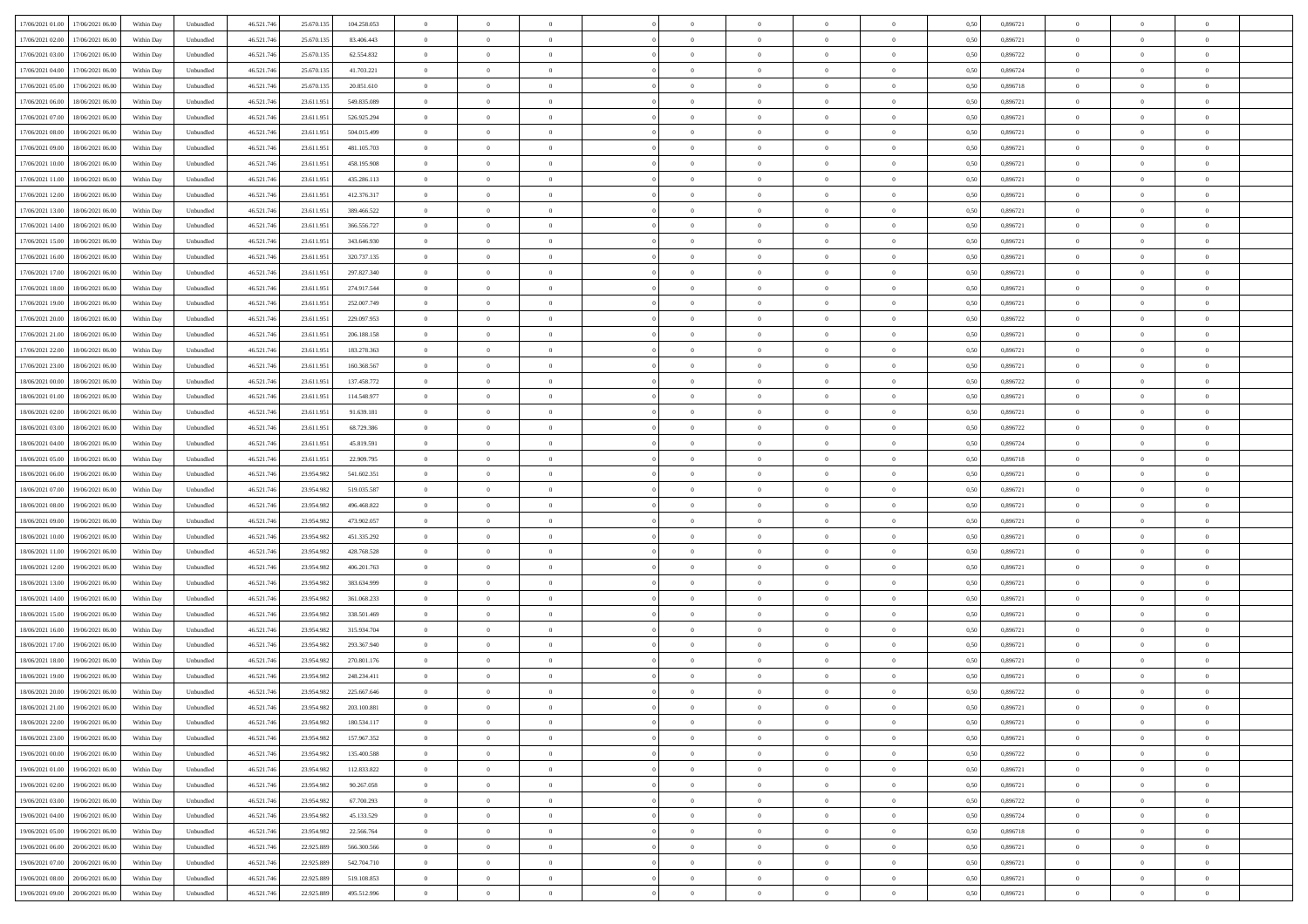| 17/06/2021 01:00 17/06/2021 06:00    | Within Day | Unbundled | 46.521.74  | 25.670.135 | 104.258.053 | $\overline{0}$ | $\theta$       |                | $\overline{0}$ | $\theta$       |                | $\theta$       | 0,50 | 0,896721 | $\theta$       | $\theta$       | $\overline{0}$ |  |
|--------------------------------------|------------|-----------|------------|------------|-------------|----------------|----------------|----------------|----------------|----------------|----------------|----------------|------|----------|----------------|----------------|----------------|--|
| 17/06/2021 02:00<br>17/06/2021 06:00 | Within Day | Unbundled | 46.521.74  | 25.670.13  | 83.406.443  | $\overline{0}$ | $\overline{0}$ | $\overline{0}$ | $\overline{0}$ | $\theta$       | $\overline{0}$ | $\bf{0}$       | 0,50 | 0,896721 | $\,$ 0 $\,$    | $\bf{0}$       | $\overline{0}$ |  |
| 17/06/2021 03:00<br>17/06/2021 06:00 | Within Day | Unbundled | 46.521.746 | 25.670.135 | 62.554.832  | $\overline{0}$ | $\bf{0}$       | $\overline{0}$ | $\bf{0}$       | $\bf{0}$       | $\overline{0}$ | $\bf{0}$       | 0.50 | 0,896722 | $\bf{0}$       | $\overline{0}$ | $\overline{0}$ |  |
|                                      |            |           |            |            |             | $\overline{0}$ | $\overline{0}$ | $\overline{0}$ | $\theta$       | $\theta$       | $\overline{0}$ | $\overline{0}$ |      |          | $\theta$       | $\theta$       | $\overline{0}$ |  |
| 17/06/2021 04:00<br>17/06/2021 06.00 | Within Day | Unbundled | 46.521.74  | 25.670.135 | 41.703.221  |                |                |                |                |                |                |                | 0,50 | 0,896724 |                |                |                |  |
| 17/06/2021 05:00<br>17/06/2021 06:00 | Within Day | Unbundled | 46.521.74  | 25.670.13  | 20.851.610  | $\overline{0}$ | $\theta$       | $\overline{0}$ | $\overline{0}$ | $\theta$       | $\overline{0}$ | $\bf{0}$       | 0,50 | 0,896718 | $\,$ 0 $\,$    | $\bf{0}$       | $\overline{0}$ |  |
| 17/06/2021 06:00<br>18/06/2021 06:00 | Within Day | Unbundled | 46.521.74  | 23.611.95  | 549.835.089 | $\overline{0}$ | $\overline{0}$ | $\overline{0}$ | $\overline{0}$ | $\overline{0}$ | $\Omega$       | $\bf{0}$       | 0.50 | 0,896721 | $\,$ 0 $\,$    | $\theta$       | $\overline{0}$ |  |
| 17/06/2021 07:00<br>18/06/2021 06:00 | Within Day | Unbundled | 46.521.74  | 23.611.951 | 526.925.294 | $\overline{0}$ | $\overline{0}$ | $\overline{0}$ | $\overline{0}$ | $\theta$       | $\overline{0}$ | $\bf{0}$       | 0,50 | 0,896721 | $\theta$       | $\theta$       | $\overline{0}$ |  |
|                                      |            |           |            |            |             |                |                |                |                |                |                |                |      |          |                |                |                |  |
| 17/06/2021 08:00<br>18/06/2021 06:00 | Within Day | Unbundled | 46.521.74  | 23.611.95  | 504.015.499 | $\overline{0}$ | $\overline{0}$ | $\overline{0}$ | $\overline{0}$ | $\theta$       | $\overline{0}$ | $\bf{0}$       | 0,50 | 0,896721 | $\,$ 0 $\,$    | $\bf{0}$       | $\overline{0}$ |  |
| 17/06/2021 09:00<br>18/06/2021 06:00 | Within Day | Unbundled | 46.521.74  | 23.611.95  | 481.105.703 | $\overline{0}$ | $\bf{0}$       | $\overline{0}$ | $\bf{0}$       | $\overline{0}$ | $\overline{0}$ | $\bf{0}$       | 0.50 | 0.896721 | $\bf{0}$       | $\theta$       | $\overline{0}$ |  |
| 17/06/2021 10:00<br>18/06/2021 06:00 | Within Day | Unbundled | 46.521.74  | 23.611.951 | 458.195.908 | $\overline{0}$ | $\bf{0}$       | $\overline{0}$ | $\overline{0}$ | $\theta$       | $\overline{0}$ | $\bf{0}$       | 0,50 | 0,896721 | $\,$ 0 $\,$    | $\theta$       | $\overline{0}$ |  |
| 17/06/2021 11:00<br>18/06/2021 06:00 | Within Day | Unbundled | 46.521.74  | 23.611.95  | 435.286.113 | $\bf{0}$       | $\overline{0}$ | $\bf{0}$       | $\overline{0}$ | $\bf{0}$       | $\overline{0}$ | $\bf{0}$       | 0,50 | 0,896721 | $\,$ 0 $\,$    | $\bf{0}$       | $\overline{0}$ |  |
|                                      |            |           |            |            |             |                |                |                |                |                |                |                |      |          |                |                |                |  |
| 17/06/2021 12:00<br>18/06/2021 06:00 | Within Day | Unbundled | 46.521.746 | 23.611.951 | 412.376.317 | $\overline{0}$ | $\overline{0}$ | $\overline{0}$ | $\bf{0}$       | $\bf{0}$       | $\overline{0}$ | $\bf{0}$       | 0.50 | 0.896721 | $\bf{0}$       | $\overline{0}$ | $\overline{0}$ |  |
| 17/06/2021 13:00<br>18/06/2021 06:00 | Within Day | Unbundled | 46.521.74  | 23.611.951 | 389.466.522 | $\overline{0}$ | $\overline{0}$ | $\overline{0}$ | $\overline{0}$ | $\theta$       | $\overline{0}$ | $\overline{0}$ | 0,50 | 0,896721 | $\,$ 0 $\,$    | $\theta$       | $\overline{0}$ |  |
| 17/06/2021 14:00<br>18/06/2021 06:00 | Within Day | Unbundled | 46.521.74  | 23.611.95  | 366.556.727 | $\bf{0}$       | $\theta$       | $\bf{0}$       | $\overline{0}$ | $\theta$       | $\overline{0}$ | $\bf{0}$       | 0,50 | 0,896721 | $\bf{0}$       | $\bf{0}$       | $\overline{0}$ |  |
|                                      |            |           |            |            |             |                |                |                |                |                |                |                |      |          |                |                |                |  |
| 17/06/2021 15:00<br>18/06/2021 06:00 | Within Day | Unbundled | 46.521.74  | 23.611.95  | 343,646,930 | $\overline{0}$ | $\overline{0}$ | $\overline{0}$ | $\bf{0}$       | $\theta$       | $\theta$       | $\bf{0}$       | 0.50 | 0,896721 | $\bf{0}$       | $\theta$       | $\overline{0}$ |  |
| 17/06/2021 16:00<br>18/06/2021 06:00 | Within Day | Unbundled | 46.521.74  | 23.611.951 | 320.737.135 | $\overline{0}$ | $\overline{0}$ | $\overline{0}$ | $\overline{0}$ | $\theta$       | $\overline{0}$ | $\bf{0}$       | 0,50 | 0,896721 | $\theta$       | $\theta$       | $\overline{0}$ |  |
| 17/06/2021 17:00<br>18/06/2021 06:00 | Within Day | Unbundled | 46.521.74  | 23.611.95  | 297.827.340 | $\overline{0}$ | $\overline{0}$ | $\overline{0}$ | $\overline{0}$ | $\theta$       | $\overline{0}$ | $\bf{0}$       | 0,50 | 0,896721 | $\,$ 0 $\,$    | $\bf{0}$       | $\overline{0}$ |  |
| 17/06/2021 18:00<br>18/06/2021 06:00 | Within Day | Unbundled | 46.521.74  | 23.611.95  | 274.917.544 | $\overline{0}$ | $\bf{0}$       | $\overline{0}$ | $\bf{0}$       | $\overline{0}$ | $\overline{0}$ | $\bf{0}$       | 0.50 | 0.896721 | $\bf{0}$       | $\overline{0}$ | $\overline{0}$ |  |
| 17/06/2021 19:00                     |            |           |            |            |             | $\overline{0}$ | $\overline{0}$ | $\overline{0}$ | $\overline{0}$ | $\theta$       | $\overline{0}$ | $\bf{0}$       |      |          | $\,$ 0 $\,$    | $\theta$       | $\overline{0}$ |  |
| 18/06/2021 06:00                     | Within Day | Unbundled | 46.521.74  | 23.611.951 | 252.007.749 |                |                |                |                |                |                |                | 0,50 | 0,896721 |                |                |                |  |
| 17/06/2021 20:00<br>18/06/2021 06:00 | Within Day | Unbundled | 46.521.74  | 23.611.95  | 229.097.953 | $\bf{0}$       | $\overline{0}$ | $\bf{0}$       | $\bf{0}$       | $\overline{0}$ | $\overline{0}$ | $\bf{0}$       | 0,50 | 0,896722 | $\,$ 0 $\,$    | $\bf{0}$       | $\overline{0}$ |  |
| 17/06/2021 21:00<br>18/06/2021 06:00 | Within Day | Unbundled | 46.521.746 | 23.611.951 | 206.188.158 | $\overline{0}$ | $\bf{0}$       | $\overline{0}$ | $\bf{0}$       | $\bf{0}$       | $\overline{0}$ | $\bf{0}$       | 0.50 | 0.896721 | $\bf{0}$       | $\overline{0}$ | $\overline{0}$ |  |
| 17/06/2021 22.00<br>18/06/2021 06:00 | Within Day | Unbundled | 46.521.74  | 23.611.951 | 183.278.363 | $\overline{0}$ | $\overline{0}$ | $\overline{0}$ | $\theta$       | $\theta$       | $\overline{0}$ | $\bf{0}$       | 0,50 | 0,896721 | $\theta$       | $\theta$       | $\overline{0}$ |  |
|                                      |            |           |            |            |             |                | $\overline{0}$ |                |                |                |                |                |      |          |                |                | $\overline{0}$ |  |
| 17/06/2021 23:00<br>18/06/2021 06:00 | Within Day | Unbundled | 46.521.74  | 23.611.95  | 160.368.567 | $\bf{0}$       |                | $\bf{0}$       | $\overline{0}$ | $\theta$       | $\overline{0}$ | $\bf{0}$       | 0,50 | 0,896721 | $\,$ 0 $\,$    | $\bf{0}$       |                |  |
| 18/06/2021 00:00<br>18/06/2021 06:00 | Within Day | Unbundled | 46.521.74  | 23.611.95  | 137.458.772 | $\overline{0}$ | $\overline{0}$ | $\overline{0}$ | $\overline{0}$ | $\overline{0}$ | $\Omega$       | $\bf{0}$       | 0.50 | 0.896722 | $\,$ 0 $\,$    | $\theta$       | $\overline{0}$ |  |
| 18/06/2021 01:00<br>18/06/2021 06:00 | Within Day | Unbundled | 46.521.74  | 23.611.951 | 114.548.977 | $\overline{0}$ | $\overline{0}$ | $\overline{0}$ | $\overline{0}$ | $\theta$       | $\overline{0}$ | $\bf{0}$       | 0,50 | 0,896721 | $\theta$       | $\theta$       | $\overline{0}$ |  |
| 18/06/2021 02:00<br>18/06/2021 06:00 | Within Day | Unbundled | 46.521.74  | 23.611.95  | 91.639.181  | $\bf{0}$       | $\theta$       | $\overline{0}$ | $\overline{0}$ | $\theta$       | $\overline{0}$ | $\bf{0}$       | 0,50 | 0,896721 | $\,$ 0 $\,$    | $\bf{0}$       | $\overline{0}$ |  |
| 18/06/2021 06:00                     |            | Unbundled | 46.521.74  | 23.611.95  | 68.729.386  |                | $\bf{0}$       | $\overline{0}$ |                | $\overline{0}$ | $\overline{0}$ |                | 0.50 | 0.896722 | $\bf{0}$       | $\overline{0}$ | $\overline{0}$ |  |
| 18/06/2021 03:00                     | Within Day |           |            |            |             | $\overline{0}$ |                |                | $\bf{0}$       |                |                | $\bf{0}$       |      |          |                |                |                |  |
| 18/06/2021 04:00<br>18/06/2021 06:00 | Within Day | Unbundled | 46.521.74  | 23.611.951 | 45.819.591  | $\overline{0}$ | $\overline{0}$ | $\overline{0}$ | $\overline{0}$ | $\theta$       | $\overline{0}$ | $\bf{0}$       | 0,50 | 0,896724 | $\theta$       | $\theta$       | $\overline{0}$ |  |
| 18/06/2021 05:00<br>18/06/2021 06:00 | Within Day | Unbundled | 46.521.74  | 23.611.95  | 22.909.795  | $\bf{0}$       | $\bf{0}$       | $\bf{0}$       | $\bf{0}$       | $\overline{0}$ | $\overline{0}$ | $\bf{0}$       | 0,50 | 0,896718 | $\,$ 0 $\,$    | $\bf{0}$       | $\overline{0}$ |  |
| 18/06/2021 06:00<br>19/06/2021 06:00 | Within Day | Unbundled | 46.521.746 | 23.954.982 | 541.602.351 | $\overline{0}$ | $\bf{0}$       | $\overline{0}$ | $\bf{0}$       | $\bf{0}$       | $\overline{0}$ | $\bf{0}$       | 0.50 | 0.896721 | $\bf{0}$       | $\overline{0}$ | $\overline{0}$ |  |
| 18/06/2021 07:00<br>19/06/2021 06:00 | Within Day | Unbundled | 46.521.74  | 23.954.982 | 519.035.587 | $\overline{0}$ | $\overline{0}$ | $\overline{0}$ | $\overline{0}$ | $\theta$       | $\overline{0}$ | $\bf{0}$       | 0.5( | 0,896721 | $\theta$       | $\theta$       | $\overline{0}$ |  |
|                                      |            |           |            |            |             |                |                |                |                |                |                |                |      |          |                |                |                |  |
| 18/06/2021 08:00<br>19/06/2021 06:00 | Within Day | Unbundled | 46.521.74  | 23.954.98  | 496.468.822 | $\bf{0}$       | $\overline{0}$ | $\bf{0}$       | $\overline{0}$ | $\overline{0}$ | $\overline{0}$ | $\bf{0}$       | 0,50 | 0,896721 | $\,$ 0 $\,$    | $\bf{0}$       | $\overline{0}$ |  |
| 18/06/2021 09:00<br>19/06/2021 06:00 | Within Day | Unbundled | 46.521.74  | 23.954.982 | 473.902.057 | $\overline{0}$ | $\overline{0}$ | $\overline{0}$ | $\bf{0}$       | $\theta$       | $\Omega$       | $\bf{0}$       | 0.50 | 0,896721 | $\,$ 0 $\,$    | $\overline{0}$ | $\overline{0}$ |  |
| 18/06/2021 10:00<br>19/06/2021 06:00 | Within Dav | Unbundled | 46.521.74  | 23.954.982 | 451.335.292 | $\overline{0}$ | $\overline{0}$ | $\overline{0}$ | $\overline{0}$ | $\theta$       | $\overline{0}$ | $\overline{0}$ | 0.5( | 0,896721 | $\theta$       | $\theta$       | $\overline{0}$ |  |
| 19/06/2021 06:00                     | Within Day | Unbundled | 46.521.74  | 23.954.98  | 428.768.528 | $\bf{0}$       | $\overline{0}$ | $\bf{0}$       | $\overline{0}$ | $\bf{0}$       | $\overline{0}$ | $\bf{0}$       | 0,50 | 0,896721 | $\,$ 0 $\,$    | $\bf{0}$       | $\overline{0}$ |  |
| 18/06/2021 11:00                     |            |           |            |            |             |                |                |                |                |                |                |                |      |          |                |                |                |  |
| 18/06/2021 12:00<br>19/06/2021 06:00 | Within Day | Unbundled | 46.521.74  | 23.954.982 | 406.201.763 | $\overline{0}$ | $\bf{0}$       | $\overline{0}$ | $\bf{0}$       | $\overline{0}$ | $\overline{0}$ | $\bf{0}$       | 0.50 | 0.896721 | $\bf{0}$       | $\overline{0}$ | $\overline{0}$ |  |
| 18/06/2021 13:00<br>19/06/2021 06:00 | Within Dav | Unbundled | 46.521.74  | 23.954.982 | 383.634.999 | $\overline{0}$ | $\overline{0}$ | $\overline{0}$ | $\overline{0}$ | $\overline{0}$ | $\overline{0}$ | $\overline{0}$ | 0.50 | 0,896721 | $\theta$       | $\theta$       | $\overline{0}$ |  |
| 18/06/2021 14:00<br>19/06/2021 06:00 | Within Day | Unbundled | 46.521.74  | 23.954.98  | 361.068.233 | $\bf{0}$       | $\bf{0}$       | $\bf{0}$       | $\bf{0}$       | $\overline{0}$ | $\overline{0}$ | $\bf{0}$       | 0,50 | 0,896721 | $\,$ 0 $\,$    | $\bf{0}$       | $\overline{0}$ |  |
| 18/06/2021 15:00<br>19/06/2021 06:00 | Within Day | Unbundled | 46.521.746 | 23.954.982 | 338,501.469 | $\overline{0}$ | $\bf{0}$       | $\overline{0}$ | $\bf{0}$       | $\bf{0}$       | $\overline{0}$ | $\bf{0}$       | 0.50 | 0.896721 | $\bf{0}$       | $\overline{0}$ | $\overline{0}$ |  |
|                                      |            |           |            |            |             |                |                |                |                |                |                |                |      |          |                |                |                |  |
| 18/06/2021 16:00<br>19/06/2021 06:00 | Within Dav | Unbundled | 46.521.74  | 23.954.982 | 315.934.704 | $\overline{0}$ | $\overline{0}$ | $\Omega$       | $\overline{0}$ | $\theta$       | $\overline{0}$ | $\bf{0}$       | 0.50 | 0,896721 | $\theta$       | $\theta$       | $\overline{0}$ |  |
| 18/06/2021 17:00<br>19/06/2021 06:00 | Within Day | Unbundled | 46.521.74  | 23.954.98  | 293.367.940 | $\bf{0}$       | $\overline{0}$ | $\bf{0}$       | $\bf{0}$       | $\theta$       | $\overline{0}$ | $\bf{0}$       | 0,50 | 0,896721 | $\,$ 0 $\,$    | $\bf{0}$       | $\overline{0}$ |  |
| 18/06/2021 18:00<br>19/06/2021 06:00 | Within Day | Unbundled | 46.521.74  | 23.954.98  | 270.801.176 | $\overline{0}$ | $\overline{0}$ | $\Omega$       | $\overline{0}$ | $\theta$       | $\theta$       | $\bf{0}$       | 0.50 | 0,896721 | $\bf{0}$       | $\theta$       | $\overline{0}$ |  |
| 18/06/2021 19:00<br>19/06/2021 06:00 | Within Dav | Unbundled | 46.521.74  | 23.954.982 | 248.234.411 | $\overline{0}$ | $\overline{0}$ | $\Omega$       | $\overline{0}$ | $\theta$       | $\Omega$       | $\overline{0}$ | 0.5( | 0,896721 | $\theta$       | $\theta$       | $\overline{0}$ |  |
|                                      |            |           |            |            |             |                |                |                |                |                |                |                |      |          |                |                |                |  |
| 18/06/2021 20:00<br>19/06/2021 06:00 | Within Day | Unbundled | 46.521.74  | 23.954.98  | 225.667.646 | $\bf{0}$       | $\bf{0}$       | $\overline{0}$ | $\bf{0}$       | $\bf{0}$       | $\overline{0}$ | $\bf{0}$       | 0,50 | 0,896722 | $\,$ 0 $\,$    | $\bf{0}$       | $\overline{0}$ |  |
| 18/06/2021 21:00 19/06/2021 06:00    | Within Day | Unbundled | 46.521.746 | 23.954.982 | 203 100 881 | $\overline{0}$ | $\Omega$       |                | $\Omega$       |                |                |                | 0,50 | 0,896721 | $\theta$       | $\overline{0}$ |                |  |
| 18/06/2021 22:00 19/06/2021 06:00    | Within Day | Unbundled | 46.521.746 | 23.954.982 | 180.534.117 | $\overline{0}$ | $\theta$       | $\Omega$       | $\theta$       | $\overline{0}$ | $\overline{0}$ | $\bf{0}$       | 0,50 | 0,896721 | $\theta$       | $\theta$       | $\overline{0}$ |  |
| 18/06/2021 23:00<br>19/06/2021 06:00 | Within Day | Unbundled | 46.521.74  | 23.954.982 | 157.967.352 | $\overline{0}$ | $\bf{0}$       | $\overline{0}$ | $\overline{0}$ | $\bf{0}$       | $\overline{0}$ | $\bf{0}$       | 0,50 | 0,896721 | $\bf{0}$       | $\overline{0}$ | $\bf{0}$       |  |
|                                      |            |           |            |            |             |                |                |                |                |                |                |                |      |          |                |                |                |  |
| 19/06/2021 00:00 19/06/2021 06:00    | Within Day | Unbundled | 46.521.746 | 23.954.982 | 135.400.588 | $\overline{0}$ | $\bf{0}$       | $\overline{0}$ | $\overline{0}$ | $\overline{0}$ | $\overline{0}$ | $\,$ 0 $\,$    | 0.50 | 0,896722 | $\overline{0}$ | $\bf{0}$       | $\,$ 0 $\,$    |  |
| 19/06/2021 01:00 19/06/2021 06:00    | Within Day | Unbundled | 46.521.746 | 23.954.982 | 112.833.822 | $\overline{0}$ | $\overline{0}$ | $\overline{0}$ | $\overline{0}$ | $\overline{0}$ | $\overline{0}$ | $\bf{0}$       | 0.50 | 0,896721 | $\overline{0}$ | $\theta$       | $\overline{0}$ |  |
| 19/06/2021 02:00<br>19/06/2021 06:00 | Within Day | Unbundled | 46.521.74  | 23.954.982 | 90.267.058  | $\overline{0}$ | $\bf{0}$       | $\overline{0}$ | $\bf{0}$       | $\overline{0}$ | $\bf{0}$       | $\bf{0}$       | 0,50 | 0,896721 | $\bf{0}$       | $\overline{0}$ | $\overline{0}$ |  |
| 19/06/2021 03:00<br>19/06/2021 06:00 | Within Day | Unbundled | 46.521.746 | 23.954.982 | 67.700.293  | $\overline{0}$ | $\bf{0}$       | $\overline{0}$ | $\overline{0}$ | $\overline{0}$ | $\overline{0}$ | $\bf{0}$       | 0.50 | 0.896722 | $\,$ 0 $\,$    | $\theta$       | $\overline{0}$ |  |
|                                      |            |           |            |            |             |                |                |                |                |                |                |                |      |          |                |                |                |  |
| 19/06/2021 04:00<br>19/06/2021 06:00 | Within Dav | Unbundled | 46.521.746 | 23.954.982 | 45.133.529  | $\overline{0}$ | $\overline{0}$ | $\overline{0}$ | $\overline{0}$ | $\overline{0}$ | $\overline{0}$ | $\bf{0}$       | 0.50 | 0,896724 | $\overline{0}$ | $\theta$       | $\overline{0}$ |  |
| 19/06/2021 05:00<br>19/06/2021 06:00 | Within Day | Unbundled | 46.521.74  | 23.954.982 | 22.566.764  | $\overline{0}$ | $\overline{0}$ | $\overline{0}$ | $\overline{0}$ | $\bf{0}$       | $\overline{0}$ | $\bf{0}$       | 0,50 | 0,896718 | $\bf{0}$       | $\overline{0}$ | $\overline{0}$ |  |
| 19/06/2021 06:00<br>20/06/2021 06:00 | Within Day | Unbundled | 46.521.746 | 22.925.889 | 566,300,566 | $\overline{0}$ | $\overline{0}$ | $\overline{0}$ | $\overline{0}$ | $\bf{0}$       | $\overline{0}$ | $\bf{0}$       | 0.50 | 0.896721 | $\mathbf{0}$   | $\bf{0}$       | $\,$ 0         |  |
| 19/06/2021 07:00 20/06/2021 06:00    | Within Dav | Unbundled | 46.521.746 | 22.925.889 | 542.704.710 | $\overline{0}$ | $\overline{0}$ | $\overline{0}$ | $\overline{0}$ | $\overline{0}$ | $\overline{0}$ | $\bf{0}$       | 0,50 | 0,896721 | $\overline{0}$ | $\theta$       | $\overline{0}$ |  |
|                                      |            |           |            |            |             |                |                |                |                |                |                |                |      |          |                |                |                |  |
| 19/06/2021 08:00<br>20/06/2021 06:00 | Within Day | Unbundled | 46.521.74  | 22.925.889 | 519.108.853 | $\overline{0}$ | $\bf{0}$       | $\overline{0}$ | $\bf{0}$       | $\overline{0}$ | $\bf{0}$       | $\bf{0}$       | 0,50 | 0,896721 | $\bf{0}$       | $\bf{0}$       | $\overline{0}$ |  |
| 19/06/2021 09:00 20/06/2021 06:00    | Within Day | Unbundled | 46.521.746 | 22.925.889 | 495.512.996 | $\overline{0}$ | $\bf{0}$       | $\overline{0}$ | $\overline{0}$ | $\,$ 0 $\,$    | $\overline{0}$ | $\bf{0}$       | 0,50 | 0,896721 | $\overline{0}$ | $\,$ 0 $\,$    | $\,$ 0 $\,$    |  |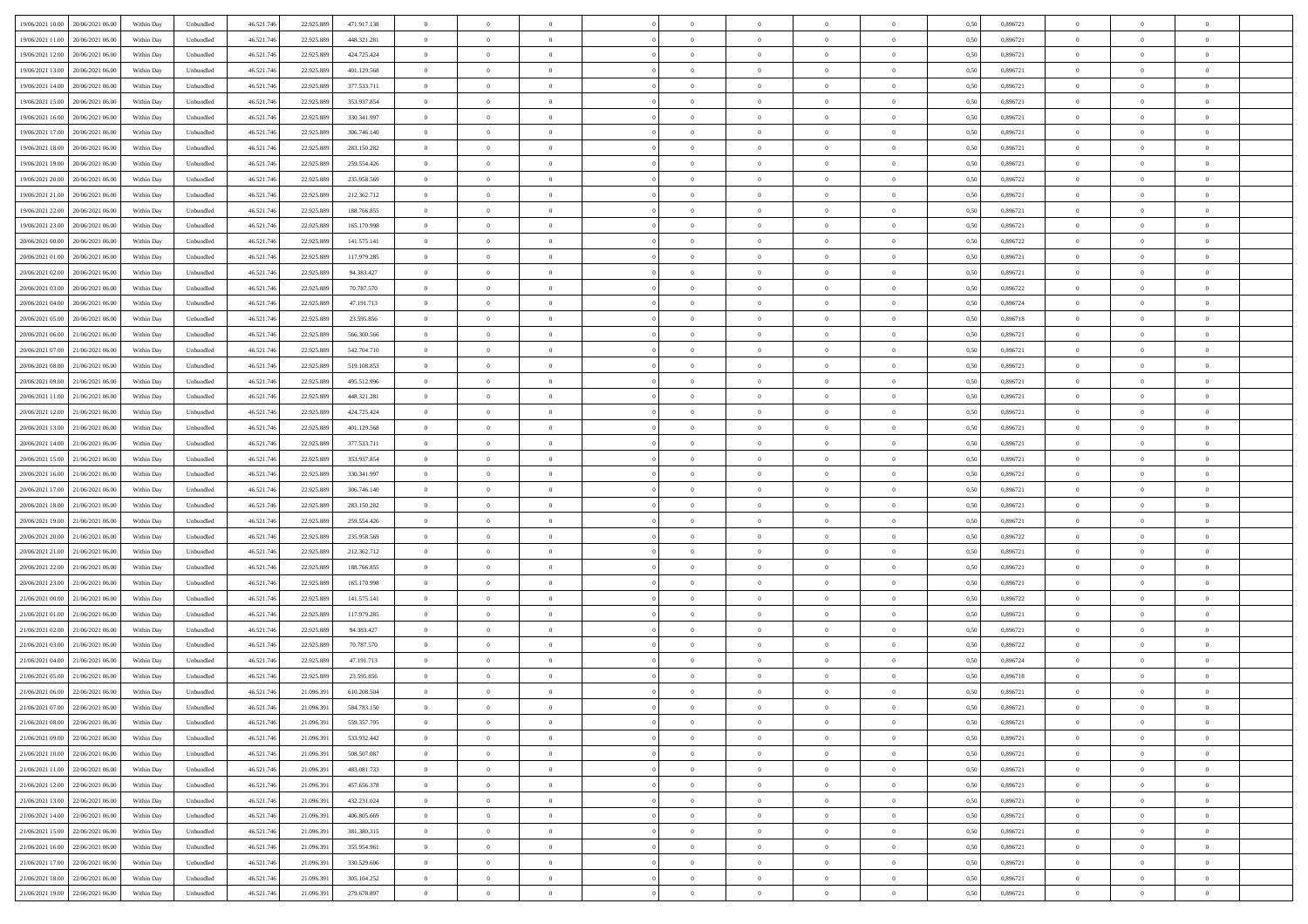| 19/06/2021 10:00 20/06/2021 06:00<br>46.521.74<br>0,896721<br>Within Day<br>Unbundled<br>22.925.889<br>471.917.138<br>$\overline{0}$<br>$\theta$<br>$\overline{0}$<br>$\theta$<br>$\bf{0}$<br>0,50<br>$\theta$<br>19/06/2021 11:00<br>20/06/2021 06:00<br>Within Day<br>Unbundled<br>46.521.74<br>22.925.889<br>448.321.281<br>$\overline{0}$<br>$\bf{0}$<br>$\overline{0}$<br>$\bf{0}$<br>0,50<br>0,896721<br>$\,$ 0 $\,$<br>$\bf{0}$<br>$\bf{0}$<br>$\overline{0}$<br>19/06/2021 12:00<br>20/06/2021 06:00<br>Unbundled<br>46.521.746<br>22.925.889<br>424.725.424<br>$\overline{0}$<br>$\bf{0}$<br>$\bf{0}$<br>$\overline{0}$<br>$\bf{0}$<br>0.896721<br>$\bf{0}$<br>Within Day<br>$\overline{0}$<br>$\bf{0}$<br>0.50<br>19/06/2021 13:00<br>46.521.74<br>$\overline{0}$<br>0,896721<br>$\theta$<br>20/06/2021 06:00<br>Within Day<br>Unbundled<br>22.925.889<br>401.129.568<br>$\overline{0}$<br>$\overline{0}$<br>$\theta$<br>$\theta$<br>$\overline{0}$<br>$\overline{0}$<br>0,50<br>19/06/2021 14:00<br>20/06/2021 06:00<br>Within Day<br>Unbundled<br>46.521.74<br>22.925.889<br>377.533.711<br>$\bf{0}$<br>0,50<br>0,896721<br>$\,$ 0 $\,$<br>$\bf{0}$<br>$\overline{0}$<br>$\bf{0}$<br>$\overline{0}$<br>$\theta$<br>$\overline{0}$<br>19/06/2021 15:00<br>20/06/2021 06:00<br>46.521.74<br>22.925.889<br>353.937.854<br>$\overline{0}$<br>$\bf{0}$<br>0.896721<br>$\,$ 0 $\,$<br>Within Day<br>Unbundled<br>$\overline{0}$<br>$\overline{0}$<br>$\overline{0}$<br>$\overline{0}$<br>$\Omega$<br>0.50<br>19/06/2021 16:00<br>20/06/2021 06:00<br>Within Day<br>Unbundled<br>46.521.74<br>22.925.889<br>330.341.997<br>$\overline{0}$<br>$\overline{0}$<br>$\overline{0}$<br>$\overline{0}$<br>$\theta$<br>$\overline{0}$<br>$\bf{0}$<br>0,50<br>0,896721<br>$\theta$<br>19/06/2021 17:00<br>20/06/2021 06:00<br>Within Day<br>Unbundled<br>46.521.74<br>22.925.889<br>306.746.140<br>$\overline{0}$<br>$\theta$<br>$\overline{0}$<br>$\bf{0}$<br>0,50<br>0,896721<br>$\,$ 0 $\,$<br>$\bf{0}$<br>$\overline{0}$<br>$\overline{0}$<br>19/06/2021 18:00<br>20/06/2021 06:00<br>Unbundled<br>46.521.74<br>$\overline{0}$<br>$\bf{0}$<br>$\overline{0}$<br>$\overline{0}$<br>$\bf{0}$<br>$\bf{0}$<br>Within Day<br>22.925.889<br>283.150.282<br>$\overline{0}$<br>$\bf{0}$<br>0.50<br>0.896721<br>19/06/2021 19:00<br>$\,$ 0 $\,$<br>20/06/2021 06:00<br>Within Day<br>Unbundled<br>46.521.74<br>22.925.889<br>259.554.426<br>$\bf{0}$<br>$\bf{0}$<br>$\overline{0}$<br>$\overline{0}$<br>$\theta$<br>$\overline{0}$<br>$\bf{0}$<br>0,50<br>0,896721<br>19/06/2021 20:00<br>20/06/2021 06:00<br>Within Day<br>Unbundled<br>46.521.74<br>22.925.889<br>235.958.569<br>$\bf{0}$<br>$\overline{0}$<br>$\bf{0}$<br>0,50<br>0,896722<br>$\,$ 0 $\,$<br>$\bf{0}$<br>$\overline{0}$<br>$\bf{0}$<br>$\overline{0}$<br>46.521.746<br>19/06/2021 21:00<br>20/06/2021 06:00<br>Unbundled<br>22.925.889<br>212.362.712<br>$\overline{0}$<br>$\bf{0}$<br>$\bf{0}$<br>$\overline{0}$<br>$\bf{0}$<br>0.896721<br>$\bf{0}$<br>Within Day<br>$\overline{0}$<br>$\bf{0}$<br>0.50<br>19/06/2021 22:00<br>46.521.74<br>$\overline{0}$<br>0,896721<br>$\,$ 0 $\,$<br>20/06/2021 06:00<br>Within Day<br>Unbundled<br>22.925.889<br>188.766.855<br>$\overline{0}$<br>$\overline{0}$<br>$\overline{0}$<br>$\theta$<br>$\overline{0}$<br>$\overline{0}$<br>0,50 | $\theta$<br>$\bf{0}$<br>$\overline{0}$<br>$\theta$<br>$\bf{0}$<br>$\theta$<br>$\theta$<br>$\bf{0}$<br>$\overline{0}$<br>$\theta$ | $\overline{0}$<br>$\overline{0}$<br>$\overline{0}$<br>$\overline{0}$<br>$\overline{0}$<br>$\overline{0}$<br>$\overline{0}$<br>$\overline{0}$ |  |
|---------------------------------------------------------------------------------------------------------------------------------------------------------------------------------------------------------------------------------------------------------------------------------------------------------------------------------------------------------------------------------------------------------------------------------------------------------------------------------------------------------------------------------------------------------------------------------------------------------------------------------------------------------------------------------------------------------------------------------------------------------------------------------------------------------------------------------------------------------------------------------------------------------------------------------------------------------------------------------------------------------------------------------------------------------------------------------------------------------------------------------------------------------------------------------------------------------------------------------------------------------------------------------------------------------------------------------------------------------------------------------------------------------------------------------------------------------------------------------------------------------------------------------------------------------------------------------------------------------------------------------------------------------------------------------------------------------------------------------------------------------------------------------------------------------------------------------------------------------------------------------------------------------------------------------------------------------------------------------------------------------------------------------------------------------------------------------------------------------------------------------------------------------------------------------------------------------------------------------------------------------------------------------------------------------------------------------------------------------------------------------------------------------------------------------------------------------------------------------------------------------------------------------------------------------------------------------------------------------------------------------------------------------------------------------------------------------------------------------------------------------------------------------------------------------------------------------------------------------------------------------------------------------------------------------------------------------------------------------------------------------------------------------------------------------------------------------------------------------------------------------------------------------------------------------------------------------------------------------------------------------------------------------------------------------------------------------------------|----------------------------------------------------------------------------------------------------------------------------------|----------------------------------------------------------------------------------------------------------------------------------------------|--|
|                                                                                                                                                                                                                                                                                                                                                                                                                                                                                                                                                                                                                                                                                                                                                                                                                                                                                                                                                                                                                                                                                                                                                                                                                                                                                                                                                                                                                                                                                                                                                                                                                                                                                                                                                                                                                                                                                                                                                                                                                                                                                                                                                                                                                                                                                                                                                                                                                                                                                                                                                                                                                                                                                                                                                                                                                                                                                                                                                                                                                                                                                                                                                                                                                                                                                                                                             |                                                                                                                                  |                                                                                                                                              |  |
|                                                                                                                                                                                                                                                                                                                                                                                                                                                                                                                                                                                                                                                                                                                                                                                                                                                                                                                                                                                                                                                                                                                                                                                                                                                                                                                                                                                                                                                                                                                                                                                                                                                                                                                                                                                                                                                                                                                                                                                                                                                                                                                                                                                                                                                                                                                                                                                                                                                                                                                                                                                                                                                                                                                                                                                                                                                                                                                                                                                                                                                                                                                                                                                                                                                                                                                                             |                                                                                                                                  |                                                                                                                                              |  |
|                                                                                                                                                                                                                                                                                                                                                                                                                                                                                                                                                                                                                                                                                                                                                                                                                                                                                                                                                                                                                                                                                                                                                                                                                                                                                                                                                                                                                                                                                                                                                                                                                                                                                                                                                                                                                                                                                                                                                                                                                                                                                                                                                                                                                                                                                                                                                                                                                                                                                                                                                                                                                                                                                                                                                                                                                                                                                                                                                                                                                                                                                                                                                                                                                                                                                                                                             |                                                                                                                                  |                                                                                                                                              |  |
|                                                                                                                                                                                                                                                                                                                                                                                                                                                                                                                                                                                                                                                                                                                                                                                                                                                                                                                                                                                                                                                                                                                                                                                                                                                                                                                                                                                                                                                                                                                                                                                                                                                                                                                                                                                                                                                                                                                                                                                                                                                                                                                                                                                                                                                                                                                                                                                                                                                                                                                                                                                                                                                                                                                                                                                                                                                                                                                                                                                                                                                                                                                                                                                                                                                                                                                                             |                                                                                                                                  |                                                                                                                                              |  |
|                                                                                                                                                                                                                                                                                                                                                                                                                                                                                                                                                                                                                                                                                                                                                                                                                                                                                                                                                                                                                                                                                                                                                                                                                                                                                                                                                                                                                                                                                                                                                                                                                                                                                                                                                                                                                                                                                                                                                                                                                                                                                                                                                                                                                                                                                                                                                                                                                                                                                                                                                                                                                                                                                                                                                                                                                                                                                                                                                                                                                                                                                                                                                                                                                                                                                                                                             |                                                                                                                                  |                                                                                                                                              |  |
|                                                                                                                                                                                                                                                                                                                                                                                                                                                                                                                                                                                                                                                                                                                                                                                                                                                                                                                                                                                                                                                                                                                                                                                                                                                                                                                                                                                                                                                                                                                                                                                                                                                                                                                                                                                                                                                                                                                                                                                                                                                                                                                                                                                                                                                                                                                                                                                                                                                                                                                                                                                                                                                                                                                                                                                                                                                                                                                                                                                                                                                                                                                                                                                                                                                                                                                                             |                                                                                                                                  |                                                                                                                                              |  |
|                                                                                                                                                                                                                                                                                                                                                                                                                                                                                                                                                                                                                                                                                                                                                                                                                                                                                                                                                                                                                                                                                                                                                                                                                                                                                                                                                                                                                                                                                                                                                                                                                                                                                                                                                                                                                                                                                                                                                                                                                                                                                                                                                                                                                                                                                                                                                                                                                                                                                                                                                                                                                                                                                                                                                                                                                                                                                                                                                                                                                                                                                                                                                                                                                                                                                                                                             |                                                                                                                                  |                                                                                                                                              |  |
|                                                                                                                                                                                                                                                                                                                                                                                                                                                                                                                                                                                                                                                                                                                                                                                                                                                                                                                                                                                                                                                                                                                                                                                                                                                                                                                                                                                                                                                                                                                                                                                                                                                                                                                                                                                                                                                                                                                                                                                                                                                                                                                                                                                                                                                                                                                                                                                                                                                                                                                                                                                                                                                                                                                                                                                                                                                                                                                                                                                                                                                                                                                                                                                                                                                                                                                                             |                                                                                                                                  |                                                                                                                                              |  |
|                                                                                                                                                                                                                                                                                                                                                                                                                                                                                                                                                                                                                                                                                                                                                                                                                                                                                                                                                                                                                                                                                                                                                                                                                                                                                                                                                                                                                                                                                                                                                                                                                                                                                                                                                                                                                                                                                                                                                                                                                                                                                                                                                                                                                                                                                                                                                                                                                                                                                                                                                                                                                                                                                                                                                                                                                                                                                                                                                                                                                                                                                                                                                                                                                                                                                                                                             |                                                                                                                                  |                                                                                                                                              |  |
|                                                                                                                                                                                                                                                                                                                                                                                                                                                                                                                                                                                                                                                                                                                                                                                                                                                                                                                                                                                                                                                                                                                                                                                                                                                                                                                                                                                                                                                                                                                                                                                                                                                                                                                                                                                                                                                                                                                                                                                                                                                                                                                                                                                                                                                                                                                                                                                                                                                                                                                                                                                                                                                                                                                                                                                                                                                                                                                                                                                                                                                                                                                                                                                                                                                                                                                                             |                                                                                                                                  |                                                                                                                                              |  |
|                                                                                                                                                                                                                                                                                                                                                                                                                                                                                                                                                                                                                                                                                                                                                                                                                                                                                                                                                                                                                                                                                                                                                                                                                                                                                                                                                                                                                                                                                                                                                                                                                                                                                                                                                                                                                                                                                                                                                                                                                                                                                                                                                                                                                                                                                                                                                                                                                                                                                                                                                                                                                                                                                                                                                                                                                                                                                                                                                                                                                                                                                                                                                                                                                                                                                                                                             |                                                                                                                                  | $\overline{0}$                                                                                                                               |  |
|                                                                                                                                                                                                                                                                                                                                                                                                                                                                                                                                                                                                                                                                                                                                                                                                                                                                                                                                                                                                                                                                                                                                                                                                                                                                                                                                                                                                                                                                                                                                                                                                                                                                                                                                                                                                                                                                                                                                                                                                                                                                                                                                                                                                                                                                                                                                                                                                                                                                                                                                                                                                                                                                                                                                                                                                                                                                                                                                                                                                                                                                                                                                                                                                                                                                                                                                             |                                                                                                                                  | $\overline{0}$                                                                                                                               |  |
|                                                                                                                                                                                                                                                                                                                                                                                                                                                                                                                                                                                                                                                                                                                                                                                                                                                                                                                                                                                                                                                                                                                                                                                                                                                                                                                                                                                                                                                                                                                                                                                                                                                                                                                                                                                                                                                                                                                                                                                                                                                                                                                                                                                                                                                                                                                                                                                                                                                                                                                                                                                                                                                                                                                                                                                                                                                                                                                                                                                                                                                                                                                                                                                                                                                                                                                                             | $\bf{0}$                                                                                                                         | $\overline{0}$                                                                                                                               |  |
|                                                                                                                                                                                                                                                                                                                                                                                                                                                                                                                                                                                                                                                                                                                                                                                                                                                                                                                                                                                                                                                                                                                                                                                                                                                                                                                                                                                                                                                                                                                                                                                                                                                                                                                                                                                                                                                                                                                                                                                                                                                                                                                                                                                                                                                                                                                                                                                                                                                                                                                                                                                                                                                                                                                                                                                                                                                                                                                                                                                                                                                                                                                                                                                                                                                                                                                                             |                                                                                                                                  |                                                                                                                                              |  |
|                                                                                                                                                                                                                                                                                                                                                                                                                                                                                                                                                                                                                                                                                                                                                                                                                                                                                                                                                                                                                                                                                                                                                                                                                                                                                                                                                                                                                                                                                                                                                                                                                                                                                                                                                                                                                                                                                                                                                                                                                                                                                                                                                                                                                                                                                                                                                                                                                                                                                                                                                                                                                                                                                                                                                                                                                                                                                                                                                                                                                                                                                                                                                                                                                                                                                                                                             | $\overline{0}$                                                                                                                   | $\bf{0}$                                                                                                                                     |  |
|                                                                                                                                                                                                                                                                                                                                                                                                                                                                                                                                                                                                                                                                                                                                                                                                                                                                                                                                                                                                                                                                                                                                                                                                                                                                                                                                                                                                                                                                                                                                                                                                                                                                                                                                                                                                                                                                                                                                                                                                                                                                                                                                                                                                                                                                                                                                                                                                                                                                                                                                                                                                                                                                                                                                                                                                                                                                                                                                                                                                                                                                                                                                                                                                                                                                                                                                             | $\theta$                                                                                                                         | $\overline{0}$                                                                                                                               |  |
| 19/06/2021 23:00<br>20/06/2021 06:00<br>Within Day<br>Unbundled<br>46.521.74<br>22.925.889<br>165.170.998<br>$\bf{0}$<br>0,50<br>0,896721<br>$\bf{0}$<br>$\overline{0}$<br>$\bf{0}$<br>$\overline{0}$<br>$\theta$<br>$\overline{0}$<br>$\bf{0}$                                                                                                                                                                                                                                                                                                                                                                                                                                                                                                                                                                                                                                                                                                                                                                                                                                                                                                                                                                                                                                                                                                                                                                                                                                                                                                                                                                                                                                                                                                                                                                                                                                                                                                                                                                                                                                                                                                                                                                                                                                                                                                                                                                                                                                                                                                                                                                                                                                                                                                                                                                                                                                                                                                                                                                                                                                                                                                                                                                                                                                                                                             | $\bf{0}$                                                                                                                         | $\overline{0}$                                                                                                                               |  |
| 20/06/2021 00:00<br>20/06/2021 06:00<br>46.521.74<br>141.575.141<br>$\theta$<br>$\bf{0}$<br>0,896722<br>$\,$ 0 $\,$<br>Within Day<br>Unbundled<br>22.925.889<br>$\overline{0}$<br>$\overline{0}$<br>$\overline{0}$<br>$\bf{0}$<br>$\Omega$<br>0.50                                                                                                                                                                                                                                                                                                                                                                                                                                                                                                                                                                                                                                                                                                                                                                                                                                                                                                                                                                                                                                                                                                                                                                                                                                                                                                                                                                                                                                                                                                                                                                                                                                                                                                                                                                                                                                                                                                                                                                                                                                                                                                                                                                                                                                                                                                                                                                                                                                                                                                                                                                                                                                                                                                                                                                                                                                                                                                                                                                                                                                                                                          | $\theta$                                                                                                                         | $\overline{0}$                                                                                                                               |  |
| $\overline{0}$<br>$\overline{0}$<br>$\overline{0}$<br>$\overline{0}$<br>$\overline{0}$<br>$\overline{0}$<br>$\theta$                                                                                                                                                                                                                                                                                                                                                                                                                                                                                                                                                                                                                                                                                                                                                                                                                                                                                                                                                                                                                                                                                                                                                                                                                                                                                                                                                                                                                                                                                                                                                                                                                                                                                                                                                                                                                                                                                                                                                                                                                                                                                                                                                                                                                                                                                                                                                                                                                                                                                                                                                                                                                                                                                                                                                                                                                                                                                                                                                                                                                                                                                                                                                                                                                        | $\theta$                                                                                                                         | $\overline{0}$                                                                                                                               |  |
| 20/06/2021 01:00<br>20/06/2021 06:00<br>Within Day<br>Unbundled<br>46.521.74<br>22.925.889<br>117.979.285<br>$\bf{0}$<br>0,50<br>0,896721                                                                                                                                                                                                                                                                                                                                                                                                                                                                                                                                                                                                                                                                                                                                                                                                                                                                                                                                                                                                                                                                                                                                                                                                                                                                                                                                                                                                                                                                                                                                                                                                                                                                                                                                                                                                                                                                                                                                                                                                                                                                                                                                                                                                                                                                                                                                                                                                                                                                                                                                                                                                                                                                                                                                                                                                                                                                                                                                                                                                                                                                                                                                                                                                   |                                                                                                                                  |                                                                                                                                              |  |
| 20/06/2021 02:00<br>20/06/2021 06:00<br>Within Day<br>Unbundled<br>46.521.74<br>22.925.889<br>94.383.427<br>$\overline{0}$<br>$\bf{0}$<br>$\overline{0}$<br>$\bf{0}$<br>0,50<br>0,896721<br>$\,$ 0 $\,$<br>$\bf{0}$<br>$\overline{0}$<br>$\overline{0}$                                                                                                                                                                                                                                                                                                                                                                                                                                                                                                                                                                                                                                                                                                                                                                                                                                                                                                                                                                                                                                                                                                                                                                                                                                                                                                                                                                                                                                                                                                                                                                                                                                                                                                                                                                                                                                                                                                                                                                                                                                                                                                                                                                                                                                                                                                                                                                                                                                                                                                                                                                                                                                                                                                                                                                                                                                                                                                                                                                                                                                                                                     | $\bf{0}$                                                                                                                         | $\overline{0}$                                                                                                                               |  |
| 20/06/2021 03:00<br>20/06/2021 06:00<br>46.521.74<br>$\overline{0}$<br>$\bf{0}$<br>$\overline{0}$<br>$\overline{0}$<br>$\bf{0}$<br>0.896722<br>$\bf{0}$<br>Within Day<br>Unbundled<br>22.925.889<br>70,787.570<br>$\overline{0}$<br>$\bf{0}$<br>0.50                                                                                                                                                                                                                                                                                                                                                                                                                                                                                                                                                                                                                                                                                                                                                                                                                                                                                                                                                                                                                                                                                                                                                                                                                                                                                                                                                                                                                                                                                                                                                                                                                                                                                                                                                                                                                                                                                                                                                                                                                                                                                                                                                                                                                                                                                                                                                                                                                                                                                                                                                                                                                                                                                                                                                                                                                                                                                                                                                                                                                                                                                        | $\overline{0}$                                                                                                                   | $\overline{0}$                                                                                                                               |  |
| 20/06/2021 04:00<br>$\,$ 0 $\,$<br>20/06/2021 06:00<br>Within Day<br>Unbundled<br>46.521.74<br>22.925.889<br>47.191.713<br>$\overline{0}$<br>$\overline{0}$<br>$\overline{0}$<br>$\overline{0}$<br>$\theta$<br>$\overline{0}$<br>$\bf{0}$<br>0,50<br>0,896724                                                                                                                                                                                                                                                                                                                                                                                                                                                                                                                                                                                                                                                                                                                                                                                                                                                                                                                                                                                                                                                                                                                                                                                                                                                                                                                                                                                                                                                                                                                                                                                                                                                                                                                                                                                                                                                                                                                                                                                                                                                                                                                                                                                                                                                                                                                                                                                                                                                                                                                                                                                                                                                                                                                                                                                                                                                                                                                                                                                                                                                                               | $\theta$                                                                                                                         | $\overline{0}$                                                                                                                               |  |
| 20/06/2021 06:00<br>Within Day<br>Unbundled<br>46.521.74<br>22.925.889<br>23.595.856<br>$\bf{0}$<br>$\overline{0}$<br>$\overline{0}$<br>$\overline{0}$<br>$\bf{0}$<br>0,50<br>0,896718<br>$\,$ 0 $\,$<br>$\bf{0}$<br>$\bf{0}$                                                                                                                                                                                                                                                                                                                                                                                                                                                                                                                                                                                                                                                                                                                                                                                                                                                                                                                                                                                                                                                                                                                                                                                                                                                                                                                                                                                                                                                                                                                                                                                                                                                                                                                                                                                                                                                                                                                                                                                                                                                                                                                                                                                                                                                                                                                                                                                                                                                                                                                                                                                                                                                                                                                                                                                                                                                                                                                                                                                                                                                                                                               | $\bf{0}$                                                                                                                         | $\overline{0}$                                                                                                                               |  |
| 20/06/2021 05:00                                                                                                                                                                                                                                                                                                                                                                                                                                                                                                                                                                                                                                                                                                                                                                                                                                                                                                                                                                                                                                                                                                                                                                                                                                                                                                                                                                                                                                                                                                                                                                                                                                                                                                                                                                                                                                                                                                                                                                                                                                                                                                                                                                                                                                                                                                                                                                                                                                                                                                                                                                                                                                                                                                                                                                                                                                                                                                                                                                                                                                                                                                                                                                                                                                                                                                                            |                                                                                                                                  |                                                                                                                                              |  |
| 20/06/2021 06:00<br>21/06/2021 06:00<br>Unbundled<br>46.521.746<br>22.925.889<br>566,300,566<br>$\overline{0}$<br>$\bf{0}$<br>$\bf{0}$<br>$\overline{0}$<br>$\bf{0}$<br>0.896721<br>$\bf{0}$<br>Within Day<br>$\overline{0}$<br>$\bf{0}$<br>0.50                                                                                                                                                                                                                                                                                                                                                                                                                                                                                                                                                                                                                                                                                                                                                                                                                                                                                                                                                                                                                                                                                                                                                                                                                                                                                                                                                                                                                                                                                                                                                                                                                                                                                                                                                                                                                                                                                                                                                                                                                                                                                                                                                                                                                                                                                                                                                                                                                                                                                                                                                                                                                                                                                                                                                                                                                                                                                                                                                                                                                                                                                            | $\overline{0}$                                                                                                                   | $\overline{0}$                                                                                                                               |  |
| 20/06/2021 07:00<br>21/06/2021 06:00<br>46.521.74<br>542.704.710<br>$\overline{0}$<br>0,896721<br>$\theta$<br>Within Day<br>Unbundled<br>22.925.889<br>$\overline{0}$<br>$\overline{0}$<br>$\theta$<br>$\theta$<br>$\overline{0}$<br>$\bf{0}$<br>0,50                                                                                                                                                                                                                                                                                                                                                                                                                                                                                                                                                                                                                                                                                                                                                                                                                                                                                                                                                                                                                                                                                                                                                                                                                                                                                                                                                                                                                                                                                                                                                                                                                                                                                                                                                                                                                                                                                                                                                                                                                                                                                                                                                                                                                                                                                                                                                                                                                                                                                                                                                                                                                                                                                                                                                                                                                                                                                                                                                                                                                                                                                       | $\theta$                                                                                                                         | $\overline{0}$                                                                                                                               |  |
| 20/06/2021 08:00<br>21/06/2021 06.00<br>Within Day<br>Unbundled<br>46.521.74<br>22.925.889<br>519.108.853<br>$\overline{0}$<br>$\bf{0}$<br>$\bf{0}$<br>0,50<br>0,896721<br>$\,$ 0 $\,$<br>$\bf{0}$<br>$\bf{0}$<br>$\overline{0}$<br>$\overline{0}$                                                                                                                                                                                                                                                                                                                                                                                                                                                                                                                                                                                                                                                                                                                                                                                                                                                                                                                                                                                                                                                                                                                                                                                                                                                                                                                                                                                                                                                                                                                                                                                                                                                                                                                                                                                                                                                                                                                                                                                                                                                                                                                                                                                                                                                                                                                                                                                                                                                                                                                                                                                                                                                                                                                                                                                                                                                                                                                                                                                                                                                                                          | $\bf{0}$                                                                                                                         | $\overline{0}$                                                                                                                               |  |
| 20/06/2021 09:00<br>21/06/2021 06:00<br>46.521.74<br>495.512.996<br>$\overline{0}$<br>$\bf{0}$<br>0.896721<br>$\,$ 0 $\,$<br>Unbundled<br>22.925.889<br>$\overline{0}$<br>$\overline{0}$<br>$\overline{0}$<br>$\overline{0}$<br>$\Omega$<br>0.50                                                                                                                                                                                                                                                                                                                                                                                                                                                                                                                                                                                                                                                                                                                                                                                                                                                                                                                                                                                                                                                                                                                                                                                                                                                                                                                                                                                                                                                                                                                                                                                                                                                                                                                                                                                                                                                                                                                                                                                                                                                                                                                                                                                                                                                                                                                                                                                                                                                                                                                                                                                                                                                                                                                                                                                                                                                                                                                                                                                                                                                                                            | $\theta$                                                                                                                         | $\overline{0}$                                                                                                                               |  |
| Within Day                                                                                                                                                                                                                                                                                                                                                                                                                                                                                                                                                                                                                                                                                                                                                                                                                                                                                                                                                                                                                                                                                                                                                                                                                                                                                                                                                                                                                                                                                                                                                                                                                                                                                                                                                                                                                                                                                                                                                                                                                                                                                                                                                                                                                                                                                                                                                                                                                                                                                                                                                                                                                                                                                                                                                                                                                                                                                                                                                                                                                                                                                                                                                                                                                                                                                                                                  |                                                                                                                                  |                                                                                                                                              |  |
| 20/06/2021 11:00<br>21/06/2021 06:00<br>Within Day<br>Unbundled<br>46.521.74<br>22.925.889<br>448.321.281<br>$\overline{0}$<br>$\overline{0}$<br>$\overline{0}$<br>$\overline{0}$<br>$\theta$<br>$\overline{0}$<br>$\bf{0}$<br>0,50<br>0,896721<br>$\theta$                                                                                                                                                                                                                                                                                                                                                                                                                                                                                                                                                                                                                                                                                                                                                                                                                                                                                                                                                                                                                                                                                                                                                                                                                                                                                                                                                                                                                                                                                                                                                                                                                                                                                                                                                                                                                                                                                                                                                                                                                                                                                                                                                                                                                                                                                                                                                                                                                                                                                                                                                                                                                                                                                                                                                                                                                                                                                                                                                                                                                                                                                 | $\theta$                                                                                                                         | $\overline{0}$                                                                                                                               |  |
| 20/06/2021 12:00<br>21/06/2021 06.00<br>Within Day<br>Unbundled<br>46.521.74<br>22.925.889<br>424.725.424<br>$\bf{0}$<br>$\theta$<br>$\bf{0}$<br>$\theta$<br>$\overline{0}$<br>$\bf{0}$<br>0,50<br>0,896721<br>$\,$ 0 $\,$<br>$\overline{0}$                                                                                                                                                                                                                                                                                                                                                                                                                                                                                                                                                                                                                                                                                                                                                                                                                                                                                                                                                                                                                                                                                                                                                                                                                                                                                                                                                                                                                                                                                                                                                                                                                                                                                                                                                                                                                                                                                                                                                                                                                                                                                                                                                                                                                                                                                                                                                                                                                                                                                                                                                                                                                                                                                                                                                                                                                                                                                                                                                                                                                                                                                                | $\bf{0}$                                                                                                                         | $\overline{0}$                                                                                                                               |  |
| 20/06/2021 13:00<br>21/06/2021 06:00<br>Unbundled<br>46.521.74<br>22.925.889<br>$\overline{0}$<br>$\bf{0}$<br>$\overline{0}$<br>$\overline{0}$<br>$\bf{0}$<br>$\bf{0}$<br>Within Day<br>401.129.568<br>$\overline{0}$<br>$\bf{0}$<br>0.50<br>0.896721                                                                                                                                                                                                                                                                                                                                                                                                                                                                                                                                                                                                                                                                                                                                                                                                                                                                                                                                                                                                                                                                                                                                                                                                                                                                                                                                                                                                                                                                                                                                                                                                                                                                                                                                                                                                                                                                                                                                                                                                                                                                                                                                                                                                                                                                                                                                                                                                                                                                                                                                                                                                                                                                                                                                                                                                                                                                                                                                                                                                                                                                                       | $\overline{0}$                                                                                                                   | $\overline{0}$                                                                                                                               |  |
| 20/06/2021 14:00<br>21/06/2021 06:00<br>46.521.74<br>Within Day<br>Unbundled<br>22.925.889<br>377.533.711<br>$\overline{0}$<br>$\overline{0}$<br>$\overline{0}$<br>$\overline{0}$<br>$\overline{0}$<br>$\overline{0}$<br>$\bf{0}$<br>0,50<br>0,896721<br>$\theta$                                                                                                                                                                                                                                                                                                                                                                                                                                                                                                                                                                                                                                                                                                                                                                                                                                                                                                                                                                                                                                                                                                                                                                                                                                                                                                                                                                                                                                                                                                                                                                                                                                                                                                                                                                                                                                                                                                                                                                                                                                                                                                                                                                                                                                                                                                                                                                                                                                                                                                                                                                                                                                                                                                                                                                                                                                                                                                                                                                                                                                                                           | $\theta$                                                                                                                         | $\overline{0}$                                                                                                                               |  |
|                                                                                                                                                                                                                                                                                                                                                                                                                                                                                                                                                                                                                                                                                                                                                                                                                                                                                                                                                                                                                                                                                                                                                                                                                                                                                                                                                                                                                                                                                                                                                                                                                                                                                                                                                                                                                                                                                                                                                                                                                                                                                                                                                                                                                                                                                                                                                                                                                                                                                                                                                                                                                                                                                                                                                                                                                                                                                                                                                                                                                                                                                                                                                                                                                                                                                                                                             |                                                                                                                                  |                                                                                                                                              |  |
| 20/06/2021 15:00<br>21/06/2021 06.00<br>Within Day<br>Unbundled<br>46.521.74<br>22.925.889<br>353.937.854<br>$\bf{0}$<br>$\bf{0}$<br>$\overline{0}$<br>$\overline{0}$<br>$\bf{0}$<br>0,50<br>0,896721<br>$\,$ 0 $\,$<br>$\bf{0}$<br>$\bf{0}$                                                                                                                                                                                                                                                                                                                                                                                                                                                                                                                                                                                                                                                                                                                                                                                                                                                                                                                                                                                                                                                                                                                                                                                                                                                                                                                                                                                                                                                                                                                                                                                                                                                                                                                                                                                                                                                                                                                                                                                                                                                                                                                                                                                                                                                                                                                                                                                                                                                                                                                                                                                                                                                                                                                                                                                                                                                                                                                                                                                                                                                                                                | $\bf{0}$                                                                                                                         | $\overline{0}$                                                                                                                               |  |
| 20/06/2021 16:00<br>21/06/2021 06:00<br>Unbundled<br>46.521.746<br>22.925.889<br>330.341.997<br>$\overline{0}$<br>$\bf{0}$<br>$\bf{0}$<br>$\overline{0}$<br>$\bf{0}$<br>0.896721<br>$\bf{0}$<br>Within Day<br>$\overline{0}$<br>$\bf{0}$<br>0.50                                                                                                                                                                                                                                                                                                                                                                                                                                                                                                                                                                                                                                                                                                                                                                                                                                                                                                                                                                                                                                                                                                                                                                                                                                                                                                                                                                                                                                                                                                                                                                                                                                                                                                                                                                                                                                                                                                                                                                                                                                                                                                                                                                                                                                                                                                                                                                                                                                                                                                                                                                                                                                                                                                                                                                                                                                                                                                                                                                                                                                                                                            | $\overline{0}$                                                                                                                   | $\overline{0}$                                                                                                                               |  |
| 20/06/2021 17:00<br>21/06/2021 06:00<br>46.521.74<br>$\overline{0}$<br>$\overline{0}$<br>$\bf{0}$<br>0,896721<br>$\theta$<br>Within Day<br>Unbundled<br>22.925.889<br>306,746,140<br>$\overline{0}$<br>$\overline{0}$<br>$\overline{0}$<br>$\overline{0}$<br>0.5(                                                                                                                                                                                                                                                                                                                                                                                                                                                                                                                                                                                                                                                                                                                                                                                                                                                                                                                                                                                                                                                                                                                                                                                                                                                                                                                                                                                                                                                                                                                                                                                                                                                                                                                                                                                                                                                                                                                                                                                                                                                                                                                                                                                                                                                                                                                                                                                                                                                                                                                                                                                                                                                                                                                                                                                                                                                                                                                                                                                                                                                                           | $\theta$                                                                                                                         | $\overline{0}$                                                                                                                               |  |
| 20/06/2021 18:00<br>21/06/2021 06.00<br>Within Day<br>Unbundled<br>46.521.74<br>22.925.889<br>283.150.282<br>$\overline{0}$<br>$\overline{0}$<br>$\overline{0}$<br>$\bf{0}$<br>0,50<br>0,896721<br>$\,$ 0 $\,$<br>$\bf{0}$<br>$\bf{0}$<br>$\overline{0}$                                                                                                                                                                                                                                                                                                                                                                                                                                                                                                                                                                                                                                                                                                                                                                                                                                                                                                                                                                                                                                                                                                                                                                                                                                                                                                                                                                                                                                                                                                                                                                                                                                                                                                                                                                                                                                                                                                                                                                                                                                                                                                                                                                                                                                                                                                                                                                                                                                                                                                                                                                                                                                                                                                                                                                                                                                                                                                                                                                                                                                                                                    | $\bf{0}$                                                                                                                         | $\overline{0}$                                                                                                                               |  |
| $\Omega$                                                                                                                                                                                                                                                                                                                                                                                                                                                                                                                                                                                                                                                                                                                                                                                                                                                                                                                                                                                                                                                                                                                                                                                                                                                                                                                                                                                                                                                                                                                                                                                                                                                                                                                                                                                                                                                                                                                                                                                                                                                                                                                                                                                                                                                                                                                                                                                                                                                                                                                                                                                                                                                                                                                                                                                                                                                                                                                                                                                                                                                                                                                                                                                                                                                                                                                                    | $\theta$                                                                                                                         | $\overline{0}$                                                                                                                               |  |
| 20/06/2021 19:00<br>21/06/2021 06:00<br>Unbundled<br>46.521.74<br>22.925.889<br>$\bf{0}$<br>0,896721<br>$\,$ 0 $\,$<br>Within Day<br>259.554.426<br>$\overline{0}$<br>$\overline{0}$<br>$\overline{0}$<br>$\bf{0}$<br>$\bf{0}$<br>0.50                                                                                                                                                                                                                                                                                                                                                                                                                                                                                                                                                                                                                                                                                                                                                                                                                                                                                                                                                                                                                                                                                                                                                                                                                                                                                                                                                                                                                                                                                                                                                                                                                                                                                                                                                                                                                                                                                                                                                                                                                                                                                                                                                                                                                                                                                                                                                                                                                                                                                                                                                                                                                                                                                                                                                                                                                                                                                                                                                                                                                                                                                                      |                                                                                                                                  |                                                                                                                                              |  |
| 20/06/2021 20:00<br>21/06/2021 06:00<br>46.521.74<br>22.925.889<br>235.958.569<br>$\overline{0}$<br>$\overline{0}$<br>0,896722<br>$\theta$<br>Within Dav<br>Unbundled<br>$\overline{0}$<br>$\overline{0}$<br>$\overline{0}$<br>$\overline{0}$<br>$\overline{0}$<br>0.5(                                                                                                                                                                                                                                                                                                                                                                                                                                                                                                                                                                                                                                                                                                                                                                                                                                                                                                                                                                                                                                                                                                                                                                                                                                                                                                                                                                                                                                                                                                                                                                                                                                                                                                                                                                                                                                                                                                                                                                                                                                                                                                                                                                                                                                                                                                                                                                                                                                                                                                                                                                                                                                                                                                                                                                                                                                                                                                                                                                                                                                                                     |                                                                                                                                  |                                                                                                                                              |  |
| 20/06/2021 21:00<br>21/06/2021 06.00<br>Within Day<br>Unbundled<br>46.521.74<br>22.925.889<br>212.362.712<br>$\bf{0}$<br>$\overline{0}$<br>$\bf{0}$<br>$\bf{0}$<br>$\overline{0}$<br>$\bf{0}$<br>0,50<br>0,896721<br>$\,$ 0 $\,$<br>$\overline{0}$                                                                                                                                                                                                                                                                                                                                                                                                                                                                                                                                                                                                                                                                                                                                                                                                                                                                                                                                                                                                                                                                                                                                                                                                                                                                                                                                                                                                                                                                                                                                                                                                                                                                                                                                                                                                                                                                                                                                                                                                                                                                                                                                                                                                                                                                                                                                                                                                                                                                                                                                                                                                                                                                                                                                                                                                                                                                                                                                                                                                                                                                                          |                                                                                                                                  | $\theta$<br>$\overline{0}$                                                                                                                   |  |
|                                                                                                                                                                                                                                                                                                                                                                                                                                                                                                                                                                                                                                                                                                                                                                                                                                                                                                                                                                                                                                                                                                                                                                                                                                                                                                                                                                                                                                                                                                                                                                                                                                                                                                                                                                                                                                                                                                                                                                                                                                                                                                                                                                                                                                                                                                                                                                                                                                                                                                                                                                                                                                                                                                                                                                                                                                                                                                                                                                                                                                                                                                                                                                                                                                                                                                                                             | $\bf{0}$                                                                                                                         | $\overline{0}$                                                                                                                               |  |
| 20/06/2021 22:00<br>21/06/2021 06:00<br>Unbundled<br>46.521.74<br>$\overline{0}$<br>$\bf{0}$<br>$\overline{0}$<br>$\overline{0}$<br>$\bf{0}$<br>0.896721<br>$\bf{0}$<br>Within Day<br>22.925.889<br>188,766,855<br>$\overline{0}$<br>$\bf{0}$<br>0.50                                                                                                                                                                                                                                                                                                                                                                                                                                                                                                                                                                                                                                                                                                                                                                                                                                                                                                                                                                                                                                                                                                                                                                                                                                                                                                                                                                                                                                                                                                                                                                                                                                                                                                                                                                                                                                                                                                                                                                                                                                                                                                                                                                                                                                                                                                                                                                                                                                                                                                                                                                                                                                                                                                                                                                                                                                                                                                                                                                                                                                                                                       | $\overline{0}$                                                                                                                   | $\overline{0}$                                                                                                                               |  |
|                                                                                                                                                                                                                                                                                                                                                                                                                                                                                                                                                                                                                                                                                                                                                                                                                                                                                                                                                                                                                                                                                                                                                                                                                                                                                                                                                                                                                                                                                                                                                                                                                                                                                                                                                                                                                                                                                                                                                                                                                                                                                                                                                                                                                                                                                                                                                                                                                                                                                                                                                                                                                                                                                                                                                                                                                                                                                                                                                                                                                                                                                                                                                                                                                                                                                                                                             |                                                                                                                                  |                                                                                                                                              |  |
| 20/06/2021 23:00<br>21/06/2021 06:00<br>46.521.74<br>22.925.889<br>165.170.998<br>$\overline{0}$<br>0,896721<br>$\theta$<br>Within Dav<br>Unbundled<br>$\overline{0}$<br>$\overline{0}$<br>$\overline{0}$<br>$\overline{0}$<br>$\overline{0}$<br>$\overline{0}$<br>0.50                                                                                                                                                                                                                                                                                                                                                                                                                                                                                                                                                                                                                                                                                                                                                                                                                                                                                                                                                                                                                                                                                                                                                                                                                                                                                                                                                                                                                                                                                                                                                                                                                                                                                                                                                                                                                                                                                                                                                                                                                                                                                                                                                                                                                                                                                                                                                                                                                                                                                                                                                                                                                                                                                                                                                                                                                                                                                                                                                                                                                                                                     | $\theta$                                                                                                                         | $\overline{0}$                                                                                                                               |  |
| 21/06/2021 00:00<br>21/06/2021 06.00<br>Within Day<br>Unbundled<br>46.521.74<br>22.925.889<br>141.575.141<br>$\bf{0}$<br>$\bf{0}$<br>$\bf{0}$<br>$\overline{0}$<br>$\overline{0}$<br>$\bf{0}$<br>0,50<br>0,896722<br>$\,$ 0 $\,$<br>$\bf{0}$                                                                                                                                                                                                                                                                                                                                                                                                                                                                                                                                                                                                                                                                                                                                                                                                                                                                                                                                                                                                                                                                                                                                                                                                                                                                                                                                                                                                                                                                                                                                                                                                                                                                                                                                                                                                                                                                                                                                                                                                                                                                                                                                                                                                                                                                                                                                                                                                                                                                                                                                                                                                                                                                                                                                                                                                                                                                                                                                                                                                                                                                                                | $\bf{0}$                                                                                                                         | $\overline{0}$                                                                                                                               |  |
| 21/06/2021 01:00<br>21/06/2021 06:00<br>Unbundled<br>46.521.746<br>22.925.889<br>117.979.285<br>$\overline{0}$<br>$\bf{0}$<br>$\bf{0}$<br>$\overline{0}$<br>$\bf{0}$<br>0.896721<br>$\bf{0}$<br>Within Day<br>$\overline{0}$<br>$\bf{0}$<br>0.50                                                                                                                                                                                                                                                                                                                                                                                                                                                                                                                                                                                                                                                                                                                                                                                                                                                                                                                                                                                                                                                                                                                                                                                                                                                                                                                                                                                                                                                                                                                                                                                                                                                                                                                                                                                                                                                                                                                                                                                                                                                                                                                                                                                                                                                                                                                                                                                                                                                                                                                                                                                                                                                                                                                                                                                                                                                                                                                                                                                                                                                                                            | $\overline{0}$                                                                                                                   | $\overline{0}$                                                                                                                               |  |
| 21/06/2021 02:00<br>21/06/2021 06:00<br>46.521.74<br>22.925.889<br>94.383.427<br>$\overline{0}$<br>$\overline{0}$<br>$\bf{0}$<br>0,896721<br>$\theta$<br>Within Dav<br>Unbundled<br>$\Omega$<br>$\overline{0}$<br>$\theta$<br>$\overline{0}$<br>0.50                                                                                                                                                                                                                                                                                                                                                                                                                                                                                                                                                                                                                                                                                                                                                                                                                                                                                                                                                                                                                                                                                                                                                                                                                                                                                                                                                                                                                                                                                                                                                                                                                                                                                                                                                                                                                                                                                                                                                                                                                                                                                                                                                                                                                                                                                                                                                                                                                                                                                                                                                                                                                                                                                                                                                                                                                                                                                                                                                                                                                                                                                        | $\theta$                                                                                                                         | $\overline{0}$                                                                                                                               |  |
| 21/06/2021 06.00<br>Within Day<br>Unbundled<br>46.521.74<br>22.925.889<br>70.787.570<br>$\bf{0}$<br>$\overline{0}$<br>$\bf{0}$<br>$\overline{0}$<br>$\overline{0}$<br>$\bf{0}$<br>0,50<br>0,896722<br>$\,$ 0 $\,$<br>$\bf{0}$                                                                                                                                                                                                                                                                                                                                                                                                                                                                                                                                                                                                                                                                                                                                                                                                                                                                                                                                                                                                                                                                                                                                                                                                                                                                                                                                                                                                                                                                                                                                                                                                                                                                                                                                                                                                                                                                                                                                                                                                                                                                                                                                                                                                                                                                                                                                                                                                                                                                                                                                                                                                                                                                                                                                                                                                                                                                                                                                                                                                                                                                                                               | $\bf{0}$                                                                                                                         | $\overline{0}$                                                                                                                               |  |
| 21/06/2021 03:00                                                                                                                                                                                                                                                                                                                                                                                                                                                                                                                                                                                                                                                                                                                                                                                                                                                                                                                                                                                                                                                                                                                                                                                                                                                                                                                                                                                                                                                                                                                                                                                                                                                                                                                                                                                                                                                                                                                                                                                                                                                                                                                                                                                                                                                                                                                                                                                                                                                                                                                                                                                                                                                                                                                                                                                                                                                                                                                                                                                                                                                                                                                                                                                                                                                                                                                            |                                                                                                                                  |                                                                                                                                              |  |
| 21/06/2021 04:00<br>21/06/2021 06:00<br>46.521.74<br>0.896724<br>$\bf{0}$<br>Within Day<br>Unbundled<br>22.925.889<br>47.191.713<br>$\overline{0}$<br>$\overline{0}$<br>$\Omega$<br>$\overline{0}$<br>$\overline{0}$<br>$\theta$<br>$\bf{0}$<br>0.50                                                                                                                                                                                                                                                                                                                                                                                                                                                                                                                                                                                                                                                                                                                                                                                                                                                                                                                                                                                                                                                                                                                                                                                                                                                                                                                                                                                                                                                                                                                                                                                                                                                                                                                                                                                                                                                                                                                                                                                                                                                                                                                                                                                                                                                                                                                                                                                                                                                                                                                                                                                                                                                                                                                                                                                                                                                                                                                                                                                                                                                                                        | $\theta$                                                                                                                         | $\overline{0}$                                                                                                                               |  |
| 21/06/2021 05:00<br>21/06/2021 06:00<br>46.521.74<br>23.595.856<br>$\overline{0}$<br>0,896718<br>$\theta$<br>Within Dav<br>Unbundled<br>22.925.889<br>$\overline{0}$<br>$\theta$<br>$\Omega$<br>$\overline{0}$<br>0.5(<br>$\Omega$<br>$\overline{0}$                                                                                                                                                                                                                                                                                                                                                                                                                                                                                                                                                                                                                                                                                                                                                                                                                                                                                                                                                                                                                                                                                                                                                                                                                                                                                                                                                                                                                                                                                                                                                                                                                                                                                                                                                                                                                                                                                                                                                                                                                                                                                                                                                                                                                                                                                                                                                                                                                                                                                                                                                                                                                                                                                                                                                                                                                                                                                                                                                                                                                                                                                        | $\theta$                                                                                                                         | $\overline{0}$                                                                                                                               |  |
| 21/06/2021 06:00<br>46.521.74<br>22/06/2021 06:00<br>Within Day<br>Unbundled<br>21.096.39<br>610.208.504<br>$\bf{0}$<br>$\bf{0}$<br>$\bf{0}$<br>$\overline{0}$<br>$\bf{0}$<br>0,50<br>0,896721<br>$\,$ 0 $\,$<br>$\overline{0}$<br>$\bf{0}$                                                                                                                                                                                                                                                                                                                                                                                                                                                                                                                                                                                                                                                                                                                                                                                                                                                                                                                                                                                                                                                                                                                                                                                                                                                                                                                                                                                                                                                                                                                                                                                                                                                                                                                                                                                                                                                                                                                                                                                                                                                                                                                                                                                                                                                                                                                                                                                                                                                                                                                                                                                                                                                                                                                                                                                                                                                                                                                                                                                                                                                                                                 | $\bf{0}$                                                                                                                         | $\overline{0}$                                                                                                                               |  |
| 584.783.150<br>0,50<br>0,896721<br>$\bf{0}$<br>$\Omega$<br>$\Omega$<br>$\theta$                                                                                                                                                                                                                                                                                                                                                                                                                                                                                                                                                                                                                                                                                                                                                                                                                                                                                                                                                                                                                                                                                                                                                                                                                                                                                                                                                                                                                                                                                                                                                                                                                                                                                                                                                                                                                                                                                                                                                                                                                                                                                                                                                                                                                                                                                                                                                                                                                                                                                                                                                                                                                                                                                                                                                                                                                                                                                                                                                                                                                                                                                                                                                                                                                                                             | $\overline{0}$                                                                                                                   |                                                                                                                                              |  |
| 21/06/2021 07:00 22/06/2021 06:00<br>${\sf Unbundred}$<br>46.521.746<br>21.096.391<br>Within Day                                                                                                                                                                                                                                                                                                                                                                                                                                                                                                                                                                                                                                                                                                                                                                                                                                                                                                                                                                                                                                                                                                                                                                                                                                                                                                                                                                                                                                                                                                                                                                                                                                                                                                                                                                                                                                                                                                                                                                                                                                                                                                                                                                                                                                                                                                                                                                                                                                                                                                                                                                                                                                                                                                                                                                                                                                                                                                                                                                                                                                                                                                                                                                                                                                            |                                                                                                                                  |                                                                                                                                              |  |
| 21/06/2021 08:00 22/06/2021 06:00<br>Within Day<br>Unbundled<br>46.521.746<br>21.096.391<br>559.357.795<br>$\overline{0}$<br>$\theta$<br>$\overline{0}$<br>$\overline{0}$<br>$\bf{0}$<br>0,50<br>0,896721<br>$\theta$<br>$\Omega$<br>$\theta$                                                                                                                                                                                                                                                                                                                                                                                                                                                                                                                                                                                                                                                                                                                                                                                                                                                                                                                                                                                                                                                                                                                                                                                                                                                                                                                                                                                                                                                                                                                                                                                                                                                                                                                                                                                                                                                                                                                                                                                                                                                                                                                                                                                                                                                                                                                                                                                                                                                                                                                                                                                                                                                                                                                                                                                                                                                                                                                                                                                                                                                                                               | $\theta$                                                                                                                         | $\overline{0}$                                                                                                                               |  |
| 21/06/2021 09:00<br>22/06/2021 06:00<br>Within Day<br>Unbundled<br>46.521.74<br>21.096.39<br>533.932.442<br>$\overline{0}$<br>$\bf{0}$<br>$\overline{0}$<br>$\overline{0}$<br>$\bf{0}$<br>$\overline{0}$<br>$\bf{0}$<br>0,50<br>0,896721<br>$\bf{0}$                                                                                                                                                                                                                                                                                                                                                                                                                                                                                                                                                                                                                                                                                                                                                                                                                                                                                                                                                                                                                                                                                                                                                                                                                                                                                                                                                                                                                                                                                                                                                                                                                                                                                                                                                                                                                                                                                                                                                                                                                                                                                                                                                                                                                                                                                                                                                                                                                                                                                                                                                                                                                                                                                                                                                                                                                                                                                                                                                                                                                                                                                        | $\overline{0}$                                                                                                                   | $\bf{0}$                                                                                                                                     |  |
| $\overline{0}$<br>21/06/2021 10:00 22/06/2021 06:00<br>508.507.087<br>$\overline{0}$<br>$\bf{0}$<br>$\mathbf{0}$<br>$\overline{0}$<br>$\,$ 0 $\,$<br>Within Day<br>Unbundled<br>46.521.746<br>21.096.391<br>$\overline{0}$<br>$\overline{0}$<br>0.50<br>0.896721                                                                                                                                                                                                                                                                                                                                                                                                                                                                                                                                                                                                                                                                                                                                                                                                                                                                                                                                                                                                                                                                                                                                                                                                                                                                                                                                                                                                                                                                                                                                                                                                                                                                                                                                                                                                                                                                                                                                                                                                                                                                                                                                                                                                                                                                                                                                                                                                                                                                                                                                                                                                                                                                                                                                                                                                                                                                                                                                                                                                                                                                            | $\bf{0}$                                                                                                                         | $\,$ 0 $\,$                                                                                                                                  |  |
| 21/06/2021 11:00 22/06/2021 06:00<br>Within Day<br>Unbundled<br>46.521.746<br>21.096.391<br>483.081.733<br>$\overline{0}$<br>$\overline{0}$<br>$\overline{0}$<br>$\overline{0}$<br>$\overline{0}$<br>$\overline{0}$<br>$\bf{0}$<br>0,50<br>0,896721<br>$\theta$                                                                                                                                                                                                                                                                                                                                                                                                                                                                                                                                                                                                                                                                                                                                                                                                                                                                                                                                                                                                                                                                                                                                                                                                                                                                                                                                                                                                                                                                                                                                                                                                                                                                                                                                                                                                                                                                                                                                                                                                                                                                                                                                                                                                                                                                                                                                                                                                                                                                                                                                                                                                                                                                                                                                                                                                                                                                                                                                                                                                                                                                             | $\theta$                                                                                                                         | $\overline{0}$                                                                                                                               |  |
|                                                                                                                                                                                                                                                                                                                                                                                                                                                                                                                                                                                                                                                                                                                                                                                                                                                                                                                                                                                                                                                                                                                                                                                                                                                                                                                                                                                                                                                                                                                                                                                                                                                                                                                                                                                                                                                                                                                                                                                                                                                                                                                                                                                                                                                                                                                                                                                                                                                                                                                                                                                                                                                                                                                                                                                                                                                                                                                                                                                                                                                                                                                                                                                                                                                                                                                                             |                                                                                                                                  |                                                                                                                                              |  |
| 21/06/2021 12:00<br>22/06/2021 06:00<br>Within Day<br>Unbundled<br>46.521.74<br>21.096.391<br>457.656.378<br>$\overline{0}$<br>$\bf{0}$<br>$\overline{0}$<br>$\bf{0}$<br>$\overline{0}$<br>$\overline{0}$<br>$\bf{0}$<br>0,50<br>0,896721<br>$\bf{0}$                                                                                                                                                                                                                                                                                                                                                                                                                                                                                                                                                                                                                                                                                                                                                                                                                                                                                                                                                                                                                                                                                                                                                                                                                                                                                                                                                                                                                                                                                                                                                                                                                                                                                                                                                                                                                                                                                                                                                                                                                                                                                                                                                                                                                                                                                                                                                                                                                                                                                                                                                                                                                                                                                                                                                                                                                                                                                                                                                                                                                                                                                       | $\bf{0}$                                                                                                                         | $\overline{0}$                                                                                                                               |  |
| 22/06/2021 06:00<br>$\,$ 0 $\,$<br>21/06/2021 13:00<br>Within Day<br>Unbundled<br>46.521.746<br>21.096.391<br>432.231.024<br>$\overline{0}$<br>$\bf{0}$<br>$\overline{0}$<br>$\overline{0}$<br>$\overline{0}$<br>$\bf{0}$<br>0.50<br>0,896721<br>$\overline{0}$                                                                                                                                                                                                                                                                                                                                                                                                                                                                                                                                                                                                                                                                                                                                                                                                                                                                                                                                                                                                                                                                                                                                                                                                                                                                                                                                                                                                                                                                                                                                                                                                                                                                                                                                                                                                                                                                                                                                                                                                                                                                                                                                                                                                                                                                                                                                                                                                                                                                                                                                                                                                                                                                                                                                                                                                                                                                                                                                                                                                                                                                             | $\theta$                                                                                                                         | $\,$ 0                                                                                                                                       |  |
| 21/06/2021 14:00<br>22/06/2021 06:00<br>Unbundled<br>46.521.746<br>21.096.391<br>406.805.669<br>$\overline{0}$<br>$\overline{0}$<br>$\overline{0}$<br>$\overline{0}$<br>$\overline{0}$<br>$\bf{0}$<br>0,896721<br>$\overline{0}$<br>Within Dav<br>$\overline{0}$<br>0.50                                                                                                                                                                                                                                                                                                                                                                                                                                                                                                                                                                                                                                                                                                                                                                                                                                                                                                                                                                                                                                                                                                                                                                                                                                                                                                                                                                                                                                                                                                                                                                                                                                                                                                                                                                                                                                                                                                                                                                                                                                                                                                                                                                                                                                                                                                                                                                                                                                                                                                                                                                                                                                                                                                                                                                                                                                                                                                                                                                                                                                                                    | $\theta$                                                                                                                         | $\overline{0}$                                                                                                                               |  |
| $\overline{0}$<br>$\bf{0}$<br>21/06/2021 15:00<br>22/06/2021 06:00<br>Within Day<br>Unbundled<br>46.521.74<br>21.096.39<br>381.380.315<br>$\overline{0}$<br>$\overline{0}$<br>$\overline{0}$<br>$\bf{0}$<br>$\overline{0}$<br>$\bf{0}$<br>0,50<br>0,896721                                                                                                                                                                                                                                                                                                                                                                                                                                                                                                                                                                                                                                                                                                                                                                                                                                                                                                                                                                                                                                                                                                                                                                                                                                                                                                                                                                                                                                                                                                                                                                                                                                                                                                                                                                                                                                                                                                                                                                                                                                                                                                                                                                                                                                                                                                                                                                                                                                                                                                                                                                                                                                                                                                                                                                                                                                                                                                                                                                                                                                                                                  | $\overline{0}$                                                                                                                   | $\overline{0}$                                                                                                                               |  |
| $\overline{0}$<br>Unbundled<br>355.954.961<br>$\overline{0}$<br>$\bf{0}$<br>$\overline{0}$<br>0.50<br>0.896721                                                                                                                                                                                                                                                                                                                                                                                                                                                                                                                                                                                                                                                                                                                                                                                                                                                                                                                                                                                                                                                                                                                                                                                                                                                                                                                                                                                                                                                                                                                                                                                                                                                                                                                                                                                                                                                                                                                                                                                                                                                                                                                                                                                                                                                                                                                                                                                                                                                                                                                                                                                                                                                                                                                                                                                                                                                                                                                                                                                                                                                                                                                                                                                                                              |                                                                                                                                  | $\,$ 0                                                                                                                                       |  |
| 21/06/2021 16:00 22/06/2021 06:00<br>$\overline{0}$<br>$\overline{0}$<br>Within Day<br>46.521.746<br>21.096.391<br>$\overline{0}$<br>$\bf{0}$                                                                                                                                                                                                                                                                                                                                                                                                                                                                                                                                                                                                                                                                                                                                                                                                                                                                                                                                                                                                                                                                                                                                                                                                                                                                                                                                                                                                                                                                                                                                                                                                                                                                                                                                                                                                                                                                                                                                                                                                                                                                                                                                                                                                                                                                                                                                                                                                                                                                                                                                                                                                                                                                                                                                                                                                                                                                                                                                                                                                                                                                                                                                                                                               | $\bf{0}$                                                                                                                         |                                                                                                                                              |  |
| 21/06/2021 17:00 22/06/2021 06:00<br>Unbundled<br>46.521.746<br>21.096.391<br>330.529.606<br>$\overline{0}$<br>$\overline{0}$<br>$\overline{0}$<br>$\overline{0}$<br>$\overline{0}$<br>$\bf{0}$<br>0,50<br>0,896721<br>$\overline{0}$<br>Within Dav<br>$\overline{0}$                                                                                                                                                                                                                                                                                                                                                                                                                                                                                                                                                                                                                                                                                                                                                                                                                                                                                                                                                                                                                                                                                                                                                                                                                                                                                                                                                                                                                                                                                                                                                                                                                                                                                                                                                                                                                                                                                                                                                                                                                                                                                                                                                                                                                                                                                                                                                                                                                                                                                                                                                                                                                                                                                                                                                                                                                                                                                                                                                                                                                                                                       | $\theta$                                                                                                                         | $\overline{0}$                                                                                                                               |  |
| 21/06/2021 18:00<br>22/06/2021 06:00<br>Within Day<br>Unbundled<br>46.521.74<br>21.096.39<br>305.104.252<br>$\overline{0}$<br>$\bf{0}$<br>$\overline{0}$<br>$\bf{0}$<br>$\overline{0}$<br>$\overline{0}$<br>$\bf{0}$<br>0,50<br>0,896721<br>$\bf{0}$                                                                                                                                                                                                                                                                                                                                                                                                                                                                                                                                                                                                                                                                                                                                                                                                                                                                                                                                                                                                                                                                                                                                                                                                                                                                                                                                                                                                                                                                                                                                                                                                                                                                                                                                                                                                                                                                                                                                                                                                                                                                                                                                                                                                                                                                                                                                                                                                                                                                                                                                                                                                                                                                                                                                                                                                                                                                                                                                                                                                                                                                                        | $\bf{0}$                                                                                                                         | $\overline{0}$                                                                                                                               |  |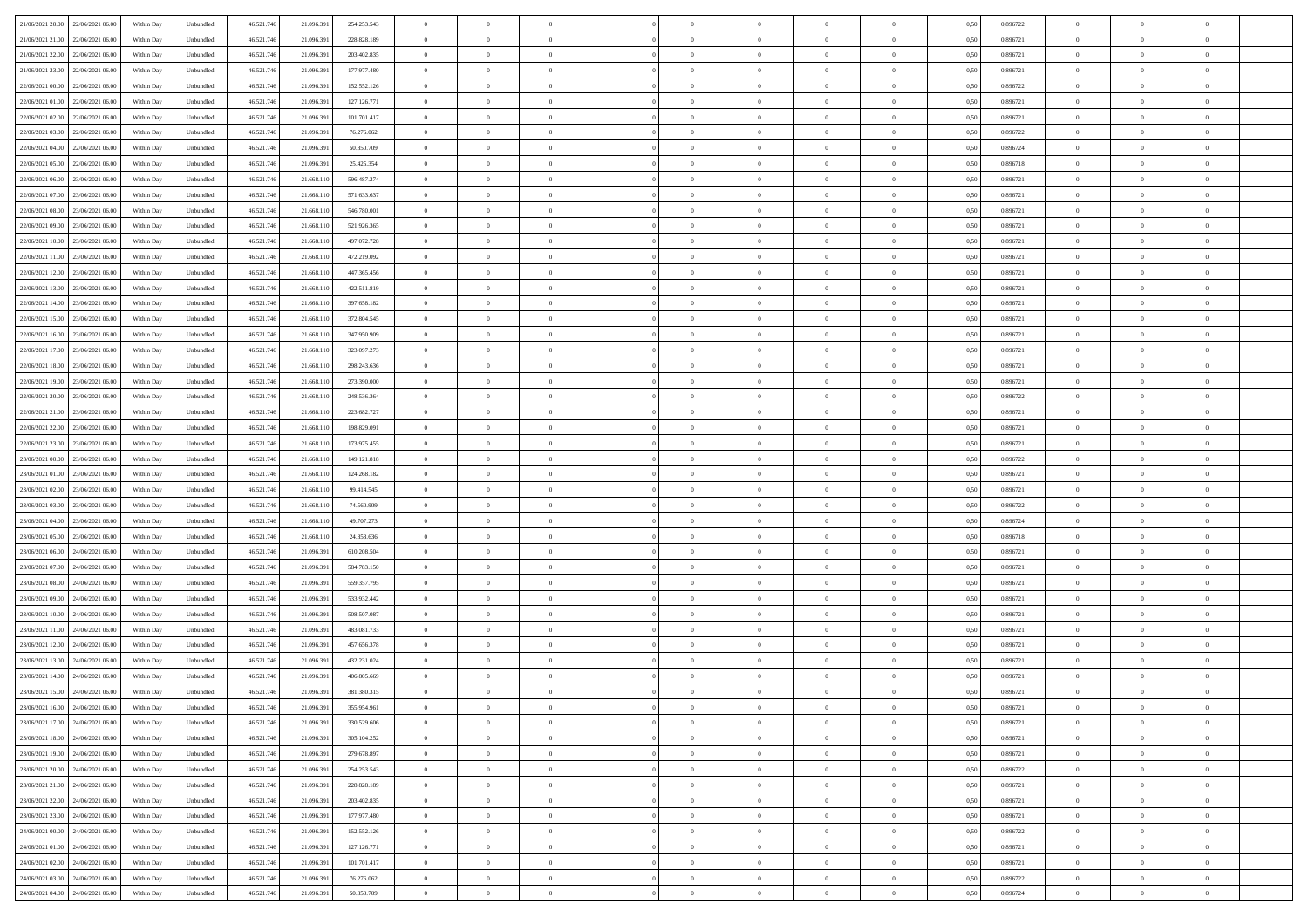| 21/06/2021 20:00 22/06/2021 06:00            | Within Day | Unbundled         | 46.521.74  | 21.096.391 | 254.253.543 | $\overline{0}$ | $\theta$       |                | $\overline{0}$ | $\theta$       |                | $\bf{0}$       | 0,50 | 0,896722 | $\theta$       | $\theta$       | $\overline{0}$ |  |
|----------------------------------------------|------------|-------------------|------------|------------|-------------|----------------|----------------|----------------|----------------|----------------|----------------|----------------|------|----------|----------------|----------------|----------------|--|
| 21/06/2021 21:00<br>22/06/2021 06.00         | Within Day | Unbundled         | 46.521.74  | 21.096.39  | 228.828.189 | $\bf{0}$       | $\overline{0}$ | $\bf{0}$       | $\overline{0}$ | $\bf{0}$       | $\overline{0}$ | $\bf{0}$       | 0,50 | 0,896721 | $\,$ 0 $\,$    | $\bf{0}$       | $\overline{0}$ |  |
| 21/06/2021 22:00<br>22/06/2021 06:00         | Within Day | Unbundled         | 46.521.746 | 21.096.39  | 203.402.835 | $\overline{0}$ | $\bf{0}$       | $\overline{0}$ | $\bf{0}$       | $\bf{0}$       | $\overline{0}$ | $\bf{0}$       | 0.50 | 0.896721 | $\bf{0}$       | $\overline{0}$ | $\overline{0}$ |  |
| 21/06/2021 23:00                             |            |                   |            |            |             | $\overline{0}$ | $\overline{0}$ | $\overline{0}$ | $\theta$       | $\theta$       | $\overline{0}$ | $\overline{0}$ |      | 0,896721 | $\theta$       | $\theta$       | $\overline{0}$ |  |
| 22/06/2021 06:00                             | Within Day | Unbundled         | 46.521.74  | 21.096.391 | 177.977.480 |                |                |                |                |                |                |                | 0,50 |          |                |                |                |  |
| 22/06/2021 00:00<br>22/06/2021 06.00         | Within Day | Unbundled         | 46.521.74  | 21.096.39  | 152.552.126 | $\overline{0}$ | $\overline{0}$ | $\bf{0}$       | $\overline{0}$ | $\theta$       | $\overline{0}$ | $\bf{0}$       | 0,50 | 0,896722 | $\,$ 0 $\,$    | $\bf{0}$       | $\overline{0}$ |  |
| 22/06/2021 01:00<br>22/06/2021 06:00         | Within Day | Unbundled         | 46.521.74  | 21.096.39  | 127.126.771 | $\overline{0}$ | $\overline{0}$ | $\overline{0}$ | $\overline{0}$ | $\overline{0}$ | $\Omega$       | $\bf{0}$       | 0.50 | 0.896721 | $\,$ 0 $\,$    | $\theta$       | $\overline{0}$ |  |
| 22/06/2021 02:00<br>22/06/2021 06:00         | Within Day | Unbundled         | 46.521.74  | 21.096.39  | 101.701.417 | $\overline{0}$ | $\overline{0}$ | $\overline{0}$ | $\overline{0}$ | $\theta$       | $\overline{0}$ | $\bf{0}$       | 0,50 | 0,896721 | $\theta$       | $\theta$       | $\overline{0}$ |  |
|                                              |            |                   |            |            |             |                |                |                |                |                |                |                |      |          |                |                |                |  |
| 22/06/2021 03:00<br>22/06/2021 06.00         | Within Day | Unbundled         | 46.521.74  | 21.096.39  | 76.276.062  | $\bf{0}$       | $\overline{0}$ | $\overline{0}$ | $\overline{0}$ | $\theta$       | $\overline{0}$ | $\bf{0}$       | 0,50 | 0,896722 | $\,$ 0 $\,$    | $\bf{0}$       | $\overline{0}$ |  |
| 22/06/2021 04:00<br>22/06/2021 06:00         | Within Day | Unbundled         | 46.521.74  | 21,096.39  | 50.850.709  | $\overline{0}$ | $\bf{0}$       | $\overline{0}$ | $\bf{0}$       | $\overline{0}$ | $\overline{0}$ | $\bf{0}$       | 0.50 | 0.896724 | $\bf{0}$       | $\theta$       | $\overline{0}$ |  |
| 22/06/2021 05:00<br>22/06/2021 06:00         | Within Day | Unbundled         | 46.521.74  | 21.096.391 | 25.425.354  | $\overline{0}$ | $\bf{0}$       | $\overline{0}$ | $\overline{0}$ | $\overline{0}$ | $\overline{0}$ | $\bf{0}$       | 0,50 | 0,896718 | $\,$ 0 $\,$    | $\theta$       | $\overline{0}$ |  |
| 22/06/2021 06:00<br>23/06/2021 06.00         | Within Day | Unbundled         | 46.521.74  | 21.668.11  | 596.487.274 | $\bf{0}$       | $\overline{0}$ | $\bf{0}$       | $\overline{0}$ | $\bf{0}$       | $\overline{0}$ | $\bf{0}$       | 0,50 | 0,896721 | $\,$ 0 $\,$    | $\bf{0}$       | $\overline{0}$ |  |
|                                              |            |                   |            |            |             |                |                |                |                |                |                |                |      |          |                |                |                |  |
| 22/06/2021 07:00<br>23/06/2021 06:00         | Within Day | Unbundled         | 46.521.746 | 21.668.110 | 571.633.637 | $\overline{0}$ | $\bf{0}$       | $\overline{0}$ | $\bf{0}$       | $\bf{0}$       | $\overline{0}$ | $\bf{0}$       | 0.50 | 0.896721 | $\bf{0}$       | $\overline{0}$ | $\overline{0}$ |  |
| 22/06/2021 08:00<br>23/06/2021 06:00         | Within Day | Unbundled         | 46.521.74  | 21.668.11  | 546.780.001 | $\overline{0}$ | $\overline{0}$ | $\overline{0}$ | $\overline{0}$ | $\theta$       | $\overline{0}$ | $\overline{0}$ | 0,50 | 0,896721 | $\,$ 0 $\,$    | $\theta$       | $\overline{0}$ |  |
| 22/06/2021 09:00<br>23/06/2021 06.00         | Within Day | Unbundled         | 46.521.74  | 21.668.11  | 521.926.365 | $\bf{0}$       | $\theta$       | $\bf{0}$       | $\overline{0}$ | $\theta$       | $\overline{0}$ | $\bf{0}$       | 0,50 | 0,896721 | $\bf{0}$       | $\bf{0}$       | $\overline{0}$ |  |
| 22/06/2021 10:00<br>23/06/2021 06:00         | Within Day | Unbundled         | 46.521.74  | 21.668.11  | 497.072.728 | $\overline{0}$ | $\overline{0}$ | $\overline{0}$ | $\bf{0}$       | $\bf{0}$       | $\Omega$       | $\bf{0}$       | 0.50 | 0,896721 | $\,$ 0 $\,$    | $\theta$       | $\overline{0}$ |  |
|                                              |            |                   |            |            |             | $\overline{0}$ | $\overline{0}$ | $\overline{0}$ | $\overline{0}$ | $\overline{0}$ | $\overline{0}$ |                |      |          | $\theta$       | $\theta$       | $\overline{0}$ |  |
| 22/06/2021 11:00<br>23/06/2021 06:00         | Within Day | Unbundled         | 46.521.74  | 21.668.110 | 472.219.092 |                |                |                |                |                |                | $\bf{0}$       | 0,50 | 0,896721 |                |                |                |  |
| 22/06/2021 12:00<br>23/06/2021 06.00         | Within Day | Unbundled         | 46.521.74  | 21.668.11  | 447.365.456 | $\bf{0}$       | $\overline{0}$ | $\overline{0}$ | $\overline{0}$ | $\theta$       | $\overline{0}$ | $\bf{0}$       | 0,50 | 0,896721 | $\,$ 0 $\,$    | $\bf{0}$       | $\overline{0}$ |  |
| 22/06/2021 13:00<br>23/06/2021 06:00         | Within Day | Unbundled         | 46.521.74  | 21.668.11  | 422.511.819 | $\overline{0}$ | $\bf{0}$       | $\overline{0}$ | $\bf{0}$       | $\overline{0}$ | $\overline{0}$ | $\bf{0}$       | 0.50 | 0.896721 | $\bf{0}$       | $\overline{0}$ | $\overline{0}$ |  |
| 22/06/2021 14:00<br>23/06/2021 06:00         | Within Day | Unbundled         | 46.521.74  | 21.668.110 | 397.658.182 | $\overline{0}$ | $\overline{0}$ | $\overline{0}$ | $\overline{0}$ | $\overline{0}$ | $\overline{0}$ | $\bf{0}$       | 0,50 | 0,896721 | $\,$ 0 $\,$    | $\theta$       | $\overline{0}$ |  |
| 22/06/2021 15:00<br>23/06/2021 06.00         | Within Day | Unbundled         | 46.521.74  | 21.668.11  | 372.804.545 | $\bf{0}$       | $\overline{0}$ | $\bf{0}$       | $\bf{0}$       | $\overline{0}$ | $\overline{0}$ | $\bf{0}$       | 0,50 | 0,896721 | $\,$ 0 $\,$    | $\bf{0}$       | $\overline{0}$ |  |
|                                              |            |                   |            |            |             |                |                |                |                |                |                |                |      |          |                |                |                |  |
| 22/06/2021 16:00<br>23/06/2021 06:00         | Within Day | Unbundled         | 46.521.746 | 21.668.110 | 347.950.909 | $\overline{0}$ | $\bf{0}$       | $\overline{0}$ | $\bf{0}$       | $\bf{0}$       | $\overline{0}$ | $\bf{0}$       | 0.50 | 0.896721 | $\bf{0}$       | $\overline{0}$ | $\overline{0}$ |  |
| 22/06/2021 17:00<br>23/06/2021 06:00         | Within Day | Unbundled         | 46.521.74  | 21.668.11  | 323.097.273 | $\overline{0}$ | $\overline{0}$ | $\overline{0}$ | $\theta$       | $\theta$       | $\overline{0}$ | $\bf{0}$       | 0,50 | 0,896721 | $\theta$       | $\theta$       | $\overline{0}$ |  |
| 22/06/2021 18:00<br>23/06/2021 06.00         | Within Day | Unbundled         | 46.521.74  | 21.668.11  | 298.243.636 | $\bf{0}$       | $\overline{0}$ | $\bf{0}$       | $\overline{0}$ | $\bf{0}$       | $\overline{0}$ | $\bf{0}$       | 0,50 | 0,896721 | $\,$ 0 $\,$    | $\bf{0}$       | $\overline{0}$ |  |
| 22/06/2021 19:00<br>23/06/2021 06:00         | Within Day | Unbundled         | 46.521.74  | 21.668.11  | 273.390.000 | $\overline{0}$ | $\overline{0}$ | $\overline{0}$ | $\overline{0}$ | $\overline{0}$ | $\Omega$       | $\bf{0}$       | 0.50 | 0,896721 | $\,$ 0 $\,$    | $\theta$       | $\overline{0}$ |  |
|                                              |            |                   |            |            |             |                |                |                |                |                |                |                |      |          |                |                |                |  |
| 22/06/2021 20:00<br>23/06/2021 06:00         | Within Day | Unbundled         | 46.521.74  | 21.668.110 | 248.536.364 | $\overline{0}$ | $\overline{0}$ | $\overline{0}$ | $\overline{0}$ | $\overline{0}$ | $\overline{0}$ | $\bf{0}$       | 0,50 | 0,896722 | $\theta$       | $\theta$       | $\overline{0}$ |  |
| 22/06/2021 21:00<br>23/06/2021 06.00         | Within Day | Unbundled         | 46.521.74  | 21.668.11  | 223.682.727 | $\bf{0}$       | $\theta$       | $\bf{0}$       | $\overline{0}$ | $\theta$       | $\overline{0}$ | $\bf{0}$       | 0,50 | 0,896721 | $\,$ 0 $\,$    | $\bf{0}$       | $\overline{0}$ |  |
| 22/06/2021 22:00<br>23/06/2021 06:00         | Within Day | Unbundled         | 46.521.74  | 21.668.11  | 198.829.091 | $\overline{0}$ | $\bf{0}$       | $\overline{0}$ | $\bf{0}$       | $\overline{0}$ | $\overline{0}$ | $\bf{0}$       | 0.50 | 0.896721 | $\bf{0}$       | $\overline{0}$ | $\overline{0}$ |  |
| 22/06/2021 23:00<br>23/06/2021 06:00         | Within Day | Unbundled         | 46.521.74  | 21.668.110 | 173.975.455 | $\overline{0}$ | $\overline{0}$ | $\overline{0}$ | $\overline{0}$ | $\overline{0}$ | $\overline{0}$ | $\bf{0}$       | 0,50 | 0,896721 | $\theta$       | $\theta$       | $\overline{0}$ |  |
|                                              |            |                   |            |            |             |                |                |                |                |                |                |                |      |          |                |                |                |  |
| 23/06/2021 00:00<br>23/06/2021 06.00         | Within Day | Unbundled         | 46.521.74  | 21.668.11  | 149.121.818 | $\bf{0}$       | $\bf{0}$       | $\bf{0}$       | $\bf{0}$       | $\overline{0}$ | $\overline{0}$ | $\bf{0}$       | 0,50 | 0,896722 | $\,$ 0 $\,$    | $\bf{0}$       | $\overline{0}$ |  |
| 23/06/2021 01:00<br>23/06/2021 06:00         | Within Day | Unbundled         | 46.521.746 | 21.668.110 | 124.268.182 | $\overline{0}$ | $\bf{0}$       | $\overline{0}$ | $\bf{0}$       | $\bf{0}$       | $\overline{0}$ | $\bf{0}$       | 0.50 | 0.896721 | $\bf{0}$       | $\overline{0}$ | $\overline{0}$ |  |
| 23/06/2021 02:00<br>23/06/2021 06:00         | Within Day | Unbundled         | 46.521.74  | 21.668.11  | 99.414.545  | $\overline{0}$ | $\overline{0}$ | $\overline{0}$ | $\overline{0}$ | $\overline{0}$ | $\overline{0}$ | $\bf{0}$       | 0.5( | 0,896721 | $\theta$       | $\theta$       | $\overline{0}$ |  |
| 23/06/2021 03:00<br>23/06/2021 06.00         | Within Day | Unbundled         | 46.521.74  | 21.668.11  | 74.560.909  | $\bf{0}$       | $\overline{0}$ | $\bf{0}$       | $\overline{0}$ | $\overline{0}$ | $\overline{0}$ | $\bf{0}$       | 0,50 | 0,896722 | $\,$ 0 $\,$    | $\bf{0}$       | $\overline{0}$ |  |
| 23/06/2021 04:00<br>23/06/2021 06:00         | Within Day | Unbundled         | 46.521.74  | 21.668.11  | 49,707.273  | $\overline{0}$ | $\overline{0}$ | $\overline{0}$ | $\bf{0}$       | $\bf{0}$       | $\Omega$       | $\bf{0}$       | 0.50 | 0.896724 | $\,$ 0 $\,$    | $\theta$       | $\overline{0}$ |  |
|                                              |            |                   |            |            |             |                |                |                |                |                |                |                |      |          |                |                |                |  |
| 23/06/2021 05:00<br>23/06/2021 06:00         | Within Dav | Unbundled         | 46.521.74  | 21.668.11  | 24.853.636  | $\overline{0}$ | $\overline{0}$ | $\overline{0}$ | $\overline{0}$ | $\overline{0}$ | $\overline{0}$ | $\overline{0}$ | 0.50 | 0,896718 | $\theta$       | $\theta$       | $\overline{0}$ |  |
| 23/06/2021 06:00<br>24/06/2021 06.00         | Within Day | Unbundled         | 46.521.74  | 21.096.39  | 610.208.504 | $\bf{0}$       | $\overline{0}$ | $\bf{0}$       | $\overline{0}$ | $\bf{0}$       | $\overline{0}$ | $\bf{0}$       | 0,50 | 0,896721 | $\,$ 0 $\,$    | $\bf{0}$       | $\overline{0}$ |  |
| 23/06/2021 07:00<br>24/06/2021 06:00         | Within Day | Unbundled         | 46.521.74  | 21,096.39  | 584.783.150 | $\overline{0}$ | $\bf{0}$       | $\overline{0}$ | $\bf{0}$       | $\overline{0}$ | $\overline{0}$ | $\bf{0}$       | 0.50 | 0.896721 | $\bf{0}$       | $\overline{0}$ | $\overline{0}$ |  |
| 23/06/2021 08:00<br>24/06/2021 06:00         | Within Dav | Unbundled         | 46.521.74  | 21.096.39  | 559.357.795 | $\overline{0}$ | $\overline{0}$ | $\overline{0}$ | $\overline{0}$ | $\overline{0}$ | $\overline{0}$ | $\overline{0}$ | 0.50 | 0,896721 | $\theta$       | $\theta$       | $\overline{0}$ |  |
|                                              |            |                   |            |            |             |                |                |                |                |                |                |                |      |          |                |                |                |  |
| 23/06/2021 09:00<br>24/06/2021 06.00         | Within Day | Unbundled         | 46.521.74  | 21.096.39  | 533.932.442 | $\bf{0}$       | $\bf{0}$       | $\bf{0}$       | $\bf{0}$       | $\overline{0}$ | $\overline{0}$ | $\bf{0}$       | 0,50 | 0,896721 | $\,$ 0 $\,$    | $\bf{0}$       | $\overline{0}$ |  |
| 23/06/2021 10:00<br>24/06/2021 06:00         | Within Day | Unbundled         | 46.521.746 | 21.096.391 | 508,507,087 | $\overline{0}$ | $\bf{0}$       | $\overline{0}$ | $\bf{0}$       | $\bf{0}$       | $\overline{0}$ | $\bf{0}$       | 0.50 | 0.896721 | $\bf{0}$       | $\overline{0}$ | $\overline{0}$ |  |
| 23/06/2021 11:00<br>24/06/2021 06:00         | Within Day | Unbundled         | 46.521.74  | 21.096.39  | 483.081.733 | $\overline{0}$ | $\overline{0}$ | $\overline{0}$ | $\overline{0}$ | $\overline{0}$ | $\overline{0}$ | $\bf{0}$       | 0.50 | 0,896721 | $\theta$       | $\theta$       | $\overline{0}$ |  |
| 23/06/2021 12:00<br>24/06/2021 06.00         | Within Day | Unbundled         | 46.521.74  | 21.096.39  | 457.656.378 | $\bf{0}$       | $\overline{0}$ | $\bf{0}$       | $\bf{0}$       | $\,$ 0 $\,$    | $\overline{0}$ | $\bf{0}$       | 0,50 | 0,896721 | $\,$ 0 $\,$    | $\bf{0}$       | $\overline{0}$ |  |
| 23/06/2021 13:00<br>24/06/2021 06.00         | Within Day | Unbundled         | 46.521.74  | 21.096.39  | 432.231.024 | $\overline{0}$ | $\overline{0}$ | $\Omega$       | $\overline{0}$ | $\overline{0}$ | $\theta$       | $\bf{0}$       | 0.50 | 0,896721 | $\bf{0}$       | $\theta$       | $\overline{0}$ |  |
|                                              |            |                   |            |            |             |                |                |                |                |                |                |                |      |          |                |                |                |  |
| 23/06/2021 14:00<br>24/06/2021 06:00         | Within Dav | Unbundled         | 46.521.74  | 21.096.39  | 406.805.669 | $\overline{0}$ | $\overline{0}$ | $\Omega$       | $\overline{0}$ | $\theta$       | $\Omega$       | $\overline{0}$ | 0.5( | 0,896721 | $\theta$       | $\theta$       | $\overline{0}$ |  |
| 23/06/2021 15:00<br>24/06/2021 06:00         | Within Day | Unbundled         | 46.521.74  | 21.096.39  | 381.380.315 | $\bf{0}$       | $\bf{0}$       | $\overline{0}$ | $\bf{0}$       | $\bf{0}$       | $\overline{0}$ | $\bf{0}$       | 0,50 | 0,896721 | $\,$ 0 $\,$    | $\bf{0}$       | $\overline{0}$ |  |
| $23/06/2021\ 16.00 \qquad 24/06/2021\ 06.00$ | Within Day | ${\sf Unbundred}$ | 46.521.746 | 21.096.391 | 355.954.961 | $\overline{0}$ | $\Omega$       |                | $\Omega$       |                |                |                | 0,50 | 0.896721 | $\theta$       | $\overline{0}$ |                |  |
| 23/06/2021 17:00 24/06/2021 06:00            | Within Day | Unbundled         | 46.521.746 | 21.096.391 | 330.529.606 | $\overline{0}$ | $\theta$       | $\Omega$       | $\theta$       | $\overline{0}$ | $\overline{0}$ | $\bf{0}$       | 0,50 | 0,896721 | $\theta$       | $\theta$       | $\overline{0}$ |  |
| 23/06/2021 18:00<br>24/06/2021 06:00         | Within Day | Unbundled         | 46.521.74  | 21.096.39  | 305.104.252 | $\overline{0}$ | $\bf{0}$       | $\overline{0}$ | $\overline{0}$ | $\bf{0}$       | $\overline{0}$ | $\bf{0}$       | 0,50 | 0,896721 | $\bf{0}$       | $\overline{0}$ | $\bf{0}$       |  |
|                                              |            |                   |            |            |             |                |                |                |                |                |                |                |      |          |                |                |                |  |
| 23/06/2021 19:00 24/06/2021 06:00            | Within Day | Unbundled         | 46.521.746 | 21.096.391 | 279.678.897 | $\overline{0}$ | $\bf{0}$       | $\overline{0}$ | $\overline{0}$ | $\overline{0}$ | $\overline{0}$ | $\bf{0}$       | 0.50 | 0.896721 | $\overline{0}$ | $\bf{0}$       | $\,$ 0 $\,$    |  |
| 23/06/2021 20:00 24/06/2021 06:00            | Within Day | Unbundled         | 46.521.746 | 21.096.391 | 254.253.543 | $\overline{0}$ | $\overline{0}$ | $\overline{0}$ | $\overline{0}$ | $\overline{0}$ | $\overline{0}$ | $\bf{0}$       | 0,50 | 0,896722 | $\theta$       | $\theta$       | $\overline{0}$ |  |
| 23/06/2021 21:00<br>24/06/2021 06:00         | Within Day | Unbundled         | 46.521.74  | 21.096.391 | 228.828.189 | $\overline{0}$ | $\bf{0}$       | $\overline{0}$ | $\bf{0}$       | $\overline{0}$ | $\bf{0}$       | $\bf{0}$       | 0,50 | 0,896721 | $\bf{0}$       | $\bf{0}$       | $\overline{0}$ |  |
| 23/06/2021 22:00<br>24/06/2021 06:00         | Within Day | Unbundled         | 46.521.746 | 21.096.391 | 203.402.835 | $\overline{0}$ | $\bf{0}$       | $\overline{0}$ | $\overline{0}$ | $\overline{0}$ | $\overline{0}$ | $\bf{0}$       | 0.50 | 0,896721 | $\,$ 0 $\,$    | $\theta$       | $\overline{0}$ |  |
|                                              |            |                   |            |            |             |                |                |                |                |                |                |                |      |          |                |                |                |  |
| 23/06/2021 23:00<br>24/06/2021 06:00         | Within Dav | Unbundled         | 46.521.746 | 21.096.391 | 177.977.480 | $\overline{0}$ | $\overline{0}$ | $\overline{0}$ | $\overline{0}$ | $\overline{0}$ | $\overline{0}$ | $\bf{0}$       | 0.50 | 0,896721 | $\overline{0}$ | $\theta$       | $\overline{0}$ |  |
| 24/06/2021 00:00<br>24/06/2021 06:00         | Within Day | Unbundled         | 46.521.74  | 21.096.39  | 152.552.126 | $\overline{0}$ | $\overline{0}$ | $\overline{0}$ | $\overline{0}$ | $\overline{0}$ | $\overline{0}$ | $\bf{0}$       | 0,50 | 0,896722 | $\bf{0}$       | $\bf{0}$       | $\overline{0}$ |  |
| 24/06/2021 01:00 24/06/2021 06:00            | Within Day | Unbundled         | 46.521.746 | 21.096.391 | 127.126.771 | $\overline{0}$ | $\overline{0}$ | $\overline{0}$ | $\overline{0}$ | $\bf{0}$       | $\overline{0}$ | $\bf{0}$       | 0.50 | 0.896721 | $\overline{0}$ | $\,$ 0 $\,$    | $\,$ 0         |  |
| 24/06/2021 02:00 24/06/2021 06:00            | Within Dav | Unbundled         | 46.521.746 | 21.096.391 | 101.701.417 | $\overline{0}$ | $\overline{0}$ | $\overline{0}$ | $\overline{0}$ | $\overline{0}$ | $\overline{0}$ | $\bf{0}$       | 0,50 | 0,896721 | $\overline{0}$ | $\theta$       | $\overline{0}$ |  |
|                                              |            |                   |            |            |             |                |                |                |                |                |                |                |      |          |                |                |                |  |
| 24/06/2021 03:00<br>24/06/2021 06.00         | Within Day | Unbundled         | 46.521.74  | 21.096.39  | 76.276.062  | $\overline{0}$ | $\bf{0}$       | $\overline{0}$ | $\bf{0}$       | $\overline{0}$ | $\bf{0}$       | $\bf{0}$       | 0,50 | 0,896722 | $\bf{0}$       | $\bf{0}$       | $\overline{0}$ |  |
| 24/06/2021 04:00 24/06/2021 06:00            | Within Day | Unbundled         | 46.521.746 | 21.096.391 | 50.850.709  | $\overline{0}$ | $\bf{0}$       | $\overline{0}$ | $\overline{0}$ | $\,$ 0 $\,$    | $\overline{0}$ | $\bf{0}$       | 0,50 | 0,896724 | $\overline{0}$ | $\,$ 0 $\,$    | $\,$ 0 $\,$    |  |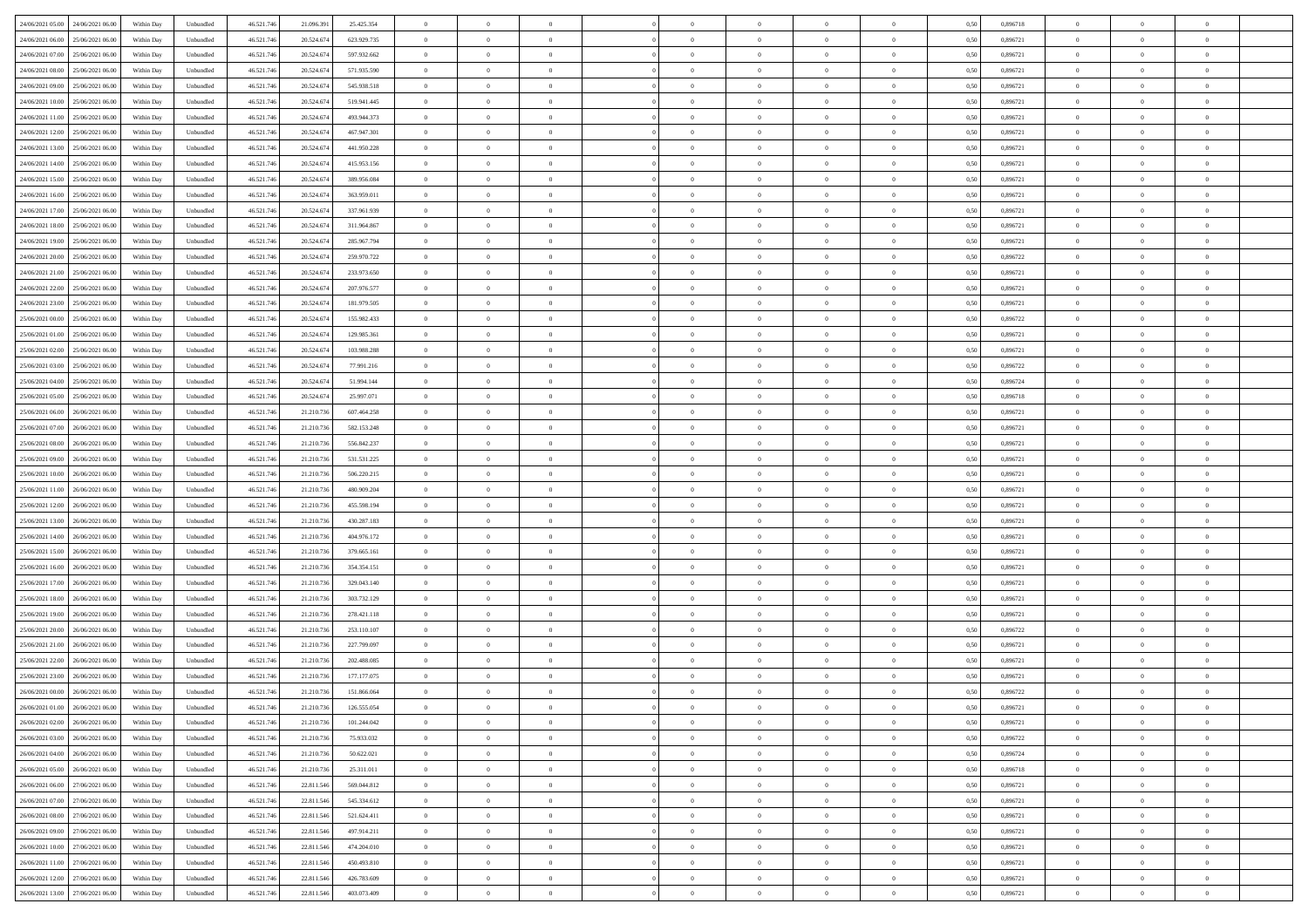| 24/06/2021 05:00 24/06/2021 06:00            | Within Day | Unbundled         | 46.521.74  | 21.096.391 | 25.425.354  | $\overline{0}$ | $\theta$       |                | $\overline{0}$ | $\bf{0}$       |                | $\bf{0}$       | 0,50 | 0,896718 | $\theta$       | $\theta$       | $\overline{0}$ |  |
|----------------------------------------------|------------|-------------------|------------|------------|-------------|----------------|----------------|----------------|----------------|----------------|----------------|----------------|------|----------|----------------|----------------|----------------|--|
| 24/06/2021 06:00<br>25/06/2021 06.00         | Within Day | Unbundled         | 46.521.74  | 20.524.67  | 623.929.735 | $\bf{0}$       | $\overline{0}$ | $\overline{0}$ | $\overline{0}$ | $\theta$       | $\overline{0}$ | $\bf{0}$       | 0,50 | 0,896721 | $\,$ 0 $\,$    | $\bf{0}$       | $\overline{0}$ |  |
| 24/06/2021 07:00<br>25/06/2021 06:00         | Within Day | Unbundled         | 46.521.746 | 20.524.674 | 597.932.662 | $\overline{0}$ | $\overline{0}$ | $\overline{0}$ | $\bf{0}$       | $\bf{0}$       | $\overline{0}$ | $\bf{0}$       | 0.50 | 0.896721 | $\bf{0}$       | $\overline{0}$ | $\overline{0}$ |  |
| 24/06/2021 08:00<br>25/06/2021 06:00         | Within Day | Unbundled         | 46.521.74  | 20.524.674 | 571.935.590 | $\overline{0}$ | $\overline{0}$ | $\overline{0}$ | $\theta$       | $\theta$       | $\overline{0}$ | $\overline{0}$ | 0,50 | 0,896721 | $\theta$       | $\theta$       | $\overline{0}$ |  |
|                                              |            |                   |            |            |             |                |                |                |                |                |                |                |      |          |                |                |                |  |
| 24/06/2021 09:00<br>25/06/2021 06.00         | Within Day | Unbundled         | 46.521.74  | 20.524.67  | 545.938.518 | $\overline{0}$ | $\theta$       | $\overline{0}$ | $\overline{0}$ | $\theta$       | $\overline{0}$ | $\bf{0}$       | 0,50 | 0,896721 | $\,$ 0 $\,$    | $\theta$       | $\overline{0}$ |  |
| 24/06/2021 10:00<br>25/06/2021 06:00         | Within Day | Unbundled         | 46.521.74  | 20.524.67  | 519.941.445 | $\overline{0}$ | $\overline{0}$ | $\Omega$       | $\overline{0}$ | $\overline{0}$ | $\Omega$       | $\bf{0}$       | 0.50 | 0.896721 | $\bf{0}$       | $\overline{0}$ | $\overline{0}$ |  |
| 24/06/2021 11:00<br>25/06/2021 06:00         | Within Day | Unbundled         | 46.521.74  | 20.524.674 | 493.944.373 | $\overline{0}$ | $\overline{0}$ | $\overline{0}$ | $\overline{0}$ | $\theta$       | $\overline{0}$ | $\bf{0}$       | 0,50 | 0,896721 | $\theta$       | $\theta$       | $\overline{0}$ |  |
| 24/06/2021 12:00<br>25/06/2021 06.00         | Within Day | Unbundled         | 46.521.74  | 20.524.674 | 467.947.301 | $\overline{0}$ | $\overline{0}$ | $\overline{0}$ | $\overline{0}$ | $\theta$       | $\overline{0}$ | $\bf{0}$       | 0,50 | 0,896721 | $\,$ 0 $\,$    | $\bf{0}$       | $\overline{0}$ |  |
| 24/06/2021 13:00<br>25/06/2021 06:00         | Within Day | Unbundled         | 46.521.74  | 20.524.67  | 441.950.228 | $\overline{0}$ | $\overline{0}$ | $\overline{0}$ | $\bf{0}$       | $\overline{0}$ | $\overline{0}$ | $\bf{0}$       | 0.50 | 0.896721 | $\bf{0}$       | $\theta$       | $\overline{0}$ |  |
| 24/06/2021 14:00<br>25/06/2021 06:00         | Within Day | Unbundled         | 46.521.74  | 20.524.674 | 415.953.156 | $\overline{0}$ | $\bf{0}$       | $\overline{0}$ | $\overline{0}$ | $\theta$       | $\overline{0}$ | $\bf{0}$       | 0,50 | 0,896721 | $\theta$       | $\theta$       | $\overline{0}$ |  |
|                                              |            |                   |            |            |             |                |                |                |                |                |                |                |      |          |                |                |                |  |
| 24/06/2021 15:00<br>25/06/2021 06.00         | Within Day | Unbundled         | 46.521.74  | 20.524.67  | 389.956.084 | $\bf{0}$       | $\overline{0}$ | $\bf{0}$       | $\overline{0}$ | $\bf{0}$       | $\overline{0}$ | $\bf{0}$       | 0,50 | 0,896721 | $\,$ 0 $\,$    | $\bf{0}$       | $\overline{0}$ |  |
| 24/06/2021 16:00<br>25/06/2021 06:00         | Within Day | Unbundled         | 46.521.746 | 20.524.674 | 363,959,011 | $\overline{0}$ | $\overline{0}$ | $\overline{0}$ | $\bf{0}$       | $\bf{0}$       | $\overline{0}$ | $\bf{0}$       | 0.50 | 0.896721 | $\bf{0}$       | $\overline{0}$ | $\overline{0}$ |  |
| 24/06/2021 17:00<br>25/06/2021 06:00         | Within Day | Unbundled         | 46.521.74  | 20.524.674 | 337.961.939 | $\overline{0}$ | $\overline{0}$ | $\overline{0}$ | $\overline{0}$ | $\theta$       | $\overline{0}$ | $\overline{0}$ | 0,50 | 0,896721 | $\theta$       | $\theta$       | $\overline{0}$ |  |
| 24/06/2021 18:00<br>25/06/2021 06.00         | Within Day | Unbundled         | 46.521.74  | 20.524.674 | 311.964.867 | $\overline{0}$ | $\theta$       | $\bf{0}$       | $\overline{0}$ | $\theta$       | $\overline{0}$ | $\bf{0}$       | 0,50 | 0,896721 | $\bf{0}$       | $\bf{0}$       | $\overline{0}$ |  |
| 24/06/2021 19:00<br>25/06/2021 06:00         | Within Day | Unbundled         | 46.521.74  | 20.524.67  | 285.967.794 | $\overline{0}$ | $\overline{0}$ | $\overline{0}$ | $\bf{0}$       | $\theta$       | $\theta$       | $\bf{0}$       | 0.50 | 0,896721 | $\theta$       | $\overline{0}$ | $\overline{0}$ |  |
| 24/06/2021 20:00<br>25/06/2021 06:00         | Within Day | Unbundled         | 46.521.74  | 20.524.674 | 259.970.722 | $\overline{0}$ | $\overline{0}$ | $\overline{0}$ | $\overline{0}$ | $\theta$       | $\overline{0}$ | $\bf{0}$       | 0,50 | 0,896722 | $\theta$       | $\theta$       | $\overline{0}$ |  |
| 25/06/2021 06.00                             | Within Day | Unbundled         | 46.521.74  | 20.524.67  | 233.973.650 | $\bf{0}$       | $\overline{0}$ | $\overline{0}$ | $\overline{0}$ | $\theta$       | $\overline{0}$ | $\bf{0}$       | 0,50 | 0,896721 | $\,$ 0 $\,$    | $\theta$       | $\overline{0}$ |  |
| 24/06/2021 21:00                             |            |                   |            |            |             |                |                |                |                |                |                |                |      |          |                |                |                |  |
| 24/06/2021 22.00<br>25/06/2021 06:00         | Within Day | Unbundled         | 46.521.74  | 20.524.67  | 207.976.577 | $\overline{0}$ | $\overline{0}$ | $\overline{0}$ | $\bf{0}$       | $\overline{0}$ | $\overline{0}$ | $\bf{0}$       | 0.50 | 0.896721 | $\bf{0}$       | $\overline{0}$ | $\overline{0}$ |  |
| 24/06/2021 23:00<br>25/06/2021 06:00         | Within Day | Unbundled         | 46.521.74  | 20.524.674 | 181.979.505 | $\overline{0}$ | $\overline{0}$ | $\overline{0}$ | $\overline{0}$ | $\theta$       | $\overline{0}$ | $\bf{0}$       | 0,50 | 0,896721 | $\,$ 0 $\,$    | $\theta$       | $\overline{0}$ |  |
| 25/06/2021 00:00<br>25/06/2021 06.00         | Within Day | Unbundled         | 46.521.74  | 20.524.67  | 155.982.433 | $\bf{0}$       | $\overline{0}$ | $\bf{0}$       | $\overline{0}$ | $\overline{0}$ | $\overline{0}$ | $\bf{0}$       | 0,50 | 0,896722 | $\,$ 0 $\,$    | $\bf{0}$       | $\overline{0}$ |  |
| 25/06/2021 01:00<br>25/06/2021 06:00         | Within Day | Unbundled         | 46.521.74  | 20.524.674 | 129.985.361 | $\overline{0}$ | $\overline{0}$ | $\overline{0}$ | $\bf{0}$       | $\bf{0}$       | $\overline{0}$ | $\bf{0}$       | 0.50 | 0.896721 | $\bf{0}$       | $\overline{0}$ | $\overline{0}$ |  |
| 25/06/2021 02:00<br>25/06/2021 06:00         | Within Day | Unbundled         | 46.521.74  | 20.524.674 | 103.988.288 | $\overline{0}$ | $\overline{0}$ | $\overline{0}$ | $\overline{0}$ | $\theta$       | $\overline{0}$ | $\bf{0}$       | 0,50 | 0,896721 | $\theta$       | $\theta$       | $\overline{0}$ |  |
| 25/06/2021 03:00<br>25/06/2021 06.00         | Within Day | Unbundled         | 46.521.74  | 20.524.67  | 77.991.216  | $\bf{0}$       | $\overline{0}$ | $\overline{0}$ | $\overline{0}$ | $\theta$       | $\overline{0}$ | $\bf{0}$       | 0,50 | 0,896722 | $\,$ 0 $\,$    | $\bf{0}$       | $\overline{0}$ |  |
| 25/06/2021 04:00<br>25/06/2021 06:00         | Within Day | Unbundled         | 46.521.74  | 20.524.67  | 51.994.144  | $\overline{0}$ | $\overline{0}$ | $\Omega$       | $\overline{0}$ | $\overline{0}$ | $\Omega$       | $\bf{0}$       | 0.50 | 0.896724 | $\bf{0}$       | $\theta$       | $\overline{0}$ |  |
|                                              |            |                   |            |            |             |                |                |                |                |                |                |                |      |          |                |                |                |  |
| 25/06/2021 05:00<br>25/06/2021 06:00         | Within Day | Unbundled         | 46.521.74  | 20.524.674 | 25.997.071  | $\overline{0}$ | $\overline{0}$ | $\overline{0}$ | $\overline{0}$ | $\theta$       | $\overline{0}$ | $\bf{0}$       | 0,50 | 0,896718 | $\theta$       | $\theta$       | $\overline{0}$ |  |
| 25/06/2021 06:00<br>26/06/2021 06.00         | Within Day | Unbundled         | 46.521.74  | 21.210.73  | 607.464.258 | $\bf{0}$       | $\theta$       | $\overline{0}$ | $\overline{0}$ | $\theta$       | $\overline{0}$ | $\bf{0}$       | 0,50 | 0,896721 | $\,$ 0 $\,$    | $\theta$       | $\overline{0}$ |  |
| 25/06/2021 07:00<br>26/06/2021 06:00         | Within Day | Unbundled         | 46.521.74  | 21.210.73  | 582.153.248 | $\overline{0}$ | $\overline{0}$ | $\overline{0}$ | $\bf{0}$       | $\overline{0}$ | $\overline{0}$ | $\bf{0}$       | 0.50 | 0.896721 | $\bf{0}$       | $\theta$       | $\overline{0}$ |  |
| 25/06/2021 08:00<br>26/06/2021 06:00         | Within Day | Unbundled         | 46.521.74  | 21.210.736 | 556.842.237 | $\overline{0}$ | $\overline{0}$ | $\overline{0}$ | $\overline{0}$ | $\theta$       | $\overline{0}$ | $\bf{0}$       | 0,50 | 0,896721 | $\theta$       | $\theta$       | $\overline{0}$ |  |
| 25/06/2021 09:00<br>26/06/2021 06.00         | Within Day | Unbundled         | 46.521.74  | 21.210.73  | 531.531.225 | $\bf{0}$       | $\bf{0}$       | $\bf{0}$       | $\bf{0}$       | $\overline{0}$ | $\overline{0}$ | $\bf{0}$       | 0,50 | 0,896721 | $\,$ 0 $\,$    | $\bf{0}$       | $\overline{0}$ |  |
| 25/06/2021 10:00<br>26/06/2021 06:00         | Within Day | Unbundled         | 46.521.74  | 21.210.73  | 506.220.215 | $\overline{0}$ | $\overline{0}$ | $\overline{0}$ | $\bf{0}$       | $\bf{0}$       | $\overline{0}$ | $\bf{0}$       | 0.50 | 0.896721 | $\bf{0}$       | $\overline{0}$ | $\overline{0}$ |  |
| 25/06/2021 11:00<br>26/06/2021 06:00         | Within Day | Unbundled         | 46.521.74  | 21.210.73  | 480.909.204 | $\overline{0}$ | $\theta$       | $\overline{0}$ | $\overline{0}$ | $\theta$       | $\overline{0}$ | $\overline{0}$ | 0.5( | 0,896721 | $\theta$       | $\theta$       | $\overline{0}$ |  |
| 26/06/2021 06.00                             | Within Day | Unbundled         | 46.521.74  | 21.210.73  | 455.598.194 | $\bf{0}$       | $\overline{0}$ | $\bf{0}$       | $\overline{0}$ | $\theta$       | $\overline{0}$ | $\bf{0}$       | 0,50 | 0,896721 | $\,$ 0 $\,$    | $\bf{0}$       | $\overline{0}$ |  |
| 25/06/2021 12:00                             |            |                   |            |            |             |                |                |                |                |                |                |                |      |          |                |                |                |  |
| 25/06/2021 13:00<br>26/06/2021 06:00         | Within Day | Unbundled         | 46.521.74  | 21.210.73  | 430.287.183 | $\overline{0}$ | $\overline{0}$ | $\overline{0}$ | $\bf{0}$       | $\theta$       | $\Omega$       | $\bf{0}$       | 0.50 | 0,896721 | $\,$ 0 $\,$    | $\overline{0}$ | $\overline{0}$ |  |
| 25/06/2021 14:00<br>26/06/2021 06:00         | Within Dav | Unbundled         | 46.521.74  | 21.210.736 | 404.976.172 | $\overline{0}$ | $\theta$       | $\Omega$       | $\overline{0}$ | $\theta$       | $\overline{0}$ | $\overline{0}$ | 0.5( | 0,896721 | $\theta$       | $\theta$       | $\overline{0}$ |  |
| 25/06/2021 15:00<br>26/06/2021 06.00         | Within Day | Unbundled         | 46.521.74  | 21.210.73  | 379.665.161 | $\bf{0}$       | $\overline{0}$ | $\overline{0}$ | $\overline{0}$ | $\bf{0}$       | $\overline{0}$ | $\bf{0}$       | 0,50 | 0,896721 | $\,$ 0 $\,$    | $\bf{0}$       | $\overline{0}$ |  |
| 25/06/2021 16:00<br>26/06/2021 06:00         | Within Day | Unbundled         | 46.521.74  | 21.210.73  | 354.354.151 | $\overline{0}$ | $\overline{0}$ | $\overline{0}$ | $\bf{0}$       | $\overline{0}$ | $\overline{0}$ | $\bf{0}$       | 0.50 | 0.896721 | $\bf{0}$       | $\theta$       | $\overline{0}$ |  |
| 25/06/2021 17:00<br>26/06/2021 06:00         | Within Dav | Unbundled         | 46.521.74  | 21.210.736 | 329.043.140 | $\overline{0}$ | $\overline{0}$ | $\overline{0}$ | $\overline{0}$ | $\overline{0}$ | $\overline{0}$ | $\overline{0}$ | 0.50 | 0,896721 | $\theta$       | $\theta$       | $\overline{0}$ |  |
| 25/06/2021 18:00<br>26/06/2021 06.00         | Within Day | Unbundled         | 46.521.74  | 21.210.73  | 303.732.129 | $\bf{0}$       | $\bf{0}$       | $\bf{0}$       | $\bf{0}$       | $\overline{0}$ | $\overline{0}$ | $\bf{0}$       | 0,50 | 0,896721 | $\,$ 0 $\,$    | $\bf{0}$       | $\overline{0}$ |  |
| 25/06/2021 19:00<br>26/06/2021 06:00         | Within Day | Unbundled         | 46.521.746 | 21.210.73  | 278.421.118 | $\overline{0}$ | $\bf{0}$       | $\overline{0}$ | $\bf{0}$       | $\bf{0}$       | $\overline{0}$ | $\bf{0}$       | 0.50 | 0.896721 | $\bf{0}$       | $\overline{0}$ | $\overline{0}$ |  |
| 25/06/2021 20:00<br>26/06/2021 06:00         | Within Dav | Unbundled         | 46.521.74  | 21.210.736 | 253.110.107 | $\overline{0}$ | $\overline{0}$ | $\Omega$       | $\overline{0}$ | $\theta$       | $\overline{0}$ | $\overline{0}$ | 0.5( | 0,896722 | $\theta$       | $\theta$       | $\overline{0}$ |  |
|                                              |            |                   |            |            |             |                | $\overline{0}$ |                |                | $\theta$       | $\overline{0}$ |                |      |          |                |                | $\overline{0}$ |  |
| 25/06/2021 21:00<br>26/06/2021 06.00         | Within Day | Unbundled         | 46.521.74  | 21.210.73  | 227.799.097 | $\bf{0}$       |                | $\bf{0}$       | $\overline{0}$ |                |                | $\bf{0}$       | 0,50 | 0,896721 | $\,$ 0 $\,$    | $\bf{0}$       |                |  |
| 25/06/2021 22:00<br>26/06/2021 06.00         | Within Day | Unbundled         | 46.521.74  | 21.210.73  | 202.488.085 | $\overline{0}$ | $\overline{0}$ | $\Omega$       | $\overline{0}$ | $\theta$       | $\theta$       | $\overline{0}$ | 0.50 | 0,896721 | $\,$ 0 $\,$    | $\overline{0}$ | $\overline{0}$ |  |
| 25/06/2021 23:00<br>26/06/2021 06:00         | Within Dav | Unbundled         | 46.521.74  | 21.210.73  | 177.177.075 | $\overline{0}$ | $\overline{0}$ | $\Omega$       | $\overline{0}$ | $\theta$       | $\theta$       | $\overline{0}$ | 0.5( | 0,896721 | $\theta$       | $\theta$       | $\overline{0}$ |  |
| 26/06/2021 00:00<br>26/06/2021 06.00         | Within Day | Unbundled         | 46.521.74  | 21.210.73  | 151.866.064 | $\bf{0}$       | $\,$ 0 $\,$    | $\overline{0}$ | $\bf{0}$       | $\bf{0}$       | $\overline{0}$ | $\bf{0}$       | 0,50 | 0,896722 | $\,$ 0 $\,$    | $\bf{0}$       | $\overline{0}$ |  |
| $26/06/2021\ 01.00 \qquad 26/06/2021\ 06.00$ | Within Day | ${\sf Unbundred}$ | 46.521.746 | 21.210.736 | 126.555.054 | $\overline{0}$ | $\Omega$       |                | $\Omega$       |                |                |                | 0,50 | 0.896721 | $\theta$       | $\overline{0}$ |                |  |
| 26/06/2021 02:00 26/06/2021 06:00            | Within Day | Unbundled         | 46.521.746 | 21.210.736 | 101.244.042 | $\overline{0}$ | $\theta$       | $\Omega$       | $\theta$       | $\overline{0}$ | $\overline{0}$ | $\bf{0}$       | 0,50 | 0,896721 | $\theta$       | $\theta$       | $\overline{0}$ |  |
| 26/06/2021 03:00<br>26/06/2021 06.00         | Within Day | Unbundled         | 46.521.74  | 21.210.73  | 75.933.032  | $\overline{0}$ | $\bf{0}$       | $\overline{0}$ | $\overline{0}$ | $\bf{0}$       | $\overline{0}$ | $\bf{0}$       | 0,50 | 0,896722 | $\bf{0}$       | $\overline{0}$ | $\bf{0}$       |  |
| 26/06/2021 04:00 26/06/2021 06:00            | Within Day | Unbundled         | 46.521.746 | 21.210.736 | 50.622.021  | $\overline{0}$ | $\bf{0}$       | $\overline{0}$ | $\overline{0}$ | $\overline{0}$ | $\overline{0}$ | $\bf{0}$       | 0.50 | 0.896724 | $\overline{0}$ | $\bf{0}$       | $\,$ 0 $\,$    |  |
|                                              |            |                   |            |            |             |                |                |                |                |                |                |                |      |          |                |                |                |  |
| 26/06/2021 05:00 26/06/2021 06:00            | Within Dav | Unbundled         | 46.521.746 | 21.210.736 | 25.311.011  | $\overline{0}$ | $\overline{0}$ | $\overline{0}$ | $\overline{0}$ | $\overline{0}$ | $\overline{0}$ | $\bf{0}$       | 0,50 | 0,896718 | $\theta$       | $\theta$       | $\overline{0}$ |  |
| 26/06/2021 06:00<br>27/06/2021 06:00         | Within Day | Unbundled         | 46.521.74  | 22.811.546 | 569.044.812 | $\overline{0}$ | $\bf{0}$       | $\overline{0}$ | $\bf{0}$       | $\overline{0}$ | $\bf{0}$       | $\bf{0}$       | 0,50 | 0,896721 | $\bf{0}$       | $\bf{0}$       | $\overline{0}$ |  |
| 26/06/2021 07:00<br>27/06/2021 06:00         | Within Day | Unbundled         | 46.521.746 | 22.811.546 | 545.334.612 | $\overline{0}$ | $\bf{0}$       | $\overline{0}$ | $\overline{0}$ | $\overline{0}$ | $\overline{0}$ | $\bf{0}$       | 0.50 | 0,896721 | $\,$ 0 $\,$    | $\theta$       | $\overline{0}$ |  |
| 26/06/2021 08:00<br>27/06/2021 06:00         | Within Dav | Unbundled         | 46.521.746 | 22.811.546 | 521.624.411 | $\overline{0}$ | $\overline{0}$ | $\overline{0}$ | $\overline{0}$ | $\overline{0}$ | $\overline{0}$ | $\bf{0}$       | 0.50 | 0,896721 | $\overline{0}$ | $\theta$       | $\overline{0}$ |  |
| 26/06/2021 09:00<br>27/06/2021 06:00         | Within Day | Unbundled         | 46.521.74  | 22.811.54  | 497.914.211 | $\overline{0}$ | $\overline{0}$ | $\overline{0}$ | $\overline{0}$ | $\bf{0}$       | $\overline{0}$ | $\bf{0}$       | 0,50 | 0,896721 | $\bf{0}$       | $\overline{0}$ | $\overline{0}$ |  |
| 26/06/2021 10:00 27/06/2021 06:00            | Within Day | Unbundled         | 46.521.746 | 22,811.546 | 474.204.010 | $\overline{0}$ | $\overline{0}$ | $\overline{0}$ | $\overline{0}$ | $\bf{0}$       | $\overline{0}$ | $\bf{0}$       | 0.50 | 0.896721 | $\overline{0}$ | $\,$ 0 $\,$    | $\,$ 0         |  |
| 26/06/2021 11:00 27/06/2021 06:00            | Within Dav | Unbundled         | 46.521.746 | 22.811.546 | 450.493.810 | $\overline{0}$ | $\overline{0}$ | $\overline{0}$ | $\overline{0}$ | $\overline{0}$ | $\overline{0}$ | $\bf{0}$       | 0,50 | 0,896721 | $\overline{0}$ | $\theta$       | $\overline{0}$ |  |
|                                              |            |                   |            |            |             |                | $\bf{0}$       |                | $\bf{0}$       | $\overline{0}$ |                |                |      |          | $\bf{0}$       | $\bf{0}$       | $\overline{0}$ |  |
| 26/06/2021 12:00<br>27/06/2021 06:00         | Within Day | Unbundled         | 46.521.74  | 22.811.54  | 426.783.609 | $\overline{0}$ |                | $\overline{0}$ |                |                | $\bf{0}$       | $\bf{0}$       | 0,50 | 0,896721 |                |                |                |  |
| 26/06/2021 13:00 27/06/2021 06:00            | Within Day | Unbundled         | 46.521.746 | 22.811.546 | 403.073.409 | $\overline{0}$ | $\bf{0}$       | $\overline{0}$ | $\overline{0}$ | $\,$ 0 $\,$    | $\overline{0}$ | $\bf{0}$       | 0,50 | 0,896721 | $\overline{0}$ | $\,$ 0 $\,$    | $\,$ 0 $\,$    |  |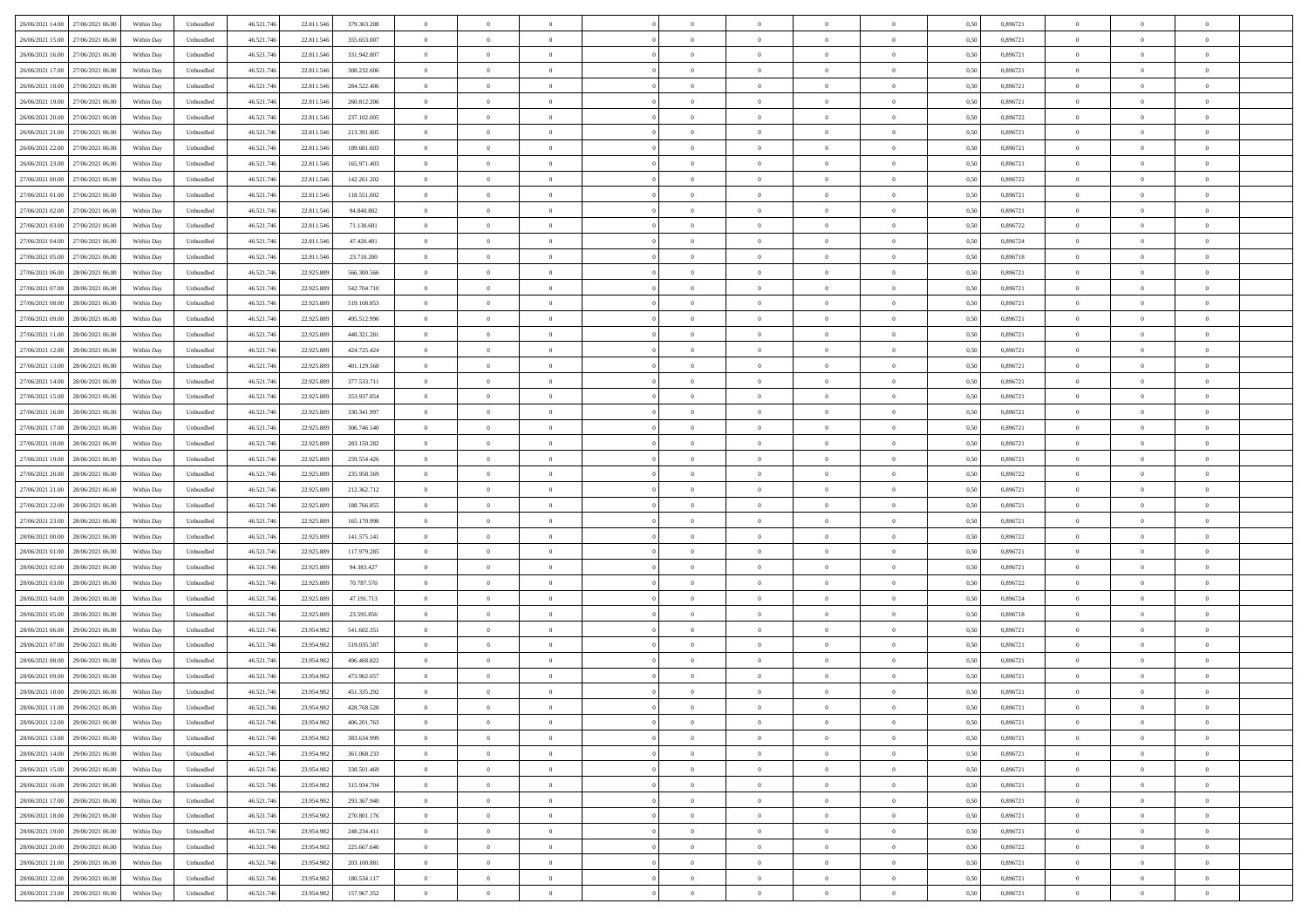| 26/06/2021 14:00 27/06/2021 06:00       | Within Day | Unbundled         | 46.521.74  | 22.811.546 | 379.363.208 | $\overline{0}$ | $\theta$       |                | $\overline{0}$ | $\theta$       |                | $\bf{0}$       | 0,50 | 0,896721 | $\theta$       | $\theta$       | $\overline{0}$ |  |
|-----------------------------------------|------------|-------------------|------------|------------|-------------|----------------|----------------|----------------|----------------|----------------|----------------|----------------|------|----------|----------------|----------------|----------------|--|
|                                         |            |                   |            |            |             |                |                |                |                |                |                |                |      |          |                |                |                |  |
| 26/06/2021 15:00<br>27/06/2021 06.00    | Within Day | Unbundled         | 46.521.74  | 22.811.54  | 355.653.007 | $\bf{0}$       | $\overline{0}$ | $\bf{0}$       | $\overline{0}$ | $\theta$       | $\overline{0}$ | $\bf{0}$       | 0,50 | 0,896721 | $\,$ 0 $\,$    | $\bf{0}$       | $\overline{0}$ |  |
| 26/06/2021 16:00<br>27/06/2021 06:00    | Within Day | Unbundled         | 46.521.746 | 22.811.546 | 331.942.807 | $\overline{0}$ | $\overline{0}$ | $\overline{0}$ | $\bf{0}$       | $\bf{0}$       | $\overline{0}$ | $\bf{0}$       | 0.50 | 0.896721 | $\bf{0}$       | $\overline{0}$ | $\overline{0}$ |  |
| 26/06/2021 17:00<br>27/06/2021 06:00    | Within Day | Unbundled         | 46.521.74  | 22.811.546 | 308.232.606 | $\overline{0}$ | $\overline{0}$ | $\overline{0}$ | $\theta$       | $\theta$       | $\overline{0}$ | $\overline{0}$ | 0,50 | 0,896721 | $\theta$       | $\theta$       | $\overline{0}$ |  |
| 26/06/2021 18:00<br>27/06/2021 06.00    | Within Day | Unbundled         | 46.521.74  | 22.811.54  | 284.522.406 | $\overline{0}$ | $\theta$       | $\overline{0}$ | $\overline{0}$ | $\theta$       | $\overline{0}$ | $\bf{0}$       | 0,50 | 0,896721 | $\,$ 0 $\,$    | $\bf{0}$       | $\overline{0}$ |  |
| 26/06/2021 19:00<br>27/06/2021 06:00    | Within Day | Unbundled         | 46.521.74  | 22.811.54  | 260.812.206 | $\overline{0}$ | $\overline{0}$ | $\overline{0}$ | $\overline{0}$ | $\overline{0}$ | $\Omega$       | $\bf{0}$       | 0.50 | 0.896721 | $\bf{0}$       | $\theta$       | $\overline{0}$ |  |
|                                         |            |                   |            |            |             | $\overline{0}$ | $\overline{0}$ | $\overline{0}$ | $\overline{0}$ | $\theta$       | $\overline{0}$ |                |      |          | $\theta$       | $\theta$       | $\overline{0}$ |  |
| 26/06/2021 20:00<br>27/06/2021 06:00    | Within Day | Unbundled         | 46.521.74  | 22.811.546 | 237.102.005 |                |                |                |                |                |                | $\bf{0}$       | 0,50 | 0,896722 |                |                |                |  |
| 26/06/2021 21:00<br>27/06/2021 06.00    | Within Day | Unbundled         | 46.521.74  | 22.811.54  | 213.391.805 | $\overline{0}$ | $\overline{0}$ | $\overline{0}$ | $\overline{0}$ | $\theta$       | $\overline{0}$ | $\bf{0}$       | 0,50 | 0,896721 | $\,$ 0 $\,$    | $\bf{0}$       | $\overline{0}$ |  |
| 26/06/2021 22.00<br>27/06/2021 06:00    | Within Day | Unbundled         | 46.521.74  | 22.811.54  | 189.681.603 | $\overline{0}$ | $\bf{0}$       | $\overline{0}$ | $\bf{0}$       | $\overline{0}$ | $\overline{0}$ | $\bf{0}$       | 0.50 | 0.896721 | $\bf{0}$       | $\theta$       | $\overline{0}$ |  |
| 26/06/2021 23:00<br>27/06/2021 06:00    | Within Day | Unbundled         | 46.521.74  | 22.811.546 | 165.971.403 | $\overline{0}$ | $\bf{0}$       | $\overline{0}$ | $\overline{0}$ | $\theta$       | $\overline{0}$ | $\bf{0}$       | 0,50 | 0,896721 | $\,$ 0 $\,$    | $\theta$       | $\overline{0}$ |  |
| 27/06/2021 00:00<br>27/06/2021 06.00    | Within Day | Unbundled         | 46.521.74  | 22.811.54  | 142.261.202 | $\bf{0}$       | $\overline{0}$ | $\bf{0}$       | $\overline{0}$ | $\bf{0}$       | $\overline{0}$ | $\bf{0}$       | 0,50 | 0,896722 | $\,$ 0 $\,$    | $\bf{0}$       | $\overline{0}$ |  |
| 27/06/2021 01:00<br>27/06/2021 06:00    | Within Day | Unbundled         | 46.521.746 | 22.811.546 | 118.551.002 | $\overline{0}$ | $\overline{0}$ | $\overline{0}$ | $\bf{0}$       | $\bf{0}$       | $\overline{0}$ | $\bf{0}$       | 0.50 | 0.896721 | $\bf{0}$       | $\overline{0}$ | $\overline{0}$ |  |
| 27/06/2021 02:00<br>27/06/2021 06:00    | Within Day | Unbundled         | 46.521.74  | 22.811.546 | 94.840.802  | $\overline{0}$ | $\overline{0}$ | $\overline{0}$ | $\overline{0}$ | $\theta$       | $\overline{0}$ | $\overline{0}$ | 0,50 | 0,896721 | $\theta$       | $\theta$       | $\overline{0}$ |  |
|                                         |            |                   |            |            |             |                | $\theta$       |                | $\overline{0}$ | $\theta$       | $\overline{0}$ | $\bf{0}$       |      |          |                | $\bf{0}$       | $\overline{0}$ |  |
| 27/06/2021 03:00<br>27/06/2021 06.00    | Within Day | Unbundled         | 46.521.74  | 22.811.54  | 71.130.601  | $\bf{0}$       |                | $\bf{0}$       |                |                |                |                | 0,50 | 0,896722 | $\bf{0}$       |                |                |  |
| 27/06/2021 04:00<br>27/06/2021 06.00    | Within Day | Unbundled         | 46.521.74  | 22.811.54  | 47.420.401  | $\overline{0}$ | $\overline{0}$ | $\overline{0}$ | $\bf{0}$       | $\theta$       | $\theta$       | $\bf{0}$       | 0.50 | 0.896724 | $\bf{0}$       | $\overline{0}$ | $\overline{0}$ |  |
| 27/06/2021 05:00<br>27/06/2021 06:00    | Within Day | Unbundled         | 46.521.74  | 22.811.546 | 23.710.200  | $\overline{0}$ | $\overline{0}$ | $\overline{0}$ | $\overline{0}$ | $\overline{0}$ | $\overline{0}$ | $\bf{0}$       | 0,50 | 0,896718 | $\theta$       | $\theta$       | $\overline{0}$ |  |
| 27/06/2021 06:00<br>28/06/2021 06.00    | Within Day | Unbundled         | 46.521.74  | 22.925.889 | 566.300.566 | $\bf{0}$       | $\overline{0}$ | $\overline{0}$ | $\overline{0}$ | $\theta$       | $\overline{0}$ | $\bf{0}$       | 0,50 | 0,896721 | $\,$ 0 $\,$    | $\bf{0}$       | $\overline{0}$ |  |
| 27/06/2021 07:00<br>28/06/2021 06:00    | Within Day | Unbundled         | 46.521.74  | 22.925.889 | 542.704.710 | $\overline{0}$ | $\overline{0}$ | $\overline{0}$ | $\bf{0}$       | $\overline{0}$ | $\overline{0}$ | $\bf{0}$       | 0.50 | 0.896721 | $\bf{0}$       | $\overline{0}$ | $\overline{0}$ |  |
| 27/06/2021 08:00<br>28/06/2021 06:00    | Within Day | Unbundled         | 46.521.74  | 22.925.889 | 519.108.853 | $\overline{0}$ | $\overline{0}$ | $\overline{0}$ | $\overline{0}$ | $\theta$       | $\overline{0}$ | $\bf{0}$       | 0,50 | 0,896721 | $\,$ 0 $\,$    | $\theta$       | $\overline{0}$ |  |
| 27/06/2021 09:00<br>28/06/2021 06.00    | Within Day | Unbundled         | 46.521.74  | 22.925.889 | 495.512.996 | $\bf{0}$       | $\overline{0}$ | $\bf{0}$       | $\bf{0}$       | $\overline{0}$ | $\overline{0}$ | $\bf{0}$       | 0,50 | 0,896721 | $\,$ 0 $\,$    | $\bf{0}$       | $\overline{0}$ |  |
| $27/06/2021\ 11.00$<br>28/06/2021 06:00 | Within Day | Unbundled         | 46.521.746 | 22.925.889 | 448.321.281 | $\overline{0}$ | $\bf{0}$       | $\overline{0}$ | $\bf{0}$       | $\bf{0}$       | $\overline{0}$ | $\bf{0}$       | 0.50 | 0.896721 | $\bf{0}$       | $\overline{0}$ | $\overline{0}$ |  |
|                                         |            |                   |            |            |             |                |                |                |                |                |                |                |      |          |                |                |                |  |
| 27/06/2021 12:00<br>28/06/2021 06:00    | Within Day | Unbundled         | 46.521.74  | 22.925.889 | 424.725.424 | $\overline{0}$ | $\overline{0}$ | $\overline{0}$ | $\theta$       | $\theta$       | $\overline{0}$ | $\bf{0}$       | 0,50 | 0,896721 | $\theta$       | $\theta$       | $\overline{0}$ |  |
| 27/06/2021 13:00<br>28/06/2021 06.00    | Within Day | Unbundled         | 46.521.74  | 22.925.889 | 401.129.568 | $\bf{0}$       | $\overline{0}$ | $\bf{0}$       | $\overline{0}$ | $\theta$       | $\overline{0}$ | $\bf{0}$       | 0,50 | 0,896721 | $\,$ 0 $\,$    | $\bf{0}$       | $\overline{0}$ |  |
| 27/06/2021 14:00<br>28/06/2021 06:00    | Within Day | Unbundled         | 46.521.74  | 22.925.889 | 377.533.711 | $\overline{0}$ | $\overline{0}$ | $\overline{0}$ | $\overline{0}$ | $\overline{0}$ | $\Omega$       | $\bf{0}$       | 0.50 | 0.896721 | $\,$ 0 $\,$    | $\theta$       | $\overline{0}$ |  |
| 27/06/2021 15:00<br>28/06/2021 06:00    | Within Day | Unbundled         | 46.521.74  | 22.925.889 | 353.937.854 | $\overline{0}$ | $\overline{0}$ | $\overline{0}$ | $\overline{0}$ | $\theta$       | $\overline{0}$ | $\bf{0}$       | 0,50 | 0,896721 | $\theta$       | $\theta$       | $\overline{0}$ |  |
| 27/06/2021 16:00<br>28/06/2021 06.00    | Within Day | Unbundled         | 46.521.74  | 22.925.889 | 330.341.997 | $\bf{0}$       | $\theta$       | $\overline{0}$ | $\overline{0}$ | $\theta$       | $\overline{0}$ | $\bf{0}$       | 0,50 | 0,896721 | $\,$ 0 $\,$    | $\bf{0}$       | $\overline{0}$ |  |
| 27/06/2021 17:00<br>28/06/2021 06:00    | Within Day | Unbundled         | 46.521.74  | 22.925.889 | 306.746.140 | $\overline{0}$ | $\bf{0}$       | $\overline{0}$ | $\bf{0}$       | $\overline{0}$ | $\overline{0}$ | $\bf{0}$       | 0.50 | 0.896721 | $\bf{0}$       | $\theta$       | $\overline{0}$ |  |
| 27/06/2021 18:00<br>28/06/2021 06:00    | Within Day | Unbundled         | 46.521.74  | 22.925.889 | 283.150.282 | $\overline{0}$ | $\overline{0}$ | $\overline{0}$ | $\overline{0}$ | $\theta$       | $\overline{0}$ | $\bf{0}$       | 0,50 | 0,896721 | $\theta$       | $\theta$       | $\overline{0}$ |  |
|                                         |            |                   |            |            |             |                |                |                |                |                |                |                |      |          |                |                |                |  |
| 27/06/2021 19:00<br>28/06/2021 06.00    | Within Day | Unbundled         | 46.521.74  | 22.925.889 | 259.554.426 | $\bf{0}$       | $\bf{0}$       | $\bf{0}$       | $\bf{0}$       | $\overline{0}$ | $\overline{0}$ | $\bf{0}$       | 0,50 | 0,896721 | $\,$ 0 $\,$    | $\bf{0}$       | $\overline{0}$ |  |
| 27/06/2021 20:00<br>28/06/2021 06:00    | Within Day | Unbundled         | 46.521.746 | 22.925.889 | 235.958.569 | $\overline{0}$ | $\bf{0}$       | $\overline{0}$ | $\bf{0}$       | $\bf{0}$       | $\overline{0}$ | $\bf{0}$       | 0.50 | 0.896722 | $\bf{0}$       | $\overline{0}$ | $\overline{0}$ |  |
| 27/06/2021 21:00<br>28/06/2021 06:00    | Within Day | Unbundled         | 46.521.74  | 22.925.889 | 212.362.712 | $\overline{0}$ | $\overline{0}$ | $\overline{0}$ | $\overline{0}$ | $\theta$       | $\overline{0}$ | $\bf{0}$       | 0.5( | 0,896721 | $\theta$       | $\theta$       | $\overline{0}$ |  |
| 27/06/2021 22:00<br>28/06/2021 06.00    | Within Day | Unbundled         | 46.521.74  | 22.925.889 | 188.766.855 | $\bf{0}$       | $\overline{0}$ | $\bf{0}$       | $\overline{0}$ | $\overline{0}$ | $\overline{0}$ | $\bf{0}$       | 0,50 | 0,896721 | $\,$ 0 $\,$    | $\bf{0}$       | $\overline{0}$ |  |
| 27/06/2021 23:00<br>28/06/2021 06:00    | Within Day | Unbundled         | 46.521.74  | 22.925.889 | 165,170,998 | $\overline{0}$ | $\overline{0}$ | $\overline{0}$ | $\bf{0}$       | $\theta$       | $\Omega$       | $\bf{0}$       | 0.50 | 0,896721 | $\,$ 0 $\,$    | $\overline{0}$ | $\overline{0}$ |  |
| 28/06/2021 00:00<br>28/06/2021 06:00    | Within Dav | Unbundled         | 46.521.74  | 22.925.889 | 141.575.141 | $\overline{0}$ | $\theta$       | $\Omega$       | $\overline{0}$ | $\theta$       | $\overline{0}$ | $\overline{0}$ | 0.5( | 0,896722 | $\theta$       | $\theta$       | $\overline{0}$ |  |
| 28/06/2021 01:00<br>28/06/2021 06.00    | Within Day | Unbundled         | 46.521.74  | 22.925.889 | 117.979.285 | $\bf{0}$       | $\overline{0}$ | $\bf{0}$       | $\overline{0}$ | $\bf{0}$       | $\overline{0}$ | $\bf{0}$       | 0,50 | 0,896721 | $\,$ 0 $\,$    | $\bf{0}$       | $\overline{0}$ |  |
| 28/06/2021 02:00<br>28/06/2021 06:00    | Within Day | Unbundled         | 46.521.74  | 22.925.889 | 94.383.427  | $\overline{0}$ | $\bf{0}$       | $\overline{0}$ | $\bf{0}$       | $\overline{0}$ | $\overline{0}$ | $\bf{0}$       | 0.50 | 0.896721 | $\bf{0}$       | $\overline{0}$ | $\overline{0}$ |  |
|                                         |            |                   |            |            |             |                |                |                |                |                |                |                |      |          |                |                |                |  |
| 28/06/2021 03:00<br>28/06/2021 06:00    | Within Dav | Unbundled         | 46.521.74  | 22.925.889 | 70.787.570  | $\overline{0}$ | $\overline{0}$ | $\overline{0}$ | $\overline{0}$ | $\overline{0}$ | $\overline{0}$ | $\overline{0}$ | 0.50 | 0,896722 | $\theta$       | $\theta$       | $\overline{0}$ |  |
| 28/06/2021 04:00<br>28/06/2021 06.00    | Within Day | Unbundled         | 46.521.74  | 22.925.889 | 47.191.713  | $\bf{0}$       | $\bf{0}$       | $\bf{0}$       | $\bf{0}$       | $\overline{0}$ | $\overline{0}$ | $\bf{0}$       | 0,50 | 0,896724 | $\,$ 0 $\,$    | $\bf{0}$       | $\overline{0}$ |  |
| 28/06/2021 05:00<br>28/06/2021 06:00    | Within Day | Unbundled         | 46.521.746 | 22.925.889 | 23.595.856  | $\overline{0}$ | $\bf{0}$       | $\overline{0}$ | $\bf{0}$       | $\bf{0}$       | $\overline{0}$ | $\bf{0}$       | 0.50 | 0.896718 | $\bf{0}$       | $\overline{0}$ | $\overline{0}$ |  |
| 28/06/2021 06:00<br>29/06/2021 06:00    | Within Dav | Unbundled         | 46.521.74  | 23.954.982 | 541.602.351 | $\overline{0}$ | $\overline{0}$ | $\Omega$       | $\overline{0}$ | $\theta$       | $\overline{0}$ | $\overline{0}$ | 0.50 | 0,896721 | $\theta$       | $\theta$       | $\overline{0}$ |  |
| 28/06/2021 07:00<br>29/06/2021 06.00    | Within Day | Unbundled         | 46.521.74  | 23.954.98  | 519.035.587 | $\bf{0}$       | $\overline{0}$ | $\bf{0}$       | $\overline{0}$ | $\overline{0}$ | $\overline{0}$ | $\bf{0}$       | 0,50 | 0,896721 | $\,$ 0 $\,$    | $\bf{0}$       | $\overline{0}$ |  |
| 28/06/2021 08:00<br>29/06/2021 06.00    | Within Day | Unbundled         | 46.521.74  | 23.954.98  | 496.468.822 | $\overline{0}$ | $\overline{0}$ | $\Omega$       | $\overline{0}$ | $\theta$       | $\theta$       | $\bf{0}$       | 0.50 | 0,896721 | $\bf{0}$       | $\overline{0}$ | $\overline{0}$ |  |
| 28/06/2021 09:00<br>29/06/2021 06:00    | Within Dav | Unbundled         | 46.521.74  | 23.954.982 | 473.902.057 | $\overline{0}$ | $\overline{0}$ | $\Omega$       | $\overline{0}$ | $\theta$       | $\Omega$       | $\overline{0}$ | 0.5( | 0,896721 | $\theta$       | $\theta$       | $\overline{0}$ |  |
| 28/06/2021 10:00<br>29/06/2021 06.00    | Within Day | Unbundled         | 46.521.74  | 23.954.982 | 451.335.292 | $\bf{0}$       | $\bf{0}$       | $\overline{0}$ | $\bf{0}$       | $\bf{0}$       | $\overline{0}$ | $\bf{0}$       | 0,50 | 0,896721 | $\,$ 0 $\,$    | $\bf{0}$       | $\overline{0}$ |  |
|                                         |            |                   |            |            |             |                |                |                |                |                |                |                |      |          |                |                |                |  |
| 28/06/2021 11:00 29/06/2021 06:00       | Within Day | ${\sf Unbundred}$ | 46.521.746 | 23.954.982 | 428.768.528 | $\overline{0}$ | $\Omega$       |                | $\Omega$       |                |                |                | 0,50 | 0.896721 | $\theta$       | $\overline{0}$ |                |  |
| 28/06/2021 12:00 29/06/2021 06:00       | Within Day | Unbundled         | 46.521.746 | 23.954.982 | 406.201.763 | $\overline{0}$ | $\theta$       | $\Omega$       | $\theta$       | $\overline{0}$ | $\overline{0}$ | $\bf{0}$       | 0,50 | 0,896721 | $\theta$       | $\theta$       | $\overline{0}$ |  |
| 28/06/2021 13:00<br>29/06/2021 06.00    | Within Day | Unbundled         | 46.521.74  | 23.954.982 | 383.634.999 | $\overline{0}$ | $\bf{0}$       | $\overline{0}$ | $\overline{0}$ | $\bf{0}$       | $\overline{0}$ | $\bf{0}$       | 0,50 | 0,896721 | $\bf{0}$       | $\overline{0}$ | $\bf{0}$       |  |
| 28/06/2021 14:00 29/06/2021 06:00       | Within Day | Unbundled         | 46.521.746 | 23.954.982 | 361.068.233 | $\overline{0}$ | $\bf{0}$       | $\overline{0}$ | $\overline{0}$ | $\overline{0}$ | $\overline{0}$ | $\bf{0}$       | 0.50 | 0.896721 | $\overline{0}$ | $\bf{0}$       | $\,$ 0 $\,$    |  |
| 28/06/2021 15:00 29/06/2021 06:00       | Within Day | Unbundled         | 46.521.746 | 23.954.982 | 338.501.469 | $\overline{0}$ | $\overline{0}$ | $\overline{0}$ | $\overline{0}$ | $\overline{0}$ | $\overline{0}$ | $\bf{0}$       | 0,50 | 0,896721 | $\theta$       | $\theta$       | $\overline{0}$ |  |
| 28/06/2021 16:00<br>29/06/2021 06.00    | Within Day | Unbundled         | 46.521.74  | 23.954.982 | 315.934.704 | $\overline{0}$ | $\bf{0}$       | $\overline{0}$ | $\bf{0}$       | $\overline{0}$ | $\bf{0}$       | $\bf{0}$       | 0,50 | 0,896721 | $\bf{0}$       | $\bf{0}$       | $\overline{0}$ |  |
| 28/06/2021 17:00<br>29/06/2021 06:00    | Within Day | Unbundled         | 46.521.746 | 23.954.982 | 293.367.940 | $\overline{0}$ | $\bf{0}$       | $\overline{0}$ | $\overline{0}$ | $\overline{0}$ | $\overline{0}$ | $\bf{0}$       | 0.50 | 0,896721 | $\,$ 0 $\,$    | $\theta$       | $\overline{0}$ |  |
|                                         |            |                   |            |            |             |                |                |                |                |                |                |                |      |          |                |                |                |  |
| 28/06/2021 18:00<br>29/06/2021 06:00    | Within Dav | Unbundled         | 46.521.746 | 23.954.982 | 270.801.176 | $\overline{0}$ | $\overline{0}$ | $\overline{0}$ | $\overline{0}$ | $\overline{0}$ | $\overline{0}$ | $\bf{0}$       | 0.50 | 0,896721 | $\overline{0}$ | $\theta$       | $\overline{0}$ |  |
| 28/06/2021 19:00<br>29/06/2021 06.00    | Within Day | Unbundled         | 46.521.74  | 23.954.982 | 248.234.411 | $\overline{0}$ | $\overline{0}$ | $\overline{0}$ | $\overline{0}$ | $\bf{0}$       | $\overline{0}$ | $\bf{0}$       | 0,50 | 0,896721 | $\bf{0}$       | $\overline{0}$ | $\overline{0}$ |  |
| 28/06/2021 20:00<br>29/06/2021 06:00    | Within Day | Unbundled         | 46.521.746 | 23.954.982 | 225.667.646 | $\overline{0}$ | $\overline{0}$ | $\overline{0}$ | $\overline{0}$ | $\bf{0}$       | $\overline{0}$ | $\bf{0}$       | 0.50 | 0.896722 | $\mathbf{0}$   | $\bf{0}$       | $\,$ 0         |  |
| 28/06/2021 21:00 29/06/2021 06:00       | Within Dav | Unbundled         | 46.521.746 | 23.954.982 | 203.100.881 | $\overline{0}$ | $\overline{0}$ | $\overline{0}$ | $\overline{0}$ | $\overline{0}$ | $\overline{0}$ | $\bf{0}$       | 0,50 | 0,896721 | $\overline{0}$ | $\theta$       | $\overline{0}$ |  |
| 28/06/2021 22:00<br>29/06/2021 06.00    | Within Day | Unbundled         | 46.521.74  | 23.954.982 | 180.534.117 | $\overline{0}$ | $\bf{0}$       | $\overline{0}$ | $\bf{0}$       | $\overline{0}$ | $\bf{0}$       | $\bf{0}$       | 0,50 | 0,896721 | $\bf{0}$       | $\bf{0}$       | $\overline{0}$ |  |
| 28/06/2021 23:00 29/06/2021 06:00       | Within Day | Unbundled         | 46.521.746 | 23.954.982 | 157.967.352 | $\overline{0}$ | $\bf{0}$       | $\overline{0}$ | $\overline{0}$ | $\,$ 0 $\,$    | $\overline{0}$ | $\bf{0}$       | 0,50 | 0,896721 | $\overline{0}$ | $\,$ 0 $\,$    | $\,$ 0 $\,$    |  |
|                                         |            |                   |            |            |             |                |                |                |                |                |                |                |      |          |                |                |                |  |